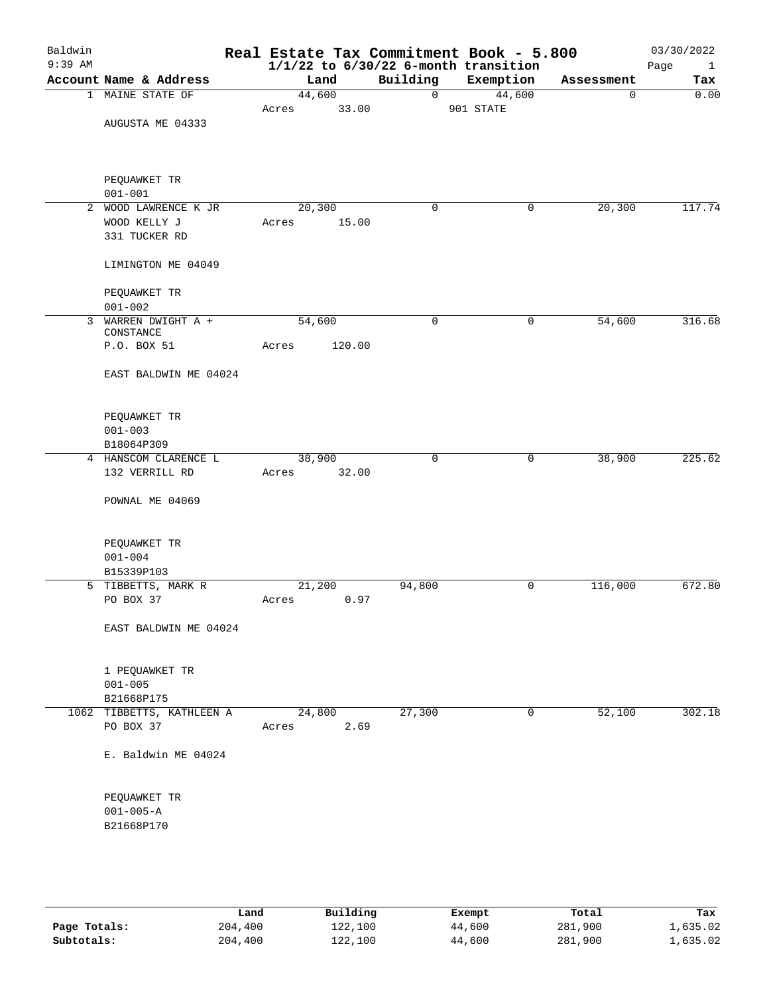| Baldwin<br>$9:39$ AM |                                        |       |        |        |             | Real Estate Tax Commitment Book - 5.800<br>$1/1/22$ to $6/30/22$ 6-month transition |            | 03/30/2022<br>Page<br>$\mathbf{1}$ |
|----------------------|----------------------------------------|-------|--------|--------|-------------|-------------------------------------------------------------------------------------|------------|------------------------------------|
|                      | Account Name & Address                 |       | Land   |        | Building    | Exemption                                                                           | Assessment | Tax                                |
|                      | 1 MAINE STATE OF                       |       | 44,600 |        | $\mathbf 0$ | 44,600                                                                              | 0          | 0.00                               |
|                      |                                        | Acres |        | 33.00  |             | 901 STATE                                                                           |            |                                    |
|                      | AUGUSTA ME 04333                       |       |        |        |             |                                                                                     |            |                                    |
|                      |                                        |       |        |        |             |                                                                                     |            |                                    |
|                      |                                        |       |        |        |             |                                                                                     |            |                                    |
|                      |                                        |       |        |        |             |                                                                                     |            |                                    |
|                      | PEQUAWKET TR                           |       |        |        |             |                                                                                     |            |                                    |
|                      | $001 - 001$                            |       |        |        |             |                                                                                     |            |                                    |
| $\overline{a}$       | WOOD LAWRENCE K JR                     |       | 20,300 |        | $\mathbf 0$ | 0                                                                                   | 20,300     | 117.74                             |
|                      | WOOD KELLY J                           | Acres |        | 15.00  |             |                                                                                     |            |                                    |
|                      | 331 TUCKER RD                          |       |        |        |             |                                                                                     |            |                                    |
|                      |                                        |       |        |        |             |                                                                                     |            |                                    |
|                      | LIMINGTON ME 04049                     |       |        |        |             |                                                                                     |            |                                    |
|                      |                                        |       |        |        |             |                                                                                     |            |                                    |
|                      | PEQUAWKET TR                           |       |        |        |             |                                                                                     |            |                                    |
|                      | $001 - 002$                            |       |        |        |             |                                                                                     |            |                                    |
| 3                    | WARREN DWIGHT A +                      |       | 54,600 |        | 0           | 0                                                                                   | 54,600     | 316.68                             |
|                      | CONSTANCE                              |       |        |        |             |                                                                                     |            |                                    |
|                      | P.O. BOX 51                            | Acres |        | 120.00 |             |                                                                                     |            |                                    |
|                      |                                        |       |        |        |             |                                                                                     |            |                                    |
|                      | EAST BALDWIN ME 04024                  |       |        |        |             |                                                                                     |            |                                    |
|                      |                                        |       |        |        |             |                                                                                     |            |                                    |
|                      |                                        |       |        |        |             |                                                                                     |            |                                    |
|                      | PEQUAWKET TR                           |       |        |        |             |                                                                                     |            |                                    |
|                      | $001 - 003$                            |       |        |        |             |                                                                                     |            |                                    |
|                      | B18064P309                             |       |        |        |             |                                                                                     |            |                                    |
|                      | 4 HANSCOM CLARENCE L                   |       | 38,900 |        | $\mathbf 0$ | 0                                                                                   | 38,900     | 225.62                             |
|                      | 132 VERRILL RD                         | Acres |        | 32.00  |             |                                                                                     |            |                                    |
|                      |                                        |       |        |        |             |                                                                                     |            |                                    |
|                      | POWNAL ME 04069                        |       |        |        |             |                                                                                     |            |                                    |
|                      |                                        |       |        |        |             |                                                                                     |            |                                    |
|                      |                                        |       |        |        |             |                                                                                     |            |                                    |
|                      | PEQUAWKET TR                           |       |        |        |             |                                                                                     |            |                                    |
|                      | $001 - 004$                            |       |        |        |             |                                                                                     |            |                                    |
|                      | B15339P103                             |       |        |        |             |                                                                                     |            |                                    |
|                      | 5 TIBBETTS, MARK R                     |       | 21,200 |        | 94,800      | 0                                                                                   | 116,000    | 672.80                             |
|                      | PO BOX 37                              | Acres |        | 0.97   |             |                                                                                     |            |                                    |
|                      |                                        |       |        |        |             |                                                                                     |            |                                    |
|                      | EAST BALDWIN ME 04024                  |       |        |        |             |                                                                                     |            |                                    |
|                      |                                        |       |        |        |             |                                                                                     |            |                                    |
|                      |                                        |       |        |        |             |                                                                                     |            |                                    |
|                      | 1 PEQUAWKET TR                         |       |        |        |             |                                                                                     |            |                                    |
|                      | $001 - 005$                            |       |        |        |             |                                                                                     |            |                                    |
|                      | B21668P175                             |       |        |        |             | 0                                                                                   |            | 302.18                             |
|                      | 1062 TIBBETTS, KATHLEEN A<br>PO BOX 37 |       | 24,800 |        | 27,300      |                                                                                     | 52,100     |                                    |
|                      |                                        | Acres |        | 2.69   |             |                                                                                     |            |                                    |
|                      | E. Baldwin ME 04024                    |       |        |        |             |                                                                                     |            |                                    |
|                      |                                        |       |        |        |             |                                                                                     |            |                                    |
|                      |                                        |       |        |        |             |                                                                                     |            |                                    |
|                      | PEQUAWKET TR                           |       |        |        |             |                                                                                     |            |                                    |
|                      | $001 - 005 - A$                        |       |        |        |             |                                                                                     |            |                                    |
|                      | B21668P170                             |       |        |        |             |                                                                                     |            |                                    |
|                      |                                        |       |        |        |             |                                                                                     |            |                                    |
|                      |                                        |       |        |        |             |                                                                                     |            |                                    |
|                      |                                        |       |        |        |             |                                                                                     |            |                                    |
|                      |                                        |       |        |        |             |                                                                                     |            |                                    |

|              | Land    | Building | Exempt | Total   | Tax      |
|--------------|---------|----------|--------|---------|----------|
| Page Totals: | 204,400 | 122,100  | 44,600 | 281,900 | 1,635.02 |
| Subtotals:   | 204,400 | 122,100  | 44,600 | 281,900 | 1,635.02 |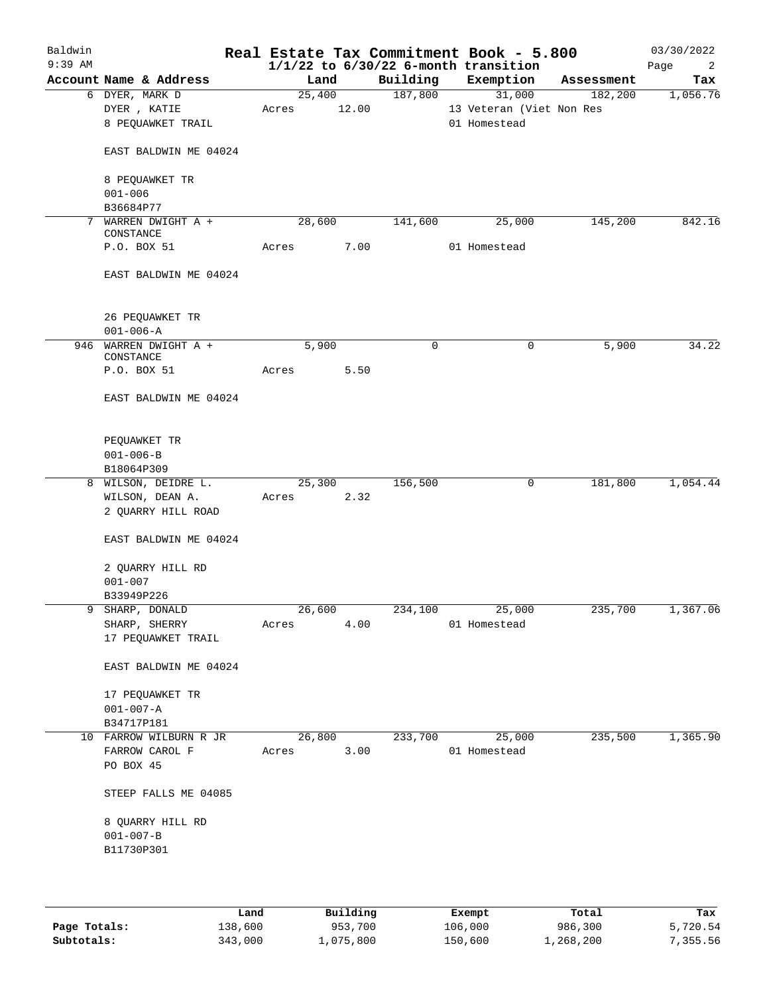| Baldwin<br>$9:39$ AM |                                          |       |        |        |             | Real Estate Tax Commitment Book - 5.800<br>$1/1/22$ to $6/30/22$ 6-month transition |            | 03/30/2022<br>Page<br>2 |
|----------------------|------------------------------------------|-------|--------|--------|-------------|-------------------------------------------------------------------------------------|------------|-------------------------|
|                      | Account Name & Address                   |       | Land   |        | Building    | Exemption                                                                           | Assessment | Tax                     |
|                      | 6 DYER, MARK D                           |       | 25,400 |        | 187,800     | 31,000                                                                              | 182,200    | 1,056.76                |
|                      | DYER, KATIE                              | Acres |        | 12.00  |             | 13 Veteran (Viet Non Res                                                            |            |                         |
|                      | 8 PEQUAWKET TRAIL                        |       |        |        |             | 01 Homestead                                                                        |            |                         |
|                      | EAST BALDWIN ME 04024                    |       |        |        |             |                                                                                     |            |                         |
|                      | 8 PEQUAWKET TR<br>$001 - 006$            |       |        |        |             |                                                                                     |            |                         |
|                      | B36684P77                                |       |        |        |             |                                                                                     |            |                         |
| 7                    | WARREN DWIGHT A +<br>CONSTANCE           |       | 28,600 |        | 141,600     | 25,000                                                                              | 145,200    | 842.16                  |
|                      | P.O. BOX 51                              | Acres |        | 7.00   |             | 01 Homestead                                                                        |            |                         |
|                      | EAST BALDWIN ME 04024                    |       |        |        |             |                                                                                     |            |                         |
|                      | 26 PEQUAWKET TR                          |       |        |        |             |                                                                                     |            |                         |
|                      | $001 - 006 - A$<br>946 WARREN DWIGHT A + |       | 5,900  |        | $\mathbf 0$ | 0                                                                                   | 5,900      | 34.22                   |
|                      | CONSTANCE<br>P.O. BOX 51                 | Acres |        | 5.50   |             |                                                                                     |            |                         |
|                      | EAST BALDWIN ME 04024                    |       |        |        |             |                                                                                     |            |                         |
|                      | PEQUAWKET TR                             |       |        |        |             |                                                                                     |            |                         |
|                      | $001 - 006 - B$<br>B18064P309            |       |        |        |             |                                                                                     |            |                         |
|                      | 8 WILSON, DEIDRE L.                      |       | 25,300 |        | 156,500     | 0                                                                                   | 181,800    | 1,054.44                |
|                      | WILSON, DEAN A.                          | Acres |        | 2.32   |             |                                                                                     |            |                         |
|                      | 2 QUARRY HILL ROAD                       |       |        |        |             |                                                                                     |            |                         |
|                      | EAST BALDWIN ME 04024                    |       |        |        |             |                                                                                     |            |                         |
|                      | 2 QUARRY HILL RD<br>$001 - 007$          |       |        |        |             |                                                                                     |            |                         |
|                      | B33949P226                               |       |        |        |             |                                                                                     |            |                         |
|                      | SHARP, DONALD                            |       |        | 26,600 |             | 234,100 25,000                                                                      | 235,700    | 1,367.06                |
|                      | SHARP, SHERRY                            | Acres |        | 4.00   |             | 01 Homestead                                                                        |            |                         |
|                      | 17 PEQUAWKET TRAIL                       |       |        |        |             |                                                                                     |            |                         |
|                      | EAST BALDWIN ME 04024                    |       |        |        |             |                                                                                     |            |                         |
|                      | 17 PEQUAWKET TR                          |       |        |        |             |                                                                                     |            |                         |
|                      | $001 - 007 - A$                          |       |        |        |             |                                                                                     |            |                         |
|                      | B34717P181                               |       |        |        |             |                                                                                     |            |                         |
|                      | 10 FARROW WILBURN R JR                   |       | 26,800 |        | 233,700     | 25,000                                                                              | 235,500    | 1,365.90                |
|                      | FARROW CAROL F                           |       | Acres  | 3.00   |             | 01 Homestead                                                                        |            |                         |
|                      | PO BOX 45                                |       |        |        |             |                                                                                     |            |                         |
|                      | STEEP FALLS ME 04085                     |       |        |        |             |                                                                                     |            |                         |
|                      |                                          |       |        |        |             |                                                                                     |            |                         |
|                      | 8 QUARRY HILL RD                         |       |        |        |             |                                                                                     |            |                         |
|                      | $001 - 007 - B$                          |       |        |        |             |                                                                                     |            |                         |
|                      | B11730P301                               |       |        |        |             |                                                                                     |            |                         |
|                      |                                          |       |        |        |             |                                                                                     |            |                         |
|                      |                                          |       |        |        |             |                                                                                     |            |                         |

|              | Land    | Building | Exempt  | Total     | Tax      |
|--------------|---------|----------|---------|-----------|----------|
| Page Totals: | 138,600 | 953,700  | 106,000 | 986,300   | 5,720.54 |
| Subtotals:   | 343,000 | ,075,800 | 150,600 | 1,268,200 | , 355.56 |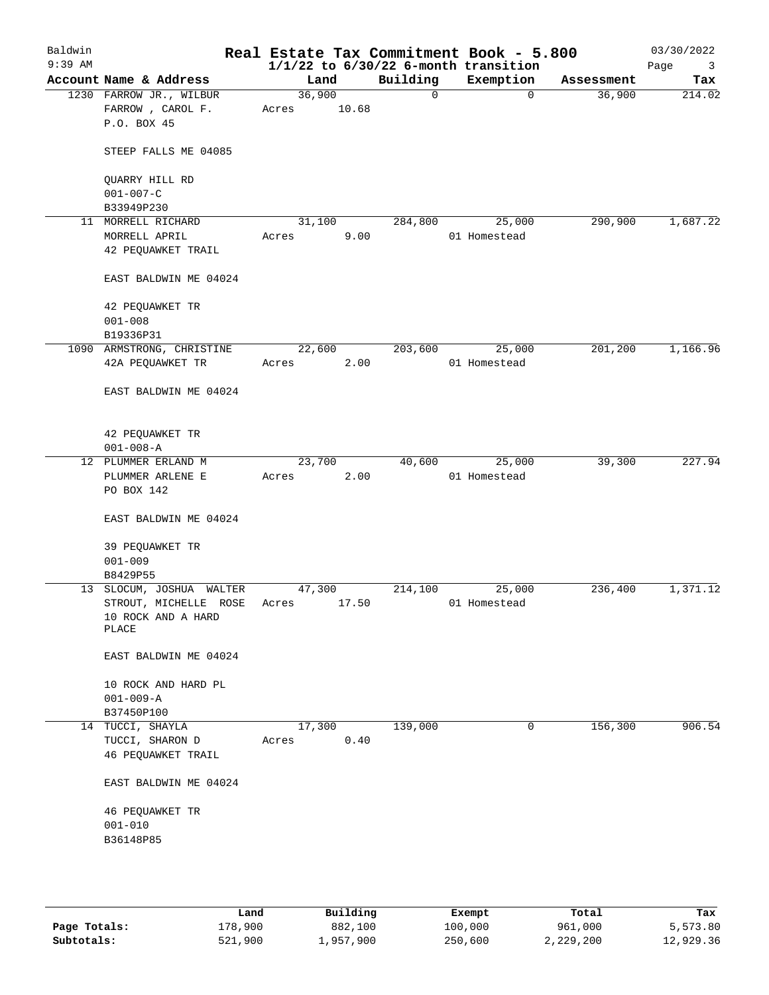| Baldwin<br>$9:39$ AM |                                |        |       |          | Real Estate Tax Commitment Book - 5.800<br>$1/1/22$ to $6/30/22$ 6-month transition |            | 03/30/2022<br>Page<br>$\overline{\mathbf{3}}$ |
|----------------------|--------------------------------|--------|-------|----------|-------------------------------------------------------------------------------------|------------|-----------------------------------------------|
|                      | Account Name & Address         | Land   |       | Building | Exemption                                                                           | Assessment | Tax                                           |
|                      | 1230 FARROW JR., WILBUR        | 36,900 |       | $\Omega$ | $\Omega$                                                                            | 36,900     | 214.02                                        |
|                      | FARROW, CAROL F.               | Acres  | 10.68 |          |                                                                                     |            |                                               |
|                      | P.O. BOX 45                    |        |       |          |                                                                                     |            |                                               |
|                      | STEEP FALLS ME 04085           |        |       |          |                                                                                     |            |                                               |
|                      | QUARRY HILL RD                 |        |       |          |                                                                                     |            |                                               |
|                      | $001 - 007 - C$                |        |       |          |                                                                                     |            |                                               |
|                      | B33949P230                     |        |       |          |                                                                                     |            |                                               |
|                      | 11 MORRELL RICHARD             | 31,100 |       | 284,800  | 25,000                                                                              | 290,900    | 1,687.22                                      |
|                      | MORRELL APRIL                  | Acres  | 9.00  |          | 01 Homestead                                                                        |            |                                               |
|                      | 42 PEQUAWKET TRAIL             |        |       |          |                                                                                     |            |                                               |
|                      | EAST BALDWIN ME 04024          |        |       |          |                                                                                     |            |                                               |
|                      | 42 PEQUAWKET TR                |        |       |          |                                                                                     |            |                                               |
|                      | $001 - 008$                    |        |       |          |                                                                                     |            |                                               |
|                      | B19336P31                      |        |       |          |                                                                                     |            |                                               |
|                      | 1090 ARMSTRONG, CHRISTINE      | 22,600 |       | 203,600  | 25,000                                                                              | 201,200    | 1,166.96                                      |
|                      | 42A PEQUAWKET TR               | Acres  | 2.00  |          | 01 Homestead                                                                        |            |                                               |
|                      | EAST BALDWIN ME 04024          |        |       |          |                                                                                     |            |                                               |
|                      | 42 PEQUAWKET TR                |        |       |          |                                                                                     |            |                                               |
|                      | $001 - 008 - A$                |        |       |          |                                                                                     |            |                                               |
|                      | 12 PLUMMER ERLAND M            | 23,700 |       | 40,600   | 25,000                                                                              | 39,300     | 227.94                                        |
|                      | PLUMMER ARLENE E               | Acres  | 2.00  |          | 01 Homestead                                                                        |            |                                               |
|                      | PO BOX 142                     |        |       |          |                                                                                     |            |                                               |
|                      | EAST BALDWIN ME 04024          |        |       |          |                                                                                     |            |                                               |
|                      | 39 PEQUAWKET TR<br>$001 - 009$ |        |       |          |                                                                                     |            |                                               |
|                      | B8429P55                       |        |       |          |                                                                                     |            |                                               |
|                      | 13 SLOCUM, JOSHUA WALTER       | 47,300 |       | 214,100  | 25,000                                                                              | 236,400    | 1,371.12                                      |
|                      | STROUT, MICHELLE ROSE          | Acres  | 17.50 |          | 01 Homestead                                                                        |            |                                               |
|                      | 10 ROCK AND A HARD<br>PLACE    |        |       |          |                                                                                     |            |                                               |
|                      | EAST BALDWIN ME 04024          |        |       |          |                                                                                     |            |                                               |
|                      | 10 ROCK AND HARD PL            |        |       |          |                                                                                     |            |                                               |
|                      | $001 - 009 - A$                |        |       |          |                                                                                     |            |                                               |
|                      | B37450P100                     |        |       |          |                                                                                     |            |                                               |
|                      | 14 TUCCI, SHAYLA               | 17,300 |       | 139,000  | 0                                                                                   | 156,300    | 906.54                                        |
|                      | TUCCI, SHARON D                | Acres  | 0.40  |          |                                                                                     |            |                                               |
|                      | 46 PEQUAWKET TRAIL             |        |       |          |                                                                                     |            |                                               |
|                      | EAST BALDWIN ME 04024          |        |       |          |                                                                                     |            |                                               |
|                      | 46 PEQUAWKET TR                |        |       |          |                                                                                     |            |                                               |
|                      | $001 - 010$                    |        |       |          |                                                                                     |            |                                               |
|                      | B36148P85                      |        |       |          |                                                                                     |            |                                               |
|                      |                                |        |       |          |                                                                                     |            |                                               |
|                      |                                |        |       |          |                                                                                     |            |                                               |
|                      |                                |        |       |          |                                                                                     |            |                                               |

|              | Land    | Building  | Exempt  | Total     | Tax       |
|--------------|---------|-----------|---------|-----------|-----------|
| Page Totals: | 178,900 | 882,100   | 100,000 | 961,000   | 5,573.80  |
| Subtotals:   | 521,900 | 1,957,900 | 250,600 | 2,229,200 | 12,929.36 |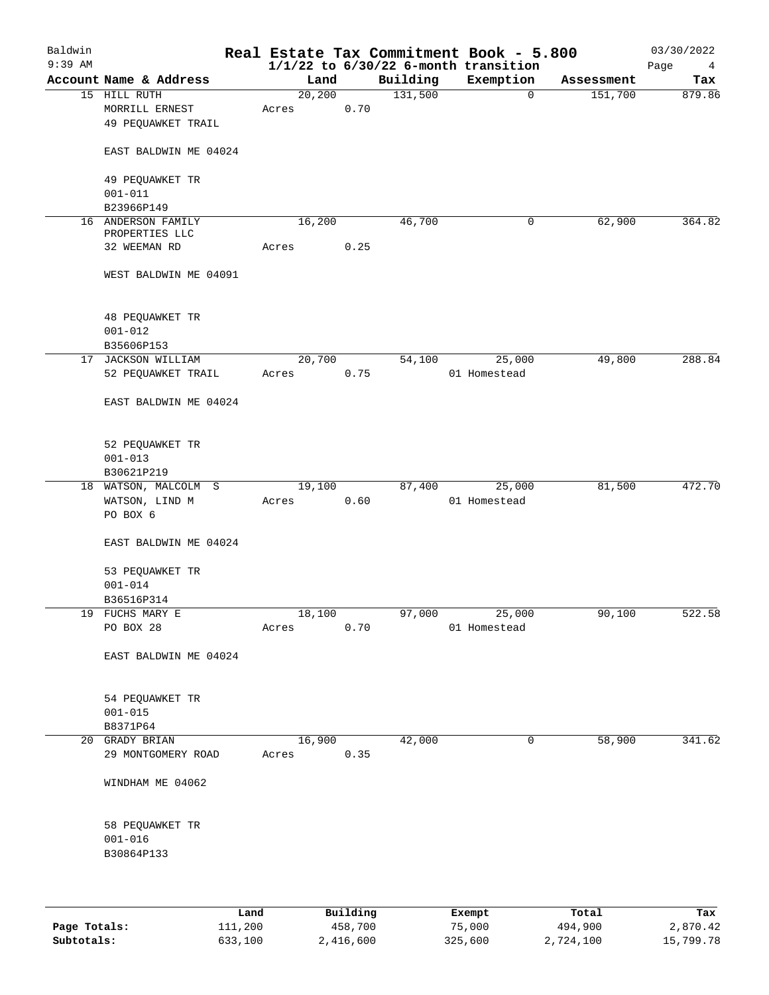| Baldwin<br>$9:39$ AM |                                      |         |          |          | Real Estate Tax Commitment Book - 5.800<br>$1/1/22$ to $6/30/22$ 6-month transition |            | 03/30/2022<br>Page<br>4 |
|----------------------|--------------------------------------|---------|----------|----------|-------------------------------------------------------------------------------------|------------|-------------------------|
|                      | Account Name & Address               | Land    |          | Building | Exemption                                                                           | Assessment | Tax                     |
|                      | 15 HILL RUTH                         | 20, 200 |          | 131,500  | $\mathbf 0$                                                                         | 151,700    | 879.86                  |
|                      | MORRILL ERNEST<br>49 PEQUAWKET TRAIL | Acres   | 0.70     |          |                                                                                     |            |                         |
|                      | EAST BALDWIN ME 04024                |         |          |          |                                                                                     |            |                         |
|                      | 49 PEQUAWKET TR<br>$001 - 011$       |         |          |          |                                                                                     |            |                         |
|                      | B23966P149                           |         |          |          |                                                                                     |            |                         |
|                      | 16 ANDERSON FAMILY<br>PROPERTIES LLC | 16,200  |          | 46,700   | 0                                                                                   | 62,900     | 364.82                  |
|                      | 32 WEEMAN RD                         | Acres   | 0.25     |          |                                                                                     |            |                         |
|                      | WEST BALDWIN ME 04091                |         |          |          |                                                                                     |            |                         |
|                      | 48 PEQUAWKET TR                      |         |          |          |                                                                                     |            |                         |
|                      | $001 - 012$                          |         |          |          |                                                                                     |            |                         |
|                      | B35606P153                           |         |          |          |                                                                                     |            |                         |
| 17                   | JACKSON WILLIAM                      | 20,700  |          | 54,100   | 25,000                                                                              | 49,800     | 288.84                  |
|                      | 52 PEQUAWKET TRAIL                   | Acres   | 0.75     |          | 01 Homestead                                                                        |            |                         |
|                      | EAST BALDWIN ME 04024                |         |          |          |                                                                                     |            |                         |
|                      | 52 PEQUAWKET TR                      |         |          |          |                                                                                     |            |                         |
|                      | $001 - 013$                          |         |          |          |                                                                                     |            |                         |
|                      | B30621P219                           |         |          |          |                                                                                     |            |                         |
|                      | 18 WATSON, MALCOLM S                 | 19,100  |          | 87,400   | 25,000                                                                              | 81,500     | 472.70                  |
|                      | WATSON, LIND M<br>PO BOX 6           | Acres   | 0.60     |          | 01 Homestead                                                                        |            |                         |
|                      | EAST BALDWIN ME 04024                |         |          |          |                                                                                     |            |                         |
|                      | 53 PEQUAWKET TR                      |         |          |          |                                                                                     |            |                         |
|                      | $001 - 014$                          |         |          |          |                                                                                     |            |                         |
|                      | B36516P314                           |         |          |          |                                                                                     |            |                         |
|                      | 19 FUCHS MARY E                      | 18,100  |          | 97,000   | 25,000                                                                              | 90,100     | 522.58                  |
|                      | PO BOX 28                            | Acres   | 0.70     |          | 01 Homestead                                                                        |            |                         |
|                      | EAST BALDWIN ME 04024                |         |          |          |                                                                                     |            |                         |
|                      | 54 PEQUAWKET TR                      |         |          |          |                                                                                     |            |                         |
|                      | $001 - 015$                          |         |          |          |                                                                                     |            |                         |
|                      | B8371P64                             |         |          |          |                                                                                     |            |                         |
|                      | 20 GRADY BRIAN                       | 16,900  |          | 42,000   | 0                                                                                   | 58,900     | 341.62                  |
|                      | 29 MONTGOMERY ROAD                   | Acres   | 0.35     |          |                                                                                     |            |                         |
|                      | WINDHAM ME 04062                     |         |          |          |                                                                                     |            |                         |
|                      | 58 PEQUAWKET TR                      |         |          |          |                                                                                     |            |                         |
|                      | $001 - 016$                          |         |          |          |                                                                                     |            |                         |
|                      | B30864P133                           |         |          |          |                                                                                     |            |                         |
|                      |                                      |         |          |          |                                                                                     |            |                         |
|                      | Land                                 |         | Building |          | Exempt                                                                              | Total      | Tax                     |

|              | Land    | Building  | Exempt  | Total     | тах       |
|--------------|---------|-----------|---------|-----------|-----------|
| Page Totals: | 111,200 | 458,700   | 75,000  | 494,900   | 2,870.42  |
| Subtotals:   | 633,100 | 2,416,600 | 325,600 | 2,724,100 | 15,799.78 |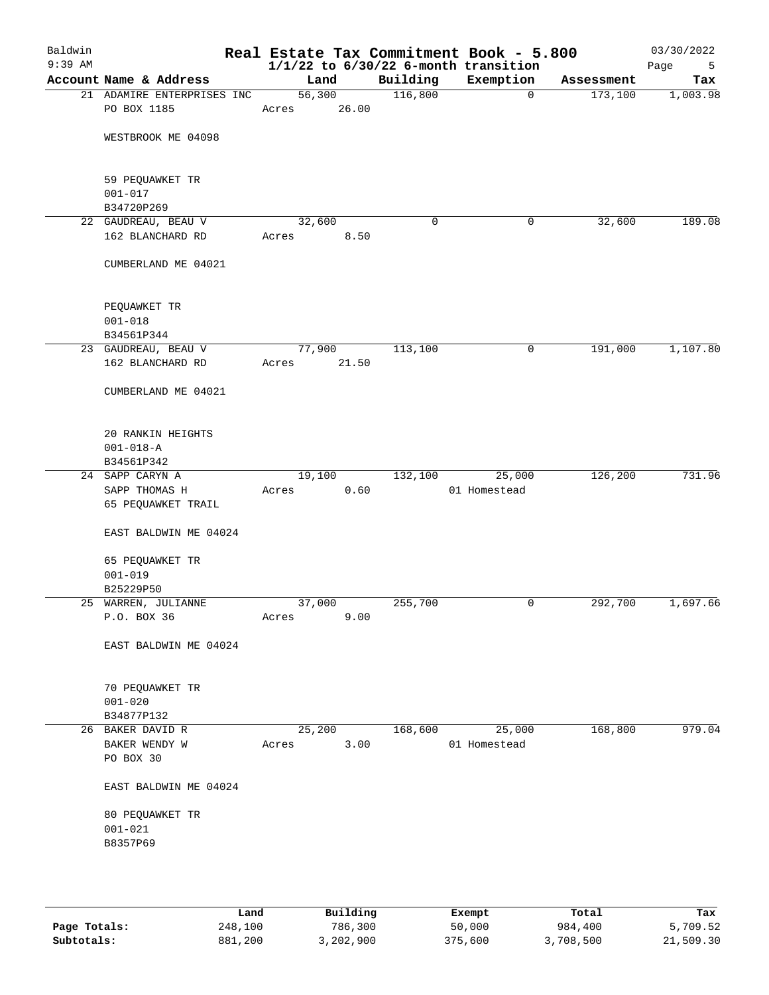| Baldwin<br>$9:39$ AM |                                     |                 |       |             | Real Estate Tax Commitment Book - 5.800<br>$1/1/22$ to $6/30/22$ 6-month transition |            | 03/30/2022<br>5<br>Page |
|----------------------|-------------------------------------|-----------------|-------|-------------|-------------------------------------------------------------------------------------|------------|-------------------------|
|                      | Account Name & Address              | Land            |       | Building    | Exemption                                                                           | Assessment | Tax                     |
|                      | 21 ADAMIRE ENTERPRISES INC          | 56,300          |       | 116,800     | $\mathbf 0$                                                                         | 173,100    | 1,003.98                |
|                      | PO BOX 1185                         | Acres           | 26.00 |             |                                                                                     |            |                         |
|                      | WESTBROOK ME 04098                  |                 |       |             |                                                                                     |            |                         |
|                      | 59 PEQUAWKET TR                     |                 |       |             |                                                                                     |            |                         |
|                      | $001 - 017$                         |                 |       |             |                                                                                     |            |                         |
|                      | B34720P269<br>22 GAUDREAU, BEAU V   | 32,600          |       | $\mathbf 0$ | 0                                                                                   | 32,600     | 189.08                  |
|                      | 162 BLANCHARD RD                    | Acres           | 8.50  |             |                                                                                     |            |                         |
|                      | CUMBERLAND ME 04021                 |                 |       |             |                                                                                     |            |                         |
|                      | PEQUAWKET TR                        |                 |       |             |                                                                                     |            |                         |
|                      | $001 - 018$                         |                 |       |             |                                                                                     |            |                         |
|                      | B34561P344                          |                 |       |             |                                                                                     |            |                         |
|                      | 23 GAUDREAU, BEAU V                 | 77,900          |       | 113,100     | 0                                                                                   | 191,000    | 1,107.80                |
|                      | 162 BLANCHARD RD                    | Acres           | 21.50 |             |                                                                                     |            |                         |
|                      | CUMBERLAND ME 04021                 |                 |       |             |                                                                                     |            |                         |
|                      | 20 RANKIN HEIGHTS                   |                 |       |             |                                                                                     |            |                         |
|                      | $001 - 018 - A$                     |                 |       |             |                                                                                     |            |                         |
|                      | B34561P342                          |                 |       |             |                                                                                     |            |                         |
|                      | 24 SAPP CARYN A                     | 19,100          |       | 132,100     | 25,000                                                                              | 126,200    | 731.96                  |
|                      | SAPP THOMAS H<br>65 PEQUAWKET TRAIL | Acres           | 0.60  |             | 01 Homestead                                                                        |            |                         |
|                      |                                     |                 |       |             |                                                                                     |            |                         |
|                      | EAST BALDWIN ME 04024               |                 |       |             |                                                                                     |            |                         |
|                      | 65 PEQUAWKET TR                     |                 |       |             |                                                                                     |            |                         |
|                      | $001 - 019$                         |                 |       |             |                                                                                     |            |                         |
|                      | B25229P50                           |                 |       |             | 0                                                                                   |            | 1,697.66                |
|                      | 25 WARREN, JULIANNE<br>P.O. BOX 36  | 37,000<br>Acres | 9.00  | 255,700     |                                                                                     | 292,700    |                         |
|                      | EAST BALDWIN ME 04024               |                 |       |             |                                                                                     |            |                         |
|                      |                                     |                 |       |             |                                                                                     |            |                         |
|                      | 70 PEQUAWKET TR                     |                 |       |             |                                                                                     |            |                         |
|                      | $001 - 020$                         |                 |       |             |                                                                                     |            |                         |
|                      | B34877P132                          |                 |       |             |                                                                                     |            |                         |
|                      | 26 BAKER DAVID R                    | 25,200          |       | 168,600     | 25,000                                                                              | 168,800    | 979.04                  |
|                      | BAKER WENDY W                       | Acres           | 3.00  |             | 01 Homestead                                                                        |            |                         |
|                      | PO BOX 30                           |                 |       |             |                                                                                     |            |                         |
|                      | EAST BALDWIN ME 04024               |                 |       |             |                                                                                     |            |                         |
|                      | 80 PEQUAWKET TR                     |                 |       |             |                                                                                     |            |                         |
|                      | $001 - 021$                         |                 |       |             |                                                                                     |            |                         |
|                      | B8357P69                            |                 |       |             |                                                                                     |            |                         |
|                      |                                     |                 |       |             |                                                                                     |            |                         |
|                      |                                     |                 |       |             |                                                                                     |            |                         |
|                      |                                     |                 |       |             |                                                                                     |            |                         |

|              | Land    | Building  | Exempt  | Total     | Tax       |
|--------------|---------|-----------|---------|-----------|-----------|
| Page Totals: | 248,100 | 786,300   | 50,000  | 984,400   | 5,709.52  |
| Subtotals:   | 881,200 | 3,202,900 | 375,600 | 3,708,500 | 21,509.30 |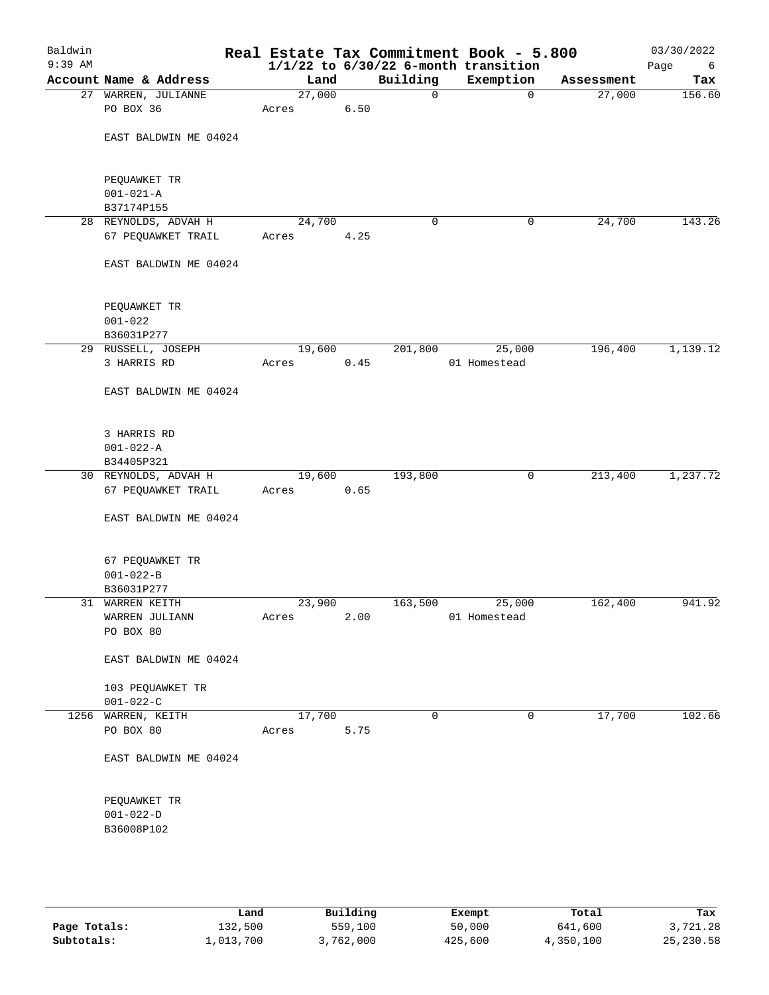| Baldwin<br>$9:39$ AM |                                            |                 |          |             | Real Estate Tax Commitment Book - 5.800<br>$1/1/22$ to $6/30/22$ 6-month transition |            | 03/30/2022<br>Page<br>6 |
|----------------------|--------------------------------------------|-----------------|----------|-------------|-------------------------------------------------------------------------------------|------------|-------------------------|
|                      | Account Name & Address                     | Land            |          | Building    | Exemption                                                                           | Assessment | Tax                     |
|                      | 27 WARREN, JULIANNE                        | 27,000          |          | 0           | $\mathbf 0$                                                                         | 27,000     | 156.60                  |
|                      | PO BOX 36                                  | Acres           | 6.50     |             |                                                                                     |            |                         |
|                      | EAST BALDWIN ME 04024                      |                 |          |             |                                                                                     |            |                         |
|                      | PEQUAWKET TR<br>$001 - 021 - A$            |                 |          |             |                                                                                     |            |                         |
|                      | B37174P155                                 |                 |          |             |                                                                                     |            |                         |
|                      | 28 REYNOLDS, ADVAH H                       | 24,700          |          | 0           | 0                                                                                   | 24,700     | 143.26                  |
|                      | 67 PEQUAWKET TRAIL                         | Acres           | 4.25     |             |                                                                                     |            |                         |
|                      | EAST BALDWIN ME 04024                      |                 |          |             |                                                                                     |            |                         |
|                      | PEQUAWKET TR<br>$001 - 022$                |                 |          |             |                                                                                     |            |                         |
|                      | B36031P277                                 |                 |          |             |                                                                                     |            |                         |
|                      | 29 RUSSELL, JOSEPH                         | 19,600          |          | 201,800     | 25,000                                                                              | 196,400    | 1,139.12                |
|                      | 3 HARRIS RD                                | Acres           | 0.45     |             | 01 Homestead                                                                        |            |                         |
|                      | EAST BALDWIN ME 04024                      |                 |          |             |                                                                                     |            |                         |
|                      | 3 HARRIS RD                                |                 |          |             |                                                                                     |            |                         |
|                      | $001 - 022 - A$                            |                 |          |             |                                                                                     |            |                         |
|                      | B34405P321                                 | 19,600          |          | 193,800     | 0                                                                                   | 213,400    | 1,237.72                |
|                      | 30 REYNOLDS, ADVAH H<br>67 PEQUAWKET TRAIL | Acres           | 0.65     |             |                                                                                     |            |                         |
|                      | EAST BALDWIN ME 04024                      |                 |          |             |                                                                                     |            |                         |
|                      | 67 PEQUAWKET TR                            |                 |          |             |                                                                                     |            |                         |
|                      | $001 - 022 - B$                            |                 |          |             |                                                                                     |            |                         |
|                      | B36031P277                                 |                 |          |             |                                                                                     |            |                         |
|                      | 31 WARREN KEITH                            | 23,900          |          | 163,500     | 25,000                                                                              | 162,400    | 941.92                  |
|                      | WARREN JULIANN<br>PO BOX 80                | Acres           | 2.00     |             | 01 Homestead                                                                        |            |                         |
|                      | EAST BALDWIN ME 04024                      |                 |          |             |                                                                                     |            |                         |
|                      | 103 PEQUAWKET TR                           |                 |          |             |                                                                                     |            |                         |
|                      | $001 - 022 - C$                            |                 |          |             |                                                                                     |            |                         |
|                      | 1256 WARREN, KEITH<br>PO BOX 80            | 17,700<br>Acres | 5.75     | $\mathbf 0$ | 0                                                                                   | 17,700     | 102.66                  |
|                      |                                            |                 |          |             |                                                                                     |            |                         |
|                      | EAST BALDWIN ME 04024                      |                 |          |             |                                                                                     |            |                         |
|                      | PEQUAWKET TR                               |                 |          |             |                                                                                     |            |                         |
|                      | $001 - 022 - D$                            |                 |          |             |                                                                                     |            |                         |
|                      | B36008P102                                 |                 |          |             |                                                                                     |            |                         |
|                      |                                            |                 |          |             |                                                                                     |            |                         |
|                      |                                            |                 |          |             |                                                                                     |            |                         |
|                      | Land,                                      |                 | Building |             | <b>Ryomnt</b>                                                                       | $T0+21$    | Tav                     |

|              | ⊥and      | Building  | Exempt  | Total     | Tax        |
|--------------|-----------|-----------|---------|-----------|------------|
| Page Totals: | 132,500   | 559,100   | 50,000  | 641,600   | 3,721.28   |
| Subtotals:   | 1,013,700 | 3,762,000 | 425,600 | 4,350,100 | 25, 230.58 |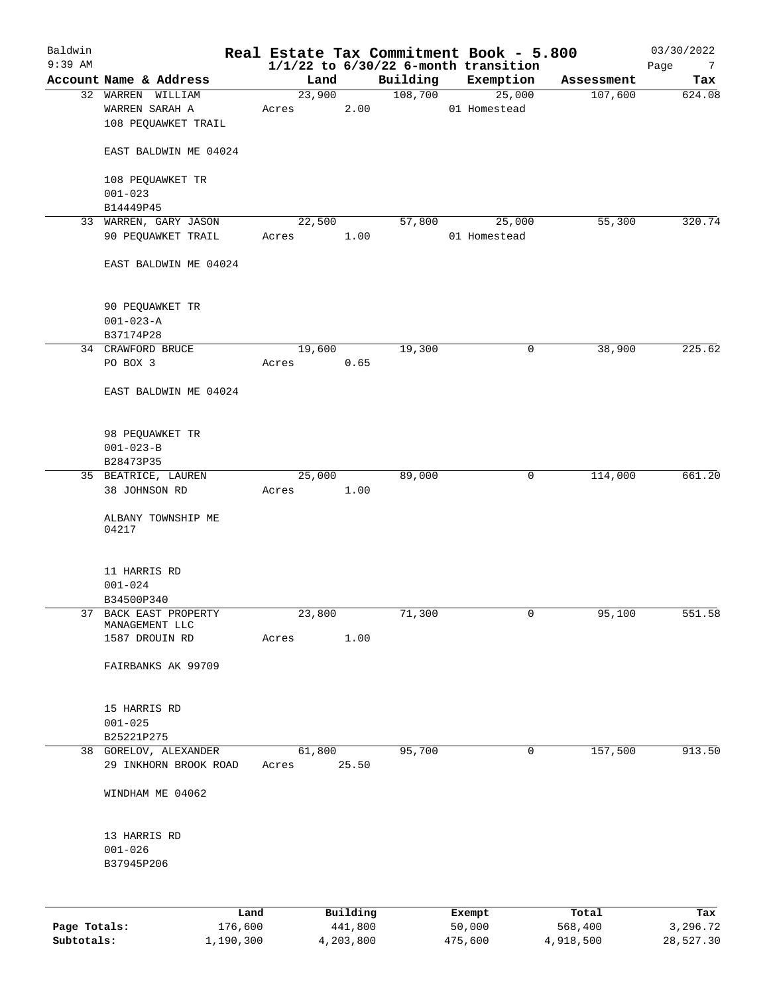| Baldwin<br>$9:39$ AM |                                      |         |        |          |          |        | Real Estate Tax Commitment Book - 5.800<br>$1/1/22$ to $6/30/22$ 6-month transition |            | 03/30/2022<br>Page<br>$\overline{7}$ |
|----------------------|--------------------------------------|---------|--------|----------|----------|--------|-------------------------------------------------------------------------------------|------------|--------------------------------------|
|                      | Account Name & Address               |         | Land   |          | Building |        | Exemption                                                                           | Assessment | Tax                                  |
|                      | 32 WARREN WILLIAM                    |         | 23,900 |          | 108,700  |        | 25,000                                                                              | 107,600    | 624.08                               |
|                      | WARREN SARAH A                       | Acres   |        | 2.00     |          |        | 01 Homestead                                                                        |            |                                      |
|                      | 108 PEQUAWKET TRAIL                  |         |        |          |          |        |                                                                                     |            |                                      |
|                      | EAST BALDWIN ME 04024                |         |        |          |          |        |                                                                                     |            |                                      |
|                      | 108 PEQUAWKET TR                     |         |        |          |          |        |                                                                                     |            |                                      |
|                      | $001 - 023$                          |         |        |          |          |        |                                                                                     |            |                                      |
|                      | B14449P45                            |         |        |          |          |        |                                                                                     |            |                                      |
|                      | 33 WARREN, GARY JASON                |         | 22,500 |          | 57,800   |        | 25,000                                                                              | 55,300     | 320.74                               |
|                      | 90 PEQUAWKET TRAIL                   | Acres   |        | 1.00     |          |        | 01 Homestead                                                                        |            |                                      |
|                      | EAST BALDWIN ME 04024                |         |        |          |          |        |                                                                                     |            |                                      |
|                      | 90 PEQUAWKET TR                      |         |        |          |          |        |                                                                                     |            |                                      |
|                      | $001 - 023 - A$                      |         |        |          |          |        |                                                                                     |            |                                      |
|                      | B37174P28                            |         |        |          |          |        |                                                                                     |            |                                      |
|                      | 34 CRAWFORD BRUCE                    |         | 19,600 |          | 19,300   |        | $\mathbf 0$                                                                         | 38,900     | 225.62                               |
|                      | PO BOX 3                             | Acres   |        | 0.65     |          |        |                                                                                     |            |                                      |
|                      | EAST BALDWIN ME 04024                |         |        |          |          |        |                                                                                     |            |                                      |
|                      |                                      |         |        |          |          |        |                                                                                     |            |                                      |
|                      | 98 PEQUAWKET TR                      |         |        |          |          |        |                                                                                     |            |                                      |
|                      | $001 - 023 - B$                      |         |        |          |          |        |                                                                                     |            |                                      |
|                      | B28473P35                            |         |        |          |          |        |                                                                                     |            |                                      |
|                      | 35 BEATRICE, LAUREN                  |         | 25,000 |          | 89,000   |        | 0                                                                                   | 114,000    | 661.20                               |
|                      | 38 JOHNSON RD                        | Acres   |        | 1.00     |          |        |                                                                                     |            |                                      |
|                      | ALBANY TOWNSHIP ME<br>04217          |         |        |          |          |        |                                                                                     |            |                                      |
|                      |                                      |         |        |          |          |        |                                                                                     |            |                                      |
|                      | 11 HARRIS RD                         |         |        |          |          |        |                                                                                     |            |                                      |
|                      | $001 - 024$                          |         |        |          |          |        |                                                                                     |            |                                      |
|                      | B34500P340                           |         |        |          |          |        |                                                                                     |            |                                      |
| 37                   | BACK EAST PROPERTY<br>MANAGEMENT LLC |         | 23,800 |          | 71,300   |        | 0                                                                                   | 95,100     | 551.58                               |
|                      | 1587 DROUIN RD                       | Acres   |        | 1.00     |          |        |                                                                                     |            |                                      |
|                      | FAIRBANKS AK 99709                   |         |        |          |          |        |                                                                                     |            |                                      |
|                      | 15 HARRIS RD                         |         |        |          |          |        |                                                                                     |            |                                      |
|                      | $001 - 025$                          |         |        |          |          |        |                                                                                     |            |                                      |
|                      | B25221P275                           |         |        |          |          |        |                                                                                     |            |                                      |
|                      | 38 GORELOV, ALEXANDER                |         | 61,800 |          | 95,700   |        | 0                                                                                   | 157,500    | 913.50                               |
|                      | 29 INKHORN BROOK ROAD                | Acres   |        | 25.50    |          |        |                                                                                     |            |                                      |
|                      | WINDHAM ME 04062                     |         |        |          |          |        |                                                                                     |            |                                      |
|                      |                                      |         |        |          |          |        |                                                                                     |            |                                      |
|                      | 13 HARRIS RD                         |         |        |          |          |        |                                                                                     |            |                                      |
|                      | $001 - 026$                          |         |        |          |          |        |                                                                                     |            |                                      |
|                      | B37945P206                           |         |        |          |          |        |                                                                                     |            |                                      |
|                      |                                      |         |        |          |          |        |                                                                                     |            |                                      |
|                      |                                      | Land    |        | Building |          |        | Exempt                                                                              | Total      | Tax                                  |
| Page Totals:         |                                      | 176,600 |        | 441,800  |          | 50,000 |                                                                                     | 568,400    | 3,296.72                             |

**Subtotals:** 1,190,300 4,203,800 475,600 4,918,500 28,527.30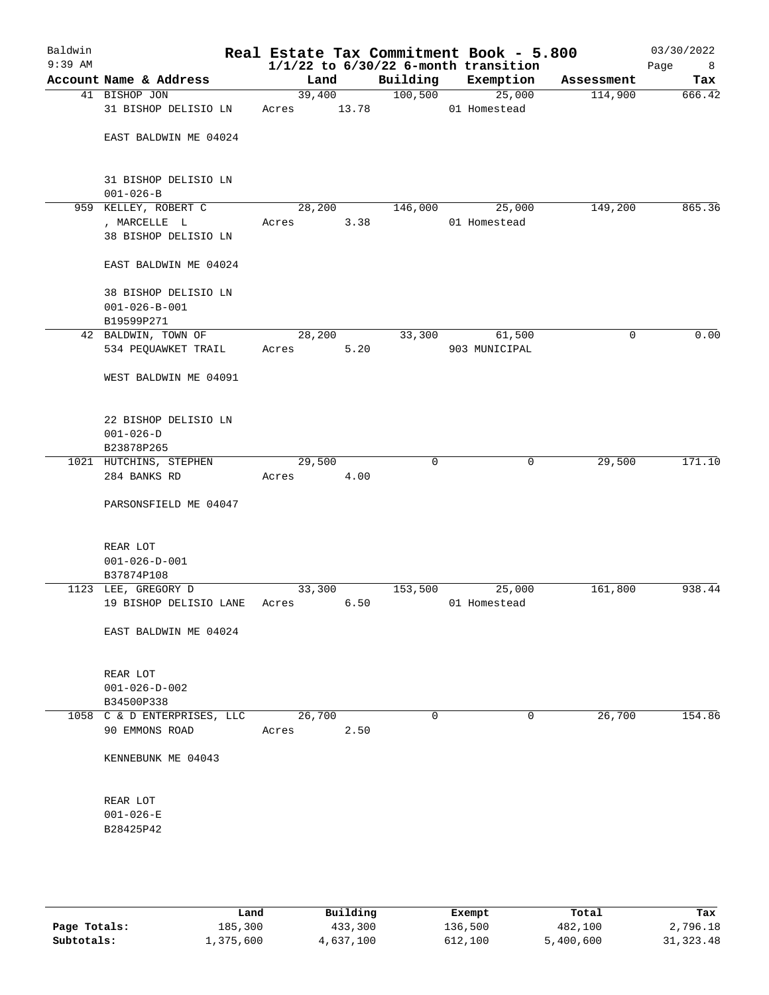| Baldwin<br>$9:39$ AM |                                                              |       |                 |         | Real Estate Tax Commitment Book - 5.800<br>$1/1/22$ to $6/30/22$ 6-month transition |            | 03/30/2022<br>Page<br>8 |
|----------------------|--------------------------------------------------------------|-------|-----------------|---------|-------------------------------------------------------------------------------------|------------|-------------------------|
|                      | Account Name & Address                                       |       | Land            |         | Building Exemption                                                                  | Assessment | Tax                     |
|                      | 41 BISHOP JON<br>31 BISHOP DELISIO LN                        | Acres | 39,400<br>13.78 | 100,500 | 25,000<br>01 Homestead                                                              | 114,900    | 666.42                  |
|                      | EAST BALDWIN ME 04024                                        |       |                 |         |                                                                                     |            |                         |
|                      | 31 BISHOP DELISIO LN<br>$001 - 026 - B$                      |       |                 |         |                                                                                     |            |                         |
|                      | 959 KELLEY, ROBERT C<br>, MARCELLE L<br>38 BISHOP DELISIO LN | Acres | 28,200<br>3.38  | 146,000 | 25,000<br>01 Homestead                                                              | 149,200    | 865.36                  |
|                      | EAST BALDWIN ME 04024                                        |       |                 |         |                                                                                     |            |                         |
|                      | 38 BISHOP DELISIO LN<br>$001 - 026 - B - 001$<br>B19599P271  |       |                 |         |                                                                                     |            |                         |
|                      | 42 BALDWIN, TOWN OF                                          |       | 28,200          | 33,300  | 61,500                                                                              | 0          | 0.00                    |
|                      | 534 PEQUAWKET TRAIL                                          | Acres | 5.20            |         | 903 MUNICIPAL                                                                       |            |                         |
|                      | WEST BALDWIN ME 04091                                        |       |                 |         |                                                                                     |            |                         |
|                      | 22 BISHOP DELISIO LN<br>$001 - 026 - D$                      |       |                 |         |                                                                                     |            |                         |
|                      | B23878P265                                                   |       |                 |         |                                                                                     |            |                         |
|                      | 1021 HUTCHINS, STEPHEN<br>284 BANKS RD                       | Acres | 29,500<br>4.00  | 0       | 0                                                                                   | 29,500     | 171.10                  |
|                      | PARSONSFIELD ME 04047                                        |       |                 |         |                                                                                     |            |                         |
|                      | REAR LOT<br>$001 - 026 - D - 001$<br>B37874P108              |       |                 |         |                                                                                     |            |                         |
|                      | 1123 LEE, GREGORY D                                          |       | 33,300          | 153,500 | 25,000                                                                              | 161,800    | 938.44                  |
|                      | 19 BISHOP DELISIO LANE                                       | Acres | 6.50            |         | 01 Homestead                                                                        |            |                         |
|                      | EAST BALDWIN ME 04024                                        |       |                 |         |                                                                                     |            |                         |
|                      | REAR LOT<br>$001 - 026 - D - 002$<br>B34500P338              |       |                 |         |                                                                                     |            |                         |
|                      | 1058 C & D ENTERPRISES, LLC                                  |       | 26,700          | 0       | 0                                                                                   | 26,700     | 154.86                  |
|                      | 90 EMMONS ROAD                                               | Acres | 2.50            |         |                                                                                     |            |                         |
|                      | KENNEBUNK ME 04043                                           |       |                 |         |                                                                                     |            |                         |
|                      | REAR LOT<br>$001 - 026 - E$<br>B28425P42                     |       |                 |         |                                                                                     |            |                         |
|                      |                                                              |       |                 |         |                                                                                     |            |                         |

|              | Land      | Building  | Exempt  | Total     | Tax       |
|--------------|-----------|-----------|---------|-----------|-----------|
| Page Totals: | 185,300   | 433,300   | 136,500 | 482,100   | 2,796.18  |
| Subtotals:   | 1,375,600 | 4,637,100 | 612,100 | 5,400,600 | 31,323.48 |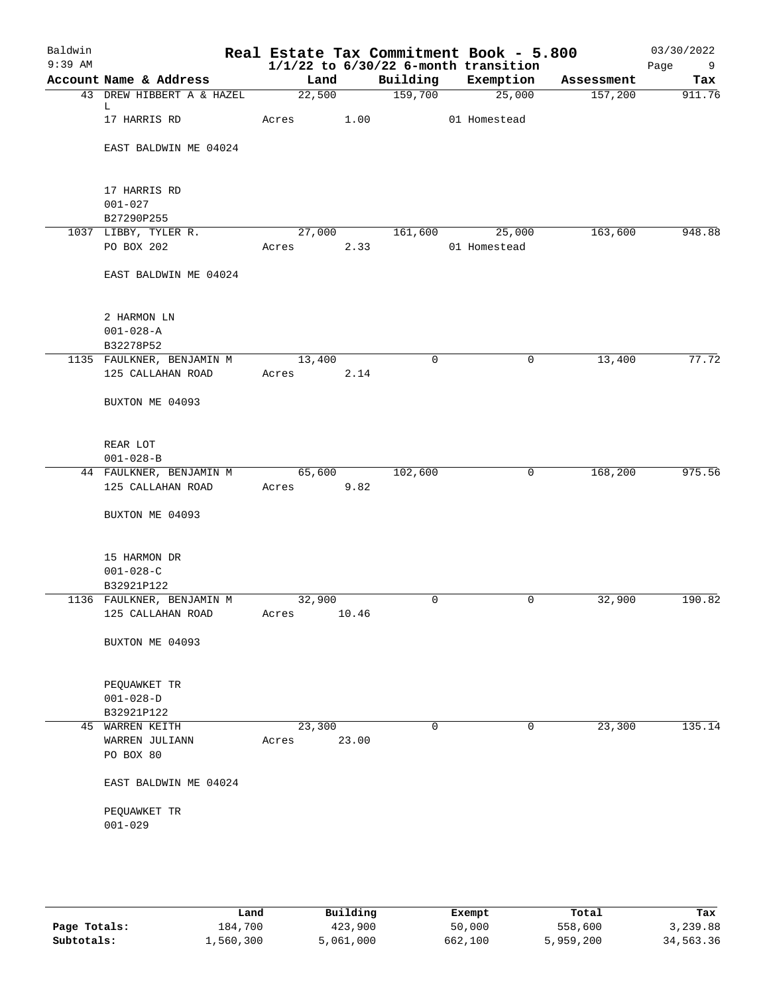| Account Name & Address<br>43 DREW HIBBERT A & HAZEL<br>L.<br>17 HARRIS RD | Land<br>22,500<br>Acres                                                                                      |       | Building<br>159,700                  | Exemption<br>25,000                                   | Assessment<br>157,200 | Tax<br>911.76    |
|---------------------------------------------------------------------------|--------------------------------------------------------------------------------------------------------------|-------|--------------------------------------|-------------------------------------------------------|-----------------------|------------------|
|                                                                           |                                                                                                              |       |                                      |                                                       |                       |                  |
|                                                                           |                                                                                                              |       |                                      |                                                       |                       |                  |
|                                                                           |                                                                                                              | 1.00  |                                      | 01 Homestead                                          |                       |                  |
| EAST BALDWIN ME 04024                                                     |                                                                                                              |       |                                      |                                                       |                       |                  |
| 17 HARRIS RD                                                              |                                                                                                              |       |                                      |                                                       |                       |                  |
| $001 - 027$                                                               |                                                                                                              |       |                                      |                                                       |                       |                  |
| B27290P255                                                                |                                                                                                              |       |                                      |                                                       |                       |                  |
| 1037 LIBBY, TYLER R.                                                      |                                                                                                              |       |                                      | 25,000                                                | 163,600               | 948.88           |
| PO BOX 202                                                                | Acres                                                                                                        |       |                                      | 01 Homestead                                          |                       |                  |
| EAST BALDWIN ME 04024                                                     |                                                                                                              |       |                                      |                                                       |                       |                  |
| 2 HARMON LN                                                               |                                                                                                              |       |                                      |                                                       |                       |                  |
| $001 - 028 - A$                                                           |                                                                                                              |       |                                      |                                                       |                       |                  |
|                                                                           |                                                                                                              |       | 0                                    | $\mathbf 0$                                           |                       | 77.72            |
| 125 CALLAHAN ROAD                                                         | Acres                                                                                                        |       |                                      |                                                       |                       |                  |
| BUXTON ME 04093                                                           |                                                                                                              |       |                                      |                                                       |                       |                  |
| REAR LOT                                                                  |                                                                                                              |       |                                      |                                                       |                       |                  |
| $001 - 028 - B$                                                           |                                                                                                              |       |                                      |                                                       |                       |                  |
| 44 FAULKNER, BENJAMIN M<br>125 CALLAHAN ROAD                              | Acres                                                                                                        |       | 102,600                              | $\mathbf 0$                                           | 168,200               | 975.56           |
| BUXTON ME 04093                                                           |                                                                                                              |       |                                      |                                                       |                       |                  |
| 15 HARMON DR<br>$001 - 028 - C$<br>B32921P122                             |                                                                                                              |       |                                      |                                                       |                       |                  |
| 1136 FAULKNER, BENJAMIN M                                                 |                                                                                                              |       | 0                                    | 0                                                     | 32,900                | 190.82           |
| 125 CALLAHAN ROAD                                                         | Acres                                                                                                        |       |                                      |                                                       |                       |                  |
| BUXTON ME 04093                                                           |                                                                                                              |       |                                      |                                                       |                       |                  |
| PEQUAWKET TR                                                              |                                                                                                              |       |                                      |                                                       |                       |                  |
|                                                                           |                                                                                                              |       |                                      |                                                       |                       |                  |
|                                                                           |                                                                                                              |       |                                      |                                                       |                       | 135.14           |
|                                                                           |                                                                                                              |       |                                      |                                                       |                       |                  |
| PO BOX 80                                                                 |                                                                                                              |       |                                      |                                                       |                       |                  |
| EAST BALDWIN ME 04024                                                     |                                                                                                              |       |                                      |                                                       |                       |                  |
| PEQUAWKET TR<br>$001 - 029$                                               |                                                                                                              |       |                                      |                                                       |                       |                  |
|                                                                           | B32278P52<br>1135 FAULKNER, BENJAMIN M<br>$001 - 028 - D$<br>B32921P122<br>45 WARREN KEITH<br>WARREN JULIANN | Acres | 13,400<br>65,600<br>32,900<br>23,300 | 27,000<br>2.33<br>2.14<br>9.82<br>10.46<br>0<br>23.00 | 161,600<br>0          | 13,400<br>23,300 |

|              | Land      | Building  | Exempt  | Total     | Tax       |
|--------------|-----------|-----------|---------|-----------|-----------|
| Page Totals: | 184,700   | 423,900   | 50,000  | 558,600   | 3,239.88  |
| Subtotals:   | 1,560,300 | 5,061,000 | 662,100 | 5,959,200 | 34,563.36 |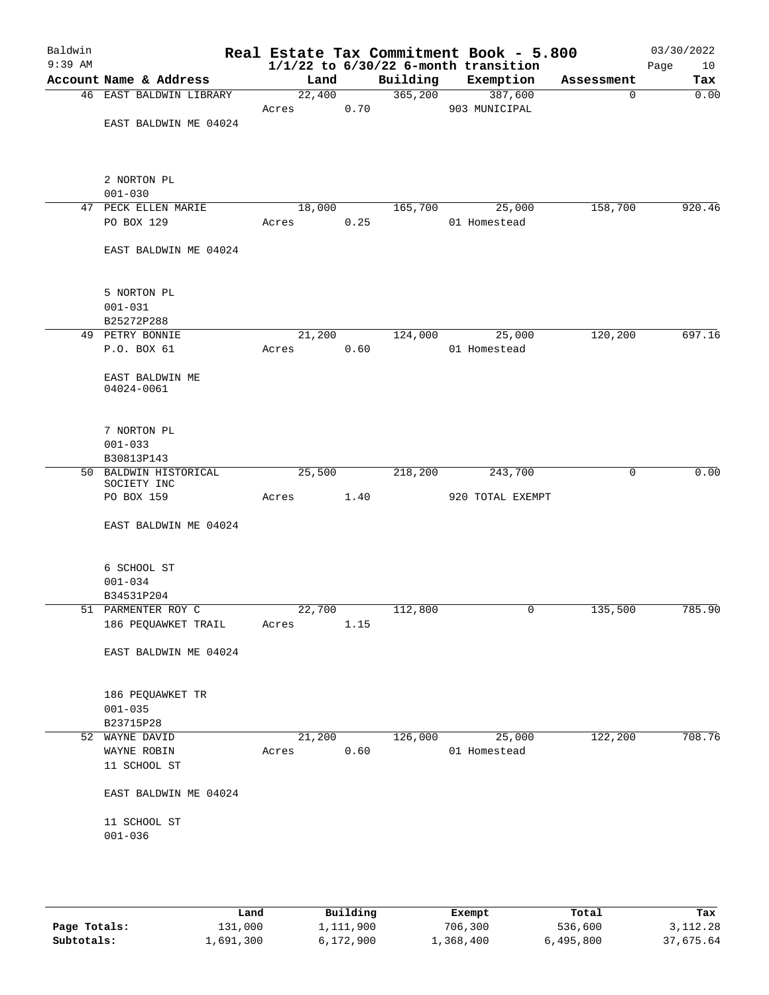| Baldwin<br>$9:39$ AM |                               |            |      |          | Real Estate Tax Commitment Book - 5.800<br>$1/1/22$ to $6/30/22$ 6-month transition |            | 03/30/2022<br>Page<br>10 |
|----------------------|-------------------------------|------------|------|----------|-------------------------------------------------------------------------------------|------------|--------------------------|
|                      | Account Name & Address        | Land       |      | Building | Exemption                                                                           | Assessment | Tax                      |
|                      | 46 EAST BALDWIN LIBRARY       | 22,400     |      |          | 365,200 387,600                                                                     | 0          | 0.00                     |
|                      |                               | Acres 0.70 |      |          | 903 MUNICIPAL                                                                       |            |                          |
|                      | EAST BALDWIN ME 04024         |            |      |          |                                                                                     |            |                          |
|                      |                               |            |      |          |                                                                                     |            |                          |
|                      | 2 NORTON PL                   |            |      |          |                                                                                     |            |                          |
|                      | $001 - 030$                   |            |      |          |                                                                                     |            |                          |
|                      | 47 PECK ELLEN MARIE           | 18,000     |      |          | 165,700 25,000                                                                      | 158,700    | 920.46                   |
|                      | PO BOX 129                    | Acres 0.25 |      |          | 01 Homestead                                                                        |            |                          |
|                      |                               |            |      |          |                                                                                     |            |                          |
|                      | EAST BALDWIN ME 04024         |            |      |          |                                                                                     |            |                          |
|                      | 5 NORTON PL                   |            |      |          |                                                                                     |            |                          |
|                      | $001 - 031$                   |            |      |          |                                                                                     |            |                          |
|                      | B25272P288                    |            |      |          |                                                                                     |            |                          |
|                      | 49 PETRY BONNIE               | 21,200     |      | 124,000  | 25,000                                                                              | 120,200    | 697.16                   |
|                      | P.O. BOX 61                   | Acres 0.60 |      |          | 01 Homestead                                                                        |            |                          |
|                      |                               |            |      |          |                                                                                     |            |                          |
|                      | EAST BALDWIN ME<br>04024-0061 |            |      |          |                                                                                     |            |                          |
|                      |                               |            |      |          |                                                                                     |            |                          |
|                      | 7 NORTON PL                   |            |      |          |                                                                                     |            |                          |
|                      | $001 - 033$                   |            |      |          |                                                                                     |            |                          |
|                      | B30813P143                    |            |      |          |                                                                                     |            |                          |
|                      | 50 BALDWIN HISTORICAL         | 25,500     |      | 218,200  | 243,700                                                                             | 0          | 0.00                     |
|                      | SOCIETY INC<br>PO BOX 159     | Acres      | 1.40 |          | 920 TOTAL EXEMPT                                                                    |            |                          |
|                      |                               |            |      |          |                                                                                     |            |                          |
|                      | EAST BALDWIN ME 04024         |            |      |          |                                                                                     |            |                          |
|                      |                               |            |      |          |                                                                                     |            |                          |
|                      | 6 SCHOOL ST                   |            |      |          |                                                                                     |            |                          |
|                      | $001 - 034$                   |            |      |          |                                                                                     |            |                          |
|                      | B34531P204                    |            |      |          |                                                                                     |            |                          |
|                      | 51 PARMENTER ROY C            | 22,700     |      | 112,800  |                                                                                     | 135,500    | 785.90                   |
|                      | 186 PEQUAWKET TRAIL           | Acres      | 1.15 |          |                                                                                     |            |                          |
|                      | EAST BALDWIN ME 04024         |            |      |          |                                                                                     |            |                          |
|                      |                               |            |      |          |                                                                                     |            |                          |
|                      | 186 PEQUAWKET TR              |            |      |          |                                                                                     |            |                          |
|                      | $001 - 035$                   |            |      |          |                                                                                     |            |                          |
|                      | B23715P28                     |            |      |          |                                                                                     |            |                          |
|                      | 52 WAYNE DAVID                | 21,200     |      | 126,000  | 25,000                                                                              | 122,200    | 708.76                   |
|                      | WAYNE ROBIN                   | Acres      | 0.60 |          | 01 Homestead                                                                        |            |                          |
|                      | 11 SCHOOL ST                  |            |      |          |                                                                                     |            |                          |
|                      | EAST BALDWIN ME 04024         |            |      |          |                                                                                     |            |                          |
|                      | 11 SCHOOL ST                  |            |      |          |                                                                                     |            |                          |
|                      | $001 - 036$                   |            |      |          |                                                                                     |            |                          |
|                      |                               |            |      |          |                                                                                     |            |                          |
|                      |                               |            |      |          |                                                                                     |            |                          |
|                      |                               |            |      |          |                                                                                     |            |                          |

|              | Land      | Building  | Exempt    | Total     | Tax       |
|--------------|-----------|-----------|-----------|-----------|-----------|
| Page Totals: | 131,000   | .,111,900 | 706,300   | 536,600   | 3,112.28  |
| Subtotals:   | 1,691,300 | 6,172,900 | 1,368,400 | 6,495,800 | 37,675.64 |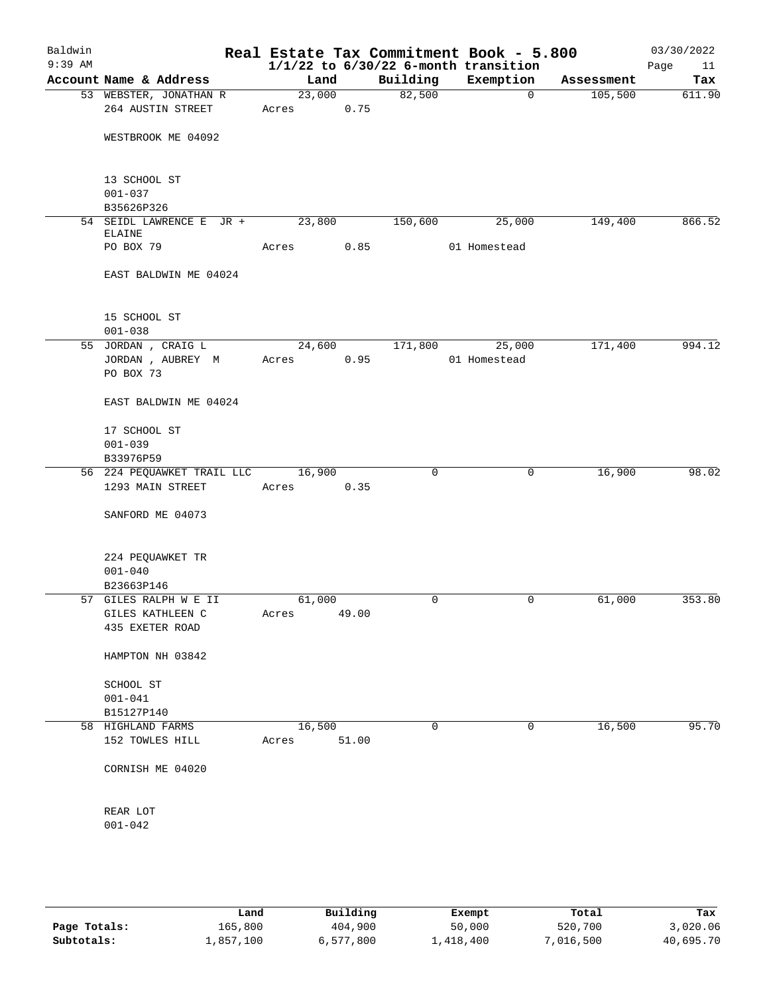| Baldwin<br>$9:39$ AM |                            |        |       |          | Real Estate Tax Commitment Book - 5.800<br>$1/1/22$ to $6/30/22$ 6-month transition |            | 03/30/2022<br>Page<br>11 |
|----------------------|----------------------------|--------|-------|----------|-------------------------------------------------------------------------------------|------------|--------------------------|
|                      | Account Name & Address     | Land   |       | Building | Exemption                                                                           | Assessment | Tax                      |
|                      | 53 WEBSTER, JONATHAN R     | 23,000 |       | 82,500   | $\mathbf 0$                                                                         | 105,500    | 611.90                   |
|                      | 264 AUSTIN STREET          | Acres  | 0.75  |          |                                                                                     |            |                          |
|                      | WESTBROOK ME 04092         |        |       |          |                                                                                     |            |                          |
|                      | 13 SCHOOL ST               |        |       |          |                                                                                     |            |                          |
|                      | $001 - 037$                |        |       |          |                                                                                     |            |                          |
|                      | B35626P326                 |        |       |          |                                                                                     |            |                          |
|                      | 54 SEIDL LAWRENCE E JR +   | 23,800 |       | 150,600  | 25,000                                                                              | 149,400    | 866.52                   |
|                      | <b>ELAINE</b>              |        |       |          |                                                                                     |            |                          |
|                      | PO BOX 79                  | Acres  | 0.85  |          | 01 Homestead                                                                        |            |                          |
|                      | EAST BALDWIN ME 04024      |        |       |          |                                                                                     |            |                          |
|                      | 15 SCHOOL ST               |        |       |          |                                                                                     |            |                          |
|                      | $001 - 038$                |        |       |          |                                                                                     |            |                          |
|                      | 55 JORDAN, CRAIG L         | 24,600 |       | 171,800  | 25,000                                                                              | 171,400    | 994.12                   |
|                      | JORDAN , AUBREY M          | Acres  | 0.95  |          | 01 Homestead                                                                        |            |                          |
|                      | PO BOX 73                  |        |       |          |                                                                                     |            |                          |
|                      | EAST BALDWIN ME 04024      |        |       |          |                                                                                     |            |                          |
|                      | 17 SCHOOL ST               |        |       |          |                                                                                     |            |                          |
|                      | $001 - 039$                |        |       |          |                                                                                     |            |                          |
|                      | B33976P59                  |        |       |          |                                                                                     |            |                          |
|                      | 56 224 PEQUAWKET TRAIL LLC | 16,900 |       | 0        | 0                                                                                   | 16,900     | 98.02                    |
|                      | 1293 MAIN STREET           | Acres  | 0.35  |          |                                                                                     |            |                          |
|                      | SANFORD ME 04073           |        |       |          |                                                                                     |            |                          |
|                      |                            |        |       |          |                                                                                     |            |                          |
|                      | 224 PEQUAWKET TR           |        |       |          |                                                                                     |            |                          |
|                      | $001 - 040$                |        |       |          |                                                                                     |            |                          |
|                      | B23663P146                 |        |       |          |                                                                                     |            |                          |
|                      | 57 GILES RALPH W E II      | 61,000 |       | 0        | 0                                                                                   | 61,000     | 353.80                   |
|                      | GILES KATHLEEN C           | Acres  | 49.00 |          |                                                                                     |            |                          |
|                      | 435 EXETER ROAD            |        |       |          |                                                                                     |            |                          |
|                      | HAMPTON NH 03842           |        |       |          |                                                                                     |            |                          |
|                      | SCHOOL ST                  |        |       |          |                                                                                     |            |                          |
|                      | $001 - 041$                |        |       |          |                                                                                     |            |                          |
|                      | B15127P140                 |        |       |          |                                                                                     |            |                          |
|                      | 58 HIGHLAND FARMS          | 16,500 |       | 0        | 0                                                                                   | 16,500     | 95.70                    |
|                      | 152 TOWLES HILL            | Acres  | 51.00 |          |                                                                                     |            |                          |
|                      | CORNISH ME 04020           |        |       |          |                                                                                     |            |                          |
|                      | REAR LOT                   |        |       |          |                                                                                     |            |                          |
|                      | $001 - 042$                |        |       |          |                                                                                     |            |                          |
|                      |                            |        |       |          |                                                                                     |            |                          |

|              | Land      | Building  | Exempt    | Total     | Tax       |
|--------------|-----------|-----------|-----------|-----------|-----------|
| Page Totals: | 165,800   | 404,900   | 50,000    | 520,700   | 3,020.06  |
| Subtotals:   | l,857,100 | 6,577,800 | l,418,400 | 7,016,500 | 40,695.70 |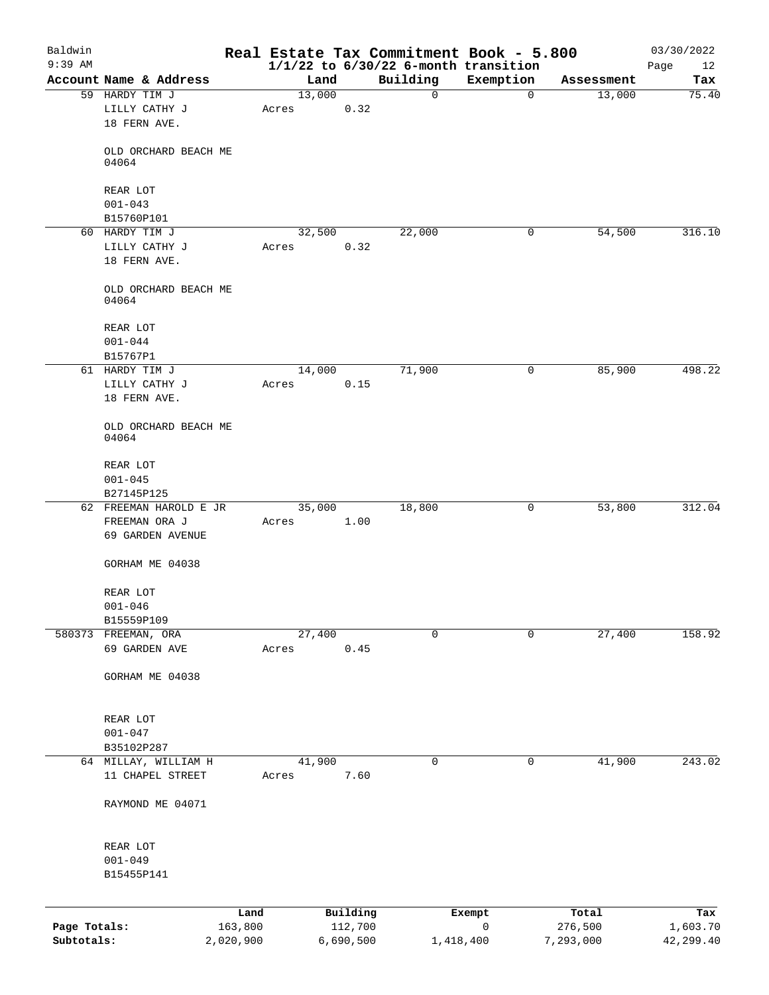| Baldwin      |                               |           |        |           |             | Real Estate Tax Commitment Book - 5.800  |            | 03/30/2022 |
|--------------|-------------------------------|-----------|--------|-----------|-------------|------------------------------------------|------------|------------|
| $9:39$ AM    |                               |           |        |           |             | $1/1/22$ to $6/30/22$ 6-month transition |            | 12<br>Page |
|              | Account Name & Address        |           | Land   |           | Building    | Exemption                                | Assessment | Tax        |
|              | 59 HARDY TIM J                |           | 13,000 |           | 0           | $\mathbf 0$                              | 13,000     | 75.40      |
|              | LILLY CATHY J                 |           | Acres  | 0.32      |             |                                          |            |            |
|              | 18 FERN AVE.                  |           |        |           |             |                                          |            |            |
|              |                               |           |        |           |             |                                          |            |            |
|              | OLD ORCHARD BEACH ME<br>04064 |           |        |           |             |                                          |            |            |
|              |                               |           |        |           |             |                                          |            |            |
|              | REAR LOT                      |           |        |           |             |                                          |            |            |
|              | $001 - 043$                   |           |        |           |             |                                          |            |            |
|              | B15760P101                    |           |        |           |             |                                          |            |            |
|              | 60 HARDY TIM J                |           | 32,500 |           | 22,000      | 0                                        | 54,500     | 316.10     |
|              | LILLY CATHY J                 |           | Acres  | 0.32      |             |                                          |            |            |
|              | 18 FERN AVE.                  |           |        |           |             |                                          |            |            |
|              |                               |           |        |           |             |                                          |            |            |
|              | OLD ORCHARD BEACH ME          |           |        |           |             |                                          |            |            |
|              | 04064                         |           |        |           |             |                                          |            |            |
|              |                               |           |        |           |             |                                          |            |            |
|              | REAR LOT                      |           |        |           |             |                                          |            |            |
|              | $001 - 044$                   |           |        |           |             |                                          |            |            |
|              | B15767P1                      |           |        |           |             |                                          |            |            |
|              | 61 HARDY TIM J                |           | 14,000 |           | 71,900      | $\mathbf 0$                              | 85,900     | 498.22     |
|              | LILLY CATHY J                 |           | Acres  | 0.15      |             |                                          |            |            |
|              | 18 FERN AVE.                  |           |        |           |             |                                          |            |            |
|              |                               |           |        |           |             |                                          |            |            |
|              | OLD ORCHARD BEACH ME<br>04064 |           |        |           |             |                                          |            |            |
|              |                               |           |        |           |             |                                          |            |            |
|              | REAR LOT                      |           |        |           |             |                                          |            |            |
|              | $001 - 045$                   |           |        |           |             |                                          |            |            |
|              | B27145P125                    |           |        |           |             |                                          |            |            |
|              | 62 FREEMAN HAROLD E JR        |           | 35,000 |           | 18,800      | 0                                        | 53,800     | 312.04     |
|              | FREEMAN ORA J                 |           | Acres  | 1.00      |             |                                          |            |            |
|              | 69 GARDEN AVENUE              |           |        |           |             |                                          |            |            |
|              |                               |           |        |           |             |                                          |            |            |
|              | GORHAM ME 04038               |           |        |           |             |                                          |            |            |
|              |                               |           |        |           |             |                                          |            |            |
|              | REAR LOT                      |           |        |           |             |                                          |            |            |
|              | $001 - 046$                   |           |        |           |             |                                          |            |            |
|              | B15559P109                    |           |        |           |             |                                          |            |            |
|              | 580373 FREEMAN, ORA           |           | 27,400 |           | $\mathbf 0$ | $\mathbf 0$                              | 27,400     | 158.92     |
|              | 69 GARDEN AVE                 |           | Acres  | 0.45      |             |                                          |            |            |
|              |                               |           |        |           |             |                                          |            |            |
|              | GORHAM ME 04038               |           |        |           |             |                                          |            |            |
|              |                               |           |        |           |             |                                          |            |            |
|              |                               |           |        |           |             |                                          |            |            |
|              | REAR LOT                      |           |        |           |             |                                          |            |            |
|              | $001 - 047$                   |           |        |           |             |                                          |            |            |
|              | B35102P287                    |           |        |           |             |                                          |            | 243.02     |
|              | 64 MILLAY, WILLIAM H          |           | 41,900 | 7.60      | 0           | 0                                        | 41,900     |            |
|              | 11 CHAPEL STREET              |           | Acres  |           |             |                                          |            |            |
|              | RAYMOND ME 04071              |           |        |           |             |                                          |            |            |
|              |                               |           |        |           |             |                                          |            |            |
|              |                               |           |        |           |             |                                          |            |            |
|              | REAR LOT                      |           |        |           |             |                                          |            |            |
|              | $001 - 049$                   |           |        |           |             |                                          |            |            |
|              | B15455P141                    |           |        |           |             |                                          |            |            |
|              |                               |           |        |           |             |                                          |            |            |
|              |                               |           |        |           |             |                                          |            |            |
|              |                               | Land      |        | Building  |             | Exempt                                   | Total      | Tax        |
| Page Totals: |                               | 163,800   |        | 112,700   |             | 0                                        | 276,500    | 1,603.70   |
| Subtotals:   |                               | 2,020,900 |        | 6,690,500 | 1,418,400   |                                          | 7,293,000  | 42,299.40  |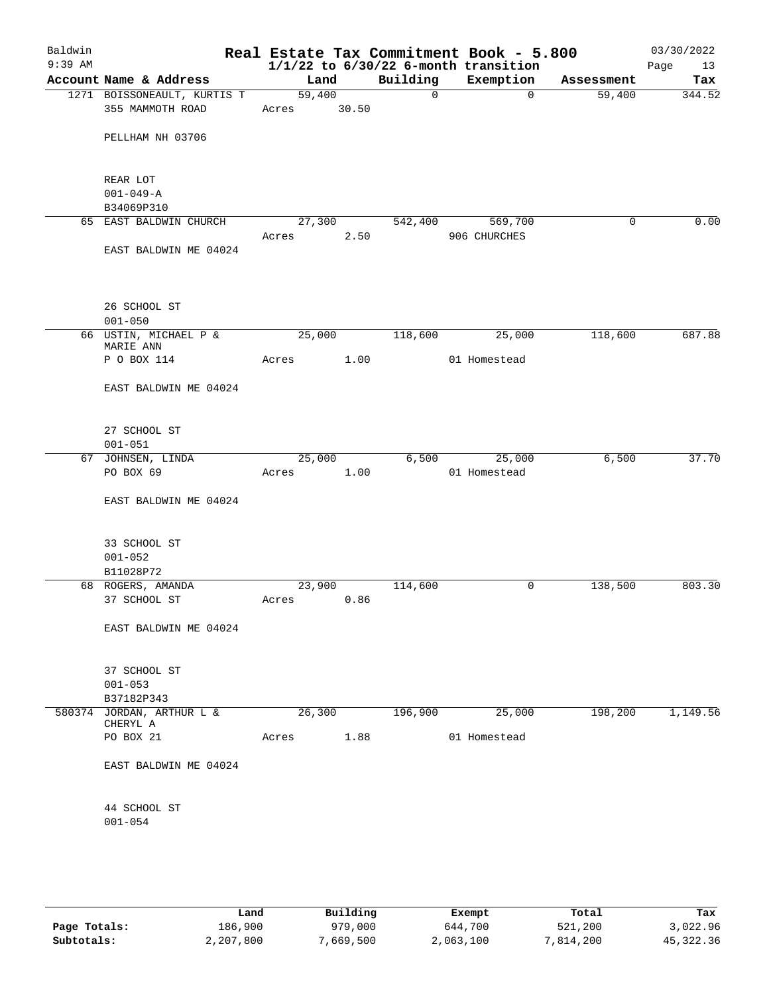| Baldwin<br>$9:39$ AM |                                    |            |       |             | Real Estate Tax Commitment Book - 5.800<br>$1/1/22$ to $6/30/22$ 6-month transition |            | 03/30/2022<br>Page<br>13 |
|----------------------|------------------------------------|------------|-------|-------------|-------------------------------------------------------------------------------------|------------|--------------------------|
|                      | Account Name & Address             | Land       |       | Building    | Exemption                                                                           | Assessment | Tax                      |
|                      | 1271 BOISSONEAULT, KURTIS T        | 59,400     |       | $\mathbf 0$ | $\Omega$                                                                            | 59,400     | 344.52                   |
|                      | 355 MAMMOTH ROAD                   | Acres      | 30.50 |             |                                                                                     |            |                          |
|                      | PELLHAM NH 03706                   |            |       |             |                                                                                     |            |                          |
|                      |                                    |            |       |             |                                                                                     |            |                          |
|                      | REAR LOT                           |            |       |             |                                                                                     |            |                          |
|                      | $001 - 049 - A$<br>B34069P310      |            |       |             |                                                                                     |            |                          |
|                      | 65 EAST BALDWIN CHURCH             | 27,300     |       | 542,400     | 569,700                                                                             | 0          | 0.00                     |
|                      |                                    | Acres      | 2.50  |             | 906 CHURCHES                                                                        |            |                          |
|                      | EAST BALDWIN ME 04024              |            |       |             |                                                                                     |            |                          |
|                      | 26 SCHOOL ST                       |            |       |             |                                                                                     |            |                          |
|                      | $001 - 050$                        |            |       |             |                                                                                     |            |                          |
|                      | 66 USTIN, MICHAEL P &<br>MARIE ANN | 25,000     |       | 118,600     | 25,000                                                                              | 118,600    | 687.88                   |
|                      | P O BOX 114                        | Acres      | 1.00  |             | 01 Homestead                                                                        |            |                          |
|                      | EAST BALDWIN ME 04024              |            |       |             |                                                                                     |            |                          |
|                      | 27 SCHOOL ST                       |            |       |             |                                                                                     |            |                          |
|                      | $001 - 051$                        |            |       |             |                                                                                     |            |                          |
|                      | 67 JOHNSEN, LINDA                  | 25,000     |       | 6,500       | 25,000                                                                              | 6,500      | 37.70                    |
|                      | PO BOX 69                          | Acres      | 1.00  |             | 01 Homestead                                                                        |            |                          |
|                      | EAST BALDWIN ME 04024              |            |       |             |                                                                                     |            |                          |
|                      | 33 SCHOOL ST                       |            |       |             |                                                                                     |            |                          |
|                      | $001 - 052$                        |            |       |             |                                                                                     |            |                          |
|                      | B11028P72                          |            |       |             |                                                                                     |            |                          |
|                      | 68 ROGERS, AMANDA                  | 23,900     |       | 114,600     | 0                                                                                   | 138,500    | 803.30                   |
|                      | 37 SCHOOL ST                       | Acres 0.86 |       |             |                                                                                     |            |                          |
|                      | EAST BALDWIN ME 04024              |            |       |             |                                                                                     |            |                          |
|                      |                                    |            |       |             |                                                                                     |            |                          |
|                      | 37 SCHOOL ST                       |            |       |             |                                                                                     |            |                          |
|                      | $001 - 053$<br>B37182P343          |            |       |             |                                                                                     |            |                          |
|                      | 580374 JORDAN, ARTHUR L &          | 26,300     |       | 196,900     | 25,000                                                                              | 198,200    | 1,149.56                 |
|                      | CHERYL A                           |            |       |             |                                                                                     |            |                          |
|                      | PO BOX 21                          | Acres      | 1.88  |             | 01 Homestead                                                                        |            |                          |
|                      | EAST BALDWIN ME 04024              |            |       |             |                                                                                     |            |                          |
|                      | 44 SCHOOL ST                       |            |       |             |                                                                                     |            |                          |
|                      | $001 - 054$                        |            |       |             |                                                                                     |            |                          |
|                      |                                    |            |       |             |                                                                                     |            |                          |
|                      |                                    |            |       |             |                                                                                     |            |                          |

|              | Land      | Building  | Exempt    | Total     | Tax       |
|--------------|-----------|-----------|-----------|-----------|-----------|
| Page Totals: | 186,900   | 979,000   | 644,700   | 521,200   | 3,022.96  |
| Subtotals:   | 2,207,800 | 7,669,500 | 2,063,100 | 7,814,200 | 45,322.36 |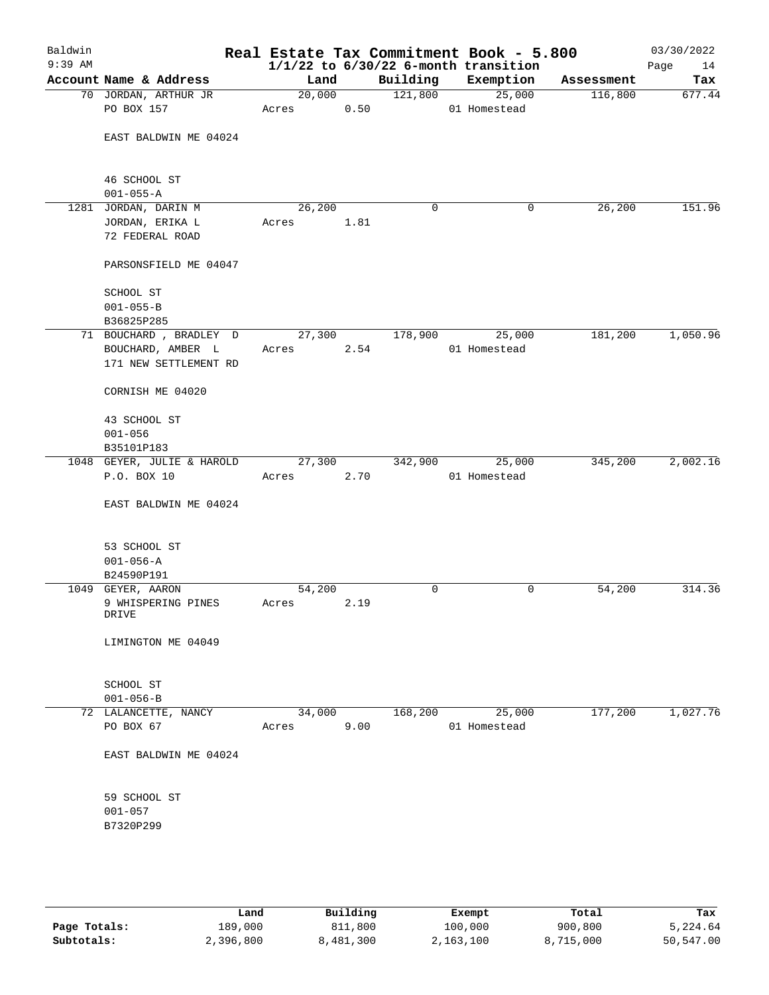| Baldwin<br>$9:39$ AM |                            |        |      |          | Real Estate Tax Commitment Book - 5.800<br>$1/1/22$ to $6/30/22$ 6-month transition |            | 03/30/2022<br>Page<br>14 |
|----------------------|----------------------------|--------|------|----------|-------------------------------------------------------------------------------------|------------|--------------------------|
|                      | Account Name & Address     | Land   |      | Building | Exemption                                                                           | Assessment | Tax                      |
|                      | 70 JORDAN, ARTHUR JR       | 20,000 |      | 121,800  | 25,000                                                                              | 116,800    | 677.44                   |
|                      | PO BOX 157                 | Acres  | 0.50 |          | 01 Homestead                                                                        |            |                          |
|                      |                            |        |      |          |                                                                                     |            |                          |
|                      | EAST BALDWIN ME 04024      |        |      |          |                                                                                     |            |                          |
|                      |                            |        |      |          |                                                                                     |            |                          |
|                      |                            |        |      |          |                                                                                     |            |                          |
|                      | 46 SCHOOL ST               |        |      |          |                                                                                     |            |                          |
|                      | $001 - 055 - A$            |        |      |          |                                                                                     |            |                          |
| 1281                 | JORDAN, DARIN M            | 26,200 |      | 0        | 0                                                                                   | 26,200     | 151.96                   |
|                      | JORDAN, ERIKA L            | Acres  | 1.81 |          |                                                                                     |            |                          |
|                      | 72 FEDERAL ROAD            |        |      |          |                                                                                     |            |                          |
|                      |                            |        |      |          |                                                                                     |            |                          |
|                      | PARSONSFIELD ME 04047      |        |      |          |                                                                                     |            |                          |
|                      |                            |        |      |          |                                                                                     |            |                          |
|                      | SCHOOL ST                  |        |      |          |                                                                                     |            |                          |
|                      | $001 - 055 - B$            |        |      |          |                                                                                     |            |                          |
|                      |                            |        |      |          |                                                                                     |            |                          |
|                      | B36825P285                 |        |      |          |                                                                                     |            |                          |
|                      | 71 BOUCHARD , BRADLEY D    | 27,300 |      | 178,900  | 25,000                                                                              | 181,200    | 1,050.96                 |
|                      | BOUCHARD, AMBER L          | Acres  | 2.54 |          | 01 Homestead                                                                        |            |                          |
|                      | 171 NEW SETTLEMENT RD      |        |      |          |                                                                                     |            |                          |
|                      |                            |        |      |          |                                                                                     |            |                          |
|                      | CORNISH ME 04020           |        |      |          |                                                                                     |            |                          |
|                      |                            |        |      |          |                                                                                     |            |                          |
|                      | 43 SCHOOL ST               |        |      |          |                                                                                     |            |                          |
|                      | $001 - 056$                |        |      |          |                                                                                     |            |                          |
|                      | B35101P183                 |        |      |          |                                                                                     |            |                          |
|                      | 1048 GEYER, JULIE & HAROLD | 27,300 |      | 342,900  | 25,000                                                                              | 345,200    | 2,002.16                 |
|                      | P.O. BOX 10                | Acres  | 2.70 |          | 01 Homestead                                                                        |            |                          |
|                      |                            |        |      |          |                                                                                     |            |                          |
|                      | EAST BALDWIN ME 04024      |        |      |          |                                                                                     |            |                          |
|                      |                            |        |      |          |                                                                                     |            |                          |
|                      |                            |        |      |          |                                                                                     |            |                          |
|                      | 53 SCHOOL ST               |        |      |          |                                                                                     |            |                          |
|                      | $001 - 056 - A$            |        |      |          |                                                                                     |            |                          |
|                      | B24590P191                 |        |      |          |                                                                                     |            |                          |
|                      | 1049 GEYER, AARON          | 54,200 |      | 0        | 0                                                                                   | 54,200     | 314.36                   |
|                      | 9 WHISPERING PINES         | Acres  | 2.19 |          |                                                                                     |            |                          |
|                      | DRIVE                      |        |      |          |                                                                                     |            |                          |
|                      |                            |        |      |          |                                                                                     |            |                          |
|                      | LIMINGTON ME 04049         |        |      |          |                                                                                     |            |                          |
|                      |                            |        |      |          |                                                                                     |            |                          |
|                      |                            |        |      |          |                                                                                     |            |                          |
|                      | SCHOOL ST                  |        |      |          |                                                                                     |            |                          |
|                      | $001 - 056 - B$            |        |      |          |                                                                                     |            |                          |
|                      | 72 LALANCETTE, NANCY       | 34,000 |      | 168,200  | 25,000                                                                              | 177,200    | 1,027.76                 |
|                      | PO BOX 67                  | Acres  | 9.00 |          | 01 Homestead                                                                        |            |                          |
|                      |                            |        |      |          |                                                                                     |            |                          |
|                      | EAST BALDWIN ME 04024      |        |      |          |                                                                                     |            |                          |
|                      |                            |        |      |          |                                                                                     |            |                          |
|                      |                            |        |      |          |                                                                                     |            |                          |
|                      | 59 SCHOOL ST               |        |      |          |                                                                                     |            |                          |
|                      | $001 - 057$                |        |      |          |                                                                                     |            |                          |
|                      | B7320P299                  |        |      |          |                                                                                     |            |                          |
|                      |                            |        |      |          |                                                                                     |            |                          |
|                      |                            |        |      |          |                                                                                     |            |                          |
|                      |                            |        |      |          |                                                                                     |            |                          |

|              | Land      | Building  | Exempt    | Total     | Tax       |
|--------------|-----------|-----------|-----------|-----------|-----------|
| Page Totals: | 189,000   | 811,800   | 100,000   | 900,800   | 5,224.64  |
| Subtotals:   | 2,396,800 | 8,481,300 | 2,163,100 | 8,715,000 | 50,547.00 |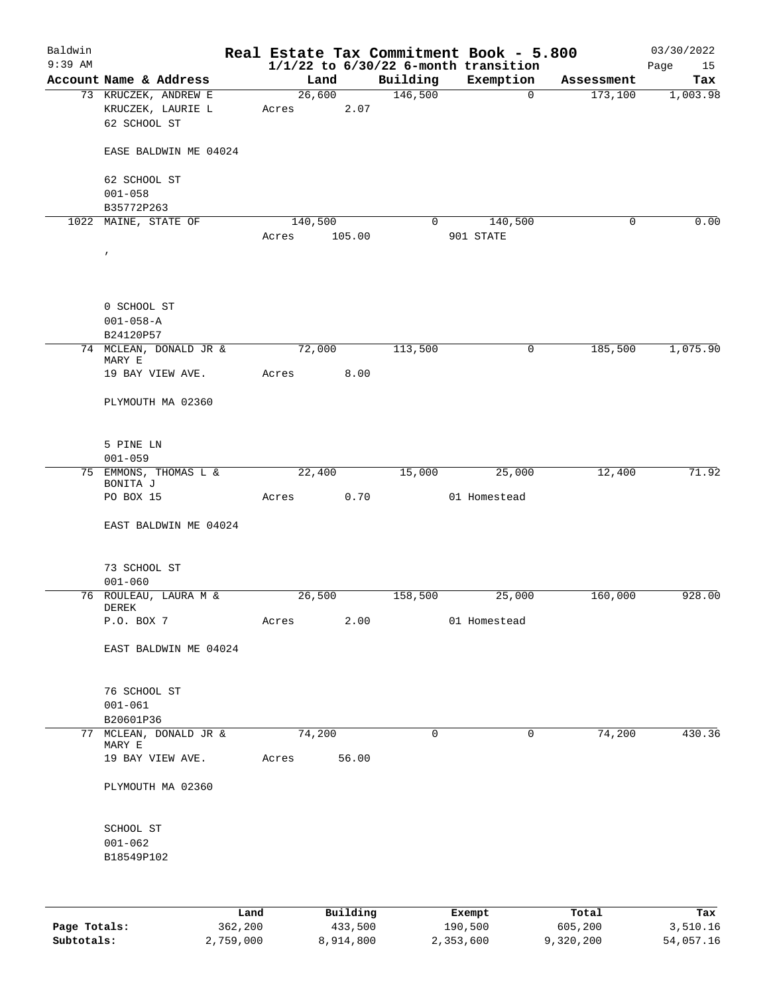| Baldwin      |                                                           |                 |          |          | Real Estate Tax Commitment Book - 5.800  |            | 03/30/2022 |
|--------------|-----------------------------------------------------------|-----------------|----------|----------|------------------------------------------|------------|------------|
| $9:39$ AM    |                                                           |                 |          |          | $1/1/22$ to $6/30/22$ 6-month transition |            | Page<br>15 |
|              | Account Name & Address                                    |                 | Land     | Building | Exemption                                | Assessment | Tax        |
|              | 73 KRUCZEK, ANDREW E<br>KRUCZEK, LAURIE L<br>62 SCHOOL ST | 26,600<br>Acres | 2.07     | 146,500  | $\overline{0}$                           | 173,100    | 1,003.98   |
|              | EASE BALDWIN ME 04024                                     |                 |          |          |                                          |            |            |
|              | 62 SCHOOL ST                                              |                 |          |          |                                          |            |            |
|              | $001 - 058$<br>B35772P263                                 |                 |          |          |                                          |            |            |
|              | 1022 MAINE, STATE OF                                      | 140,500         |          | 0        | 140,500                                  | 0          | 0.00       |
|              |                                                           | Acres           | 105.00   |          | 901 STATE                                |            |            |
|              | $\prime$                                                  |                 |          |          |                                          |            |            |
|              | 0 SCHOOL ST                                               |                 |          |          |                                          |            |            |
|              | $001 - 058 - A$<br>B24120P57                              |                 |          |          |                                          |            |            |
|              | 74 MCLEAN, DONALD JR &                                    | 72,000          |          | 113,500  | 0                                        | 185,500    | 1,075.90   |
|              | MARY E                                                    |                 |          |          |                                          |            |            |
|              | 19 BAY VIEW AVE.                                          | Acres           | 8.00     |          |                                          |            |            |
|              | PLYMOUTH MA 02360                                         |                 |          |          |                                          |            |            |
|              | 5 PINE LN<br>$001 - 059$                                  |                 |          |          |                                          |            |            |
|              | 75 EMMONS, THOMAS L &<br>BONITA J                         | 22,400          |          | 15,000   | 25,000                                   | 12,400     | 71.92      |
|              | PO BOX 15                                                 | Acres           | 0.70     |          | 01 Homestead                             |            |            |
|              | EAST BALDWIN ME 04024                                     |                 |          |          |                                          |            |            |
|              | 73 SCHOOL ST<br>$001 - 060$                               |                 |          |          |                                          |            |            |
|              | 76 ROULEAU, LAURA M &                                     | 26,500          |          | 158,500  | 25,000                                   | 160,000    | 928.00     |
|              | DEREK<br>P.O. BOX 7                                       | Acres           | 2.00     |          | 01 Homestead                             |            |            |
|              | EAST BALDWIN ME 04024                                     |                 |          |          |                                          |            |            |
|              |                                                           |                 |          |          |                                          |            |            |
|              | 76 SCHOOL ST                                              |                 |          |          |                                          |            |            |
|              | $001 - 061$                                               |                 |          |          |                                          |            |            |
|              | B20601P36                                                 |                 |          |          |                                          |            |            |
| 77           | MCLEAN, DONALD JR &<br>MARY E                             | 74,200          |          | 0        | 0                                        | 74,200     | 430.36     |
|              | 19 BAY VIEW AVE.                                          | Acres           | 56.00    |          |                                          |            |            |
|              | PLYMOUTH MA 02360                                         |                 |          |          |                                          |            |            |
|              | SCHOOL ST                                                 |                 |          |          |                                          |            |            |
|              | $001 - 062$<br>B18549P102                                 |                 |          |          |                                          |            |            |
|              |                                                           |                 |          |          |                                          |            |            |
|              | Land                                                      |                 | Building |          | Exempt                                   | Total      | Tax        |
| Page Totals: | 362,200                                                   |                 | 433,500  |          | 190,500                                  | 605,200    | 3,510.16   |

**Subtotals:** 2,759,000 8,914,800 2,353,600 9,320,200 54,057.16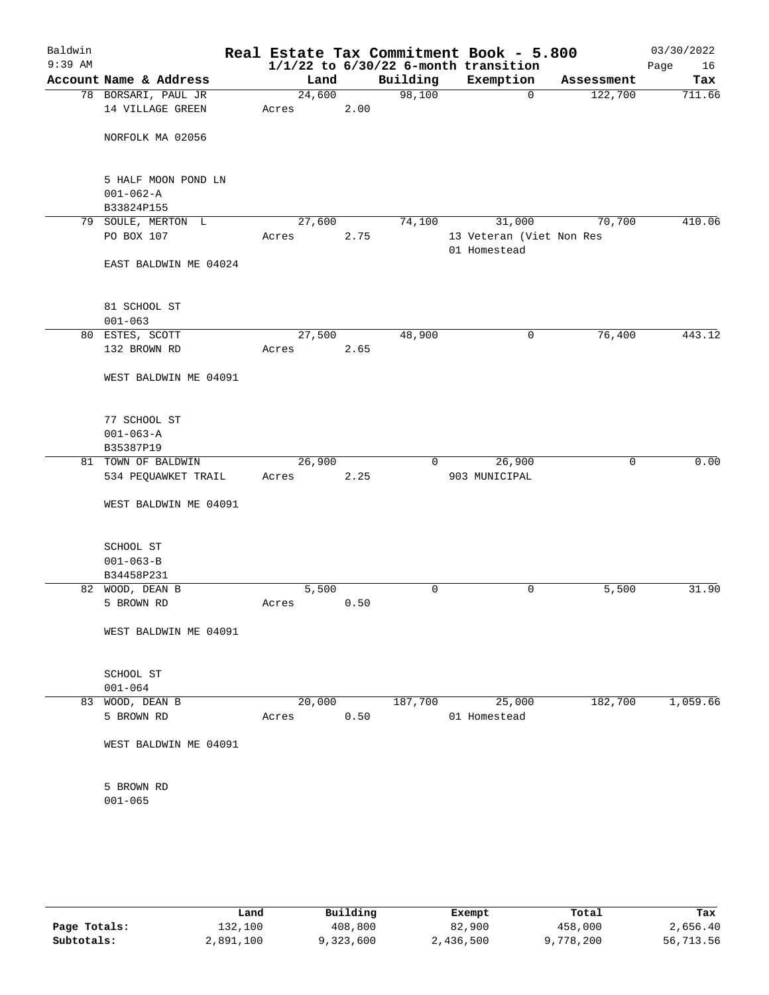| Baldwin<br>$9:39$ AM |                                         |                 |      |          | Real Estate Tax Commitment Book - 5.800<br>$1/1/22$ to $6/30/22$ 6-month transition |            | 03/30/2022<br>Page<br>16 |
|----------------------|-----------------------------------------|-----------------|------|----------|-------------------------------------------------------------------------------------|------------|--------------------------|
|                      | Account Name & Address                  | Land            |      | Building | Exemption                                                                           | Assessment | Tax                      |
|                      | 78 BORSARI, PAUL JR<br>14 VILLAGE GREEN | 24,600<br>Acres | 2.00 | 98,100   | 0                                                                                   | 122,700    | 711.66                   |
|                      | NORFOLK MA 02056                        |                 |      |          |                                                                                     |            |                          |
|                      |                                         |                 |      |          |                                                                                     |            |                          |
|                      | 5 HALF MOON POND LN<br>$001 - 062 - A$  |                 |      |          |                                                                                     |            |                          |
|                      | B33824P155                              |                 |      |          |                                                                                     |            |                          |
|                      | 79 SOULE, MERTON L                      | 27,600          |      | 74,100   | 31,000                                                                              | 70,700     | 410.06                   |
|                      | PO BOX 107                              | Acres           | 2.75 |          | 13 Veteran (Viet Non Res<br>01 Homestead                                            |            |                          |
|                      | EAST BALDWIN ME 04024                   |                 |      |          |                                                                                     |            |                          |
|                      | 81 SCHOOL ST                            |                 |      |          |                                                                                     |            |                          |
|                      | $001 - 063$                             |                 |      |          |                                                                                     |            |                          |
|                      | 80 ESTES, SCOTT                         | 27,500          |      | 48,900   | 0                                                                                   | 76,400     | 443.12                   |
|                      | 132 BROWN RD                            | Acres           | 2.65 |          |                                                                                     |            |                          |
|                      | WEST BALDWIN ME 04091                   |                 |      |          |                                                                                     |            |                          |
|                      | 77 SCHOOL ST                            |                 |      |          |                                                                                     |            |                          |
|                      | $001 - 063 - A$                         |                 |      |          |                                                                                     |            |                          |
|                      | B35387P19                               |                 |      |          |                                                                                     |            |                          |
|                      | 81 TOWN OF BALDWIN                      | 26,900          |      | 0        | 26,900                                                                              | 0          | 0.00                     |
|                      | 534 PEQUAWKET TRAIL                     | Acres           | 2.25 |          | 903 MUNICIPAL                                                                       |            |                          |
|                      | WEST BALDWIN ME 04091                   |                 |      |          |                                                                                     |            |                          |
|                      | SCHOOL ST                               |                 |      |          |                                                                                     |            |                          |
|                      | $001 - 063 - B$                         |                 |      |          |                                                                                     |            |                          |
|                      | B34458P231                              |                 |      |          |                                                                                     |            |                          |
|                      | 82 WOOD, DEAN B                         | 5,500           |      | 0        | 0                                                                                   | 5,500      | 31.90                    |
|                      | 5 BROWN RD                              | Acres           | 0.50 |          |                                                                                     |            |                          |
|                      | WEST BALDWIN ME 04091                   |                 |      |          |                                                                                     |            |                          |
|                      | SCHOOL ST<br>$001 - 064$                |                 |      |          |                                                                                     |            |                          |
|                      | 83 WOOD, DEAN B                         | 20,000          |      | 187,700  | 25,000                                                                              | 182,700    | 1,059.66                 |
|                      | 5 BROWN RD                              | Acres           | 0.50 |          | 01 Homestead                                                                        |            |                          |
|                      | WEST BALDWIN ME 04091                   |                 |      |          |                                                                                     |            |                          |
|                      | 5 BROWN RD                              |                 |      |          |                                                                                     |            |                          |
|                      | $001 - 065$                             |                 |      |          |                                                                                     |            |                          |
|                      |                                         |                 |      |          |                                                                                     |            |                          |

|              | Land      | Building  | Exempt    | Total     | Tax       |
|--------------|-----------|-----------|-----------|-----------|-----------|
| Page Totals: | 132,100   | 408,800   | 82,900    | 458,000   | 2,656.40  |
| Subtotals:   | 2,891,100 | 9,323,600 | 2,436,500 | 9,778,200 | 56,713.56 |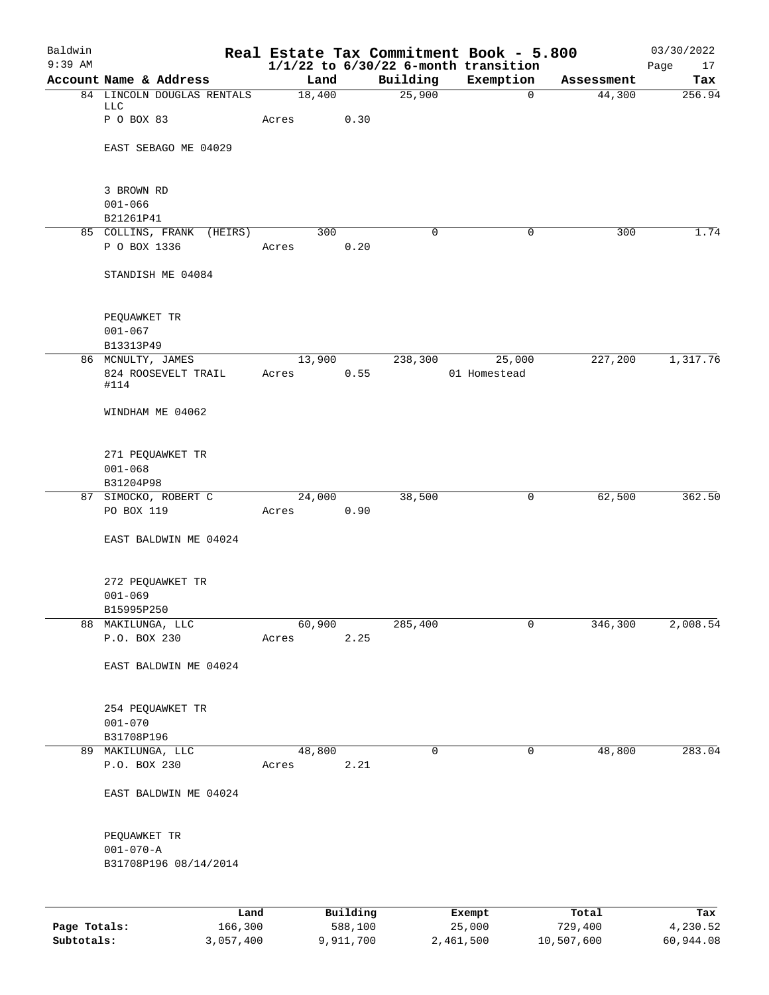| Baldwin<br>$9:39$ AM |                                    |                 |           |             | Real Estate Tax Commitment Book - 5.800<br>$1/1/22$ to $6/30/22$ 6-month transition |            | 03/30/2022<br>Page<br>17 |
|----------------------|------------------------------------|-----------------|-----------|-------------|-------------------------------------------------------------------------------------|------------|--------------------------|
|                      | Account Name & Address             | Land            |           | Building    | Exemption                                                                           | Assessment | Tax                      |
|                      | 84 LINCOLN DOUGLAS RENTALS         | 18,400          |           | 25,900      | $\mathbf 0$                                                                         | 44,300     | 256.94                   |
|                      | LLC<br>P O BOX 83                  | Acres           | 0.30      |             |                                                                                     |            |                          |
|                      |                                    |                 |           |             |                                                                                     |            |                          |
|                      | EAST SEBAGO ME 04029               |                 |           |             |                                                                                     |            |                          |
|                      | 3 BROWN RD                         |                 |           |             |                                                                                     |            |                          |
|                      | $001 - 066$                        |                 |           |             |                                                                                     |            |                          |
|                      | B21261P41                          |                 |           |             |                                                                                     |            |                          |
|                      | 85 COLLINS, FRANK<br>(HEIRS)       | 300             |           | $\mathbf 0$ | $\mathbf 0$                                                                         | 300        | 1.74                     |
|                      | P O BOX 1336                       | Acres           | 0.20      |             |                                                                                     |            |                          |
|                      | STANDISH ME 04084                  |                 |           |             |                                                                                     |            |                          |
|                      |                                    |                 |           |             |                                                                                     |            |                          |
|                      | PEQUAWKET TR<br>$001 - 067$        |                 |           |             |                                                                                     |            |                          |
|                      | B13313P49                          |                 |           |             |                                                                                     |            |                          |
|                      | 86 MCNULTY, JAMES                  | 13,900          |           | 238,300     | 25,000                                                                              | 227,200    | 1,317.76                 |
|                      | 824 ROOSEVELT TRAIL<br>#114        | Acres           | 0.55      |             | 01 Homestead                                                                        |            |                          |
|                      | WINDHAM ME 04062                   |                 |           |             |                                                                                     |            |                          |
|                      | 271 PEQUAWKET TR                   |                 |           |             |                                                                                     |            |                          |
|                      | $001 - 068$                        |                 |           |             |                                                                                     |            |                          |
|                      | B31204P98                          |                 |           |             |                                                                                     |            |                          |
|                      | 87 SIMOCKO, ROBERT C<br>PO BOX 119 | 24,000          | 0.90      | 38,500      | 0                                                                                   | 62,500     | 362.50                   |
|                      |                                    | Acres           |           |             |                                                                                     |            |                          |
|                      | EAST BALDWIN ME 04024              |                 |           |             |                                                                                     |            |                          |
|                      | 272 PEQUAWKET TR                   |                 |           |             |                                                                                     |            |                          |
|                      | $001 - 069$                        |                 |           |             |                                                                                     |            |                          |
|                      | B15995P250                         |                 |           |             |                                                                                     |            |                          |
| 88                   | MAKILUNGA, LLC                     | 60,900          |           | 285,400     | 0                                                                                   | 346,300    | 2,008.54                 |
|                      | P.O. BOX 230                       | Acres           | 2.25      |             |                                                                                     |            |                          |
|                      | EAST BALDWIN ME 04024              |                 |           |             |                                                                                     |            |                          |
|                      | 254 PEQUAWKET TR                   |                 |           |             |                                                                                     |            |                          |
|                      | $001 - 070$                        |                 |           |             |                                                                                     |            |                          |
|                      | B31708P196                         |                 |           |             |                                                                                     |            |                          |
|                      | 89 MAKILUNGA, LLC<br>P.O. BOX 230  | 48,800<br>Acres | 2.21      | 0           | 0                                                                                   | 48,800     | 283.04                   |
|                      |                                    |                 |           |             |                                                                                     |            |                          |
|                      | EAST BALDWIN ME 04024              |                 |           |             |                                                                                     |            |                          |
|                      | PEQUAWKET TR                       |                 |           |             |                                                                                     |            |                          |
|                      | $001 - 070 - A$                    |                 |           |             |                                                                                     |            |                          |
|                      | B31708P196 08/14/2014              |                 |           |             |                                                                                     |            |                          |
|                      | Land                               |                 | Building  |             | Exempt                                                                              | Total      | Tax                      |
| Page Totals:         | 166,300                            |                 | 588,100   |             | 25,000                                                                              | 729,400    | 4,230.52                 |
| Subtotals:           | 3,057,400                          |                 | 9,911,700 |             | 2,461,500                                                                           | 10,507,600 | 60,944.08                |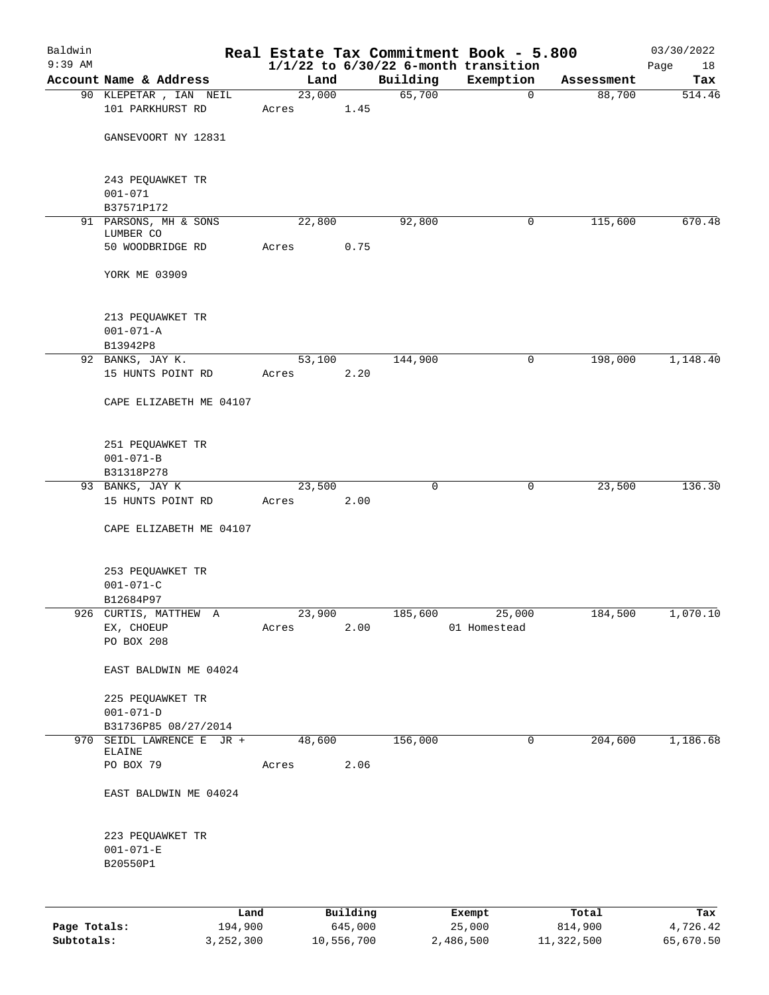| Baldwin      |                                                  |                 |          |                    | Real Estate Tax Commitment Book - 5.800  |                      | 03/30/2022    |
|--------------|--------------------------------------------------|-----------------|----------|--------------------|------------------------------------------|----------------------|---------------|
| $9:39$ AM    |                                                  |                 |          |                    | $1/1/22$ to $6/30/22$ 6-month transition |                      | Page<br>18    |
|              | Account Name & Address<br>90 KLEPETAR , IAN NEIL | Land<br>23,000  |          | Building<br>65,700 | Exemption<br>$\mathbf 0$                 | Assessment<br>88,700 | Tax<br>514.46 |
|              | 101 PARKHURST RD                                 | Acres           | 1.45     |                    |                                          |                      |               |
|              | GANSEVOORT NY 12831                              |                 |          |                    |                                          |                      |               |
|              | 243 PEQUAWKET TR<br>$001 - 071$                  |                 |          |                    |                                          |                      |               |
|              | B37571P172                                       |                 |          |                    |                                          |                      |               |
|              | 91 PARSONS, MH & SONS                            | 22,800          |          | 92,800             | 0                                        | 115,600              | 670.48        |
|              | LUMBER CO<br>50 WOODBRIDGE RD                    | Acres           | 0.75     |                    |                                          |                      |               |
|              | YORK ME 03909                                    |                 |          |                    |                                          |                      |               |
|              | 213 PEQUAWKET TR<br>$001 - 071 - A$              |                 |          |                    |                                          |                      |               |
|              | B13942P8                                         |                 |          |                    |                                          |                      |               |
|              | 92 BANKS, JAY K.<br>15 HUNTS POINT RD            | 53,100<br>Acres | 2.20     | 144,900            | 0                                        | 198,000              | 1,148.40      |
|              |                                                  |                 |          |                    |                                          |                      |               |
|              | CAPE ELIZABETH ME 04107                          |                 |          |                    |                                          |                      |               |
|              | 251 PEQUAWKET TR                                 |                 |          |                    |                                          |                      |               |
|              | $001 - 071 - B$                                  |                 |          |                    |                                          |                      |               |
|              | B31318P278<br>93 BANKS, JAY K                    | 23,500          |          | $\mathbf 0$        | 0                                        | 23,500               | 136.30        |
|              | 15 HUNTS POINT RD                                | Acres           | 2.00     |                    |                                          |                      |               |
|              | CAPE ELIZABETH ME 04107                          |                 |          |                    |                                          |                      |               |
|              | 253 PEQUAWKET TR                                 |                 |          |                    |                                          |                      |               |
|              | $001 - 071 - C$                                  |                 |          |                    |                                          |                      |               |
|              | B12684P97                                        |                 |          |                    |                                          |                      |               |
|              | 926 CURTIS, MATTHEW A                            | 23,900          |          | 185,600            | 25,000                                   | 184,500              | 1,070.10      |
|              | EX, CHOEUP<br>PO BOX 208                         | Acres           | 2.00     |                    | 01 Homestead                             |                      |               |
|              | EAST BALDWIN ME 04024                            |                 |          |                    |                                          |                      |               |
|              | 225 PEQUAWKET TR                                 |                 |          |                    |                                          |                      |               |
|              | $001 - 071 - D$                                  |                 |          |                    |                                          |                      |               |
|              | B31736P85 08/27/2014                             | 48,600          |          | 156,000            | 0                                        | 204,600              |               |
|              | 970 SEIDL LAWRENCE E JR +<br>ELAINE              |                 |          |                    |                                          |                      | 1,186.68      |
|              | PO BOX 79                                        | Acres           | 2.06     |                    |                                          |                      |               |
|              | EAST BALDWIN ME 04024                            |                 |          |                    |                                          |                      |               |
|              | 223 PEQUAWKET TR<br>$001 - 071 - E$<br>B20550P1  |                 |          |                    |                                          |                      |               |
|              |                                                  |                 |          |                    |                                          |                      |               |
|              | Land                                             |                 | Building |                    | Exempt                                   | Total                | Tax           |
| Page Totals: | 194,900                                          |                 | 645,000  |                    | 25,000                                   | 814,900              | 4,726.42      |

**Subtotals:** 3,252,300 10,556,700 2,486,500 11,322,500 65,670.50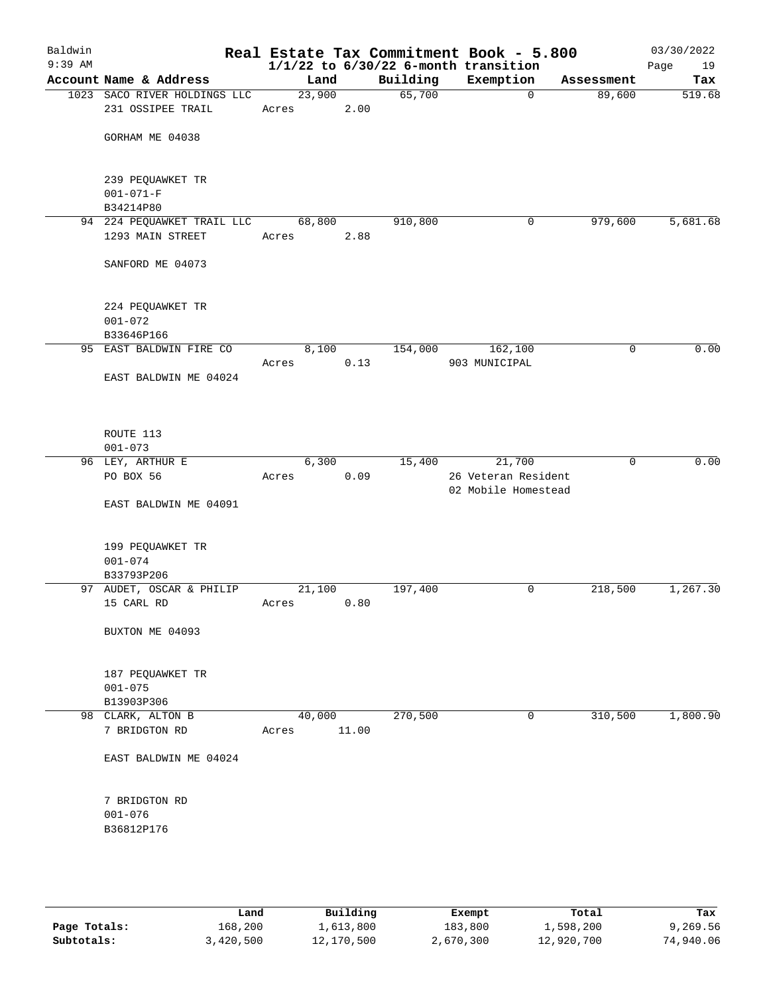| Baldwin<br>$9:39$ AM |                                                   |                 |       |          | Real Estate Tax Commitment Book - 5.800<br>$1/1/22$ to $6/30/22$ 6-month transition |             | 03/30/2022<br>Page<br>19 |
|----------------------|---------------------------------------------------|-----------------|-------|----------|-------------------------------------------------------------------------------------|-------------|--------------------------|
|                      | Account Name & Address                            | Land            |       | Building | Exemption                                                                           | Assessment  | Tax                      |
|                      | 1023 SACO RIVER HOLDINGS LLC<br>231 OSSIPEE TRAIL | 23,900<br>Acres | 2.00  | 65,700   | $\mathbf 0$                                                                         | 89,600      | 519.68                   |
|                      | GORHAM ME 04038                                   |                 |       |          |                                                                                     |             |                          |
|                      | 239 PEQUAWKET TR<br>$001 - 071 - F$<br>B34214P80  |                 |       |          |                                                                                     |             |                          |
|                      | 94 224 PEQUAWKET TRAIL LLC                        | 68,800          |       | 910,800  | 0                                                                                   | 979,600     | 5,681.68                 |
|                      | 1293 MAIN STREET                                  | Acres           | 2.88  |          |                                                                                     |             |                          |
|                      | SANFORD ME 04073                                  |                 |       |          |                                                                                     |             |                          |
|                      | 224 PEQUAWKET TR<br>$001 - 072$                   |                 |       |          |                                                                                     |             |                          |
|                      | B33646P166<br>95 EAST BALDWIN FIRE CO             | 8,100           |       | 154,000  | 162,100                                                                             | 0           | 0.00                     |
|                      |                                                   | Acres           | 0.13  |          | 903 MUNICIPAL                                                                       |             |                          |
|                      | EAST BALDWIN ME 04024                             |                 |       |          |                                                                                     |             |                          |
|                      | ROUTE 113<br>$001 - 073$                          |                 |       |          |                                                                                     |             |                          |
|                      | 96 LEY, ARTHUR E                                  | 6,300           |       | 15,400   | 21,700                                                                              | $\mathbf 0$ | 0.00                     |
|                      | PO BOX 56                                         | Acres           | 0.09  |          | 26 Veteran Resident<br>02 Mobile Homestead                                          |             |                          |
|                      | EAST BALDWIN ME 04091                             |                 |       |          |                                                                                     |             |                          |
|                      | 199 PEQUAWKET TR<br>$001 - 074$<br>B33793P206     |                 |       |          |                                                                                     |             |                          |
|                      | 97 AUDET, OSCAR & PHILIP                          | 21,100          |       | 197,400  | 0                                                                                   | 218,500     | 1,267.30                 |
|                      | 15 CARL RD                                        | Acres           | 0.80  |          |                                                                                     |             |                          |
|                      | BUXTON ME 04093                                   |                 |       |          |                                                                                     |             |                          |
|                      | 187 PEQUAWKET TR<br>$001 - 075$                   |                 |       |          |                                                                                     |             |                          |
|                      | B13903P306                                        |                 |       |          |                                                                                     |             |                          |
|                      | 98 CLARK, ALTON B<br>7 BRIDGTON RD                | 40,000<br>Acres | 11.00 | 270,500  | $\mathbf 0$                                                                         | 310,500     | 1,800.90                 |
|                      | EAST BALDWIN ME 04024                             |                 |       |          |                                                                                     |             |                          |
|                      | 7 BRIDGTON RD<br>$001 - 076$                      |                 |       |          |                                                                                     |             |                          |
|                      | B36812P176                                        |                 |       |          |                                                                                     |             |                          |

|              | Land      | Building   | Exempt    | Total      | Tax       |
|--------------|-----------|------------|-----------|------------|-----------|
| Page Totals: | 168,200   | 1,613,800  | 183,800   | 1,598,200  | 9,269.56  |
| Subtotals:   | 3,420,500 | 12,170,500 | 2,670,300 | 12,920,700 | 74,940.06 |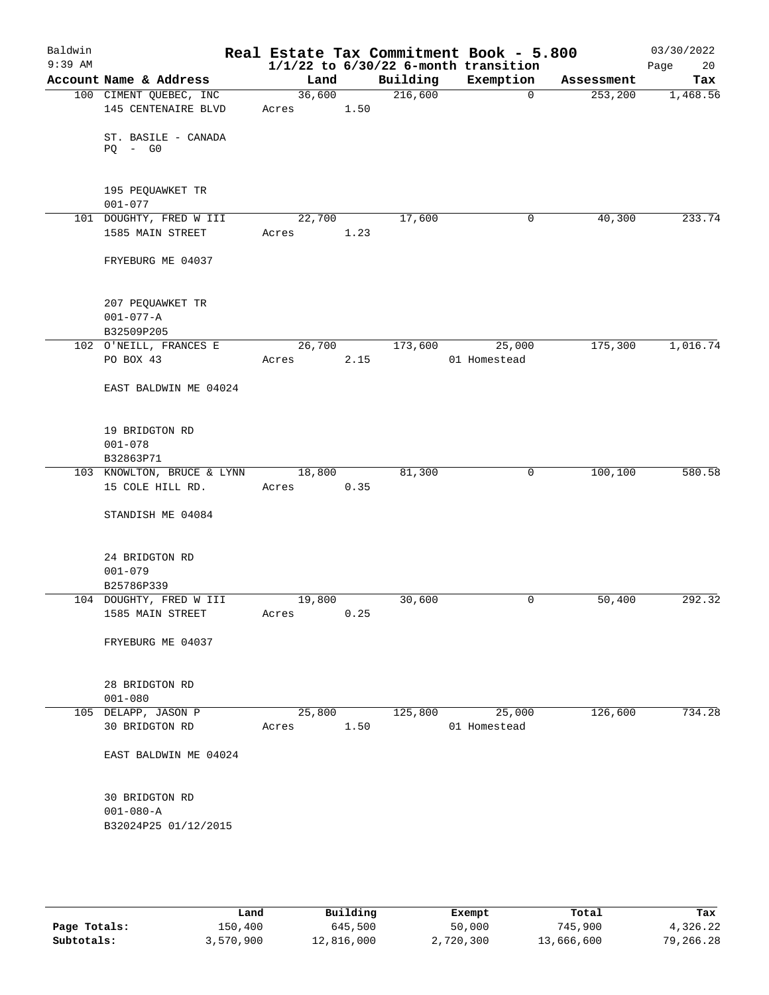| Baldwin<br>$9:39$ AM |                                                   |                 |      |          | Real Estate Tax Commitment Book - 5.800<br>$1/1/22$ to $6/30/22$ 6-month transition |            | 03/30/2022<br>Page<br>20 |
|----------------------|---------------------------------------------------|-----------------|------|----------|-------------------------------------------------------------------------------------|------------|--------------------------|
|                      | Account Name & Address                            | Land            |      | Building | Exemption                                                                           | Assessment | Tax                      |
|                      | 100 CIMENT QUEBEC, INC<br>145 CENTENAIRE BLVD     | 36,600<br>Acres | 1.50 | 216,600  | $\mathbf 0$                                                                         | 253, 200   | 1,468.56                 |
|                      | ST. BASILE - CANADA<br>$PQ - G0$                  |                 |      |          |                                                                                     |            |                          |
|                      | 195 PEQUAWKET TR<br>$001 - 077$                   |                 |      |          |                                                                                     |            |                          |
|                      | 101 DOUGHTY, FRED W III<br>1585 MAIN STREET       | 22,700<br>Acres | 1.23 | 17,600   | 0                                                                                   | 40,300     | 233.74                   |
|                      | FRYEBURG ME 04037                                 |                 |      |          |                                                                                     |            |                          |
|                      | 207 PEQUAWKET TR<br>$001 - 077 - A$<br>B32509P205 |                 |      |          |                                                                                     |            |                          |
|                      | 102 O'NEILL, FRANCES E                            | 26,700          |      | 173,600  | 25,000                                                                              | 175,300    | 1,016.74                 |
|                      | PO BOX 43                                         | Acres           | 2.15 |          | 01 Homestead                                                                        |            |                          |
|                      | EAST BALDWIN ME 04024                             |                 |      |          |                                                                                     |            |                          |
|                      | 19 BRIDGTON RD<br>$001 - 078$<br>B32863P71        |                 |      |          |                                                                                     |            |                          |
|                      | 103 KNOWLTON, BRUCE & LYNN                        | 18,800          |      | 81,300   | $\mathsf{O}$                                                                        | 100,100    | 580.58                   |
|                      | 15 COLE HILL RD.                                  | Acres           | 0.35 |          |                                                                                     |            |                          |
|                      | STANDISH ME 04084                                 |                 |      |          |                                                                                     |            |                          |
|                      | 24 BRIDGTON RD<br>$001 - 079$                     |                 |      |          |                                                                                     |            |                          |
|                      | B25786P339<br>104 DOUGHTY, FRED W III             | 19,800          |      | 30,600   | 0                                                                                   | 50,400     | 292.32                   |
|                      | 1585 MAIN STREET                                  | Acres           | 0.25 |          |                                                                                     |            |                          |
|                      | FRYEBURG ME 04037                                 |                 |      |          |                                                                                     |            |                          |
|                      | 28 BRIDGTON RD<br>$001 - 080$                     |                 |      |          |                                                                                     |            |                          |
|                      | 105 DELAPP, JASON P                               | 25,800          |      | 125,800  | 25,000                                                                              | 126,600    | 734.28                   |
|                      | 30 BRIDGTON RD                                    | Acres           | 1.50 |          | 01 Homestead                                                                        |            |                          |
|                      | EAST BALDWIN ME 04024                             |                 |      |          |                                                                                     |            |                          |
|                      | 30 BRIDGTON RD<br>$001 - 080 - A$                 |                 |      |          |                                                                                     |            |                          |
|                      | B32024P25 01/12/2015                              |                 |      |          |                                                                                     |            |                          |
|                      |                                                   |                 |      |          |                                                                                     |            |                          |

|              | Land      | Building   | Exempt    | Total      | Tax       |
|--------------|-----------|------------|-----------|------------|-----------|
| Page Totals: | 150,400   | 645,500    | 50,000    | 745,900    | 4,326.22  |
| Subtotals:   | 3,570,900 | 12,816,000 | 2,720,300 | 13,666,600 | 79,266.28 |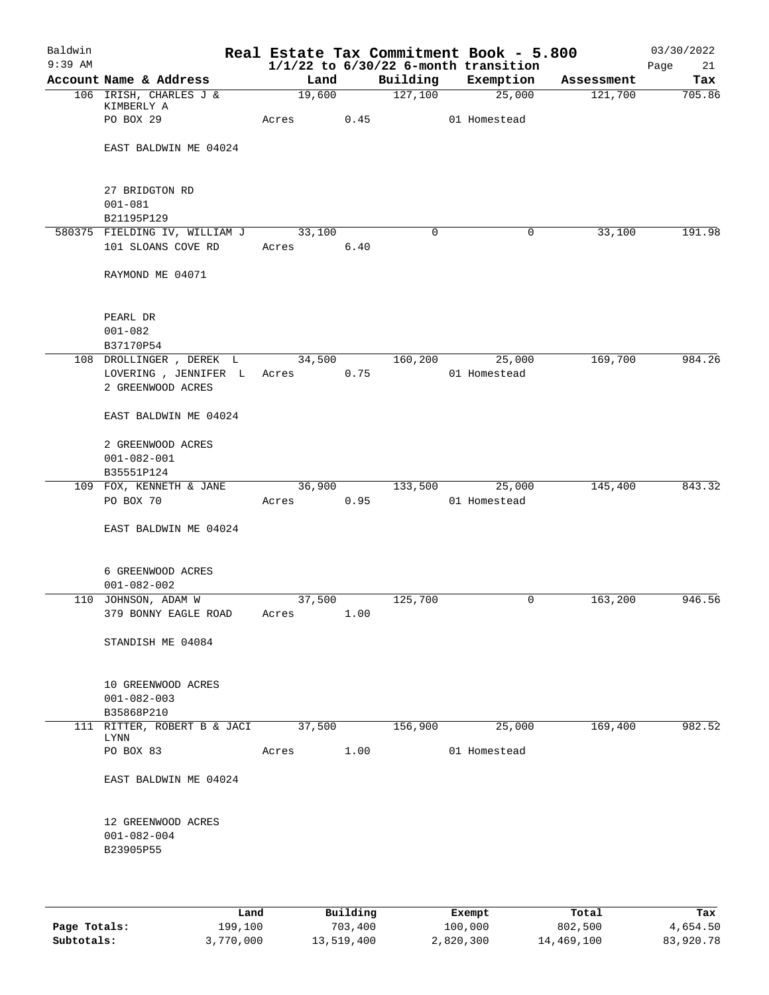| Baldwin<br>$9:39$ AM |                               |        |      |             | Real Estate Tax Commitment Book - 5.800<br>$1/1/22$ to $6/30/22$ 6-month transition |            | 03/30/2022<br>Page<br>21 |
|----------------------|-------------------------------|--------|------|-------------|-------------------------------------------------------------------------------------|------------|--------------------------|
|                      | Account Name & Address        | Land   |      | Building    | Exemption                                                                           | Assessment | Tax                      |
|                      | 106 IRISH, CHARLES J &        | 19,600 |      | 127,100     | 25,000                                                                              | 121,700    | 705.86                   |
|                      | KIMBERLY A                    |        |      |             |                                                                                     |            |                          |
|                      | PO BOX 29                     | Acres  | 0.45 |             | 01 Homestead                                                                        |            |                          |
|                      |                               |        |      |             |                                                                                     |            |                          |
|                      | EAST BALDWIN ME 04024         |        |      |             |                                                                                     |            |                          |
|                      |                               |        |      |             |                                                                                     |            |                          |
|                      |                               |        |      |             |                                                                                     |            |                          |
|                      | 27 BRIDGTON RD                |        |      |             |                                                                                     |            |                          |
|                      | $001 - 081$                   |        |      |             |                                                                                     |            |                          |
|                      | B21195P129                    |        |      |             |                                                                                     |            |                          |
|                      | 580375 FIELDING IV, WILLIAM J | 33,100 |      | $\mathbf 0$ | $\mathbf 0$                                                                         | 33,100     | 191.98                   |
|                      | 101 SLOANS COVE RD            | Acres  | 6.40 |             |                                                                                     |            |                          |
|                      |                               |        |      |             |                                                                                     |            |                          |
|                      | RAYMOND ME 04071              |        |      |             |                                                                                     |            |                          |
|                      |                               |        |      |             |                                                                                     |            |                          |
|                      |                               |        |      |             |                                                                                     |            |                          |
|                      | PEARL DR                      |        |      |             |                                                                                     |            |                          |
|                      | $001 - 082$                   |        |      |             |                                                                                     |            |                          |
|                      | B37170P54                     |        |      |             |                                                                                     |            |                          |
|                      | 108 DROLLINGER , DEREK L      | 34,500 |      | 160,200     | 25,000                                                                              | 169,700    | 984.26                   |
|                      | LOVERING , JENNIFER L         | Acres  | 0.75 |             | 01 Homestead                                                                        |            |                          |
|                      | 2 GREENWOOD ACRES             |        |      |             |                                                                                     |            |                          |
|                      |                               |        |      |             |                                                                                     |            |                          |
|                      | EAST BALDWIN ME 04024         |        |      |             |                                                                                     |            |                          |
|                      |                               |        |      |             |                                                                                     |            |                          |
|                      | 2 GREENWOOD ACRES             |        |      |             |                                                                                     |            |                          |
|                      | $001 - 082 - 001$             |        |      |             |                                                                                     |            |                          |
|                      | B35551P124                    |        |      |             |                                                                                     |            |                          |
|                      | 109 FOX, KENNETH & JANE       | 36,900 |      | 133,500     | 25,000                                                                              | 145,400    | 843.32                   |
|                      | PO BOX 70                     | Acres  | 0.95 |             | 01 Homestead                                                                        |            |                          |
|                      |                               |        |      |             |                                                                                     |            |                          |
|                      | EAST BALDWIN ME 04024         |        |      |             |                                                                                     |            |                          |
|                      |                               |        |      |             |                                                                                     |            |                          |
|                      | 6 GREENWOOD ACRES             |        |      |             |                                                                                     |            |                          |
|                      | $001 - 082 - 002$             |        |      |             |                                                                                     |            |                          |
|                      |                               |        |      |             | 0                                                                                   |            | 946.56                   |
|                      | 110 JOHNSON, ADAM W           | 37,500 | 1.00 | 125,700     |                                                                                     | 163,200    |                          |
|                      | 379 BONNY EAGLE ROAD          | Acres  |      |             |                                                                                     |            |                          |
|                      | STANDISH ME 04084             |        |      |             |                                                                                     |            |                          |
|                      |                               |        |      |             |                                                                                     |            |                          |
|                      |                               |        |      |             |                                                                                     |            |                          |
|                      | 10 GREENWOOD ACRES            |        |      |             |                                                                                     |            |                          |
|                      | $001 - 082 - 003$             |        |      |             |                                                                                     |            |                          |
|                      | B35868P210                    |        |      |             |                                                                                     |            |                          |
|                      | 111 RITTER, ROBERT B & JACI   | 37,500 |      | 156,900     | 25,000                                                                              | 169,400    | 982.52                   |
|                      | LYNN                          |        |      |             |                                                                                     |            |                          |
|                      | PO BOX 83                     | Acres  | 1.00 |             | 01 Homestead                                                                        |            |                          |
|                      |                               |        |      |             |                                                                                     |            |                          |
|                      | EAST BALDWIN ME 04024         |        |      |             |                                                                                     |            |                          |
|                      |                               |        |      |             |                                                                                     |            |                          |
|                      |                               |        |      |             |                                                                                     |            |                          |
|                      | 12 GREENWOOD ACRES            |        |      |             |                                                                                     |            |                          |
|                      | $001 - 082 - 004$             |        |      |             |                                                                                     |            |                          |
|                      | B23905P55                     |        |      |             |                                                                                     |            |                          |
|                      |                               |        |      |             |                                                                                     |            |                          |
|                      |                               |        |      |             |                                                                                     |            |                          |
|                      |                               |        |      |             |                                                                                     |            |                          |

|              | Land      | Building   | Exempt    | Total      | Tax       |
|--------------|-----------|------------|-----------|------------|-----------|
| Page Totals: | 199,100   | 703,400    | 100,000   | 802,500    | 4,654.50  |
| Subtotals:   | 3,770,000 | 13,519,400 | 2,820,300 | 14,469,100 | 83,920.78 |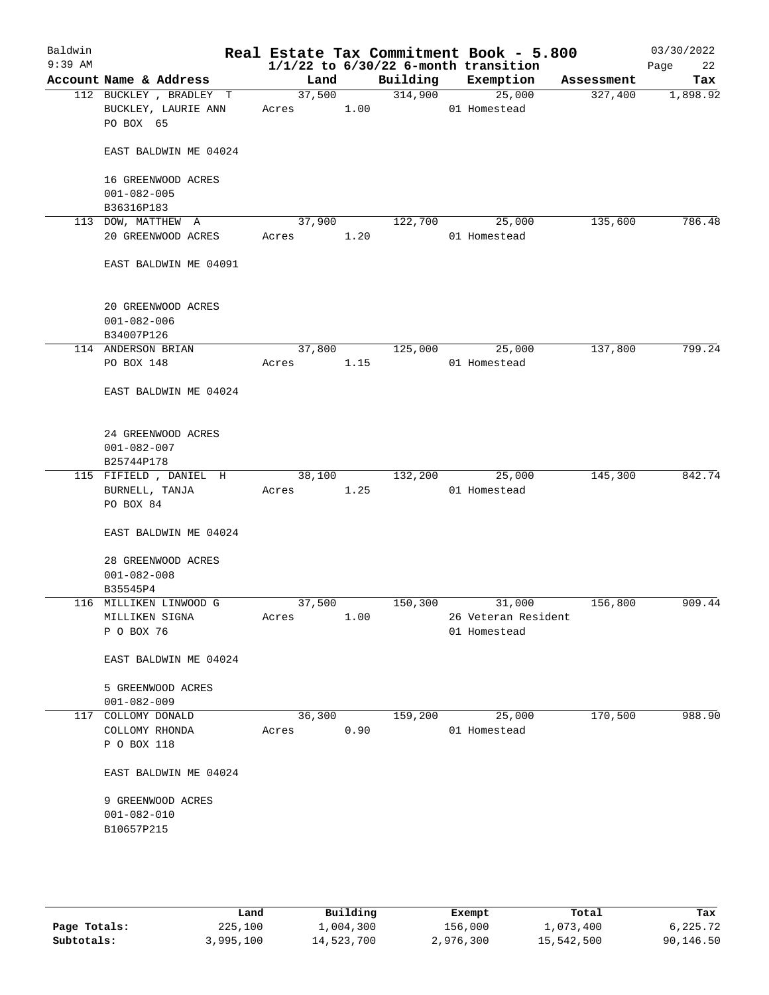| Baldwin<br>$9:39$ AM |                                                             |                 |        |          | Real Estate Tax Commitment Book - 5.800<br>$1/1/22$ to $6/30/22$ 6-month transition |            | 03/30/2022<br>22<br>Page |
|----------------------|-------------------------------------------------------------|-----------------|--------|----------|-------------------------------------------------------------------------------------|------------|--------------------------|
|                      | Account Name & Address                                      | Land            |        | Building | Exemption                                                                           | Assessment | Tax                      |
|                      | 112 BUCKLEY , BRADLEY T<br>BUCKLEY, LAURIE ANN<br>PO BOX 65 | Acres 1.00      | 37,500 | 314,900  | 25,000<br>01 Homestead                                                              | 327,400    | 1,898.92                 |
|                      | EAST BALDWIN ME 04024                                       |                 |        |          |                                                                                     |            |                          |
|                      | 16 GREENWOOD ACRES<br>$001 - 082 - 005$                     |                 |        |          |                                                                                     |            |                          |
|                      | B36316P183                                                  |                 |        |          |                                                                                     |            |                          |
|                      | 113 DOW, MATTHEW A<br>20 GREENWOOD ACRES                    | 37,900<br>Acres | 1.20   | 122,700  | 25,000<br>01 Homestead                                                              | 135,600    | 786.48                   |
|                      | EAST BALDWIN ME 04091                                       |                 |        |          |                                                                                     |            |                          |
|                      | 20 GREENWOOD ACRES<br>$001 - 082 - 006$<br>B34007P126       |                 |        |          |                                                                                     |            |                          |
|                      | 114 ANDERSON BRIAN                                          | 37,800          |        | 125,000  | 25,000                                                                              | 137,800    | 799.24                   |
|                      | PO BOX 148                                                  | Acres           | 1.15   |          | 01 Homestead                                                                        |            |                          |
|                      | EAST BALDWIN ME 04024                                       |                 |        |          |                                                                                     |            |                          |
|                      | 24 GREENWOOD ACRES<br>$001 - 082 - 007$<br>B25744P178       |                 |        |          |                                                                                     |            |                          |
|                      | 115 FIFIELD, DANIEL H                                       | 38,100          |        | 132,200  | 25,000                                                                              | 145,300    | 842.74                   |
|                      | BURNELL, TANJA<br>PO BOX 84                                 | Acres           | 1.25   |          | 01 Homestead                                                                        |            |                          |
|                      | EAST BALDWIN ME 04024                                       |                 |        |          |                                                                                     |            |                          |
|                      | 28 GREENWOOD ACRES<br>$001 - 082 - 008$<br>B35545P4         |                 |        |          |                                                                                     |            |                          |
|                      | 116 MILLIKEN LINWOOD G                                      | 37,500          |        | 150,300  | 31,000                                                                              | 156,800    | 909.44                   |
|                      | MILLIKEN SIGNA<br>P O BOX 76                                | Acres           | 1.00   |          | 26 Veteran Resident<br>01 Homestead                                                 |            |                          |
|                      | EAST BALDWIN ME 04024                                       |                 |        |          |                                                                                     |            |                          |
|                      | 5 GREENWOOD ACRES<br>$001 - 082 - 009$                      |                 |        |          |                                                                                     |            |                          |
|                      | 117 COLLOMY DONALD<br>COLLOMY RHONDA<br>P O BOX 118         | 36,300<br>Acres | 0.90   | 159,200  | 25,000<br>01 Homestead                                                              | 170,500    | 988.90                   |
|                      | EAST BALDWIN ME 04024                                       |                 |        |          |                                                                                     |            |                          |
|                      | 9 GREENWOOD ACRES<br>$001 - 082 - 010$<br>B10657P215        |                 |        |          |                                                                                     |            |                          |
|                      |                                                             |                 |        |          |                                                                                     |            |                          |

|              | Land      | Building   | Exempt    | Total      | Tax       |
|--------------|-----------|------------|-----------|------------|-----------|
| Page Totals: | 225,100   | 1,004,300  | 156,000   | 1,073,400  | 6,225.72  |
| Subtotals:   | 3,995,100 | 14,523,700 | 2,976,300 | 15,542,500 | 90,146.50 |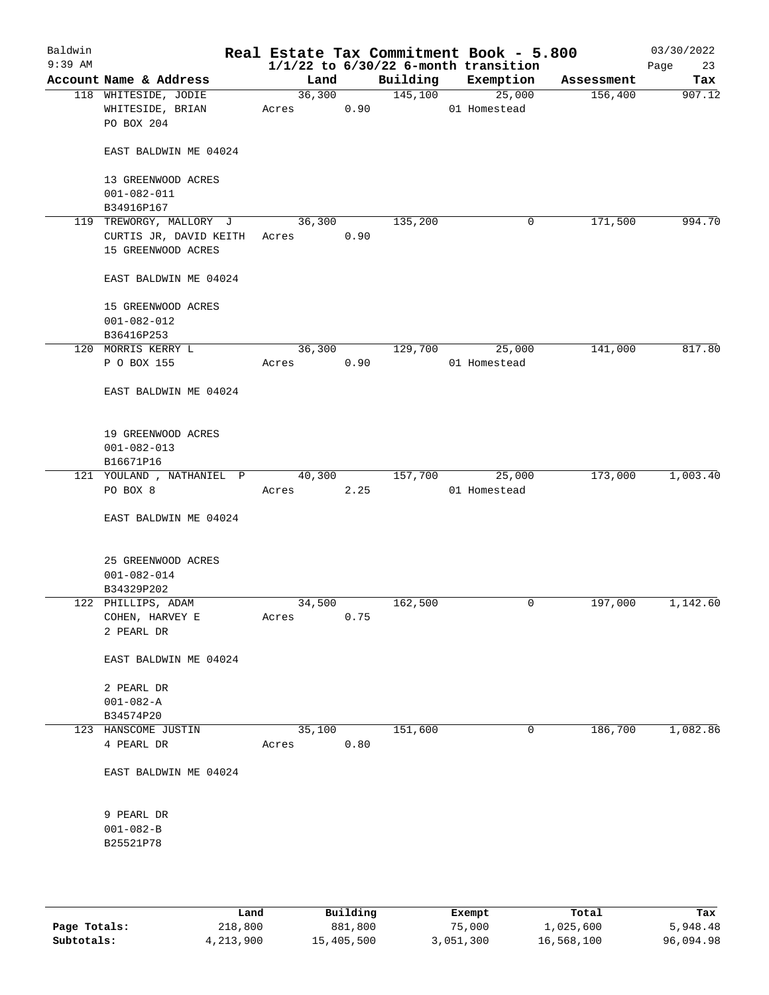| Baldwin<br>$9:39$ AM |                                                        |                      |      |         | Real Estate Tax Commitment Book - 5.800<br>$1/1/22$ to $6/30/22$ 6-month transition |            | 03/30/2022<br>23<br>Page |
|----------------------|--------------------------------------------------------|----------------------|------|---------|-------------------------------------------------------------------------------------|------------|--------------------------|
|                      | Account Name & Address                                 | Land                 |      |         | Building Exemption                                                                  | Assessment | Tax                      |
|                      | 118 WHITESIDE, JODIE<br>WHITESIDE, BRIAN<br>PO BOX 204 | 36,300<br>Acres 0.90 |      | 145,100 | 25,000<br>01 Homestead                                                              | 156,400    | 907.12                   |
|                      | EAST BALDWIN ME 04024                                  |                      |      |         |                                                                                     |            |                          |
|                      | 13 GREENWOOD ACRES<br>$001 - 082 - 011$                |                      |      |         |                                                                                     |            |                          |
|                      | B34916P167<br>119 TREWORGY, MALLORY J                  | 36,300               |      | 135,200 | 0                                                                                   | 171,500    | 994.70                   |
|                      | CURTIS JR, DAVID KEITH Acres<br>15 GREENWOOD ACRES     |                      | 0.90 |         |                                                                                     |            |                          |
|                      | EAST BALDWIN ME 04024                                  |                      |      |         |                                                                                     |            |                          |
|                      | 15 GREENWOOD ACRES<br>$001 - 082 - 012$<br>B36416P253  |                      |      |         |                                                                                     |            |                          |
|                      | 120 MORRIS KERRY L                                     | 36,300               |      | 129,700 | 25,000                                                                              | 141,000    | 817.80                   |
|                      | P O BOX 155                                            | Acres                | 0.90 |         | 01 Homestead                                                                        |            |                          |
|                      | EAST BALDWIN ME 04024                                  |                      |      |         |                                                                                     |            |                          |
|                      | 19 GREENWOOD ACRES<br>$001 - 082 - 013$                |                      |      |         |                                                                                     |            |                          |
|                      | B16671P16                                              |                      |      |         |                                                                                     |            |                          |
|                      | 121 YOULAND , NATHANIEL P<br>PO BOX 8                  | 40,300<br>Acres 2.25 |      | 157,700 | 25,000<br>01 Homestead                                                              | 173,000    | 1,003.40                 |
|                      | EAST BALDWIN ME 04024                                  |                      |      |         |                                                                                     |            |                          |
|                      | 25 GREENWOOD ACRES<br>$001 - 082 - 014$<br>B34329P202  |                      |      |         |                                                                                     |            |                          |
|                      | 122 PHILLIPS, ADAM                                     | 34,500               |      | 162,500 | 0                                                                                   | 197,000    | 1,142.60                 |
|                      | COHEN, HARVEY E<br>2 PEARL DR                          | Acres                | 0.75 |         |                                                                                     |            |                          |
|                      | EAST BALDWIN ME 04024                                  |                      |      |         |                                                                                     |            |                          |
|                      | 2 PEARL DR                                             |                      |      |         |                                                                                     |            |                          |
|                      | $001 - 082 - A$                                        |                      |      |         |                                                                                     |            |                          |
|                      | B34574P20                                              |                      |      |         |                                                                                     |            |                          |
|                      | 123 HANSCOME JUSTIN                                    | 35,100               |      | 151,600 | 0                                                                                   | 186,700    | 1,082.86                 |
|                      | 4 PEARL DR                                             | Acres                | 0.80 |         |                                                                                     |            |                          |
|                      | EAST BALDWIN ME 04024                                  |                      |      |         |                                                                                     |            |                          |
|                      | 9 PEARL DR                                             |                      |      |         |                                                                                     |            |                          |
|                      | $001 - 082 - B$                                        |                      |      |         |                                                                                     |            |                          |
|                      | B25521P78                                              |                      |      |         |                                                                                     |            |                          |
|                      |                                                        |                      |      |         |                                                                                     |            |                          |

|              | Land      | Building   | Exempt    | Total      | Tax       |
|--------------|-----------|------------|-----------|------------|-----------|
| Page Totals: | 218,800   | 881,800    | 75,000    | 1,025,600  | 5,948.48  |
| Subtotals:   | 4,213,900 | 15,405,500 | 3,051,300 | 16,568,100 | 96,094.98 |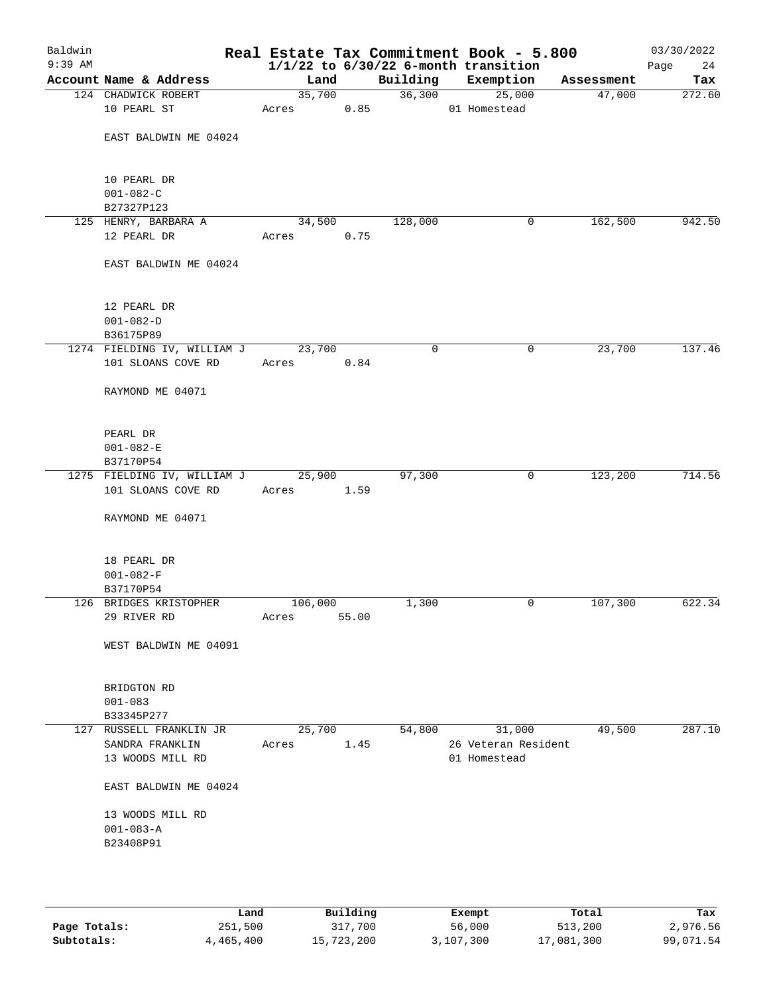| Baldwin<br>$9:39$ AM |                                     |            |       |             | Real Estate Tax Commitment Book - 5.800<br>$1/1/22$ to $6/30/22$ 6-month transition |            | 03/30/2022<br>Page<br>24 |
|----------------------|-------------------------------------|------------|-------|-------------|-------------------------------------------------------------------------------------|------------|--------------------------|
|                      | Account Name & Address              | Land       |       | Building    | Exemption                                                                           | Assessment | Tax                      |
|                      | 124 CHADWICK ROBERT                 | 35,700     |       |             | 36,300<br>25,000                                                                    | 47,000     | 272.60                   |
|                      | 10 PEARL ST                         | Acres      | 0.85  |             | 01 Homestead                                                                        |            |                          |
|                      | EAST BALDWIN ME 04024               |            |       |             |                                                                                     |            |                          |
|                      | 10 PEARL DR                         |            |       |             |                                                                                     |            |                          |
|                      | $001 - 082 - C$                     |            |       |             |                                                                                     |            |                          |
|                      | B27327P123<br>125 HENRY, BARBARA A  | 34,500     |       | 128,000     | 0                                                                                   | 162,500    | 942.50                   |
|                      | 12 PEARL DR                         | Acres      | 0.75  |             |                                                                                     |            |                          |
|                      |                                     |            |       |             |                                                                                     |            |                          |
|                      | EAST BALDWIN ME 04024               |            |       |             |                                                                                     |            |                          |
|                      | 12 PEARL DR                         |            |       |             |                                                                                     |            |                          |
|                      | $001 - 082 - D$                     |            |       |             |                                                                                     |            |                          |
|                      | B36175P89                           |            |       |             |                                                                                     |            |                          |
|                      | 1274 FIELDING IV, WILLIAM J         | 23,700     |       | $\mathbf 0$ | $\mathbf 0$                                                                         | 23,700     | 137.46                   |
|                      | 101 SLOANS COVE RD                  | Acres      | 0.84  |             |                                                                                     |            |                          |
|                      | RAYMOND ME 04071                    |            |       |             |                                                                                     |            |                          |
|                      | PEARL DR                            |            |       |             |                                                                                     |            |                          |
|                      | $001 - 082 - E$                     |            |       |             |                                                                                     |            |                          |
|                      | B37170P54                           |            |       |             |                                                                                     |            |                          |
|                      | 1275 FIELDING IV, WILLIAM J 25,900  |            |       | 97,300      | $\mathsf{O}$                                                                        | 123,200    | 714.56                   |
|                      | 101 SLOANS COVE RD                  | Acres 1.59 |       |             |                                                                                     |            |                          |
|                      | RAYMOND ME 04071                    |            |       |             |                                                                                     |            |                          |
|                      | 18 PEARL DR                         |            |       |             |                                                                                     |            |                          |
|                      | $001 - 082 - F$                     |            |       |             |                                                                                     |            |                          |
|                      | B37170P54                           |            |       |             |                                                                                     |            |                          |
|                      | 126 BRIDGES KRISTOPHER              | 106,000    |       | 1,300       | 0                                                                                   | 107,300    | 622.34                   |
|                      | 29 RIVER RD                         | Acres      | 55.00 |             |                                                                                     |            |                          |
|                      | WEST BALDWIN ME 04091               |            |       |             |                                                                                     |            |                          |
|                      | BRIDGTON RD                         |            |       |             |                                                                                     |            |                          |
|                      | $001 - 083$                         |            |       |             |                                                                                     |            |                          |
|                      | B33345P277                          |            |       |             |                                                                                     |            |                          |
|                      | 127 RUSSELL FRANKLIN JR             | 25,700     |       | 54,800      | 31,000                                                                              | 49,500     | 287.10                   |
|                      | SANDRA FRANKLIN<br>13 WOODS MILL RD | Acres      | 1.45  |             | 26 Veteran Resident<br>01 Homestead                                                 |            |                          |
|                      | EAST BALDWIN ME 04024               |            |       |             |                                                                                     |            |                          |
|                      | 13 WOODS MILL RD                    |            |       |             |                                                                                     |            |                          |
|                      | $001 - 083 - A$                     |            |       |             |                                                                                     |            |                          |
|                      | B23408P91                           |            |       |             |                                                                                     |            |                          |
|                      |                                     |            |       |             |                                                                                     |            |                          |
|                      |                                     |            |       |             |                                                                                     |            |                          |
|                      |                                     |            |       |             |                                                                                     |            |                          |

|              | Land      | Building   | Exempt    | Total      | Tax       |
|--------------|-----------|------------|-----------|------------|-----------|
| Page Totals: | 251,500   | 317,700    | 56,000    | 513,200    | 2,976.56  |
| Subtotals:   | 4,465,400 | 15,723,200 | 3,107,300 | 17,081,300 | 99,071.54 |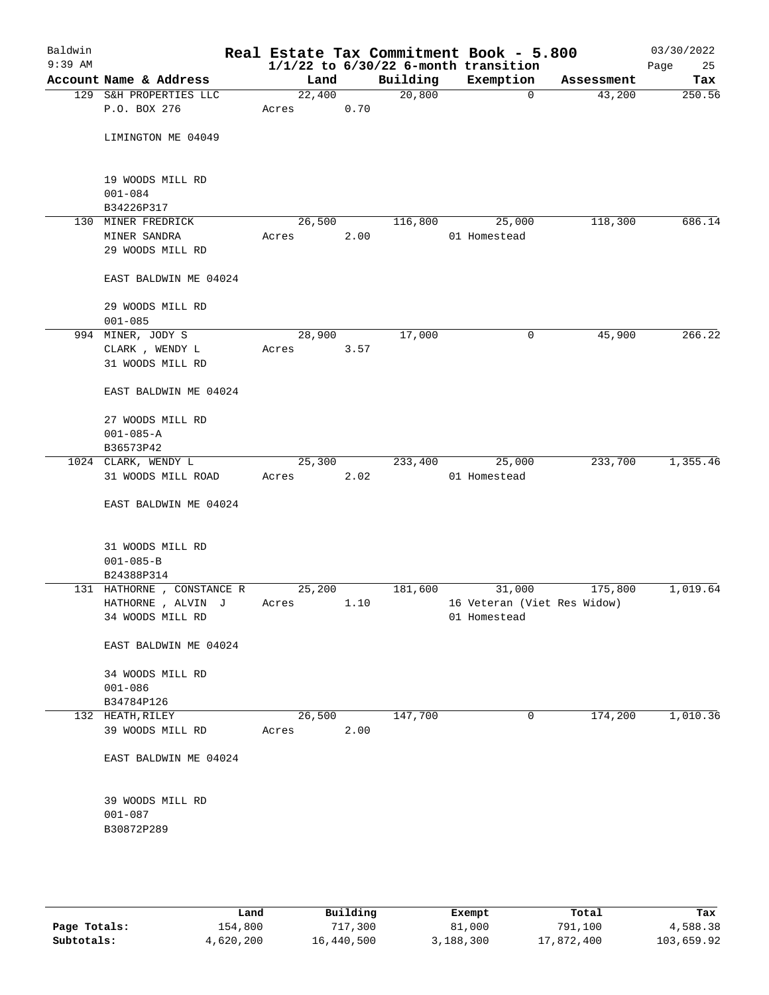| Baldwin<br>$9:39$ AM |                                 |        |      |          | Real Estate Tax Commitment Book - 5.800<br>$1/1/22$ to $6/30/22$ 6-month transition |            | 03/30/2022<br>Page<br>25 |
|----------------------|---------------------------------|--------|------|----------|-------------------------------------------------------------------------------------|------------|--------------------------|
|                      | Account Name & Address          | Land   |      | Building | Exemption                                                                           | Assessment | Tax                      |
|                      | 129 S&H PROPERTIES LLC          | 22,400 |      | 20,800   | $\mathbf 0$                                                                         | 43,200     | 250.56                   |
|                      | P.O. BOX 276                    | Acres  | 0.70 |          |                                                                                     |            |                          |
|                      | LIMINGTON ME 04049              |        |      |          |                                                                                     |            |                          |
|                      | 19 WOODS MILL RD<br>$001 - 084$ |        |      |          |                                                                                     |            |                          |
|                      | B34226P317                      |        |      |          |                                                                                     |            |                          |
|                      | 130 MINER FREDRICK              | 26,500 |      | 116,800  | 25,000                                                                              | 118,300    | 686.14                   |
|                      | MINER SANDRA                    | Acres  | 2.00 |          | 01 Homestead                                                                        |            |                          |
|                      | 29 WOODS MILL RD                |        |      |          |                                                                                     |            |                          |
|                      | EAST BALDWIN ME 04024           |        |      |          |                                                                                     |            |                          |
|                      | 29 WOODS MILL RD                |        |      |          |                                                                                     |            |                          |
|                      | $001 - 085$                     |        |      |          |                                                                                     |            |                          |
|                      | 994 MINER, JODY S               | 28,900 |      | 17,000   | 0                                                                                   | 45,900     | 266.22                   |
|                      | CLARK, WENDY L                  | Acres  | 3.57 |          |                                                                                     |            |                          |
|                      | 31 WOODS MILL RD                |        |      |          |                                                                                     |            |                          |
|                      | EAST BALDWIN ME 04024           |        |      |          |                                                                                     |            |                          |
|                      | 27 WOODS MILL RD                |        |      |          |                                                                                     |            |                          |
|                      | $001 - 085 - A$                 |        |      |          |                                                                                     |            |                          |
|                      | B36573P42                       |        |      |          |                                                                                     |            |                          |
|                      | 1024 CLARK, WENDY L             | 25,300 |      | 233,400  | 25,000                                                                              | 233,700    | 1,355.46                 |
|                      | 31 WOODS MILL ROAD              | Acres  | 2.02 |          | 01 Homestead                                                                        |            |                          |
|                      | EAST BALDWIN ME 04024           |        |      |          |                                                                                     |            |                          |
|                      | 31 WOODS MILL RD                |        |      |          |                                                                                     |            |                          |
|                      | $001 - 085 - B$                 |        |      |          |                                                                                     |            |                          |
|                      | B24388P314                      |        |      |          |                                                                                     |            |                          |
|                      | 131 HATHORNE, CONSTANCE R       | 25,200 |      | 181,600  | 31,000                                                                              | 175,800    | 1,019.64                 |
|                      | HATHORNE , ALVIN J              | Acres  | 1.10 |          | 16 Veteran (Viet Res Widow)                                                         |            |                          |
|                      | 34 WOODS MILL RD                |        |      |          | 01 Homestead                                                                        |            |                          |
|                      | EAST BALDWIN ME 04024           |        |      |          |                                                                                     |            |                          |
|                      | 34 WOODS MILL RD                |        |      |          |                                                                                     |            |                          |
|                      | $001 - 086$                     |        |      |          |                                                                                     |            |                          |
|                      | B34784P126                      |        |      |          |                                                                                     |            |                          |
|                      | 132 HEATH, RILEY                | 26,500 |      | 147,700  | 0                                                                                   | 174,200    | 1,010.36                 |
|                      | 39 WOODS MILL RD                | Acres  | 2.00 |          |                                                                                     |            |                          |
|                      | EAST BALDWIN ME 04024           |        |      |          |                                                                                     |            |                          |
|                      | 39 WOODS MILL RD                |        |      |          |                                                                                     |            |                          |
|                      | $001 - 087$                     |        |      |          |                                                                                     |            |                          |
|                      | B30872P289                      |        |      |          |                                                                                     |            |                          |
|                      |                                 |        |      |          |                                                                                     |            |                          |
|                      |                                 |        |      |          |                                                                                     |            |                          |
|                      |                                 |        |      |          |                                                                                     |            |                          |

|              | Land      | Building   | Exempt    | Total      | Tax        |
|--------------|-----------|------------|-----------|------------|------------|
| Page Totals: | 154,800   | 717,300    | 81,000    | 791,100    | 4,588.38   |
| Subtotals:   | 4,620,200 | 16,440,500 | 3,188,300 | 17,872,400 | 103,659.92 |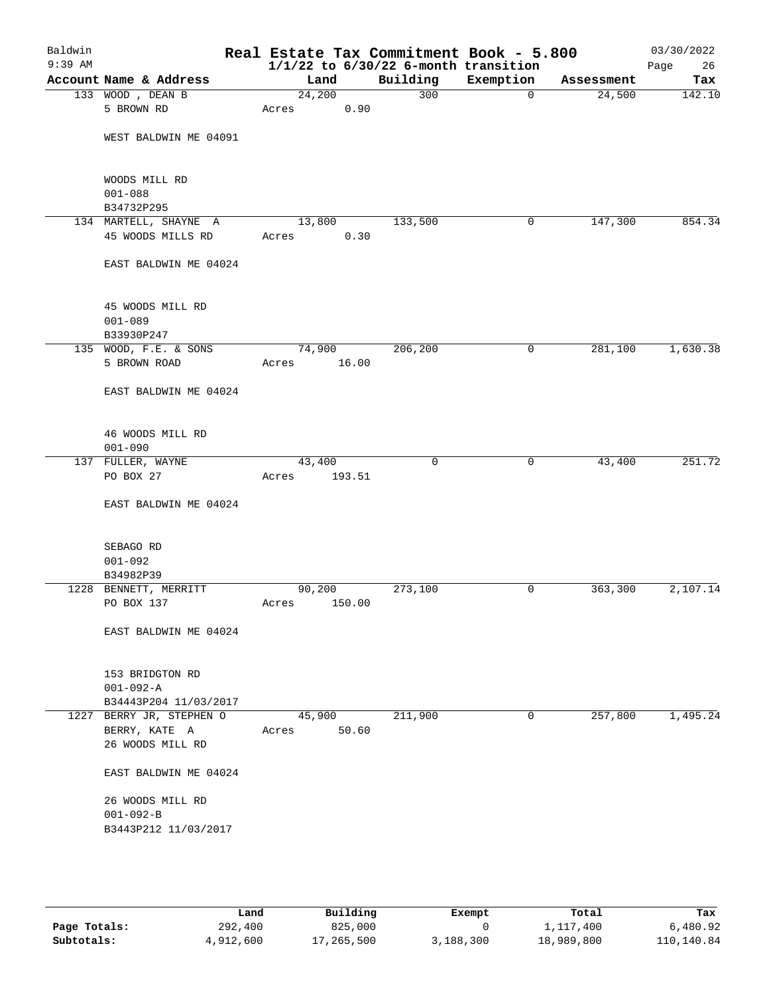| Baldwin<br>$9:39$ AM |                                                             |                    |        | Real Estate Tax Commitment Book - 5.800<br>$1/1/22$ to $6/30/22$ 6-month transition |             |            | 03/30/2022<br>Page<br>26 |
|----------------------|-------------------------------------------------------------|--------------------|--------|-------------------------------------------------------------------------------------|-------------|------------|--------------------------|
|                      | Account Name & Address                                      | Land               |        | Building                                                                            | Exemption   | Assessment | Tax                      |
|                      | 133 WOOD, DEAN B                                            | $\frac{1}{24,200}$ |        | 300                                                                                 | $\mathbf 0$ | 24,500     | 142.10                   |
|                      | 5 BROWN RD                                                  | Acres              | 0.90   |                                                                                     |             |            |                          |
|                      | WEST BALDWIN ME 04091                                       |                    |        |                                                                                     |             |            |                          |
|                      | WOODS MILL RD<br>$001 - 088$                                |                    |        |                                                                                     |             |            |                          |
|                      | B34732P295                                                  |                    |        |                                                                                     |             |            |                          |
|                      | 134 MARTELL, SHAYNE A                                       | 13,800             |        | 133,500                                                                             | 0           | 147,300    | 854.34                   |
|                      | 45 WOODS MILLS RD                                           | Acres              | 0.30   |                                                                                     |             |            |                          |
|                      | EAST BALDWIN ME 04024                                       |                    |        |                                                                                     |             |            |                          |
|                      | 45 WOODS MILL RD<br>$001 - 089$<br>B33930P247               |                    |        |                                                                                     |             |            |                          |
|                      | 135 WOOD, F.E. & SONS                                       | 74,900             |        | 206, 200                                                                            | 0           | 281,100    | 1,630.38                 |
|                      | 5 BROWN ROAD                                                | Acres              | 16.00  |                                                                                     |             |            |                          |
|                      | EAST BALDWIN ME 04024                                       |                    |        |                                                                                     |             |            |                          |
|                      | 46 WOODS MILL RD<br>$001 - 090$                             |                    |        |                                                                                     |             |            |                          |
|                      | 137 FULLER, WAYNE                                           | 43,400             |        | $\mathbf 0$                                                                         | 0           | 43,400     | 251.72                   |
|                      | PO BOX 27                                                   | Acres              | 193.51 |                                                                                     |             |            |                          |
|                      | EAST BALDWIN ME 04024                                       |                    |        |                                                                                     |             |            |                          |
|                      | SEBAGO RD                                                   |                    |        |                                                                                     |             |            |                          |
|                      | $001 - 092$                                                 |                    |        |                                                                                     |             |            |                          |
|                      | B34982P39<br>1228 BENNETT, MERRITT                          | 90,200             |        | 273,100                                                                             | 0           | 363,300    | 2,107.14                 |
|                      | PO BOX 137                                                  | Acres              | 150.00 |                                                                                     |             |            |                          |
|                      | EAST BALDWIN ME 04024                                       |                    |        |                                                                                     |             |            |                          |
|                      | 153 BRIDGTON RD<br>$001 - 092 - A$<br>B34443P204 11/03/2017 |                    |        |                                                                                     |             |            |                          |
|                      | 1227 BERRY JR, STEPHEN O<br>BERRY, KATE A                   | 45,900<br>Acres    | 50.60  | 211,900                                                                             | 0           | 257,800    | 1,495.24                 |
|                      | 26 WOODS MILL RD                                            |                    |        |                                                                                     |             |            |                          |
|                      | EAST BALDWIN ME 04024                                       |                    |        |                                                                                     |             |            |                          |
|                      | 26 WOODS MILL RD<br>$001 - 092 - B$                         |                    |        |                                                                                     |             |            |                          |
|                      | B3443P212 11/03/2017                                        |                    |        |                                                                                     |             |            |                          |
|                      |                                                             |                    |        |                                                                                     |             |            |                          |

|              | Land      | Building   | Exempt    | Total      | Tax        |
|--------------|-----------|------------|-----------|------------|------------|
| Page Totals: | 292,400   | 825,000    |           | 1,117,400  | 6,480.92   |
| Subtotals:   | 4,912,600 | 17,265,500 | 3,188,300 | 18,989,800 | 110,140.84 |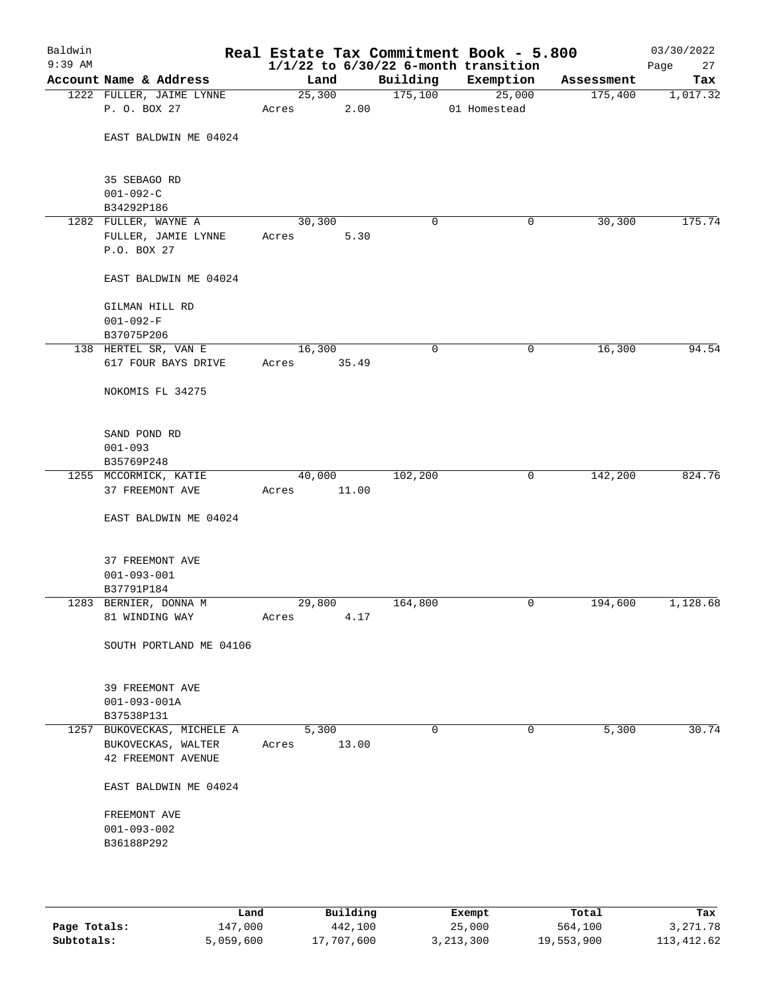| Baldwin<br>$9:39$ AM |                                                            |                 |        |             | Real Estate Tax Commitment Book - 5.800<br>$1/1/22$ to $6/30/22$ 6-month transition |            | 03/30/2022<br>27<br>Page |
|----------------------|------------------------------------------------------------|-----------------|--------|-------------|-------------------------------------------------------------------------------------|------------|--------------------------|
|                      | Account Name & Address                                     | Land            |        | Building    | Exemption                                                                           | Assessment | Tax                      |
|                      | 1222 FULLER, JAIME LYNNE                                   |                 | 25,300 | 175,100     | 25,000                                                                              | 175,400    | 1,017.32                 |
|                      | P. O. BOX 27                                               | Acres           | 2.00   |             | 01 Homestead                                                                        |            |                          |
|                      | EAST BALDWIN ME 04024                                      |                 |        |             |                                                                                     |            |                          |
|                      | 35 SEBAGO RD<br>$001 - 092 - C$                            |                 |        |             |                                                                                     |            |                          |
|                      | B34292P186                                                 |                 |        |             |                                                                                     |            |                          |
|                      | 1282 FULLER, WAYNE A<br>FULLER, JAMIE LYNNE<br>P.O. BOX 27 | 30,300<br>Acres | 5.30   | 0           | 0                                                                                   | 30,300     | 175.74                   |
|                      | EAST BALDWIN ME 04024                                      |                 |        |             |                                                                                     |            |                          |
|                      | GILMAN HILL RD<br>$001 - 092 - F$<br>B37075P206            |                 |        |             |                                                                                     |            |                          |
|                      | 138 HERTEL SR, VAN E                                       | 16,300          |        | 0           | 0                                                                                   | 16,300     | 94.54                    |
|                      | 617 FOUR BAYS DRIVE                                        | Acres           | 35.49  |             |                                                                                     |            |                          |
|                      | NOKOMIS FL 34275                                           |                 |        |             |                                                                                     |            |                          |
|                      | SAND POND RD                                               |                 |        |             |                                                                                     |            |                          |
|                      | $001 - 093$<br>B35769P248                                  |                 |        |             |                                                                                     |            |                          |
|                      | 1255 MCCORMICK, KATIE                                      | 40,000          |        | 102,200     | 0                                                                                   | 142,200    | 824.76                   |
|                      | 37 FREEMONT AVE                                            | Acres 11.00     |        |             |                                                                                     |            |                          |
|                      | EAST BALDWIN ME 04024                                      |                 |        |             |                                                                                     |            |                          |
|                      | 37 FREEMONT AVE<br>$001 - 093 - 001$                       |                 |        |             |                                                                                     |            |                          |
|                      | B37791P184                                                 |                 |        |             |                                                                                     |            |                          |
|                      | 1283 BERNIER, DONNA M                                      | 29,800          |        | 164,800     | 0                                                                                   | 194,600    | 1,128.68                 |
|                      | 81 WINDING WAY                                             | Acres           | 4.17   |             |                                                                                     |            |                          |
|                      | SOUTH PORTLAND ME 04106                                    |                 |        |             |                                                                                     |            |                          |
|                      | 39 FREEMONT AVE<br>$001 - 093 - 001A$<br>B37538P131        |                 |        |             |                                                                                     |            |                          |
|                      | 1257 BUKOVECKAS, MICHELE A                                 | 5,300           |        | $\mathbf 0$ | 0                                                                                   | 5,300      | 30.74                    |
|                      | BUKOVECKAS, WALTER<br>42 FREEMONT AVENUE                   | Acres           | 13.00  |             |                                                                                     |            |                          |
|                      | EAST BALDWIN ME 04024                                      |                 |        |             |                                                                                     |            |                          |
|                      | FREEMONT AVE                                               |                 |        |             |                                                                                     |            |                          |
|                      | $001 - 093 - 002$                                          |                 |        |             |                                                                                     |            |                          |
|                      | B36188P292                                                 |                 |        |             |                                                                                     |            |                          |
|                      |                                                            |                 |        |             |                                                                                     |            |                          |
|                      |                                                            |                 |        |             |                                                                                     |            |                          |
|                      |                                                            |                 |        |             |                                                                                     |            |                          |

|              | Land      | Building   | Exempt    | Total      | Tax        |
|--------------|-----------|------------|-----------|------------|------------|
| Page Totals: | 147,000   | 442,100    | 25,000    | 564,100    | 3, 271, 78 |
| Subtotals:   | 5,059,600 | 17,707,600 | 3,213,300 | 19,553,900 | 113,412.62 |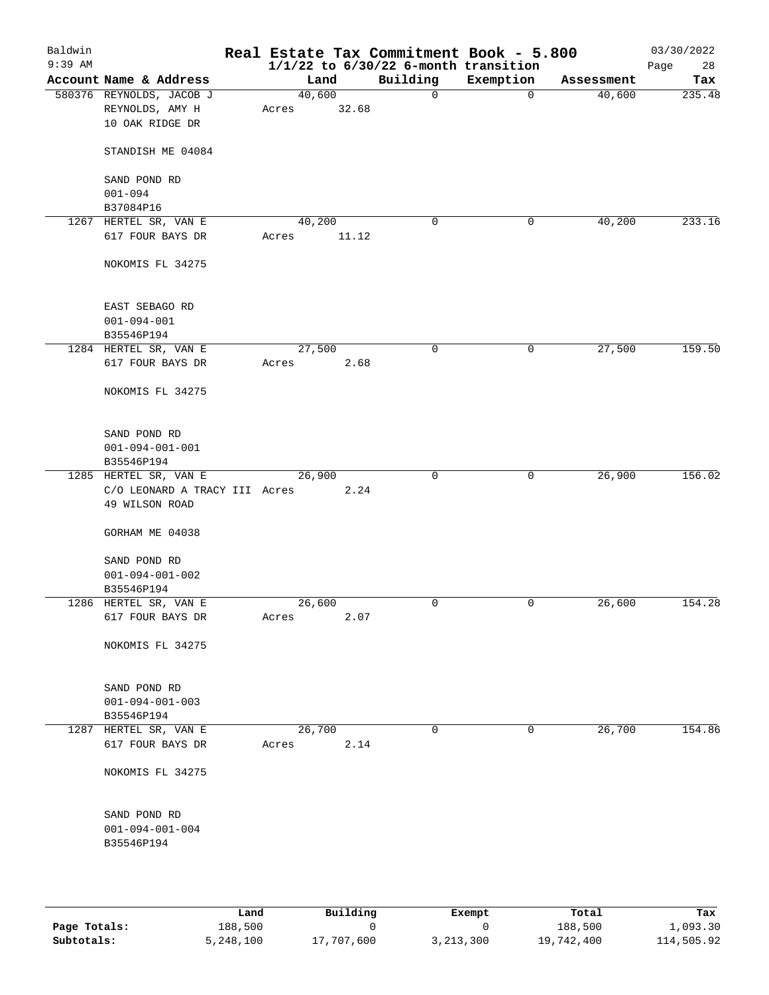| Baldwin<br>$9:39$ AM |                                                 |        |       | Real Estate Tax Commitment Book - 5.800<br>$1/1/22$ to $6/30/22$ 6-month transition |             |            | 03/30/2022<br>Page<br>28 |
|----------------------|-------------------------------------------------|--------|-------|-------------------------------------------------------------------------------------|-------------|------------|--------------------------|
|                      | Account Name & Address                          | Land   |       | Building                                                                            | Exemption   | Assessment | Tax                      |
|                      | 580376 REYNOLDS, JACOB J                        | 40,600 |       | $\mathbf 0$                                                                         | $\mathbf 0$ | 40,600     | 235.48                   |
|                      | REYNOLDS, AMY H<br>10 OAK RIDGE DR              | Acres  | 32.68 |                                                                                     |             |            |                          |
|                      | STANDISH ME 04084                               |        |       |                                                                                     |             |            |                          |
|                      | SAND POND RD<br>$001 - 094$                     |        |       |                                                                                     |             |            |                          |
|                      | B37084P16                                       |        |       |                                                                                     |             |            |                          |
|                      | 1267 HERTEL SR, VAN E                           | 40,200 |       | 0                                                                                   | 0           | 40,200     | 233.16                   |
|                      | 617 FOUR BAYS DR                                | Acres  | 11.12 |                                                                                     |             |            |                          |
|                      | NOKOMIS FL 34275                                |        |       |                                                                                     |             |            |                          |
|                      | EAST SEBAGO RD                                  |        |       |                                                                                     |             |            |                          |
|                      | $001 - 094 - 001$                               |        |       |                                                                                     |             |            |                          |
|                      | B35546P194                                      |        |       |                                                                                     |             |            |                          |
|                      | 1284 HERTEL SR, VAN E                           | 27,500 |       | 0                                                                                   | 0           | 27,500     | 159.50                   |
|                      | 617 FOUR BAYS DR                                | Acres  | 2.68  |                                                                                     |             |            |                          |
|                      | NOKOMIS FL 34275                                |        |       |                                                                                     |             |            |                          |
|                      | SAND POND RD                                    |        |       |                                                                                     |             |            |                          |
|                      | $001 - 094 - 001 - 001$                         |        |       |                                                                                     |             |            |                          |
|                      | B35546P194                                      |        |       |                                                                                     |             |            |                          |
|                      | 1285 HERTEL SR, VAN E                           | 26,900 |       | $\mathbf 0$                                                                         | 0           | 26,900     | 156.02                   |
|                      | C/O LEONARD A TRACY III Acres<br>49 WILSON ROAD |        | 2.24  |                                                                                     |             |            |                          |
|                      | GORHAM ME 04038                                 |        |       |                                                                                     |             |            |                          |
|                      | SAND POND RD                                    |        |       |                                                                                     |             |            |                          |
|                      | $001 - 094 - 001 - 002$                         |        |       |                                                                                     |             |            |                          |
|                      | B35546P194                                      |        |       |                                                                                     |             |            |                          |
|                      | 1286 HERTEL SR, VAN E                           | 26,600 |       | 0                                                                                   | 0           | 26,600     | 154.28                   |
|                      | 617 FOUR BAYS DR                                | Acres  | 2.07  |                                                                                     |             |            |                          |
|                      | NOKOMIS FL 34275                                |        |       |                                                                                     |             |            |                          |
|                      | SAND POND RD                                    |        |       |                                                                                     |             |            |                          |
|                      | $001 - 094 - 001 - 003$                         |        |       |                                                                                     |             |            |                          |
|                      | B35546P194                                      |        |       |                                                                                     |             |            |                          |
|                      | 1287 HERTEL SR, VAN E                           | 26,700 |       | $\mathbf 0$                                                                         | 0           | 26,700     | 154.86                   |
|                      | 617 FOUR BAYS DR                                | Acres  | 2.14  |                                                                                     |             |            |                          |
|                      | NOKOMIS FL 34275                                |        |       |                                                                                     |             |            |                          |
|                      | SAND POND RD                                    |        |       |                                                                                     |             |            |                          |
|                      | $001 - 094 - 001 - 004$                         |        |       |                                                                                     |             |            |                          |
|                      | B35546P194                                      |        |       |                                                                                     |             |            |                          |
|                      |                                                 |        |       |                                                                                     |             |            |                          |
|                      |                                                 |        |       |                                                                                     |             |            |                          |

|              | Land      | Building   | Exempt    | Total      | Tax        |
|--------------|-----------|------------|-----------|------------|------------|
| Page Totals: | 188,500   |            |           | 188,500    | 1,093.30   |
| Subtotals:   | 5,248,100 | 17,707,600 | 3,213,300 | 19,742,400 | 114,505.92 |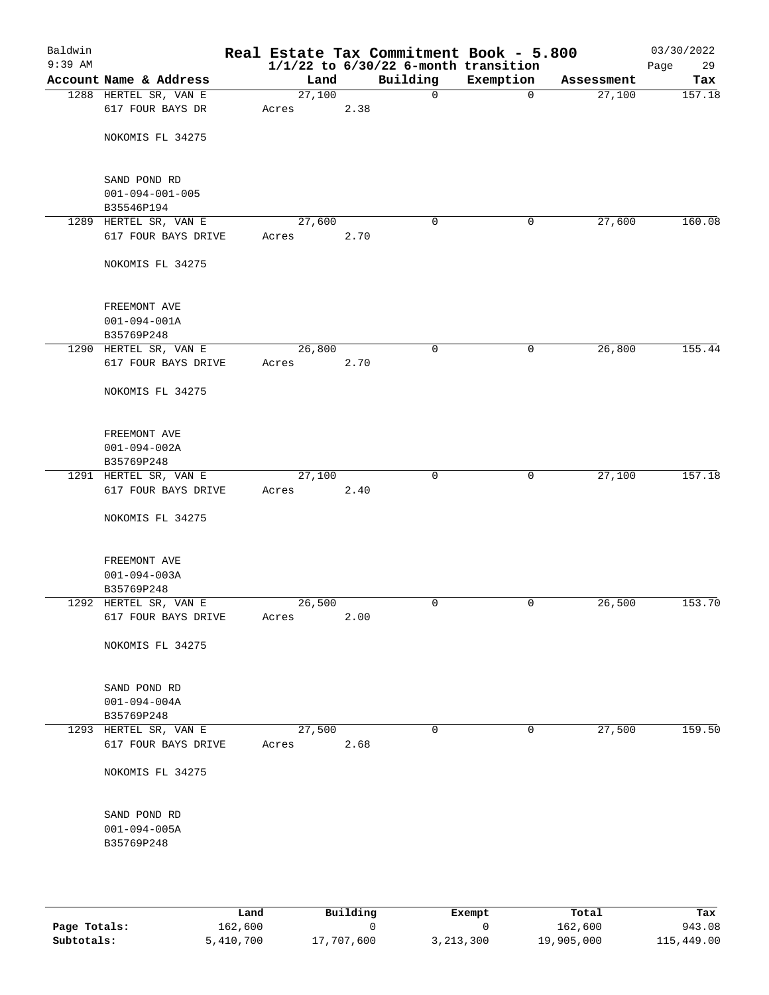| Baldwin<br>$9:39$ AM |                         |        |      | Real Estate Tax Commitment Book - 5.800<br>$1/1/22$ to $6/30/22$ 6-month transition |             |            | 03/30/2022<br>Page<br>29 |
|----------------------|-------------------------|--------|------|-------------------------------------------------------------------------------------|-------------|------------|--------------------------|
|                      | Account Name & Address  | Land   |      | Building                                                                            | Exemption   | Assessment | Tax                      |
|                      | 1288 HERTEL SR, VAN E   | 27,100 |      | $\mathbf 0$                                                                         | $\mathbf 0$ | 27,100     | 157.18                   |
|                      | 617 FOUR BAYS DR        | Acres  | 2.38 |                                                                                     |             |            |                          |
|                      | NOKOMIS FL 34275        |        |      |                                                                                     |             |            |                          |
|                      | SAND POND RD            |        |      |                                                                                     |             |            |                          |
|                      | $001 - 094 - 001 - 005$ |        |      |                                                                                     |             |            |                          |
|                      | B35546P194              |        |      |                                                                                     |             |            |                          |
|                      | 1289 HERTEL SR, VAN E   | 27,600 |      | 0                                                                                   | 0           | 27,600     | 160.08                   |
|                      | 617 FOUR BAYS DRIVE     | Acres  | 2.70 |                                                                                     |             |            |                          |
|                      | NOKOMIS FL 34275        |        |      |                                                                                     |             |            |                          |
|                      | FREEMONT AVE            |        |      |                                                                                     |             |            |                          |
|                      | $001 - 094 - 001A$      |        |      |                                                                                     |             |            |                          |
|                      | B35769P248              |        |      |                                                                                     |             |            |                          |
|                      | 1290 HERTEL SR, VAN E   | 26,800 |      | 0                                                                                   | 0           | 26,800     | 155.44                   |
|                      | 617 FOUR BAYS DRIVE     | Acres  | 2.70 |                                                                                     |             |            |                          |
|                      | NOKOMIS FL 34275        |        |      |                                                                                     |             |            |                          |
|                      | FREEMONT AVE            |        |      |                                                                                     |             |            |                          |
|                      | $001 - 094 - 002A$      |        |      |                                                                                     |             |            |                          |
|                      | B35769P248              |        |      |                                                                                     |             |            |                          |
|                      | 1291 HERTEL SR, VAN E   | 27,100 |      | $\mathbf 0$                                                                         | 0           | 27,100     | 157.18                   |
|                      | 617 FOUR BAYS DRIVE     | Acres  | 2.40 |                                                                                     |             |            |                          |
|                      | NOKOMIS FL 34275        |        |      |                                                                                     |             |            |                          |
|                      | FREEMONT AVE            |        |      |                                                                                     |             |            |                          |
|                      | $001 - 094 - 003A$      |        |      |                                                                                     |             |            |                          |
|                      | B35769P248              |        |      |                                                                                     |             |            |                          |
|                      | 1292 HERTEL SR, VAN E   | 26,500 |      | $\mathbf 0$                                                                         | 0           | 26,500     | 153.70                   |
|                      | 617 FOUR BAYS DRIVE     | Acres  | 2.00 |                                                                                     |             |            |                          |
|                      | NOKOMIS FL 34275        |        |      |                                                                                     |             |            |                          |
|                      | SAND POND RD            |        |      |                                                                                     |             |            |                          |
|                      | $001 - 094 - 004A$      |        |      |                                                                                     |             |            |                          |
|                      | B35769P248              |        |      |                                                                                     |             |            |                          |
|                      | 1293 HERTEL SR, VAN E   | 27,500 |      | $\mathbf 0$                                                                         | 0           | 27,500     | 159.50                   |
|                      | 617 FOUR BAYS DRIVE     | Acres  | 2.68 |                                                                                     |             |            |                          |
|                      | NOKOMIS FL 34275        |        |      |                                                                                     |             |            |                          |
|                      | SAND POND RD            |        |      |                                                                                     |             |            |                          |
|                      | $001 - 094 - 005A$      |        |      |                                                                                     |             |            |                          |
|                      | B35769P248              |        |      |                                                                                     |             |            |                          |
|                      |                         |        |      |                                                                                     |             |            |                          |
|                      |                         |        |      |                                                                                     |             |            |                          |

|              | Land      | Building   | Exempt      | Total      | Tax        |  |
|--------------|-----------|------------|-------------|------------|------------|--|
| Page Totals: | 162,600   |            |             | 162,600    | 943.08     |  |
| Subtotals:   | 5,410,700 | 17,707,600 | 3, 213, 300 | 19,905,000 | 115,449.00 |  |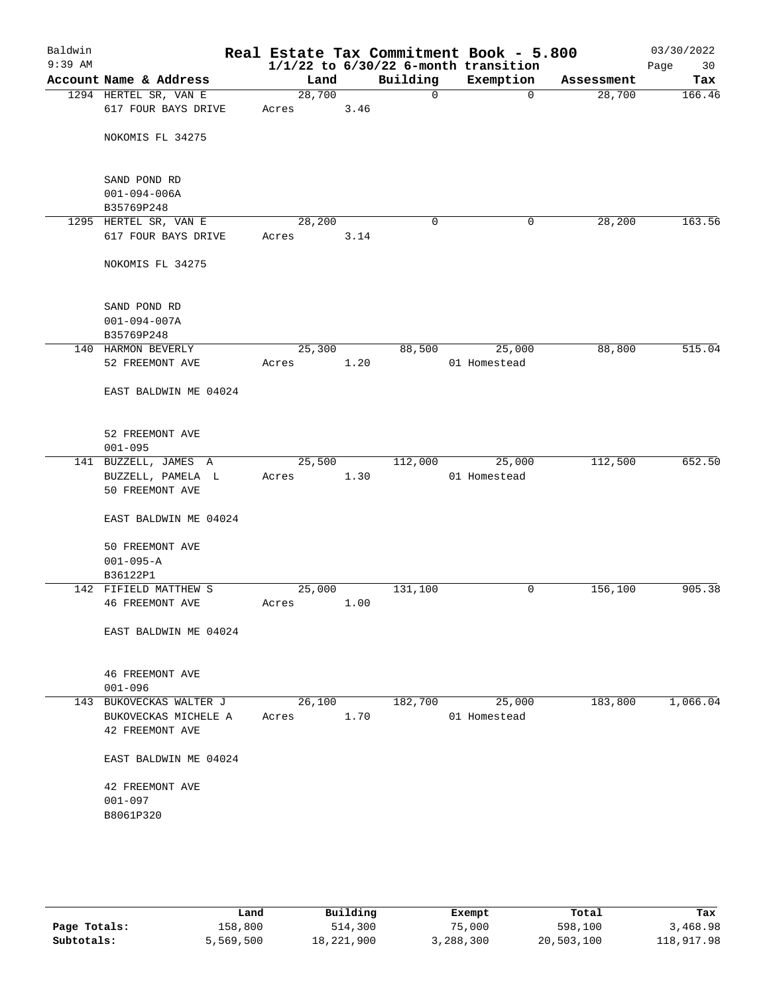|                                       |                                                                                                                                                                                                                                           |                                                        | Real Estate Tax Commitment Book - 5.800                                                      |                                                  | 03/30/2022<br>Page<br>30                                                           |
|---------------------------------------|-------------------------------------------------------------------------------------------------------------------------------------------------------------------------------------------------------------------------------------------|--------------------------------------------------------|----------------------------------------------------------------------------------------------|--------------------------------------------------|------------------------------------------------------------------------------------|
| Account Name & Address                |                                                                                                                                                                                                                                           |                                                        | Exemption                                                                                    | Assessment                                       | Tax                                                                                |
| 1294 HERTEL SR, VAN E                 |                                                                                                                                                                                                                                           | 0                                                      | 0                                                                                            | 28,700                                           | 166.46                                                                             |
| 617 FOUR BAYS DRIVE                   | Acres                                                                                                                                                                                                                                     |                                                        |                                                                                              |                                                  |                                                                                    |
| NOKOMIS FL 34275                      |                                                                                                                                                                                                                                           |                                                        |                                                                                              |                                                  |                                                                                    |
|                                       |                                                                                                                                                                                                                                           |                                                        |                                                                                              |                                                  |                                                                                    |
|                                       |                                                                                                                                                                                                                                           |                                                        |                                                                                              |                                                  |                                                                                    |
|                                       |                                                                                                                                                                                                                                           |                                                        |                                                                                              |                                                  |                                                                                    |
|                                       |                                                                                                                                                                                                                                           |                                                        |                                                                                              |                                                  | 163.56                                                                             |
| 617 FOUR BAYS DRIVE                   | Acres                                                                                                                                                                                                                                     |                                                        |                                                                                              |                                                  |                                                                                    |
| NOKOMIS FL 34275                      |                                                                                                                                                                                                                                           |                                                        |                                                                                              |                                                  |                                                                                    |
| SAND POND RD                          |                                                                                                                                                                                                                                           |                                                        |                                                                                              |                                                  |                                                                                    |
|                                       |                                                                                                                                                                                                                                           |                                                        |                                                                                              |                                                  |                                                                                    |
|                                       |                                                                                                                                                                                                                                           |                                                        |                                                                                              |                                                  |                                                                                    |
|                                       |                                                                                                                                                                                                                                           |                                                        |                                                                                              |                                                  | 515.04                                                                             |
| 52 FREEMONT AVE                       | Acres                                                                                                                                                                                                                                     |                                                        | 01 Homestead                                                                                 |                                                  |                                                                                    |
| EAST BALDWIN ME 04024                 |                                                                                                                                                                                                                                           |                                                        |                                                                                              |                                                  |                                                                                    |
| 52 FREEMONT AVE                       |                                                                                                                                                                                                                                           |                                                        |                                                                                              |                                                  |                                                                                    |
|                                       |                                                                                                                                                                                                                                           |                                                        |                                                                                              |                                                  |                                                                                    |
| BUZZELL, PAMELA L<br>50 FREEMONT AVE  | Acres                                                                                                                                                                                                                                     |                                                        | 01 Homestead                                                                                 |                                                  | 652.50                                                                             |
| EAST BALDWIN ME 04024                 |                                                                                                                                                                                                                                           |                                                        |                                                                                              |                                                  |                                                                                    |
| 50 FREEMONT AVE<br>$001 - 095 - A$    |                                                                                                                                                                                                                                           |                                                        |                                                                                              |                                                  |                                                                                    |
|                                       |                                                                                                                                                                                                                                           |                                                        |                                                                                              |                                                  |                                                                                    |
|                                       |                                                                                                                                                                                                                                           |                                                        |                                                                                              |                                                  | 905.38                                                                             |
|                                       | Acres                                                                                                                                                                                                                                     |                                                        |                                                                                              |                                                  |                                                                                    |
| EAST BALDWIN ME 04024                 |                                                                                                                                                                                                                                           |                                                        |                                                                                              |                                                  |                                                                                    |
| <b>46 FREEMONT AVE</b><br>$001 - 096$ |                                                                                                                                                                                                                                           |                                                        |                                                                                              |                                                  |                                                                                    |
| 143 BUKOVECKAS WALTER J               |                                                                                                                                                                                                                                           |                                                        | 25,000                                                                                       | 183,800                                          | 1,066.04                                                                           |
| BUKOVECKAS MICHELE A                  | Acres                                                                                                                                                                                                                                     |                                                        | 01 Homestead                                                                                 |                                                  |                                                                                    |
| 42 FREEMONT AVE                       |                                                                                                                                                                                                                                           |                                                        |                                                                                              |                                                  |                                                                                    |
| EAST BALDWIN ME 04024                 |                                                                                                                                                                                                                                           |                                                        |                                                                                              |                                                  |                                                                                    |
| 42 FREEMONT AVE<br>$001 - 097$        |                                                                                                                                                                                                                                           |                                                        |                                                                                              |                                                  |                                                                                    |
|                                       | SAND POND RD<br>$001 - 094 - 006A$<br>B35769P248<br>1295 HERTEL SR, VAN E<br>$001 - 094 - 007A$<br>B35769P248<br>140 HARMON BEVERLY<br>$001 - 095$<br>141 BUZZELL, JAMES A<br>B36122P1<br>142 FIFIELD MATTHEW S<br><b>46 FREEMONT AVE</b> | Land<br>28,700<br>28,200<br>25,300<br>25,500<br>25,000 | Building<br>3.46<br>0<br>3.14<br>88,500<br>1.20<br>1.30<br>131,100<br>1.00<br>26,100<br>1.70 | 0<br>25,000<br>112,000<br>25,000<br>0<br>182,700 | $1/1/22$ to $6/30/22$ 6-month transition<br>28,200<br>88,800<br>112,500<br>156,100 |

|              | Land      | Building   | Exempt    | Total      | Tax        |
|--------------|-----------|------------|-----------|------------|------------|
| Page Totals: | 158,800   | 514,300    | 75,000    | 598,100    | 3,468.98   |
| Subtotals:   | 5,569,500 | 18,221,900 | 3,288,300 | 20,503,100 | 118,917.98 |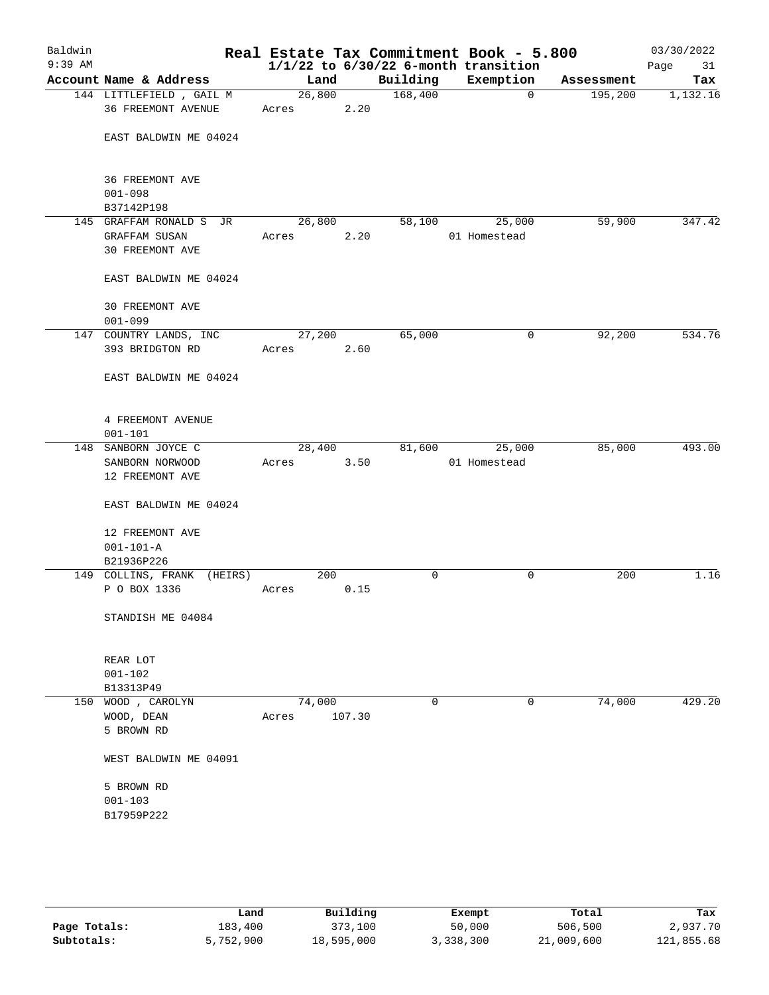| Baldwin<br>$9:39$ AM |                            |        |        |          | Real Estate Tax Commitment Book - 5.800<br>$1/1/22$ to $6/30/22$ 6-month transition |            | 03/30/2022<br>Page<br>31 |
|----------------------|----------------------------|--------|--------|----------|-------------------------------------------------------------------------------------|------------|--------------------------|
|                      | Account Name & Address     | Land   |        | Building | Exemption                                                                           | Assessment | Tax                      |
|                      | 144 LITTLEFIELD, GAIL M    | 26,800 |        | 168,400  | $\mathbf 0$                                                                         | 195,200    | 1,132.16                 |
|                      | 36 FREEMONT AVENUE         | Acres  | 2.20   |          |                                                                                     |            |                          |
|                      |                            |        |        |          |                                                                                     |            |                          |
|                      | EAST BALDWIN ME 04024      |        |        |          |                                                                                     |            |                          |
|                      |                            |        |        |          |                                                                                     |            |                          |
|                      | 36 FREEMONT AVE            |        |        |          |                                                                                     |            |                          |
|                      | $001 - 098$                |        |        |          |                                                                                     |            |                          |
|                      | B37142P198                 |        |        |          |                                                                                     |            |                          |
|                      | 145 GRAFFAM RONALD S JR    | 26,800 |        | 58,100   | 25,000                                                                              | 59,900     | 347.42                   |
|                      | <b>GRAFFAM SUSAN</b>       | Acres  | 2.20   |          | 01 Homestead                                                                        |            |                          |
|                      | 30 FREEMONT AVE            |        |        |          |                                                                                     |            |                          |
|                      |                            |        |        |          |                                                                                     |            |                          |
|                      | EAST BALDWIN ME 04024      |        |        |          |                                                                                     |            |                          |
|                      |                            |        |        |          |                                                                                     |            |                          |
|                      | 30 FREEMONT AVE            |        |        |          |                                                                                     |            |                          |
|                      | $001 - 099$                |        |        |          |                                                                                     |            |                          |
|                      | 147 COUNTRY LANDS, INC     | 27,200 |        | 65,000   | 0                                                                                   | 92,200     | 534.76                   |
|                      | 393 BRIDGTON RD            | Acres  | 2.60   |          |                                                                                     |            |                          |
|                      |                            |        |        |          |                                                                                     |            |                          |
|                      | EAST BALDWIN ME 04024      |        |        |          |                                                                                     |            |                          |
|                      |                            |        |        |          |                                                                                     |            |                          |
|                      | 4 FREEMONT AVENUE          |        |        |          |                                                                                     |            |                          |
|                      | $001 - 101$                |        |        |          |                                                                                     |            |                          |
|                      | 148 SANBORN JOYCE C        | 28,400 |        | 81,600   | 25,000                                                                              | 85,000     | 493.00                   |
|                      | SANBORN NORWOOD            | Acres  | 3.50   |          | 01 Homestead                                                                        |            |                          |
|                      | 12 FREEMONT AVE            |        |        |          |                                                                                     |            |                          |
|                      |                            |        |        |          |                                                                                     |            |                          |
|                      | EAST BALDWIN ME 04024      |        |        |          |                                                                                     |            |                          |
|                      |                            |        |        |          |                                                                                     |            |                          |
|                      | 12 FREEMONT AVE            |        |        |          |                                                                                     |            |                          |
|                      | $001 - 101 - A$            |        |        |          |                                                                                     |            |                          |
|                      | B21936P226                 |        |        |          |                                                                                     |            |                          |
|                      | 149 COLLINS, FRANK (HEIRS) | 200    |        | 0        | 0                                                                                   | 200        | 1.16                     |
|                      | P O BOX 1336               | Acres  | 0.15   |          |                                                                                     |            |                          |
|                      |                            |        |        |          |                                                                                     |            |                          |
|                      | STANDISH ME 04084          |        |        |          |                                                                                     |            |                          |
|                      |                            |        |        |          |                                                                                     |            |                          |
|                      | REAR LOT                   |        |        |          |                                                                                     |            |                          |
|                      | $001 - 102$                |        |        |          |                                                                                     |            |                          |
|                      | B13313P49                  |        |        |          |                                                                                     |            |                          |
|                      | 150 WOOD , CAROLYN         | 74,000 |        | 0        | 0                                                                                   | 74,000     | 429.20                   |
|                      | WOOD, DEAN                 | Acres  | 107.30 |          |                                                                                     |            |                          |
|                      | 5 BROWN RD                 |        |        |          |                                                                                     |            |                          |
|                      |                            |        |        |          |                                                                                     |            |                          |
|                      | WEST BALDWIN ME 04091      |        |        |          |                                                                                     |            |                          |
|                      | 5 BROWN RD                 |        |        |          |                                                                                     |            |                          |
|                      | $001 - 103$                |        |        |          |                                                                                     |            |                          |
|                      |                            |        |        |          |                                                                                     |            |                          |
|                      | B17959P222                 |        |        |          |                                                                                     |            |                          |
|                      |                            |        |        |          |                                                                                     |            |                          |
|                      |                            |        |        |          |                                                                                     |            |                          |

|              | Land      | Building   | Exempt    | Total      | Tax        |  |  |
|--------------|-----------|------------|-----------|------------|------------|--|--|
| Page Totals: | 183,400   | 373,100    | 50,000    | 506,500    | 2,937.70   |  |  |
| Subtotals:   | 5,752,900 | 18,595,000 | 3,338,300 | 21,009,600 | 121,855.68 |  |  |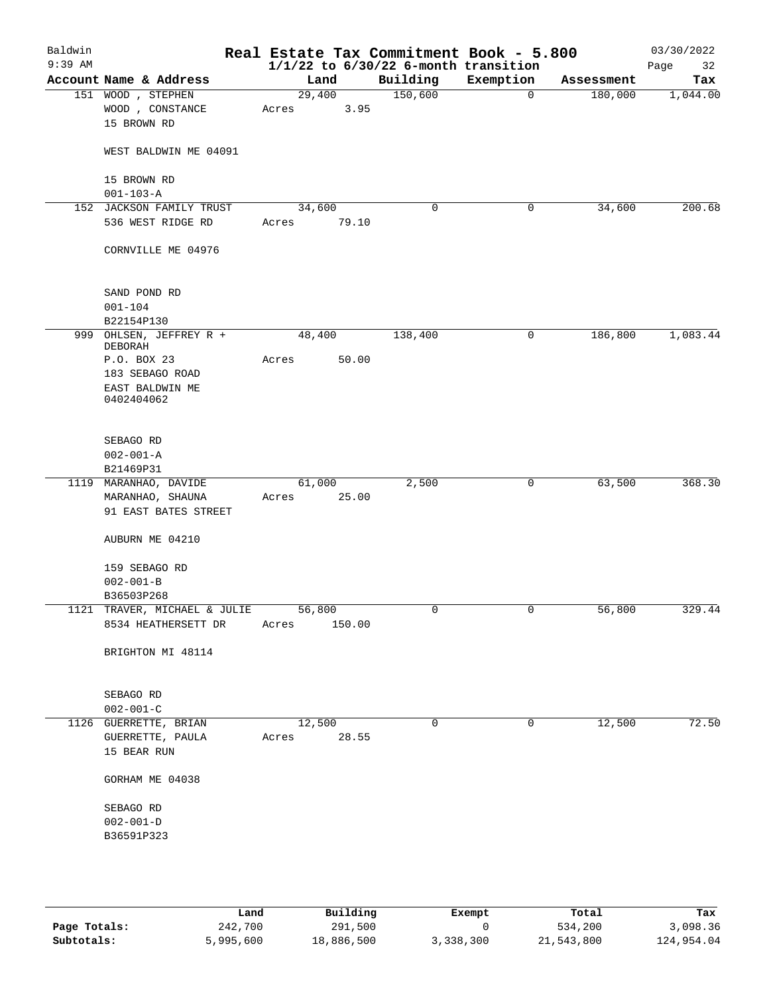| Baldwin<br>$9:39$ AM |                                                     |                 |        | $1/1/22$ to $6/30/22$ 6-month transition | Real Estate Tax Commitment Book - 5.800 |            | 03/30/2022<br>Page<br>32 |
|----------------------|-----------------------------------------------------|-----------------|--------|------------------------------------------|-----------------------------------------|------------|--------------------------|
|                      | Account Name & Address                              |                 | Land   | Building                                 | Exemption                               | Assessment | Tax                      |
|                      | 151 WOOD , STEPHEN                                  | 29,400          |        | 150,600                                  | $\mathbf 0$                             | 180,000    | 1,044.00                 |
|                      | WOOD, CONSTANCE<br>15 BROWN RD                      | Acres           | 3.95   |                                          |                                         |            |                          |
|                      | WEST BALDWIN ME 04091                               |                 |        |                                          |                                         |            |                          |
|                      | 15 BROWN RD                                         |                 |        |                                          |                                         |            |                          |
|                      | $001 - 103 - A$                                     |                 |        |                                          |                                         |            |                          |
|                      | 152 JACKSON FAMILY TRUST                            | 34,600          |        | 0                                        | 0                                       | 34,600     | 200.68                   |
|                      | 536 WEST RIDGE RD                                   | Acres           | 79.10  |                                          |                                         |            |                          |
|                      | CORNVILLE ME 04976                                  |                 |        |                                          |                                         |            |                          |
|                      | SAND POND RD                                        |                 |        |                                          |                                         |            |                          |
|                      | $001 - 104$                                         |                 |        |                                          |                                         |            |                          |
|                      | B22154P130                                          |                 |        |                                          |                                         |            |                          |
|                      | 999 OHLSEN, JEFFREY R +<br>DEBORAH                  | 48,400          |        | 138,400                                  | 0                                       | 186,800    | 1,083.44                 |
|                      | P.O. BOX 23                                         | Acres           | 50.00  |                                          |                                         |            |                          |
|                      | 183 SEBAGO ROAD                                     |                 |        |                                          |                                         |            |                          |
|                      | EAST BALDWIN ME<br>0402404062                       |                 |        |                                          |                                         |            |                          |
|                      | SEBAGO RD                                           |                 |        |                                          |                                         |            |                          |
|                      | $002 - 001 - A$                                     |                 |        |                                          |                                         |            |                          |
|                      | B21469P31                                           |                 |        |                                          |                                         |            |                          |
|                      | 1119 MARANHAO, DAVIDE                               | 61,000          |        | 2,500                                    | $\mathsf{O}$                            | 63,500     | 368.30                   |
|                      | MARANHAO, SHAUNA                                    | Acres           | 25.00  |                                          |                                         |            |                          |
|                      | 91 EAST BATES STREET                                |                 |        |                                          |                                         |            |                          |
|                      | AUBURN ME 04210                                     |                 |        |                                          |                                         |            |                          |
|                      | 159 SEBAGO RD                                       |                 |        |                                          |                                         |            |                          |
|                      | $002 - 001 - B$                                     |                 |        |                                          |                                         |            |                          |
|                      |                                                     |                 |        |                                          |                                         |            |                          |
|                      | B36503P268                                          |                 |        |                                          |                                         |            |                          |
|                      | 1121 TRAVER, MICHAEL & JULIE<br>8534 HEATHERSETT DR | 56,800<br>Acres | 150.00 |                                          | 0                                       | 56,800     | 329.44                   |
|                      | BRIGHTON MI 48114                                   |                 |        |                                          |                                         |            |                          |
|                      | SEBAGO RD                                           |                 |        |                                          |                                         |            |                          |
|                      | $002 - 001 - C$                                     |                 |        |                                          |                                         |            |                          |
|                      | 1126 GUERRETTE, BRIAN                               | 12,500          |        | $\Omega$                                 | $\mathbf 0$                             | 12,500     | 72.50                    |
|                      | GUERRETTE, PAULA<br>15 BEAR RUN                     | Acres 28.55     |        |                                          |                                         |            |                          |
|                      | GORHAM ME 04038                                     |                 |        |                                          |                                         |            |                          |
|                      |                                                     |                 |        |                                          |                                         |            |                          |
|                      | SEBAGO RD                                           |                 |        |                                          |                                         |            |                          |
|                      | $002 - 001 - D$                                     |                 |        |                                          |                                         |            |                          |
|                      | B36591P323                                          |                 |        |                                          |                                         |            |                          |
|                      |                                                     |                 |        |                                          |                                         |            |                          |

|              | Land      | Building   | Exempt    | Total      | Tax        |
|--------------|-----------|------------|-----------|------------|------------|
| Page Totals: | 242,700   | 291,500    |           | 534,200    | 3,098.36   |
| Subtotals:   | 5,995,600 | 18,886,500 | 3,338,300 | 21,543,800 | 124,954.04 |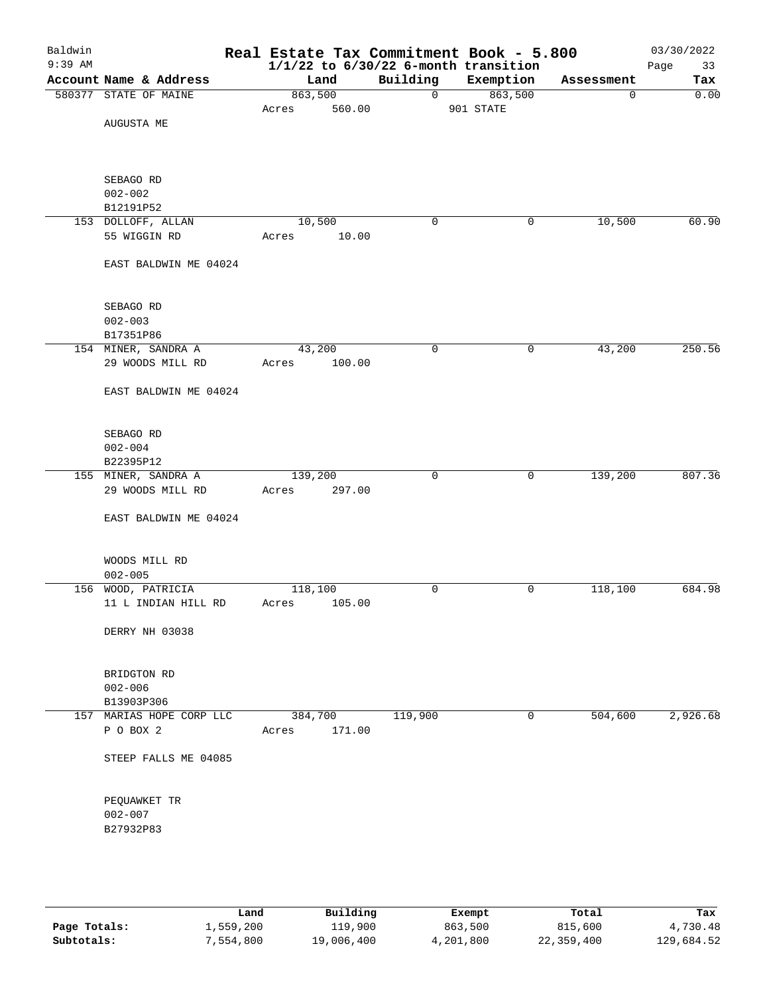| Baldwin<br>$9:39$ AM |                          | Real Estate Tax Commitment Book - 5.800 |                | $1/1/22$ to $6/30/22$ 6-month transition |            | 03/30/2022<br>Page<br>33 |
|----------------------|--------------------------|-----------------------------------------|----------------|------------------------------------------|------------|--------------------------|
|                      | Account Name & Address   | Land                                    | Building       | Exemption                                | Assessment | Tax                      |
|                      | 580377 STATE OF MAINE    | 863,500                                 | $\overline{0}$ | 863,500                                  | 0          | 0.00                     |
|                      |                          | 560.00<br>Acres                         |                | 901 STATE                                |            |                          |
|                      | AUGUSTA ME               |                                         |                |                                          |            |                          |
|                      |                          |                                         |                |                                          |            |                          |
|                      |                          |                                         |                |                                          |            |                          |
|                      |                          |                                         |                |                                          |            |                          |
|                      | SEBAGO RD                |                                         |                |                                          |            |                          |
|                      | $002 - 002$<br>B12191P52 |                                         |                |                                          |            |                          |
|                      | 153 DOLLOFF, ALLAN       | 10,500                                  | $\mathbf 0$    | 0                                        | 10,500     | 60.90                    |
|                      | 55 WIGGIN RD             | 10.00<br>Acres                          |                |                                          |            |                          |
|                      |                          |                                         |                |                                          |            |                          |
|                      | EAST BALDWIN ME 04024    |                                         |                |                                          |            |                          |
|                      |                          |                                         |                |                                          |            |                          |
|                      |                          |                                         |                |                                          |            |                          |
|                      | SEBAGO RD                |                                         |                |                                          |            |                          |
|                      | $002 - 003$              |                                         |                |                                          |            |                          |
|                      | B17351P86                |                                         |                |                                          |            |                          |
|                      | 154 MINER, SANDRA A      | 43,200                                  | $\mathbf 0$    | 0                                        | 43,200     | 250.56                   |
|                      | 29 WOODS MILL RD         | 100.00<br>Acres                         |                |                                          |            |                          |
|                      |                          |                                         |                |                                          |            |                          |
|                      | EAST BALDWIN ME 04024    |                                         |                |                                          |            |                          |
|                      |                          |                                         |                |                                          |            |                          |
|                      | SEBAGO RD                |                                         |                |                                          |            |                          |
|                      | $002 - 004$              |                                         |                |                                          |            |                          |
|                      | B22395P12                |                                         |                |                                          |            |                          |
|                      | 155 MINER, SANDRA A      | 139,200                                 | 0              | 0                                        | 139,200    | 807.36                   |
|                      | 29 WOODS MILL RD         | 297.00<br>Acres                         |                |                                          |            |                          |
|                      |                          |                                         |                |                                          |            |                          |
|                      | EAST BALDWIN ME 04024    |                                         |                |                                          |            |                          |
|                      |                          |                                         |                |                                          |            |                          |
|                      |                          |                                         |                |                                          |            |                          |
|                      | WOODS MILL RD            |                                         |                |                                          |            |                          |
|                      | $002 - 005$              |                                         |                |                                          |            |                          |
|                      | 156 WOOD, PATRICIA       | 118,100                                 | 0              | 0                                        | 118,100    | 684.98                   |
|                      | 11 L INDIAN HILL RD      | 105.00<br>Acres                         |                |                                          |            |                          |
|                      | DERRY NH 03038           |                                         |                |                                          |            |                          |
|                      |                          |                                         |                |                                          |            |                          |
|                      |                          |                                         |                |                                          |            |                          |
|                      | BRIDGTON RD              |                                         |                |                                          |            |                          |
|                      | $002 - 006$              |                                         |                |                                          |            |                          |
|                      | B13903P306               |                                         |                |                                          |            |                          |
|                      | 157 MARIAS HOPE CORP LLC | 384,700                                 | 119,900        | 0                                        | 504,600    | 2,926.68                 |
|                      | P O BOX 2                | 171.00<br>Acres                         |                |                                          |            |                          |
|                      |                          |                                         |                |                                          |            |                          |
|                      | STEEP FALLS ME 04085     |                                         |                |                                          |            |                          |
|                      |                          |                                         |                |                                          |            |                          |
|                      |                          |                                         |                |                                          |            |                          |
|                      | PEQUAWKET TR             |                                         |                |                                          |            |                          |
|                      | $002 - 007$              |                                         |                |                                          |            |                          |
|                      | B27932P83                |                                         |                |                                          |            |                          |
|                      |                          |                                         |                |                                          |            |                          |
|                      |                          |                                         |                |                                          |            |                          |
|                      |                          |                                         |                |                                          |            |                          |
|                      |                          |                                         |                |                                          |            |                          |

|              | ∟and      | Building   | Exempt    | Total      | Tax        |
|--------------|-----------|------------|-----------|------------|------------|
| Page Totals: | 1,559,200 | 119,900    | 863,500   | 815,600    | 4,730.48   |
| Subtotals:   | 7,554,800 | 19,006,400 | 4,201,800 | 22,359,400 | 129,684.52 |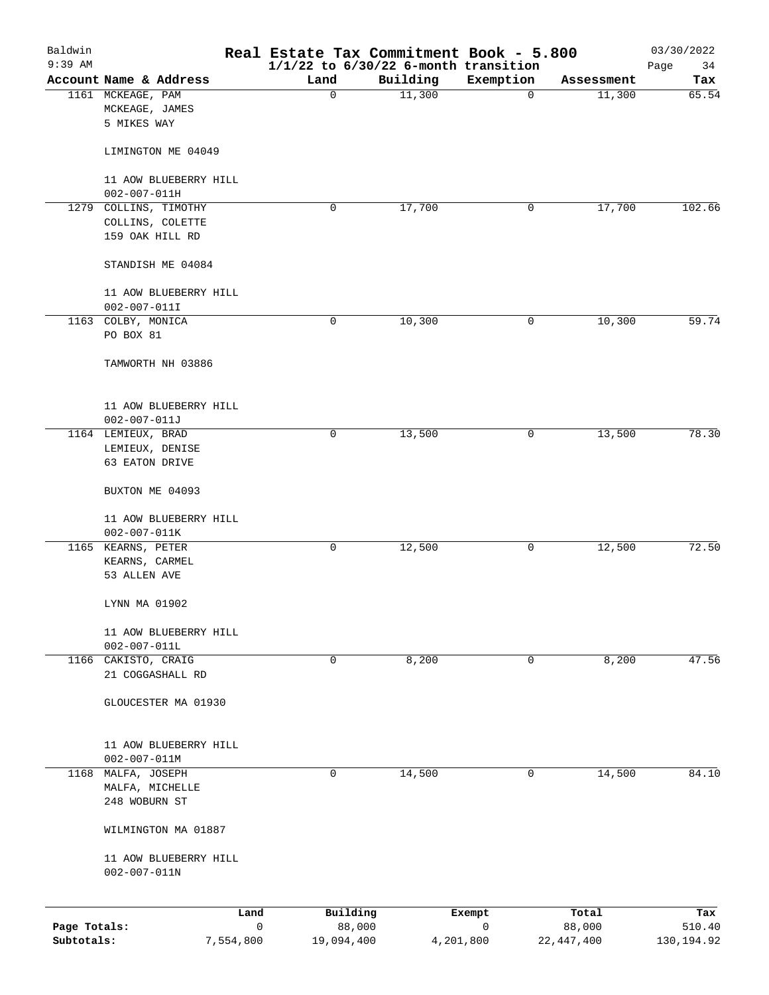| Baldwin<br>9:39 AM         |                                                    |                |             | Real Estate Tax Commitment Book - 5.800<br>$1/1/22$ to $6/30/22$ 6-month transition |             |                        | 03/30/2022<br>Page<br>34 |
|----------------------------|----------------------------------------------------|----------------|-------------|-------------------------------------------------------------------------------------|-------------|------------------------|--------------------------|
|                            | Account Name & Address                             |                | Land        | Building                                                                            | Exemption   | Assessment             | Tax                      |
|                            | 1161 MCKEAGE, PAM<br>MCKEAGE, JAMES<br>5 MIKES WAY |                | $\mathbf 0$ | 11,300                                                                              | $\mathbf 0$ | 11,300                 | 65.54                    |
|                            | LIMINGTON ME 04049                                 |                |             |                                                                                     |             |                        |                          |
|                            | 11 AOW BLUEBERRY HILL<br>$002 - 007 - 011H$        |                |             |                                                                                     |             |                        |                          |
| 1279                       | COLLINS, TIMOTHY                                   |                | 0           | 17,700                                                                              | 0           | 17,700                 | 102.66                   |
|                            | COLLINS, COLETTE<br>159 OAK HILL RD                |                |             |                                                                                     |             |                        |                          |
|                            | STANDISH ME 04084                                  |                |             |                                                                                     |             |                        |                          |
|                            | 11 AOW BLUEBERRY HILL                              |                |             |                                                                                     |             |                        |                          |
|                            | $002 - 007 - 011I$                                 |                |             |                                                                                     |             |                        |                          |
|                            | 1163 COLBY, MONICA<br>PO BOX 81                    |                | 0           | 10,300                                                                              | 0           | 10,300                 | 59.74                    |
|                            | TAMWORTH NH 03886                                  |                |             |                                                                                     |             |                        |                          |
|                            | 11 AOW BLUEBERRY HILL                              |                |             |                                                                                     |             |                        |                          |
|                            | $002 - 007 - 011J$                                 |                | 0           | 13,500                                                                              | 0           | 13,500                 | 78.30                    |
|                            | 1164 LEMIEUX, BRAD<br>LEMIEUX, DENISE              |                |             |                                                                                     |             |                        |                          |
|                            | 63 EATON DRIVE                                     |                |             |                                                                                     |             |                        |                          |
|                            | BUXTON ME 04093                                    |                |             |                                                                                     |             |                        |                          |
|                            | 11 AOW BLUEBERRY HILL<br>$002 - 007 - 011K$        |                |             |                                                                                     |             |                        |                          |
|                            | 1165 KEARNS, PETER                                 |                | 0           | 12,500                                                                              | 0           | 12,500                 | 72.50                    |
|                            | KEARNS, CARMEL<br>53 ALLEN AVE                     |                |             |                                                                                     |             |                        |                          |
|                            | LYNN MA 01902                                      |                |             |                                                                                     |             |                        |                          |
|                            | 11 AOW BLUEBERRY HILL<br>$002 - 007 - 011L$        |                |             |                                                                                     |             |                        |                          |
| 1166                       | CAKISTO, CRAIG<br>21 COGGASHALL RD                 |                | $\mathbf 0$ | 8,200                                                                               | 0           | 8,200                  | 47.56                    |
|                            | GLOUCESTER MA 01930                                |                |             |                                                                                     |             |                        |                          |
|                            | 11 AOW BLUEBERRY HILL<br>$002 - 007 - 011M$        |                |             |                                                                                     |             |                        |                          |
|                            | 1168 MALFA, JOSEPH                                 |                | 0           | 14,500                                                                              | 0           | 14,500                 | 84.10                    |
|                            | MALFA, MICHELLE<br>248 WOBURN ST                   |                |             |                                                                                     |             |                        |                          |
|                            | WILMINGTON MA 01887                                |                |             |                                                                                     |             |                        |                          |
|                            | 11 AOW BLUEBERRY HILL<br>$002 - 007 - 011N$        |                |             |                                                                                     |             |                        |                          |
|                            |                                                    | Land           |             | Building                                                                            | Exempt      | Total                  | Tax                      |
| Page Totals:<br>Subtotals: |                                                    | 0<br>7,554,800 | 19,094,400  | 88,000<br>4,201,800                                                                 | 0           | 88,000<br>22, 447, 400 | 510.40<br>130,194.92     |
|                            |                                                    |                |             |                                                                                     |             |                        |                          |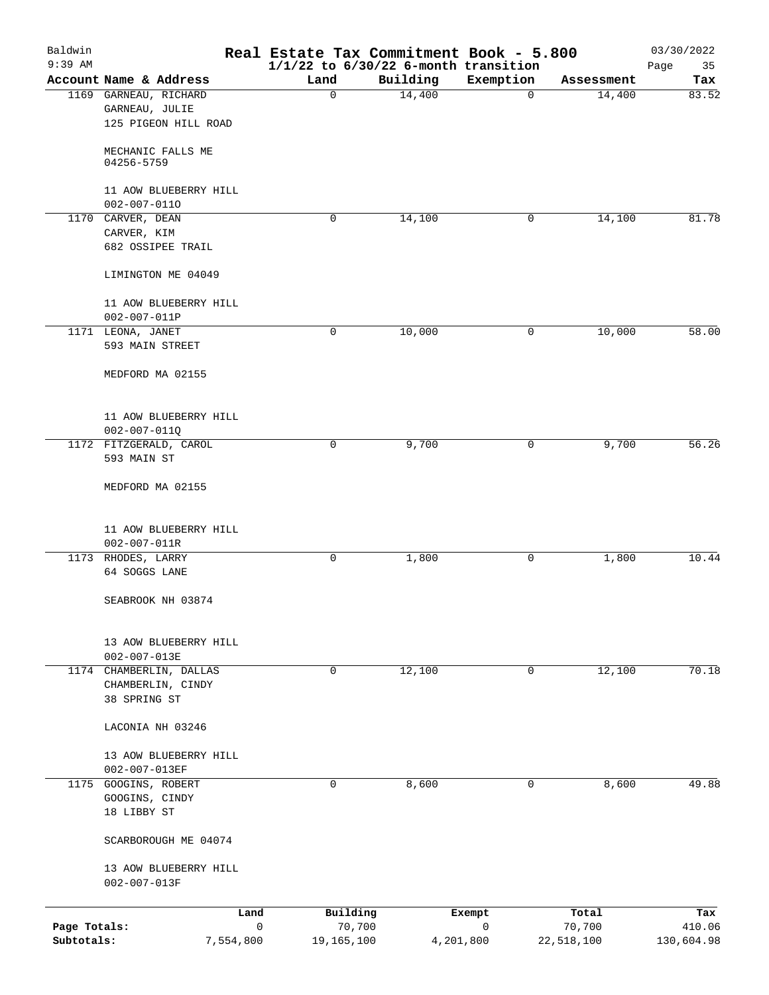| Baldwin<br>$9:39$ AM |                         | Real Estate Tax Commitment Book - 5.800<br>$1/1/22$ to $6/30/22$ 6-month transition |          |             |            | 03/30/2022<br>35<br>Page |
|----------------------|-------------------------|-------------------------------------------------------------------------------------|----------|-------------|------------|--------------------------|
|                      | Account Name & Address  | Land                                                                                | Building | Exemption   | Assessment | Tax                      |
|                      | 1169 GARNEAU, RICHARD   | 0                                                                                   | 14,400   | 0           | 14,400     | 83.52                    |
|                      | GARNEAU, JULIE          |                                                                                     |          |             |            |                          |
|                      | 125 PIGEON HILL ROAD    |                                                                                     |          |             |            |                          |
|                      | MECHANIC FALLS ME       |                                                                                     |          |             |            |                          |
|                      | 04256-5759              |                                                                                     |          |             |            |                          |
|                      | 11 AOW BLUEBERRY HILL   |                                                                                     |          |             |            |                          |
|                      | $002 - 007 - 0110$      |                                                                                     |          |             |            |                          |
|                      | 1170 CARVER, DEAN       | 0                                                                                   | 14,100   | 0           | 14,100     | 81.78                    |
|                      | CARVER, KIM             |                                                                                     |          |             |            |                          |
|                      | 682 OSSIPEE TRAIL       |                                                                                     |          |             |            |                          |
|                      | LIMINGTON ME 04049      |                                                                                     |          |             |            |                          |
|                      | 11 AOW BLUEBERRY HILL   |                                                                                     |          |             |            |                          |
|                      | $002 - 007 - 011P$      |                                                                                     |          |             |            |                          |
|                      | 1171 LEONA, JANET       | 0                                                                                   | 10,000   | 0           | 10,000     | 58.00                    |
|                      | 593 MAIN STREET         |                                                                                     |          |             |            |                          |
|                      | MEDFORD MA 02155        |                                                                                     |          |             |            |                          |
|                      | 11 AOW BLUEBERRY HILL   |                                                                                     |          |             |            |                          |
|                      | $002 - 007 - 011Q$      |                                                                                     |          |             |            |                          |
|                      | 1172 FITZGERALD, CAROL  | 0                                                                                   | 9,700    | 0           | 9,700      | 56.26                    |
|                      | 593 MAIN ST             |                                                                                     |          |             |            |                          |
|                      | MEDFORD MA 02155        |                                                                                     |          |             |            |                          |
|                      | 11 AOW BLUEBERRY HILL   |                                                                                     |          |             |            |                          |
|                      | $002 - 007 - 011R$      |                                                                                     |          |             |            |                          |
|                      | 1173 RHODES, LARRY      | 0                                                                                   | 1,800    | 0           | 1,800      | 10.44                    |
|                      | 64 SOGGS LANE           |                                                                                     |          |             |            |                          |
|                      | SEABROOK NH 03874       |                                                                                     |          |             |            |                          |
|                      |                         |                                                                                     |          |             |            |                          |
|                      | 13 AOW BLUEBERRY HILL   |                                                                                     |          |             |            |                          |
|                      | $002 - 007 - 013E$      |                                                                                     |          |             |            |                          |
|                      | 1174 CHAMBERLIN, DALLAS | 0                                                                                   | 12,100   | 0           | 12,100     | 70.18                    |
|                      | CHAMBERLIN, CINDY       |                                                                                     |          |             |            |                          |
|                      | 38 SPRING ST            |                                                                                     |          |             |            |                          |
|                      | LACONIA NH 03246        |                                                                                     |          |             |            |                          |
|                      | 13 AOW BLUEBERRY HILL   |                                                                                     |          |             |            |                          |
|                      | 002-007-013EF           |                                                                                     |          |             |            |                          |
|                      | 1175 GOOGINS, ROBERT    | 0                                                                                   | 8,600    | 0           | 8,600      | 49.88                    |
|                      | GOOGINS, CINDY          |                                                                                     |          |             |            |                          |
|                      | 18 LIBBY ST             |                                                                                     |          |             |            |                          |
|                      | SCARBOROUGH ME 04074    |                                                                                     |          |             |            |                          |
|                      | 13 AOW BLUEBERRY HILL   |                                                                                     |          |             |            |                          |
|                      | $002 - 007 - 013F$      |                                                                                     |          |             |            |                          |
|                      | Land                    | Building                                                                            |          | Exempt      | Total      | Tax                      |
| Page Totals:         | $\mathbf 0$             | 70,700                                                                              |          | $\mathbf 0$ | 70,700     | 410.06                   |
| Subtotals:           | 7,554,800               | 19,165,100                                                                          |          | 4,201,800   | 22,518,100 | 130,604.98               |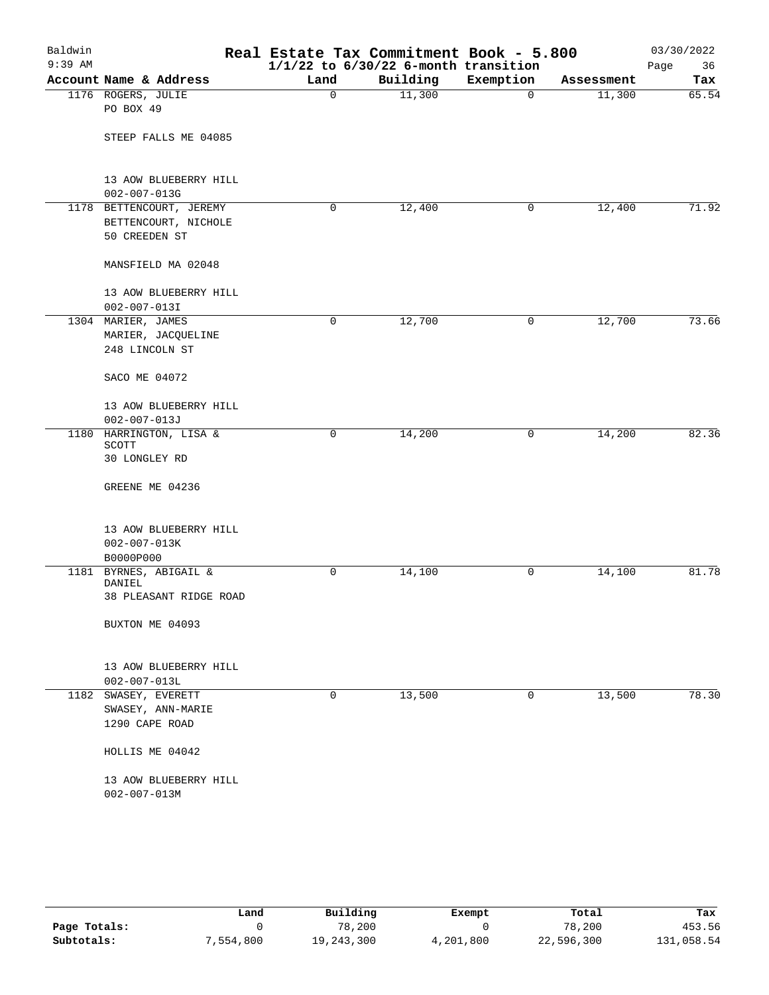| Baldwin<br>$9:39$ AM |                                                                   | Real Estate Tax Commitment Book - 5.800 | $1/1/22$ to $6/30/22$ 6-month transition |             |            | 03/30/2022<br>Page<br>36 |
|----------------------|-------------------------------------------------------------------|-----------------------------------------|------------------------------------------|-------------|------------|--------------------------|
|                      | Account Name & Address                                            | Land                                    | Building                                 | Exemption   | Assessment | Tax                      |
|                      | 1176 ROGERS, JULIE<br>PO BOX 49                                   | $\Omega$                                | 11,300                                   | $\mathbf 0$ | 11,300     | 65.54                    |
|                      | STEEP FALLS ME 04085                                              |                                         |                                          |             |            |                          |
|                      | 13 AOW BLUEBERRY HILL<br>$002 - 007 - 013G$                       |                                         |                                          |             |            |                          |
|                      | 1178 BETTENCOURT, JEREMY<br>BETTENCOURT, NICHOLE<br>50 CREEDEN ST | 0                                       | 12,400                                   | 0           | 12,400     | 71.92                    |
|                      | MANSFIELD MA 02048                                                |                                         |                                          |             |            |                          |
|                      | 13 AOW BLUEBERRY HILL<br>$002 - 007 - 013I$                       |                                         |                                          |             |            |                          |
|                      | 1304 MARIER, JAMES<br>MARIER, JACQUELINE<br>248 LINCOLN ST        | 0                                       | 12,700                                   | 0           | 12,700     | 73.66                    |
|                      | SACO ME 04072                                                     |                                         |                                          |             |            |                          |
|                      | 13 AOW BLUEBERRY HILL<br>$002 - 007 - 013J$                       |                                         |                                          |             |            |                          |
|                      | 1180 HARRINGTON, LISA &<br>SCOTT<br>30 LONGLEY RD                 | 0                                       | 14,200                                   | 0           | 14,200     | 82.36                    |
|                      | GREENE ME 04236                                                   |                                         |                                          |             |            |                          |
|                      | 13 AOW BLUEBERRY HILL<br>$002 - 007 - 013K$<br>B0000P000          |                                         |                                          |             |            |                          |
|                      | 1181 BYRNES, ABIGAIL &                                            | 0                                       | 14,100                                   | 0           | 14,100     | 81.78                    |
|                      | DANIEL<br>38 PLEASANT RIDGE ROAD                                  |                                         |                                          |             |            |                          |
|                      | BUXTON ME 04093                                                   |                                         |                                          |             |            |                          |
|                      | 13 AOW BLUEBERRY HILL<br>$002 - 007 - 013L$                       |                                         |                                          |             |            |                          |
|                      | 1182 SWASEY, EVERETT<br>SWASEY, ANN-MARIE<br>1290 CAPE ROAD       | 0                                       | 13,500                                   | $\mathbf 0$ | 13,500     | 78.30                    |
|                      | HOLLIS ME 04042                                                   |                                         |                                          |             |            |                          |
|                      | 13 AOW BLUEBERRY HILL<br>$002 - 007 - 013M$                       |                                         |                                          |             |            |                          |
|                      |                                                                   |                                         |                                          |             |            |                          |

|              | Land      | Building     | Exempt    | Total      | Tax        |
|--------------|-----------|--------------|-----------|------------|------------|
| Page Totals: |           | 78,200       |           | 78,200     | 453.56     |
| Subtotals:   | 7,554,800 | 19, 243, 300 | 4,201,800 | 22,596,300 | 131,058.54 |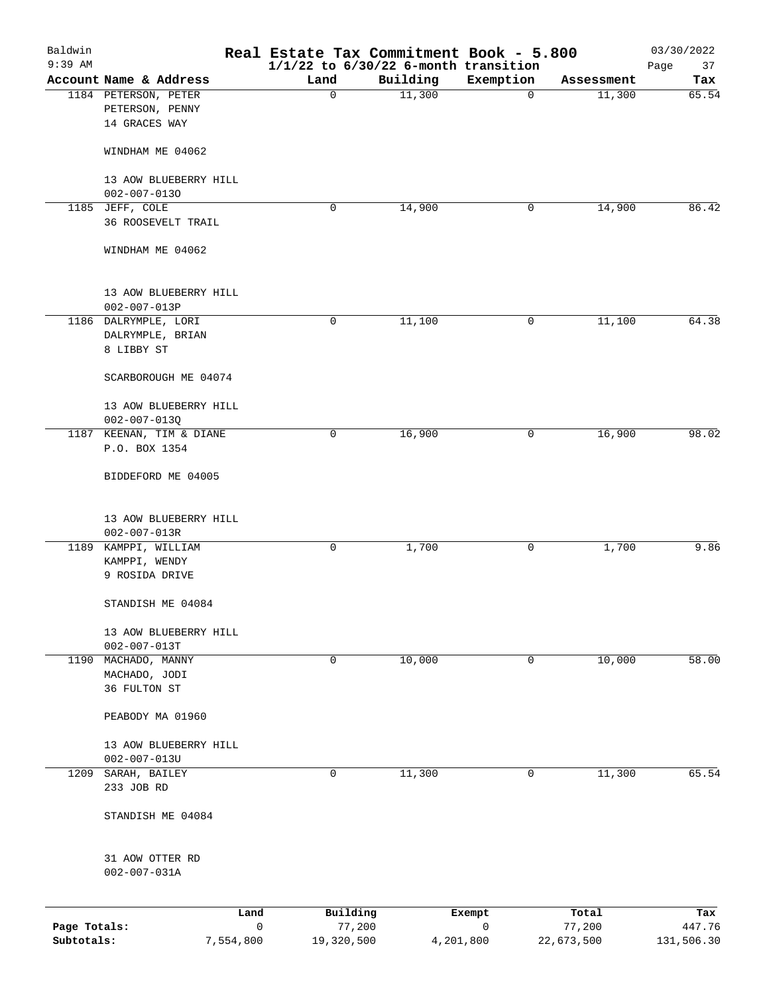| Baldwin<br>$9:39$ AM       |                                             | Real Estate Tax Commitment Book - 5.800<br>$1/1/22$ to $6/30/22$ 6-month transition |           |             |                      | 03/30/2022<br>37<br>Page |
|----------------------------|---------------------------------------------|-------------------------------------------------------------------------------------|-----------|-------------|----------------------|--------------------------|
|                            | Account Name & Address                      | Land                                                                                | Building  | Exemption   | Assessment           | Tax                      |
|                            | 1184 PETERSON, PETER                        | $\mathbf 0$                                                                         | 11,300    | $\mathbf 0$ | 11,300               | 65.54                    |
|                            | PETERSON, PENNY<br>14 GRACES WAY            |                                                                                     |           |             |                      |                          |
|                            | WINDHAM ME 04062                            |                                                                                     |           |             |                      |                          |
|                            | 13 AOW BLUEBERRY HILL<br>$002 - 007 - 0130$ |                                                                                     |           |             |                      |                          |
|                            | 1185 JEFF, COLE                             | 0                                                                                   | 14,900    | 0           | 14,900               | 86.42                    |
|                            | 36 ROOSEVELT TRAIL                          |                                                                                     |           |             |                      |                          |
|                            | WINDHAM ME 04062                            |                                                                                     |           |             |                      |                          |
|                            | 13 AOW BLUEBERRY HILL<br>$002 - 007 - 013P$ |                                                                                     |           |             |                      |                          |
|                            | 1186 DALRYMPLE, LORI                        | 0                                                                                   | 11,100    | 0           | 11,100               | 64.38                    |
|                            | DALRYMPLE, BRIAN<br>8 LIBBY ST              |                                                                                     |           |             |                      |                          |
|                            | SCARBOROUGH ME 04074                        |                                                                                     |           |             |                      |                          |
|                            | 13 AOW BLUEBERRY HILL<br>$002 - 007 - 013Q$ |                                                                                     |           |             |                      |                          |
|                            | 1187 KEENAN, TIM & DIANE                    | 0                                                                                   | 16,900    | 0           | 16,900               | 98.02                    |
|                            | P.O. BOX 1354                               |                                                                                     |           |             |                      |                          |
|                            | BIDDEFORD ME 04005                          |                                                                                     |           |             |                      |                          |
|                            | 13 AOW BLUEBERRY HILL<br>$002 - 007 - 013R$ |                                                                                     |           |             |                      |                          |
|                            | 1189 KAMPPI, WILLIAM                        | 0                                                                                   | 1,700     | 0           | 1,700                | 9.86                     |
|                            | KAMPPI, WENDY<br>9 ROSIDA DRIVE             |                                                                                     |           |             |                      |                          |
|                            | STANDISH ME 04084                           |                                                                                     |           |             |                      |                          |
|                            | 13 AOW BLUEBERRY HILL<br>$002 - 007 - 013T$ |                                                                                     |           |             |                      |                          |
|                            | 1190 MACHADO, MANNY                         | 0                                                                                   | 10,000    | $\mathbf 0$ | 10,000               | 58.00                    |
|                            | MACHADO, JODI<br>36 FULTON ST               |                                                                                     |           |             |                      |                          |
|                            | PEABODY MA 01960                            |                                                                                     |           |             |                      |                          |
|                            | 13 AOW BLUEBERRY HILL<br>$002 - 007 - 013U$ |                                                                                     |           |             |                      |                          |
| 1209                       | SARAH, BAILEY                               | 0                                                                                   | 11,300    | 0           | 11,300               | 65.54                    |
|                            | 233 JOB RD                                  |                                                                                     |           |             |                      |                          |
|                            | STANDISH ME 04084                           |                                                                                     |           |             |                      |                          |
|                            | 31 AOW OTTER RD<br>$002 - 007 - 031A$       |                                                                                     |           |             |                      |                          |
|                            | Land                                        | Building                                                                            |           | Exempt      | Total                | Tax                      |
| Page Totals:<br>Subtotals: | $\mathbf 0$<br>7,554,800                    | 77,200<br>19,320,500                                                                | 4,201,800 | 0           | 77,200<br>22,673,500 | 447.76<br>131,506.30     |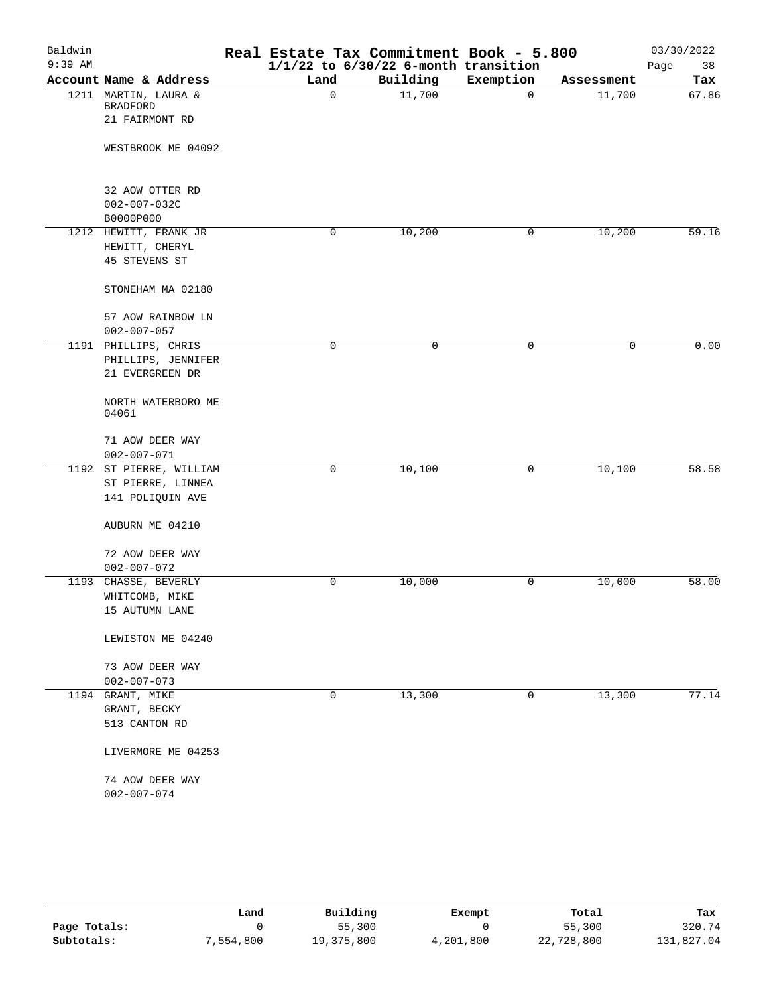| Baldwin   |                                      | Real Estate Tax Commitment Book - 5.800  |          |             |            | 03/30/2022 |
|-----------|--------------------------------------|------------------------------------------|----------|-------------|------------|------------|
| $9:39$ AM |                                      | $1/1/22$ to $6/30/22$ 6-month transition |          |             |            | Page<br>38 |
|           | Account Name & Address               | Land                                     | Building | Exemption   | Assessment | Tax        |
|           | 1211 MARTIN, LAURA &                 | $\mathbf 0$                              | 11,700   | $\mathbf 0$ | 11,700     | 67.86      |
|           | <b>BRADFORD</b><br>21 FAIRMONT RD    |                                          |          |             |            |            |
|           |                                      |                                          |          |             |            |            |
|           | WESTBROOK ME 04092                   |                                          |          |             |            |            |
|           |                                      |                                          |          |             |            |            |
|           | 32 AOW OTTER RD                      |                                          |          |             |            |            |
|           | $002 - 007 - 032C$                   |                                          |          |             |            |            |
|           | B0000P000                            |                                          |          |             |            |            |
|           | 1212 HEWITT, FRANK JR                | 0                                        | 10,200   | 0           | 10,200     | 59.16      |
|           | HEWITT, CHERYL                       |                                          |          |             |            |            |
|           | 45 STEVENS ST                        |                                          |          |             |            |            |
|           | STONEHAM MA 02180                    |                                          |          |             |            |            |
|           |                                      |                                          |          |             |            |            |
|           | 57 AOW RAINBOW LN                    |                                          |          |             |            |            |
|           | $002 - 007 - 057$                    |                                          |          |             |            |            |
|           | 1191 PHILLIPS, CHRIS                 | $\mathbf 0$                              | 0        | $\mathbf 0$ | 0          | 0.00       |
|           | PHILLIPS, JENNIFER                   |                                          |          |             |            |            |
|           | 21 EVERGREEN DR                      |                                          |          |             |            |            |
|           | NORTH WATERBORO ME                   |                                          |          |             |            |            |
|           | 04061                                |                                          |          |             |            |            |
|           |                                      |                                          |          |             |            |            |
|           | 71 AOW DEER WAY                      |                                          |          |             |            |            |
|           | $002 - 007 - 071$                    |                                          |          |             |            |            |
|           | 1192 ST PIERRE, WILLIAM              | 0                                        | 10,100   | 0           | 10,100     | 58.58      |
|           | ST PIERRE, LINNEA                    |                                          |          |             |            |            |
|           | 141 POLIQUIN AVE                     |                                          |          |             |            |            |
|           |                                      |                                          |          |             |            |            |
|           | AUBURN ME 04210                      |                                          |          |             |            |            |
|           | 72 AOW DEER WAY                      |                                          |          |             |            |            |
|           | $002 - 007 - 072$                    |                                          |          |             |            |            |
|           | 1193 CHASSE, BEVERLY                 | 0                                        | 10,000   | 0           | 10,000     | 58.00      |
|           | WHITCOMB, MIKE                       |                                          |          |             |            |            |
|           | 15 AUTUMN LANE                       |                                          |          |             |            |            |
|           |                                      |                                          |          |             |            |            |
|           | LEWISTON ME 04240                    |                                          |          |             |            |            |
|           | 73 AOW DEER WAY                      |                                          |          |             |            |            |
|           | $002 - 007 - 073$                    |                                          |          |             |            |            |
| 1194      | GRANT, MIKE                          | $\mathbf 0$                              | 13,300   | 0           | 13,300     | 77.14      |
|           | GRANT, BECKY                         |                                          |          |             |            |            |
|           | 513 CANTON RD                        |                                          |          |             |            |            |
|           | LIVERMORE ME 04253                   |                                          |          |             |            |            |
|           |                                      |                                          |          |             |            |            |
|           | 74 AOW DEER WAY<br>$002 - 007 - 074$ |                                          |          |             |            |            |
|           |                                      |                                          |          |             |            |            |
|           |                                      |                                          |          |             |            |            |

|              | Land      | Building     | Exempt    | Total      | Tax        |
|--------------|-----------|--------------|-----------|------------|------------|
| Page Totals: |           | 55,300       |           | 55,300     | 320.74     |
| Subtotals:   | 7,554,800 | 19, 375, 800 | 4,201,800 | 22,728,800 | 131,827.04 |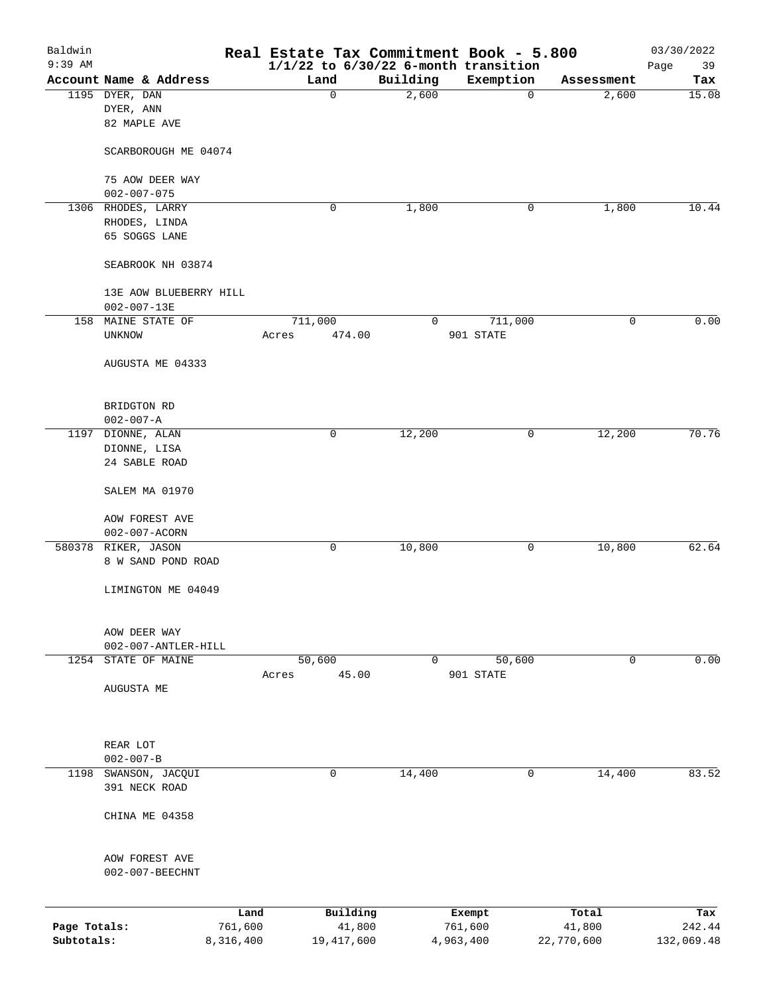| Baldwin<br>$9:39$ AM |                        |           |         |            |          | Real Estate Tax Commitment Book - 5.800<br>$1/1/22$ to $6/30/22$ 6-month transition |            | 03/30/2022<br>39<br>Page |
|----------------------|------------------------|-----------|---------|------------|----------|-------------------------------------------------------------------------------------|------------|--------------------------|
|                      | Account Name & Address |           | Land    |            | Building | Exemption                                                                           | Assessment | Tax                      |
|                      | 1195 DYER, DAN         |           |         | 0          | 2,600    | $\mathbf 0$                                                                         | 2,600      | 15.08                    |
|                      | DYER, ANN              |           |         |            |          |                                                                                     |            |                          |
|                      | 82 MAPLE AVE           |           |         |            |          |                                                                                     |            |                          |
|                      | SCARBOROUGH ME 04074   |           |         |            |          |                                                                                     |            |                          |
|                      | 75 AOW DEER WAY        |           |         |            |          |                                                                                     |            |                          |
|                      | $002 - 007 - 075$      |           |         |            |          |                                                                                     |            |                          |
|                      | 1306 RHODES, LARRY     |           |         | 0          | 1,800    | 0                                                                                   | 1,800      | 10.44                    |
|                      | RHODES, LINDA          |           |         |            |          |                                                                                     |            |                          |
|                      | 65 SOGGS LANE          |           |         |            |          |                                                                                     |            |                          |
|                      | SEABROOK NH 03874      |           |         |            |          |                                                                                     |            |                          |
|                      | 13E AOW BLUEBERRY HILL |           |         |            |          |                                                                                     |            |                          |
|                      | $002 - 007 - 13E$      |           |         |            |          |                                                                                     |            |                          |
|                      | 158 MAINE STATE OF     |           | 711,000 |            | 0        | 711,000                                                                             | 0          | 0.00                     |
|                      | UNKNOW                 |           | Acres   | 474.00     |          | 901 STATE                                                                           |            |                          |
|                      | AUGUSTA ME 04333       |           |         |            |          |                                                                                     |            |                          |
|                      |                        |           |         |            |          |                                                                                     |            |                          |
|                      | BRIDGTON RD            |           |         |            |          |                                                                                     |            |                          |
|                      | $002 - 007 - A$        |           |         |            |          |                                                                                     |            |                          |
| 1197                 | DIONNE, ALAN           |           |         | 0          | 12,200   | 0                                                                                   | 12,200     | 70.76                    |
|                      | DIONNE, LISA           |           |         |            |          |                                                                                     |            |                          |
|                      | 24 SABLE ROAD          |           |         |            |          |                                                                                     |            |                          |
|                      | SALEM MA 01970         |           |         |            |          |                                                                                     |            |                          |
|                      |                        |           |         |            |          |                                                                                     |            |                          |
|                      | AOW FOREST AVE         |           |         |            |          |                                                                                     |            |                          |
|                      | 002-007-ACORN          |           |         |            |          |                                                                                     |            |                          |
|                      | 580378 RIKER, JASON    |           |         | 0          | 10,800   | 0                                                                                   | 10,800     | 62.64                    |
|                      | 8 W SAND POND ROAD     |           |         |            |          |                                                                                     |            |                          |
|                      | LIMINGTON ME 04049     |           |         |            |          |                                                                                     |            |                          |
|                      |                        |           |         |            |          |                                                                                     |            |                          |
|                      | AOW DEER WAY           |           |         |            |          |                                                                                     |            |                          |
|                      | 002-007-ANTLER-HILL    |           |         |            |          |                                                                                     |            |                          |
| 1254                 | STATE OF MAINE         |           | 50,600  |            | 0        | 50,600                                                                              | 0          | 0.00                     |
|                      |                        |           | Acres   | 45.00      |          | 901 STATE                                                                           |            |                          |
|                      | AUGUSTA ME             |           |         |            |          |                                                                                     |            |                          |
|                      |                        |           |         |            |          |                                                                                     |            |                          |
|                      | REAR LOT               |           |         |            |          |                                                                                     |            |                          |
|                      | $002 - 007 - B$        |           |         |            |          |                                                                                     |            |                          |
| 1198                 | SWANSON, JACQUI        |           |         | 0          | 14,400   | 0                                                                                   | 14,400     | 83.52                    |
|                      | 391 NECK ROAD          |           |         |            |          |                                                                                     |            |                          |
|                      | CHINA ME 04358         |           |         |            |          |                                                                                     |            |                          |
|                      |                        |           |         |            |          |                                                                                     |            |                          |
|                      | AOW FOREST AVE         |           |         |            |          |                                                                                     |            |                          |
|                      | 002-007-BEECHNT        |           |         |            |          |                                                                                     |            |                          |
|                      |                        |           |         |            |          |                                                                                     |            |                          |
|                      |                        | Land      |         | Building   |          | Exempt                                                                              | Total      | Tax                      |
| Page Totals:         |                        | 761,600   |         | 41,800     |          | 761,600                                                                             | 41,800     | 242.44                   |
| Subtotals:           |                        | 8,316,400 |         | 19,417,600 |          | 4,963,400                                                                           | 22,770,600 | 132,069.48               |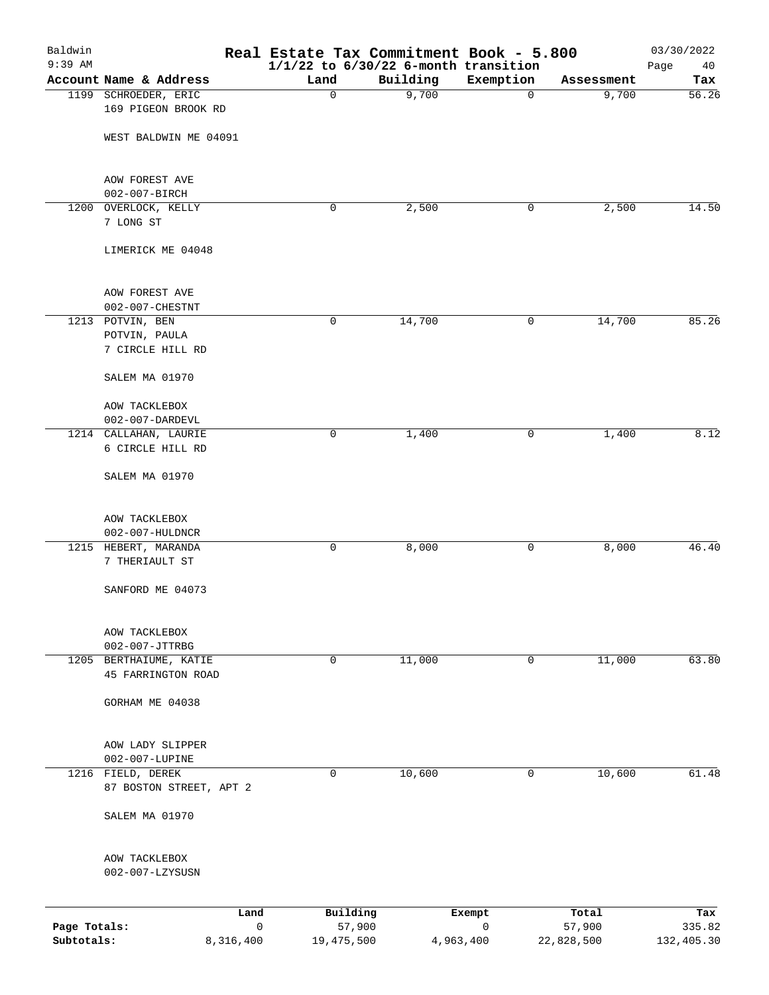| Baldwin<br>$9:39$ AM |                                              |           |              | Real Estate Tax Commitment Book - 5.800<br>$1/1/22$ to $6/30/22$ 6-month transition |             |                 | 03/30/2022<br>Page<br>40 |
|----------------------|----------------------------------------------|-----------|--------------|-------------------------------------------------------------------------------------|-------------|-----------------|--------------------------|
|                      | Account Name & Address                       |           | Land         | Building                                                                            | Exemption   | Assessment      | Tax                      |
|                      | 1199 SCHROEDER, ERIC                         |           | 0            | 9,700                                                                               | $\mathbf 0$ | 9,700           | 56.26                    |
|                      | 169 PIGEON BROOK RD                          |           |              |                                                                                     |             |                 |                          |
|                      | WEST BALDWIN ME 04091                        |           |              |                                                                                     |             |                 |                          |
|                      |                                              |           |              |                                                                                     |             |                 |                          |
|                      | AOW FOREST AVE                               |           |              |                                                                                     |             |                 |                          |
|                      | 002-007-BIRCH                                |           |              |                                                                                     |             |                 |                          |
|                      | 1200 OVERLOCK, KELLY                         |           | 0            | 2,500                                                                               | 0           | 2,500           | 14.50                    |
|                      | 7 LONG ST                                    |           |              |                                                                                     |             |                 |                          |
|                      | LIMERICK ME 04048                            |           |              |                                                                                     |             |                 |                          |
|                      | AOW FOREST AVE                               |           |              |                                                                                     |             |                 |                          |
|                      | 002-007-CHESTNT                              |           |              |                                                                                     |             |                 |                          |
|                      | 1213 POTVIN, BEN                             |           | 0            | 14,700                                                                              | 0           | 14,700          | 85.26                    |
|                      | POTVIN, PAULA                                |           |              |                                                                                     |             |                 |                          |
|                      | 7 CIRCLE HILL RD                             |           |              |                                                                                     |             |                 |                          |
|                      | SALEM MA 01970                               |           |              |                                                                                     |             |                 |                          |
|                      | AOW TACKLEBOX                                |           |              |                                                                                     |             |                 |                          |
|                      | 002-007-DARDEVL                              |           |              |                                                                                     |             |                 |                          |
|                      | 1214 CALLAHAN, LAURIE                        |           | 0            | 1,400                                                                               | 0           | 1,400           | 8.12                     |
|                      | 6 CIRCLE HILL RD                             |           |              |                                                                                     |             |                 |                          |
|                      | SALEM MA 01970                               |           |              |                                                                                     |             |                 |                          |
|                      |                                              |           |              |                                                                                     |             |                 |                          |
|                      | AOW TACKLEBOX                                |           |              |                                                                                     |             |                 |                          |
|                      | 002-007-HULDNCR                              |           |              |                                                                                     |             |                 |                          |
|                      | 1215 HEBERT, MARANDA                         |           | 0            | 8,000                                                                               | 0           | 8,000           | 46.40                    |
|                      | 7 THERIAULT ST                               |           |              |                                                                                     |             |                 |                          |
|                      | SANFORD ME 04073                             |           |              |                                                                                     |             |                 |                          |
|                      | AOW TACKLEBOX                                |           |              |                                                                                     |             |                 |                          |
|                      | 002-007-JTTRBG                               |           |              |                                                                                     |             |                 |                          |
|                      | 1205 BERTHAIUME, KATIE                       |           | 0            | 11,000                                                                              | 0           | 11,000          | 63.80                    |
|                      | 45 FARRINGTON ROAD                           |           |              |                                                                                     |             |                 |                          |
|                      | GORHAM ME 04038                              |           |              |                                                                                     |             |                 |                          |
|                      | AOW LADY SLIPPER                             |           |              |                                                                                     |             |                 |                          |
|                      | 002-007-LUPINE                               |           |              |                                                                                     |             |                 |                          |
|                      | 1216 FIELD, DEREK<br>87 BOSTON STREET, APT 2 |           | 0            | 10,600                                                                              | 0           | 10,600          | 61.48                    |
|                      | SALEM MA 01970                               |           |              |                                                                                     |             |                 |                          |
|                      | AOW TACKLEBOX                                |           |              |                                                                                     |             |                 |                          |
|                      | 002-007-LZYSUSN                              |           |              |                                                                                     |             |                 |                          |
|                      |                                              |           |              |                                                                                     |             |                 |                          |
| Page Totals:         |                                              | Land<br>0 | Building     | 57,900                                                                              | Exempt<br>0 | Total<br>57,900 | Tax<br>335.82            |
| Subtotals:           |                                              | 8,316,400 | 19, 475, 500 | 4,963,400                                                                           |             | 22,828,500      | 132,405.30               |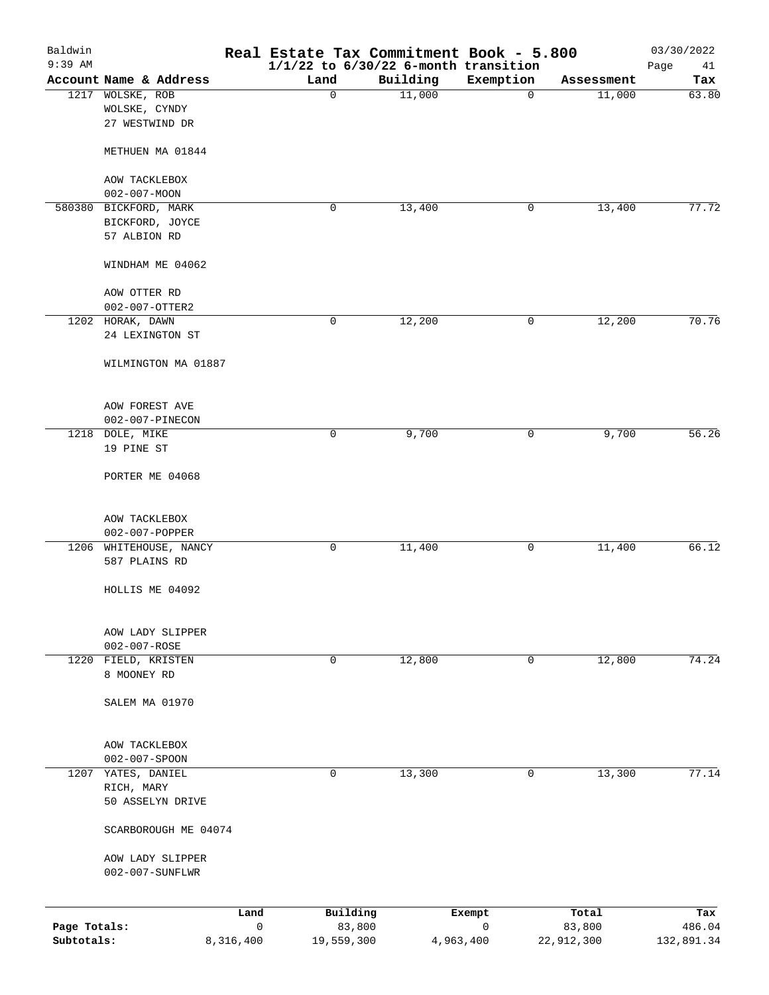| Baldwin<br>$9:39$ AM       |                                  |                      | Real Estate Tax Commitment Book - 5.800 | $1/1/22$ to $6/30/22$ 6-month transition |             |                      | 03/30/2022<br>Page<br>41 |
|----------------------------|----------------------------------|----------------------|-----------------------------------------|------------------------------------------|-------------|----------------------|--------------------------|
|                            | Account Name & Address           |                      | Land                                    | Building                                 | Exemption   | Assessment           | Tax                      |
| 1217                       | WOLSKE, ROB                      |                      | $\mathbf 0$                             | 11,000                                   | $\mathbf 0$ | 11,000               | 63.80                    |
|                            | WOLSKE, CYNDY                    |                      |                                         |                                          |             |                      |                          |
|                            | 27 WESTWIND DR                   |                      |                                         |                                          |             |                      |                          |
|                            |                                  |                      |                                         |                                          |             |                      |                          |
|                            | METHUEN MA 01844                 |                      |                                         |                                          |             |                      |                          |
|                            |                                  |                      |                                         |                                          |             |                      |                          |
|                            | AOW TACKLEBOX                    |                      |                                         |                                          |             |                      |                          |
|                            | $002 - 007 - MOON$               |                      |                                         |                                          |             |                      |                          |
|                            | 580380 BICKFORD, MARK            |                      | 0                                       | 13,400                                   | 0           | 13,400               | 77.72                    |
|                            | BICKFORD, JOYCE                  |                      |                                         |                                          |             |                      |                          |
|                            | 57 ALBION RD                     |                      |                                         |                                          |             |                      |                          |
|                            | WINDHAM ME 04062                 |                      |                                         |                                          |             |                      |                          |
|                            |                                  |                      |                                         |                                          |             |                      |                          |
|                            | AOW OTTER RD                     |                      |                                         |                                          |             |                      |                          |
|                            | 002-007-OTTER2                   |                      |                                         |                                          |             |                      |                          |
|                            | 1202 HORAK, DAWN                 |                      | 0                                       | 12,200                                   | 0           | 12,200               | 70.76                    |
|                            | 24 LEXINGTON ST                  |                      |                                         |                                          |             |                      |                          |
|                            |                                  |                      |                                         |                                          |             |                      |                          |
|                            | WILMINGTON MA 01887              |                      |                                         |                                          |             |                      |                          |
|                            |                                  |                      |                                         |                                          |             |                      |                          |
|                            |                                  |                      |                                         |                                          |             |                      |                          |
|                            | AOW FOREST AVE                   |                      |                                         |                                          |             |                      |                          |
|                            | 002-007-PINECON                  |                      |                                         |                                          |             |                      |                          |
|                            | 1218 DOLE, MIKE                  |                      | 0                                       | 9,700                                    | 0           | 9,700                | 56.26                    |
|                            | 19 PINE ST                       |                      |                                         |                                          |             |                      |                          |
|                            | PORTER ME 04068                  |                      |                                         |                                          |             |                      |                          |
|                            |                                  |                      |                                         |                                          |             |                      |                          |
|                            |                                  |                      |                                         |                                          |             |                      |                          |
|                            | AOW TACKLEBOX                    |                      |                                         |                                          |             |                      |                          |
|                            | 002-007-POPPER                   |                      |                                         |                                          |             |                      |                          |
|                            | 1206 WHITEHOUSE, NANCY           |                      | 0                                       | 11,400                                   | 0           | 11,400               | 66.12                    |
|                            | 587 PLAINS RD                    |                      |                                         |                                          |             |                      |                          |
|                            |                                  |                      |                                         |                                          |             |                      |                          |
|                            | HOLLIS ME 04092                  |                      |                                         |                                          |             |                      |                          |
|                            |                                  |                      |                                         |                                          |             |                      |                          |
|                            |                                  |                      |                                         |                                          |             |                      |                          |
|                            | AOW LADY SLIPPER<br>002-007-ROSE |                      |                                         |                                          |             |                      |                          |
|                            | 1220 FIELD, KRISTEN              |                      | 0                                       | 12,800                                   | 0           | 12,800               | 74.24                    |
|                            | 8 MOONEY RD                      |                      |                                         |                                          |             |                      |                          |
|                            |                                  |                      |                                         |                                          |             |                      |                          |
|                            | SALEM MA 01970                   |                      |                                         |                                          |             |                      |                          |
|                            |                                  |                      |                                         |                                          |             |                      |                          |
|                            |                                  |                      |                                         |                                          |             |                      |                          |
|                            | AOW TACKLEBOX                    |                      |                                         |                                          |             |                      |                          |
|                            | 002-007-SPOON                    |                      |                                         |                                          |             |                      |                          |
|                            | 1207 YATES, DANIEL               |                      | 0                                       | 13,300                                   | 0           | 13,300               | 77.14                    |
|                            | RICH, MARY                       |                      |                                         |                                          |             |                      |                          |
|                            | 50 ASSELYN DRIVE                 |                      |                                         |                                          |             |                      |                          |
|                            | SCARBOROUGH ME 04074             |                      |                                         |                                          |             |                      |                          |
|                            |                                  |                      |                                         |                                          |             |                      |                          |
|                            | AOW LADY SLIPPER                 |                      |                                         |                                          |             |                      |                          |
|                            | 002-007-SUNFLWR                  |                      |                                         |                                          |             |                      |                          |
|                            |                                  |                      |                                         |                                          |             |                      |                          |
|                            |                                  |                      |                                         |                                          |             |                      |                          |
|                            |                                  | Land<br>$\mathsf{O}$ | Building                                |                                          | Exempt<br>0 | Total                | Tax                      |
| Page Totals:<br>Subtotals: |                                  | 8,316,400            | 83,800<br>19,559,300                    |                                          | 4,963,400   | 83,800<br>22,912,300 | 486.04<br>132,891.34     |
|                            |                                  |                      |                                         |                                          |             |                      |                          |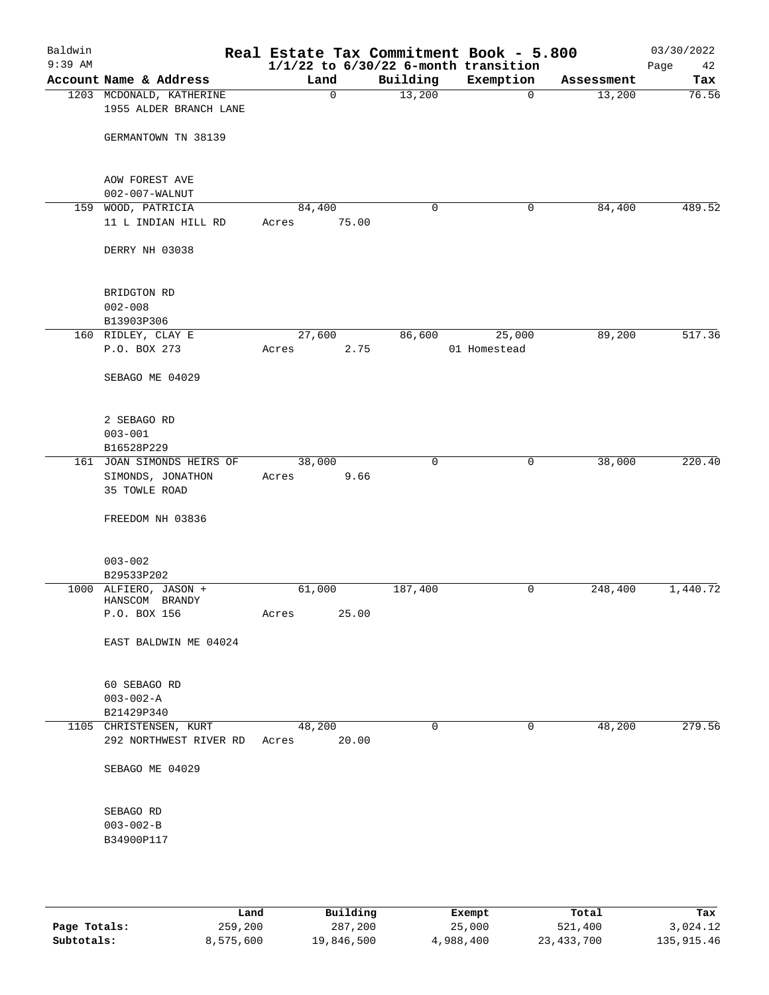| Baldwin<br>$9:39$ AM |                                    |       |        |              |             | Real Estate Tax Commitment Book - 5.800<br>$1/1/22$ to $6/30/22$ 6-month transition |            | 03/30/2022<br>Page<br>42 |
|----------------------|------------------------------------|-------|--------|--------------|-------------|-------------------------------------------------------------------------------------|------------|--------------------------|
|                      | Account Name & Address             |       | Land   |              | Building    | Exemption                                                                           | Assessment | Tax                      |
|                      | 1203 MCDONALD, KATHERINE           |       |        | $\mathsf{O}$ | 13,200      | $\overline{0}$                                                                      | 13,200     | 76.56                    |
|                      | 1955 ALDER BRANCH LANE             |       |        |              |             |                                                                                     |            |                          |
|                      | GERMANTOWN TN 38139                |       |        |              |             |                                                                                     |            |                          |
|                      | AOW FOREST AVE                     |       |        |              |             |                                                                                     |            |                          |
|                      | $002 - 007 - WALNUT$               |       |        |              |             |                                                                                     |            |                          |
| 159                  | WOOD, PATRICIA                     |       | 84,400 |              | $\mathbf 0$ | 0                                                                                   | 84,400     | 489.52                   |
|                      | 11 L INDIAN HILL RD                | Acres |        | 75.00        |             |                                                                                     |            |                          |
|                      | DERRY NH 03038                     |       |        |              |             |                                                                                     |            |                          |
|                      | BRIDGTON RD                        |       |        |              |             |                                                                                     |            |                          |
|                      | $002 - 008$                        |       |        |              |             |                                                                                     |            |                          |
|                      | B13903P306                         |       |        |              |             |                                                                                     |            |                          |
|                      | 160 RIDLEY, CLAY E                 |       | 27,600 |              | 86,600      | 25,000                                                                              | 89,200     | 517.36                   |
|                      | P.O. BOX 273                       | Acres |        | 2.75         |             | 01 Homestead                                                                        |            |                          |
|                      | SEBAGO ME 04029                    |       |        |              |             |                                                                                     |            |                          |
|                      | 2 SEBAGO RD                        |       |        |              |             |                                                                                     |            |                          |
|                      | $003 - 001$                        |       |        |              |             |                                                                                     |            |                          |
|                      | B16528P229                         |       |        |              |             |                                                                                     |            |                          |
|                      | 161 JOAN SIMONDS HEIRS OF          |       | 38,000 |              | $\mathbf 0$ | 0                                                                                   | 38,000     | 220.40                   |
|                      | SIMONDS, JONATHON<br>35 TOWLE ROAD | Acres |        | 9.66         |             |                                                                                     |            |                          |
|                      | FREEDOM NH 03836                   |       |        |              |             |                                                                                     |            |                          |
|                      | $003 - 002$                        |       |        |              |             |                                                                                     |            |                          |
|                      | B29533P202                         |       |        |              |             |                                                                                     |            |                          |
|                      | 1000 ALFIERO, JASON +              |       | 61,000 |              | 187,400     | 0                                                                                   | 248,400    | 1,440.72                 |
|                      | HANSCOM BRANDY                     |       |        |              |             |                                                                                     |            |                          |
|                      | P.O. BOX 156                       | Acres |        | 25.00        |             |                                                                                     |            |                          |
|                      | EAST BALDWIN ME 04024              |       |        |              |             |                                                                                     |            |                          |
|                      | 60 SEBAGO RD                       |       |        |              |             |                                                                                     |            |                          |
|                      | $003 - 002 - A$                    |       |        |              |             |                                                                                     |            |                          |
|                      | B21429P340                         |       |        |              |             |                                                                                     |            |                          |
|                      | 1105 CHRISTENSEN, KURT             |       | 48,200 |              | 0           | $\mathbf 0$                                                                         | 48,200     | 279.56                   |
|                      | 292 NORTHWEST RIVER RD             | Acres |        | 20.00        |             |                                                                                     |            |                          |
|                      | SEBAGO ME 04029                    |       |        |              |             |                                                                                     |            |                          |
|                      | SEBAGO RD                          |       |        |              |             |                                                                                     |            |                          |
|                      | $003 - 002 - B$                    |       |        |              |             |                                                                                     |            |                          |
|                      | B34900P117                         |       |        |              |             |                                                                                     |            |                          |
|                      |                                    |       |        |              |             |                                                                                     |            |                          |

|              | Land      | Building   | Exempt    | Total        | Tax          |
|--------------|-----------|------------|-----------|--------------|--------------|
| Page Totals: | 259,200   | 287,200    | 25,000    | 521,400      | 3,024.12     |
| Subtotals:   | 8,575,600 | 19,846,500 | 4,988,400 | 23, 433, 700 | 135, 915, 46 |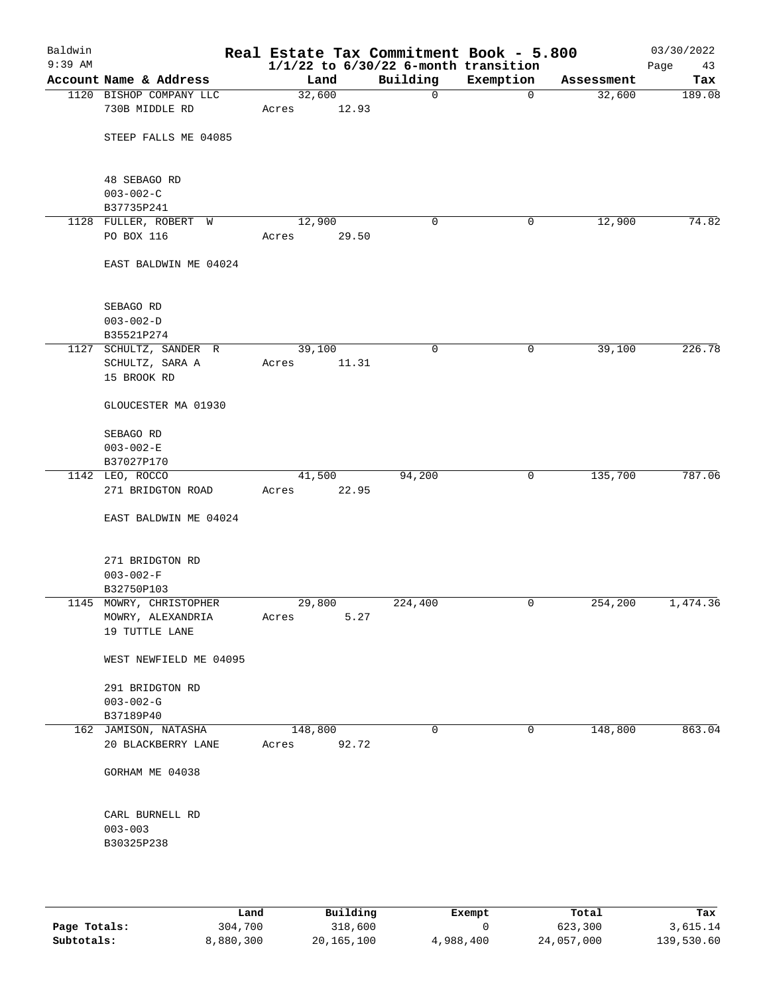| Baldwin<br>$9:39$ AM |                                                                |                 |       | Real Estate Tax Commitment Book - 5.800<br>$1/1/22$ to $6/30/22$ 6-month transition |                |            | 03/30/2022<br>Page<br>43 |
|----------------------|----------------------------------------------------------------|-----------------|-------|-------------------------------------------------------------------------------------|----------------|------------|--------------------------|
|                      | Account Name & Address                                         | Land            |       | Building                                                                            | Exemption      | Assessment | Tax                      |
|                      | 1120 BISHOP COMPANY LLC                                        | 32,600          |       | $\mathbf 0$                                                                         | $\overline{0}$ | 32,600     | 189.08                   |
|                      | 730B MIDDLE RD                                                 | Acres           | 12.93 |                                                                                     |                |            |                          |
|                      | STEEP FALLS ME 04085                                           |                 |       |                                                                                     |                |            |                          |
|                      | 48 SEBAGO RD<br>$003 - 002 - C$                                |                 |       |                                                                                     |                |            |                          |
|                      | B37735P241                                                     |                 |       |                                                                                     |                |            |                          |
|                      | 1128 FULLER, ROBERT W                                          | 12,900          |       | 0                                                                                   | 0              | 12,900     | 74.82                    |
|                      | PO BOX 116                                                     | Acres           | 29.50 |                                                                                     |                |            |                          |
|                      | EAST BALDWIN ME 04024                                          |                 |       |                                                                                     |                |            |                          |
|                      | SEBAGO RD                                                      |                 |       |                                                                                     |                |            |                          |
|                      | $003 - 002 - D$<br>B35521P274                                  |                 |       |                                                                                     |                |            |                          |
|                      | 1127 SCHULTZ, SANDER R                                         | 39,100          |       | 0                                                                                   | 0              | 39,100     | 226.78                   |
|                      | SCHULTZ, SARA A<br>15 BROOK RD                                 | Acres           | 11.31 |                                                                                     |                |            |                          |
|                      | GLOUCESTER MA 01930                                            |                 |       |                                                                                     |                |            |                          |
|                      | SEBAGO RD                                                      |                 |       |                                                                                     |                |            |                          |
|                      | $003 - 002 - E$<br>B37027P170                                  |                 |       |                                                                                     |                |            |                          |
|                      | 1142 LEO, ROCCO                                                | 41,500          |       | 94,200                                                                              | 0              | 135,700    | 787.06                   |
|                      | 271 BRIDGTON ROAD                                              | Acres           | 22.95 |                                                                                     |                |            |                          |
|                      | EAST BALDWIN ME 04024                                          |                 |       |                                                                                     |                |            |                          |
|                      | 271 BRIDGTON RD                                                |                 |       |                                                                                     |                |            |                          |
|                      | $003 - 002 - F$                                                |                 |       |                                                                                     |                |            |                          |
|                      | B32750P103                                                     |                 |       |                                                                                     |                |            |                          |
|                      | 1145 MOWRY, CHRISTOPHER<br>MOWRY, ALEXANDRIA<br>19 TUTTLE LANE | 29,800<br>Acres | 5.27  | 224,400                                                                             | 0              | 254,200    | 1,474.36                 |
|                      | WEST NEWFIELD ME 04095                                         |                 |       |                                                                                     |                |            |                          |
|                      | 291 BRIDGTON RD<br>$003 - 002 - G$                             |                 |       |                                                                                     |                |            |                          |
|                      | B37189P40<br>162 JAMISON, NATASHA                              | 148,800         |       | $\mathbf 0$                                                                         | $\mathbf 0$    | 148,800    | 863.04                   |
|                      | 20 BLACKBERRY LANE                                             | Acres           | 92.72 |                                                                                     |                |            |                          |
|                      | GORHAM ME 04038                                                |                 |       |                                                                                     |                |            |                          |
|                      | CARL BURNELL RD                                                |                 |       |                                                                                     |                |            |                          |
|                      | $003 - 003$<br>B30325P238                                      |                 |       |                                                                                     |                |            |                          |
|                      |                                                                |                 |       |                                                                                     |                |            |                          |
|                      |                                                                |                 |       |                                                                                     |                |            |                          |

|              | ∟and      | Building   | Exempt    | Total      | Tax        |
|--------------|-----------|------------|-----------|------------|------------|
| Page Totals: | 304,700   | 318,600    |           | 623,300    | 3,615.14   |
| Subtotals:   | 8,880,300 | 20,165,100 | 4,988,400 | 24,057,000 | 139,530.60 |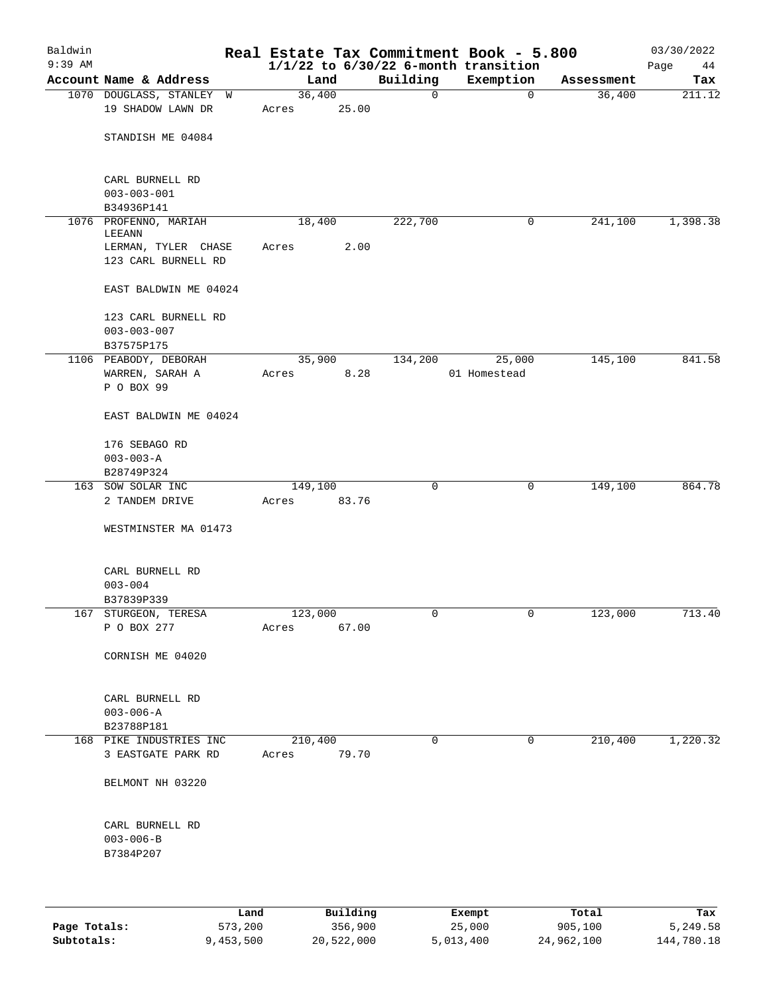| Baldwin<br>$9:39$ AM |                          |         |          |             | Real Estate Tax Commitment Book - 5.800<br>$1/1/22$ to $6/30/22$ 6-month transition |            | 03/30/2022<br>Page<br>44 |
|----------------------|--------------------------|---------|----------|-------------|-------------------------------------------------------------------------------------|------------|--------------------------|
|                      | Account Name & Address   | Land    |          | Building    | Exemption                                                                           | Assessment | Tax                      |
|                      | 1070 DOUGLASS, STANLEY W | 36,400  |          | 0           | $\mathbf 0$                                                                         | 36,400     | 211.12                   |
|                      | 19 SHADOW LAWN DR        | Acres   | 25.00    |             |                                                                                     |            |                          |
|                      | STANDISH ME 04084        |         |          |             |                                                                                     |            |                          |
|                      |                          |         |          |             |                                                                                     |            |                          |
|                      | CARL BURNELL RD          |         |          |             |                                                                                     |            |                          |
|                      | $003 - 003 - 001$        |         |          |             |                                                                                     |            |                          |
|                      | B34936P141               |         |          |             |                                                                                     |            |                          |
|                      | 1076 PROFENNO, MARIAH    | 18,400  |          | 222,700     | 0                                                                                   | 241,100    | 1,398.38                 |
|                      | LEEANN                   |         |          |             |                                                                                     |            |                          |
|                      | LERMAN, TYLER CHASE      | Acres   | 2.00     |             |                                                                                     |            |                          |
|                      | 123 CARL BURNELL RD      |         |          |             |                                                                                     |            |                          |
|                      | EAST BALDWIN ME 04024    |         |          |             |                                                                                     |            |                          |
|                      | 123 CARL BURNELL RD      |         |          |             |                                                                                     |            |                          |
|                      | $003 - 003 - 007$        |         |          |             |                                                                                     |            |                          |
|                      | B37575P175               |         |          |             |                                                                                     |            |                          |
|                      | 1106 PEABODY, DEBORAH    | 35,900  |          | 134,200     | 25,000                                                                              | 145,100    | 841.58                   |
|                      | WARREN, SARAH A          | Acres   | 8.28     |             | 01 Homestead                                                                        |            |                          |
|                      | P O BOX 99               |         |          |             |                                                                                     |            |                          |
|                      | EAST BALDWIN ME 04024    |         |          |             |                                                                                     |            |                          |
|                      | 176 SEBAGO RD            |         |          |             |                                                                                     |            |                          |
|                      | $003 - 003 - A$          |         |          |             |                                                                                     |            |                          |
|                      | B28749P324               |         |          |             |                                                                                     |            |                          |
|                      | 163 SOW SOLAR INC        | 149,100 |          | 0           | 0                                                                                   | 149,100    | 864.78                   |
|                      | 2 TANDEM DRIVE           | Acres   | 83.76    |             |                                                                                     |            |                          |
|                      | WESTMINSTER MA 01473     |         |          |             |                                                                                     |            |                          |
|                      | CARL BURNELL RD          |         |          |             |                                                                                     |            |                          |
|                      | $003 - 004$              |         |          |             |                                                                                     |            |                          |
|                      | B37839P339               |         |          |             |                                                                                     |            |                          |
|                      | 167 STURGEON, TERESA     | 123,000 |          | 0           | $\overline{0}$                                                                      | 123,000    | 713.40                   |
|                      | P O BOX 277              | Acres   | 67.00    |             |                                                                                     |            |                          |
|                      |                          |         |          |             |                                                                                     |            |                          |
|                      | CORNISH ME 04020         |         |          |             |                                                                                     |            |                          |
|                      | CARL BURNELL RD          |         |          |             |                                                                                     |            |                          |
|                      | $003 - 006 - A$          |         |          |             |                                                                                     |            |                          |
|                      | B23788P181               |         |          |             |                                                                                     |            |                          |
|                      | 168 PIKE INDUSTRIES INC  | 210,400 |          | $\mathbf 0$ | 0                                                                                   | 210,400    | 1,220.32                 |
|                      | 3 EASTGATE PARK RD       | Acres   | 79.70    |             |                                                                                     |            |                          |
|                      | BELMONT NH 03220         |         |          |             |                                                                                     |            |                          |
|                      |                          |         |          |             |                                                                                     |            |                          |
|                      | CARL BURNELL RD          |         |          |             |                                                                                     |            |                          |
|                      | $003 - 006 - B$          |         |          |             |                                                                                     |            |                          |
|                      | B7384P207                |         |          |             |                                                                                     |            |                          |
|                      |                          |         |          |             |                                                                                     |            |                          |
|                      | Land                     |         | Building |             | Exempt                                                                              | Total      | Tax                      |

|              | Lanu      | <b>Building</b> | вхешрс    | TOLAT      | rax.       |
|--------------|-----------|-----------------|-----------|------------|------------|
| Page Totals: | 573,200   | 356,900         | 25,000    | 905,100    | 5,249.58   |
| Subtotals:   | 9,453,500 | 20,522,000      | 5,013,400 | 24,962,100 | 144,780.18 |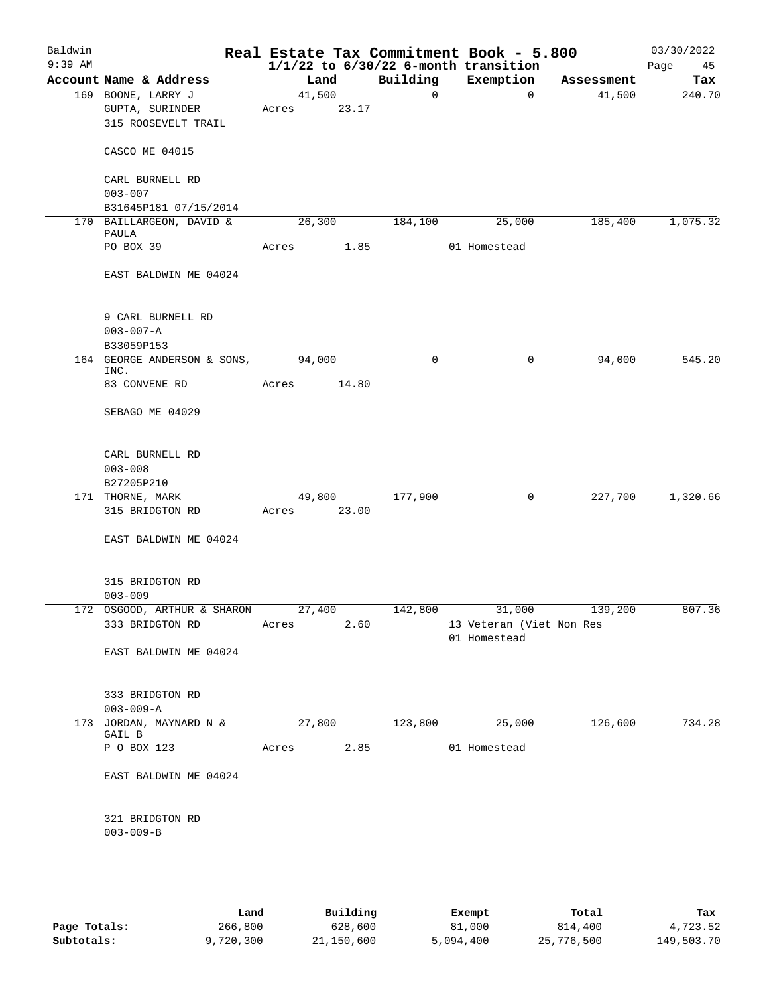| Baldwin<br>$9:39$ AM |                                                           |                 |        |                | Real Estate Tax Commitment Book - 5.800<br>$1/1/22$ to $6/30/22$ 6-month transition |            | 03/30/2022<br>Page<br>45 |
|----------------------|-----------------------------------------------------------|-----------------|--------|----------------|-------------------------------------------------------------------------------------|------------|--------------------------|
|                      | Account Name & Address                                    | Land            |        | Building       | Exemption                                                                           | Assessment | Tax                      |
|                      | 169 BOONE, LARRY J<br>GUPTA, SURINDER                     | 41,500<br>Acres | 23.17  | $\overline{0}$ | $\mathbf{0}$                                                                        | 41,500     | 240.70                   |
|                      | 315 ROOSEVELT TRAIL                                       |                 |        |                |                                                                                     |            |                          |
|                      | CASCO ME 04015                                            |                 |        |                |                                                                                     |            |                          |
|                      | CARL BURNELL RD<br>$003 - 007$                            |                 |        |                |                                                                                     |            |                          |
|                      | B31645P181 07/15/2014                                     |                 |        |                |                                                                                     |            |                          |
|                      | 170 BAILLARGEON, DAVID &                                  | 26,300          |        | 184,100        | 25,000                                                                              | 185,400    | 1,075.32                 |
|                      | PAULA<br>PO BOX 39                                        | Acres           | 1.85   |                | 01 Homestead                                                                        |            |                          |
|                      | EAST BALDWIN ME 04024                                     |                 |        |                |                                                                                     |            |                          |
|                      |                                                           |                 |        |                |                                                                                     |            |                          |
|                      | 9 CARL BURNELL RD<br>$003 - 007 - A$                      |                 |        |                |                                                                                     |            |                          |
|                      | B33059P153                                                |                 |        |                |                                                                                     |            |                          |
|                      | 164 GEORGE ANDERSON & SONS,<br>INC.                       | 94,000          |        | $\mathbf 0$    | $\mathsf{O}$                                                                        | 94,000     | 545.20                   |
|                      | 83 CONVENE RD                                             | Acres           | 14.80  |                |                                                                                     |            |                          |
|                      | SEBAGO ME 04029                                           |                 |        |                |                                                                                     |            |                          |
|                      | CARL BURNELL RD<br>$003 - 008$<br>B27205P210              |                 |        |                |                                                                                     |            |                          |
|                      | 171 THORNE, MARK                                          |                 | 49,800 | 177,900        | $\mathbf 0$                                                                         | 227,700    | 1,320.66                 |
|                      | 315 BRIDGTON RD                                           | Acres 23.00     |        |                |                                                                                     |            |                          |
|                      | EAST BALDWIN ME 04024                                     |                 |        |                |                                                                                     |            |                          |
|                      | 315 BRIDGTON RD<br>$003 - 009$                            |                 |        |                |                                                                                     |            |                          |
|                      | 172 OSGOOD, ARTHUR & SHARON 27,400 142,800 31,000 139,200 |                 |        |                |                                                                                     |            | 807.36                   |
|                      | 333 BRIDGTON RD                                           | Acres           | 2.60   |                | 13 Veteran (Viet Non Res<br>01 Homestead                                            |            |                          |
|                      | EAST BALDWIN ME 04024                                     |                 |        |                |                                                                                     |            |                          |
|                      | 333 BRIDGTON RD<br>$003 - 009 - A$                        |                 |        |                |                                                                                     |            |                          |
|                      | 173 JORDAN, MAYNARD N &<br>GAIL B                         | 27,800          |        | 123,800        | $\frac{1}{25,000}$                                                                  | 126,600    | 734.28                   |
|                      | P O BOX 123                                               | Acres 2.85      |        |                | 01 Homestead                                                                        |            |                          |
|                      | EAST BALDWIN ME 04024                                     |                 |        |                |                                                                                     |            |                          |
|                      | 321 BRIDGTON RD<br>$003 - 009 - B$                        |                 |        |                |                                                                                     |            |                          |
|                      |                                                           |                 |        |                |                                                                                     |            |                          |

|              | Land      | Building   | Exempt    | Total      | Tax        |
|--------------|-----------|------------|-----------|------------|------------|
| Page Totals: | 266,800   | 628,600    | 81,000    | 814,400    | 4,723.52   |
| Subtotals:   | 9,720,300 | 21,150,600 | 5,094,400 | 25,776,500 | 149,503.70 |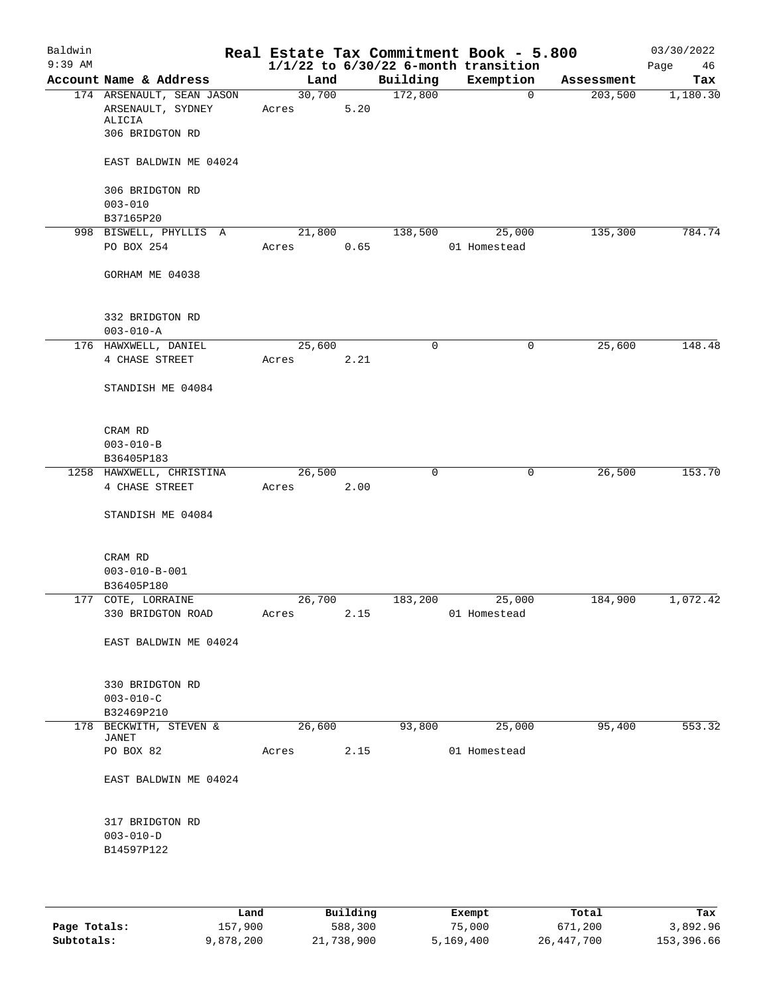| Baldwin<br>$9:39$ AM |                                                                             |                 |        |      | Real Estate Tax Commitment Book - 5.800<br>$1/1/22$ to $6/30/22$ 6-month transition |              |             |            | 03/30/2022<br>Page<br>46 |
|----------------------|-----------------------------------------------------------------------------|-----------------|--------|------|-------------------------------------------------------------------------------------|--------------|-------------|------------|--------------------------|
|                      | Account Name & Address                                                      |                 | Land   |      | Building                                                                            | Exemption    |             | Assessment | Tax                      |
|                      | 174 ARSENAULT, SEAN JASON<br>ARSENAULT, SYDNEY<br>ALICIA<br>306 BRIDGTON RD | 30,700<br>Acres |        | 5.20 | 172,800                                                                             |              | $\mathbf 0$ | 203,500    | 1,180.30                 |
|                      | EAST BALDWIN ME 04024                                                       |                 |        |      |                                                                                     |              |             |            |                          |
|                      | 306 BRIDGTON RD                                                             |                 |        |      |                                                                                     |              |             |            |                          |
|                      | $003 - 010$<br>B37165P20                                                    |                 |        |      |                                                                                     |              |             |            |                          |
|                      | 998 BISWELL, PHYLLIS A                                                      | 21,800          |        |      | 138,500                                                                             |              | 25,000      | 135,300    | 784.74                   |
|                      | PO BOX 254                                                                  | Acres           |        | 0.65 |                                                                                     | 01 Homestead |             |            |                          |
|                      | GORHAM ME 04038                                                             |                 |        |      |                                                                                     |              |             |            |                          |
|                      | 332 BRIDGTON RD<br>$003 - 010 - A$                                          |                 |        |      |                                                                                     |              |             |            |                          |
|                      | 176 HAWXWELL, DANIEL                                                        | 25,600          |        |      | 0                                                                                   |              | 0           | 25,600     | 148.48                   |
|                      | 4 CHASE STREET                                                              | Acres           |        | 2.21 |                                                                                     |              |             |            |                          |
|                      | STANDISH ME 04084                                                           |                 |        |      |                                                                                     |              |             |            |                          |
|                      | CRAM RD<br>$003 - 010 - B$                                                  |                 |        |      |                                                                                     |              |             |            |                          |
|                      | B36405P183                                                                  |                 |        |      |                                                                                     |              |             |            |                          |
|                      | 1258 HAWXWELL, CHRISTINA                                                    | 26, 500         |        |      | $\mathbf 0$                                                                         |              | 0           | 26,500     | 153.70                   |
|                      | 4 CHASE STREET                                                              | Acres           |        | 2.00 |                                                                                     |              |             |            |                          |
|                      | STANDISH ME 04084                                                           |                 |        |      |                                                                                     |              |             |            |                          |
|                      | CRAM RD                                                                     |                 |        |      |                                                                                     |              |             |            |                          |
|                      | $003 - 010 - B - 001$                                                       |                 |        |      |                                                                                     |              |             |            |                          |
|                      | B36405P180                                                                  |                 |        |      |                                                                                     |              |             |            |                          |
|                      | 177 COTE, LORRAINE                                                          |                 | 26,700 |      | 183,200                                                                             |              | 25,000      | 184,900    | 1,072.42                 |
|                      | 330 BRIDGTON ROAD                                                           | Acres           |        | 2.15 |                                                                                     | 01 Homestead |             |            |                          |
|                      | EAST BALDWIN ME 04024                                                       |                 |        |      |                                                                                     |              |             |            |                          |
|                      | 330 BRIDGTON RD                                                             |                 |        |      |                                                                                     |              |             |            |                          |
|                      | $003 - 010 - C$<br>B32469P210                                               |                 |        |      |                                                                                     |              |             |            |                          |
|                      | 178 BECKWITH, STEVEN &<br>JANET                                             | 26,600          |        |      | 93,800                                                                              |              | 25,000      | 95,400     | 553.32                   |
|                      | PO BOX 82                                                                   | Acres           |        | 2.15 |                                                                                     | 01 Homestead |             |            |                          |
|                      | EAST BALDWIN ME 04024                                                       |                 |        |      |                                                                                     |              |             |            |                          |
|                      | 317 BRIDGTON RD<br>$003 - 010 - D$<br>B14597P122                            |                 |        |      |                                                                                     |              |             |            |                          |
|                      |                                                                             |                 |        |      |                                                                                     |              |             |            |                          |

|              | Land      | Building   | Exempt    | Total      | Tax        |
|--------------|-----------|------------|-----------|------------|------------|
| Page Totals: | 157,900   | 588,300    | 75,000    | 671,200    | 3,892.96   |
| Subtotals:   | 9,878,200 | 21,738,900 | 5,169,400 | 26,447,700 | 153,396.66 |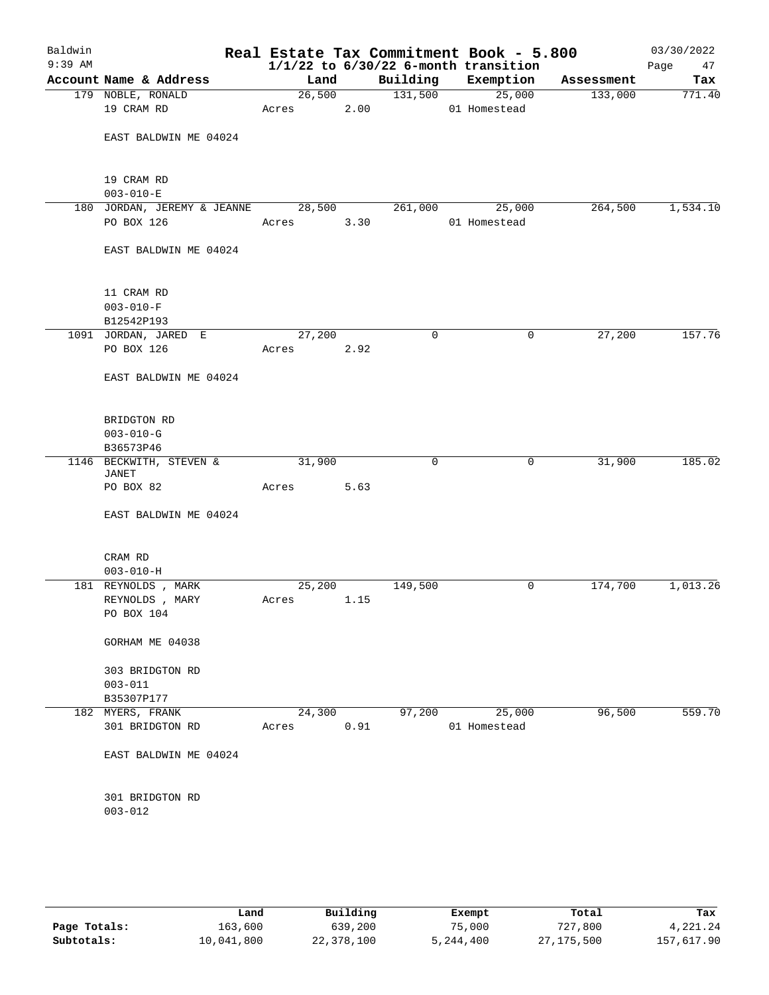| Baldwin<br>$9:39$ AM |                                  |        |      |          | Real Estate Tax Commitment Book - 5.800<br>$1/1/22$ to $6/30/22$ 6-month transition |            | 03/30/2022<br>Page<br>47 |
|----------------------|----------------------------------|--------|------|----------|-------------------------------------------------------------------------------------|------------|--------------------------|
|                      | Account Name & Address           | Land   |      | Building | Exemption                                                                           | Assessment | Tax                      |
|                      | 179 NOBLE, RONALD                | 26,500 |      | 131,500  | 25,000                                                                              | 133,000    | 771.40                   |
|                      | 19 CRAM RD                       | Acres  | 2.00 |          | 01 Homestead                                                                        |            |                          |
|                      | EAST BALDWIN ME 04024            |        |      |          |                                                                                     |            |                          |
|                      | 19 CRAM RD                       |        |      |          |                                                                                     |            |                          |
|                      | $003 - 010 - E$                  |        |      |          |                                                                                     |            |                          |
|                      | 180 JORDAN, JEREMY & JEANNE      | 28,500 |      | 261,000  | 25,000                                                                              | 264,500    | 1,534.10                 |
|                      | PO BOX 126                       | Acres  | 3.30 |          | 01 Homestead                                                                        |            |                          |
|                      | EAST BALDWIN ME 04024            |        |      |          |                                                                                     |            |                          |
|                      |                                  |        |      |          |                                                                                     |            |                          |
|                      | 11 CRAM RD                       |        |      |          |                                                                                     |            |                          |
|                      | $003 - 010 - F$<br>B12542P193    |        |      |          |                                                                                     |            |                          |
|                      | 1091 JORDAN, JARED E             | 27,200 |      | 0        | 0                                                                                   | 27,200     | 157.76                   |
|                      | PO BOX 126                       | Acres  | 2.92 |          |                                                                                     |            |                          |
|                      |                                  |        |      |          |                                                                                     |            |                          |
|                      | EAST BALDWIN ME 04024            |        |      |          |                                                                                     |            |                          |
|                      | BRIDGTON RD                      |        |      |          |                                                                                     |            |                          |
|                      | $003 - 010 - G$                  |        |      |          |                                                                                     |            |                          |
|                      | B36573P46                        |        |      |          |                                                                                     |            |                          |
|                      | 1146 BECKWITH, STEVEN &<br>JANET | 31,900 |      | 0        | $\mathbf 0$                                                                         | 31,900     | 185.02                   |
|                      | PO BOX 82                        | Acres  | 5.63 |          |                                                                                     |            |                          |
|                      | EAST BALDWIN ME 04024            |        |      |          |                                                                                     |            |                          |
|                      | CRAM RD                          |        |      |          |                                                                                     |            |                          |
|                      | $003 - 010 - H$                  |        |      |          |                                                                                     |            |                          |
|                      | 181 REYNOLDS , MARK              | 25,200 |      | 149,500  | 0                                                                                   | 174,700    | 1,013.26                 |
|                      | REYNOLDS , MARY                  | Acres  | 1.15 |          |                                                                                     |            |                          |
|                      | PO BOX 104                       |        |      |          |                                                                                     |            |                          |
|                      | GORHAM ME 04038                  |        |      |          |                                                                                     |            |                          |
|                      | 303 BRIDGTON RD                  |        |      |          |                                                                                     |            |                          |
|                      | $003 - 011$                      |        |      |          |                                                                                     |            |                          |
|                      | B35307P177                       |        |      |          |                                                                                     |            |                          |
|                      | 182 MYERS, FRANK                 | 24,300 |      | 97,200   | 25,000                                                                              | 96,500     | 559.70                   |
|                      | 301 BRIDGTON RD                  | Acres  | 0.91 |          | 01 Homestead                                                                        |            |                          |
|                      | EAST BALDWIN ME 04024            |        |      |          |                                                                                     |            |                          |
|                      | 301 BRIDGTON RD                  |        |      |          |                                                                                     |            |                          |
|                      | $003 - 012$                      |        |      |          |                                                                                     |            |                          |
|                      |                                  |        |      |          |                                                                                     |            |                          |
|                      |                                  |        |      |          |                                                                                     |            |                          |

|              | Land       | Building   | Exempt    | Total      | Tax        |
|--------------|------------|------------|-----------|------------|------------|
| Page Totals: | 163,600    | 639,200    | 75,000    | 727,800    | 4,221.24   |
| Subtotals:   | 10,041,800 | 22,378,100 | 5,244,400 | 27,175,500 | 157,617.90 |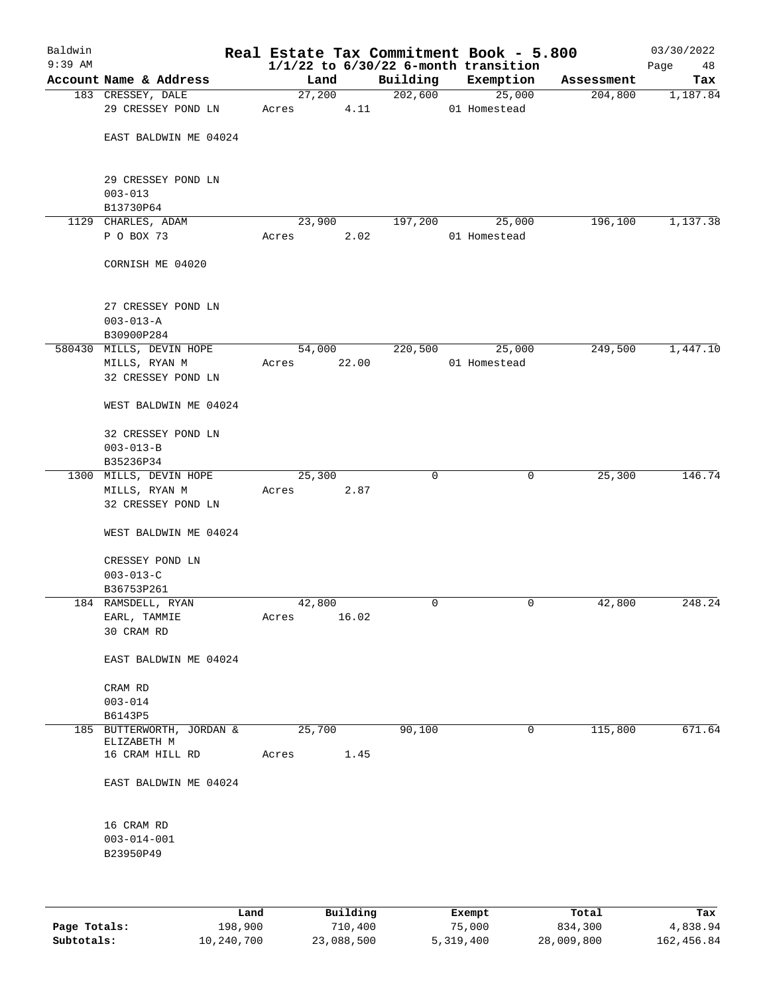| Baldwin<br>$9:39$ AM |                                                     |        |       |             | Real Estate Tax Commitment Book - 5.800<br>$1/1/22$ to $6/30/22$ 6-month transition |            | 03/30/2022<br>Page<br>48 |
|----------------------|-----------------------------------------------------|--------|-------|-------------|-------------------------------------------------------------------------------------|------------|--------------------------|
|                      | Account Name & Address                              | Land   |       | Building    | Exemption                                                                           | Assessment | Tax                      |
|                      | 183 CRESSEY, DALE                                   | 27,200 |       | 202,600     | 25,000                                                                              | 204,800    | 1,187.84                 |
|                      | 29 CRESSEY POND LN                                  | Acres  | 4.11  |             | 01 Homestead                                                                        |            |                          |
|                      | EAST BALDWIN ME 04024                               |        |       |             |                                                                                     |            |                          |
|                      | 29 CRESSEY POND LN<br>$003 - 013$                   |        |       |             |                                                                                     |            |                          |
|                      | B13730P64                                           |        |       |             |                                                                                     |            |                          |
|                      | 1129 CHARLES, ADAM                                  | 23,900 |       | 197,200     | 25,000                                                                              | 196,100    | 1,137.38                 |
|                      | P O BOX 73                                          | Acres  | 2.02  |             | 01 Homestead                                                                        |            |                          |
|                      | CORNISH ME 04020                                    |        |       |             |                                                                                     |            |                          |
|                      | 27 CRESSEY POND LN<br>$003 - 013 - A$<br>B30900P284 |        |       |             |                                                                                     |            |                          |
|                      | 580430 MILLS, DEVIN HOPE                            | 54,000 |       | 220,500     | 25,000                                                                              | 249,500    | 1,447.10                 |
|                      | MILLS, RYAN M                                       | Acres  | 22.00 |             | 01 Homestead                                                                        |            |                          |
|                      | 32 CRESSEY POND LN                                  |        |       |             |                                                                                     |            |                          |
|                      | WEST BALDWIN ME 04024                               |        |       |             |                                                                                     |            |                          |
|                      | 32 CRESSEY POND LN                                  |        |       |             |                                                                                     |            |                          |
|                      | $003 - 013 - B$<br>B35236P34                        |        |       |             |                                                                                     |            |                          |
|                      | 1300 MILLS, DEVIN HOPE                              | 25,300 |       | $\mathbf 0$ | 0                                                                                   | 25,300     | 146.74                   |
|                      | MILLS, RYAN M                                       | Acres  | 2.87  |             |                                                                                     |            |                          |
|                      | 32 CRESSEY POND LN                                  |        |       |             |                                                                                     |            |                          |
|                      | WEST BALDWIN ME 04024                               |        |       |             |                                                                                     |            |                          |
|                      | CRESSEY POND LN                                     |        |       |             |                                                                                     |            |                          |
|                      | $003 - 013 - C$                                     |        |       |             |                                                                                     |            |                          |
|                      | B36753P261                                          |        |       |             |                                                                                     |            |                          |
|                      | 184 RAMSDELL, RYAN                                  | 42,800 |       | 0           | 0                                                                                   | 42,800     | 248.24                   |
|                      | EARL, TAMMIE                                        | Acres  | 16.02 |             |                                                                                     |            |                          |
|                      | 30 CRAM RD                                          |        |       |             |                                                                                     |            |                          |
|                      | EAST BALDWIN ME 04024                               |        |       |             |                                                                                     |            |                          |
|                      | CRAM RD                                             |        |       |             |                                                                                     |            |                          |
|                      | $003 - 014$<br>B6143P5                              |        |       |             |                                                                                     |            |                          |
|                      | 185 BUTTERWORTH, JORDAN &<br>ELIZABETH M            | 25,700 |       | 90,100      | $\mathbf 0$                                                                         | 115,800    | 671.64                   |
|                      | 16 CRAM HILL RD                                     | Acres  | 1.45  |             |                                                                                     |            |                          |
|                      | EAST BALDWIN ME 04024                               |        |       |             |                                                                                     |            |                          |
|                      | 16 CRAM RD                                          |        |       |             |                                                                                     |            |                          |
|                      | $003 - 014 - 001$                                   |        |       |             |                                                                                     |            |                          |
|                      | B23950P49                                           |        |       |             |                                                                                     |            |                          |
|                      |                                                     |        |       |             |                                                                                     |            |                          |
|                      |                                                     |        |       |             |                                                                                     |            |                          |

|              | Land       | Building   | Exempt    | Total      | Tax        |
|--------------|------------|------------|-----------|------------|------------|
| Page Totals: | 198,900    | 710,400    | 75,000    | 834,300    | 4,838.94   |
| Subtotals:   | 10,240,700 | 23,088,500 | 5,319,400 | 28,009,800 | 162,456.84 |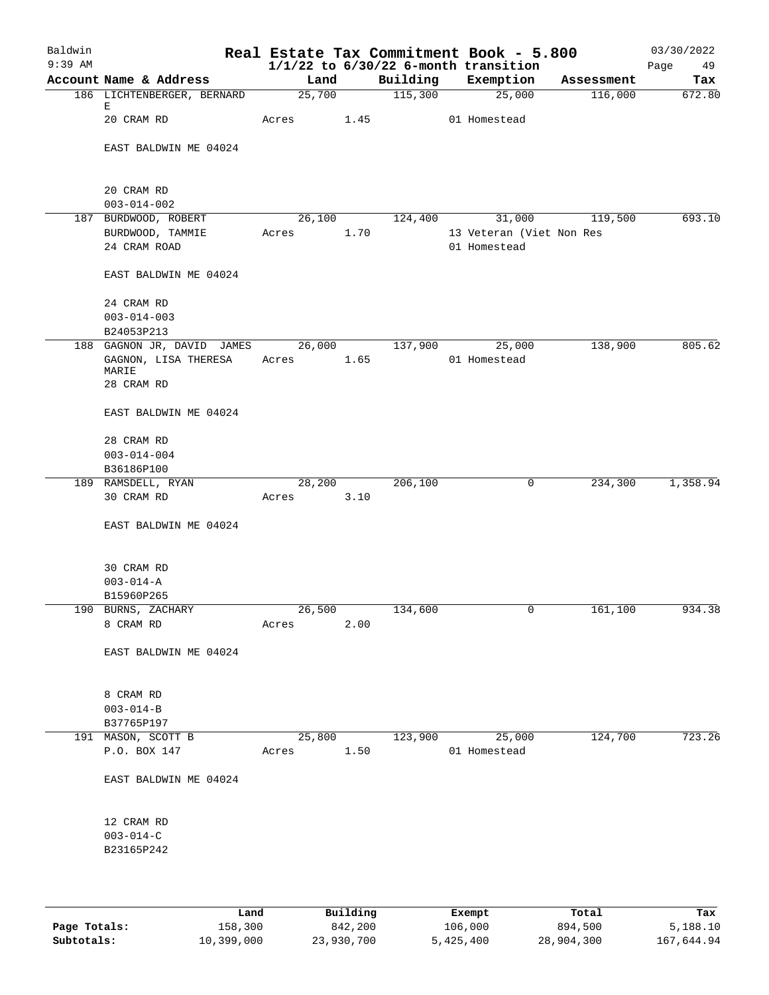| Baldwin<br>$9:39$ AM |                                 |            |        |      |          | Real Estate Tax Commitment Book - 5.800<br>$1/1/22$ to $6/30/22$ 6-month transition |            | 03/30/2022<br>Page<br>49 |
|----------------------|---------------------------------|------------|--------|------|----------|-------------------------------------------------------------------------------------|------------|--------------------------|
|                      | Account Name & Address          |            | Land   |      | Building | Exemption                                                                           | Assessment | Tax                      |
|                      | 186 LICHTENBERGER, BERNARD      |            | 25,700 |      | 115,300  | 25,000                                                                              | 116,000    | 672.80                   |
|                      | Е<br>20 CRAM RD                 | Acres      |        | 1.45 |          | 01 Homestead                                                                        |            |                          |
|                      | EAST BALDWIN ME 04024           |            |        |      |          |                                                                                     |            |                          |
|                      |                                 |            |        |      |          |                                                                                     |            |                          |
|                      | 20 CRAM RD<br>$003 - 014 - 002$ |            |        |      |          |                                                                                     |            |                          |
|                      | 187 BURDWOOD, ROBERT            |            | 26,100 |      | 124,400  | 31,000                                                                              | 119,500    | 693.10                   |
|                      | BURDWOOD, TAMMIE                | Acres      |        | 1.70 |          | 13 Veteran (Viet Non Res                                                            |            |                          |
|                      | 24 CRAM ROAD                    |            |        |      |          | 01 Homestead                                                                        |            |                          |
|                      | EAST BALDWIN ME 04024           |            |        |      |          |                                                                                     |            |                          |
|                      | 24 CRAM RD                      |            |        |      |          |                                                                                     |            |                          |
|                      | $003 - 014 - 003$               |            |        |      |          |                                                                                     |            |                          |
|                      | B24053P213                      |            |        |      |          |                                                                                     |            |                          |
|                      | 188 GAGNON JR, DAVID JAMES      |            | 26,000 |      | 137,900  | 25,000                                                                              | 138,900    | 805.62                   |
|                      | GAGNON, LISA THERESA            |            |        | 1.65 |          | 01 Homestead                                                                        |            |                          |
|                      | MARIE                           | Acres      |        |      |          |                                                                                     |            |                          |
|                      | 28 CRAM RD                      |            |        |      |          |                                                                                     |            |                          |
|                      | EAST BALDWIN ME 04024           |            |        |      |          |                                                                                     |            |                          |
|                      | 28 CRAM RD                      |            |        |      |          |                                                                                     |            |                          |
|                      | $003 - 014 - 004$               |            |        |      |          |                                                                                     |            |                          |
|                      | B36186P100                      |            |        |      |          |                                                                                     |            |                          |
|                      | 189 RAMSDELL, RYAN              |            | 28,200 |      | 206,100  | 0                                                                                   | 234,300    | 1,358.94                 |
|                      | 30 CRAM RD                      | Acres      |        | 3.10 |          |                                                                                     |            |                          |
|                      | EAST BALDWIN ME 04024           |            |        |      |          |                                                                                     |            |                          |
|                      | 30 CRAM RD                      |            |        |      |          |                                                                                     |            |                          |
|                      | $003 - 014 - A$                 |            |        |      |          |                                                                                     |            |                          |
|                      | B15960P265                      |            |        |      |          |                                                                                     |            |                          |
|                      | 190 BURNS, ZACHARY              |            | 26,500 |      | 134,600  | 0                                                                                   | 161, 100   | 934.38                   |
|                      | 8 CRAM RD                       | Acres      |        | 2.00 |          |                                                                                     |            |                          |
|                      | EAST BALDWIN ME 04024           |            |        |      |          |                                                                                     |            |                          |
|                      |                                 |            |        |      |          |                                                                                     |            |                          |
|                      | 8 CRAM RD                       |            |        |      |          |                                                                                     |            |                          |
|                      | $003 - 014 - B$                 |            |        |      |          |                                                                                     |            |                          |
|                      | B37765P197                      |            |        |      |          |                                                                                     |            |                          |
|                      | 191 MASON, SCOTT B              |            | 25,800 |      | 123,900  | 25,000                                                                              | 124,700    | 723.26                   |
|                      | P.O. BOX 147                    | Acres 1.50 |        |      |          | 01 Homestead                                                                        |            |                          |
|                      | EAST BALDWIN ME 04024           |            |        |      |          |                                                                                     |            |                          |
|                      | 12 CRAM RD                      |            |        |      |          |                                                                                     |            |                          |
|                      | $003 - 014 - C$                 |            |        |      |          |                                                                                     |            |                          |
|                      | B23165P242                      |            |        |      |          |                                                                                     |            |                          |
|                      |                                 |            |        |      |          |                                                                                     |            |                          |
|                      |                                 |            |        |      |          |                                                                                     |            |                          |

|              | Land       | Building   | Exempt    | Total      | Tax        |
|--------------|------------|------------|-----------|------------|------------|
| Page Totals: | 158,300    | 842,200    | 106,000   | 894,500    | 5,188.10   |
| Subtotals:   | 10,399,000 | 23,930,700 | 5,425,400 | 28,904,300 | 167,644.94 |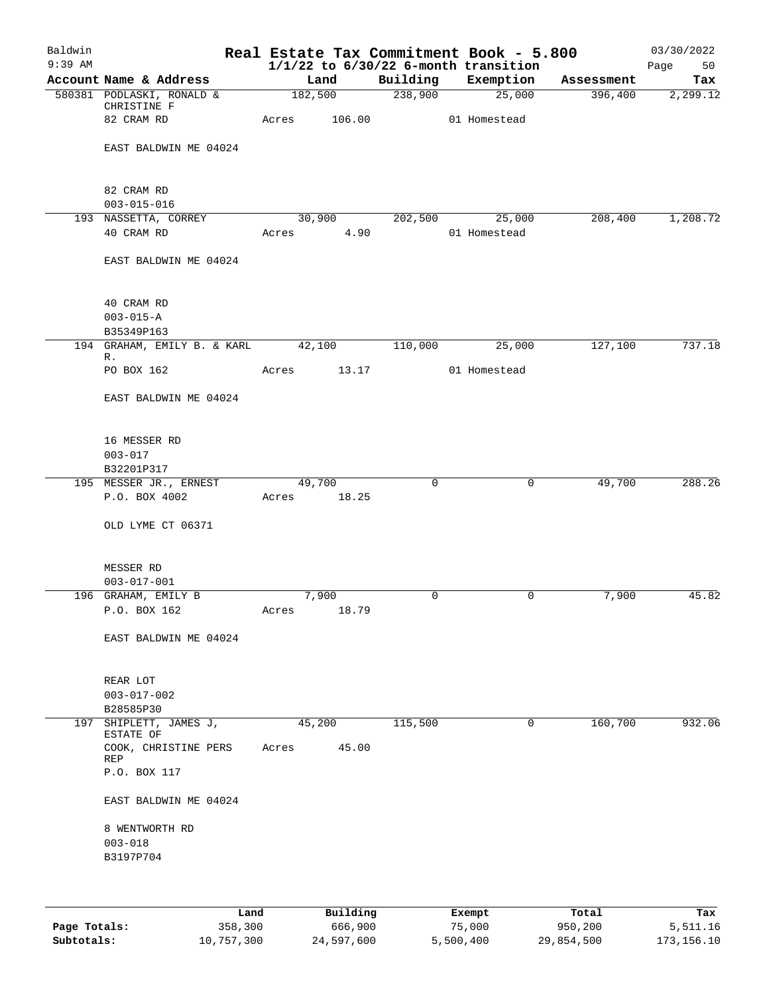| Baldwin<br>$9:39$ AM |                                     |             |        |             | Real Estate Tax Commitment Book - 5.800<br>$1/1/22$ to $6/30/22$ 6-month transition |            | 03/30/2022<br>Page<br>50 |
|----------------------|-------------------------------------|-------------|--------|-------------|-------------------------------------------------------------------------------------|------------|--------------------------|
|                      | Account Name & Address              |             | Land   | Building    | Exemption                                                                           | Assessment | Tax                      |
|                      | 580381 PODLASKI, RONALD &           | 182,500     |        | 238,900     | 25,000                                                                              | 396,400    | 2,299.12                 |
|                      | CHRISTINE F                         |             |        |             |                                                                                     |            |                          |
|                      | 82 CRAM RD                          | Acres       | 106.00 |             | 01 Homestead                                                                        |            |                          |
|                      |                                     |             |        |             |                                                                                     |            |                          |
|                      | EAST BALDWIN ME 04024               |             |        |             |                                                                                     |            |                          |
|                      |                                     |             |        |             |                                                                                     |            |                          |
|                      | 82 CRAM RD                          |             |        |             |                                                                                     |            |                          |
|                      | $003 - 015 - 016$                   |             |        |             |                                                                                     |            |                          |
|                      | 193 NASSETTA, CORREY                | 30,900      |        | 202,500     | 25,000                                                                              | 208,400    | 1,208.72                 |
|                      | 40 CRAM RD                          | Acres 4.90  |        |             | 01 Homestead                                                                        |            |                          |
|                      | EAST BALDWIN ME 04024               |             |        |             |                                                                                     |            |                          |
|                      |                                     |             |        |             |                                                                                     |            |                          |
|                      |                                     |             |        |             |                                                                                     |            |                          |
|                      | 40 CRAM RD                          |             |        |             |                                                                                     |            |                          |
|                      | $003 - 015 - A$<br>B35349P163       |             |        |             |                                                                                     |            |                          |
|                      | 194 GRAHAM, EMILY B. & KARL         | 42,100      |        | 110,000     | 25,000                                                                              | 127,100    | 737.18                   |
|                      | R.                                  |             |        |             |                                                                                     |            |                          |
|                      | PO BOX 162                          | Acres       | 13.17  |             | 01 Homestead                                                                        |            |                          |
|                      | EAST BALDWIN ME 04024               |             |        |             |                                                                                     |            |                          |
|                      |                                     |             |        |             |                                                                                     |            |                          |
|                      | 16 MESSER RD                        |             |        |             |                                                                                     |            |                          |
|                      | $003 - 017$                         |             |        |             |                                                                                     |            |                          |
|                      | B32201P317                          |             |        |             |                                                                                     |            |                          |
|                      | 195 MESSER JR., ERNEST              | 49,700      |        | $\mathbf 0$ | 0                                                                                   | 49,700     | 288.26                   |
|                      | P.O. BOX 4002                       | Acres       | 18.25  |             |                                                                                     |            |                          |
|                      | OLD LYME CT 06371                   |             |        |             |                                                                                     |            |                          |
|                      |                                     |             |        |             |                                                                                     |            |                          |
|                      | MESSER RD                           |             |        |             |                                                                                     |            |                          |
|                      | $003 - 017 - 001$                   |             |        |             |                                                                                     |            |                          |
|                      | 196 GRAHAM, EMILY B                 | 7,900       |        | 0           | 0                                                                                   | 7,900      | 45.82                    |
|                      | P.O. BOX 162                        | Acres 18.79 |        |             |                                                                                     |            |                          |
|                      |                                     |             |        |             |                                                                                     |            |                          |
|                      | EAST BALDWIN ME 04024               |             |        |             |                                                                                     |            |                          |
|                      |                                     |             |        |             |                                                                                     |            |                          |
|                      | REAR LOT                            |             |        |             |                                                                                     |            |                          |
|                      | $003 - 017 - 002$                   |             |        |             |                                                                                     |            |                          |
|                      | B28585P30                           |             |        |             |                                                                                     |            |                          |
|                      | 197 SHIPLETT, JAMES J,<br>ESTATE OF | 45,200      |        | 115,500     | 0                                                                                   | 160,700    | 932.06                   |
|                      | COOK, CHRISTINE PERS<br>REP         | Acres       | 45.00  |             |                                                                                     |            |                          |
|                      | P.O. BOX 117                        |             |        |             |                                                                                     |            |                          |
|                      |                                     |             |        |             |                                                                                     |            |                          |
|                      | EAST BALDWIN ME 04024               |             |        |             |                                                                                     |            |                          |
|                      | 8 WENTWORTH RD                      |             |        |             |                                                                                     |            |                          |
|                      | $003 - 018$                         |             |        |             |                                                                                     |            |                          |
|                      | B3197P704                           |             |        |             |                                                                                     |            |                          |
|                      |                                     |             |        |             |                                                                                     |            |                          |
|                      |                                     |             |        |             |                                                                                     |            |                          |

|              | Land       | Building   | Exempt    | Total      | Tax        |
|--------------|------------|------------|-----------|------------|------------|
| Page Totals: | 358,300    | 666,900    | 75,000    | 950,200    | 5,511.16   |
| Subtotals:   | 10,757,300 | 24,597,600 | 5,500,400 | 29,854,500 | 173,156.10 |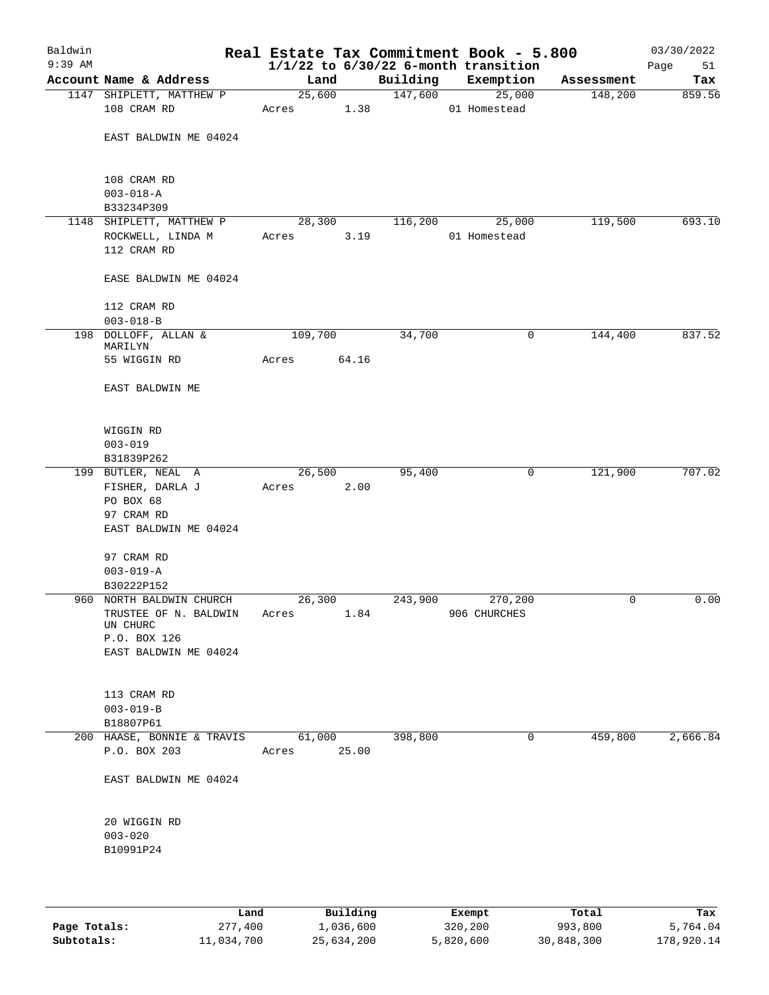| Baldwin<br>$9:39$ AM |                                 |         |       |          | Real Estate Tax Commitment Book - 5.800<br>$1/1/22$ to $6/30/22$ 6-month transition |            | 03/30/2022<br>Page<br>51 |
|----------------------|---------------------------------|---------|-------|----------|-------------------------------------------------------------------------------------|------------|--------------------------|
|                      | Account Name & Address          | Land    |       | Building | Exemption                                                                           | Assessment | Tax                      |
|                      | 1147 SHIPLETT, MATTHEW P        | 25,600  |       | 147,600  | 25,000                                                                              | 148,200    | 859.56                   |
|                      | 108 CRAM RD                     | Acres   | 1.38  |          | 01 Homestead                                                                        |            |                          |
|                      | EAST BALDWIN ME 04024           |         |       |          |                                                                                     |            |                          |
|                      | 108 CRAM RD<br>$003 - 018 - A$  |         |       |          |                                                                                     |            |                          |
|                      | B33234P309                      |         |       |          |                                                                                     |            |                          |
|                      | 1148 SHIPLETT, MATTHEW P        | 28,300  |       | 116,200  | 25,000                                                                              | 119,500    | 693.10                   |
|                      | ROCKWELL, LINDA M               | Acres   | 3.19  |          | 01 Homestead                                                                        |            |                          |
|                      | 112 CRAM RD                     |         |       |          |                                                                                     |            |                          |
|                      | EASE BALDWIN ME 04024           |         |       |          |                                                                                     |            |                          |
|                      | 112 CRAM RD                     |         |       |          |                                                                                     |            |                          |
|                      | $003 - 018 - B$                 |         |       |          |                                                                                     |            |                          |
|                      | 198 DOLLOFF, ALLAN &<br>MARILYN | 109,700 |       | 34,700   | 0                                                                                   | 144,400    | 837.52                   |
|                      | 55 WIGGIN RD                    | Acres   | 64.16 |          |                                                                                     |            |                          |
|                      | EAST BALDWIN ME                 |         |       |          |                                                                                     |            |                          |
|                      | WIGGIN RD                       |         |       |          |                                                                                     |            |                          |
|                      | $003 - 019$                     |         |       |          |                                                                                     |            |                          |
|                      | B31839P262                      |         |       |          |                                                                                     |            |                          |
|                      | 199 BUTLER, NEAL A              | 26,500  |       | 95,400   | 0                                                                                   | 121,900    | 707.02                   |
|                      | FISHER, DARLA J                 | Acres   | 2.00  |          |                                                                                     |            |                          |
|                      | PO BOX 68                       |         |       |          |                                                                                     |            |                          |
|                      | 97 CRAM RD                      |         |       |          |                                                                                     |            |                          |
|                      | EAST BALDWIN ME 04024           |         |       |          |                                                                                     |            |                          |
|                      | 97 CRAM RD                      |         |       |          |                                                                                     |            |                          |
|                      | $003 - 019 - A$                 |         |       |          |                                                                                     |            |                          |
|                      | B30222P152                      |         |       |          |                                                                                     |            |                          |
|                      | 960 NORTH BALDWIN CHURCH        | 26,300  |       | 243,900  | 270,200                                                                             | 0          | 0.00                     |
|                      | TRUSTEE OF N. BALDWIN           | Acres   | 1.84  |          | 906 CHURCHES                                                                        |            |                          |
|                      | UN CHURC                        |         |       |          |                                                                                     |            |                          |
|                      | P.O. BOX 126                    |         |       |          |                                                                                     |            |                          |
|                      | EAST BALDWIN ME 04024           |         |       |          |                                                                                     |            |                          |
|                      | 113 CRAM RD                     |         |       |          |                                                                                     |            |                          |
|                      | $003 - 019 - B$                 |         |       |          |                                                                                     |            |                          |
|                      | B18807P61                       |         |       |          |                                                                                     |            |                          |
|                      | 200 HAASE, BONNIE & TRAVIS      | 61,000  |       | 398,800  | 0                                                                                   | 459,800    | 2,666.84                 |
|                      | P.O. BOX 203                    | Acres   | 25.00 |          |                                                                                     |            |                          |
|                      | EAST BALDWIN ME 04024           |         |       |          |                                                                                     |            |                          |
|                      | 20 WIGGIN RD                    |         |       |          |                                                                                     |            |                          |
|                      | $003 - 020$                     |         |       |          |                                                                                     |            |                          |
|                      | B10991P24                       |         |       |          |                                                                                     |            |                          |
|                      |                                 |         |       |          |                                                                                     |            |                          |
|                      |                                 |         |       |          |                                                                                     |            |                          |

|              | Land       | Building   | Exempt    | Total      | Tax        |
|--------------|------------|------------|-----------|------------|------------|
| Page Totals: | 277,400    | 1,036,600  | 320,200   | 993,800    | 5,764.04   |
| Subtotals:   | 11,034,700 | 25,634,200 | 5,820,600 | 30,848,300 | 178,920.14 |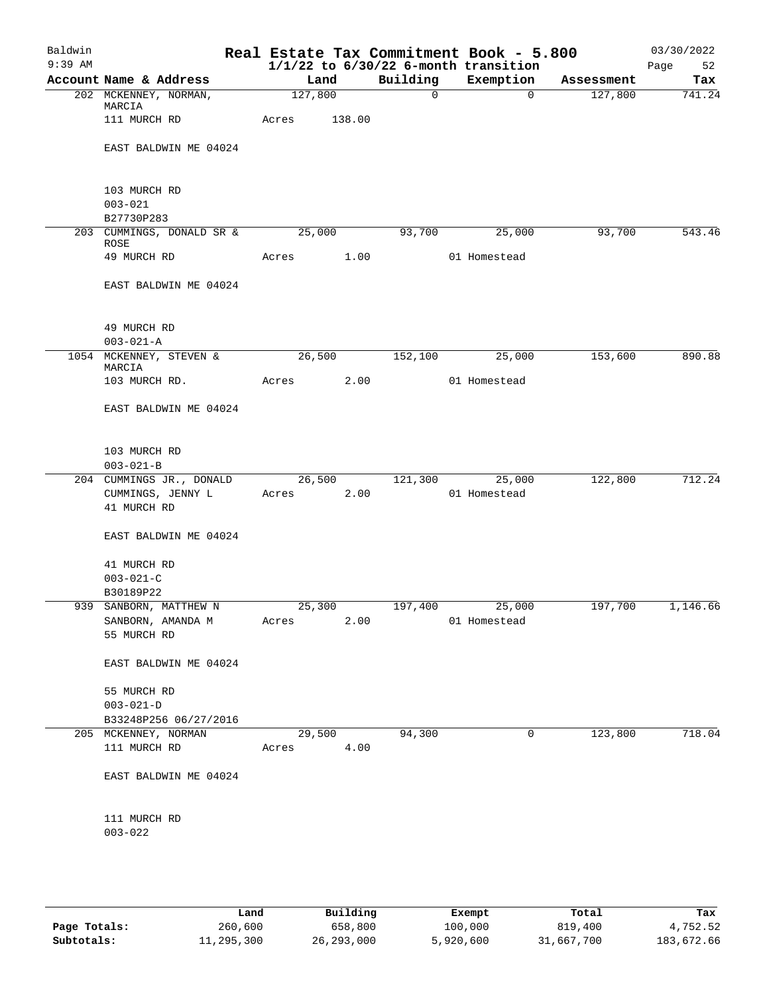| Baldwin<br>$9:39$ AM |                                                              |       |         |                |              | Real Estate Tax Commitment Book - 5.800<br>$1/1/22$ to $6/30/22$ 6-month transition |            | 03/30/2022<br>Page<br>52 |
|----------------------|--------------------------------------------------------------|-------|---------|----------------|--------------|-------------------------------------------------------------------------------------|------------|--------------------------|
|                      | Account Name & Address                                       |       | Land    |                | Building     | Exemption                                                                           | Assessment | Tax                      |
|                      | 202 MCKENNEY, NORMAN,<br>MARCIA                              |       | 127,800 |                | $\mathsf{O}$ | $\overline{0}$                                                                      | 127,800    | 741.24                   |
|                      | 111 MURCH RD                                                 | Acres |         | 138.00         |              |                                                                                     |            |                          |
|                      | EAST BALDWIN ME 04024                                        |       |         |                |              |                                                                                     |            |                          |
|                      | 103 MURCH RD<br>$003 - 021$<br>B27730P283                    |       |         |                |              |                                                                                     |            |                          |
|                      | 203 CUMMINGS, DONALD SR &<br>ROSE                            |       | 25,000  |                | 93,700       | 25,000                                                                              | 93,700     | 543.46                   |
|                      | 49 MURCH RD                                                  | Acres |         | 1.00           |              | 01 Homestead                                                                        |            |                          |
|                      | EAST BALDWIN ME 04024                                        |       |         |                |              |                                                                                     |            |                          |
|                      | 49 MURCH RD<br>$003 - 021 - A$                               |       |         |                |              |                                                                                     |            |                          |
|                      | 1054 MCKENNEY, STEVEN &<br>MARCIA                            |       | 26,500  |                | 152,100      | 25,000                                                                              | 153,600    | 890.88                   |
|                      | 103 MURCH RD.                                                | Acres |         | 2.00           |              | 01 Homestead                                                                        |            |                          |
|                      | EAST BALDWIN ME 04024                                        |       |         |                |              |                                                                                     |            |                          |
|                      | 103 MURCH RD<br>$003 - 021 - B$                              |       |         |                |              |                                                                                     |            |                          |
|                      | 204 CUMMINGS JR., DONALD<br>CUMMINGS, JENNY L<br>41 MURCH RD | Acres |         | 26,500<br>2.00 | 121,300      | 25,000<br>01 Homestead                                                              | 122,800    | 712.24                   |
|                      | EAST BALDWIN ME 04024                                        |       |         |                |              |                                                                                     |            |                          |
|                      | 41 MURCH RD<br>$003 - 021 - C$<br>B30189P22                  |       |         |                |              |                                                                                     |            |                          |
| 939                  | SANBORN, MATTHEW N<br>SANBORN, AMANDA M<br>55 MURCH RD       | Acres | 25,300  | 2.00           | 197,400      | 25,000<br>01 Homestead                                                              | 197,700    | 1,146.66                 |
|                      | EAST BALDWIN ME 04024                                        |       |         |                |              |                                                                                     |            |                          |
|                      | 55 MURCH RD<br>$003 - 021 - D$<br>B33248P256 06/27/2016      |       |         |                |              |                                                                                     |            |                          |
|                      | 205 MCKENNEY, NORMAN                                         |       | 29,500  |                | 94,300       | 0                                                                                   | 123,800    | 718.04                   |
|                      | 111 MURCH RD                                                 | Acres |         | 4.00           |              |                                                                                     |            |                          |
|                      | EAST BALDWIN ME 04024                                        |       |         |                |              |                                                                                     |            |                          |
|                      | 111 MURCH RD<br>$003 - 022$                                  |       |         |                |              |                                                                                     |            |                          |
|                      |                                                              |       |         |                |              |                                                                                     |            |                          |

|              | Land       | Building     | Exempt    | Total      | Tax        |
|--------------|------------|--------------|-----------|------------|------------|
| Page Totals: | 260,600    | 658,800      | 100,000   | 819,400    | 4,752.52   |
| Subtotals:   | 11,295,300 | 26, 293, 000 | 5,920,600 | 31,667,700 | 183,672.66 |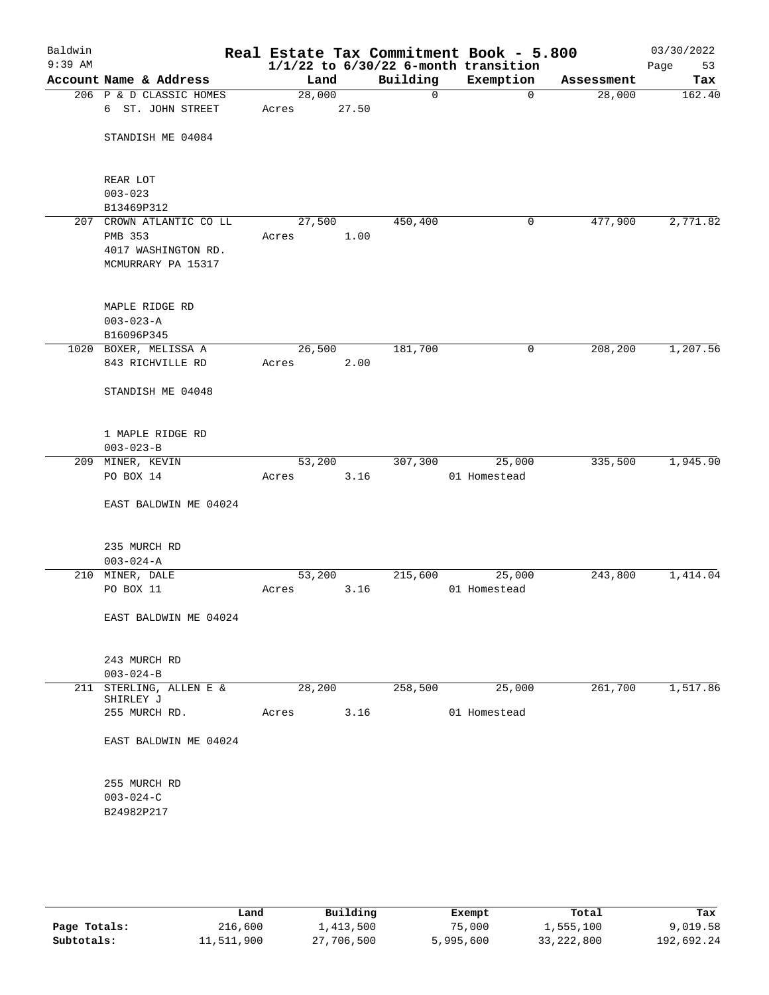| Baldwin<br>$9:39$ AM |                                 |        |       |          | Real Estate Tax Commitment Book - 5.800<br>$1/1/22$ to $6/30/22$ 6-month transition |            | 03/30/2022<br>Page<br>53 |
|----------------------|---------------------------------|--------|-------|----------|-------------------------------------------------------------------------------------|------------|--------------------------|
|                      | Account Name & Address          | Land   |       | Building | Exemption                                                                           | Assessment | Tax                      |
|                      | 206 P & D CLASSIC HOMES         | 28,000 |       | 0        | $\mathbf 0$                                                                         | 28,000     | 162.40                   |
|                      | 6 ST. JOHN STREET               | Acres  | 27.50 |          |                                                                                     |            |                          |
|                      |                                 |        |       |          |                                                                                     |            |                          |
|                      | STANDISH ME 04084               |        |       |          |                                                                                     |            |                          |
|                      |                                 |        |       |          |                                                                                     |            |                          |
|                      |                                 |        |       |          |                                                                                     |            |                          |
|                      | REAR LOT                        |        |       |          |                                                                                     |            |                          |
|                      | $003 - 023$                     |        |       |          |                                                                                     |            |                          |
|                      | B13469P312                      |        |       |          |                                                                                     |            |                          |
|                      | 207 CROWN ATLANTIC CO LL        | 27,500 |       | 450,400  | 0                                                                                   | 477,900    | 2,771.82                 |
|                      | PMB 353                         | Acres  | 1.00  |          |                                                                                     |            |                          |
|                      | 4017 WASHINGTON RD.             |        |       |          |                                                                                     |            |                          |
|                      | MCMURRARY PA 15317              |        |       |          |                                                                                     |            |                          |
|                      |                                 |        |       |          |                                                                                     |            |                          |
|                      | MAPLE RIDGE RD                  |        |       |          |                                                                                     |            |                          |
|                      | $003 - 023 - A$                 |        |       |          |                                                                                     |            |                          |
|                      | B16096P345                      |        |       |          |                                                                                     |            |                          |
|                      | 1020 BOXER, MELISSA A           | 26,500 |       | 181,700  | 0                                                                                   | 208,200    | 1,207.56                 |
|                      | 843 RICHVILLE RD                | Acres  | 2.00  |          |                                                                                     |            |                          |
|                      |                                 |        |       |          |                                                                                     |            |                          |
|                      | STANDISH ME 04048               |        |       |          |                                                                                     |            |                          |
|                      |                                 |        |       |          |                                                                                     |            |                          |
|                      |                                 |        |       |          |                                                                                     |            |                          |
|                      | 1 MAPLE RIDGE RD                |        |       |          |                                                                                     |            |                          |
|                      | $003 - 023 - B$                 |        |       |          |                                                                                     |            |                          |
|                      | 209 MINER, KEVIN<br>PO BOX 14   | 53,200 |       | 307,300  | 25,000                                                                              | 335,500    | 1,945.90                 |
|                      |                                 | Acres  | 3.16  |          | 01 Homestead                                                                        |            |                          |
|                      | EAST BALDWIN ME 04024           |        |       |          |                                                                                     |            |                          |
|                      |                                 |        |       |          |                                                                                     |            |                          |
|                      |                                 |        |       |          |                                                                                     |            |                          |
|                      | 235 MURCH RD                    |        |       |          |                                                                                     |            |                          |
|                      | $003 - 024 - A$                 |        |       |          |                                                                                     |            |                          |
|                      | 210 MINER, DALE                 | 53,200 |       | 215,600  | 25,000                                                                              | 243,800    | 1,414.04                 |
|                      | PO BOX 11                       | Acres  | 3.16  |          | 01 Homestead                                                                        |            |                          |
|                      |                                 |        |       |          |                                                                                     |            |                          |
|                      | EAST BALDWIN ME 04024           |        |       |          |                                                                                     |            |                          |
|                      |                                 |        |       |          |                                                                                     |            |                          |
|                      |                                 |        |       |          |                                                                                     |            |                          |
|                      | 243 MURCH RD<br>$003 - 024 - B$ |        |       |          |                                                                                     |            |                          |
|                      | 211 STERLING, ALLEN E &         | 28,200 |       | 258,500  | 25,000                                                                              | 261,700    | 1,517.86                 |
|                      | SHIRLEY J                       |        |       |          |                                                                                     |            |                          |
|                      | 255 MURCH RD.                   | Acres  | 3.16  |          | 01 Homestead                                                                        |            |                          |
|                      |                                 |        |       |          |                                                                                     |            |                          |
|                      | EAST BALDWIN ME 04024           |        |       |          |                                                                                     |            |                          |
|                      |                                 |        |       |          |                                                                                     |            |                          |
|                      | 255 MURCH RD                    |        |       |          |                                                                                     |            |                          |
|                      | $003 - 024 - C$                 |        |       |          |                                                                                     |            |                          |
|                      | B24982P217                      |        |       |          |                                                                                     |            |                          |
|                      |                                 |        |       |          |                                                                                     |            |                          |
|                      |                                 |        |       |          |                                                                                     |            |                          |
|                      |                                 |        |       |          |                                                                                     |            |                          |

|              | Land       | Building   | Exempt    | Total        | Tax        |
|--------------|------------|------------|-----------|--------------|------------|
| Page Totals: | 216,600    | 1,413,500  | 75,000    | 1,555,100    | 9,019.58   |
| Subtotals:   | 11,511,900 | 27,706,500 | 5,995,600 | 33, 222, 800 | 192,692.24 |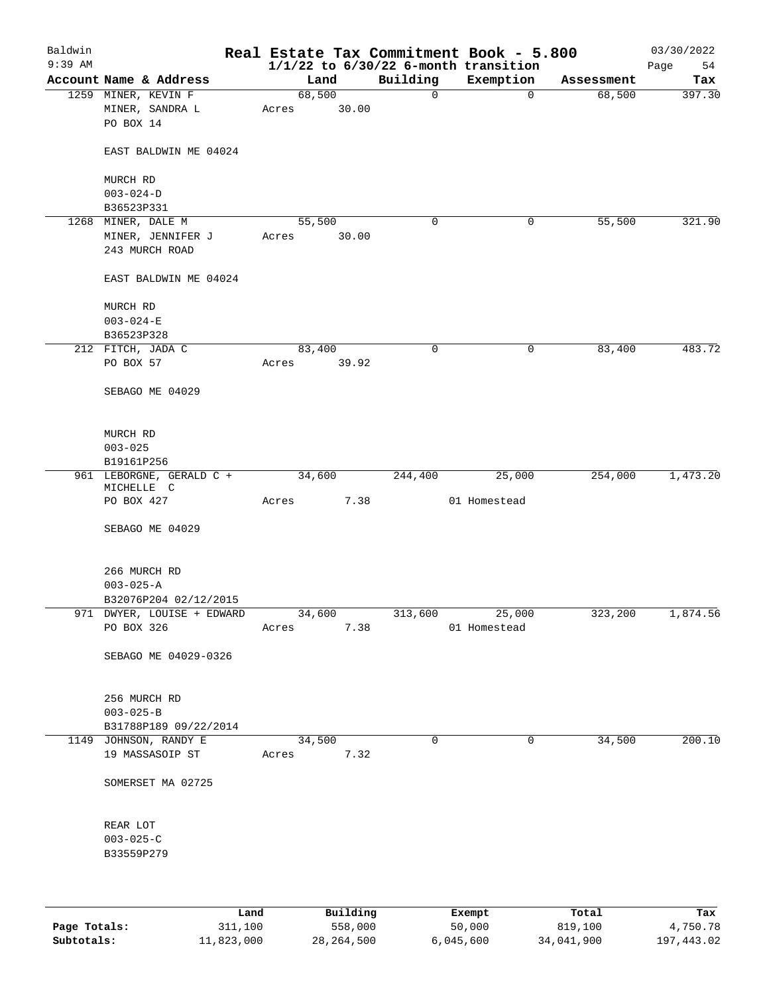| Baldwin   |                                                     |       |                 |             | Real Estate Tax Commitment Book - 5.800  |            | 03/30/2022 |
|-----------|-----------------------------------------------------|-------|-----------------|-------------|------------------------------------------|------------|------------|
| $9:39$ AM |                                                     |       |                 |             | $1/1/22$ to $6/30/22$ 6-month transition |            | 54<br>Page |
|           | Account Name & Address                              |       | Land            | Building    | Exemption                                | Assessment | Tax        |
|           | 1259 MINER, KEVIN F<br>MINER, SANDRA L<br>PO BOX 14 | Acres | 68,500<br>30.00 | 0           | $\mathbf 0$                              | 68,500     | 397.30     |
|           | EAST BALDWIN ME 04024                               |       |                 |             |                                          |            |            |
|           | MURCH RD                                            |       |                 |             |                                          |            |            |
|           | $003 - 024 - D$                                     |       |                 |             |                                          |            |            |
|           | B36523P331                                          |       |                 |             |                                          |            |            |
|           | 1268 MINER, DALE M                                  |       | 55,500          | 0           | 0                                        | 55,500     | 321.90     |
|           | MINER, JENNIFER J                                   | Acres | 30.00           |             |                                          |            |            |
|           | 243 MURCH ROAD                                      |       |                 |             |                                          |            |            |
|           | EAST BALDWIN ME 04024                               |       |                 |             |                                          |            |            |
|           | MURCH RD                                            |       |                 |             |                                          |            |            |
|           | $003 - 024 - E$                                     |       |                 |             |                                          |            |            |
|           | B36523P328                                          |       |                 |             |                                          |            |            |
|           | 212 FITCH, JADA C                                   |       | 83,400          | 0           | 0                                        | 83,400     | 483.72     |
|           | PO BOX 57                                           | Acres | 39.92           |             |                                          |            |            |
|           | SEBAGO ME 04029                                     |       |                 |             |                                          |            |            |
|           | MURCH RD                                            |       |                 |             |                                          |            |            |
|           | $003 - 025$                                         |       |                 |             |                                          |            |            |
|           | B19161P256                                          |       |                 |             |                                          |            |            |
|           | 961 LEBORGNE, GERALD C +                            |       | 34,600          | 244,400     | 25,000                                   | 254,000    | 1,473.20   |
|           | MICHELLE C<br>PO BOX 427                            | Acres | 7.38            |             | 01 Homestead                             |            |            |
|           |                                                     |       |                 |             |                                          |            |            |
|           | SEBAGO ME 04029                                     |       |                 |             |                                          |            |            |
|           | 266 MURCH RD                                        |       |                 |             |                                          |            |            |
|           | $003 - 025 - A$                                     |       |                 |             |                                          |            |            |
|           | B32076P204 02/12/2015                               |       |                 |             |                                          |            |            |
|           | 971 DWYER, LOUISE + EDWARD                          |       | 34,600          | 313,600     | 25,000                                   | 323,200    | 1,874.56   |
|           | PO BOX 326                                          | Acres | 7.38            |             | 01 Homestead                             |            |            |
|           | SEBAGO ME 04029-0326                                |       |                 |             |                                          |            |            |
|           | 256 MURCH RD                                        |       |                 |             |                                          |            |            |
|           | $003 - 025 - B$                                     |       |                 |             |                                          |            |            |
|           | B31788P189 09/22/2014                               |       |                 |             |                                          |            |            |
|           | 1149 JOHNSON, RANDY E                               |       | 34,500          | $\mathbf 0$ | 0                                        | 34,500     | 200.10     |
|           | 19 MASSASOIP ST                                     | Acres | 7.32            |             |                                          |            |            |
|           | SOMERSET MA 02725                                   |       |                 |             |                                          |            |            |
|           | REAR LOT                                            |       |                 |             |                                          |            |            |
|           | $003 - 025 - C$                                     |       |                 |             |                                          |            |            |
|           | B33559P279                                          |       |                 |             |                                          |            |            |
|           |                                                     |       |                 |             |                                          |            |            |
|           |                                                     |       |                 |             |                                          |            |            |
|           | Land                                                |       | Building        |             | Exempt                                   | Total      | Tax        |

|              | .          | <u>DULLULUM</u> | <b>BY CITING</b> | ----       | $-0.0$     |
|--------------|------------|-----------------|------------------|------------|------------|
| Page Totals: | 311,100    | 558,000         | 50,000           | 819,100    | 4,750.78   |
| Subtotals:   | 11,823,000 | 28, 264, 500    | 6.045.600        | 34,041,900 | 197,443.02 |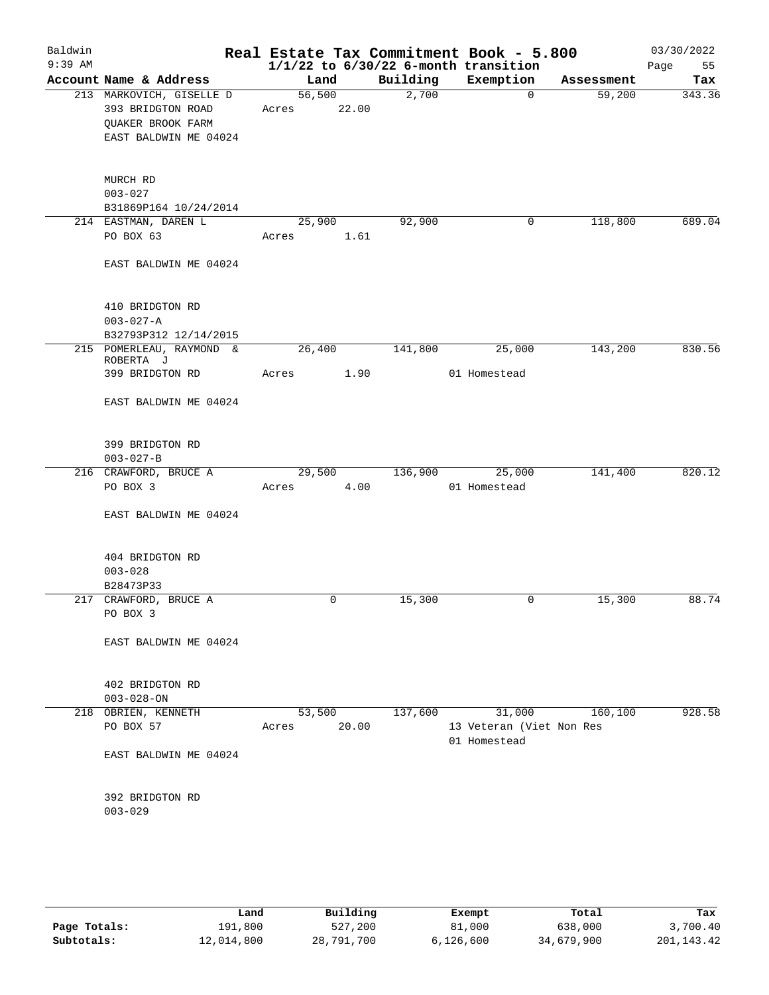| Baldwin<br>$9:39$ AM |                                                                                             |                 |       |          | Real Estate Tax Commitment Book - 5.800<br>$1/1/22$ to $6/30/22$ 6-month transition |            | 03/30/2022<br>Page<br>55 |
|----------------------|---------------------------------------------------------------------------------------------|-----------------|-------|----------|-------------------------------------------------------------------------------------|------------|--------------------------|
|                      | Account Name & Address                                                                      | Land            |       | Building | Exemption                                                                           | Assessment | Tax                      |
|                      | 213 MARKOVICH, GISELLE D<br>393 BRIDGTON ROAD<br>QUAKER BROOK FARM<br>EAST BALDWIN ME 04024 | 56,500<br>Acres | 22.00 | 2,700    | $\mathbf{0}$                                                                        | 59,200     | 343.36                   |
|                      | MURCH RD<br>$003 - 027$<br>B31869P164 10/24/2014                                            |                 |       |          |                                                                                     |            |                          |
|                      | 214 EASTMAN, DAREN L<br>PO BOX 63                                                           | 25,900<br>Acres | 1.61  | 92,900   | 0                                                                                   | 118,800    | 689.04                   |
|                      | EAST BALDWIN ME 04024                                                                       |                 |       |          |                                                                                     |            |                          |
|                      | 410 BRIDGTON RD<br>$003 - 027 - A$<br>B32793P312 12/14/2015                                 |                 |       |          |                                                                                     |            |                          |
|                      | 215 POMERLEAU, RAYMOND &<br>ROBERTA J                                                       | 26,400          |       | 141,800  | 25,000                                                                              | 143,200    | 830.56                   |
|                      | 399 BRIDGTON RD                                                                             | Acres           | 1.90  |          | 01 Homestead                                                                        |            |                          |
|                      | EAST BALDWIN ME 04024                                                                       |                 |       |          |                                                                                     |            |                          |
|                      | 399 BRIDGTON RD<br>$003 - 027 - B$                                                          |                 |       |          |                                                                                     |            |                          |
|                      | 216 CRAWFORD, BRUCE A<br>PO BOX 3                                                           | 29,500<br>Acres | 4.00  | 136,900  | 25,000<br>01 Homestead                                                              | 141,400    | 820.12                   |
|                      | EAST BALDWIN ME 04024                                                                       |                 |       |          |                                                                                     |            |                          |
|                      | 404 BRIDGTON RD<br>$003 - 028$<br>B28473P33                                                 |                 |       |          |                                                                                     |            |                          |
|                      | 217 CRAWFORD, BRUCE A<br>PO BOX 3                                                           | 0               |       | 15,300   | 0                                                                                   | 15,300     | 88.74                    |
|                      | EAST BALDWIN ME 04024                                                                       |                 |       |          |                                                                                     |            |                          |
|                      | 402 BRIDGTON RD<br>$003 - 028 - ON$                                                         |                 |       |          |                                                                                     |            |                          |
|                      | 218 OBRIEN, KENNETH<br>PO BOX 57                                                            | 53,500<br>Acres | 20.00 | 137,600  | 31,000<br>13 Veteran (Viet Non Res<br>01 Homestead                                  | 160,100    | 928.58                   |
|                      | EAST BALDWIN ME 04024                                                                       |                 |       |          |                                                                                     |            |                          |
|                      | 392 BRIDGTON RD<br>$003 - 029$                                                              |                 |       |          |                                                                                     |            |                          |
|                      |                                                                                             |                 |       |          |                                                                                     |            |                          |

|              | Land       | Building   | Exempt    | Total      | Tax        |
|--------------|------------|------------|-----------|------------|------------|
| Page Totals: | 191,800    | 527,200    | 81,000    | 638,000    | 3,700.40   |
| Subtotals:   | 12,014,800 | 28,791,700 | 6,126,600 | 34,679,900 | 201,143.42 |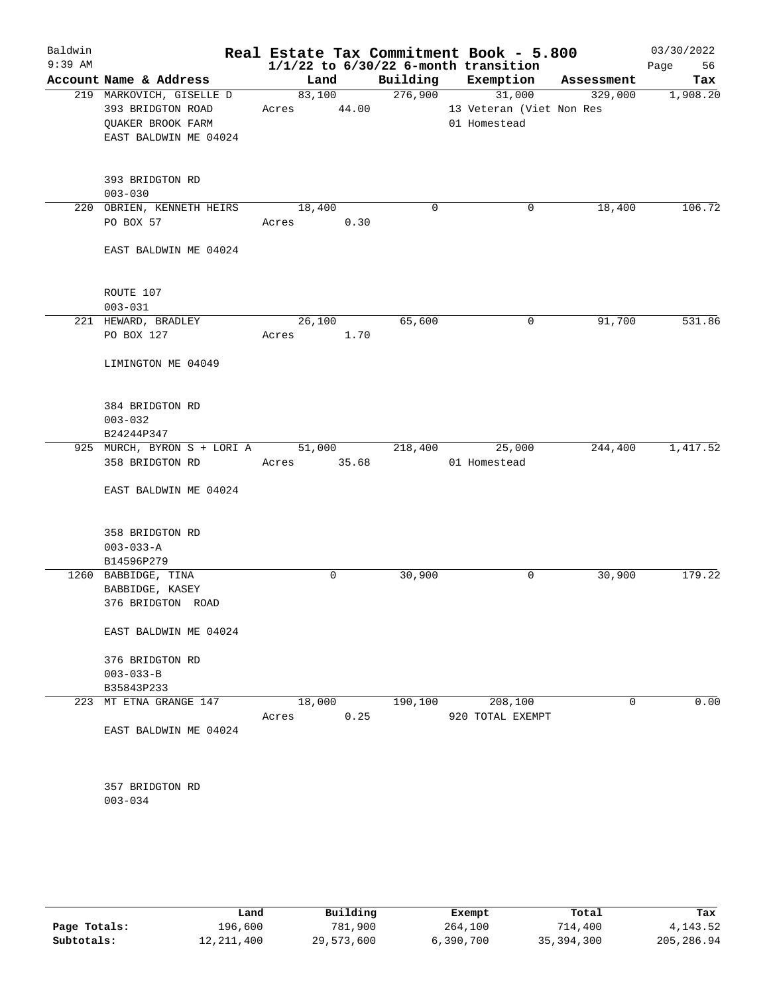| Baldwin   |                                |             |                      | Real Estate Tax Commitment Book - 5.800  |         | 03/30/2022 |
|-----------|--------------------------------|-------------|----------------------|------------------------------------------|---------|------------|
| $9:39$ AM |                                |             |                      | $1/1/22$ to $6/30/22$ 6-month transition |         | Page 56    |
|           | Account Name & Address         | Land        |                      | Building Exemption Assessment            |         | Tax        |
|           | 219 MARKOVICH, GISELLE D       | 83,100      | $\overline{276,900}$ | 31,000                                   | 329,000 | 1,908.20   |
|           | 393 BRIDGTON ROAD              | Acres 44.00 |                      | 13 Veteran (Viet Non Res                 |         |            |
|           | QUAKER BROOK FARM              |             |                      | 01 Homestead                             |         |            |
|           | EAST BALDWIN ME 04024          |             |                      |                                          |         |            |
|           |                                |             |                      |                                          |         |            |
|           | 393 BRIDGTON RD                |             |                      |                                          |         |            |
|           | $003 - 030$                    |             |                      |                                          |         |            |
|           | 220 OBRIEN, KENNETH HEIRS      | 18,400      | 0                    | 0                                        | 18,400  | 106.72     |
|           | PO BOX 57                      | Acres       | 0.30                 |                                          |         |            |
|           | EAST BALDWIN ME 04024          |             |                      |                                          |         |            |
|           |                                |             |                      |                                          |         |            |
|           | ROUTE 107                      |             |                      |                                          |         |            |
|           | $003 - 031$                    |             |                      |                                          |         |            |
|           | 221 HEWARD, BRADLEY            | 26,100      | 65,600               | $\mathbf 0$                              | 91,700  | 531.86     |
|           | PO BOX 127                     | Acres       | 1.70                 |                                          |         |            |
|           | LIMINGTON ME 04049             |             |                      |                                          |         |            |
|           | 384 BRIDGTON RD                |             |                      |                                          |         |            |
|           | $003 - 032$                    |             |                      |                                          |         |            |
|           | B24244P347                     |             |                      |                                          |         |            |
|           | 925 MURCH, BYRON S + LORI A    | 51,000      | 218,400              | 25,000                                   | 244,400 | 1,417.52   |
|           | 358 BRIDGTON RD                | Acres 35.68 |                      | 01 Homestead                             |         |            |
|           | EAST BALDWIN ME 04024          |             |                      |                                          |         |            |
|           | 358 BRIDGTON RD                |             |                      |                                          |         |            |
|           | $003 - 033 - A$                |             |                      |                                          |         |            |
|           | B14596P279                     |             |                      |                                          |         |            |
|           | 1260 BABBIDGE, TINA            | 0           | 30,900               | 0                                        | 30,900  | 179.22     |
|           | BABBIDGE, KASEY                |             |                      |                                          |         |            |
|           | 376 BRIDGTON ROAD              |             |                      |                                          |         |            |
|           |                                |             |                      |                                          |         |            |
|           | EAST BALDWIN ME 04024          |             |                      |                                          |         |            |
|           | 376 BRIDGTON RD                |             |                      |                                          |         |            |
|           | $003 - 033 - B$                |             |                      |                                          |         |            |
|           | B35843P233                     |             |                      |                                          |         |            |
|           | 223 MT ETNA GRANGE 147         | 18,000      | 190, 100             | 208,100                                  | 0       | 0.00       |
|           |                                | Acres       | 0.25                 | 920 TOTAL EXEMPT                         |         |            |
|           | EAST BALDWIN ME 04024          |             |                      |                                          |         |            |
|           |                                |             |                      |                                          |         |            |
|           | 357 BRIDGTON RD<br>$003 - 034$ |             |                      |                                          |         |            |
|           |                                |             |                      |                                          |         |            |
|           |                                |             |                      |                                          |         |            |

|              | Land       | Building   | Exempt    | Total      | Tax        |
|--------------|------------|------------|-----------|------------|------------|
| Page Totals: | 196,600    | 781,900    | 264,100   | 714,400    | 4, 143.52  |
| Subtotals:   | 12,211,400 | 29,573,600 | 6,390,700 | 35,394,300 | 205,286.94 |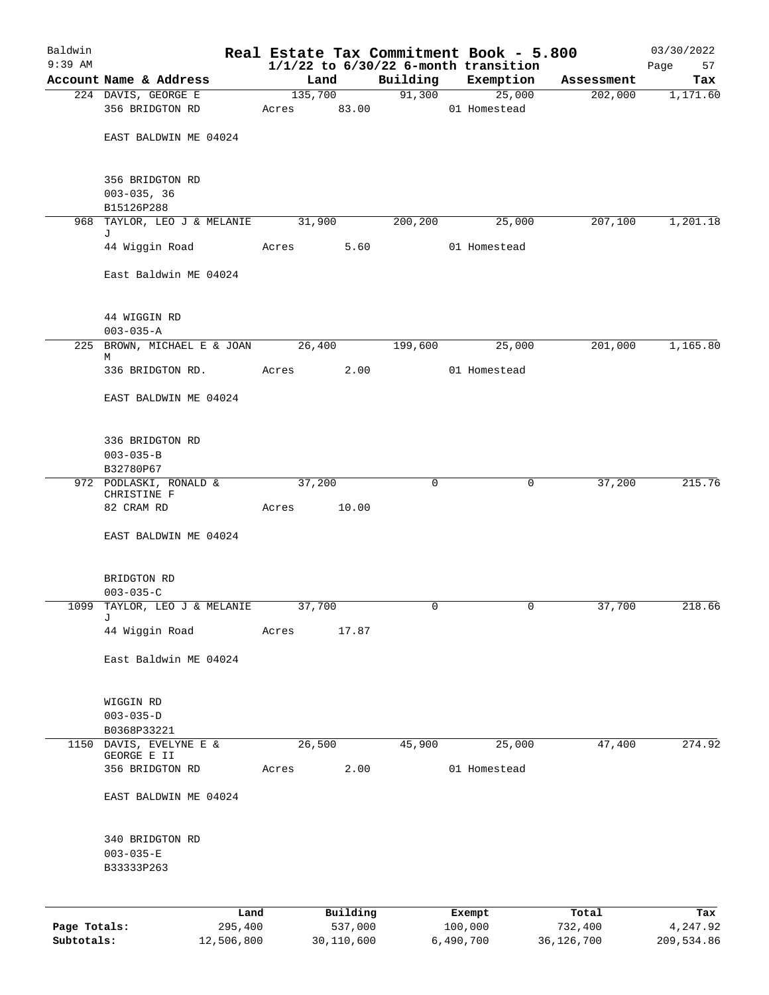| Baldwin<br>$9:39$ AM |                                                  |         |                     |             | Real Estate Tax Commitment Book - 5.800<br>$1/1/22$ to $6/30/22$ 6-month transition |                  | 03/30/2022<br>Page<br>57 |
|----------------------|--------------------------------------------------|---------|---------------------|-------------|-------------------------------------------------------------------------------------|------------------|--------------------------|
|                      | Account Name & Address                           | Land    |                     | Building    | Exemption                                                                           | Assessment       | Tax                      |
|                      | 224 DAVIS, GEORGE E                              | 135,700 |                     | 91,300      | 25,000                                                                              | 202,000          | 1,171.60                 |
|                      | 356 BRIDGTON RD                                  | Acres   | 83.00               |             | 01 Homestead                                                                        |                  |                          |
|                      | EAST BALDWIN ME 04024                            |         |                     |             |                                                                                     |                  |                          |
|                      | 356 BRIDGTON RD<br>$003 - 035, 36$               |         |                     |             |                                                                                     |                  |                          |
| 968                  | B15126P288<br>TAYLOR, LEO J & MELANIE            | 31,900  |                     | 200,200     | 25,000                                                                              | 207,100          | 1,201.18                 |
|                      | J                                                |         |                     |             |                                                                                     |                  |                          |
|                      | 44 Wiggin Road                                   | Acres   | 5.60                |             | 01 Homestead                                                                        |                  |                          |
|                      | East Baldwin ME 04024                            |         |                     |             |                                                                                     |                  |                          |
|                      | 44 WIGGIN RD<br>$003 - 035 - A$                  |         |                     |             |                                                                                     |                  |                          |
|                      | 225 BROWN, MICHAEL E & JOAN<br>M                 | 26,400  |                     | 199,600     | 25,000                                                                              | 201,000          | 1,165.80                 |
|                      | 336 BRIDGTON RD.                                 | Acres   | 2.00                |             | 01 Homestead                                                                        |                  |                          |
|                      | EAST BALDWIN ME 04024                            |         |                     |             |                                                                                     |                  |                          |
|                      | 336 BRIDGTON RD<br>$003 - 035 - B$               |         |                     |             |                                                                                     |                  |                          |
|                      | B32780P67                                        |         |                     |             |                                                                                     |                  |                          |
|                      | 972 PODLASKI, RONALD &<br>CHRISTINE F            | 37,200  |                     | $\mathbf 0$ | 0                                                                                   | 37,200           | 215.76                   |
|                      | 82 CRAM RD                                       | Acres   | 10.00               |             |                                                                                     |                  |                          |
|                      | EAST BALDWIN ME 04024                            |         |                     |             |                                                                                     |                  |                          |
|                      | BRIDGTON RD<br>$003 - 035 - C$                   |         |                     |             |                                                                                     |                  |                          |
| 1099                 | TAYLOR, LEO J & MELANIE                          | 37,700  |                     | $\mathbf 0$ | 0                                                                                   | 37,700           | 218.66                   |
|                      | J<br>44 Wiggin Road                              | Acres   | 17.87               |             |                                                                                     |                  |                          |
|                      | East Baldwin ME 04024                            |         |                     |             |                                                                                     |                  |                          |
|                      | WIGGIN RD<br>$003 - 035 - D$                     |         |                     |             |                                                                                     |                  |                          |
|                      | B0368P33221                                      |         |                     |             |                                                                                     |                  |                          |
| 1150                 | DAVIS, EVELYNE E &                               | 26,500  |                     | 45,900      | 25,000                                                                              | 47,400           | 274.92                   |
|                      | GEORGE E II<br>356 BRIDGTON RD                   | Acres   | 2.00                |             | 01 Homestead                                                                        |                  |                          |
|                      | EAST BALDWIN ME 04024                            |         |                     |             |                                                                                     |                  |                          |
|                      |                                                  |         |                     |             |                                                                                     |                  |                          |
|                      | 340 BRIDGTON RD<br>$003 - 035 - E$<br>B33333P263 |         |                     |             |                                                                                     |                  |                          |
|                      |                                                  |         |                     |             |                                                                                     |                  |                          |
| Page Totals:         | Land<br>295,400                                  |         | Building<br>537,000 |             | Exempt<br>100,000                                                                   | Total<br>732,400 | Tax<br>4,247.92          |

**Subtotals:** 12,506,800 30,110,600 6,490,700 36,126,700 209,534.86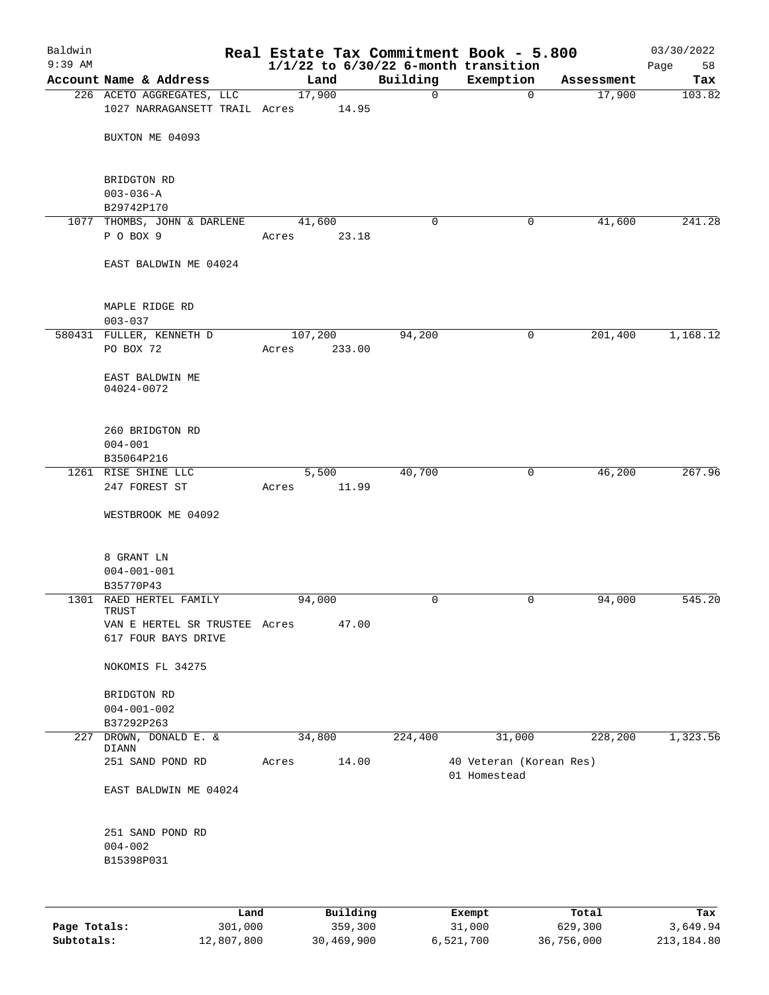| Baldwin<br>$9:39$ AM |                                                      |         |          |             | Real Estate Tax Commitment Book - 5.800<br>$1/1/22$ to $6/30/22$ 6-month transition |            | 03/30/2022<br>Page<br>58 |
|----------------------|------------------------------------------------------|---------|----------|-------------|-------------------------------------------------------------------------------------|------------|--------------------------|
|                      | Account Name & Address                               | Land    |          | Building    | Exemption                                                                           | Assessment | Tax                      |
|                      | 226 ACETO AGGREGATES, LLC                            | 17,900  |          | $\mathbf 0$ | 0                                                                                   | 17,900     | 103.82                   |
|                      | 1027 NARRAGANSETT TRAIL Acres                        |         | 14.95    |             |                                                                                     |            |                          |
|                      |                                                      |         |          |             |                                                                                     |            |                          |
|                      | BUXTON ME 04093                                      |         |          |             |                                                                                     |            |                          |
|                      | BRIDGTON RD                                          |         |          |             |                                                                                     |            |                          |
|                      | $003 - 036 - A$                                      |         |          |             |                                                                                     |            |                          |
|                      | B29742P170                                           |         |          |             |                                                                                     |            |                          |
|                      | 1077 THOMBS, JOHN & DARLENE                          | 41,600  |          | 0           | 0                                                                                   | 41,600     | 241.28                   |
|                      | P O BOX 9                                            | Acres   | 23.18    |             |                                                                                     |            |                          |
|                      | EAST BALDWIN ME 04024                                |         |          |             |                                                                                     |            |                          |
|                      | MAPLE RIDGE RD                                       |         |          |             |                                                                                     |            |                          |
|                      | $003 - 037$                                          |         |          |             |                                                                                     |            |                          |
|                      | 580431 FULLER, KENNETH D                             | 107,200 |          | 94,200      | 0                                                                                   | 201,400    | 1,168.12                 |
|                      | PO BOX 72                                            | Acres   | 233.00   |             |                                                                                     |            |                          |
|                      |                                                      |         |          |             |                                                                                     |            |                          |
|                      | EAST BALDWIN ME<br>04024-0072                        |         |          |             |                                                                                     |            |                          |
|                      | 260 BRIDGTON RD                                      |         |          |             |                                                                                     |            |                          |
|                      | $004 - 001$                                          |         |          |             |                                                                                     |            |                          |
|                      | B35064P216                                           |         |          |             |                                                                                     |            |                          |
|                      | 1261 RISE SHINE LLC                                  | 5,500   |          | 40,700      | 0                                                                                   | 46,200     | 267.96                   |
|                      | 247 FOREST ST                                        | Acres   | 11.99    |             |                                                                                     |            |                          |
|                      | WESTBROOK ME 04092                                   |         |          |             |                                                                                     |            |                          |
|                      |                                                      |         |          |             |                                                                                     |            |                          |
|                      | 8 GRANT LN                                           |         |          |             |                                                                                     |            |                          |
|                      | $004 - 001 - 001$                                    |         |          |             |                                                                                     |            |                          |
|                      | B35770P43                                            |         |          |             |                                                                                     |            |                          |
|                      | 1301 RAED HERTEL FAMILY                              | 94,000  |          | 0           | 0                                                                                   | 94,000     | 545.20                   |
|                      | TRUST                                                |         |          |             |                                                                                     |            |                          |
|                      | VAN E HERTEL SR TRUSTEE Acres<br>617 FOUR BAYS DRIVE |         | 47.00    |             |                                                                                     |            |                          |
|                      |                                                      |         |          |             |                                                                                     |            |                          |
|                      | NOKOMIS FL 34275                                     |         |          |             |                                                                                     |            |                          |
|                      | BRIDGTON RD                                          |         |          |             |                                                                                     |            |                          |
|                      | $004 - 001 - 002$                                    |         |          |             |                                                                                     |            |                          |
|                      | B37292P263                                           |         |          |             |                                                                                     |            |                          |
| 227                  | DROWN, DONALD E. &<br>DIANN                          | 34,800  |          | 224,400     | 31,000                                                                              | 228,200    | 1,323.56                 |
|                      | 251 SAND POND RD                                     | Acres   | 14.00    |             | 40 Veteran (Korean Res)                                                             |            |                          |
|                      | EAST BALDWIN ME 04024                                |         |          |             | 01 Homestead                                                                        |            |                          |
|                      |                                                      |         |          |             |                                                                                     |            |                          |
|                      | 251 SAND POND RD                                     |         |          |             |                                                                                     |            |                          |
|                      | $004 - 002$<br>B15398P031                            |         |          |             |                                                                                     |            |                          |
|                      |                                                      |         |          |             |                                                                                     |            |                          |
|                      |                                                      |         |          |             |                                                                                     |            |                          |
|                      | Land                                                 |         | Building |             | Exempt                                                                              | Total      | Tax                      |

| Page Totals: | 301,000    | 359,300    | 31,000    | 629,300    | 3,649.94   |
|--------------|------------|------------|-----------|------------|------------|
| Subtotals:   | 12,807,800 | 30,469,900 | 6,521,700 | 36,756,000 | 213,184.80 |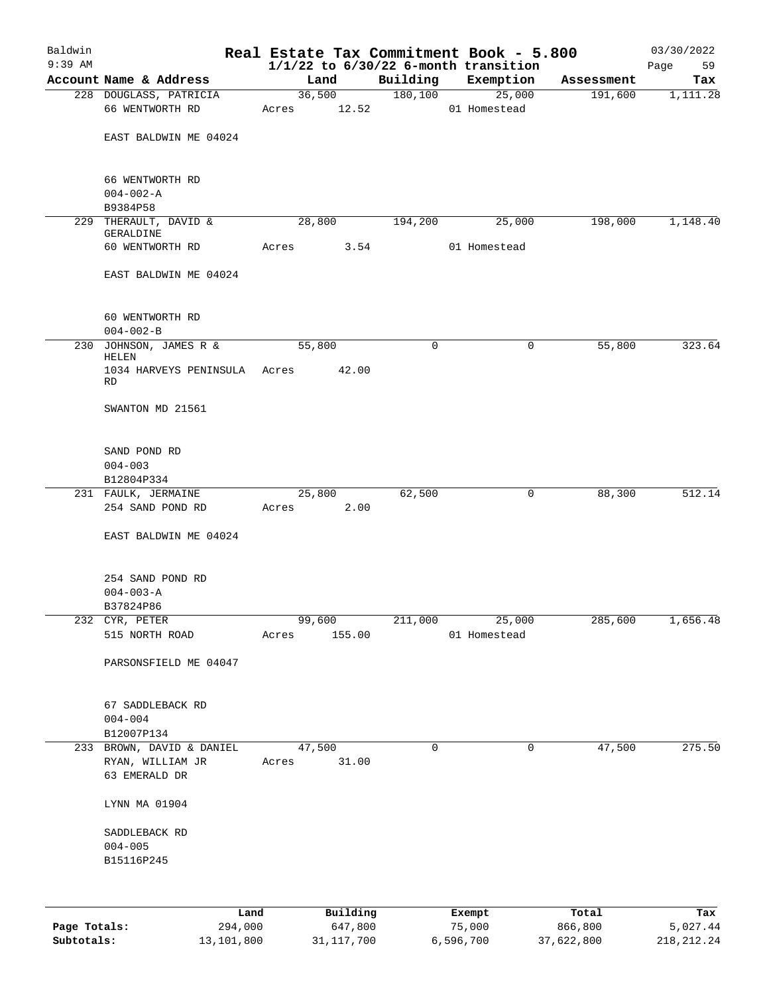| Baldwin<br>$9:39$ AM |                                         | Real Estate Tax Commitment Book - 5.800 |                     |          |                                                       |                  | 03/30/2022        |
|----------------------|-----------------------------------------|-----------------------------------------|---------------------|----------|-------------------------------------------------------|------------------|-------------------|
|                      | Account Name & Address                  | Land                                    |                     | Building | $1/1/22$ to $6/30/22$ 6-month transition<br>Exemption | Assessment       | Page<br>59<br>Tax |
|                      | 228 DOUGLASS, PATRICIA                  |                                         | 36,500              | 180,100  | 25,000                                                | 191,600          | 1,111.28          |
|                      | 66 WENTWORTH RD                         | Acres 12.52                             |                     |          | 01 Homestead                                          |                  |                   |
|                      | EAST BALDWIN ME 04024                   |                                         |                     |          |                                                       |                  |                   |
|                      | 66 WENTWORTH RD<br>$004 - 002 - A$      |                                         |                     |          |                                                       |                  |                   |
|                      | B9384P58                                |                                         |                     |          |                                                       |                  |                   |
|                      | 229 THERAULT, DAVID &<br>GERALDINE      | 28,800                                  |                     | 194,200  | 25,000                                                | 198,000          | 1,148.40          |
|                      | 60 WENTWORTH RD                         | Acres                                   | 3.54                |          | 01 Homestead                                          |                  |                   |
|                      | EAST BALDWIN ME 04024                   |                                         |                     |          |                                                       |                  |                   |
|                      | 60 WENTWORTH RD<br>$004 - 002 - B$      |                                         |                     |          |                                                       |                  |                   |
|                      | 230 JOHNSON, JAMES R &<br><b>HELEN</b>  | 55,800                                  |                     | 0        | 0                                                     | 55,800           | 323.64            |
|                      | 1034 HARVEYS PENINSULA Acres<br>RD      |                                         | 42.00               |          |                                                       |                  |                   |
|                      | SWANTON MD 21561                        |                                         |                     |          |                                                       |                  |                   |
|                      | SAND POND RD<br>$004 - 003$             |                                         |                     |          |                                                       |                  |                   |
|                      | B12804P334                              |                                         |                     |          |                                                       |                  |                   |
|                      | 231 FAULK, JERMAINE<br>254 SAND POND RD | 25,800<br>Acres                         | 2.00                | 62,500   | 0                                                     | 88,300           | 512.14            |
|                      | EAST BALDWIN ME 04024                   |                                         |                     |          |                                                       |                  |                   |
|                      | 254 SAND POND RD<br>$004 - 003 - A$     |                                         |                     |          |                                                       |                  |                   |
|                      | B37824P86                               |                                         |                     |          |                                                       |                  |                   |
|                      | 232 CYR, PETER                          | 99,600                                  |                     | 211,000  | 25,000                                                | 285,600          | 1,656.48          |
|                      | 515 NORTH ROAD                          | Acres                                   | 155.00              |          | 01 Homestead                                          |                  |                   |
|                      | PARSONSFIELD ME 04047                   |                                         |                     |          |                                                       |                  |                   |
|                      | 67 SADDLEBACK RD<br>$004 - 004$         |                                         |                     |          |                                                       |                  |                   |
|                      | B12007P134                              |                                         |                     |          |                                                       |                  |                   |
|                      | 233 BROWN, DAVID & DANIEL               | 47,500                                  |                     | 0        | 0                                                     | 47,500           | 275.50            |
|                      | RYAN, WILLIAM JR                        | Acres                                   | 31.00               |          |                                                       |                  |                   |
|                      | 63 EMERALD DR                           |                                         |                     |          |                                                       |                  |                   |
|                      | LYNN MA 01904                           |                                         |                     |          |                                                       |                  |                   |
|                      | SADDLEBACK RD                           |                                         |                     |          |                                                       |                  |                   |
|                      | $004 - 005$                             |                                         |                     |          |                                                       |                  |                   |
|                      | B15116P245                              |                                         |                     |          |                                                       |                  |                   |
|                      |                                         |                                         |                     |          |                                                       |                  |                   |
| Page Totals:         | Land<br>294,000                         |                                         | Building<br>647,800 |          | Exempt<br>75,000                                      | Total<br>866,800 | Tax<br>5,027.44   |

**Subtotals:** 13,101,800 31,117,700 6,596,700 37,622,800 218,212.24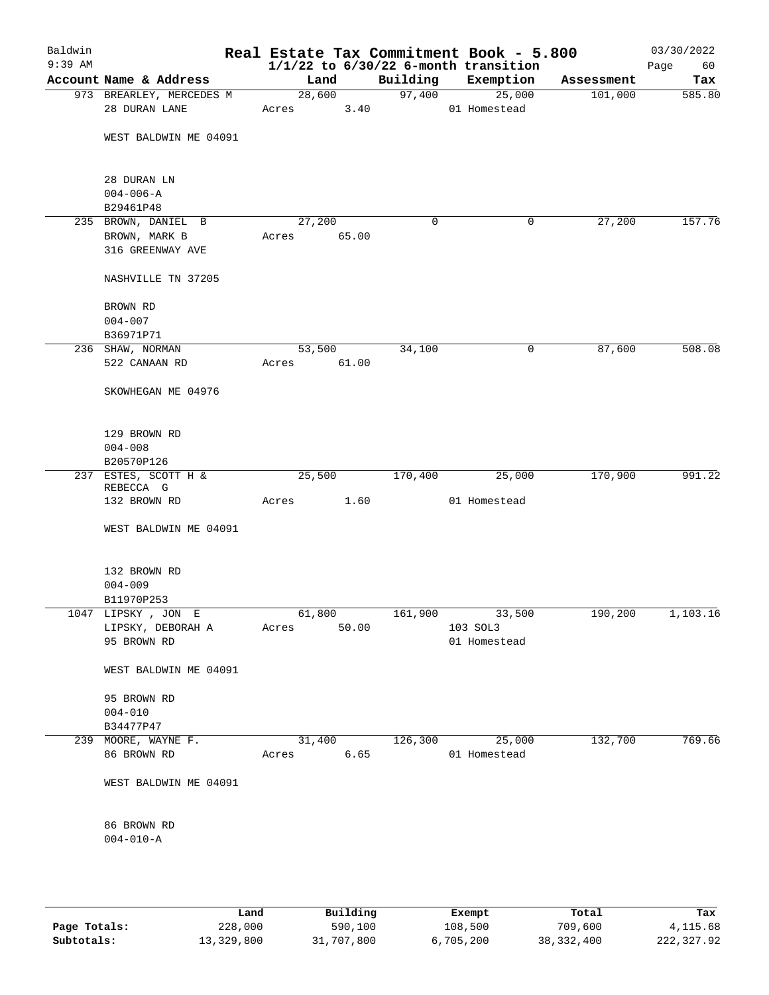| Baldwin<br>$9:39$ AM |                              |       |        |          | Real Estate Tax Commitment Book - 5.800<br>$1/1/22$ to $6/30/22$ 6-month transition |            | 03/30/2022<br>60<br>Page |
|----------------------|------------------------------|-------|--------|----------|-------------------------------------------------------------------------------------|------------|--------------------------|
|                      | Account Name & Address       |       | Land   | Building | Exemption                                                                           | Assessment | Tax                      |
|                      | 973 BREARLEY, MERCEDES M     |       | 28,600 | 97,400   | 25,000                                                                              | 101,000    | 585.80                   |
|                      | 28 DURAN LANE                | Acres | 3.40   |          | 01 Homestead                                                                        |            |                          |
|                      | WEST BALDWIN ME 04091        |       |        |          |                                                                                     |            |                          |
|                      | 28 DURAN LN                  |       |        |          |                                                                                     |            |                          |
|                      | $004 - 006 - A$<br>B29461P48 |       |        |          |                                                                                     |            |                          |
|                      | 235 BROWN, DANIEL B          |       | 27,200 | 0        | 0                                                                                   | 27,200     | 157.76                   |
|                      | BROWN, MARK B                | Acres | 65.00  |          |                                                                                     |            |                          |
|                      | 316 GREENWAY AVE             |       |        |          |                                                                                     |            |                          |
|                      | NASHVILLE TN 37205           |       |        |          |                                                                                     |            |                          |
|                      | BROWN RD                     |       |        |          |                                                                                     |            |                          |
|                      | $004 - 007$                  |       |        |          |                                                                                     |            |                          |
|                      | B36971P71                    |       |        |          |                                                                                     |            |                          |
|                      | 236 SHAW, NORMAN             |       | 53,500 | 34,100   | 0                                                                                   | 87,600     | 508.08                   |
|                      | 522 CANAAN RD                | Acres | 61.00  |          |                                                                                     |            |                          |
|                      | SKOWHEGAN ME 04976           |       |        |          |                                                                                     |            |                          |
|                      | 129 BROWN RD                 |       |        |          |                                                                                     |            |                          |
|                      | $004 - 008$                  |       |        |          |                                                                                     |            |                          |
|                      | B20570P126                   |       |        |          |                                                                                     |            |                          |
|                      | 237 ESTES, SCOTT H &         |       | 25,500 | 170,400  | 25,000                                                                              | 170,900    | 991.22                   |
|                      | REBECCA G                    |       |        |          |                                                                                     |            |                          |
|                      | 132 BROWN RD                 | Acres | 1.60   |          | 01 Homestead                                                                        |            |                          |
|                      | WEST BALDWIN ME 04091        |       |        |          |                                                                                     |            |                          |
|                      | 132 BROWN RD                 |       |        |          |                                                                                     |            |                          |
|                      | $004 - 009$                  |       |        |          |                                                                                     |            |                          |
|                      | B11970P253                   |       |        |          |                                                                                     |            |                          |
|                      | 1047 LIPSKY, JON E           |       |        | 161,900  | 33,500                                                                              | 190,200    | 1,103.16                 |
|                      | LIPSKY, DEBORAH A            | Acres | 50.00  |          | 103 SOL3                                                                            |            |                          |
|                      | 95 BROWN RD                  |       |        |          | 01 Homestead                                                                        |            |                          |
|                      | WEST BALDWIN ME 04091        |       |        |          |                                                                                     |            |                          |
|                      | 95 BROWN RD                  |       |        |          |                                                                                     |            |                          |
|                      | $004 - 010$                  |       |        |          |                                                                                     |            |                          |
|                      | B34477P47                    |       |        |          |                                                                                     |            |                          |
|                      | 239 MOORE, WAYNE F.          |       | 31,400 | 126,300  | 25,000                                                                              | 132,700    | 769.66                   |
|                      | 86 BROWN RD                  | Acres | 6.65   |          | 01 Homestead                                                                        |            |                          |
|                      | WEST BALDWIN ME 04091        |       |        |          |                                                                                     |            |                          |
|                      | 86 BROWN RD                  |       |        |          |                                                                                     |            |                          |
|                      | $004 - 010 - A$              |       |        |          |                                                                                     |            |                          |
|                      |                              |       |        |          |                                                                                     |            |                          |
|                      |                              |       |        |          |                                                                                     |            |                          |

|              | Land       | Building   | Exempt    | Total        | Tax          |
|--------------|------------|------------|-----------|--------------|--------------|
| Page Totals: | 228,000    | 590,100    | 108,500   | 709,600      | 4, 115, 68   |
| Subtotals:   | 13,329,800 | 31,707,800 | 6,705,200 | 38, 332, 400 | 222, 327, 92 |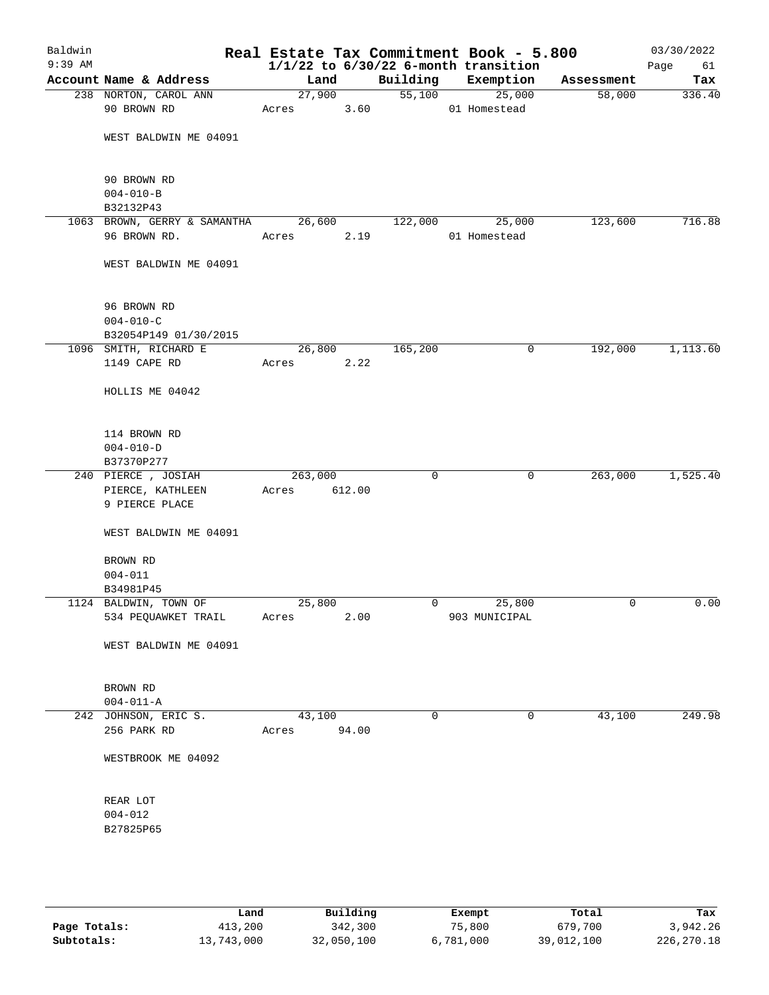| Baldwin<br>$9:39$ AM |                                           |         |        |             | Real Estate Tax Commitment Book - 5.800<br>$1/1/22$ to $6/30/22$ 6-month transition |            | 03/30/2022<br>Page<br>61 |
|----------------------|-------------------------------------------|---------|--------|-------------|-------------------------------------------------------------------------------------|------------|--------------------------|
|                      | Account Name & Address                    | Land    |        | Building    | Exemption                                                                           | Assessment | Tax                      |
|                      | 238 NORTON, CAROL ANN                     |         | 27,900 | 55,100      | 25,000                                                                              | 58,000     | 336.40                   |
|                      | 90 BROWN RD                               | Acres   | 3.60   |             | 01 Homestead                                                                        |            |                          |
|                      |                                           |         |        |             |                                                                                     |            |                          |
|                      | WEST BALDWIN ME 04091                     |         |        |             |                                                                                     |            |                          |
|                      |                                           |         |        |             |                                                                                     |            |                          |
|                      |                                           |         |        |             |                                                                                     |            |                          |
|                      | 90 BROWN RD                               |         |        |             |                                                                                     |            |                          |
|                      | $004 - 010 - B$                           |         |        |             |                                                                                     |            |                          |
|                      | B32132P43<br>1063 BROWN, GERRY & SAMANTHA | 26,600  |        | 122,000     | 25,000                                                                              | 123,600    | 716.88                   |
|                      | 96 BROWN RD.                              | Acres   | 2.19   |             | 01 Homestead                                                                        |            |                          |
|                      |                                           |         |        |             |                                                                                     |            |                          |
|                      | WEST BALDWIN ME 04091                     |         |        |             |                                                                                     |            |                          |
|                      |                                           |         |        |             |                                                                                     |            |                          |
|                      |                                           |         |        |             |                                                                                     |            |                          |
|                      | 96 BROWN RD                               |         |        |             |                                                                                     |            |                          |
|                      | $004 - 010 - C$                           |         |        |             |                                                                                     |            |                          |
|                      | B32054P149 01/30/2015                     |         |        |             |                                                                                     |            |                          |
|                      | 1096 SMITH, RICHARD E                     | 26,800  |        | 165,200     | 0                                                                                   | 192,000    | 1,113.60                 |
|                      | 1149 CAPE RD                              | Acres   | 2.22   |             |                                                                                     |            |                          |
|                      |                                           |         |        |             |                                                                                     |            |                          |
|                      | HOLLIS ME 04042                           |         |        |             |                                                                                     |            |                          |
|                      |                                           |         |        |             |                                                                                     |            |                          |
|                      |                                           |         |        |             |                                                                                     |            |                          |
|                      | 114 BROWN RD                              |         |        |             |                                                                                     |            |                          |
|                      | $004 - 010 - D$                           |         |        |             |                                                                                     |            |                          |
|                      | B37370P277<br>240 PIERCE, JOSIAH          | 263,000 |        | 0           | $\mathbf 0$                                                                         | 263,000    | 1,525.40                 |
|                      | PIERCE, KATHLEEN                          |         | 612.00 |             |                                                                                     |            |                          |
|                      | 9 PIERCE PLACE                            | Acres   |        |             |                                                                                     |            |                          |
|                      |                                           |         |        |             |                                                                                     |            |                          |
|                      | WEST BALDWIN ME 04091                     |         |        |             |                                                                                     |            |                          |
|                      |                                           |         |        |             |                                                                                     |            |                          |
|                      | BROWN RD                                  |         |        |             |                                                                                     |            |                          |
|                      | $004 - 011$                               |         |        |             |                                                                                     |            |                          |
|                      | B34981P45                                 |         |        |             |                                                                                     |            |                          |
|                      | 1124 BALDWIN, TOWN OF                     | 25,800  |        | $\mathbf 0$ | 25,800                                                                              | 0          | 0.00                     |
|                      | 534 PEQUAWKET TRAIL                       | Acres   | 2.00   |             | 903 MUNICIPAL                                                                       |            |                          |
|                      |                                           |         |        |             |                                                                                     |            |                          |
|                      | WEST BALDWIN ME 04091                     |         |        |             |                                                                                     |            |                          |
|                      |                                           |         |        |             |                                                                                     |            |                          |
|                      | BROWN RD                                  |         |        |             |                                                                                     |            |                          |
|                      | $004 - 011 - A$                           |         |        |             |                                                                                     |            |                          |
|                      | 242 JOHNSON, ERIC S.                      | 43,100  |        | 0           | $\mathbf 0$                                                                         | 43,100     | 249.98                   |
|                      | 256 PARK RD                               | Acres   | 94.00  |             |                                                                                     |            |                          |
|                      |                                           |         |        |             |                                                                                     |            |                          |
|                      | WESTBROOK ME 04092                        |         |        |             |                                                                                     |            |                          |
|                      |                                           |         |        |             |                                                                                     |            |                          |
|                      |                                           |         |        |             |                                                                                     |            |                          |
|                      | REAR LOT                                  |         |        |             |                                                                                     |            |                          |
|                      | $004 - 012$                               |         |        |             |                                                                                     |            |                          |
|                      | B27825P65                                 |         |        |             |                                                                                     |            |                          |
|                      |                                           |         |        |             |                                                                                     |            |                          |
|                      |                                           |         |        |             |                                                                                     |            |                          |
|                      |                                           |         |        |             |                                                                                     |            |                          |
|                      |                                           |         |        |             |                                                                                     |            |                          |

|              | Land       | Building   | Exempt    | Total      | Tax        |
|--------------|------------|------------|-----------|------------|------------|
| Page Totals: | 413,200    | 342,300    | 75,800    | 679,700    | 3,942.26   |
| Subtotals:   | 13,743,000 | 32,050,100 | 6,781,000 | 39,012,100 | 226,270.18 |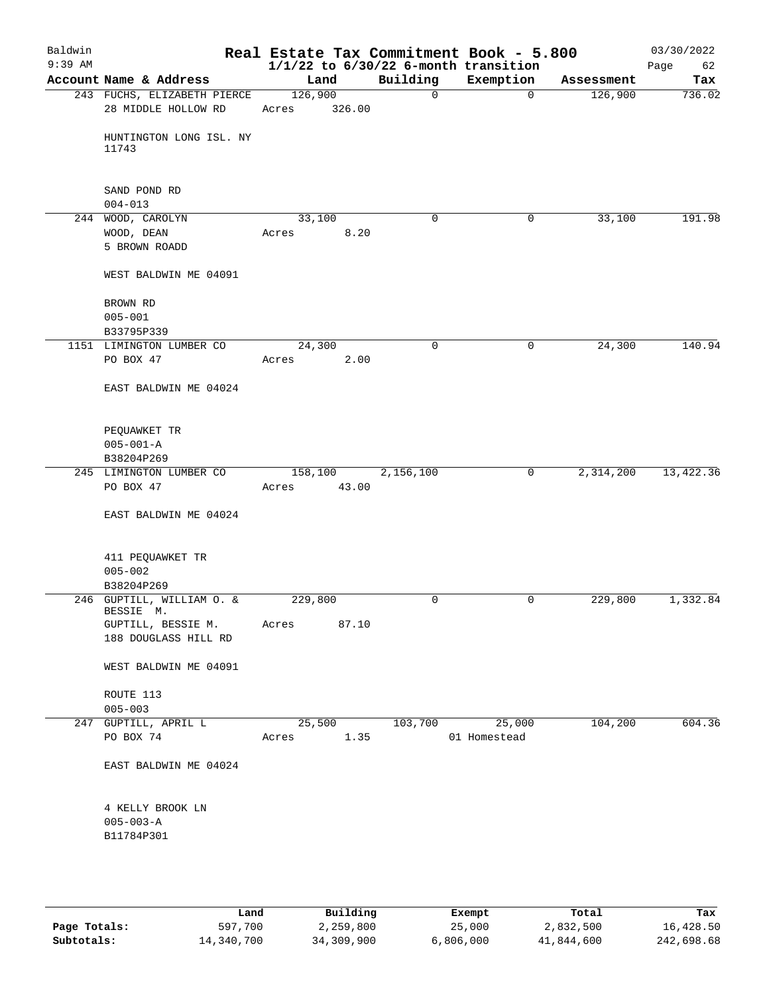| Baldwin<br>$9:39$ AM |                                                                                      |                  |        |             | Real Estate Tax Commitment Book - 5.800<br>$1/1/22$ to $6/30/22$ 6-month transition |            | 03/30/2022<br>Page<br>62 |
|----------------------|--------------------------------------------------------------------------------------|------------------|--------|-------------|-------------------------------------------------------------------------------------|------------|--------------------------|
|                      | Account Name & Address                                                               | Land             |        | Building    | Exemption                                                                           | Assessment | Tax                      |
|                      | 243 FUCHS, ELIZABETH PIERCE                                                          | 126,900          |        | $\mathbf 0$ | $\Omega$                                                                            | 126,900    | 736.02                   |
|                      | 28 MIDDLE HOLLOW RD                                                                  | Acres            | 326.00 |             |                                                                                     |            |                          |
|                      | HUNTINGTON LONG ISL. NY<br>11743                                                     |                  |        |             |                                                                                     |            |                          |
|                      | SAND POND RD<br>$004 - 013$                                                          |                  |        |             |                                                                                     |            |                          |
|                      | 244 WOOD, CAROLYN                                                                    | 33,100           |        | $\mathbf 0$ | 0                                                                                   | 33,100     | 191.98                   |
|                      | WOOD, DEAN<br>5 BROWN ROADD                                                          | Acres            | 8.20   |             |                                                                                     |            |                          |
|                      | WEST BALDWIN ME 04091                                                                |                  |        |             |                                                                                     |            |                          |
|                      | BROWN RD                                                                             |                  |        |             |                                                                                     |            |                          |
|                      | $005 - 001$<br>B33795P339                                                            |                  |        |             |                                                                                     |            |                          |
|                      | 1151 LIMINGTON LUMBER CO                                                             | 24,300           |        | $\mathbf 0$ | 0                                                                                   | 24,300     | 140.94                   |
|                      | PO BOX 47                                                                            | Acres            | 2.00   |             |                                                                                     |            |                          |
|                      | EAST BALDWIN ME 04024                                                                |                  |        |             |                                                                                     |            |                          |
|                      | PEQUAWKET TR<br>$005 - 001 - A$                                                      |                  |        |             |                                                                                     |            |                          |
|                      | B38204P269                                                                           |                  |        |             |                                                                                     |            |                          |
|                      | 245 LIMINGTON LUMBER CO<br>PO BOX 47                                                 | 158,100<br>Acres | 43.00  | 2,156,100   | 0                                                                                   | 2,314,200  | 13,422.36                |
|                      | EAST BALDWIN ME 04024                                                                |                  |        |             |                                                                                     |            |                          |
|                      | 411 PEQUAWKET TR<br>$005 - 002$                                                      |                  |        |             |                                                                                     |            |                          |
|                      | B38204P269                                                                           |                  |        |             |                                                                                     |            |                          |
|                      | 246 GUPTILL, WILLIAM O. &<br>BESSIE M.<br>GUPTILL, BESSIE M.<br>188 DOUGLASS HILL RD | 229,800<br>Acres | 87.10  | 0           | 0                                                                                   | 229,800    | 1,332.84                 |
|                      | WEST BALDWIN ME 04091                                                                |                  |        |             |                                                                                     |            |                          |
|                      |                                                                                      |                  |        |             |                                                                                     |            |                          |
|                      | ROUTE 113                                                                            |                  |        |             |                                                                                     |            |                          |
|                      | $005 - 003$                                                                          |                  |        |             |                                                                                     |            |                          |
|                      | 247 GUPTILL, APRIL L<br>PO BOX 74                                                    | 25,500<br>Acres  | 1.35   | 103,700     | 25,000<br>01 Homestead                                                              | 104,200    | 604.36                   |
|                      | EAST BALDWIN ME 04024                                                                |                  |        |             |                                                                                     |            |                          |
|                      | 4 KELLY BROOK LN<br>$005 - 003 - A$<br>B11784P301                                    |                  |        |             |                                                                                     |            |                          |
|                      |                                                                                      |                  |        |             |                                                                                     |            |                          |

|              | Land       | Building   | Exempt    | Total      | Tax        |
|--------------|------------|------------|-----------|------------|------------|
| Page Totals: | 597,700    | 2,259,800  | 25,000    | 2,832,500  | 16,428.50  |
| Subtotals:   | 14,340,700 | 34,309,900 | 6,806,000 | 41,844,600 | 242,698.68 |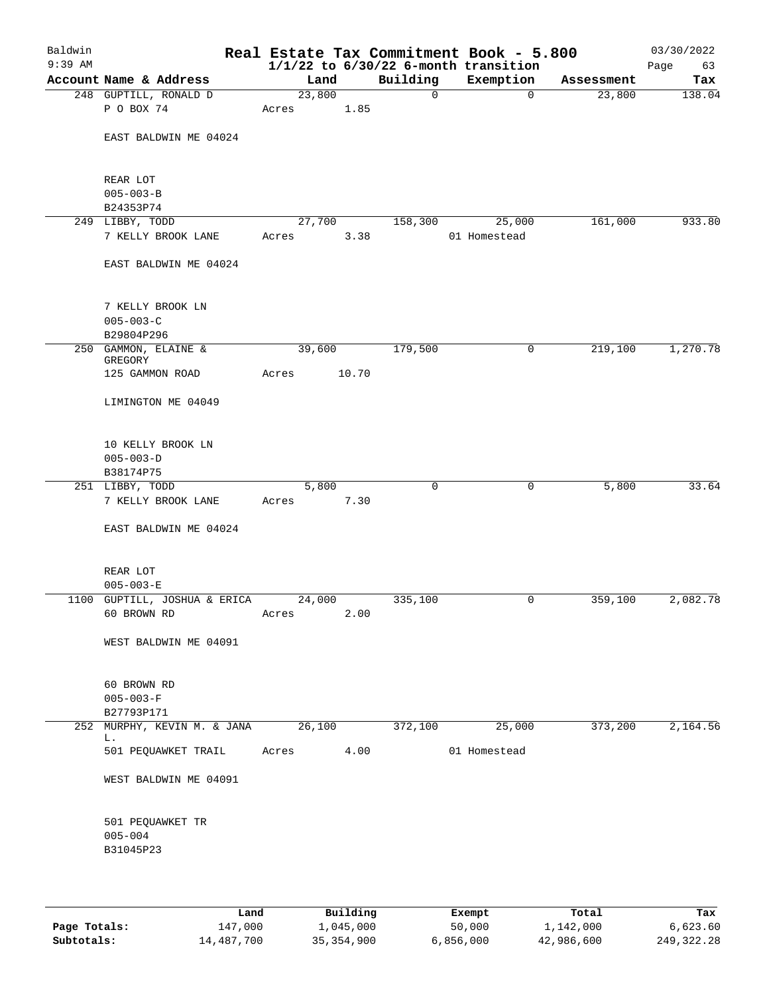| Baldwin<br>$9:39$ AM |                                     |        |       |             | Real Estate Tax Commitment Book - 5.800<br>$1/1/22$ to $6/30/22$ 6-month transition |            | 03/30/2022<br>Page<br>63 |
|----------------------|-------------------------------------|--------|-------|-------------|-------------------------------------------------------------------------------------|------------|--------------------------|
|                      | Account Name & Address              | Land   |       | Building    | Exemption                                                                           | Assessment | Tax                      |
|                      | 248 GUPTILL, RONALD D               | 23,800 |       | $\mathbf 0$ | $\mathbf 0$                                                                         | 23,800     | 138.04                   |
|                      | P O BOX 74                          | Acres  | 1.85  |             |                                                                                     |            |                          |
|                      | EAST BALDWIN ME 04024               |        |       |             |                                                                                     |            |                          |
|                      | REAR LOT                            |        |       |             |                                                                                     |            |                          |
|                      | $005 - 003 - B$                     |        |       |             |                                                                                     |            |                          |
|                      | B24353P74<br>249 LIBBY, TODD        | 27,700 |       | 158,300     | 25,000                                                                              | 161,000    | 933.80                   |
|                      | 7 KELLY BROOK LANE                  | Acres  | 3.38  |             | 01 Homestead                                                                        |            |                          |
|                      | EAST BALDWIN ME 04024               |        |       |             |                                                                                     |            |                          |
|                      | 7 KELLY BROOK LN<br>$005 - 003 - C$ |        |       |             |                                                                                     |            |                          |
|                      | B29804P296                          |        |       |             |                                                                                     |            |                          |
|                      | 250 GAMMON, ELAINE &<br>GREGORY     | 39,600 |       | 179,500     | 0                                                                                   | 219,100    | 1,270.78                 |
|                      | 125 GAMMON ROAD                     | Acres  | 10.70 |             |                                                                                     |            |                          |
|                      | LIMINGTON ME 04049                  |        |       |             |                                                                                     |            |                          |
|                      | 10 KELLY BROOK LN                   |        |       |             |                                                                                     |            |                          |
|                      | $005 - 003 - D$                     |        |       |             |                                                                                     |            |                          |
|                      | B38174P75                           |        |       |             |                                                                                     |            |                          |
|                      | 251 LIBBY, TODD                     | 5,800  |       | 0           | 0                                                                                   | 5,800      | 33.64                    |
|                      | 7 KELLY BROOK LANE                  | Acres  | 7.30  |             |                                                                                     |            |                          |
|                      | EAST BALDWIN ME 04024               |        |       |             |                                                                                     |            |                          |
|                      | REAR LOT<br>$005 - 003 - E$         |        |       |             |                                                                                     |            |                          |
|                      | 1100 GUPTILL, JOSHUA & ERICA        | 24,000 |       | 335,100     | 0                                                                                   | 359,100    | 2,082.78                 |
|                      | 60 BROWN RD                         | Acres  | 2.00  |             |                                                                                     |            |                          |
|                      | WEST BALDWIN ME 04091               |        |       |             |                                                                                     |            |                          |
|                      | 60 BROWN RD                         |        |       |             |                                                                                     |            |                          |
|                      | $005 - 003 - F$                     |        |       |             |                                                                                     |            |                          |
|                      | B27793P171                          |        |       |             |                                                                                     |            |                          |
|                      | 252 MURPHY, KEVIN M. & JANA         | 26,100 |       | 372,100     | 25,000                                                                              | 373,200    | 2,164.56                 |
|                      | L.<br>501 PEQUAWKET TRAIL           | Acres  | 4.00  |             | 01 Homestead                                                                        |            |                          |
|                      | WEST BALDWIN ME 04091               |        |       |             |                                                                                     |            |                          |
|                      | 501 PEQUAWKET TR<br>$005 - 004$     |        |       |             |                                                                                     |            |                          |
|                      | B31045P23                           |        |       |             |                                                                                     |            |                          |

|              | Land       | Building     | Exempt    | Total      | Tax        |
|--------------|------------|--------------|-----------|------------|------------|
| Page Totals: | 147,000    | 1,045,000    | 50,000    | 1,142,000  | 6.623.60   |
| Subtotals:   | 14,487,700 | 35, 354, 900 | 6,856,000 | 42,986,600 | 249,322.28 |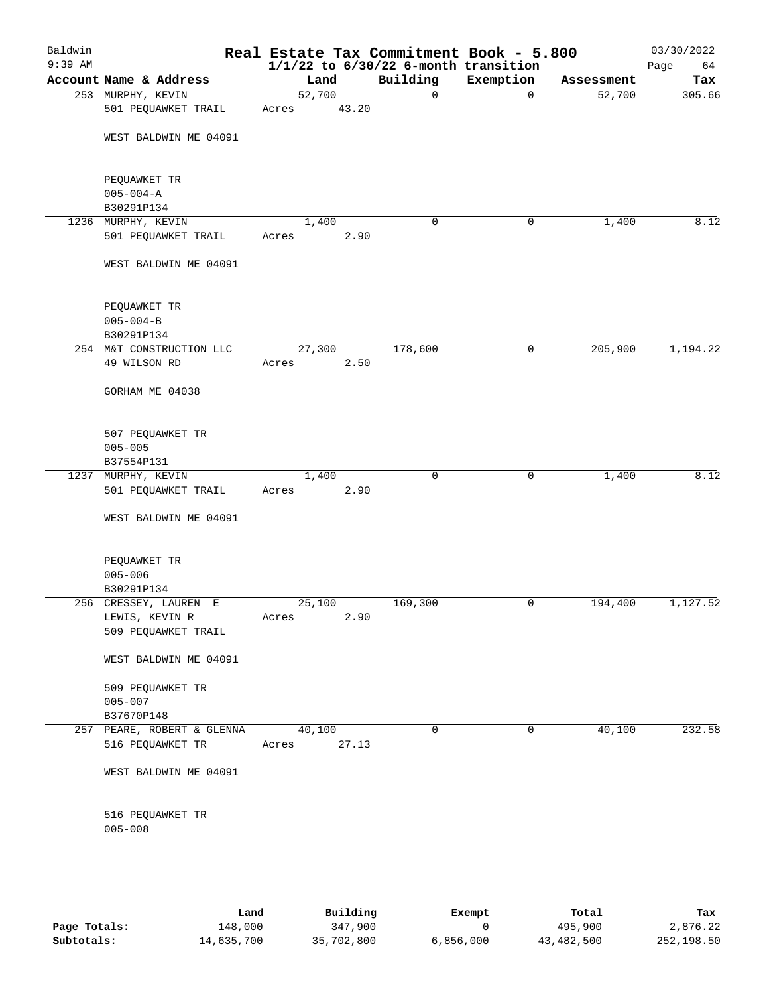| Baldwin<br>$9:39$ AM |                                               |                 |       |             | Real Estate Tax Commitment Book - 5.800<br>$1/1/22$ to $6/30/22$ 6-month transition |            | 03/30/2022<br>Page<br>64 |
|----------------------|-----------------------------------------------|-----------------|-------|-------------|-------------------------------------------------------------------------------------|------------|--------------------------|
|                      | Account Name & Address                        | Land            |       | Building    | Exemption                                                                           | Assessment | Tax                      |
|                      | 253 MURPHY, KEVIN<br>501 PEQUAWKET TRAIL      | 52,700<br>Acres | 43.20 | $\mathbf 0$ | 0                                                                                   | 52,700     | 305.66                   |
|                      | WEST BALDWIN ME 04091                         |                 |       |             |                                                                                     |            |                          |
|                      | PEQUAWKET TR<br>$005 - 004 - A$               |                 |       |             |                                                                                     |            |                          |
|                      | B30291P134                                    |                 |       |             |                                                                                     |            |                          |
|                      | 1236 MURPHY, KEVIN                            | 1,400           |       | 0           | 0                                                                                   | 1,400      | 8.12                     |
|                      | 501 PEQUAWKET TRAIL                           | Acres           | 2.90  |             |                                                                                     |            |                          |
|                      | WEST BALDWIN ME 04091                         |                 |       |             |                                                                                     |            |                          |
|                      | PEQUAWKET TR<br>$005 - 004 - B$<br>B30291P134 |                 |       |             |                                                                                     |            |                          |
|                      | 254 M&T CONSTRUCTION LLC                      | 27,300          |       | 178,600     | 0                                                                                   | 205,900    | 1,194.22                 |
|                      | 49 WILSON RD                                  | Acres           | 2.50  |             |                                                                                     |            |                          |
|                      | GORHAM ME 04038                               |                 |       |             |                                                                                     |            |                          |
|                      | 507 PEQUAWKET TR<br>$005 - 005$<br>B37554P131 |                 |       |             |                                                                                     |            |                          |
|                      | 1237 MURPHY, KEVIN                            | 1,400           |       | $\mathbf 0$ | $\mathbf 0$                                                                         | 1,400      | 8.12                     |
|                      | 501 PEQUAWKET TRAIL                           | Acres           | 2.90  |             |                                                                                     |            |                          |
|                      | WEST BALDWIN ME 04091                         |                 |       |             |                                                                                     |            |                          |
|                      | PEQUAWKET TR<br>$005 - 006$<br>B30291P134     |                 |       |             |                                                                                     |            |                          |
|                      | 256 CRESSEY, LAUREN E                         | 25,100          |       | 169,300     | 0                                                                                   | 194,400    | 1,127.52                 |
|                      | LEWIS, KEVIN R<br>509 PEQUAWKET TRAIL         | Acres           | 2.90  |             |                                                                                     |            |                          |
|                      | WEST BALDWIN ME 04091                         |                 |       |             |                                                                                     |            |                          |
|                      | 509 PEQUAWKET TR<br>$005 - 007$               |                 |       |             |                                                                                     |            |                          |
|                      | B37670P148                                    |                 |       |             |                                                                                     |            |                          |
|                      | 257 PEARE, ROBERT & GLENNA                    | 40,100          |       | $\mathbf 0$ | 0                                                                                   | 40,100     | 232.58                   |
|                      | 516 PEQUAWKET TR                              | Acres           | 27.13 |             |                                                                                     |            |                          |
|                      | WEST BALDWIN ME 04091                         |                 |       |             |                                                                                     |            |                          |
|                      | 516 PEQUAWKET TR<br>$005 - 008$               |                 |       |             |                                                                                     |            |                          |
|                      |                                               |                 |       |             |                                                                                     |            |                          |

|              | Land       | Building   | Exempt    | Total      | Tax        |
|--------------|------------|------------|-----------|------------|------------|
| Page Totals: | 148,000    | 347,900    |           | 495,900    | 2,876.22   |
| Subtotals:   | 14,635,700 | 35,702,800 | 6,856,000 | 43,482,500 | 252,198.50 |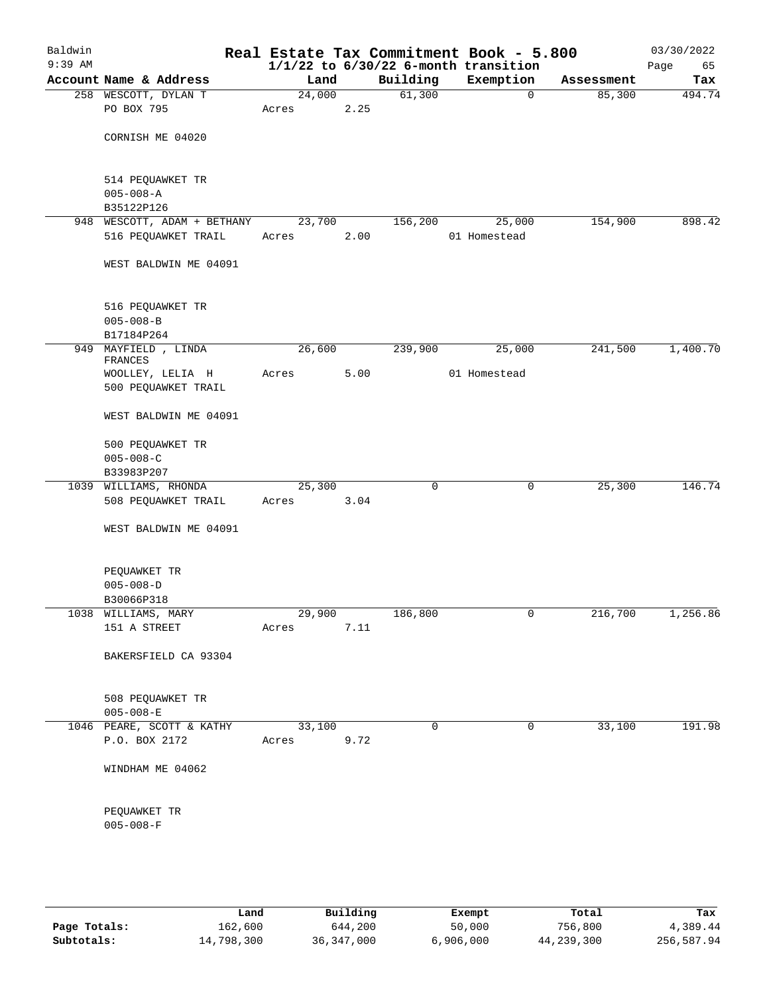| Baldwin<br>$9:39$ AM |                                     |        |      |             | Real Estate Tax Commitment Book - 5.800<br>$1/1/22$ to $6/30/22$ 6-month transition |            | 03/30/2022<br>Page<br>65 |
|----------------------|-------------------------------------|--------|------|-------------|-------------------------------------------------------------------------------------|------------|--------------------------|
|                      | Account Name & Address              | Land   |      | Building    | Exemption                                                                           | Assessment | Tax                      |
|                      | 258 WESCOTT, DYLAN T                | 24,000 |      | 61,300      | $\mathbf 0$                                                                         | 85,300     | 494.74                   |
|                      | PO BOX 795                          | Acres  | 2.25 |             |                                                                                     |            |                          |
|                      | CORNISH ME 04020                    |        |      |             |                                                                                     |            |                          |
|                      |                                     |        |      |             |                                                                                     |            |                          |
|                      | 514 PEQUAWKET TR<br>$005 - 008 - A$ |        |      |             |                                                                                     |            |                          |
|                      | B35122P126                          |        |      |             |                                                                                     |            |                          |
|                      | 948 WESCOTT, ADAM + BETHANY         | 23,700 |      | 156,200     | 25,000                                                                              | 154,900    | 898.42                   |
|                      | 516 PEQUAWKET TRAIL                 | Acres  | 2.00 |             | 01 Homestead                                                                        |            |                          |
|                      | WEST BALDWIN ME 04091               |        |      |             |                                                                                     |            |                          |
|                      | 516 PEQUAWKET TR                    |        |      |             |                                                                                     |            |                          |
|                      | $005 - 008 - B$                     |        |      |             |                                                                                     |            |                          |
|                      | B17184P264                          |        |      |             |                                                                                     |            |                          |
| 949                  | MAYFIELD , LINDA<br>FRANCES         | 26,600 |      | 239,900     | 25,000                                                                              | 241,500    | 1,400.70                 |
|                      | WOOLLEY, LELIA H                    | Acres  | 5.00 |             | 01 Homestead                                                                        |            |                          |
|                      | 500 PEQUAWKET TRAIL                 |        |      |             |                                                                                     |            |                          |
|                      | WEST BALDWIN ME 04091               |        |      |             |                                                                                     |            |                          |
|                      | 500 PEQUAWKET TR                    |        |      |             |                                                                                     |            |                          |
|                      | $005 - 008 - C$                     |        |      |             |                                                                                     |            |                          |
|                      | B33983P207                          |        |      |             |                                                                                     |            |                          |
|                      | 1039 WILLIAMS, RHONDA               | 25,300 |      | $\mathbf 0$ | 0                                                                                   | 25,300     | 146.74                   |
|                      | 508 PEQUAWKET TRAIL                 | Acres  | 3.04 |             |                                                                                     |            |                          |
|                      | WEST BALDWIN ME 04091               |        |      |             |                                                                                     |            |                          |
|                      | PEQUAWKET TR                        |        |      |             |                                                                                     |            |                          |
|                      | $005 - 008 - D$                     |        |      |             |                                                                                     |            |                          |
|                      | B30066P318                          |        |      |             |                                                                                     |            |                          |
|                      | 1038 WILLIAMS, MARY                 | 29,900 |      | 186,800     | 0                                                                                   | 216,700    | 1,256.86                 |
|                      | 151 A STREET                        | Acres  | 7.11 |             |                                                                                     |            |                          |
|                      | BAKERSFIELD CA 93304                |        |      |             |                                                                                     |            |                          |
|                      | 508 PEQUAWKET TR                    |        |      |             |                                                                                     |            |                          |
|                      | $005 - 008 - E$                     |        |      |             |                                                                                     |            |                          |
|                      | 1046 PEARE, SCOTT & KATHY           | 33,100 |      | $\Omega$    | 0                                                                                   | 33,100     | 191.98                   |
|                      | P.O. BOX 2172                       | Acres  | 9.72 |             |                                                                                     |            |                          |
|                      | WINDHAM ME 04062                    |        |      |             |                                                                                     |            |                          |
|                      | PEQUAWKET TR<br>$005 - 008 - F$     |        |      |             |                                                                                     |            |                          |
|                      |                                     |        |      |             |                                                                                     |            |                          |

|              | Land       | Building     | Exempt    | Total      | Tax        |
|--------------|------------|--------------|-----------|------------|------------|
| Page Totals: | 162,600    | 644,200      | 50,000    | 756,800    | 4,389.44   |
| Subtotals:   | 14,798,300 | 36, 347, 000 | 6,906,000 | 44,239,300 | 256,587.94 |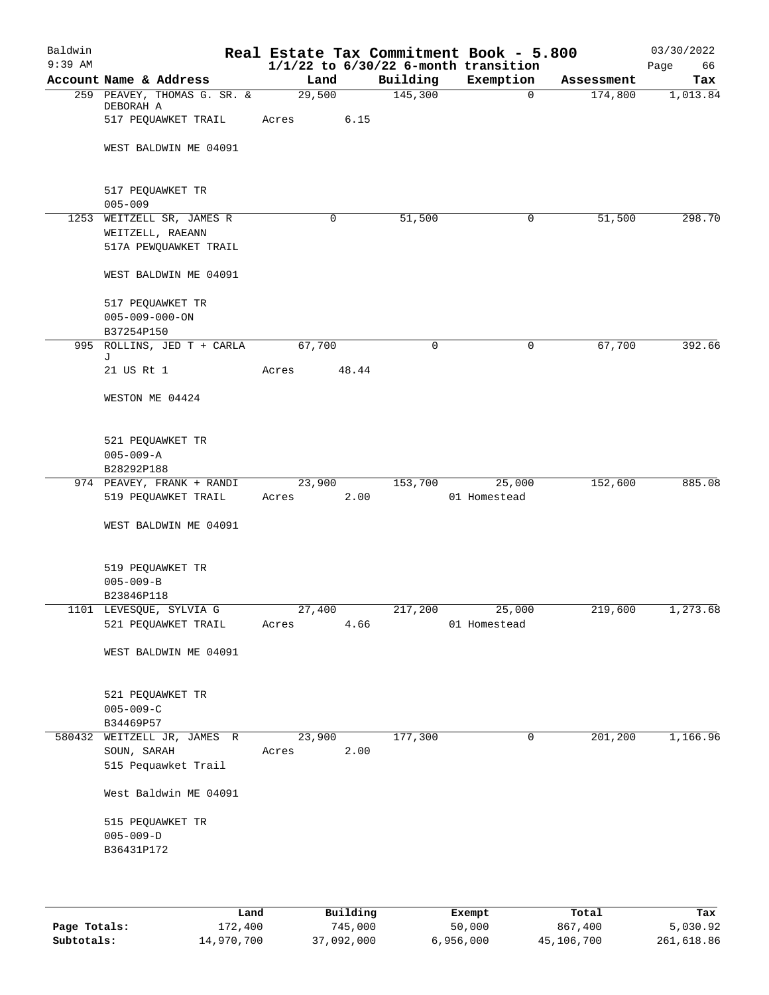| Baldwin<br>$9:39$ AM |                                                                        |                 |                |             | Real Estate Tax Commitment Book - 5.800<br>$1/1/22$ to $6/30/22$ 6-month transition |            | 03/30/2022<br>Page<br>66 |
|----------------------|------------------------------------------------------------------------|-----------------|----------------|-------------|-------------------------------------------------------------------------------------|------------|--------------------------|
|                      | Account Name & Address                                                 | Land            |                | Building    | Exemption                                                                           | Assessment | Tax                      |
|                      | 259 PEAVEY, THOMAS G. SR. &<br>DEBORAH A<br>517 PEQUAWKET TRAIL        | 29,500<br>Acres | 6.15           | 145,300     | $\overline{0}$                                                                      | 174,800    | 1,013.84                 |
|                      | WEST BALDWIN ME 04091                                                  |                 |                |             |                                                                                     |            |                          |
|                      | 517 PEQUAWKET TR<br>$005 - 009$                                        |                 |                |             |                                                                                     |            |                          |
|                      | 1253 WEITZELL SR, JAMES R<br>WEITZELL, RAEANN<br>517A PEWQUAWKET TRAIL |                 | $\mathbf 0$    | 51,500      | 0                                                                                   | 51,500     | 298.70                   |
|                      | WEST BALDWIN ME 04091                                                  |                 |                |             |                                                                                     |            |                          |
|                      | 517 PEQUAWKET TR<br>$005 - 009 - 000 - ON$<br>B37254P150               |                 |                |             |                                                                                     |            |                          |
|                      | 995 ROLLINS, JED T + CARLA                                             | 67,700          |                | $\mathbf 0$ | 0                                                                                   | 67,700     | 392.66                   |
|                      | J<br>21 US Rt 1                                                        | Acres           | 48.44          |             |                                                                                     |            |                          |
|                      | WESTON ME 04424                                                        |                 |                |             |                                                                                     |            |                          |
|                      | 521 PEQUAWKET TR<br>$005 - 009 - A$                                    |                 |                |             |                                                                                     |            |                          |
|                      | B28292P188                                                             |                 |                |             |                                                                                     |            |                          |
|                      | 974 PEAVEY, FRANK + RANDI<br>519 PEQUAWKET TRAIL                       | Acres           | 23,900<br>2.00 | 153,700     | 25,000<br>01 Homestead                                                              | 152,600    | 885.08                   |
|                      | WEST BALDWIN ME 04091                                                  |                 |                |             |                                                                                     |            |                          |
|                      | 519 PEQUAWKET TR<br>$005 - 009 - B$<br>B23846P118                      |                 |                |             |                                                                                     |            |                          |
|                      | 1101 LEVESQUE, SYLVIA G                                                | 27,400          |                |             | 217,200 25,000                                                                      | 219,600    | 1,273.68                 |
|                      | 521 PEQUAWKET TRAIL                                                    | Acres           | 4.66           |             | 01 Homestead                                                                        |            |                          |
|                      | WEST BALDWIN ME 04091                                                  |                 |                |             |                                                                                     |            |                          |
|                      | 521 PEQUAWKET TR<br>$005 - 009 - C$<br>B34469P57                       |                 |                |             |                                                                                     |            |                          |
|                      | 580432 WEITZELL JR, JAMES R<br>SOUN, SARAH<br>515 Pequawket Trail      | 23,900<br>Acres | 2.00           | 177,300     | $\mathbf 0$                                                                         | 201,200    | 1,166.96                 |
|                      | West Baldwin ME 04091                                                  |                 |                |             |                                                                                     |            |                          |
|                      | 515 PEQUAWKET TR<br>$005 - 009 - D$<br>B36431P172                      |                 |                |             |                                                                                     |            |                          |
|                      |                                                                        |                 |                |             |                                                                                     |            |                          |

|              | Land       | Building   | Exempt    | Total      | Tax        |
|--------------|------------|------------|-----------|------------|------------|
| Page Totals: | 172,400    | 745,000    | 50,000    | 867,400    | 5,030.92   |
| Subtotals:   | 14,970,700 | 37,092,000 | 6,956,000 | 45,106,700 | 261,618.86 |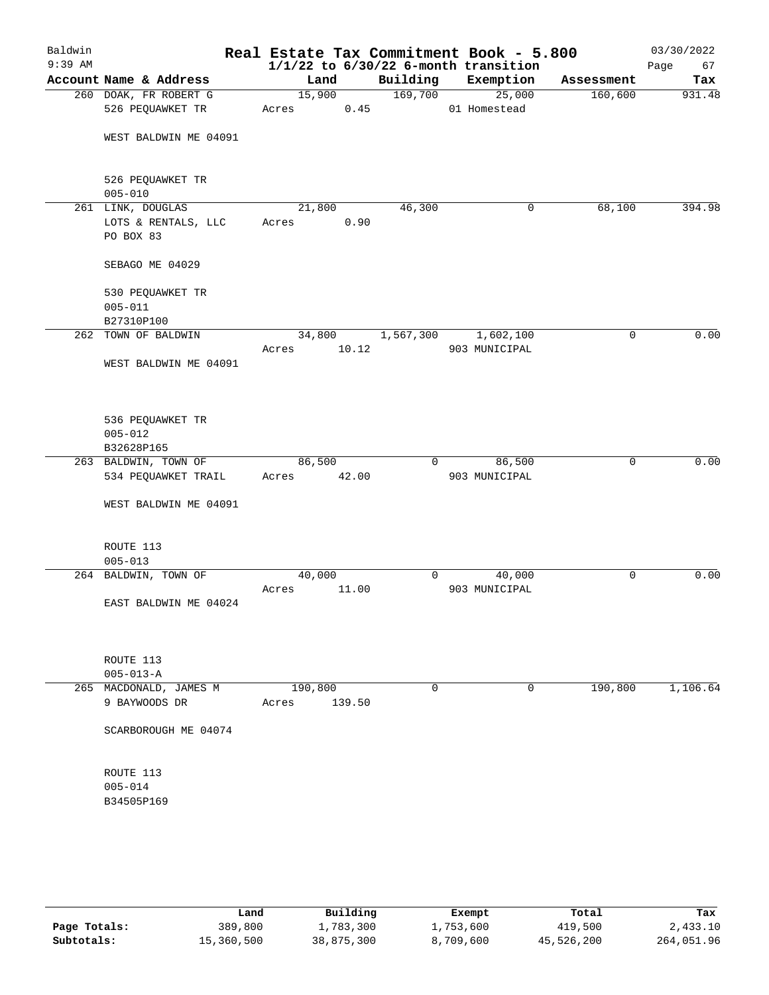| Baldwin<br>$9:39$ AM |                                  |         |        |                | Real Estate Tax Commitment Book - 5.800<br>$1/1/22$ to $6/30/22$ 6-month transition |            | 03/30/2022<br>Page<br>67 |
|----------------------|----------------------------------|---------|--------|----------------|-------------------------------------------------------------------------------------|------------|--------------------------|
|                      | Account Name & Address           | Land    |        | Building       | Exemption                                                                           | Assessment | Tax                      |
|                      | 260 DOAK, FR ROBERT G            | 15,900  |        | 169,700        | 25,000                                                                              | 160,600    | 931.48                   |
|                      | 526 PEQUAWKET TR                 | Acres   | 0.45   |                | 01 Homestead                                                                        |            |                          |
|                      |                                  |         |        |                |                                                                                     |            |                          |
|                      | WEST BALDWIN ME 04091            |         |        |                |                                                                                     |            |                          |
|                      |                                  |         |        |                |                                                                                     |            |                          |
|                      |                                  |         |        |                |                                                                                     |            |                          |
|                      | 526 PEQUAWKET TR                 |         |        |                |                                                                                     |            |                          |
|                      | $005 - 010$<br>261 LINK, DOUGLAS | 21,800  |        | 46,300         | 0                                                                                   | 68,100     | 394.98                   |
|                      | LOTS & RENTALS, LLC              | Acres   | 0.90   |                |                                                                                     |            |                          |
|                      | PO BOX 83                        |         |        |                |                                                                                     |            |                          |
|                      |                                  |         |        |                |                                                                                     |            |                          |
|                      | SEBAGO ME 04029                  |         |        |                |                                                                                     |            |                          |
|                      |                                  |         |        |                |                                                                                     |            |                          |
|                      | 530 PEQUAWKET TR                 |         |        |                |                                                                                     |            |                          |
|                      | $005 - 011$                      |         |        |                |                                                                                     |            |                          |
|                      | B27310P100                       |         |        |                |                                                                                     |            |                          |
| 262                  | TOWN OF BALDWIN                  | 34,800  |        | 1,567,300      | 1,602,100                                                                           | 0          | 0.00                     |
|                      |                                  | Acres   | 10.12  |                | 903 MUNICIPAL                                                                       |            |                          |
|                      | WEST BALDWIN ME 04091            |         |        |                |                                                                                     |            |                          |
|                      |                                  |         |        |                |                                                                                     |            |                          |
|                      |                                  |         |        |                |                                                                                     |            |                          |
|                      | 536 PEQUAWKET TR                 |         |        |                |                                                                                     |            |                          |
|                      | $005 - 012$                      |         |        |                |                                                                                     |            |                          |
|                      | B32628P165                       |         |        |                |                                                                                     |            |                          |
|                      | 263 BALDWIN, TOWN OF             | 86,500  |        | $\overline{0}$ | 86,500                                                                              | 0          | 0.00                     |
|                      | 534 PEQUAWKET TRAIL              | Acres   | 42.00  |                | 903 MUNICIPAL                                                                       |            |                          |
|                      |                                  |         |        |                |                                                                                     |            |                          |
|                      | WEST BALDWIN ME 04091            |         |        |                |                                                                                     |            |                          |
|                      |                                  |         |        |                |                                                                                     |            |                          |
|                      |                                  |         |        |                |                                                                                     |            |                          |
|                      | ROUTE 113                        |         |        |                |                                                                                     |            |                          |
|                      | $005 - 013$                      |         |        |                |                                                                                     |            |                          |
|                      | 264 BALDWIN, TOWN OF             | 40,000  |        | $\overline{0}$ | 40,000                                                                              | 0          | 0.00                     |
|                      | EAST BALDWIN ME 04024            | Acres   | 11.00  |                | 903 MUNICIPAL                                                                       |            |                          |
|                      |                                  |         |        |                |                                                                                     |            |                          |
|                      |                                  |         |        |                |                                                                                     |            |                          |
|                      |                                  |         |        |                |                                                                                     |            |                          |
|                      | ROUTE 113                        |         |        |                |                                                                                     |            |                          |
|                      | $005 - 013 - A$                  |         |        |                |                                                                                     |            |                          |
|                      | 265 MACDONALD, JAMES M           | 190,800 |        | 0              | 0                                                                                   | 190,800    | 1,106.64                 |
|                      | 9 BAYWOODS DR                    | Acres   | 139.50 |                |                                                                                     |            |                          |
|                      |                                  |         |        |                |                                                                                     |            |                          |
|                      | SCARBOROUGH ME 04074             |         |        |                |                                                                                     |            |                          |
|                      |                                  |         |        |                |                                                                                     |            |                          |
|                      |                                  |         |        |                |                                                                                     |            |                          |
|                      | ROUTE 113<br>$005 - 014$         |         |        |                |                                                                                     |            |                          |
|                      | B34505P169                       |         |        |                |                                                                                     |            |                          |
|                      |                                  |         |        |                |                                                                                     |            |                          |
|                      |                                  |         |        |                |                                                                                     |            |                          |
|                      |                                  |         |        |                |                                                                                     |            |                          |
|                      |                                  |         |        |                |                                                                                     |            |                          |

|              | Land       | Building   | Exempt    | Total      | Tax        |
|--------------|------------|------------|-----------|------------|------------|
| Page Totals: | 389,800    | 1,783,300  | 1,753,600 | 419,500    | 2,433.10   |
| Subtotals:   | 15,360,500 | 38,875,300 | 8,709,600 | 45,526,200 | 264,051.96 |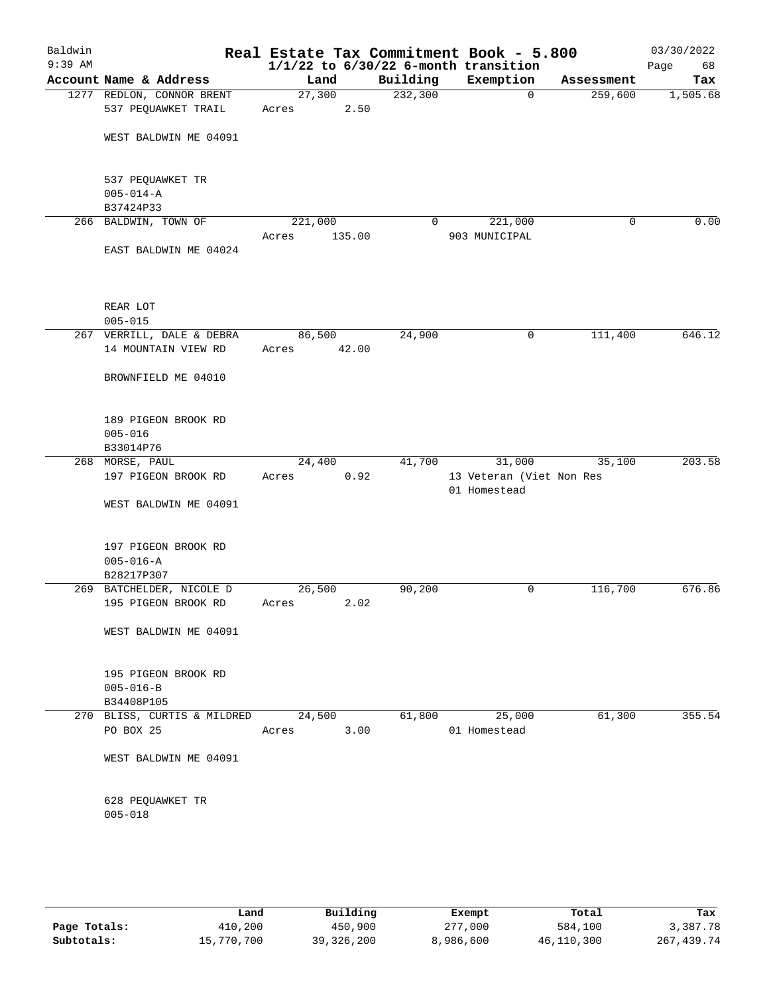| Baldwin<br>$9:39$ AM |                                                      |                 |        |              | Real Estate Tax Commitment Book - 5.800<br>$1/1/22$ to $6/30/22$ 6-month transition |            | 03/30/2022<br>68<br>Page |
|----------------------|------------------------------------------------------|-----------------|--------|--------------|-------------------------------------------------------------------------------------|------------|--------------------------|
|                      | Account Name & Address                               | Land            |        | Building     | Exemption                                                                           | Assessment | Tax                      |
|                      | 1277 REDLON, CONNOR BRENT<br>537 PEQUAWKET TRAIL     | 27,300<br>Acres | 2.50   | 232,300      | 0                                                                                   | 259,600    | 1,505.68                 |
|                      | WEST BALDWIN ME 04091                                |                 |        |              |                                                                                     |            |                          |
|                      | 537 PEQUAWKET TR<br>$005 - 014 - A$<br>B37424P33     |                 |        |              |                                                                                     |            |                          |
|                      | 266 BALDWIN, TOWN OF                                 | 221,000         |        | $\mathbf{0}$ | 221,000                                                                             | 0          | 0.00                     |
|                      | EAST BALDWIN ME 04024                                | Acres           | 135.00 |              | 903 MUNICIPAL                                                                       |            |                          |
|                      | REAR LOT<br>$005 - 015$                              |                 |        |              |                                                                                     |            |                          |
|                      | 267 VERRILL, DALE & DEBRA                            | 86,500          |        | 24,900       | 0                                                                                   | 111,400    | 646.12                   |
|                      | 14 MOUNTAIN VIEW RD                                  | Acres           | 42.00  |              |                                                                                     |            |                          |
|                      | BROWNFIELD ME 04010                                  |                 |        |              |                                                                                     |            |                          |
|                      | 189 PIGEON BROOK RD<br>$005 - 016$                   |                 |        |              |                                                                                     |            |                          |
|                      | B33014P76                                            |                 |        |              |                                                                                     |            | 203.58                   |
|                      | 268 MORSE, PAUL<br>197 PIGEON BROOK RD               | 24,400<br>Acres | 0.92   | 41,700       | 31,000<br>13 Veteran (Viet Non Res<br>01 Homestead                                  | 35,100     |                          |
|                      | WEST BALDWIN ME 04091                                |                 |        |              |                                                                                     |            |                          |
|                      | 197 PIGEON BROOK RD<br>$005 - 016 - A$<br>B28217P307 |                 |        |              |                                                                                     |            |                          |
|                      | 269 BATCHELDER, NICOLE D                             | 26,500          |        | 90,200       | 0                                                                                   | 116,700    | 676.86                   |
|                      | 195 PIGEON BROOK RD                                  | Acres           | 2.02   |              |                                                                                     |            |                          |
|                      | WEST BALDWIN ME 04091                                |                 |        |              |                                                                                     |            |                          |
|                      | 195 PIGEON BROOK RD<br>$005 - 016 - B$<br>B34408P105 |                 |        |              |                                                                                     |            |                          |
|                      | 270 BLISS, CURTIS & MILDRED 24,500                   |                 |        | 61,800       | 25,000                                                                              | 61,300     | 355.54                   |
|                      | PO BOX 25                                            | Acres           | 3.00   |              | 01 Homestead                                                                        |            |                          |
|                      | WEST BALDWIN ME 04091                                |                 |        |              |                                                                                     |            |                          |
|                      | 628 PEQUAWKET TR<br>$005 - 018$                      |                 |        |              |                                                                                     |            |                          |
|                      |                                                      |                 |        |              |                                                                                     |            |                          |

|              | Land       | Building     | Exempt    | Total      | Tax        |
|--------------|------------|--------------|-----------|------------|------------|
| Page Totals: | 410,200    | 450,900      | 277,000   | 584,100    | 3,387.78   |
| Subtotals:   | 15,770,700 | 39, 326, 200 | 8,986,600 | 46,110,300 | 267,439.74 |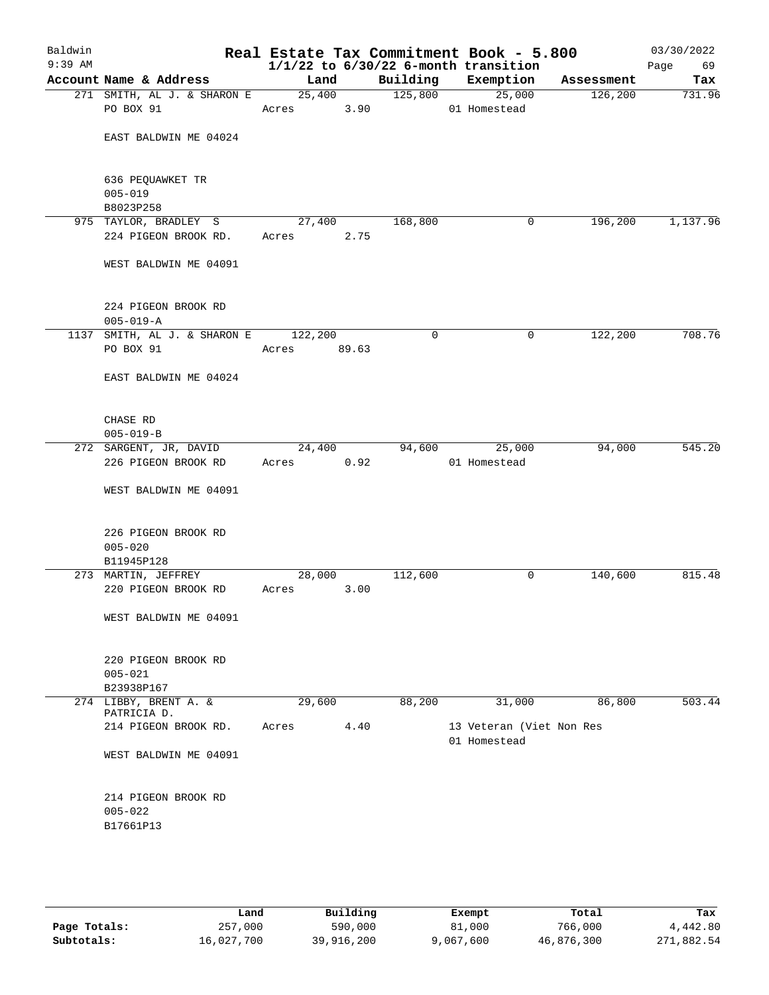| $1/1/22$ to $6/30/22$ 6-month transition<br>Account Name & Address<br>Building<br>Exemption<br>Land<br>Assessment<br>25,400<br>125,800<br>271 SMITH, AL J. & SHARON E<br>25,000<br>126, 200<br>PO BOX 91<br>01 Homestead<br>Acres 3.90<br>EAST BALDWIN ME 04024<br>636 PEQUAWKET TR<br>$005 - 019$<br>B8023P258<br>168,800<br>196,200<br>975 TAYLOR, BRADLEY S<br>27,400<br>0<br>224 PIGEON BROOK RD.<br>Acres 2.75<br>WEST BALDWIN ME 04091<br>224 PIGEON BROOK RD<br>$005 - 019 - A$<br>1137 SMITH, AL J. & SHARON E 122,200<br>122,200<br>0<br>0<br>PO BOX 91<br>89.63<br>Acres<br>EAST BALDWIN ME 04024<br>CHASE RD<br>$005 - 019 - B$<br>24,400<br>94,600<br>25,000<br>94,000<br>272 SARGENT, JR, DAVID<br>226 PIGEON BROOK RD<br>0.92<br>Acres<br>01 Homestead<br>WEST BALDWIN ME 04091<br>226 PIGEON BROOK RD<br>$005 - 020$<br>B11945P128<br>273 MARTIN, JEFFREY<br>112,600<br>140,600<br>28,000<br>0<br>220 PIGEON BROOK RD<br>3.00<br>Acres<br>WEST BALDWIN ME 04091<br>220 PIGEON BROOK RD<br>$005 - 021$<br>B23938P167<br>274 LIBBY, BRENT A. &<br>29,600<br>88,200<br>31,000<br>86,800<br>PATRICIA D.<br>214 PIGEON BROOK RD.<br>Acres<br>4.40<br>13 Veteran (Viet Non Res<br>01 Homestead<br>WEST BALDWIN ME 04091<br>214 PIGEON BROOK RD<br>$005 - 022$<br>B17661P13 | Baldwin<br>$9:39$ AM |  |  | Real Estate Tax Commitment Book - 5.800 | 03/30/2022<br>Page<br>69 |
|-------------------------------------------------------------------------------------------------------------------------------------------------------------------------------------------------------------------------------------------------------------------------------------------------------------------------------------------------------------------------------------------------------------------------------------------------------------------------------------------------------------------------------------------------------------------------------------------------------------------------------------------------------------------------------------------------------------------------------------------------------------------------------------------------------------------------------------------------------------------------------------------------------------------------------------------------------------------------------------------------------------------------------------------------------------------------------------------------------------------------------------------------------------------------------------------------------------------------------------------------------------------------------------|----------------------|--|--|-----------------------------------------|--------------------------|
|                                                                                                                                                                                                                                                                                                                                                                                                                                                                                                                                                                                                                                                                                                                                                                                                                                                                                                                                                                                                                                                                                                                                                                                                                                                                                     |                      |  |  |                                         | Tax                      |
|                                                                                                                                                                                                                                                                                                                                                                                                                                                                                                                                                                                                                                                                                                                                                                                                                                                                                                                                                                                                                                                                                                                                                                                                                                                                                     |                      |  |  |                                         | 731.96                   |
|                                                                                                                                                                                                                                                                                                                                                                                                                                                                                                                                                                                                                                                                                                                                                                                                                                                                                                                                                                                                                                                                                                                                                                                                                                                                                     |                      |  |  |                                         |                          |
|                                                                                                                                                                                                                                                                                                                                                                                                                                                                                                                                                                                                                                                                                                                                                                                                                                                                                                                                                                                                                                                                                                                                                                                                                                                                                     |                      |  |  |                                         |                          |
|                                                                                                                                                                                                                                                                                                                                                                                                                                                                                                                                                                                                                                                                                                                                                                                                                                                                                                                                                                                                                                                                                                                                                                                                                                                                                     |                      |  |  |                                         |                          |
|                                                                                                                                                                                                                                                                                                                                                                                                                                                                                                                                                                                                                                                                                                                                                                                                                                                                                                                                                                                                                                                                                                                                                                                                                                                                                     |                      |  |  |                                         | 1,137.96                 |
|                                                                                                                                                                                                                                                                                                                                                                                                                                                                                                                                                                                                                                                                                                                                                                                                                                                                                                                                                                                                                                                                                                                                                                                                                                                                                     |                      |  |  |                                         |                          |
|                                                                                                                                                                                                                                                                                                                                                                                                                                                                                                                                                                                                                                                                                                                                                                                                                                                                                                                                                                                                                                                                                                                                                                                                                                                                                     |                      |  |  |                                         |                          |
|                                                                                                                                                                                                                                                                                                                                                                                                                                                                                                                                                                                                                                                                                                                                                                                                                                                                                                                                                                                                                                                                                                                                                                                                                                                                                     |                      |  |  |                                         |                          |
|                                                                                                                                                                                                                                                                                                                                                                                                                                                                                                                                                                                                                                                                                                                                                                                                                                                                                                                                                                                                                                                                                                                                                                                                                                                                                     |                      |  |  |                                         | 708.76                   |
|                                                                                                                                                                                                                                                                                                                                                                                                                                                                                                                                                                                                                                                                                                                                                                                                                                                                                                                                                                                                                                                                                                                                                                                                                                                                                     |                      |  |  |                                         |                          |
|                                                                                                                                                                                                                                                                                                                                                                                                                                                                                                                                                                                                                                                                                                                                                                                                                                                                                                                                                                                                                                                                                                                                                                                                                                                                                     |                      |  |  |                                         |                          |
|                                                                                                                                                                                                                                                                                                                                                                                                                                                                                                                                                                                                                                                                                                                                                                                                                                                                                                                                                                                                                                                                                                                                                                                                                                                                                     |                      |  |  |                                         |                          |
|                                                                                                                                                                                                                                                                                                                                                                                                                                                                                                                                                                                                                                                                                                                                                                                                                                                                                                                                                                                                                                                                                                                                                                                                                                                                                     |                      |  |  |                                         | 545.20                   |
|                                                                                                                                                                                                                                                                                                                                                                                                                                                                                                                                                                                                                                                                                                                                                                                                                                                                                                                                                                                                                                                                                                                                                                                                                                                                                     |                      |  |  |                                         |                          |
|                                                                                                                                                                                                                                                                                                                                                                                                                                                                                                                                                                                                                                                                                                                                                                                                                                                                                                                                                                                                                                                                                                                                                                                                                                                                                     |                      |  |  |                                         |                          |
|                                                                                                                                                                                                                                                                                                                                                                                                                                                                                                                                                                                                                                                                                                                                                                                                                                                                                                                                                                                                                                                                                                                                                                                                                                                                                     |                      |  |  |                                         |                          |
|                                                                                                                                                                                                                                                                                                                                                                                                                                                                                                                                                                                                                                                                                                                                                                                                                                                                                                                                                                                                                                                                                                                                                                                                                                                                                     |                      |  |  |                                         |                          |
|                                                                                                                                                                                                                                                                                                                                                                                                                                                                                                                                                                                                                                                                                                                                                                                                                                                                                                                                                                                                                                                                                                                                                                                                                                                                                     |                      |  |  |                                         | 815.48                   |
|                                                                                                                                                                                                                                                                                                                                                                                                                                                                                                                                                                                                                                                                                                                                                                                                                                                                                                                                                                                                                                                                                                                                                                                                                                                                                     |                      |  |  |                                         |                          |
|                                                                                                                                                                                                                                                                                                                                                                                                                                                                                                                                                                                                                                                                                                                                                                                                                                                                                                                                                                                                                                                                                                                                                                                                                                                                                     |                      |  |  |                                         |                          |
|                                                                                                                                                                                                                                                                                                                                                                                                                                                                                                                                                                                                                                                                                                                                                                                                                                                                                                                                                                                                                                                                                                                                                                                                                                                                                     |                      |  |  |                                         |                          |
|                                                                                                                                                                                                                                                                                                                                                                                                                                                                                                                                                                                                                                                                                                                                                                                                                                                                                                                                                                                                                                                                                                                                                                                                                                                                                     |                      |  |  |                                         |                          |
|                                                                                                                                                                                                                                                                                                                                                                                                                                                                                                                                                                                                                                                                                                                                                                                                                                                                                                                                                                                                                                                                                                                                                                                                                                                                                     |                      |  |  |                                         | 503.44                   |
|                                                                                                                                                                                                                                                                                                                                                                                                                                                                                                                                                                                                                                                                                                                                                                                                                                                                                                                                                                                                                                                                                                                                                                                                                                                                                     |                      |  |  |                                         |                          |
|                                                                                                                                                                                                                                                                                                                                                                                                                                                                                                                                                                                                                                                                                                                                                                                                                                                                                                                                                                                                                                                                                                                                                                                                                                                                                     |                      |  |  |                                         |                          |
|                                                                                                                                                                                                                                                                                                                                                                                                                                                                                                                                                                                                                                                                                                                                                                                                                                                                                                                                                                                                                                                                                                                                                                                                                                                                                     |                      |  |  |                                         |                          |
|                                                                                                                                                                                                                                                                                                                                                                                                                                                                                                                                                                                                                                                                                                                                                                                                                                                                                                                                                                                                                                                                                                                                                                                                                                                                                     |                      |  |  |                                         |                          |
|                                                                                                                                                                                                                                                                                                                                                                                                                                                                                                                                                                                                                                                                                                                                                                                                                                                                                                                                                                                                                                                                                                                                                                                                                                                                                     |                      |  |  |                                         |                          |
|                                                                                                                                                                                                                                                                                                                                                                                                                                                                                                                                                                                                                                                                                                                                                                                                                                                                                                                                                                                                                                                                                                                                                                                                                                                                                     |                      |  |  |                                         |                          |
|                                                                                                                                                                                                                                                                                                                                                                                                                                                                                                                                                                                                                                                                                                                                                                                                                                                                                                                                                                                                                                                                                                                                                                                                                                                                                     |                      |  |  |                                         |                          |

|              | Land       | Building   | Exempt    | Total      | Tax        |
|--------------|------------|------------|-----------|------------|------------|
| Page Totals: | 257,000    | 590,000    | 81,000    | 766,000    | 4,442.80   |
| Subtotals:   | 16,027,700 | 39,916,200 | 9,067,600 | 46,876,300 | 271,882.54 |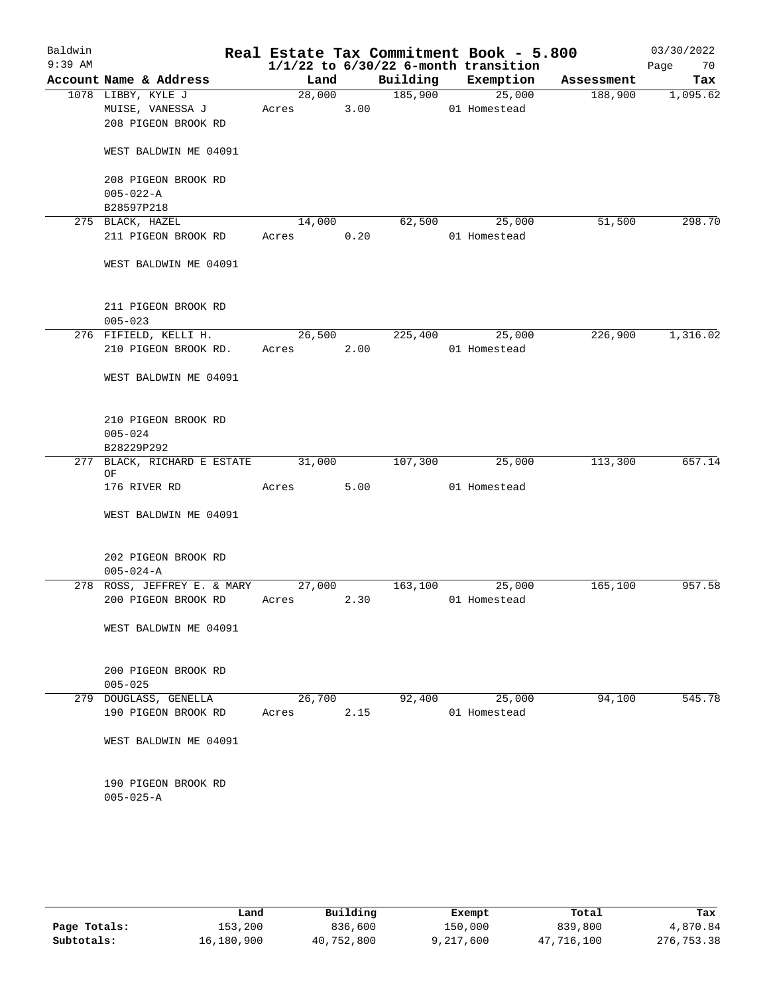| Baldwin<br>$9:39$ AM |                                                               |                 |      | $1/1/22$ to $6/30/22$ 6-month transition | Real Estate Tax Commitment Book - 5.800 |            | 03/30/2022<br>70<br>Page |
|----------------------|---------------------------------------------------------------|-----------------|------|------------------------------------------|-----------------------------------------|------------|--------------------------|
|                      | Account Name & Address                                        | Land            |      | Building Exemption                       |                                         | Assessment | Tax                      |
|                      | 1078 LIBBY, KYLE J<br>MUISE, VANESSA J<br>208 PIGEON BROOK RD | 28,000<br>Acres | 3.00 | 185,900                                  | 25,000<br>01 Homestead                  | 188,900    | 1,095.62                 |
|                      | WEST BALDWIN ME 04091                                         |                 |      |                                          |                                         |            |                          |
|                      | 208 PIGEON BROOK RD<br>$005 - 022 - A$                        |                 |      |                                          |                                         |            |                          |
|                      | B28597P218                                                    |                 |      |                                          |                                         |            |                          |
|                      | 275 BLACK, HAZEL<br>211 PIGEON BROOK RD                       | 14,000<br>Acres | 0.20 | 62,500                                   | 25,000<br>01 Homestead                  | 51,500     | 298.70                   |
|                      | WEST BALDWIN ME 04091                                         |                 |      |                                          |                                         |            |                          |
|                      | 211 PIGEON BROOK RD<br>$005 - 023$                            |                 |      |                                          |                                         |            |                          |
|                      | 276 FIFIELD, KELLI H.                                         | 26,500          |      | 225,400                                  | 25,000                                  | 226,900    | 1,316.02                 |
|                      | 210 PIGEON BROOK RD.                                          | Acres           | 2.00 |                                          | 01 Homestead                            |            |                          |
|                      | WEST BALDWIN ME 04091                                         |                 |      |                                          |                                         |            |                          |
|                      | 210 PIGEON BROOK RD<br>$005 - 024$                            |                 |      |                                          |                                         |            |                          |
|                      | B28229P292                                                    |                 |      |                                          |                                         |            |                          |
|                      | 277 BLACK, RICHARD E ESTATE<br>ΟF                             | 31,000          |      | 107,300                                  | 25,000                                  | 113,300    | 657.14                   |
|                      | 176 RIVER RD                                                  | Acres           | 5.00 |                                          | 01 Homestead                            |            |                          |
|                      | WEST BALDWIN ME 04091                                         |                 |      |                                          |                                         |            |                          |
|                      | 202 PIGEON BROOK RD<br>$005 - 024 - A$                        |                 |      |                                          |                                         |            |                          |
|                      | 278 ROSS, JEFFREY E. & MARY                                   | 27,000          |      | 163,100                                  | 25,000                                  | 165,100    | 957.58                   |
|                      | 200 PIGEON BROOK RD                                           | Acres           | 2.30 |                                          | 01 Homestead                            |            |                          |
|                      | WEST BALDWIN ME 04091                                         |                 |      |                                          |                                         |            |                          |
|                      | 200 PIGEON BROOK RD<br>$005 - 025$                            |                 |      |                                          |                                         |            |                          |
|                      | 279 DOUGLASS, GENELLA                                         | 26,700          |      | 92,400                                   | 25,000                                  | 94,100     | 545.78                   |
|                      | 190 PIGEON BROOK RD                                           | Acres           | 2.15 |                                          | 01 Homestead                            |            |                          |
|                      | WEST BALDWIN ME 04091                                         |                 |      |                                          |                                         |            |                          |
|                      | 190 PIGEON BROOK RD<br>$005 - 025 - A$                        |                 |      |                                          |                                         |            |                          |
|                      |                                                               |                 |      |                                          |                                         |            |                          |

|              | Land       | Building   | Exempt    | Total      | Tax        |
|--------------|------------|------------|-----------|------------|------------|
| Page Totals: | 153,200    | 836,600    | 150,000   | 839,800    | 4,870.84   |
| Subtotals:   | 16,180,900 | 40,752,800 | 9,217,600 | 47,716,100 | 276,753.38 |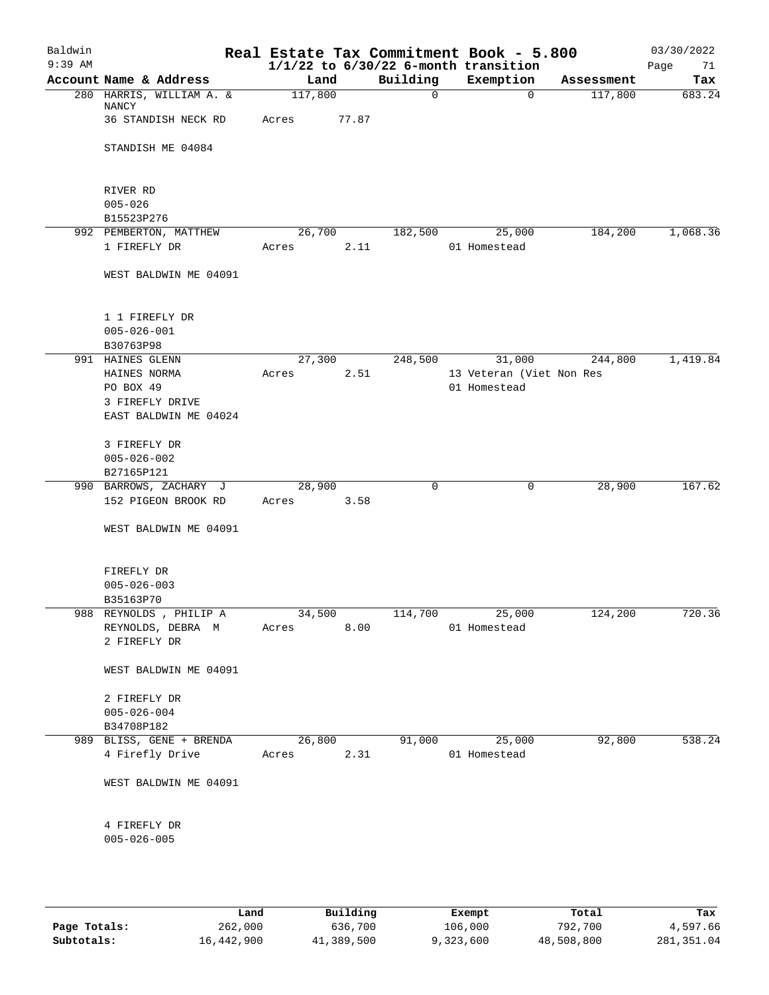| Baldwin<br>$9:39$ AM |                                      |         |       |             | Real Estate Tax Commitment Book - 5.800<br>$1/1/22$ to $6/30/22$ 6-month transition |            | 03/30/2022<br>Page<br>71 |
|----------------------|--------------------------------------|---------|-------|-------------|-------------------------------------------------------------------------------------|------------|--------------------------|
|                      | Account Name & Address               | Land    |       | Building    | Exemption                                                                           | Assessment | Tax                      |
|                      | 280 HARRIS, WILLIAM A. &<br>NANCY    | 117,800 |       | $\mathbf 0$ | $\mathbf 0$                                                                         | 117,800    | 683.24                   |
|                      | 36 STANDISH NECK RD                  | Acres   | 77.87 |             |                                                                                     |            |                          |
|                      | STANDISH ME 04084                    |         |       |             |                                                                                     |            |                          |
|                      | RIVER RD                             |         |       |             |                                                                                     |            |                          |
|                      | $005 - 026$                          |         |       |             |                                                                                     |            |                          |
|                      | B15523P276<br>992 PEMBERTON, MATTHEW | 26,700  |       | 182,500     | 25,000                                                                              | 184,200    | 1,068.36                 |
|                      | 1 FIREFLY DR                         | Acres   | 2.11  |             | 01 Homestead                                                                        |            |                          |
|                      | WEST BALDWIN ME 04091                |         |       |             |                                                                                     |            |                          |
|                      | 1 1 FIREFLY DR<br>$005 - 026 - 001$  |         |       |             |                                                                                     |            |                          |
|                      | B30763P98                            |         |       |             |                                                                                     |            |                          |
|                      | 991 HAINES GLENN                     | 27,300  |       | 248,500     | 31,000                                                                              | 244,800    | 1,419.84                 |
|                      | HAINES NORMA<br>PO BOX 49            | Acres   | 2.51  |             | 13 Veteran (Viet Non Res<br>01 Homestead                                            |            |                          |
|                      | 3 FIREFLY DRIVE                      |         |       |             |                                                                                     |            |                          |
|                      | EAST BALDWIN ME 04024                |         |       |             |                                                                                     |            |                          |
|                      | 3 FIREFLY DR<br>$005 - 026 - 002$    |         |       |             |                                                                                     |            |                          |
|                      | B27165P121                           |         |       |             |                                                                                     |            |                          |
|                      | 990 BARROWS, ZACHARY J               | 28,900  |       | 0           | 0                                                                                   | 28,900     | 167.62                   |
|                      | 152 PIGEON BROOK RD                  | Acres   | 3.58  |             |                                                                                     |            |                          |
|                      | WEST BALDWIN ME 04091                |         |       |             |                                                                                     |            |                          |
|                      | FIREFLY DR                           |         |       |             |                                                                                     |            |                          |
|                      | $005 - 026 - 003$<br>B35163P70       |         |       |             |                                                                                     |            |                          |
|                      | 988 REYNOLDS, PHILIP A               | 34,500  |       | 114,700     | 25,000                                                                              | 124,200    | 720.36                   |
|                      | REYNOLDS, DEBRA M                    | Acres   | 8.00  |             | 01 Homestead                                                                        |            |                          |
|                      | 2 FIREFLY DR                         |         |       |             |                                                                                     |            |                          |
|                      | WEST BALDWIN ME 04091                |         |       |             |                                                                                     |            |                          |
|                      | 2 FIREFLY DR                         |         |       |             |                                                                                     |            |                          |
|                      | $005 - 026 - 004$                    |         |       |             |                                                                                     |            |                          |
|                      | B34708P182                           |         |       |             |                                                                                     |            |                          |
|                      | 989 BLISS, GENE + BRENDA             | 26,800  |       | 91,000      | 25,000                                                                              | 92,800     | 538.24                   |
|                      | 4 Firefly Drive                      | Acres   | 2.31  |             | 01 Homestead                                                                        |            |                          |
|                      | WEST BALDWIN ME 04091                |         |       |             |                                                                                     |            |                          |
|                      | 4 FIREFLY DR                         |         |       |             |                                                                                     |            |                          |
|                      | $005 - 026 - 005$                    |         |       |             |                                                                                     |            |                          |
|                      |                                      |         |       |             |                                                                                     |            |                          |
|                      |                                      |         |       |             |                                                                                     |            |                          |

|              | Land       | Building   | Exempt    | Total      | Tax          |
|--------------|------------|------------|-----------|------------|--------------|
| Page Totals: | 262,000    | 636,700    | 106,000   | 792,700    | 4,597.66     |
| Subtotals:   | 16,442,900 | 41,389,500 | 9,323,600 | 48,508,800 | 281, 351, 04 |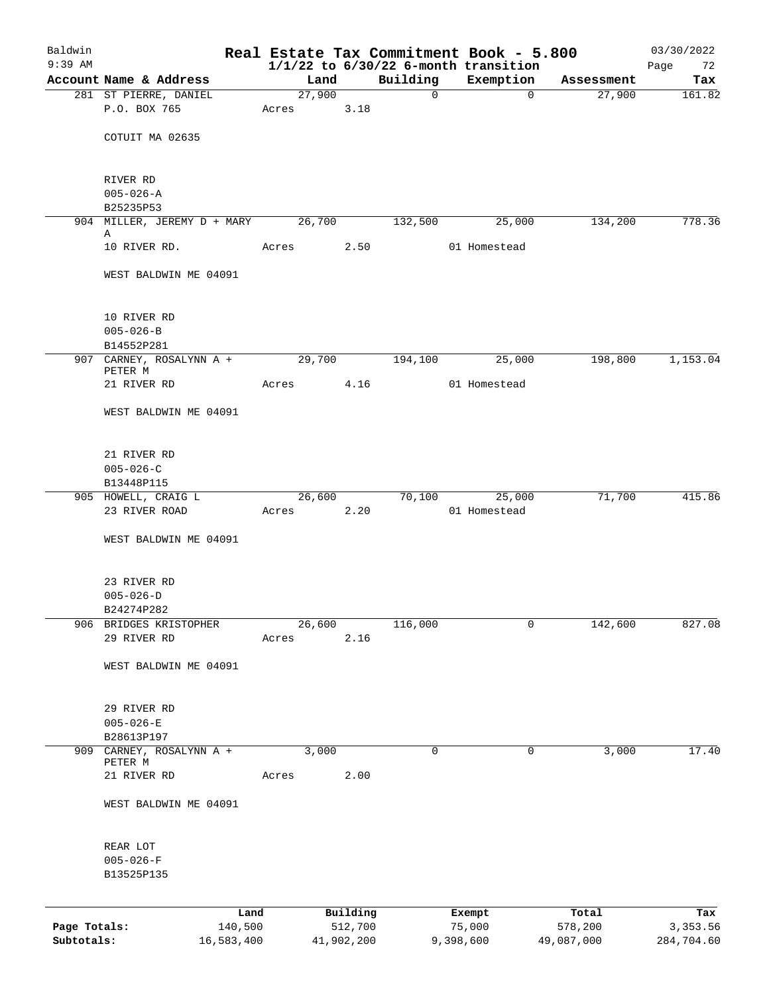| Baldwin<br>$9:39$ AM |                                  |        |            |             | Real Estate Tax Commitment Book - 5.800<br>$1/1/22$ to $6/30/22$ 6-month transition |            | 03/30/2022<br>Page<br>72 |
|----------------------|----------------------------------|--------|------------|-------------|-------------------------------------------------------------------------------------|------------|--------------------------|
|                      | Account Name & Address           | Land   |            | Building    | Exemption                                                                           | Assessment | Tax                      |
|                      | 281 ST PIERRE, DANIEL            | 27,900 |            | $\mathbf 0$ | 0                                                                                   | 27,900     | 161.82                   |
|                      | P.O. BOX 765                     | Acres  | 3.18       |             |                                                                                     |            |                          |
|                      |                                  |        |            |             |                                                                                     |            |                          |
|                      | COTUIT MA 02635                  |        |            |             |                                                                                     |            |                          |
|                      | RIVER RD                         |        |            |             |                                                                                     |            |                          |
|                      | $005 - 026 - A$                  |        |            |             |                                                                                     |            |                          |
|                      | B25235P53                        |        |            |             |                                                                                     |            |                          |
|                      | 904 MILLER, JEREMY D + MARY<br>Α | 26,700 |            | 132,500     | 25,000                                                                              | 134,200    | 778.36                   |
|                      | 10 RIVER RD.                     | Acres  | 2.50       |             | 01 Homestead                                                                        |            |                          |
|                      | WEST BALDWIN ME 04091            |        |            |             |                                                                                     |            |                          |
|                      | 10 RIVER RD                      |        |            |             |                                                                                     |            |                          |
|                      | $005 - 026 - B$                  |        |            |             |                                                                                     |            |                          |
|                      | B14552P281                       |        |            |             |                                                                                     |            |                          |
|                      | 907 CARNEY, ROSALYNN A +         | 29,700 |            | 194,100     | 25,000                                                                              | 198,800    | 1,153.04                 |
|                      | PETER M<br>21 RIVER RD           | Acres  | 4.16       |             | 01 Homestead                                                                        |            |                          |
|                      | WEST BALDWIN ME 04091            |        |            |             |                                                                                     |            |                          |
|                      | 21 RIVER RD                      |        |            |             |                                                                                     |            |                          |
|                      | $005 - 026 - C$                  |        |            |             |                                                                                     |            |                          |
|                      | B13448P115                       |        |            |             |                                                                                     |            |                          |
|                      | 905 HOWELL, CRAIG L              | 26,600 |            | 70,100      | 25,000                                                                              | 71,700     | 415.86                   |
|                      | 23 RIVER ROAD                    | Acres  | 2.20       |             | 01 Homestead                                                                        |            |                          |
|                      | WEST BALDWIN ME 04091            |        |            |             |                                                                                     |            |                          |
|                      | 23 RIVER RD                      |        |            |             |                                                                                     |            |                          |
|                      | $005 - 026 - D$                  |        |            |             |                                                                                     |            |                          |
|                      | B24274P282                       |        |            |             |                                                                                     |            |                          |
| 906                  | BRIDGES KRISTOPHER               | 26,600 |            | 116,000     | 0                                                                                   | 142,600    | 827.08                   |
|                      | 29 RIVER RD                      | Acres  | 2.16       |             |                                                                                     |            |                          |
|                      | WEST BALDWIN ME 04091            |        |            |             |                                                                                     |            |                          |
|                      | 29 RIVER RD                      |        |            |             |                                                                                     |            |                          |
|                      | $005 - 026 - E$                  |        |            |             |                                                                                     |            |                          |
|                      | B28613P197                       |        |            |             |                                                                                     |            |                          |
| 909                  | CARNEY, ROSALYNN A +             | 3,000  |            | 0           | 0                                                                                   | 3,000      | 17.40                    |
|                      | PETER M<br>21 RIVER RD           | Acres  | 2.00       |             |                                                                                     |            |                          |
|                      |                                  |        |            |             |                                                                                     |            |                          |
|                      | WEST BALDWIN ME 04091            |        |            |             |                                                                                     |            |                          |
|                      | REAR LOT                         |        |            |             |                                                                                     |            |                          |
|                      | $005 - 026 - F$                  |        |            |             |                                                                                     |            |                          |
|                      | B13525P135                       |        |            |             |                                                                                     |            |                          |
|                      |                                  | Land   | Building   |             | Exempt                                                                              | Total      | Tax                      |
| Page Totals:         | 140,500                          |        | 512,700    |             | 75,000                                                                              | 578,200    | 3,353.56                 |
| Subtotals:           | 16,583,400                       |        | 41,902,200 |             | 9,398,600                                                                           | 49,087,000 | 284,704.60               |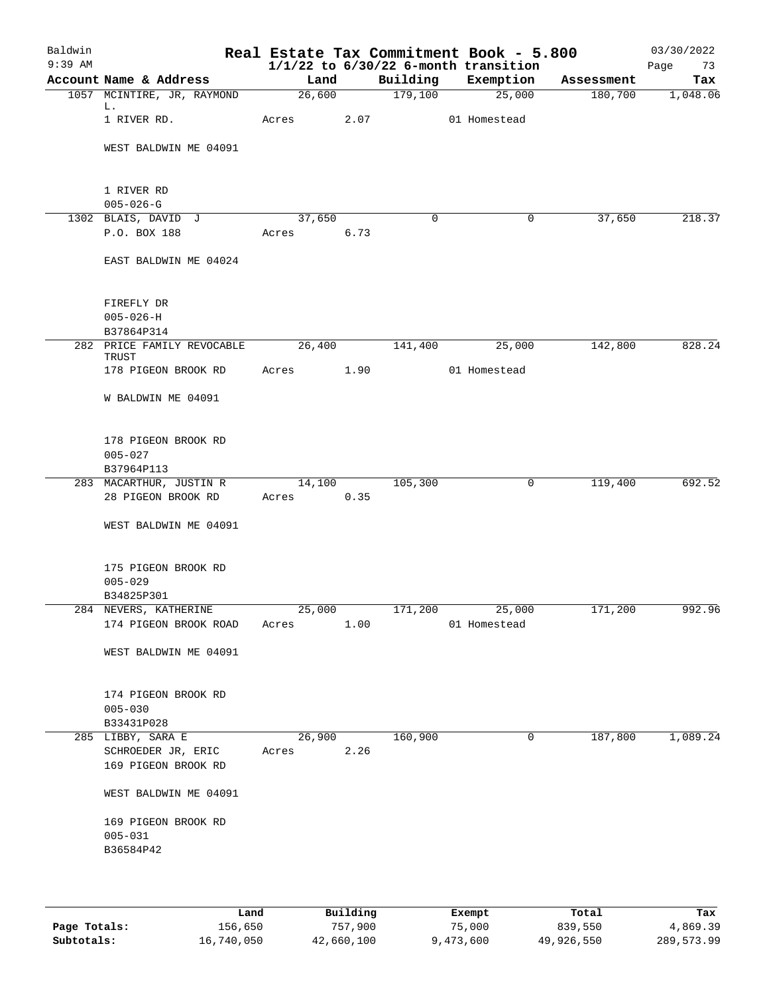| Baldwin<br>$9:39$ AM |                                                                |                 |      |          | Real Estate Tax Commitment Book - 5.800<br>$1/1/22$ to $6/30/22$ 6-month transition |            | 03/30/2022<br>Page<br>73 |
|----------------------|----------------------------------------------------------------|-----------------|------|----------|-------------------------------------------------------------------------------------|------------|--------------------------|
|                      | Account Name & Address                                         | Land            |      | Building | Exemption                                                                           | Assessment | Tax                      |
|                      | 1057 MCINTIRE, JR, RAYMOND                                     | 26,600          |      | 179,100  | 25,000                                                                              | 180,700    | 1,048.06                 |
|                      | L.<br>1 RIVER RD.                                              | Acres           | 2.07 |          | 01 Homestead                                                                        |            |                          |
|                      | WEST BALDWIN ME 04091                                          |                 |      |          |                                                                                     |            |                          |
|                      | 1 RIVER RD<br>$005 - 026 - G$                                  |                 |      |          |                                                                                     |            |                          |
|                      | 1302 BLAIS, DAVID J                                            | 37,650          |      | $\Omega$ | 0                                                                                   | 37,650     | 218.37                   |
|                      | P.O. BOX 188                                                   | Acres 6.73      |      |          |                                                                                     |            |                          |
|                      | EAST BALDWIN ME 04024                                          |                 |      |          |                                                                                     |            |                          |
|                      | FIREFLY DR<br>$005 - 026 - H$<br>B37864P314                    |                 |      |          |                                                                                     |            |                          |
|                      | 282 PRICE FAMILY REVOCABLE<br>TRUST                            | 26,400          |      | 141,400  | 25,000                                                                              | 142,800    | 828.24                   |
|                      | 178 PIGEON BROOK RD                                            | Acres           | 1.90 |          | 01 Homestead                                                                        |            |                          |
|                      | W BALDWIN ME 04091                                             |                 |      |          |                                                                                     |            |                          |
|                      | 178 PIGEON BROOK RD<br>$005 - 027$                             |                 |      |          |                                                                                     |            |                          |
|                      | B37964P113                                                     |                 |      |          |                                                                                     |            |                          |
|                      | 283 MACARTHUR, JUSTIN R                                        | 14,100          |      | 105,300  | 0                                                                                   | 119,400    | 692.52                   |
|                      | 28 PIGEON BROOK RD                                             | Acres           | 0.35 |          |                                                                                     |            |                          |
|                      | WEST BALDWIN ME 04091                                          |                 |      |          |                                                                                     |            |                          |
|                      | 175 PIGEON BROOK RD<br>$005 - 029$                             |                 |      |          |                                                                                     |            |                          |
|                      | B34825P301                                                     |                 |      |          |                                                                                     |            |                          |
|                      | 284 NEVERS, KATHERINE                                          | 25,000          |      | 171,200  | $\frac{1}{25,000}$                                                                  | 171,200    | 992.96                   |
|                      | 174 PIGEON BROOK ROAD                                          | Acres           | 1.00 |          | 01 Homestead                                                                        |            |                          |
|                      | WEST BALDWIN ME 04091                                          |                 |      |          |                                                                                     |            |                          |
|                      | 174 PIGEON BROOK RD<br>$005 - 030$                             |                 |      |          |                                                                                     |            |                          |
|                      | B33431P028                                                     |                 |      |          |                                                                                     |            |                          |
|                      | 285 LIBBY, SARA E<br>SCHROEDER JR, ERIC<br>169 PIGEON BROOK RD | 26,900<br>Acres | 2.26 | 160,900  | 0                                                                                   | 187,800    | 1,089.24                 |
|                      | WEST BALDWIN ME 04091                                          |                 |      |          |                                                                                     |            |                          |
|                      | 169 PIGEON BROOK RD<br>$005 - 031$                             |                 |      |          |                                                                                     |            |                          |
|                      | B36584P42                                                      |                 |      |          |                                                                                     |            |                          |
|                      |                                                                |                 |      |          |                                                                                     |            |                          |

|              | Land       | Building   | Exempt    | Total      | Tax        |
|--------------|------------|------------|-----------|------------|------------|
| Page Totals: | 156,650    | 757,900    | 75,000    | 839,550    | 4,869.39   |
| Subtotals:   | 16,740,050 | 42,660,100 | 9,473,600 | 49,926,550 | 289,573.99 |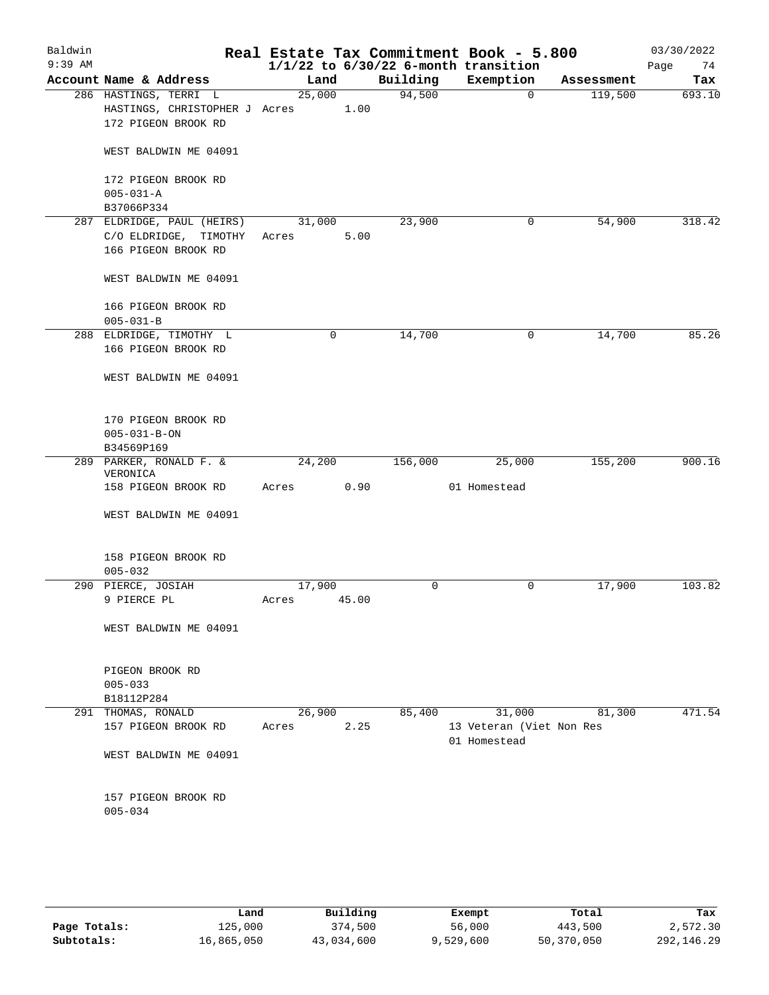| Baldwin<br>$9:39$ AM |                                                                               |                 |             |          | Real Estate Tax Commitment Book - 5.800<br>$1/1/22$ to $6/30/22$ 6-month transition |            | 03/30/2022<br>74<br>Page |
|----------------------|-------------------------------------------------------------------------------|-----------------|-------------|----------|-------------------------------------------------------------------------------------|------------|--------------------------|
|                      | Account Name & Address                                                        | Land            |             | Building | Exemption                                                                           | Assessment | Tax                      |
|                      | 286 HASTINGS, TERRI L<br>HASTINGS, CHRISTOPHER J Acres<br>172 PIGEON BROOK RD | 25,000          | 1.00        | 94,500   | $\mathbf 0$                                                                         | 119,500    | 693.10                   |
|                      | WEST BALDWIN ME 04091                                                         |                 |             |          |                                                                                     |            |                          |
|                      | 172 PIGEON BROOK RD<br>$005 - 031 - A$<br>B37066P334                          |                 |             |          |                                                                                     |            |                          |
|                      | 287 ELDRIDGE, PAUL (HEIRS)<br>C/O ELDRIDGE, TIMOTHY<br>166 PIGEON BROOK RD    | 31,000<br>Acres | 5.00        | 23,900   | 0                                                                                   | 54,900     | 318.42                   |
|                      | WEST BALDWIN ME 04091                                                         |                 |             |          |                                                                                     |            |                          |
|                      | 166 PIGEON BROOK RD<br>$005 - 031 - B$                                        |                 |             |          |                                                                                     |            |                          |
|                      | 288 ELDRIDGE, TIMOTHY L<br>166 PIGEON BROOK RD                                |                 | $\mathbf 0$ | 14,700   | 0                                                                                   | 14,700     | 85.26                    |
|                      | WEST BALDWIN ME 04091                                                         |                 |             |          |                                                                                     |            |                          |
|                      | 170 PIGEON BROOK RD<br>$005 - 031 - B - ON$<br>B34569P169                     |                 |             |          |                                                                                     |            |                          |
|                      | 289 PARKER, RONALD F. &<br>VERONICA                                           | 24,200          |             | 156,000  | 25,000                                                                              | 155,200    | 900.16                   |
|                      | 158 PIGEON BROOK RD                                                           | Acres           | 0.90        |          | 01 Homestead                                                                        |            |                          |
|                      | WEST BALDWIN ME 04091                                                         |                 |             |          |                                                                                     |            |                          |
|                      | 158 PIGEON BROOK RD<br>$005 - 032$                                            |                 |             |          |                                                                                     |            |                          |
|                      | 290 PIERCE, JOSIAH                                                            | 17,900          |             | 0        | 0                                                                                   | 17,900     | 103.82                   |
|                      | 9 PIERCE PL                                                                   | Acres           | 45.00       |          |                                                                                     |            |                          |
|                      | WEST BALDWIN ME 04091                                                         |                 |             |          |                                                                                     |            |                          |
|                      | PIGEON BROOK RD<br>$005 - 033$                                                |                 |             |          |                                                                                     |            |                          |
| 291                  | B18112P284                                                                    | 26,900          |             |          | 31,000                                                                              |            | 471.54                   |
|                      | THOMAS, RONALD<br>157 PIGEON BROOK RD                                         | Acres           | 2.25        | 85,400   | 13 Veteran (Viet Non Res<br>01 Homestead                                            | 81,300     |                          |
|                      | WEST BALDWIN ME 04091                                                         |                 |             |          |                                                                                     |            |                          |
|                      | 157 PIGEON BROOK RD<br>$005 - 034$                                            |                 |             |          |                                                                                     |            |                          |
|                      |                                                                               |                 |             |          |                                                                                     |            |                          |

|              | Land       | Building   | Exempt    | Total      | Tax        |
|--------------|------------|------------|-----------|------------|------------|
| Page Totals: | 125,000    | 374,500    | 56,000    | 443,500    | 2,572.30   |
| Subtotals:   | 16,865,050 | 43,034,600 | 9,529,600 | 50,370,050 | 292,146.29 |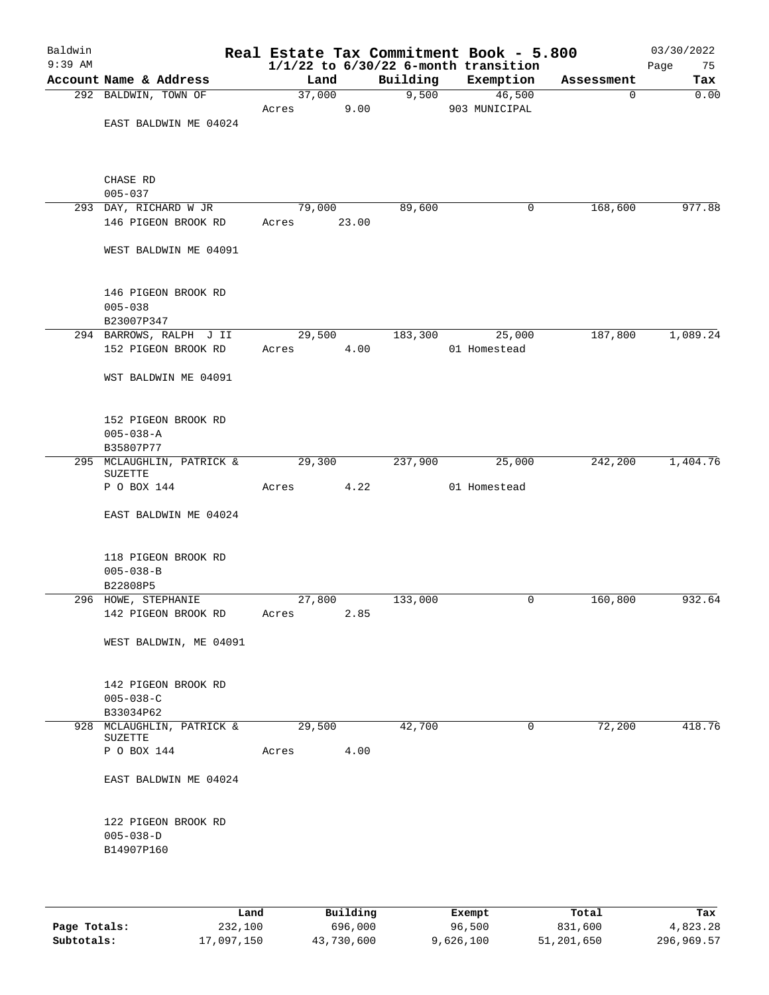| Baldwin<br>$9:39$ AM |                                             |       |        |          | Real Estate Tax Commitment Book - 5.800<br>$1/1/22$ to $6/30/22$ 6-month transition |            | 03/30/2022<br>Page<br>75 |
|----------------------|---------------------------------------------|-------|--------|----------|-------------------------------------------------------------------------------------|------------|--------------------------|
|                      | Account Name & Address                      |       | Land   | Building | Exemption                                                                           | Assessment | Tax                      |
|                      | 292 BALDWIN, TOWN OF                        |       | 37,000 |          | 9,500<br>46,500                                                                     | 0          | 0.00                     |
|                      |                                             | Acres | 9.00   |          | 903 MUNICIPAL                                                                       |            |                          |
|                      | EAST BALDWIN ME 04024                       |       |        |          |                                                                                     |            |                          |
|                      | CHASE RD                                    |       |        |          |                                                                                     |            |                          |
|                      | $005 - 037$                                 |       |        |          |                                                                                     |            |                          |
|                      | 293 DAY, RICHARD W JR                       |       | 79,000 | 89,600   | 0                                                                                   | 168,600    | 977.88                   |
|                      | 146 PIGEON BROOK RD                         | Acres | 23.00  |          |                                                                                     |            |                          |
|                      | WEST BALDWIN ME 04091                       |       |        |          |                                                                                     |            |                          |
|                      | 146 PIGEON BROOK RD<br>$005 - 038$          |       |        |          |                                                                                     |            |                          |
|                      | B23007P347                                  |       |        |          |                                                                                     |            |                          |
|                      | 294 BARROWS, RALPH J II                     |       | 29,500 | 183,300  | 25,000                                                                              | 187,800    | 1,089.24                 |
|                      | 152 PIGEON BROOK RD                         | Acres | 4.00   |          | 01 Homestead                                                                        |            |                          |
|                      |                                             |       |        |          |                                                                                     |            |                          |
|                      | WST BALDWIN ME 04091                        |       |        |          |                                                                                     |            |                          |
|                      | 152 PIGEON BROOK RD                         |       |        |          |                                                                                     |            |                          |
|                      | $005 - 038 - A$                             |       |        |          |                                                                                     |            |                          |
|                      | B35807P77                                   |       |        |          |                                                                                     |            |                          |
|                      | 295 MCLAUGHLIN, PATRICK &<br><b>SUZETTE</b> |       | 29,300 | 237,900  | 25,000                                                                              | 242,200    | 1,404.76                 |
|                      | P O BOX 144                                 | Acres | 4.22   |          | 01 Homestead                                                                        |            |                          |
|                      | EAST BALDWIN ME 04024                       |       |        |          |                                                                                     |            |                          |
|                      |                                             |       |        |          |                                                                                     |            |                          |
|                      | 118 PIGEON BROOK RD                         |       |        |          |                                                                                     |            |                          |
|                      | $005 - 038 - B$                             |       |        |          |                                                                                     |            |                          |
|                      | B22808P5                                    |       |        |          |                                                                                     |            |                          |
|                      | 296 HOWE, STEPHANIE                         |       | 27,800 | 133,000  | 0                                                                                   | 160,800    | 932.64                   |
|                      | 142 PIGEON BROOK RD                         | Acres | 2.85   |          |                                                                                     |            |                          |
|                      | WEST BALDWIN, ME 04091                      |       |        |          |                                                                                     |            |                          |
|                      | 142 PIGEON BROOK RD                         |       |        |          |                                                                                     |            |                          |
|                      | $005 - 038 - C$                             |       |        |          |                                                                                     |            |                          |
|                      | B33034P62                                   |       |        |          |                                                                                     |            |                          |
|                      | 928 MCLAUGHLIN, PATRICK &                   |       | 29,500 | 42,700   | 0                                                                                   | 72,200     | 418.76                   |
|                      | SUZETTE                                     |       |        |          |                                                                                     |            |                          |
|                      | P O BOX 144                                 | Acres | 4.00   |          |                                                                                     |            |                          |
|                      | EAST BALDWIN ME 04024                       |       |        |          |                                                                                     |            |                          |
|                      | 122 PIGEON BROOK RD                         |       |        |          |                                                                                     |            |                          |
|                      | $005 - 038 - D$                             |       |        |          |                                                                                     |            |                          |
|                      | B14907P160                                  |       |        |          |                                                                                     |            |                          |
|                      |                                             |       |        |          |                                                                                     |            |                          |
|                      |                                             |       |        |          |                                                                                     |            |                          |
|                      |                                             |       |        |          |                                                                                     |            |                          |

|              | Land       | Building   | Exempt    | Total      | Tax        |
|--------------|------------|------------|-----------|------------|------------|
| Page Totals: | 232,100    | 696,000    | 96,500    | 831,600    | 4,823.28   |
| Subtotals:   | 17,097,150 | 43,730,600 | 9,626,100 | 51,201,650 | 296,969.57 |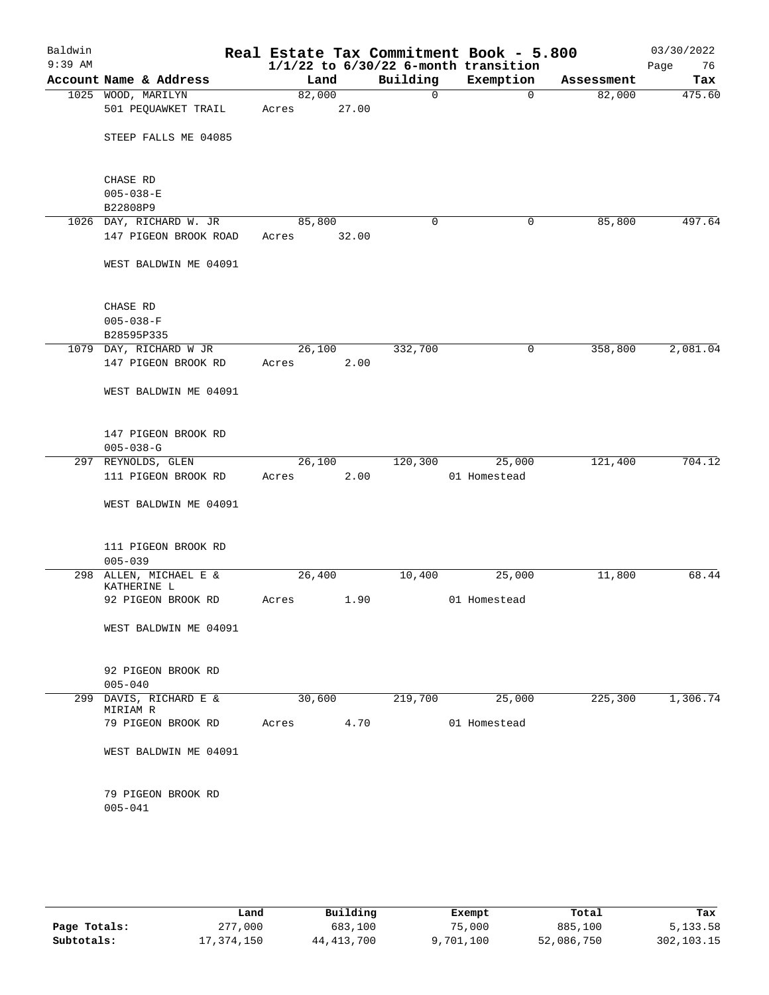| Baldwin<br>$9:39$ AM |                             |                                       |        |       |              | Real Estate Tax Commitment Book - 5.800<br>$1/1/22$ to $6/30/22$ 6-month transition |            | 03/30/2022<br>Page<br>76 |
|----------------------|-----------------------------|---------------------------------------|--------|-------|--------------|-------------------------------------------------------------------------------------|------------|--------------------------|
|                      |                             | Account Name & Address                | Land   |       | Building     | Exemption                                                                           | Assessment | Tax                      |
|                      |                             | 1025 WOOD, MARILYN                    | 82,000 |       | $\mathsf{O}$ | $\mathbf 0$                                                                         | 82,000     | 475.60                   |
|                      |                             | 501 PEQUAWKET TRAIL                   | Acres  | 27.00 |              |                                                                                     |            |                          |
|                      |                             |                                       |        |       |              |                                                                                     |            |                          |
|                      |                             | STEEP FALLS ME 04085                  |        |       |              |                                                                                     |            |                          |
|                      |                             |                                       |        |       |              |                                                                                     |            |                          |
|                      |                             |                                       |        |       |              |                                                                                     |            |                          |
|                      | CHASE RD                    |                                       |        |       |              |                                                                                     |            |                          |
|                      | $005 - 038 - E$<br>B22808P9 |                                       |        |       |              |                                                                                     |            |                          |
|                      |                             | 1026 DAY, RICHARD W. JR               | 85,800 |       | 0            | 0                                                                                   | 85,800     | 497.64                   |
|                      |                             | 147 PIGEON BROOK ROAD                 | Acres  | 32.00 |              |                                                                                     |            |                          |
|                      |                             |                                       |        |       |              |                                                                                     |            |                          |
|                      |                             | WEST BALDWIN ME 04091                 |        |       |              |                                                                                     |            |                          |
|                      |                             |                                       |        |       |              |                                                                                     |            |                          |
|                      |                             |                                       |        |       |              |                                                                                     |            |                          |
|                      | CHASE RD                    |                                       |        |       |              |                                                                                     |            |                          |
|                      | $005 - 038 - F$             |                                       |        |       |              |                                                                                     |            |                          |
|                      |                             | B28595P335                            |        |       |              |                                                                                     |            |                          |
|                      |                             | 1079 DAY, RICHARD W JR                | 26,100 |       | 332,700      | 0                                                                                   | 358,800    | 2,081.04                 |
|                      |                             | 147 PIGEON BROOK RD                   | Acres  | 2.00  |              |                                                                                     |            |                          |
|                      |                             |                                       |        |       |              |                                                                                     |            |                          |
|                      |                             | WEST BALDWIN ME 04091                 |        |       |              |                                                                                     |            |                          |
|                      |                             |                                       |        |       |              |                                                                                     |            |                          |
|                      |                             | 147 PIGEON BROOK RD                   |        |       |              |                                                                                     |            |                          |
|                      | $005 - 038 - G$             |                                       |        |       |              |                                                                                     |            |                          |
|                      |                             | 297 REYNOLDS, GLEN                    | 26,100 |       | 120,300      | 25,000                                                                              | 121,400    | 704.12                   |
|                      |                             | 111 PIGEON BROOK RD                   | Acres  | 2.00  |              | 01 Homestead                                                                        |            |                          |
|                      |                             |                                       |        |       |              |                                                                                     |            |                          |
|                      |                             | WEST BALDWIN ME 04091                 |        |       |              |                                                                                     |            |                          |
|                      |                             |                                       |        |       |              |                                                                                     |            |                          |
|                      |                             |                                       |        |       |              |                                                                                     |            |                          |
|                      |                             | 111 PIGEON BROOK RD                   |        |       |              |                                                                                     |            |                          |
|                      | $005 - 039$                 |                                       |        |       |              |                                                                                     |            |                          |
|                      |                             | 298 ALLEN, MICHAEL E &<br>KATHERINE L | 26,400 |       | 10,400       | 25,000                                                                              | 11,800     | 68.44                    |
|                      |                             | 92 PIGEON BROOK RD                    | Acres  | 1.90  |              | 01 Homestead                                                                        |            |                          |
|                      |                             |                                       |        |       |              |                                                                                     |            |                          |
|                      |                             | WEST BALDWIN ME 04091                 |        |       |              |                                                                                     |            |                          |
|                      |                             |                                       |        |       |              |                                                                                     |            |                          |
|                      |                             |                                       |        |       |              |                                                                                     |            |                          |
|                      |                             | 92 PIGEON BROOK RD                    |        |       |              |                                                                                     |            |                          |
|                      | $005 - 040$                 |                                       |        |       |              |                                                                                     |            |                          |
|                      |                             | 299 DAVIS, RICHARD E &                | 30,600 |       | 219,700      | 25,000                                                                              | 225,300    | 1,306.74                 |
|                      | MIRIAM R                    | 79 PIGEON BROOK RD                    | Acres  | 4.70  |              | 01 Homestead                                                                        |            |                          |
|                      |                             |                                       |        |       |              |                                                                                     |            |                          |
|                      |                             | WEST BALDWIN ME 04091                 |        |       |              |                                                                                     |            |                          |
|                      |                             |                                       |        |       |              |                                                                                     |            |                          |
|                      |                             |                                       |        |       |              |                                                                                     |            |                          |
|                      |                             | 79 PIGEON BROOK RD                    |        |       |              |                                                                                     |            |                          |
|                      | $005 - 041$                 |                                       |        |       |              |                                                                                     |            |                          |
|                      |                             |                                       |        |       |              |                                                                                     |            |                          |
|                      |                             |                                       |        |       |              |                                                                                     |            |                          |
|                      |                             |                                       |        |       |              |                                                                                     |            |                          |

|              | Land       | Building     | Exempt    | Total      | Tax        |
|--------------|------------|--------------|-----------|------------|------------|
| Page Totals: | 277,000    | 683,100      | 75,000    | 885,100    | 5,133.58   |
| Subtotals:   | 17,374,150 | 44, 413, 700 | 9,701,100 | 52,086,750 | 302,103.15 |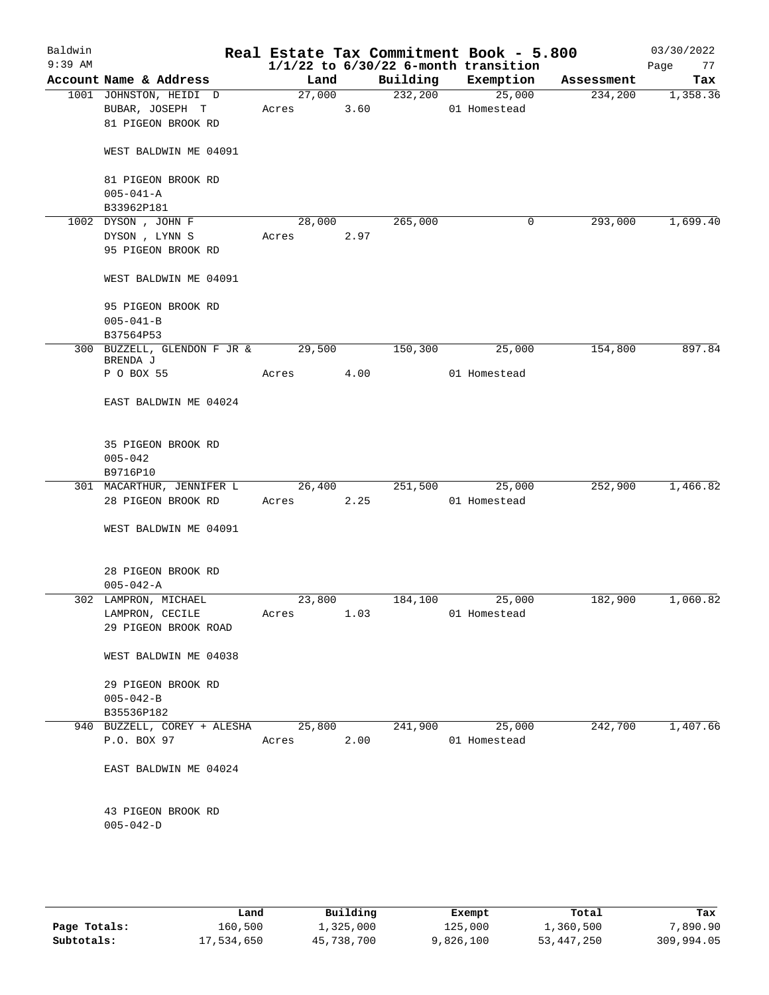| Baldwin<br>$9:39$ AM |                                         |        |      |          | Real Estate Tax Commitment Book - 5.800<br>$1/1/22$ to $6/30/22$ 6-month transition |            | 03/30/2022<br>Page<br>77 |
|----------------------|-----------------------------------------|--------|------|----------|-------------------------------------------------------------------------------------|------------|--------------------------|
|                      | Account Name & Address                  | Land   |      | Building | Exemption                                                                           | Assessment | Tax                      |
|                      | 1001 JOHNSTON, HEIDI D                  | 27,000 |      | 232,200  | 25,000                                                                              | 234,200    | 1,358.36                 |
|                      | BUBAR, JOSEPH T                         | Acres  | 3.60 |          | 01 Homestead                                                                        |            |                          |
|                      | 81 PIGEON BROOK RD                      |        |      |          |                                                                                     |            |                          |
|                      | WEST BALDWIN ME 04091                   |        |      |          |                                                                                     |            |                          |
|                      | 81 PIGEON BROOK RD                      |        |      |          |                                                                                     |            |                          |
|                      | $005 - 041 - A$                         |        |      |          |                                                                                     |            |                          |
|                      | B33962P181                              |        |      |          |                                                                                     |            |                          |
|                      | 1002 DYSON, JOHN F                      | 28,000 |      | 265,000  | 0                                                                                   | 293,000    | 1,699.40                 |
|                      | DYSON, LYNN S                           | Acres  | 2.97 |          |                                                                                     |            |                          |
|                      | 95 PIGEON BROOK RD                      |        |      |          |                                                                                     |            |                          |
|                      | WEST BALDWIN ME 04091                   |        |      |          |                                                                                     |            |                          |
|                      | 95 PIGEON BROOK RD                      |        |      |          |                                                                                     |            |                          |
|                      | $005 - 041 - B$                         |        |      |          |                                                                                     |            |                          |
|                      | B37564P53                               |        |      |          |                                                                                     |            |                          |
|                      | 300 BUZZELL, GLENDON F JR &<br>BRENDA J | 29,500 |      | 150, 300 | 25,000                                                                              | 154,800    | 897.84                   |
|                      | P O BOX 55                              | Acres  | 4.00 |          | 01 Homestead                                                                        |            |                          |
|                      | EAST BALDWIN ME 04024                   |        |      |          |                                                                                     |            |                          |
|                      | 35 PIGEON BROOK RD                      |        |      |          |                                                                                     |            |                          |
|                      | $005 - 042$                             |        |      |          |                                                                                     |            |                          |
|                      | B9716P10                                |        |      |          |                                                                                     |            |                          |
|                      | 301 MACARTHUR, JENNIFER L               | 26,400 |      | 251,500  | 25,000                                                                              | 252,900    | 1,466.82                 |
|                      | 28 PIGEON BROOK RD                      | Acres  | 2.25 |          | 01 Homestead                                                                        |            |                          |
|                      | WEST BALDWIN ME 04091                   |        |      |          |                                                                                     |            |                          |
|                      | 28 PIGEON BROOK RD                      |        |      |          |                                                                                     |            |                          |
|                      | $005 - 042 - A$                         |        |      |          |                                                                                     |            |                          |
|                      | 302 LAMPRON, MICHAEL                    | 23,800 |      | 184,100  | 25,000                                                                              | 182,900    | 1,060.82                 |
|                      | LAMPRON, CECILE                         | Acres  | 1.03 |          | 01 Homestead                                                                        |            |                          |
|                      | 29 PIGEON BROOK ROAD                    |        |      |          |                                                                                     |            |                          |
|                      | WEST BALDWIN ME 04038                   |        |      |          |                                                                                     |            |                          |
|                      | 29 PIGEON BROOK RD                      |        |      |          |                                                                                     |            |                          |
|                      | $005 - 042 - B$                         |        |      |          |                                                                                     |            |                          |
|                      | B35536P182                              |        |      |          |                                                                                     |            |                          |
|                      | 940 BUZZELL, COREY + ALESHA             | 25,800 |      | 241,900  | 25,000                                                                              | 242,700    | 1,407.66                 |
|                      | P.O. BOX 97                             | Acres  | 2.00 |          | 01 Homestead                                                                        |            |                          |
|                      | EAST BALDWIN ME 04024                   |        |      |          |                                                                                     |            |                          |
|                      | 43 PIGEON BROOK RD<br>$005 - 042 - D$   |        |      |          |                                                                                     |            |                          |
|                      |                                         |        |      |          |                                                                                     |            |                          |

|              | Land       | Building   | Exempt    | Total      | Tax        |
|--------------|------------|------------|-----------|------------|------------|
| Page Totals: | 160,500    | 1,325,000  | 125,000   | 1,360,500  | 7,890.90   |
| Subtotals:   | 17,534,650 | 45,738,700 | 9,826,100 | 53,447,250 | 309,994.05 |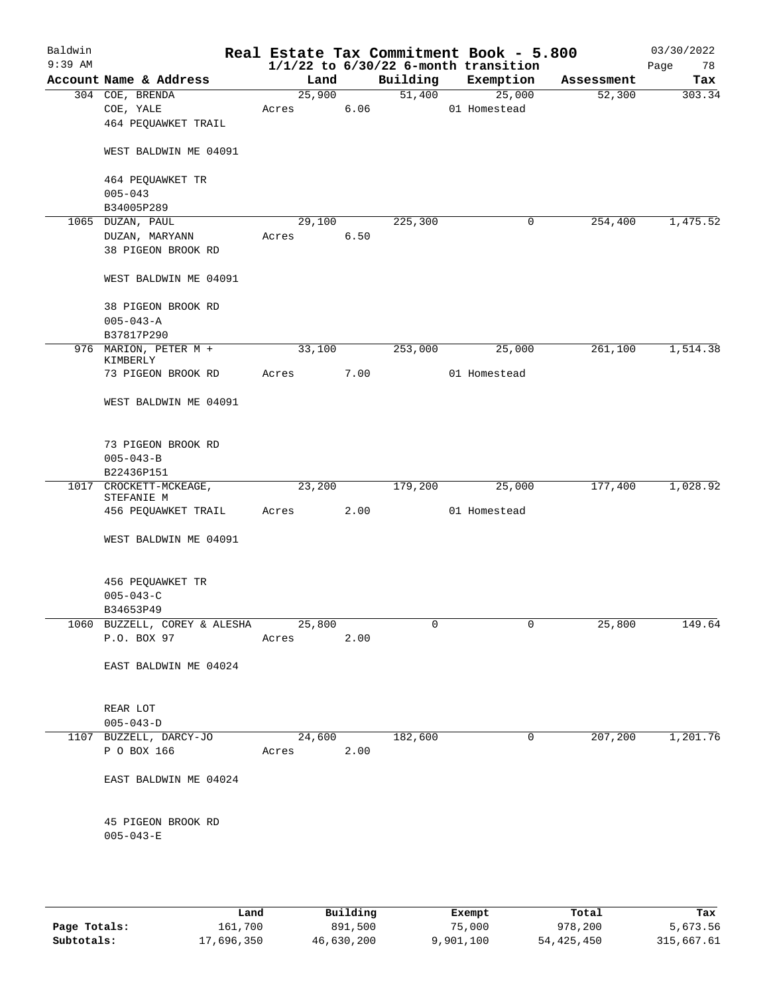| Baldwin<br>$9:39$ AM |                                       |            |      |          | Real Estate Tax Commitment Book - 5.800<br>$1/1/22$ to $6/30/22$ 6-month transition |            | 03/30/2022<br>Page<br>78 |
|----------------------|---------------------------------------|------------|------|----------|-------------------------------------------------------------------------------------|------------|--------------------------|
|                      | Account Name & Address                | Land       |      | Building | Exemption                                                                           | Assessment | Tax                      |
|                      | 304 COE, BRENDA                       | 25,900     |      | 51,400   | 25,000                                                                              | 52,300     | 303.34                   |
|                      | COE, YALE                             | Acres      | 6.06 |          | 01 Homestead                                                                        |            |                          |
|                      | 464 PEQUAWKET TRAIL                   |            |      |          |                                                                                     |            |                          |
|                      | WEST BALDWIN ME 04091                 |            |      |          |                                                                                     |            |                          |
|                      | 464 PEQUAWKET TR                      |            |      |          |                                                                                     |            |                          |
|                      | $005 - 043$<br>B34005P289             |            |      |          |                                                                                     |            |                          |
|                      | 1065 DUZAN, PAUL                      | 29,100     |      | 225,300  | 0                                                                                   | 254,400    | 1,475.52                 |
|                      | DUZAN, MARYANN                        | Acres      | 6.50 |          |                                                                                     |            |                          |
|                      | 38 PIGEON BROOK RD                    |            |      |          |                                                                                     |            |                          |
|                      | WEST BALDWIN ME 04091                 |            |      |          |                                                                                     |            |                          |
|                      | 38 PIGEON BROOK RD                    |            |      |          |                                                                                     |            |                          |
|                      | $005 - 043 - A$                       |            |      |          |                                                                                     |            |                          |
|                      | B37817P290                            |            |      |          |                                                                                     |            |                          |
|                      | 976 MARION, PETER M +                 | 33,100     |      | 253,000  | 25,000                                                                              | 261,100    | 1,514.38                 |
|                      | KIMBERLY<br>73 PIGEON BROOK RD        | Acres      | 7.00 |          | 01 Homestead                                                                        |            |                          |
|                      |                                       |            |      |          |                                                                                     |            |                          |
|                      | WEST BALDWIN ME 04091                 |            |      |          |                                                                                     |            |                          |
|                      | 73 PIGEON BROOK RD                    |            |      |          |                                                                                     |            |                          |
|                      | $005 - 043 - B$                       |            |      |          |                                                                                     |            |                          |
|                      | B22436P151                            |            |      |          |                                                                                     |            |                          |
| 1017                 | CROCKETT-MCKEAGE,<br>STEFANIE M       | 23,200     |      | 179,200  | 25,000                                                                              | 177,400    | 1,028.92                 |
|                      | 456 PEQUAWKET TRAIL                   | Acres      | 2.00 |          | 01 Homestead                                                                        |            |                          |
|                      | WEST BALDWIN ME 04091                 |            |      |          |                                                                                     |            |                          |
|                      | 456 PEQUAWKET TR                      |            |      |          |                                                                                     |            |                          |
|                      | $005 - 043 - C$                       |            |      |          |                                                                                     |            |                          |
|                      | B34653P49                             |            |      |          |                                                                                     |            |                          |
|                      | 1060 BUZZELL, COREY & ALESHA 25,800   |            |      | 0        | $\mathbf 0$                                                                         | 25,800     | 149.64                   |
|                      | P.O. BOX 97                           | Acres 2.00 |      |          |                                                                                     |            |                          |
|                      | EAST BALDWIN ME 04024                 |            |      |          |                                                                                     |            |                          |
|                      | REAR LOT                              |            |      |          |                                                                                     |            |                          |
|                      | $005 - 043 - D$                       |            |      |          |                                                                                     |            |                          |
|                      | 1107 BUZZELL, DARCY-JO                | 24,600     |      | 182,600  | 0                                                                                   |            | 207,200 1,201.76         |
|                      | P O BOX 166                           | Acres 2.00 |      |          |                                                                                     |            |                          |
|                      | EAST BALDWIN ME 04024                 |            |      |          |                                                                                     |            |                          |
|                      |                                       |            |      |          |                                                                                     |            |                          |
|                      | 45 PIGEON BROOK RD<br>$005 - 043 - E$ |            |      |          |                                                                                     |            |                          |
|                      |                                       |            |      |          |                                                                                     |            |                          |
|                      |                                       |            |      |          |                                                                                     |            |                          |

|              | Land       | Building   | Exempt    | Total      | Tax        |
|--------------|------------|------------|-----------|------------|------------|
| Page Totals: | 161,700    | 891,500    | 75,000    | 978,200    | 5,673.56   |
| Subtotals:   | 17,696,350 | 46,630,200 | 9,901,100 | 54,425,450 | 315,667.61 |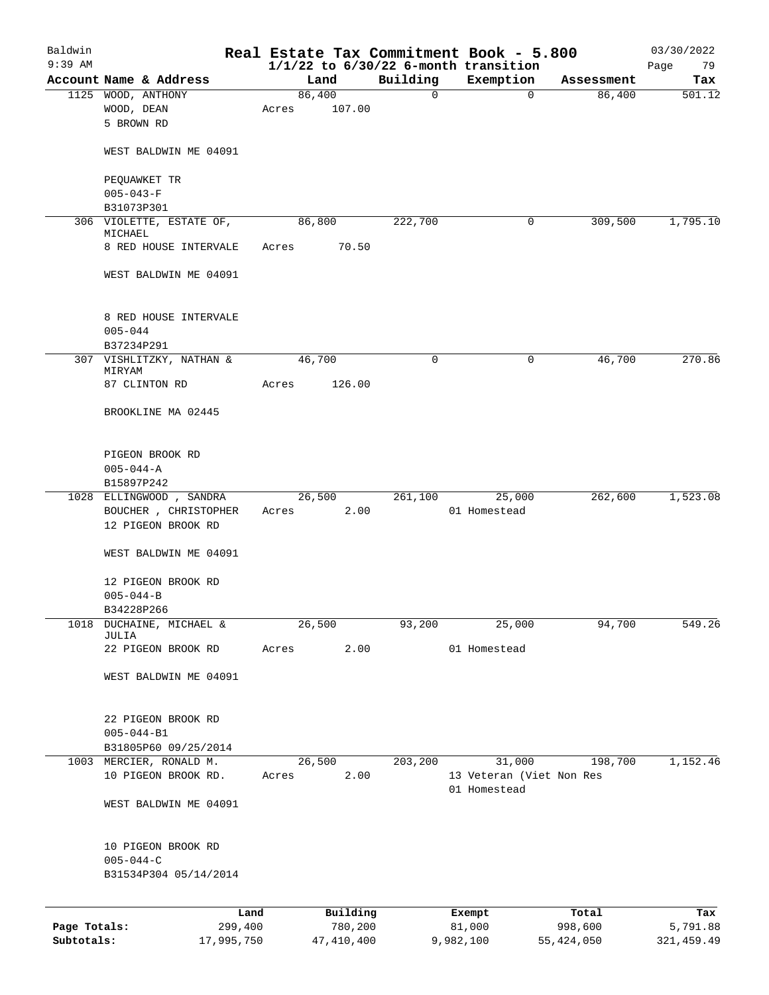| Baldwin<br>$9:39$ AM |                                  |            |        |              |          | Real Estate Tax Commitment Book - 5.800<br>$1/1/22$ to $6/30/22$ 6-month transition |              | 03/30/2022<br>Page<br>79 |
|----------------------|----------------------------------|------------|--------|--------------|----------|-------------------------------------------------------------------------------------|--------------|--------------------------|
|                      | Account Name & Address           |            |        | Land         | Building | Exemption                                                                           | Assessment   | Tax                      |
|                      | 1125 WOOD, ANTHONY               |            | 86,400 |              | 0        | 0                                                                                   | 86,400       | 501.12                   |
|                      | WOOD, DEAN                       |            | Acres  | 107.00       |          |                                                                                     |              |                          |
|                      | 5 BROWN RD                       |            |        |              |          |                                                                                     |              |                          |
|                      |                                  |            |        |              |          |                                                                                     |              |                          |
|                      | WEST BALDWIN ME 04091            |            |        |              |          |                                                                                     |              |                          |
|                      | PEQUAWKET TR                     |            |        |              |          |                                                                                     |              |                          |
|                      | $005 - 043 - F$                  |            |        |              |          |                                                                                     |              |                          |
|                      | B31073P301                       |            |        |              |          |                                                                                     |              |                          |
|                      | 306 VIOLETTE, ESTATE OF,         |            | 86,800 |              | 222,700  | 0                                                                                   | 309,500      | 1,795.10                 |
|                      | MICHAEL<br>8 RED HOUSE INTERVALE |            | Acres  | 70.50        |          |                                                                                     |              |                          |
|                      |                                  |            |        |              |          |                                                                                     |              |                          |
|                      | WEST BALDWIN ME 04091            |            |        |              |          |                                                                                     |              |                          |
|                      | 8 RED HOUSE INTERVALE            |            |        |              |          |                                                                                     |              |                          |
|                      | $005 - 044$                      |            |        |              |          |                                                                                     |              |                          |
|                      | B37234P291                       |            |        |              |          |                                                                                     |              |                          |
|                      | 307 VISHLITZKY, NATHAN &         |            | 46,700 |              | 0        | 0                                                                                   | 46,700       | 270.86                   |
|                      | MIRYAM                           |            |        |              |          |                                                                                     |              |                          |
|                      | 87 CLINTON RD                    |            | Acres  | 126.00       |          |                                                                                     |              |                          |
|                      | BROOKLINE MA 02445               |            |        |              |          |                                                                                     |              |                          |
|                      | PIGEON BROOK RD                  |            |        |              |          |                                                                                     |              |                          |
|                      | $005 - 044 - A$                  |            |        |              |          |                                                                                     |              |                          |
|                      | B15897P242                       |            |        |              |          |                                                                                     |              |                          |
|                      | 1028 ELLINGWOOD , SANDRA         |            | 26,500 |              | 261,100  | 25,000                                                                              | 262,600      | 1,523.08                 |
|                      | BOUCHER , CHRISTOPHER            |            | Acres  | 2.00         |          | 01 Homestead                                                                        |              |                          |
|                      | 12 PIGEON BROOK RD               |            |        |              |          |                                                                                     |              |                          |
|                      | WEST BALDWIN ME 04091            |            |        |              |          |                                                                                     |              |                          |
|                      | 12 PIGEON BROOK RD               |            |        |              |          |                                                                                     |              |                          |
|                      | $005 - 044 - B$                  |            |        |              |          |                                                                                     |              |                          |
|                      | B34228P266                       |            |        |              |          |                                                                                     |              |                          |
| 1018                 | DUCHAINE, MICHAEL &              |            | 26,500 |              | 93,200   | 25,000                                                                              | 94,700       | 549.26                   |
|                      | JULIA                            |            |        |              |          |                                                                                     |              |                          |
|                      | 22 PIGEON BROOK RD               |            | Acres  | 2.00         |          | 01 Homestead                                                                        |              |                          |
|                      | WEST BALDWIN ME 04091            |            |        |              |          |                                                                                     |              |                          |
|                      | 22 PIGEON BROOK RD               |            |        |              |          |                                                                                     |              |                          |
|                      | $005 - 044 - B1$                 |            |        |              |          |                                                                                     |              |                          |
|                      | B31805P60 09/25/2014             |            |        |              |          |                                                                                     |              |                          |
|                      | 1003 MERCIER, RONALD M.          |            | 26,500 |              | 203,200  | 31,000                                                                              | 198,700      | 1,152.46                 |
|                      | 10 PIGEON BROOK RD.              |            | Acres  | 2.00         |          | 13 Veteran (Viet Non Res                                                            |              |                          |
|                      |                                  |            |        |              |          | 01 Homestead                                                                        |              |                          |
|                      | WEST BALDWIN ME 04091            |            |        |              |          |                                                                                     |              |                          |
|                      | 10 PIGEON BROOK RD               |            |        |              |          |                                                                                     |              |                          |
|                      | $005 - 044 - C$                  |            |        |              |          |                                                                                     |              |                          |
|                      | B31534P304 05/14/2014            |            |        |              |          |                                                                                     |              |                          |
|                      |                                  |            |        |              |          |                                                                                     |              |                          |
|                      |                                  | Land       |        | Building     |          | Exempt                                                                              | Total        | Tax                      |
| Page Totals:         |                                  | 299,400    |        | 780,200      |          | 81,000                                                                              | 998,600      | 5,791.88                 |
| Subtotals:           |                                  | 17,995,750 |        | 47, 410, 400 |          | 9,982,100                                                                           | 55, 424, 050 | 321, 459.49              |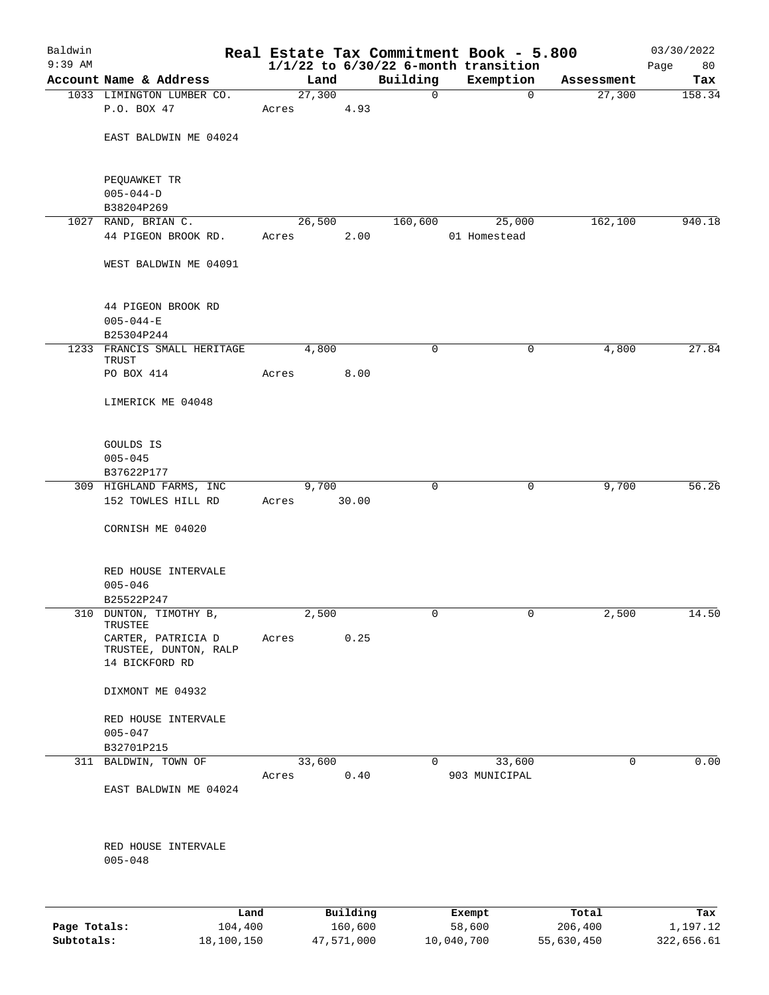| $1/1/22$ to $6/30/22$ 6-month transition<br>Account Name & Address<br>Building<br>Exemption<br>Land<br>Tax<br>Assessment<br>27,300<br>1033 LIMINGTON LUMBER CO.<br>27,300<br>158.34<br>$\mathbf 0$<br>$\mathbf 0$<br>P.O. BOX 47<br>4.93<br>Acres<br>EAST BALDWIN ME 04024<br>PEQUAWKET TR<br>$005 - 044 - D$<br>B38204P269<br>1027 RAND, BRIAN C.<br>26,500<br>160,600<br>162,100<br>25,000<br>44 PIGEON BROOK RD.<br>2.00<br>01 Homestead<br>Acres<br>WEST BALDWIN ME 04091<br>44 PIGEON BROOK RD<br>$005 - 044 - E$<br>B25304P244<br>1233 FRANCIS SMALL HERITAGE<br>4,800<br>$\mathbf 0$<br>4,800<br>0<br>TRUST<br>8.00<br>PO BOX 414<br>Acres<br>LIMERICK ME 04048<br>GOULDS IS<br>$005 - 045$<br>B37622P177<br>56.26<br>309 HIGHLAND FARMS, INC<br>9,700<br>9,700<br>0<br>0<br>152 TOWLES HILL RD<br>Acres<br>30.00<br>CORNISH ME 04020<br>RED HOUSE INTERVALE<br>$005 - 046$<br>B25522P247<br>310 DUNTON, TIMOTHY B,<br>2,500<br>0<br>0<br>2,500<br>TRUSTEE<br>0.25<br>CARTER, PATRICIA D<br>Acres<br>TRUSTEE, DUNTON, RALP<br>14 BICKFORD RD<br>DIXMONT ME 04932<br>RED HOUSE INTERVALE<br>$005 - 047$<br>B32701P215<br>311 BALDWIN, TOWN OF<br>33,600<br>33,600<br>0<br>0<br>0.40<br>Acres<br>903 MUNICIPAL<br>EAST BALDWIN ME 04024<br>RED HOUSE INTERVALE<br>$005 - 048$<br>Building<br>Total<br>Land<br>Exempt<br>Page Totals:<br>104,400<br>160,600<br>58,600<br>206,400 | Baldwin   |  |  | Real Estate Tax Commitment Book - 5.800 | 03/30/2022      |
|--------------------------------------------------------------------------------------------------------------------------------------------------------------------------------------------------------------------------------------------------------------------------------------------------------------------------------------------------------------------------------------------------------------------------------------------------------------------------------------------------------------------------------------------------------------------------------------------------------------------------------------------------------------------------------------------------------------------------------------------------------------------------------------------------------------------------------------------------------------------------------------------------------------------------------------------------------------------------------------------------------------------------------------------------------------------------------------------------------------------------------------------------------------------------------------------------------------------------------------------------------------------------------------------------------------------------------------------------------------------------------------|-----------|--|--|-----------------------------------------|-----------------|
|                                                                                                                                                                                                                                                                                                                                                                                                                                                                                                                                                                                                                                                                                                                                                                                                                                                                                                                                                                                                                                                                                                                                                                                                                                                                                                                                                                                      | $9:39$ AM |  |  |                                         | Page<br>80      |
|                                                                                                                                                                                                                                                                                                                                                                                                                                                                                                                                                                                                                                                                                                                                                                                                                                                                                                                                                                                                                                                                                                                                                                                                                                                                                                                                                                                      |           |  |  |                                         |                 |
|                                                                                                                                                                                                                                                                                                                                                                                                                                                                                                                                                                                                                                                                                                                                                                                                                                                                                                                                                                                                                                                                                                                                                                                                                                                                                                                                                                                      |           |  |  |                                         |                 |
|                                                                                                                                                                                                                                                                                                                                                                                                                                                                                                                                                                                                                                                                                                                                                                                                                                                                                                                                                                                                                                                                                                                                                                                                                                                                                                                                                                                      |           |  |  |                                         |                 |
|                                                                                                                                                                                                                                                                                                                                                                                                                                                                                                                                                                                                                                                                                                                                                                                                                                                                                                                                                                                                                                                                                                                                                                                                                                                                                                                                                                                      |           |  |  |                                         |                 |
|                                                                                                                                                                                                                                                                                                                                                                                                                                                                                                                                                                                                                                                                                                                                                                                                                                                                                                                                                                                                                                                                                                                                                                                                                                                                                                                                                                                      |           |  |  |                                         |                 |
|                                                                                                                                                                                                                                                                                                                                                                                                                                                                                                                                                                                                                                                                                                                                                                                                                                                                                                                                                                                                                                                                                                                                                                                                                                                                                                                                                                                      |           |  |  |                                         | 940.18          |
|                                                                                                                                                                                                                                                                                                                                                                                                                                                                                                                                                                                                                                                                                                                                                                                                                                                                                                                                                                                                                                                                                                                                                                                                                                                                                                                                                                                      |           |  |  |                                         |                 |
|                                                                                                                                                                                                                                                                                                                                                                                                                                                                                                                                                                                                                                                                                                                                                                                                                                                                                                                                                                                                                                                                                                                                                                                                                                                                                                                                                                                      |           |  |  |                                         |                 |
|                                                                                                                                                                                                                                                                                                                                                                                                                                                                                                                                                                                                                                                                                                                                                                                                                                                                                                                                                                                                                                                                                                                                                                                                                                                                                                                                                                                      |           |  |  |                                         |                 |
|                                                                                                                                                                                                                                                                                                                                                                                                                                                                                                                                                                                                                                                                                                                                                                                                                                                                                                                                                                                                                                                                                                                                                                                                                                                                                                                                                                                      |           |  |  |                                         |                 |
|                                                                                                                                                                                                                                                                                                                                                                                                                                                                                                                                                                                                                                                                                                                                                                                                                                                                                                                                                                                                                                                                                                                                                                                                                                                                                                                                                                                      |           |  |  |                                         | 27.84           |
|                                                                                                                                                                                                                                                                                                                                                                                                                                                                                                                                                                                                                                                                                                                                                                                                                                                                                                                                                                                                                                                                                                                                                                                                                                                                                                                                                                                      |           |  |  |                                         |                 |
|                                                                                                                                                                                                                                                                                                                                                                                                                                                                                                                                                                                                                                                                                                                                                                                                                                                                                                                                                                                                                                                                                                                                                                                                                                                                                                                                                                                      |           |  |  |                                         |                 |
|                                                                                                                                                                                                                                                                                                                                                                                                                                                                                                                                                                                                                                                                                                                                                                                                                                                                                                                                                                                                                                                                                                                                                                                                                                                                                                                                                                                      |           |  |  |                                         |                 |
|                                                                                                                                                                                                                                                                                                                                                                                                                                                                                                                                                                                                                                                                                                                                                                                                                                                                                                                                                                                                                                                                                                                                                                                                                                                                                                                                                                                      |           |  |  |                                         |                 |
|                                                                                                                                                                                                                                                                                                                                                                                                                                                                                                                                                                                                                                                                                                                                                                                                                                                                                                                                                                                                                                                                                                                                                                                                                                                                                                                                                                                      |           |  |  |                                         |                 |
|                                                                                                                                                                                                                                                                                                                                                                                                                                                                                                                                                                                                                                                                                                                                                                                                                                                                                                                                                                                                                                                                                                                                                                                                                                                                                                                                                                                      |           |  |  |                                         |                 |
|                                                                                                                                                                                                                                                                                                                                                                                                                                                                                                                                                                                                                                                                                                                                                                                                                                                                                                                                                                                                                                                                                                                                                                                                                                                                                                                                                                                      |           |  |  |                                         |                 |
|                                                                                                                                                                                                                                                                                                                                                                                                                                                                                                                                                                                                                                                                                                                                                                                                                                                                                                                                                                                                                                                                                                                                                                                                                                                                                                                                                                                      |           |  |  |                                         |                 |
|                                                                                                                                                                                                                                                                                                                                                                                                                                                                                                                                                                                                                                                                                                                                                                                                                                                                                                                                                                                                                                                                                                                                                                                                                                                                                                                                                                                      |           |  |  |                                         |                 |
|                                                                                                                                                                                                                                                                                                                                                                                                                                                                                                                                                                                                                                                                                                                                                                                                                                                                                                                                                                                                                                                                                                                                                                                                                                                                                                                                                                                      |           |  |  |                                         |                 |
|                                                                                                                                                                                                                                                                                                                                                                                                                                                                                                                                                                                                                                                                                                                                                                                                                                                                                                                                                                                                                                                                                                                                                                                                                                                                                                                                                                                      |           |  |  |                                         | 14.50           |
|                                                                                                                                                                                                                                                                                                                                                                                                                                                                                                                                                                                                                                                                                                                                                                                                                                                                                                                                                                                                                                                                                                                                                                                                                                                                                                                                                                                      |           |  |  |                                         |                 |
|                                                                                                                                                                                                                                                                                                                                                                                                                                                                                                                                                                                                                                                                                                                                                                                                                                                                                                                                                                                                                                                                                                                                                                                                                                                                                                                                                                                      |           |  |  |                                         |                 |
|                                                                                                                                                                                                                                                                                                                                                                                                                                                                                                                                                                                                                                                                                                                                                                                                                                                                                                                                                                                                                                                                                                                                                                                                                                                                                                                                                                                      |           |  |  |                                         |                 |
|                                                                                                                                                                                                                                                                                                                                                                                                                                                                                                                                                                                                                                                                                                                                                                                                                                                                                                                                                                                                                                                                                                                                                                                                                                                                                                                                                                                      |           |  |  |                                         |                 |
|                                                                                                                                                                                                                                                                                                                                                                                                                                                                                                                                                                                                                                                                                                                                                                                                                                                                                                                                                                                                                                                                                                                                                                                                                                                                                                                                                                                      |           |  |  |                                         | 0.00            |
|                                                                                                                                                                                                                                                                                                                                                                                                                                                                                                                                                                                                                                                                                                                                                                                                                                                                                                                                                                                                                                                                                                                                                                                                                                                                                                                                                                                      |           |  |  |                                         |                 |
|                                                                                                                                                                                                                                                                                                                                                                                                                                                                                                                                                                                                                                                                                                                                                                                                                                                                                                                                                                                                                                                                                                                                                                                                                                                                                                                                                                                      |           |  |  |                                         |                 |
|                                                                                                                                                                                                                                                                                                                                                                                                                                                                                                                                                                                                                                                                                                                                                                                                                                                                                                                                                                                                                                                                                                                                                                                                                                                                                                                                                                                      |           |  |  |                                         |                 |
|                                                                                                                                                                                                                                                                                                                                                                                                                                                                                                                                                                                                                                                                                                                                                                                                                                                                                                                                                                                                                                                                                                                                                                                                                                                                                                                                                                                      |           |  |  |                                         |                 |
|                                                                                                                                                                                                                                                                                                                                                                                                                                                                                                                                                                                                                                                                                                                                                                                                                                                                                                                                                                                                                                                                                                                                                                                                                                                                                                                                                                                      |           |  |  |                                         | Tax<br>1,197.12 |

**Subtotals:** 18,100,150 47,571,000 10,040,700 55,630,450 322,656.61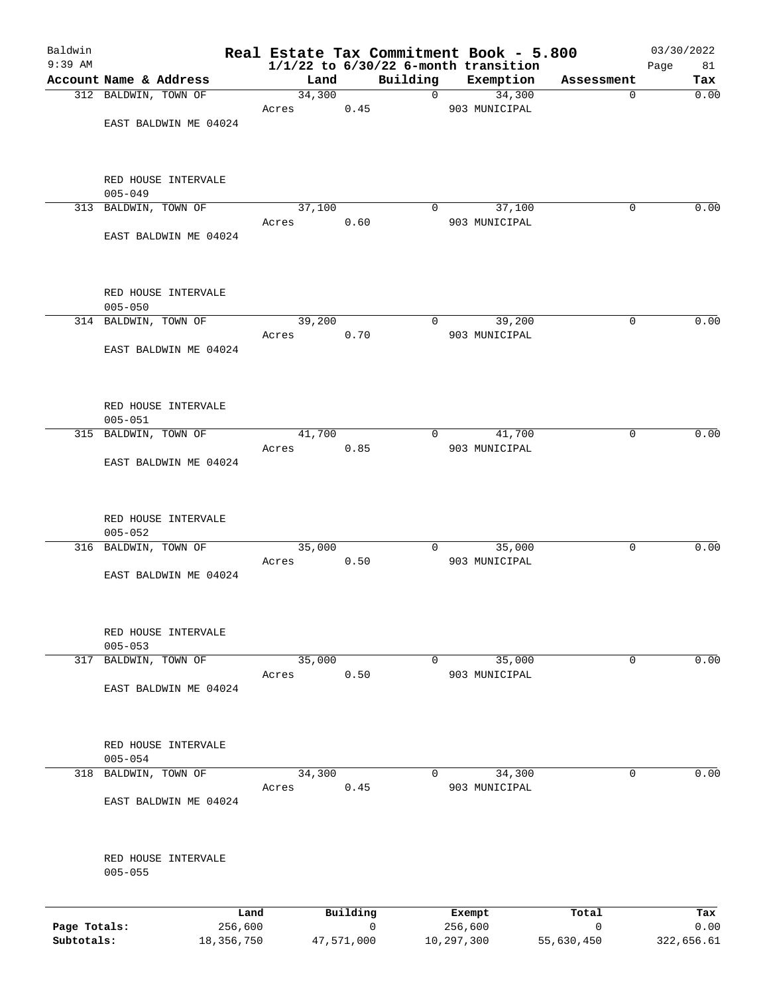| Baldwin      |                                     |        |            |                | Real Estate Tax Commitment Book - 5.800               |              | 03/30/2022        |
|--------------|-------------------------------------|--------|------------|----------------|-------------------------------------------------------|--------------|-------------------|
| $9:39$ AM    | Account Name & Address              | Land   |            | Building       | $1/1/22$ to $6/30/22$ 6-month transition<br>Exemption | Assessment   | Page<br>81<br>Tax |
|              | 312 BALDWIN, TOWN OF                | 34,300 |            | $\overline{0}$ | 34,300                                                |              | 0.00<br>0         |
|              |                                     | Acres  | 0.45       |                | 903 MUNICIPAL                                         |              |                   |
|              | EAST BALDWIN ME 04024               |        |            |                |                                                       |              |                   |
|              | RED HOUSE INTERVALE                 |        |            |                |                                                       |              |                   |
|              | $005 - 049$<br>313 BALDWIN, TOWN OF | 37,100 |            | 0              | 37,100                                                |              | 0.00<br>0         |
|              |                                     | Acres  | 0.60       |                | 903 MUNICIPAL                                         |              |                   |
|              | EAST BALDWIN ME 04024               |        |            |                |                                                       |              |                   |
|              | RED HOUSE INTERVALE                 |        |            |                |                                                       |              |                   |
|              | $005 - 050$<br>314 BALDWIN, TOWN OF | 39,200 |            | 0              | 39,200                                                |              | 0.00<br>0         |
|              |                                     | Acres  | 0.70       |                | 903 MUNICIPAL                                         |              |                   |
|              | EAST BALDWIN ME 04024               |        |            |                |                                                       |              |                   |
|              | RED HOUSE INTERVALE                 |        |            |                |                                                       |              |                   |
|              | $005 - 051$                         |        |            |                |                                                       |              |                   |
|              | 315 BALDWIN, TOWN OF                | 41,700 |            | 0              | 41,700                                                |              | 0.00<br>0         |
|              | EAST BALDWIN ME 04024               | Acres  | 0.85       |                | 903 MUNICIPAL                                         |              |                   |
|              | RED HOUSE INTERVALE<br>$005 - 052$  |        |            |                |                                                       |              |                   |
|              | 316 BALDWIN, TOWN OF                | 35,000 |            | 0              | 35,000                                                |              | 0.00<br>0         |
|              | EAST BALDWIN ME 04024               | Acres  | 0.50       |                | 903 MUNICIPAL                                         |              |                   |
|              | RED HOUSE INTERVALE                 |        |            |                |                                                       |              |                   |
|              | $005 - 053$                         |        |            |                |                                                       |              |                   |
| 317          | BALDWIN, TOWN OF                    | 35,000 |            | 0              | 35,000                                                |              | 0.00<br>0         |
|              | EAST BALDWIN ME 04024               | Acres  | 0.50       |                | 903 MUNICIPAL                                         |              |                   |
|              | RED HOUSE INTERVALE                 |        |            |                |                                                       |              |                   |
|              | $005 - 054$                         |        |            |                |                                                       |              |                   |
|              | 318 BALDWIN, TOWN OF                | 34,300 |            | 0              | 34,300                                                |              | 0<br>0.00         |
|              | EAST BALDWIN ME 04024               | Acres  | 0.45       |                | 903 MUNICIPAL                                         |              |                   |
|              | RED HOUSE INTERVALE<br>$005 - 055$  |        |            |                |                                                       |              |                   |
|              |                                     |        |            |                |                                                       |              |                   |
|              | Land                                |        | Building   |                | Exempt                                                | Total        | Tax               |
| Page Totals: | 256,600                             |        | 0          |                | 256,600                                               | $\mathsf{O}$ | 0.00              |
| Subtotals:   | 18, 356, 750                        |        | 47,571,000 | 10,297,300     |                                                       | 55,630,450   | 322,656.61        |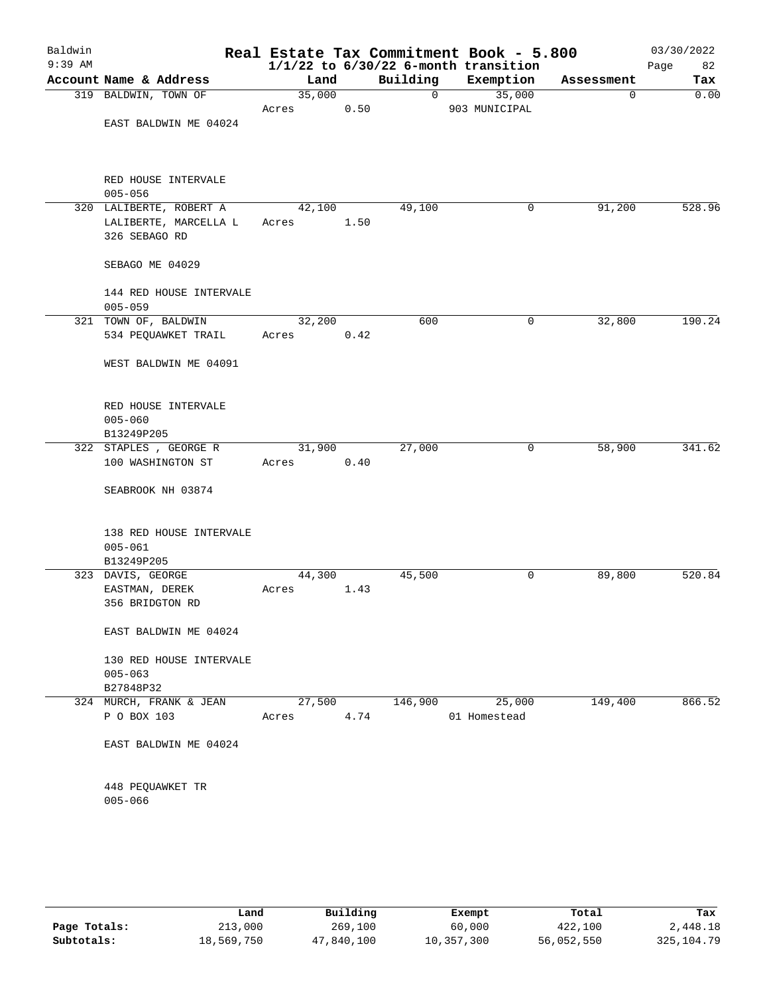| Baldwin<br>$9:39$ AM |                                        |        |      |          | Real Estate Tax Commitment Book - 5.800<br>$1/1/22$ to $6/30/22$ 6-month transition |            | 03/30/2022<br>82<br>Page |
|----------------------|----------------------------------------|--------|------|----------|-------------------------------------------------------------------------------------|------------|--------------------------|
|                      | Account Name & Address                 | Land   |      | Building | Exemption                                                                           | Assessment | Tax                      |
|                      | 319 BALDWIN, TOWN OF                   | 35,000 |      | 0        | 35,000                                                                              | 0          | 0.00                     |
|                      |                                        | Acres  | 0.50 |          | 903 MUNICIPAL                                                                       |            |                          |
|                      | EAST BALDWIN ME 04024                  |        |      |          |                                                                                     |            |                          |
|                      | RED HOUSE INTERVALE<br>$005 - 056$     |        |      |          |                                                                                     |            |                          |
|                      | 320 LALIBERTE, ROBERT A                | 42,100 |      | 49,100   | 0                                                                                   | 91,200     | 528.96                   |
|                      | LALIBERTE, MARCELLA L<br>326 SEBAGO RD | Acres  | 1.50 |          |                                                                                     |            |                          |
|                      | SEBAGO ME 04029                        |        |      |          |                                                                                     |            |                          |
|                      | 144 RED HOUSE INTERVALE<br>$005 - 059$ |        |      |          |                                                                                     |            |                          |
|                      | 321 TOWN OF, BALDWIN                   | 32,200 |      | 600      | 0                                                                                   | 32,800     | 190.24                   |
|                      | 534 PEQUAWKET TRAIL                    | Acres  | 0.42 |          |                                                                                     |            |                          |
|                      | WEST BALDWIN ME 04091                  |        |      |          |                                                                                     |            |                          |
|                      | RED HOUSE INTERVALE                    |        |      |          |                                                                                     |            |                          |
|                      | $005 - 060$                            |        |      |          |                                                                                     |            |                          |
|                      | B13249P205<br>322 STAPLES, GEORGE R    | 31,900 |      | 27,000   | 0                                                                                   | 58,900     | 341.62                   |
|                      | 100 WASHINGTON ST                      | Acres  | 0.40 |          |                                                                                     |            |                          |
|                      | SEABROOK NH 03874                      |        |      |          |                                                                                     |            |                          |
|                      | 138 RED HOUSE INTERVALE<br>$005 - 061$ |        |      |          |                                                                                     |            |                          |
|                      | B13249P205                             |        |      |          |                                                                                     |            |                          |
|                      | 323 DAVIS, GEORGE                      | 44,300 |      | 45,500   | 0                                                                                   | 89,800     | 520.84                   |
|                      | EASTMAN, DEREK                         | Acres  | 1.43 |          |                                                                                     |            |                          |
|                      | 356 BRIDGTON RD                        |        |      |          |                                                                                     |            |                          |
|                      | EAST BALDWIN ME 04024                  |        |      |          |                                                                                     |            |                          |
|                      | 130 RED HOUSE INTERVALE                |        |      |          |                                                                                     |            |                          |
|                      | $005 - 063$                            |        |      |          |                                                                                     |            |                          |
|                      | B27848P32                              |        |      |          |                                                                                     |            |                          |
|                      | 324 MURCH, FRANK & JEAN                | 27,500 |      | 146,900  | 25,000                                                                              | 149,400    | 866.52                   |
|                      | P O BOX 103                            | Acres  | 4.74 |          | 01 Homestead                                                                        |            |                          |
|                      | EAST BALDWIN ME 04024                  |        |      |          |                                                                                     |            |                          |
|                      | 448 PEQUAWKET TR                       |        |      |          |                                                                                     |            |                          |
|                      | $005 - 066$                            |        |      |          |                                                                                     |            |                          |
|                      |                                        |        |      |          |                                                                                     |            |                          |

|              | Land       | Building   | Exempt     | Total      | Tax         |
|--------------|------------|------------|------------|------------|-------------|
| Page Totals: | 213,000    | 269,100    | 60,000     | 422,100    | 2,448.18    |
| Subtotals:   | 18,569,750 | 47,840,100 | 10,357,300 | 56,052,550 | 325, 104.79 |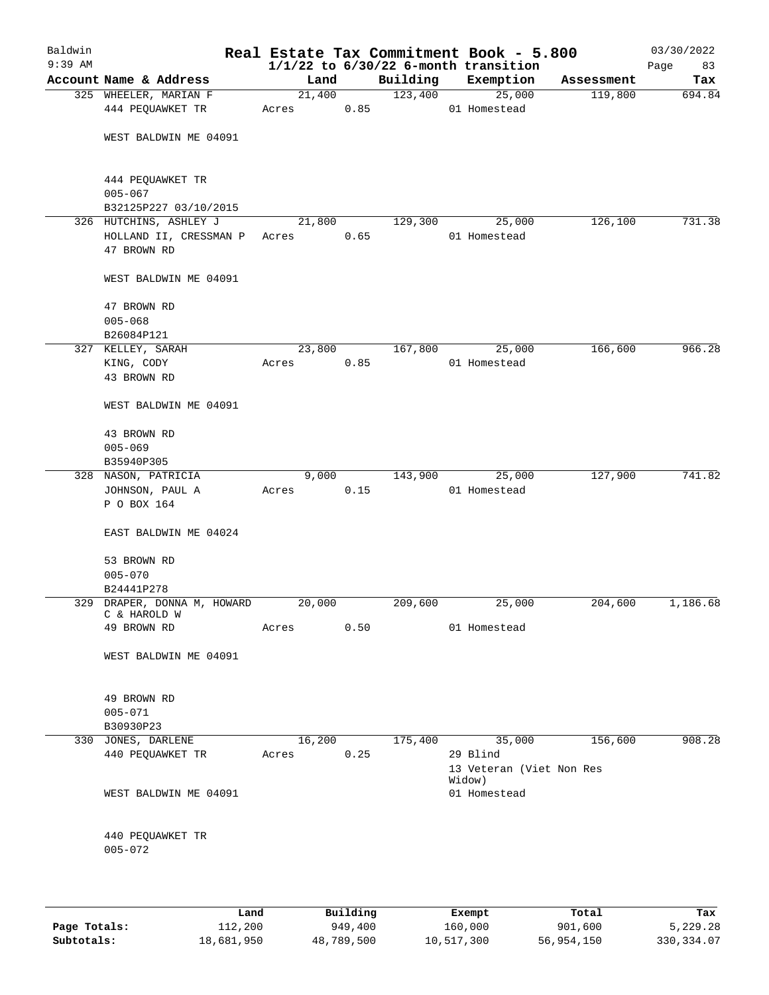| Baldwin<br>$9:39$ AM |                                                          |        |        |          | Real Estate Tax Commitment Book - 5.800<br>$1/1/22$ to $6/30/22$ 6-month transition |            | 03/30/2022<br>Page<br>83 |
|----------------------|----------------------------------------------------------|--------|--------|----------|-------------------------------------------------------------------------------------|------------|--------------------------|
|                      | Account Name & Address                                   | Land   |        | Building | Exemption                                                                           | Assessment | Tax                      |
|                      | 325 WHEELER, MARIAN F                                    |        | 21,400 | 123,400  | 25,000                                                                              | 119,800    | 694.84                   |
|                      | 444 PEQUAWKET TR                                         | Acres  | 0.85   |          | 01 Homestead                                                                        |            |                          |
|                      | WEST BALDWIN ME 04091                                    |        |        |          |                                                                                     |            |                          |
|                      | 444 PEQUAWKET TR<br>$005 - 067$<br>B32125P227 03/10/2015 |        |        |          |                                                                                     |            |                          |
|                      | 326 HUTCHINS, ASHLEY J                                   | 21,800 |        | 129,300  | 25,000                                                                              | 126,100    | 731.38                   |
|                      | HOLLAND II, CRESSMAN P Acres<br>47 BROWN RD              |        | 0.65   |          | 01 Homestead                                                                        |            |                          |
|                      | WEST BALDWIN ME 04091                                    |        |        |          |                                                                                     |            |                          |
|                      | 47 BROWN RD<br>$005 - 068$<br>B26084P121                 |        |        |          |                                                                                     |            |                          |
|                      | 327 KELLEY, SARAH                                        | 23,800 |        | 167,800  | 25,000                                                                              | 166,600    | 966.28                   |
|                      | KING, CODY                                               | Acres  | 0.85   |          | 01 Homestead                                                                        |            |                          |
|                      | 43 BROWN RD                                              |        |        |          |                                                                                     |            |                          |
|                      | WEST BALDWIN ME 04091                                    |        |        |          |                                                                                     |            |                          |
|                      | 43 BROWN RD                                              |        |        |          |                                                                                     |            |                          |
|                      | $005 - 069$                                              |        |        |          |                                                                                     |            |                          |
|                      | B35940P305                                               |        |        |          |                                                                                     |            |                          |
|                      | 328 NASON, PATRICIA                                      | 9,000  |        | 143,900  | 25,000                                                                              | 127,900    | 741.82                   |
|                      | JOHNSON, PAUL A<br>P O BOX 164                           | Acres  | 0.15   |          | 01 Homestead                                                                        |            |                          |
|                      | EAST BALDWIN ME 04024                                    |        |        |          |                                                                                     |            |                          |
|                      | 53 BROWN RD                                              |        |        |          |                                                                                     |            |                          |
|                      | $005 - 070$                                              |        |        |          |                                                                                     |            |                          |
|                      | B24441P278                                               |        |        |          |                                                                                     |            |                          |
|                      | 329 DRAPER, DONNA M, HOWARD<br>C & HAROLD W              | 20,000 |        | 209,600  | 25,000                                                                              | 204,600    | 1,186.68                 |
|                      | 49 BROWN RD                                              | Acres  | 0.50   |          | 01 Homestead                                                                        |            |                          |
|                      | WEST BALDWIN ME 04091                                    |        |        |          |                                                                                     |            |                          |
|                      | 49 BROWN RD<br>$005 - 071$                               |        |        |          |                                                                                     |            |                          |
|                      | B30930P23                                                |        |        |          |                                                                                     |            |                          |
|                      | 330 JONES, DARLENE                                       | 16,200 |        | 175,400  | 35,000                                                                              | 156,600    | 908.28                   |
|                      | 440 PEQUAWKET TR                                         | Acres  | 0.25   |          | 29 Blind<br>13 Veteran (Viet Non Res<br>Widow)                                      |            |                          |
|                      | WEST BALDWIN ME 04091                                    |        |        |          | 01 Homestead                                                                        |            |                          |
|                      | 440 PEQUAWKET TR<br>$005 - 072$                          |        |        |          |                                                                                     |            |                          |
|                      |                                                          |        |        |          |                                                                                     |            |                          |

|              | Land       | Building   | Exempt     | Total      | Tax          |
|--------------|------------|------------|------------|------------|--------------|
| Page Totals: | 112,200    | 949,400    | 160,000    | 901,600    | 5,229.28     |
| Subtotals:   | 18,681,950 | 48,789,500 | 10,517,300 | 56,954,150 | 330, 334, 07 |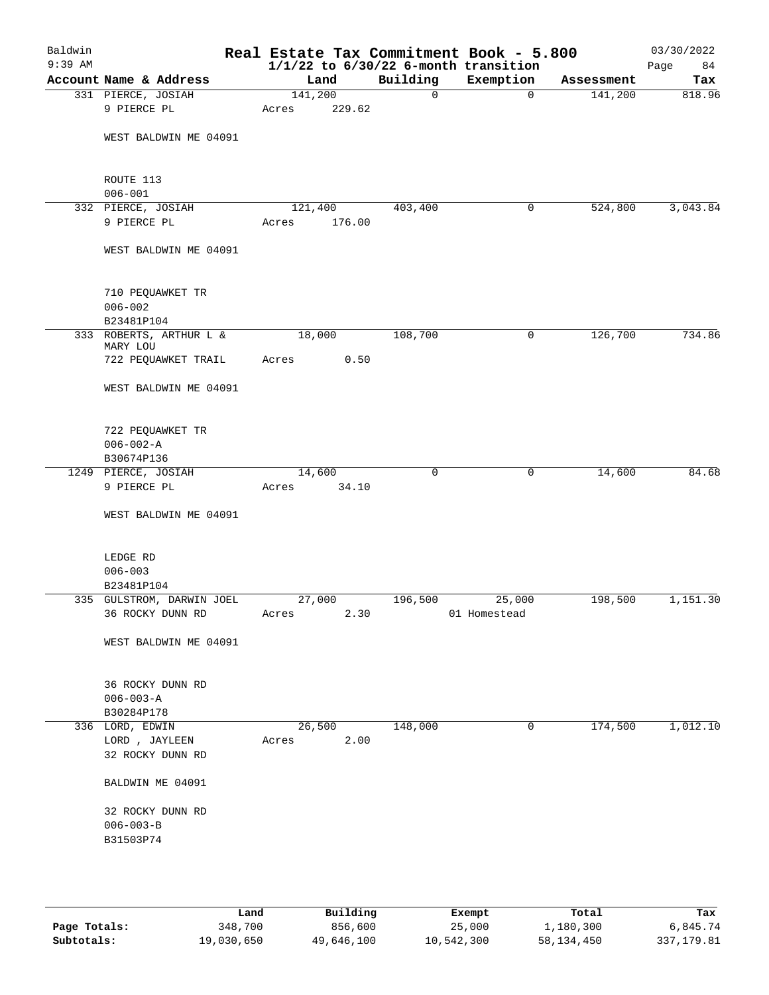| Baldwin<br>$9:39$ AM |                                               |                 |        |             | Real Estate Tax Commitment Book - 5.800<br>$1/1/22$ to $6/30/22$ 6-month transition |            | 03/30/2022<br>Page<br>84 |
|----------------------|-----------------------------------------------|-----------------|--------|-------------|-------------------------------------------------------------------------------------|------------|--------------------------|
|                      | Account Name & Address                        | Land            |        | Building    | Exemption                                                                           | Assessment | Tax                      |
|                      | 331 PIERCE, JOSIAH                            | 141,200         |        | $\mathbf 0$ | $\mathbf 0$                                                                         | 141,200    | 818.96                   |
|                      | 9 PIERCE PL                                   | Acres           | 229.62 |             |                                                                                     |            |                          |
|                      | WEST BALDWIN ME 04091                         |                 |        |             |                                                                                     |            |                          |
|                      | ROUTE 113<br>$006 - 001$                      |                 |        |             |                                                                                     |            |                          |
|                      | 332 PIERCE, JOSIAH                            | 121,400         |        | 403,400     | 0                                                                                   | 524,800    | 3,043.84                 |
|                      | 9 PIERCE PL                                   | Acres           | 176.00 |             |                                                                                     |            |                          |
|                      | WEST BALDWIN ME 04091                         |                 |        |             |                                                                                     |            |                          |
|                      | 710 PEQUAWKET TR<br>$006 - 002$               |                 |        |             |                                                                                     |            |                          |
|                      | B23481P104                                    |                 |        |             |                                                                                     |            |                          |
|                      | 333 ROBERTS, ARTHUR L &<br>MARY LOU           | 18,000          |        | 108,700     | 0                                                                                   | 126,700    | 734.86                   |
|                      | 722 PEQUAWKET TRAIL                           | Acres           | 0.50   |             |                                                                                     |            |                          |
|                      | WEST BALDWIN ME 04091                         |                 |        |             |                                                                                     |            |                          |
|                      | 722 PEQUAWKET TR                              |                 |        |             |                                                                                     |            |                          |
|                      | $006 - 002 - A$                               |                 |        |             |                                                                                     |            |                          |
|                      | B30674P136                                    |                 |        |             |                                                                                     |            |                          |
|                      | 1249 PIERCE, JOSIAH                           | 14,600          |        | 0           | 0                                                                                   | 14,600     | 84.68                    |
|                      | 9 PIERCE PL                                   | Acres           | 34.10  |             |                                                                                     |            |                          |
|                      | WEST BALDWIN ME 04091                         |                 |        |             |                                                                                     |            |                          |
|                      | LEDGE RD                                      |                 |        |             |                                                                                     |            |                          |
|                      | $006 - 003$                                   |                 |        |             |                                                                                     |            |                          |
|                      | B23481P104                                    |                 |        |             |                                                                                     |            |                          |
|                      | 335 GULSTROM, DARWIN JOEL<br>36 ROCKY DUNN RD | 27,000<br>Acres | 2.30   | 196,500     | 25,000<br>01 Homestead                                                              | 198,500    | 1,151.30                 |
|                      | WEST BALDWIN ME 04091                         |                 |        |             |                                                                                     |            |                          |
|                      | 36 ROCKY DUNN RD<br>$006 - 003 - A$           |                 |        |             |                                                                                     |            |                          |
|                      | B30284P178                                    |                 |        |             |                                                                                     |            |                          |
|                      | 336 LORD, EDWIN                               | 26,500          |        | 148,000     | 0                                                                                   | 174,500    | 1,012.10                 |
|                      | LORD , JAYLEEN<br>32 ROCKY DUNN RD            | Acres           | 2.00   |             |                                                                                     |            |                          |
|                      | BALDWIN ME 04091                              |                 |        |             |                                                                                     |            |                          |
|                      | 32 ROCKY DUNN RD                              |                 |        |             |                                                                                     |            |                          |
|                      | $006 - 003 - B$                               |                 |        |             |                                                                                     |            |                          |
|                      | B31503P74                                     |                 |        |             |                                                                                     |            |                          |
|                      |                                               |                 |        |             |                                                                                     |            |                          |
|                      |                                               |                 |        |             |                                                                                     |            |                          |

|              | Land       | Building   | Exempt     | Total        | Tax        |
|--------------|------------|------------|------------|--------------|------------|
| Page Totals: | 348,700    | 856,600    | 25,000     | 1,180,300    | 6,845.74   |
| Subtotals:   | 19,030,650 | 49,646,100 | 10,542,300 | 58, 134, 450 | 337,179.81 |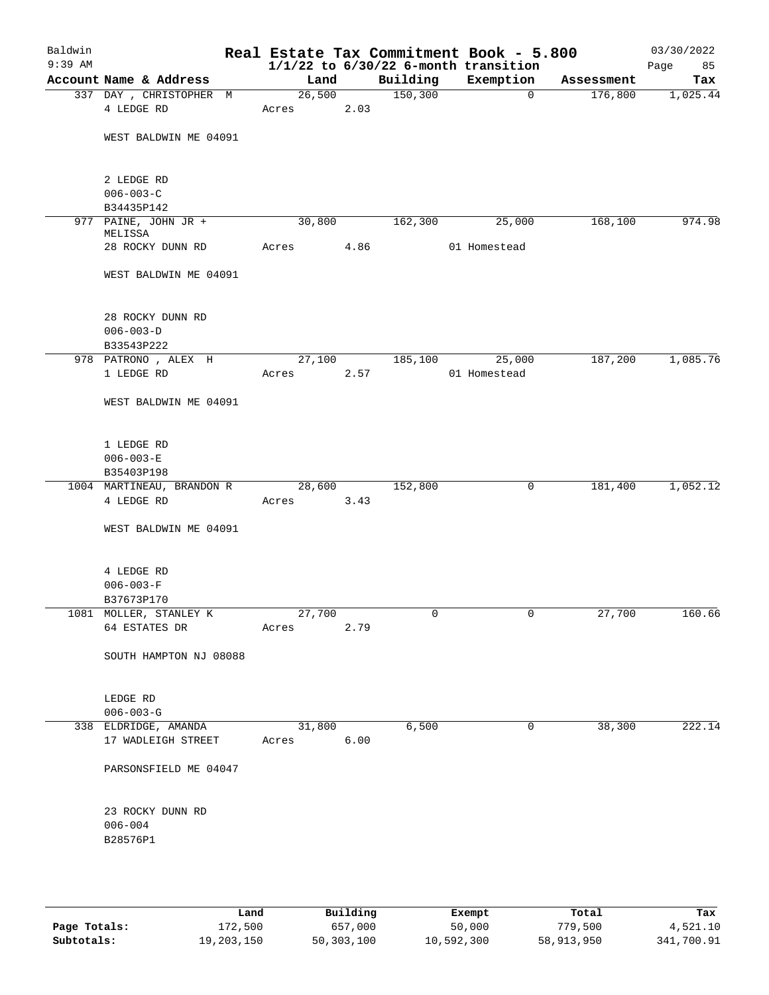| Baldwin<br>$9:39$ AM |                                         |       |        |      |          | Real Estate Tax Commitment Book - 5.800<br>$1/1/22$ to $6/30/22$ 6-month transition |            | 03/30/2022<br>Page<br>85 |
|----------------------|-----------------------------------------|-------|--------|------|----------|-------------------------------------------------------------------------------------|------------|--------------------------|
|                      | Account Name & Address                  |       | Land   |      | Building | Exemption                                                                           | Assessment | Tax                      |
|                      | 337 DAY, CHRISTOPHER M<br>4 LEDGE RD    | Acres | 26,500 | 2.03 | 150, 300 | $\mathbf 0$                                                                         | 176,800    | 1,025.44                 |
|                      |                                         |       |        |      |          |                                                                                     |            |                          |
|                      | WEST BALDWIN ME 04091                   |       |        |      |          |                                                                                     |            |                          |
|                      | 2 LEDGE RD                              |       |        |      |          |                                                                                     |            |                          |
|                      | $006 - 003 - C$                         |       |        |      |          |                                                                                     |            |                          |
|                      | B34435P142                              |       |        |      |          |                                                                                     |            |                          |
|                      | 977 PAINE, JOHN JR +<br>MELISSA         |       | 30,800 |      | 162,300  | 25,000                                                                              | 168,100    | 974.98                   |
|                      | 28 ROCKY DUNN RD                        | Acres |        | 4.86 |          | 01 Homestead                                                                        |            |                          |
|                      | WEST BALDWIN ME 04091                   |       |        |      |          |                                                                                     |            |                          |
|                      | 28 ROCKY DUNN RD                        |       |        |      |          |                                                                                     |            |                          |
|                      | $006 - 003 - D$                         |       |        |      |          |                                                                                     |            |                          |
|                      | B33543P222                              |       |        |      |          |                                                                                     |            |                          |
|                      | 978 PATRONO, ALEX H                     |       | 27,100 |      | 185,100  | 25,000                                                                              | 187,200    | 1,085.76                 |
|                      | 1 LEDGE RD                              | Acres |        | 2.57 |          | 01 Homestead                                                                        |            |                          |
|                      | WEST BALDWIN ME 04091                   |       |        |      |          |                                                                                     |            |                          |
|                      | 1 LEDGE RD                              |       |        |      |          |                                                                                     |            |                          |
|                      | $006 - 003 - E$                         |       |        |      |          |                                                                                     |            |                          |
|                      | B35403P198                              |       |        |      |          |                                                                                     |            |                          |
|                      | 1004 MARTINEAU, BRANDON R<br>4 LEDGE RD |       | 28,600 |      | 152,800  | 0                                                                                   | 181,400    | 1,052.12                 |
|                      |                                         | Acres |        | 3.43 |          |                                                                                     |            |                          |
|                      | WEST BALDWIN ME 04091                   |       |        |      |          |                                                                                     |            |                          |
|                      | 4 LEDGE RD                              |       |        |      |          |                                                                                     |            |                          |
|                      | $006 - 003 - F$                         |       |        |      |          |                                                                                     |            |                          |
|                      | B37673P170                              |       |        |      |          |                                                                                     |            |                          |
|                      | 1081 MOLLER, STANLEY K                  |       | 27,700 |      | 0        | $\overline{0}$                                                                      | 27,700     | 160.66                   |
|                      | 64 ESTATES DR                           | Acres |        | 2.79 |          |                                                                                     |            |                          |
|                      | SOUTH HAMPTON NJ 08088                  |       |        |      |          |                                                                                     |            |                          |
|                      | LEDGE RD                                |       |        |      |          |                                                                                     |            |                          |
|                      | $006 - 003 - G$                         |       |        |      |          |                                                                                     |            |                          |
|                      | 338 ELDRIDGE, AMANDA                    |       | 31,800 |      | 6,500    | 0                                                                                   | 38,300     | 222.14                   |
|                      | 17 WADLEIGH STREET                      | Acres |        | 6.00 |          |                                                                                     |            |                          |
|                      | PARSONSFIELD ME 04047                   |       |        |      |          |                                                                                     |            |                          |
|                      | 23 ROCKY DUNN RD                        |       |        |      |          |                                                                                     |            |                          |
|                      | $006 - 004$                             |       |        |      |          |                                                                                     |            |                          |
|                      | B28576P1                                |       |        |      |          |                                                                                     |            |                          |
|                      |                                         |       |        |      |          |                                                                                     |            |                          |
|                      |                                         |       |        |      |          |                                                                                     |            |                          |

|              | Land       | Building   | Exempt     | Total      | Tax        |
|--------------|------------|------------|------------|------------|------------|
| Page Totals: | 172,500    | 657,000    | 50,000     | 779,500    | 4,521.10   |
| Subtotals:   | 19,203,150 | 50,303,100 | 10,592,300 | 58,913,950 | 341,700.91 |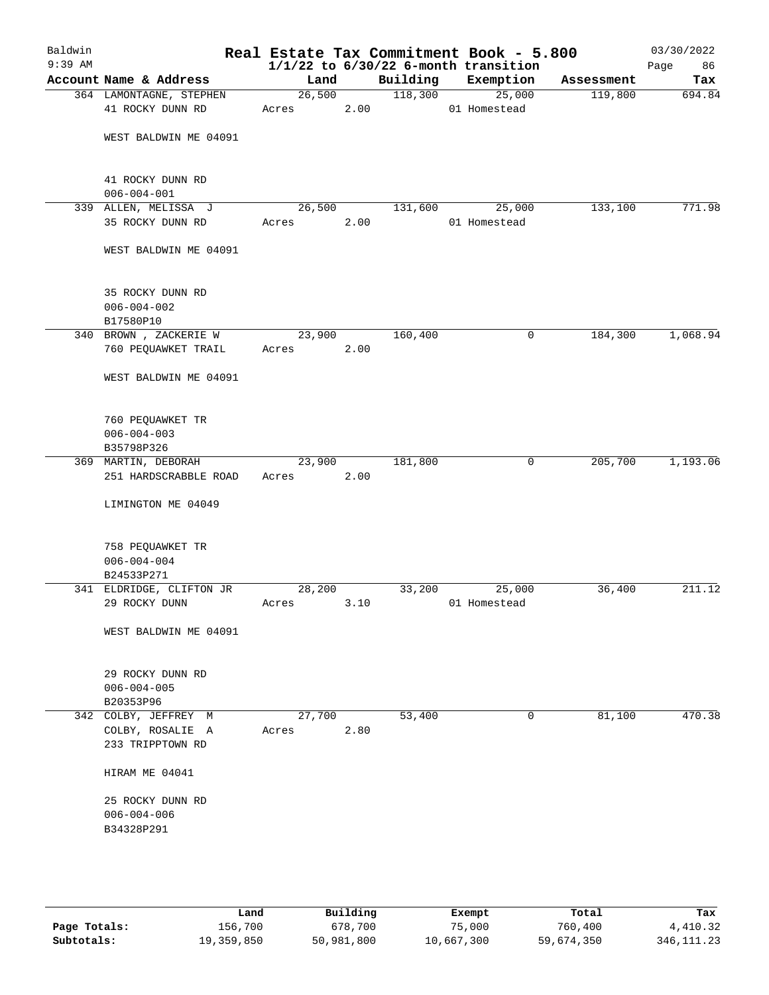| Baldwin<br>$9:39$ AM |                                                    |       |        |      |          | Real Estate Tax Commitment Book - 5.800<br>$1/1/22$ to $6/30/22$ 6-month transition |            | 03/30/2022<br>Page<br>86 |
|----------------------|----------------------------------------------------|-------|--------|------|----------|-------------------------------------------------------------------------------------|------------|--------------------------|
|                      | Account Name & Address                             |       | Land   |      | Building | Exemption                                                                           | Assessment | Tax                      |
|                      | 364 LAMONTAGNE, STEPHEN                            |       | 26,500 |      | 118,300  | 25,000                                                                              | 119,800    | 694.84                   |
|                      | 41 ROCKY DUNN RD                                   | Acres |        | 2.00 |          | 01 Homestead                                                                        |            |                          |
|                      | WEST BALDWIN ME 04091                              |       |        |      |          |                                                                                     |            |                          |
|                      | 41 ROCKY DUNN RD<br>$006 - 004 - 001$              |       |        |      |          |                                                                                     |            |                          |
|                      | 339 ALLEN, MELISSA J                               |       | 26,500 |      | 131,600  | 25,000                                                                              | 133,100    | 771.98                   |
|                      | 35 ROCKY DUNN RD                                   | Acres |        | 2.00 |          | 01 Homestead                                                                        |            |                          |
|                      | WEST BALDWIN ME 04091                              |       |        |      |          |                                                                                     |            |                          |
|                      | 35 ROCKY DUNN RD<br>$006 - 004 - 002$<br>B17580P10 |       |        |      |          |                                                                                     |            |                          |
|                      | 340 BROWN, ZACKERIE W                              |       | 23,900 |      | 160,400  | 0                                                                                   | 184,300    | 1,068.94                 |
|                      | 760 PEQUAWKET TRAIL                                | Acres |        | 2.00 |          |                                                                                     |            |                          |
|                      | WEST BALDWIN ME 04091                              |       |        |      |          |                                                                                     |            |                          |
|                      | 760 PEQUAWKET TR                                   |       |        |      |          |                                                                                     |            |                          |
|                      | $006 - 004 - 003$                                  |       |        |      |          |                                                                                     |            |                          |
|                      | B35798P326                                         |       |        |      |          |                                                                                     |            |                          |
|                      | 369 MARTIN, DEBORAH                                |       | 23,900 |      | 181,800  | 0                                                                                   | 205,700    | 1,193.06                 |
|                      | 251 HARDSCRABBLE ROAD                              | Acres |        | 2.00 |          |                                                                                     |            |                          |
|                      | LIMINGTON ME 04049                                 |       |        |      |          |                                                                                     |            |                          |
|                      | 758 PEQUAWKET TR                                   |       |        |      |          |                                                                                     |            |                          |
|                      | $006 - 004 - 004$                                  |       |        |      |          |                                                                                     |            |                          |
|                      | B24533P271                                         |       |        |      |          |                                                                                     |            | 211.12                   |
|                      | 341 ELDRIDGE, CLIFTON JR<br>29 ROCKY DUNN          | Acres | 28,200 | 3.10 | 33,200   | 25,000<br>01 Homestead                                                              | 36,400     |                          |
|                      |                                                    |       |        |      |          |                                                                                     |            |                          |
|                      | WEST BALDWIN ME 04091                              |       |        |      |          |                                                                                     |            |                          |
|                      | 29 ROCKY DUNN RD                                   |       |        |      |          |                                                                                     |            |                          |
|                      | $006 - 004 - 005$                                  |       |        |      |          |                                                                                     |            |                          |
|                      | B20353P96                                          |       |        |      |          |                                                                                     | 81,100     |                          |
|                      | 342 COLBY, JEFFREY M<br>COLBY, ROSALIE A           | Acres | 27,700 | 2.80 | 53,400   | 0                                                                                   |            | 470.38                   |
|                      | 233 TRIPPTOWN RD                                   |       |        |      |          |                                                                                     |            |                          |
|                      | HIRAM ME 04041                                     |       |        |      |          |                                                                                     |            |                          |
|                      | 25 ROCKY DUNN RD                                   |       |        |      |          |                                                                                     |            |                          |
|                      | $006 - 004 - 006$                                  |       |        |      |          |                                                                                     |            |                          |
|                      | B34328P291                                         |       |        |      |          |                                                                                     |            |                          |
|                      |                                                    |       |        |      |          |                                                                                     |            |                          |
|                      |                                                    |       |        |      |          |                                                                                     |            |                          |

|              | Land       | Building   | Exempt     | Total      | Tax          |
|--------------|------------|------------|------------|------------|--------------|
| Page Totals: | 156,700    | 678,700    | 75,000     | 760,400    | 4,410.32     |
| Subtotals:   | 19,359,850 | 50,981,800 | 10,667,300 | 59,674,350 | 346, 111, 23 |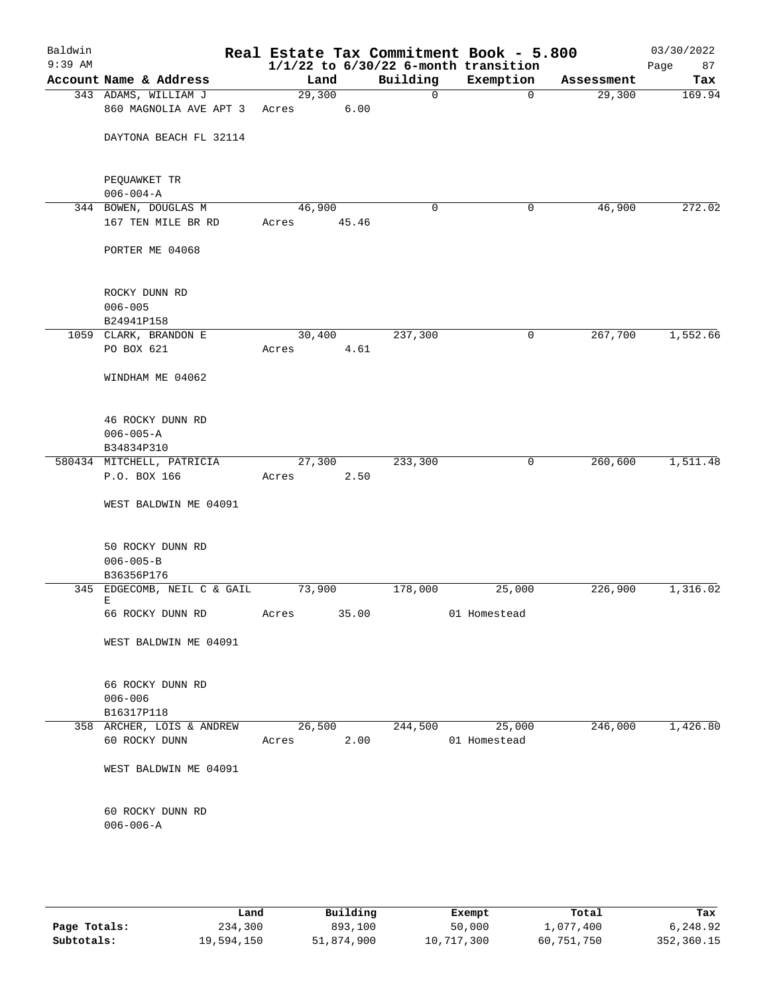| Baldwin<br>$9:39$ AM |                                     |        |       |             | Real Estate Tax Commitment Book - 5.800<br>$1/1/22$ to $6/30/22$ 6-month transition |                     | 03/30/2022<br>Page<br>87 |
|----------------------|-------------------------------------|--------|-------|-------------|-------------------------------------------------------------------------------------|---------------------|--------------------------|
|                      | Account Name & Address              | Land   |       | Building    | Exemption                                                                           | Assessment          | Tax                      |
|                      | 343 ADAMS, WILLIAM J                | 29,300 |       | $\mathbf 0$ | 0                                                                                   | 29,300              | 169.94                   |
|                      | 860 MAGNOLIA AVE APT 3              | Acres  | 6.00  |             |                                                                                     |                     |                          |
|                      |                                     |        |       |             |                                                                                     |                     |                          |
|                      | DAYTONA BEACH FL 32114              |        |       |             |                                                                                     |                     |                          |
|                      |                                     |        |       |             |                                                                                     |                     |                          |
|                      |                                     |        |       |             |                                                                                     |                     |                          |
|                      | PEQUAWKET TR                        |        |       |             |                                                                                     |                     |                          |
|                      | $006 - 004 - A$                     |        |       |             |                                                                                     |                     |                          |
|                      | 344 BOWEN, DOUGLAS M                | 46,900 |       | $\mathbf 0$ | 0                                                                                   | 46,900              | 272.02                   |
|                      | 167 TEN MILE BR RD                  | Acres  | 45.46 |             |                                                                                     |                     |                          |
|                      |                                     |        |       |             |                                                                                     |                     |                          |
|                      | PORTER ME 04068                     |        |       |             |                                                                                     |                     |                          |
|                      |                                     |        |       |             |                                                                                     |                     |                          |
|                      | ROCKY DUNN RD                       |        |       |             |                                                                                     |                     |                          |
|                      | $006 - 005$                         |        |       |             |                                                                                     |                     |                          |
|                      | B24941P158                          |        |       |             |                                                                                     |                     |                          |
|                      | 1059 CLARK, BRANDON E               | 30,400 |       | 237,300     | 0                                                                                   | 267,700             | 1,552.66                 |
|                      | PO BOX 621                          | Acres  | 4.61  |             |                                                                                     |                     |                          |
|                      |                                     |        |       |             |                                                                                     |                     |                          |
|                      | WINDHAM ME 04062                    |        |       |             |                                                                                     |                     |                          |
|                      |                                     |        |       |             |                                                                                     |                     |                          |
|                      |                                     |        |       |             |                                                                                     |                     |                          |
|                      | 46 ROCKY DUNN RD                    |        |       |             |                                                                                     |                     |                          |
|                      | $006 - 005 - A$                     |        |       |             |                                                                                     |                     |                          |
|                      | B34834P310                          |        |       |             |                                                                                     |                     |                          |
|                      | 580434 MITCHELL, PATRICIA           | 27,300 |       | 233,300     | 0                                                                                   | 260,600             | 1,511.48                 |
|                      | P.O. BOX 166                        | Acres  | 2.50  |             |                                                                                     |                     |                          |
|                      | WEST BALDWIN ME 04091               |        |       |             |                                                                                     |                     |                          |
|                      |                                     |        |       |             |                                                                                     |                     |                          |
|                      |                                     |        |       |             |                                                                                     |                     |                          |
|                      | 50 ROCKY DUNN RD                    |        |       |             |                                                                                     |                     |                          |
|                      | $006 - 005 - B$                     |        |       |             |                                                                                     |                     |                          |
|                      | B36356P176                          |        |       |             |                                                                                     |                     |                          |
|                      | 345 EDGECOMB, NEIL C & GAIL         | 73,900 |       | 178,000     | 25,000                                                                              | 226,900             | 1,316.02                 |
|                      | E                                   |        |       |             |                                                                                     |                     |                          |
|                      | 66 ROCKY DUNN RD                    | Acres  | 35.00 |             | 01 Homestead                                                                        |                     |                          |
|                      | WEST BALDWIN ME 04091               |        |       |             |                                                                                     |                     |                          |
|                      |                                     |        |       |             |                                                                                     |                     |                          |
|                      |                                     |        |       |             |                                                                                     |                     |                          |
|                      | 66 ROCKY DUNN RD                    |        |       |             |                                                                                     |                     |                          |
|                      | $006 - 006$                         |        |       |             |                                                                                     |                     |                          |
|                      | B16317P118                          |        |       |             |                                                                                     |                     |                          |
|                      | 358 ARCHER, LOIS & ANDREW           | 26,500 |       | 244,500     | 25,000                                                                              | $\frac{1}{246,000}$ | 1,426.80                 |
|                      | 60 ROCKY DUNN                       | Acres  | 2.00  |             | 01 Homestead                                                                        |                     |                          |
|                      |                                     |        |       |             |                                                                                     |                     |                          |
|                      | WEST BALDWIN ME 04091               |        |       |             |                                                                                     |                     |                          |
|                      |                                     |        |       |             |                                                                                     |                     |                          |
|                      |                                     |        |       |             |                                                                                     |                     |                          |
|                      | 60 ROCKY DUNN RD<br>$006 - 006 - A$ |        |       |             |                                                                                     |                     |                          |
|                      |                                     |        |       |             |                                                                                     |                     |                          |
|                      |                                     |        |       |             |                                                                                     |                     |                          |
|                      |                                     |        |       |             |                                                                                     |                     |                          |

|              | Land       | Building   | Exempt     | Total      | Tax        |
|--------------|------------|------------|------------|------------|------------|
| Page Totals: | 234,300    | 893,100    | 50,000     | 1,077,400  | 6,248.92   |
| Subtotals:   | 19,594,150 | 51,874,900 | 10,717,300 | 60,751,750 | 352,360.15 |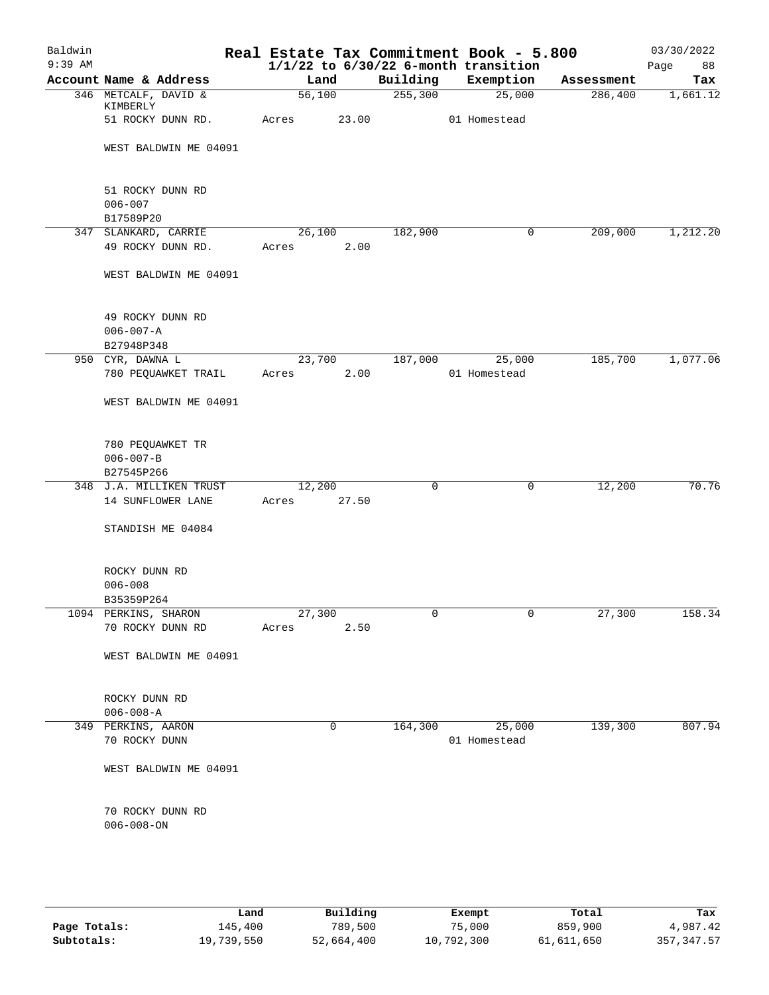| Baldwin<br>$9:39$ AM |                                      |        |       |          | Real Estate Tax Commitment Book - 5.800<br>$1/1/22$ to $6/30/22$ 6-month transition |            | 03/30/2022<br>88<br>Page |
|----------------------|--------------------------------------|--------|-------|----------|-------------------------------------------------------------------------------------|------------|--------------------------|
|                      | Account Name & Address               | Land   |       | Building | Exemption                                                                           | Assessment | Tax                      |
|                      | 346 METCALF, DAVID &                 | 56,100 |       | 255, 300 | 25,000                                                                              | 286,400    | 1,661.12                 |
|                      | KIMBERLY                             |        |       |          |                                                                                     |            |                          |
|                      | 51 ROCKY DUNN RD.                    | Acres  | 23.00 |          | 01 Homestead                                                                        |            |                          |
|                      | WEST BALDWIN ME 04091                |        |       |          |                                                                                     |            |                          |
|                      |                                      |        |       |          |                                                                                     |            |                          |
|                      | 51 ROCKY DUNN RD                     |        |       |          |                                                                                     |            |                          |
|                      | $006 - 007$                          |        |       |          |                                                                                     |            |                          |
|                      | B17589P20                            |        |       |          |                                                                                     |            |                          |
|                      | 347 SLANKARD, CARRIE                 | 26,100 |       | 182,900  | 0                                                                                   | 209,000    | 1,212.20                 |
|                      | 49 ROCKY DUNN RD.                    | Acres  | 2.00  |          |                                                                                     |            |                          |
|                      | WEST BALDWIN ME 04091                |        |       |          |                                                                                     |            |                          |
|                      | 49 ROCKY DUNN RD                     |        |       |          |                                                                                     |            |                          |
|                      | $006 - 007 - A$                      |        |       |          |                                                                                     |            |                          |
|                      | B27948P348                           |        |       |          |                                                                                     |            |                          |
|                      | 950 CYR, DAWNA L                     | 23,700 |       | 187,000  | 25,000                                                                              | 185,700    | 1,077.06                 |
|                      | 780 PEQUAWKET TRAIL                  | Acres  | 2.00  |          | 01 Homestead                                                                        |            |                          |
|                      | WEST BALDWIN ME 04091                |        |       |          |                                                                                     |            |                          |
|                      | 780 PEQUAWKET TR                     |        |       |          |                                                                                     |            |                          |
|                      | $006 - 007 - B$                      |        |       |          |                                                                                     |            |                          |
|                      | B27545P266                           |        |       |          |                                                                                     |            |                          |
|                      | 348 J.A. MILLIKEN TRUST              | 12,200 |       | 0        | 0                                                                                   | 12,200     | 70.76                    |
|                      | 14 SUNFLOWER LANE                    | Acres  | 27.50 |          |                                                                                     |            |                          |
|                      | STANDISH ME 04084                    |        |       |          |                                                                                     |            |                          |
|                      |                                      |        |       |          |                                                                                     |            |                          |
|                      | ROCKY DUNN RD<br>$006 - 008$         |        |       |          |                                                                                     |            |                          |
|                      | B35359P264                           |        |       |          |                                                                                     |            |                          |
|                      | 1094 PERKINS, SHARON                 | 27,300 |       | 0        | 0                                                                                   | 27,300     | 158.34                   |
|                      | 70 ROCKY DUNN RD                     | Acres  | 2.50  |          |                                                                                     |            |                          |
|                      | WEST BALDWIN ME 04091                |        |       |          |                                                                                     |            |                          |
|                      |                                      |        |       |          |                                                                                     |            |                          |
|                      | ROCKY DUNN RD                        |        |       |          |                                                                                     |            |                          |
|                      | $006 - 008 - A$                      |        |       |          |                                                                                     |            |                          |
|                      | 349 PERKINS, AARON                   |        | 0     | 164,300  | 25,000                                                                              | 139,300    | 807.94                   |
|                      | 70 ROCKY DUNN                        |        |       |          | 01 Homestead                                                                        |            |                          |
|                      | WEST BALDWIN ME 04091                |        |       |          |                                                                                     |            |                          |
|                      |                                      |        |       |          |                                                                                     |            |                          |
|                      | 70 ROCKY DUNN RD<br>$006 - 008 - ON$ |        |       |          |                                                                                     |            |                          |
|                      |                                      |        |       |          |                                                                                     |            |                          |
|                      |                                      |        |       |          |                                                                                     |            |                          |
|                      |                                      |        |       |          |                                                                                     |            |                          |

|              | Land       | Building   | Exempt     | Total      | Tax          |
|--------------|------------|------------|------------|------------|--------------|
| Page Totals: | 145,400    | 789,500    | 75,000     | 859,900    | 4,987.42     |
| Subtotals:   | 19,739,550 | 52,664,400 | 10,792,300 | 61,611,650 | 357, 347, 57 |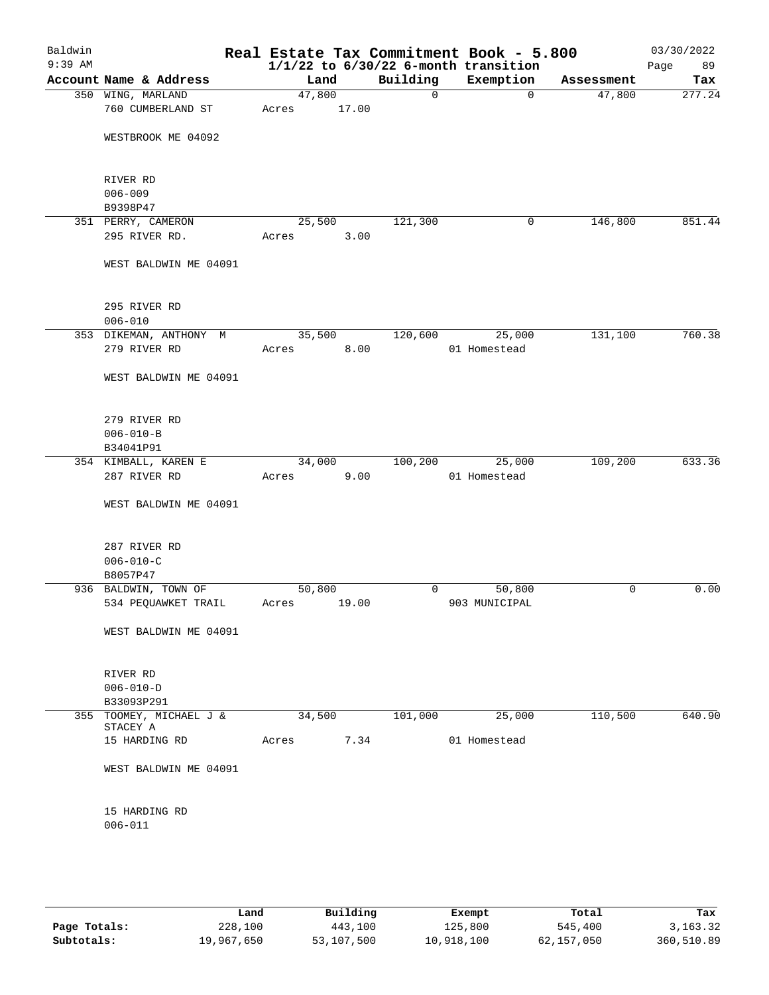| Baldwin<br>$9:39$ AM |                                     |        |       |                | Real Estate Tax Commitment Book - 5.800<br>$1/1/22$ to $6/30/22$ 6-month transition |            | 03/30/2022<br>Page<br>89 |
|----------------------|-------------------------------------|--------|-------|----------------|-------------------------------------------------------------------------------------|------------|--------------------------|
|                      | Account Name & Address              | Land   |       | Building       | Exemption                                                                           | Assessment | Tax                      |
|                      | 350 WING, MARLAND                   | 47,800 |       | $\mathsf{O}$   | $\overline{0}$                                                                      | 47,800     | 277.24                   |
|                      | 760 CUMBERLAND ST                   | Acres  | 17.00 |                |                                                                                     |            |                          |
|                      |                                     |        |       |                |                                                                                     |            |                          |
|                      | WESTBROOK ME 04092                  |        |       |                |                                                                                     |            |                          |
|                      |                                     |        |       |                |                                                                                     |            |                          |
|                      |                                     |        |       |                |                                                                                     |            |                          |
|                      | RIVER RD                            |        |       |                |                                                                                     |            |                          |
|                      | $006 - 009$                         |        |       |                |                                                                                     |            |                          |
|                      | B9398P47                            |        |       |                |                                                                                     |            |                          |
|                      | 351 PERRY, CAMERON                  | 25,500 |       | 121,300        | 0                                                                                   | 146,800    | 851.44                   |
|                      | 295 RIVER RD.                       | Acres  | 3.00  |                |                                                                                     |            |                          |
|                      |                                     |        |       |                |                                                                                     |            |                          |
|                      | WEST BALDWIN ME 04091               |        |       |                |                                                                                     |            |                          |
|                      |                                     |        |       |                |                                                                                     |            |                          |
|                      | 295 RIVER RD                        |        |       |                |                                                                                     |            |                          |
|                      | $006 - 010$                         |        |       |                |                                                                                     |            |                          |
|                      | 353 DIKEMAN, ANTHONY M              | 35,500 |       | 120,600        | 25,000                                                                              | 131,100    | 760.38                   |
|                      | 279 RIVER RD                        | Acres  | 8.00  |                | 01 Homestead                                                                        |            |                          |
|                      |                                     |        |       |                |                                                                                     |            |                          |
|                      | WEST BALDWIN ME 04091               |        |       |                |                                                                                     |            |                          |
|                      |                                     |        |       |                |                                                                                     |            |                          |
|                      |                                     |        |       |                |                                                                                     |            |                          |
|                      | 279 RIVER RD                        |        |       |                |                                                                                     |            |                          |
|                      | $006 - 010 - B$                     |        |       |                |                                                                                     |            |                          |
|                      | B34041P91                           |        |       |                |                                                                                     |            |                          |
|                      | 354 KIMBALL, KAREN E                | 34,000 |       | 100,200        | 25,000                                                                              | 109,200    | 633.36                   |
|                      | 287 RIVER RD                        | Acres  | 9.00  |                | 01 Homestead                                                                        |            |                          |
|                      |                                     |        |       |                |                                                                                     |            |                          |
|                      | WEST BALDWIN ME 04091               |        |       |                |                                                                                     |            |                          |
|                      |                                     |        |       |                |                                                                                     |            |                          |
|                      | 287 RIVER RD                        |        |       |                |                                                                                     |            |                          |
|                      | $006 - 010 - C$                     |        |       |                |                                                                                     |            |                          |
|                      | B8057P47                            |        |       |                |                                                                                     |            |                          |
|                      | 936 BALDWIN, TOWN OF                | 50,800 |       | $\overline{0}$ | 50,800                                                                              | 0          | 0.00                     |
|                      | 534 PEQUAWKET TRAIL                 | Acres  | 19.00 |                | 903 MUNICIPAL                                                                       |            |                          |
|                      |                                     |        |       |                |                                                                                     |            |                          |
|                      | WEST BALDWIN ME 04091               |        |       |                |                                                                                     |            |                          |
|                      |                                     |        |       |                |                                                                                     |            |                          |
|                      |                                     |        |       |                |                                                                                     |            |                          |
|                      | RIVER RD                            |        |       |                |                                                                                     |            |                          |
|                      | $006 - 010 - D$                     |        |       |                |                                                                                     |            |                          |
|                      | B33093P291                          |        |       |                |                                                                                     |            |                          |
|                      | 355 TOOMEY, MICHAEL J &<br>STACEY A | 34,500 |       | 101,000        | 25,000                                                                              | 110,500    | 640.90                   |
|                      | 15 HARDING RD                       | Acres  | 7.34  |                | 01 Homestead                                                                        |            |                          |
|                      |                                     |        |       |                |                                                                                     |            |                          |
|                      | WEST BALDWIN ME 04091               |        |       |                |                                                                                     |            |                          |
|                      |                                     |        |       |                |                                                                                     |            |                          |
|                      |                                     |        |       |                |                                                                                     |            |                          |
|                      | 15 HARDING RD                       |        |       |                |                                                                                     |            |                          |
|                      | $006 - 011$                         |        |       |                |                                                                                     |            |                          |
|                      |                                     |        |       |                |                                                                                     |            |                          |
|                      |                                     |        |       |                |                                                                                     |            |                          |
|                      |                                     |        |       |                |                                                                                     |            |                          |

|              | Land       | Building   | Exempt     | Total      | Tax        |
|--------------|------------|------------|------------|------------|------------|
| Page Totals: | 228,100    | 443,100    | 125,800    | 545,400    | 3, 163. 32 |
| Subtotals:   | 19,967,650 | 53,107,500 | 10,918,100 | 62,157,050 | 360,510.89 |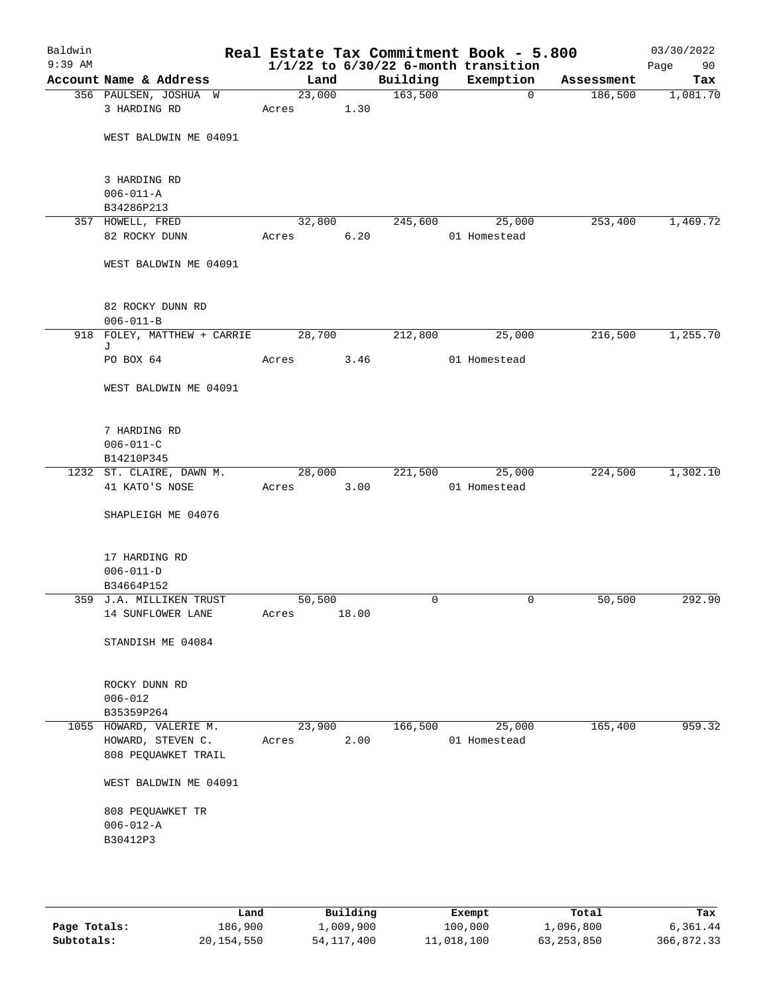| Baldwin<br>$9:39$ AM |                                              |                 |       |          | Real Estate Tax Commitment Book - 5.800<br>$1/1/22$ to $6/30/22$ 6-month transition |                         | 03/30/2022<br>Page<br>90 |
|----------------------|----------------------------------------------|-----------------|-------|----------|-------------------------------------------------------------------------------------|-------------------------|--------------------------|
|                      | Account Name & Address                       | Land            |       | Building | Exemption                                                                           | Assessment              | Tax                      |
|                      | 356 PAULSEN, JOSHUA W                        | 23,000          |       | 163,500  |                                                                                     | $\mathbf{0}$<br>186,500 | 1,081.70                 |
|                      | 3 HARDING RD                                 | Acres           | 1.30  |          |                                                                                     |                         |                          |
|                      | WEST BALDWIN ME 04091                        |                 |       |          |                                                                                     |                         |                          |
|                      | 3 HARDING RD                                 |                 |       |          |                                                                                     |                         |                          |
|                      | $006 - 011 - A$<br>B34286P213                |                 |       |          |                                                                                     |                         |                          |
|                      | 357 HOWELL, FRED                             | 32,800          |       | 245,600  | 25,000                                                                              | 253,400                 | 1,469.72                 |
|                      | 82 ROCKY DUNN                                | Acres           | 6.20  |          | 01 Homestead                                                                        |                         |                          |
|                      | WEST BALDWIN ME 04091                        |                 |       |          |                                                                                     |                         |                          |
|                      | 82 ROCKY DUNN RD                             |                 |       |          |                                                                                     |                         |                          |
|                      | $006 - 011 - B$                              |                 |       |          |                                                                                     |                         |                          |
|                      | 918 FOLEY, MATTHEW + CARRIE<br>J             | 28,700          |       | 212,800  | 25,000                                                                              | 216,500                 | 1,255.70                 |
|                      | PO BOX 64                                    | Acres           | 3.46  |          | 01 Homestead                                                                        |                         |                          |
|                      | WEST BALDWIN ME 04091                        |                 |       |          |                                                                                     |                         |                          |
|                      | 7 HARDING RD<br>$006 - 011 - C$              |                 |       |          |                                                                                     |                         |                          |
|                      | B14210P345                                   |                 |       |          |                                                                                     |                         |                          |
|                      | 1232 ST. CLAIRE, DAWN M.                     | 28,000          |       | 221,500  | 25,000                                                                              | 224,500                 | 1,302.10                 |
|                      | 41 KATO'S NOSE                               | Acres           | 3.00  |          | 01 Homestead                                                                        |                         |                          |
|                      | SHAPLEIGH ME 04076                           |                 |       |          |                                                                                     |                         |                          |
|                      | 17 HARDING RD                                |                 |       |          |                                                                                     |                         |                          |
|                      | $006 - 011 - D$                              |                 |       |          |                                                                                     |                         |                          |
|                      | B34664P152                                   |                 |       |          |                                                                                     |                         |                          |
|                      | 359 J.A. MILLIKEN TRUST<br>14 SUNFLOWER LANE | 50,500<br>Acres | 18.00 | 0        |                                                                                     | 50,500<br>0             | 292.90                   |
|                      | STANDISH ME 04084                            |                 |       |          |                                                                                     |                         |                          |
|                      | ROCKY DUNN RD                                |                 |       |          |                                                                                     |                         |                          |
|                      | $006 - 012$                                  |                 |       |          |                                                                                     |                         |                          |
|                      | B35359P264                                   |                 |       |          |                                                                                     |                         |                          |
|                      | 1055 HOWARD, VALERIE M.                      | 23,900          |       | 166,500  | 25,000                                                                              | 165,400                 | 959.32                   |
|                      | HOWARD, STEVEN C.<br>808 PEQUAWKET TRAIL     | Acres           | 2.00  |          | 01 Homestead                                                                        |                         |                          |
|                      | WEST BALDWIN ME 04091                        |                 |       |          |                                                                                     |                         |                          |
|                      | 808 PEQUAWKET TR                             |                 |       |          |                                                                                     |                         |                          |
|                      | $006 - 012 - A$<br>B30412P3                  |                 |       |          |                                                                                     |                         |                          |
|                      |                                              |                 |       |          |                                                                                     |                         |                          |

|              | Land       | Building     | Exempt     | Total        | Tax        |
|--------------|------------|--------------|------------|--------------|------------|
| Page Totals: | 186,900    | 1,009,900    | 100,000    | 1,096,800    | 6,361.44   |
| Subtotals:   | 20,154,550 | 54, 117, 400 | 11,018,100 | 63, 253, 850 | 366,872.33 |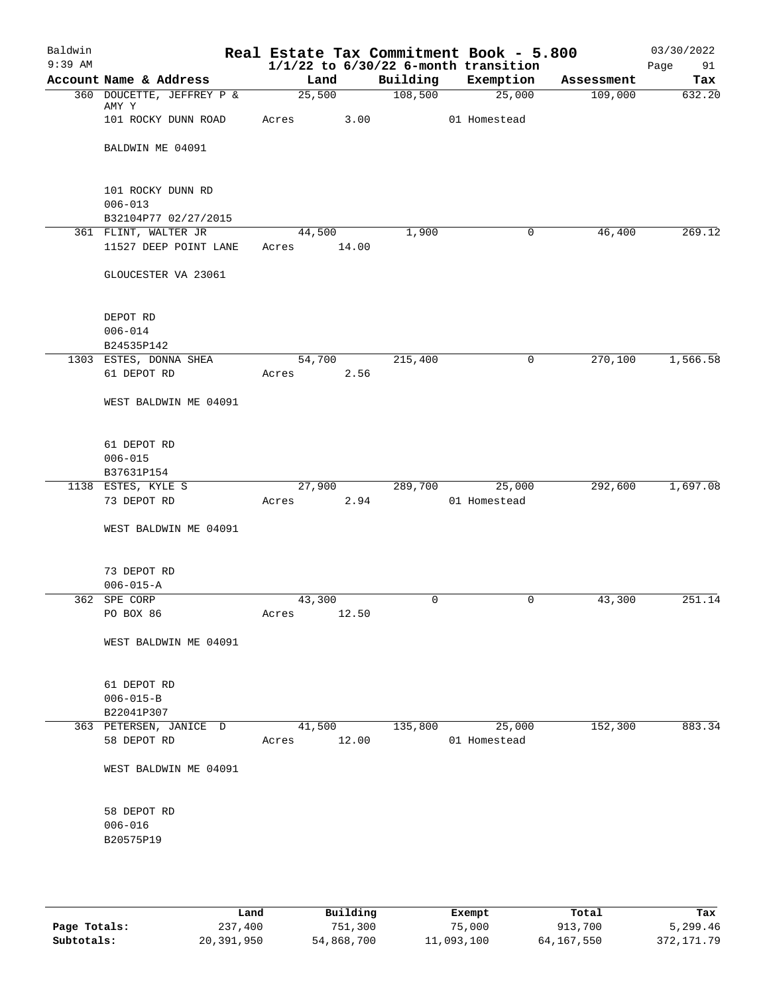| Baldwin<br>$9:39$ AM |                                                          |                       |       |          | Real Estate Tax Commitment Book - 5.800<br>$1/1/22$ to $6/30/22$ 6-month transition |            | 03/30/2022<br>Page<br>91 |
|----------------------|----------------------------------------------------------|-----------------------|-------|----------|-------------------------------------------------------------------------------------|------------|--------------------------|
|                      | Account Name & Address                                   | Land                  |       | Building | Exemption                                                                           | Assessment | Tax                      |
|                      | 360 DOUCETTE, JEFFREY P &<br>AMY Y                       | 25,500                |       | 108,500  | 25,000                                                                              | 109,000    | 632.20                   |
|                      | 101 ROCKY DUNN ROAD                                      | Acres                 | 3.00  |          | 01 Homestead                                                                        |            |                          |
|                      | BALDWIN ME 04091                                         |                       |       |          |                                                                                     |            |                          |
|                      | 101 ROCKY DUNN RD<br>$006 - 013$<br>B32104P77 02/27/2015 |                       |       |          |                                                                                     |            |                          |
|                      | 361 FLINT, WALTER JR<br>11527 DEEP POINT LANE            | 44,500<br>Acres 14.00 |       | 1,900    | 0                                                                                   | 46,400     | 269.12                   |
|                      | GLOUCESTER VA 23061                                      |                       |       |          |                                                                                     |            |                          |
|                      | DEPOT RD<br>$006 - 014$<br>B24535P142                    |                       |       |          |                                                                                     |            |                          |
|                      | 1303 ESTES, DONNA SHEA                                   | 54,700                |       | 215,400  | 0                                                                                   | 270,100    | 1,566.58                 |
|                      | 61 DEPOT RD                                              | Acres                 | 2.56  |          |                                                                                     |            |                          |
|                      | WEST BALDWIN ME 04091                                    |                       |       |          |                                                                                     |            |                          |
|                      | 61 DEPOT RD<br>$006 - 015$<br>B37631P154                 |                       |       |          |                                                                                     |            |                          |
|                      | 1138 ESTES, KYLE S                                       | 27,900                |       | 289,700  | 25,000                                                                              | 292,600    | 1,697.08                 |
|                      | 73 DEPOT RD                                              | Acres                 | 2.94  |          | 01 Homestead                                                                        |            |                          |
|                      | WEST BALDWIN ME 04091                                    |                       |       |          |                                                                                     |            |                          |
|                      | 73 DEPOT RD                                              |                       |       |          |                                                                                     |            |                          |
|                      | $006 - 015 - A$<br>362 SPE CORP                          | 43,300                |       | 0        | 0                                                                                   | 43,300     | 251.14                   |
|                      | PO BOX 86                                                | Acres                 | 12.50 |          |                                                                                     |            |                          |
|                      | WEST BALDWIN ME 04091                                    |                       |       |          |                                                                                     |            |                          |
|                      | 61 DEPOT RD<br>$006 - 015 - B$<br>B22041P307             |                       |       |          |                                                                                     |            |                          |
|                      | 363 PETERSEN, JANICE D                                   | 41,500                |       | 135,800  | 25,000                                                                              | 152,300    | 883.34                   |
|                      | 58 DEPOT RD                                              | Acres                 | 12.00 |          | 01 Homestead                                                                        |            |                          |
|                      | WEST BALDWIN ME 04091                                    |                       |       |          |                                                                                     |            |                          |
|                      | 58 DEPOT RD<br>$006 - 016$<br>B20575P19                  |                       |       |          |                                                                                     |            |                          |
|                      |                                                          |                       |       |          |                                                                                     |            |                          |

|              | Land       | Building   | Exempt     | Total      | Tax         |
|--------------|------------|------------|------------|------------|-------------|
| Page Totals: | 237,400    | 751,300    | 75,000     | 913,700    | 5,299.46    |
| Subtotals:   | 20,391,950 | 54,868,700 | 11,093,100 | 64,167,550 | 372, 171.79 |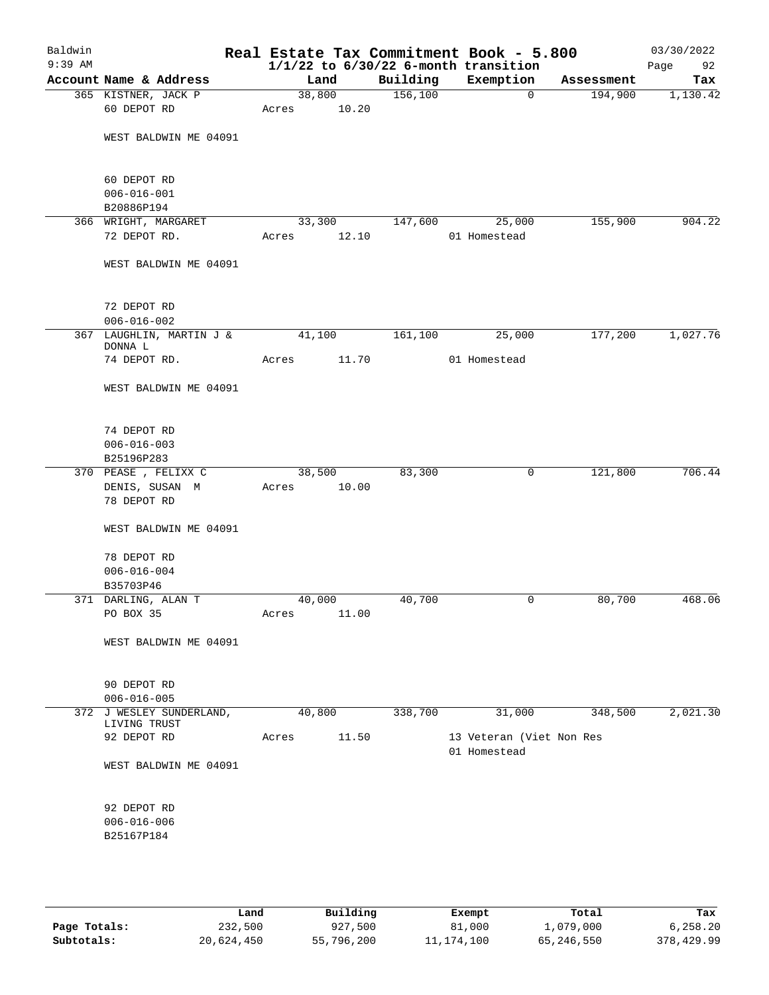| Baldwin<br>$9:39$ AM |                                                |                 |       |          | Real Estate Tax Commitment Book - 5.800<br>$1/1/22$ to $6/30/22$ 6-month transition |            | 03/30/2022<br>Page<br>92 |
|----------------------|------------------------------------------------|-----------------|-------|----------|-------------------------------------------------------------------------------------|------------|--------------------------|
|                      | Account Name & Address                         | Land            |       | Building | Exemption                                                                           | Assessment | Tax                      |
|                      | 365 KISTNER, JACK P<br>60 DEPOT RD             | 38,800<br>Acres | 10.20 | 156,100  | $\mathbf 0$                                                                         | 194,900    | 1,130.42                 |
|                      | WEST BALDWIN ME 04091                          |                 |       |          |                                                                                     |            |                          |
|                      | 60 DEPOT RD<br>$006 - 016 - 001$<br>B20886P194 |                 |       |          |                                                                                     |            |                          |
|                      | 366 WRIGHT, MARGARET                           | 33,300          |       | 147,600  | 25,000                                                                              | 155,900    | 904.22                   |
|                      | 72 DEPOT RD.                                   | Acres           | 12.10 |          | 01 Homestead                                                                        |            |                          |
|                      | WEST BALDWIN ME 04091                          |                 |       |          |                                                                                     |            |                          |
|                      | 72 DEPOT RD<br>$006 - 016 - 002$               |                 |       |          |                                                                                     |            |                          |
|                      | 367 LAUGHLIN, MARTIN J &                       | 41,100          |       | 161,100  | 25,000                                                                              | 177,200    | 1,027.76                 |
|                      | DONNA L<br>74 DEPOT RD.                        | Acres           | 11.70 |          | 01 Homestead                                                                        |            |                          |
|                      | WEST BALDWIN ME 04091                          |                 |       |          |                                                                                     |            |                          |
|                      | 74 DEPOT RD<br>$006 - 016 - 003$<br>B25196P283 |                 |       |          |                                                                                     |            |                          |
|                      | 370 PEASE , FELIXX C                           | 38,500          |       | 83,300   | 0                                                                                   | 121,800    | 706.44                   |
|                      | DENIS, SUSAN M<br>78 DEPOT RD                  | Acres           | 10.00 |          |                                                                                     |            |                          |
|                      | WEST BALDWIN ME 04091                          |                 |       |          |                                                                                     |            |                          |
|                      | 78 DEPOT RD<br>$006 - 016 - 004$<br>B35703P46  |                 |       |          |                                                                                     |            |                          |
|                      | 371 DARLING, ALAN T                            | 40,000          |       | 40,700   | 0                                                                                   | 80,700     | 468.06                   |
|                      | PO BOX 35                                      | Acres           | 11.00 |          |                                                                                     |            |                          |
|                      | WEST BALDWIN ME 04091                          |                 |       |          |                                                                                     |            |                          |
|                      |                                                |                 |       |          |                                                                                     |            |                          |
|                      | 90 DEPOT RD<br>$006 - 016 - 005$               |                 |       |          |                                                                                     |            |                          |
|                      | 372 J WESLEY SUNDERLAND,                       | 40,800          |       | 338,700  | 31,000                                                                              | 348,500    | 2,021.30                 |
|                      | LIVING TRUST                                   |                 |       |          |                                                                                     |            |                          |
|                      | 92 DEPOT RD                                    | Acres           | 11.50 |          | 13 Veteran (Viet Non Res<br>01 Homestead                                            |            |                          |
|                      | WEST BALDWIN ME 04091                          |                 |       |          |                                                                                     |            |                          |
|                      | 92 DEPOT RD<br>$006 - 016 - 006$<br>B25167P184 |                 |       |          |                                                                                     |            |                          |
|                      |                                                |                 |       |          |                                                                                     |            |                          |

|              | Land       | Building   | Exempt     | Total      | Tax        |
|--------------|------------|------------|------------|------------|------------|
|              |            |            |            |            |            |
| Page Totals: | 232,500    | 927,500    | 81,000     | 1,079,000  | 6,258.20   |
| Subtotals:   | 20,624,450 | 55,796,200 | 11,174,100 | 65,246,550 | 378,429.99 |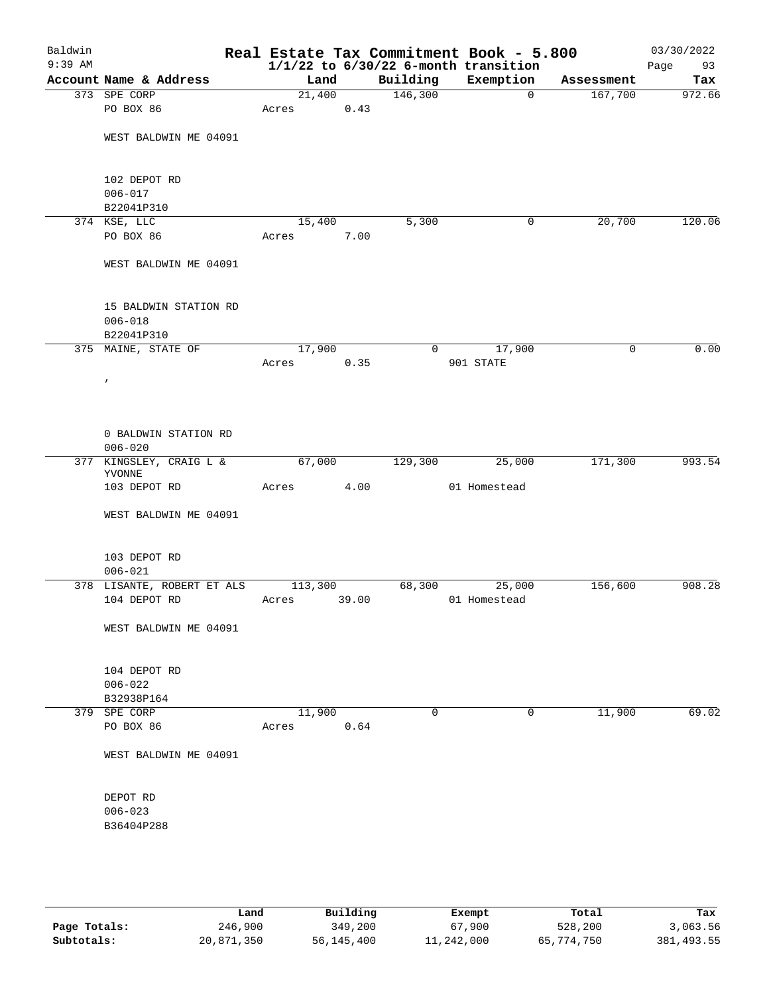| Building<br>Exemption<br>Account Name & Address<br>Land<br>Assessment<br>146,300<br>21,400<br>373 SPE CORP<br>167,700<br>$\mathbf{0}$<br>0.43<br>PO BOX 86<br>Acres<br>WEST BALDWIN ME 04091<br>102 DEPOT RD<br>$006 - 017$<br>B22041P310<br>5,300<br>20,700<br>374 KSE, LLC<br>15,400<br>0<br>PO BOX 86<br>7.00<br>Acres<br>WEST BALDWIN ME 04091<br>15 BALDWIN STATION RD<br>$006 - 018$<br>B22041P310<br>375 MAINE, STATE OF<br>17,900<br>17,900<br>0<br>0<br>901 STATE<br>0.35<br>Acres<br>$\prime$<br>0 BALDWIN STATION RD<br>$006 - 020$<br>67,000<br>25,000<br>171,300<br>377 KINGSLEY, CRAIG L &<br>129,300<br>YVONNE<br>4.00<br>01 Homestead<br>103 DEPOT RD<br>Acres<br>WEST BALDWIN ME 04091<br>103 DEPOT RD<br>$006 - 021$<br>378 LISANTE, ROBERT ET ALS<br>68,300<br>25,000<br>156,600<br>113,300<br>104 DEPOT RD<br>39.00<br>01 Homestead<br>Acres<br>WEST BALDWIN ME 04091<br>104 DEPOT RD<br>$006 - 022$<br>B32938P164<br>11,900<br>11,900<br>379 SPE CORP<br>0<br>0<br>PO BOX 86<br>0.64<br>Acres<br>WEST BALDWIN ME 04091<br>DEPOT RD<br>$006 - 023$<br>B36404P288 | Baldwin<br>$9:39$ AM |  |  | Real Estate Tax Commitment Book - 5.800<br>$1/1/22$ to $6/30/22$ 6-month transition | 03/30/2022<br>Page<br>93 |
|--------------------------------------------------------------------------------------------------------------------------------------------------------------------------------------------------------------------------------------------------------------------------------------------------------------------------------------------------------------------------------------------------------------------------------------------------------------------------------------------------------------------------------------------------------------------------------------------------------------------------------------------------------------------------------------------------------------------------------------------------------------------------------------------------------------------------------------------------------------------------------------------------------------------------------------------------------------------------------------------------------------------------------------------------------------------------------------|----------------------|--|--|-------------------------------------------------------------------------------------|--------------------------|
|                                                                                                                                                                                                                                                                                                                                                                                                                                                                                                                                                                                                                                                                                                                                                                                                                                                                                                                                                                                                                                                                                      |                      |  |  |                                                                                     | Tax                      |
|                                                                                                                                                                                                                                                                                                                                                                                                                                                                                                                                                                                                                                                                                                                                                                                                                                                                                                                                                                                                                                                                                      |                      |  |  |                                                                                     | 972.66                   |
|                                                                                                                                                                                                                                                                                                                                                                                                                                                                                                                                                                                                                                                                                                                                                                                                                                                                                                                                                                                                                                                                                      |                      |  |  |                                                                                     |                          |
|                                                                                                                                                                                                                                                                                                                                                                                                                                                                                                                                                                                                                                                                                                                                                                                                                                                                                                                                                                                                                                                                                      |                      |  |  |                                                                                     |                          |
|                                                                                                                                                                                                                                                                                                                                                                                                                                                                                                                                                                                                                                                                                                                                                                                                                                                                                                                                                                                                                                                                                      |                      |  |  |                                                                                     |                          |
|                                                                                                                                                                                                                                                                                                                                                                                                                                                                                                                                                                                                                                                                                                                                                                                                                                                                                                                                                                                                                                                                                      |                      |  |  |                                                                                     |                          |
|                                                                                                                                                                                                                                                                                                                                                                                                                                                                                                                                                                                                                                                                                                                                                                                                                                                                                                                                                                                                                                                                                      |                      |  |  |                                                                                     | 120.06                   |
|                                                                                                                                                                                                                                                                                                                                                                                                                                                                                                                                                                                                                                                                                                                                                                                                                                                                                                                                                                                                                                                                                      |                      |  |  |                                                                                     |                          |
|                                                                                                                                                                                                                                                                                                                                                                                                                                                                                                                                                                                                                                                                                                                                                                                                                                                                                                                                                                                                                                                                                      |                      |  |  |                                                                                     |                          |
|                                                                                                                                                                                                                                                                                                                                                                                                                                                                                                                                                                                                                                                                                                                                                                                                                                                                                                                                                                                                                                                                                      |                      |  |  |                                                                                     |                          |
|                                                                                                                                                                                                                                                                                                                                                                                                                                                                                                                                                                                                                                                                                                                                                                                                                                                                                                                                                                                                                                                                                      |                      |  |  |                                                                                     |                          |
|                                                                                                                                                                                                                                                                                                                                                                                                                                                                                                                                                                                                                                                                                                                                                                                                                                                                                                                                                                                                                                                                                      |                      |  |  |                                                                                     | 0.00                     |
|                                                                                                                                                                                                                                                                                                                                                                                                                                                                                                                                                                                                                                                                                                                                                                                                                                                                                                                                                                                                                                                                                      |                      |  |  |                                                                                     |                          |
|                                                                                                                                                                                                                                                                                                                                                                                                                                                                                                                                                                                                                                                                                                                                                                                                                                                                                                                                                                                                                                                                                      |                      |  |  |                                                                                     |                          |
|                                                                                                                                                                                                                                                                                                                                                                                                                                                                                                                                                                                                                                                                                                                                                                                                                                                                                                                                                                                                                                                                                      |                      |  |  |                                                                                     |                          |
|                                                                                                                                                                                                                                                                                                                                                                                                                                                                                                                                                                                                                                                                                                                                                                                                                                                                                                                                                                                                                                                                                      |                      |  |  |                                                                                     |                          |
|                                                                                                                                                                                                                                                                                                                                                                                                                                                                                                                                                                                                                                                                                                                                                                                                                                                                                                                                                                                                                                                                                      |                      |  |  |                                                                                     | 993.54                   |
|                                                                                                                                                                                                                                                                                                                                                                                                                                                                                                                                                                                                                                                                                                                                                                                                                                                                                                                                                                                                                                                                                      |                      |  |  |                                                                                     |                          |
|                                                                                                                                                                                                                                                                                                                                                                                                                                                                                                                                                                                                                                                                                                                                                                                                                                                                                                                                                                                                                                                                                      |                      |  |  |                                                                                     |                          |
|                                                                                                                                                                                                                                                                                                                                                                                                                                                                                                                                                                                                                                                                                                                                                                                                                                                                                                                                                                                                                                                                                      |                      |  |  |                                                                                     |                          |
|                                                                                                                                                                                                                                                                                                                                                                                                                                                                                                                                                                                                                                                                                                                                                                                                                                                                                                                                                                                                                                                                                      |                      |  |  |                                                                                     | 908.28                   |
|                                                                                                                                                                                                                                                                                                                                                                                                                                                                                                                                                                                                                                                                                                                                                                                                                                                                                                                                                                                                                                                                                      |                      |  |  |                                                                                     |                          |
|                                                                                                                                                                                                                                                                                                                                                                                                                                                                                                                                                                                                                                                                                                                                                                                                                                                                                                                                                                                                                                                                                      |                      |  |  |                                                                                     |                          |
|                                                                                                                                                                                                                                                                                                                                                                                                                                                                                                                                                                                                                                                                                                                                                                                                                                                                                                                                                                                                                                                                                      |                      |  |  |                                                                                     |                          |
|                                                                                                                                                                                                                                                                                                                                                                                                                                                                                                                                                                                                                                                                                                                                                                                                                                                                                                                                                                                                                                                                                      |                      |  |  |                                                                                     |                          |
|                                                                                                                                                                                                                                                                                                                                                                                                                                                                                                                                                                                                                                                                                                                                                                                                                                                                                                                                                                                                                                                                                      |                      |  |  |                                                                                     |                          |
|                                                                                                                                                                                                                                                                                                                                                                                                                                                                                                                                                                                                                                                                                                                                                                                                                                                                                                                                                                                                                                                                                      |                      |  |  |                                                                                     | 69.02                    |
|                                                                                                                                                                                                                                                                                                                                                                                                                                                                                                                                                                                                                                                                                                                                                                                                                                                                                                                                                                                                                                                                                      |                      |  |  |                                                                                     |                          |
|                                                                                                                                                                                                                                                                                                                                                                                                                                                                                                                                                                                                                                                                                                                                                                                                                                                                                                                                                                                                                                                                                      |                      |  |  |                                                                                     |                          |
|                                                                                                                                                                                                                                                                                                                                                                                                                                                                                                                                                                                                                                                                                                                                                                                                                                                                                                                                                                                                                                                                                      |                      |  |  |                                                                                     |                          |
|                                                                                                                                                                                                                                                                                                                                                                                                                                                                                                                                                                                                                                                                                                                                                                                                                                                                                                                                                                                                                                                                                      |                      |  |  |                                                                                     |                          |
|                                                                                                                                                                                                                                                                                                                                                                                                                                                                                                                                                                                                                                                                                                                                                                                                                                                                                                                                                                                                                                                                                      |                      |  |  |                                                                                     |                          |
|                                                                                                                                                                                                                                                                                                                                                                                                                                                                                                                                                                                                                                                                                                                                                                                                                                                                                                                                                                                                                                                                                      |                      |  |  |                                                                                     |                          |
|                                                                                                                                                                                                                                                                                                                                                                                                                                                                                                                                                                                                                                                                                                                                                                                                                                                                                                                                                                                                                                                                                      |                      |  |  |                                                                                     |                          |

|              | Land       | Building   | Exempt     | Total      | Tax         |
|--------------|------------|------------|------------|------------|-------------|
| Page Totals: | 246,900    | 349,200    | 67,900     | 528,200    | 3,063.56    |
| Subtotals:   | 20,871,350 | 56,145,400 | 11,242,000 | 65,774,750 | 381, 493.55 |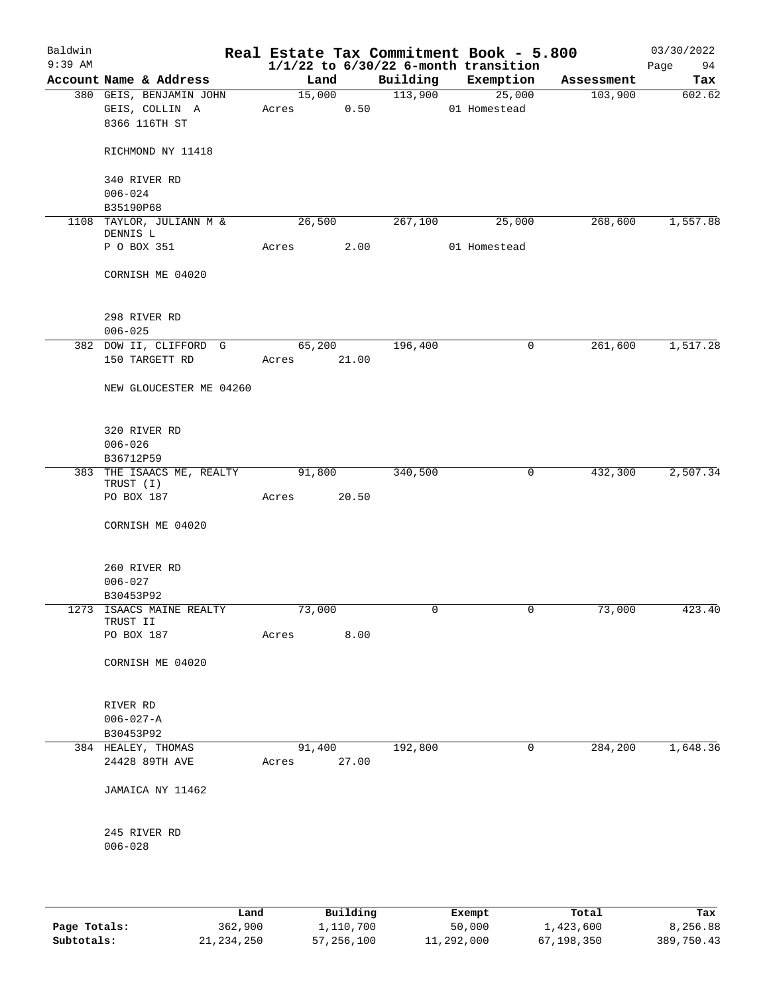| Baldwin<br>$9:39$ AM |                                                            |             |        |       |          | Real Estate Tax Commitment Book - 5.800<br>$1/1/22$ to $6/30/22$ 6-month transition |            | 03/30/2022<br>Page<br>94 |
|----------------------|------------------------------------------------------------|-------------|--------|-------|----------|-------------------------------------------------------------------------------------|------------|--------------------------|
|                      | Account Name & Address                                     |             | Land   |       | Building | Exemption                                                                           | Assessment | Tax                      |
|                      | 380 GEIS, BENJAMIN JOHN<br>GEIS, COLLIN A<br>8366 116TH ST | Acres       | 15,000 | 0.50  | 113,900  | 25,000<br>01 Homestead                                                              | 103,900    | 602.62                   |
|                      | RICHMOND NY 11418                                          |             |        |       |          |                                                                                     |            |                          |
|                      | 340 RIVER RD                                               |             |        |       |          |                                                                                     |            |                          |
|                      | $006 - 024$<br>B35190P68                                   |             |        |       |          |                                                                                     |            |                          |
|                      | 1108 TAYLOR, JULIANN M &<br>DENNIS L                       |             | 26,500 |       | 267,100  | 25,000                                                                              | 268,600    | 1,557.88                 |
|                      | P O BOX 351                                                | Acres       |        | 2.00  |          | 01 Homestead                                                                        |            |                          |
|                      | CORNISH ME 04020                                           |             |        |       |          |                                                                                     |            |                          |
|                      | 298 RIVER RD<br>$006 - 025$                                |             |        |       |          |                                                                                     |            |                          |
|                      | 382 DOW II, CLIFFORD G                                     |             | 65,200 |       | 196,400  | 0                                                                                   | 261,600    | 1,517.28                 |
|                      | 150 TARGETT RD                                             | Acres 21.00 |        |       |          |                                                                                     |            |                          |
|                      | NEW GLOUCESTER ME 04260                                    |             |        |       |          |                                                                                     |            |                          |
|                      | 320 RIVER RD<br>$006 - 026$                                |             |        |       |          |                                                                                     |            |                          |
|                      | B36712P59                                                  |             |        |       |          |                                                                                     |            |                          |
|                      | 383 THE ISAACS ME, REALTY<br>TRUST (I)                     |             | 91,800 |       | 340,500  | 0                                                                                   | 432,300    | 2,507.34                 |
|                      | PO BOX 187                                                 | Acres       |        | 20.50 |          |                                                                                     |            |                          |
|                      | CORNISH ME 04020                                           |             |        |       |          |                                                                                     |            |                          |
|                      | 260 RIVER RD                                               |             |        |       |          |                                                                                     |            |                          |
|                      | $006 - 027$                                                |             |        |       |          |                                                                                     |            |                          |
|                      | B30453P92                                                  |             |        |       |          |                                                                                     |            |                          |
|                      | 1273 ISAACS MAINE REALTY<br>TRUST II                       |             | 73,000 |       |          |                                                                                     | 73,000     | 423.40                   |
|                      | PO BOX 187                                                 | Acres       |        | 8.00  |          |                                                                                     |            |                          |
|                      | CORNISH ME 04020                                           |             |        |       |          |                                                                                     |            |                          |
|                      | RIVER RD                                                   |             |        |       |          |                                                                                     |            |                          |
|                      | $006 - 027 - A$                                            |             |        |       |          |                                                                                     |            |                          |
|                      | B30453P92                                                  |             |        |       |          |                                                                                     |            |                          |
|                      | 384 HEALEY, THOMAS<br>24428 89TH AVE                       | Acres       | 91,400 | 27.00 | 192,800  | 0                                                                                   | 284,200    | 1,648.36                 |
|                      | JAMAICA NY 11462                                           |             |        |       |          |                                                                                     |            |                          |
|                      | 245 RIVER RD                                               |             |        |       |          |                                                                                     |            |                          |
|                      | $006 - 028$                                                |             |        |       |          |                                                                                     |            |                          |
|                      |                                                            |             |        |       |          |                                                                                     |            |                          |

|              | Land       | Building   | Exempt     | Total      | Tax        |
|--------------|------------|------------|------------|------------|------------|
| Page Totals: | 362,900    | 1,110,700  | 50,000     | 1,423,600  | 8,256.88   |
| Subtotals:   | 21,234,250 | 57,256,100 | 11,292,000 | 67,198,350 | 389,750.43 |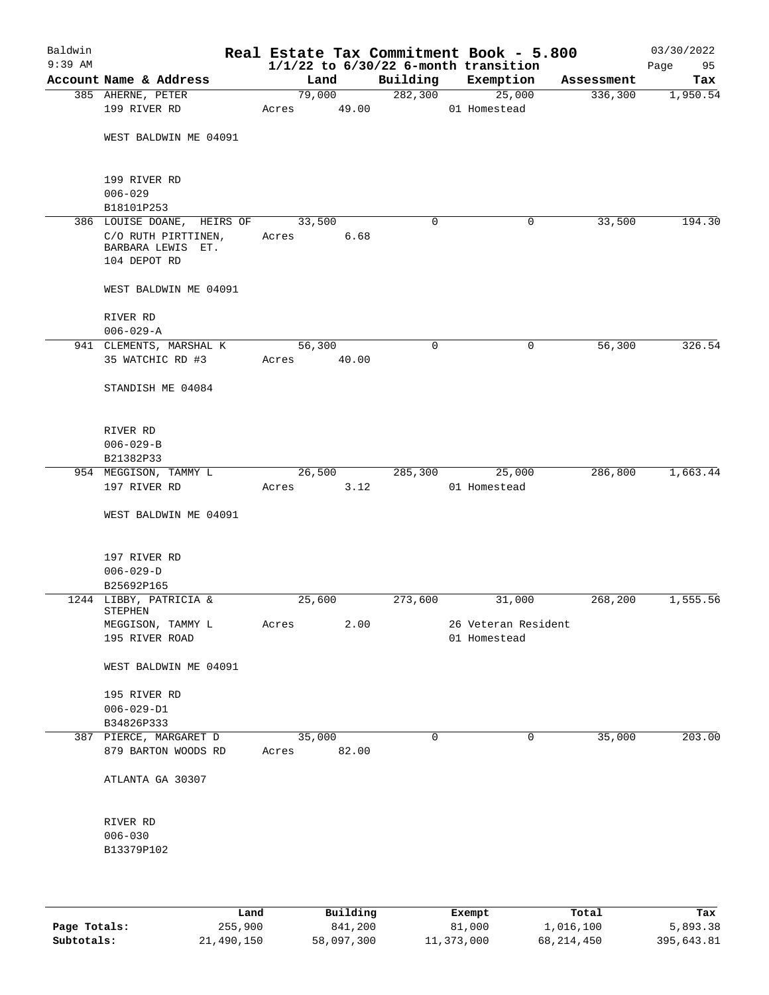| Baldwin<br>$9:39$ AM |                                                          |       |        |       | Real Estate Tax Commitment Book - 5.800<br>$1/1/22$ to $6/30/22$ 6-month transition |                     |             |            | 03/30/2022<br>95<br>Page |
|----------------------|----------------------------------------------------------|-------|--------|-------|-------------------------------------------------------------------------------------|---------------------|-------------|------------|--------------------------|
|                      | Account Name & Address                                   |       | Land   |       | Building                                                                            | Exemption           |             | Assessment | Tax                      |
|                      | 385 AHERNE, PETER                                        |       | 79,000 |       | 282,300                                                                             |                     | 25,000      | 336,300    | 1,950.54                 |
|                      | 199 RIVER RD                                             | Acres |        | 49.00 |                                                                                     | 01 Homestead        |             |            |                          |
|                      | WEST BALDWIN ME 04091                                    |       |        |       |                                                                                     |                     |             |            |                          |
|                      | 199 RIVER RD<br>$006 - 029$                              |       |        |       |                                                                                     |                     |             |            |                          |
|                      | B18101P253                                               |       |        |       |                                                                                     |                     |             |            |                          |
|                      | 386 LOUISE DOANE, HEIRS OF                               |       | 33,500 |       | 0                                                                                   |                     | 0           | 33,500     | 194.30                   |
|                      | C/O RUTH PIRTTINEN,<br>BARBARA LEWIS ET.<br>104 DEPOT RD | Acres |        | 6.68  |                                                                                     |                     |             |            |                          |
|                      | WEST BALDWIN ME 04091                                    |       |        |       |                                                                                     |                     |             |            |                          |
|                      | RIVER RD<br>$006 - 029 - A$                              |       |        |       |                                                                                     |                     |             |            |                          |
|                      | 941 CLEMENTS, MARSHAL K                                  |       | 56,300 |       | 0                                                                                   |                     | 0           | 56,300     | 326.54                   |
|                      | 35 WATCHIC RD #3                                         | Acres |        | 40.00 |                                                                                     |                     |             |            |                          |
|                      | STANDISH ME 04084                                        |       |        |       |                                                                                     |                     |             |            |                          |
|                      | RIVER RD                                                 |       |        |       |                                                                                     |                     |             |            |                          |
|                      | $006 - 029 - B$                                          |       |        |       |                                                                                     |                     |             |            |                          |
|                      | B21382P33                                                |       |        |       |                                                                                     |                     |             |            |                          |
|                      | 954 MEGGISON, TAMMY L                                    |       | 26,500 |       | 285,300                                                                             |                     | 25,000      | 286,800    | 1,663.44                 |
|                      | 197 RIVER RD                                             | Acres |        | 3.12  |                                                                                     | 01 Homestead        |             |            |                          |
|                      | WEST BALDWIN ME 04091                                    |       |        |       |                                                                                     |                     |             |            |                          |
|                      | 197 RIVER RD                                             |       |        |       |                                                                                     |                     |             |            |                          |
|                      | $006 - 029 - D$                                          |       |        |       |                                                                                     |                     |             |            |                          |
|                      | B25692P165                                               |       |        |       |                                                                                     |                     |             |            |                          |
|                      | 1244 LIBBY, PATRICIA &<br>STEPHEN                        |       | 25,600 |       | 273,600                                                                             |                     | 31,000      | 268,200    | 1,555.56                 |
|                      | MEGGISON, TAMMY L                                        | Acres |        | 2.00  |                                                                                     | 26 Veteran Resident |             |            |                          |
|                      | 195 RIVER ROAD                                           |       |        |       |                                                                                     | 01 Homestead        |             |            |                          |
|                      | WEST BALDWIN ME 04091                                    |       |        |       |                                                                                     |                     |             |            |                          |
|                      | 195 RIVER RD<br>$006 - 029 - D1$                         |       |        |       |                                                                                     |                     |             |            |                          |
|                      | B34826P333                                               |       |        |       |                                                                                     |                     |             |            |                          |
|                      | 387 PIERCE, MARGARET D                                   |       | 35,000 |       | $\mathbf 0$                                                                         |                     | $\mathbf 0$ | 35,000     | 203.00                   |
|                      | 879 BARTON WOODS RD                                      | Acres |        | 82.00 |                                                                                     |                     |             |            |                          |
|                      | ATLANTA GA 30307                                         |       |        |       |                                                                                     |                     |             |            |                          |
|                      | RIVER RD                                                 |       |        |       |                                                                                     |                     |             |            |                          |
|                      | $006 - 030$                                              |       |        |       |                                                                                     |                     |             |            |                          |
|                      | B13379P102                                               |       |        |       |                                                                                     |                     |             |            |                          |
|                      |                                                          |       |        |       |                                                                                     |                     |             |            |                          |
|                      |                                                          |       |        |       |                                                                                     |                     |             |            |                          |

|              | Land       | Building   | Exempt     | Total      | Tax        |
|--------------|------------|------------|------------|------------|------------|
| Page Totals: | 255,900    | 841,200    | 81,000     | 1,016,100  | 5,893.38   |
| Subtotals:   | 21,490,150 | 58,097,300 | 11,373,000 | 68,214,450 | 395,643.81 |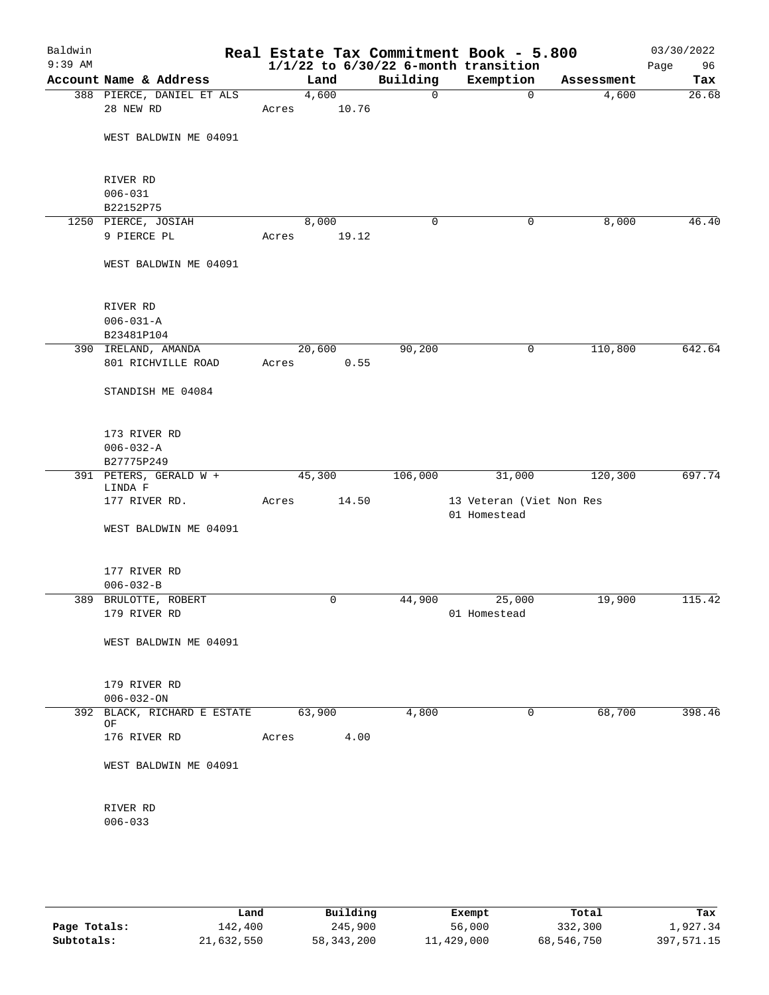| Baldwin<br>$9:39$ AM |                                           |       |                |             | Real Estate Tax Commitment Book - 5.800<br>$1/1/22$ to $6/30/22$ 6-month transition |            | 03/30/2022<br>Page<br>96 |
|----------------------|-------------------------------------------|-------|----------------|-------------|-------------------------------------------------------------------------------------|------------|--------------------------|
|                      | Account Name & Address                    |       | Land           | Building    | Exemption                                                                           | Assessment | Tax                      |
|                      | 388 PIERCE, DANIEL ET ALS                 |       | 4,600          | $\mathbf 0$ | $\mathbf 0$                                                                         | 4,600      | 26.68                    |
|                      | 28 NEW RD                                 | Acres | 10.76          |             |                                                                                     |            |                          |
|                      | WEST BALDWIN ME 04091                     |       |                |             |                                                                                     |            |                          |
|                      | RIVER RD                                  |       |                |             |                                                                                     |            |                          |
|                      | $006 - 031$<br>B22152P75                  |       |                |             |                                                                                     |            |                          |
|                      | 1250 PIERCE, JOSIAH                       |       | 8,000          | 0           | 0                                                                                   | 8,000      | 46.40                    |
|                      | 9 PIERCE PL                               | Acres | 19.12          |             |                                                                                     |            |                          |
|                      | WEST BALDWIN ME 04091                     |       |                |             |                                                                                     |            |                          |
|                      | RIVER RD                                  |       |                |             |                                                                                     |            |                          |
|                      | $006 - 031 - A$                           |       |                |             |                                                                                     |            |                          |
|                      | B23481P104                                |       |                |             |                                                                                     |            |                          |
|                      | 390 IRELAND, AMANDA<br>801 RICHVILLE ROAD | Acres | 20,600<br>0.55 | 90,200      | $\mathsf{O}$                                                                        | 110,800    | 642.64                   |
|                      | STANDISH ME 04084                         |       |                |             |                                                                                     |            |                          |
|                      | 173 RIVER RD<br>$006 - 032 - A$           |       |                |             |                                                                                     |            |                          |
|                      | B27775P249                                |       |                |             |                                                                                     |            |                          |
|                      | 391 PETERS, GERALD W +<br>LINDA F         |       | 45,300         | 106,000     | 31,000                                                                              | 120,300    | 697.74                   |
|                      | 177 RIVER RD.                             | Acres | 14.50          |             | 13 Veteran (Viet Non Res<br>01 Homestead                                            |            |                          |
|                      | WEST BALDWIN ME 04091                     |       |                |             |                                                                                     |            |                          |
|                      | 177 RIVER RD<br>$006 - 032 - B$           |       |                |             |                                                                                     |            |                          |
|                      | 389 BRULOTTE, ROBERT                      |       | 0              | 44,900      | 25,000                                                                              | 19,900     | 115.42                   |
|                      | 179 RIVER RD                              |       |                |             | 01 Homestead                                                                        |            |                          |
|                      | WEST BALDWIN ME 04091                     |       |                |             |                                                                                     |            |                          |
|                      | 179 RIVER RD                              |       |                |             |                                                                                     |            |                          |
|                      | $006 - 032 - ON$                          |       |                |             |                                                                                     |            |                          |
|                      | 392 BLACK, RICHARD E ESTATE<br>OF         |       | 63,900         | 4,800       | 0                                                                                   | 68,700     | 398.46                   |
|                      | 176 RIVER RD                              | Acres | 4.00           |             |                                                                                     |            |                          |
|                      | WEST BALDWIN ME 04091                     |       |                |             |                                                                                     |            |                          |
|                      | RIVER RD                                  |       |                |             |                                                                                     |            |                          |
|                      | $006 - 033$                               |       |                |             |                                                                                     |            |                          |
|                      |                                           |       |                |             |                                                                                     |            |                          |
|                      |                                           |       |                |             |                                                                                     |            |                          |

|              | Land       | Building     | Exempt     | Total      | Tax        |
|--------------|------------|--------------|------------|------------|------------|
| Page Totals: | 142,400    | 245,900      | 56,000     | 332,300    | 1,927.34   |
| Subtotals:   | 21,632,550 | 58, 343, 200 | 11,429,000 | 68,546,750 | 397,571.15 |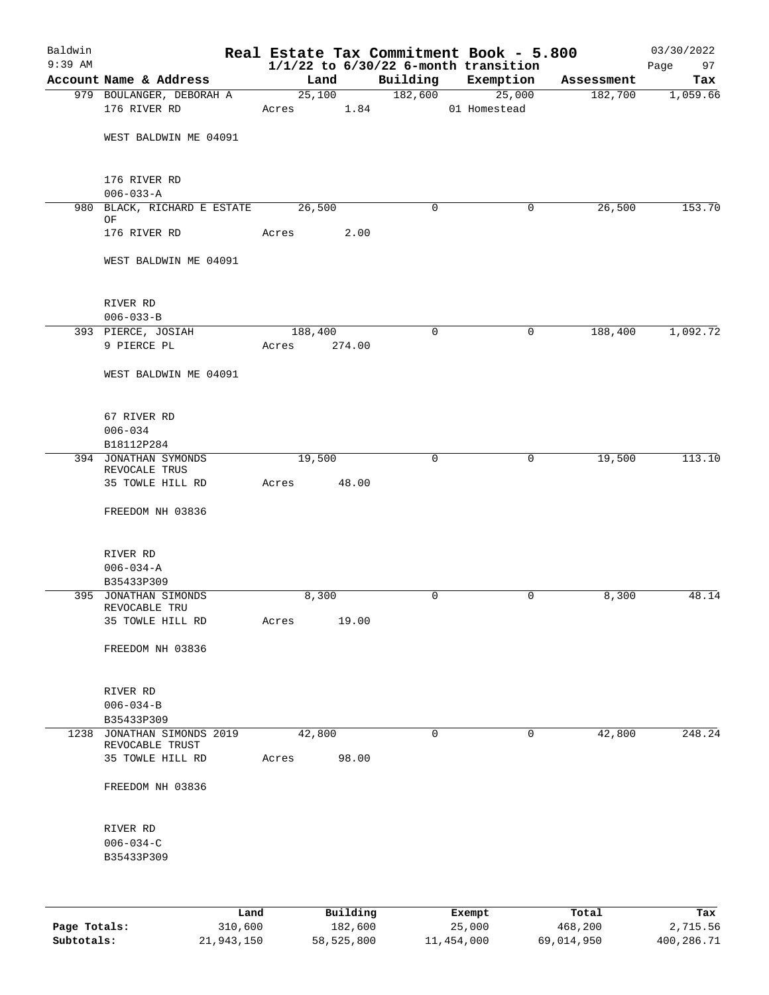| Baldwin   |                                               |             |          |                     | Real Estate Tax Commitment Book - 5.800  |                       | 03/30/2022      |
|-----------|-----------------------------------------------|-------------|----------|---------------------|------------------------------------------|-----------------------|-----------------|
| $9:39$ AM | Account Name & Address                        | Land        |          |                     | $1/1/22$ to $6/30/22$ 6-month transition |                       | Page<br>97      |
|           | 979 BOULANGER, DEBORAH A                      |             | 25,100   | Building<br>182,600 | Exemption<br>25,000                      | Assessment<br>182,700 | Tax<br>1,059.66 |
|           | 176 RIVER RD                                  | Acres 1.84  |          |                     | 01 Homestead                             |                       |                 |
|           | WEST BALDWIN ME 04091                         |             |          |                     |                                          |                       |                 |
|           | 176 RIVER RD                                  |             |          |                     |                                          |                       |                 |
|           | $006 - 033 - A$                               |             |          |                     |                                          |                       |                 |
|           | 980 BLACK, RICHARD E ESTATE<br>OF             | 26,500      |          | $\mathbf 0$         | 0                                        | 26,500                | 153.70          |
|           | 176 RIVER RD                                  | Acres       | 2.00     |                     |                                          |                       |                 |
|           | WEST BALDWIN ME 04091                         |             |          |                     |                                          |                       |                 |
|           | RIVER RD                                      |             |          |                     |                                          |                       |                 |
|           | $006 - 033 - B$                               | 188,400     |          | $\mathbf 0$         | 0                                        | 188,400               | 1,092.72        |
|           | 393 PIERCE, JOSIAH<br>9 PIERCE PL             | Acres       | 274.00   |                     |                                          |                       |                 |
|           | WEST BALDWIN ME 04091                         |             |          |                     |                                          |                       |                 |
|           |                                               |             |          |                     |                                          |                       |                 |
|           | 67 RIVER RD<br>$006 - 034$                    |             |          |                     |                                          |                       |                 |
|           | B18112P284                                    |             |          |                     |                                          |                       |                 |
|           | 394 JONATHAN SYMONDS                          | 19,500      |          | $\mathbf 0$         | 0                                        | 19,500                | 113.10          |
|           | REVOCALE TRUS<br>35 TOWLE HILL RD             | Acres 48.00 |          |                     |                                          |                       |                 |
|           | FREEDOM NH 03836                              |             |          |                     |                                          |                       |                 |
|           | RIVER RD                                      |             |          |                     |                                          |                       |                 |
|           | $006 - 034 - A$                               |             |          |                     |                                          |                       |                 |
|           | B35433P309                                    |             |          |                     |                                          |                       |                 |
|           | 395 JONATHAN SIMONDS<br>REVOCABLE TRU         | 8,300       |          | $\mathbf 0$         | 0                                        | 8,300                 | 48.14           |
|           | 35 TOWLE HILL RD                              | Acres       | 19.00    |                     |                                          |                       |                 |
|           | FREEDOM NH 03836                              |             |          |                     |                                          |                       |                 |
|           | RIVER RD                                      |             |          |                     |                                          |                       |                 |
|           | $006 - 034 - B$                               |             |          |                     |                                          |                       |                 |
|           | B35433P309                                    |             |          |                     |                                          |                       |                 |
|           | 1238 JONATHAN SIMONDS 2019<br>REVOCABLE TRUST | 42,800      |          | 0                   | 0                                        | 42,800                | 248.24          |
|           | 35 TOWLE HILL RD                              | Acres       | 98.00    |                     |                                          |                       |                 |
|           | FREEDOM NH 03836                              |             |          |                     |                                          |                       |                 |
|           | RIVER RD                                      |             |          |                     |                                          |                       |                 |
|           | $006 - 034 - C$                               |             |          |                     |                                          |                       |                 |
|           | B35433P309                                    |             |          |                     |                                          |                       |                 |
|           |                                               |             |          |                     |                                          |                       |                 |
|           | Land                                          |             | Building |                     | Exempt                                   | Total                 | Tax             |

|              | nana       | <u>DULLULUM</u> | <b>BY CITING</b> | - 2001     | $-0.2$     |
|--------------|------------|-----------------|------------------|------------|------------|
| Page Totals: | 310,600    | 182,600         | 25,000           | 468,200    | 2,715.56   |
| Subtotals:   | 21,943,150 | 58,525,800      | 11,454,000       | 69,014,950 | 400,286.71 |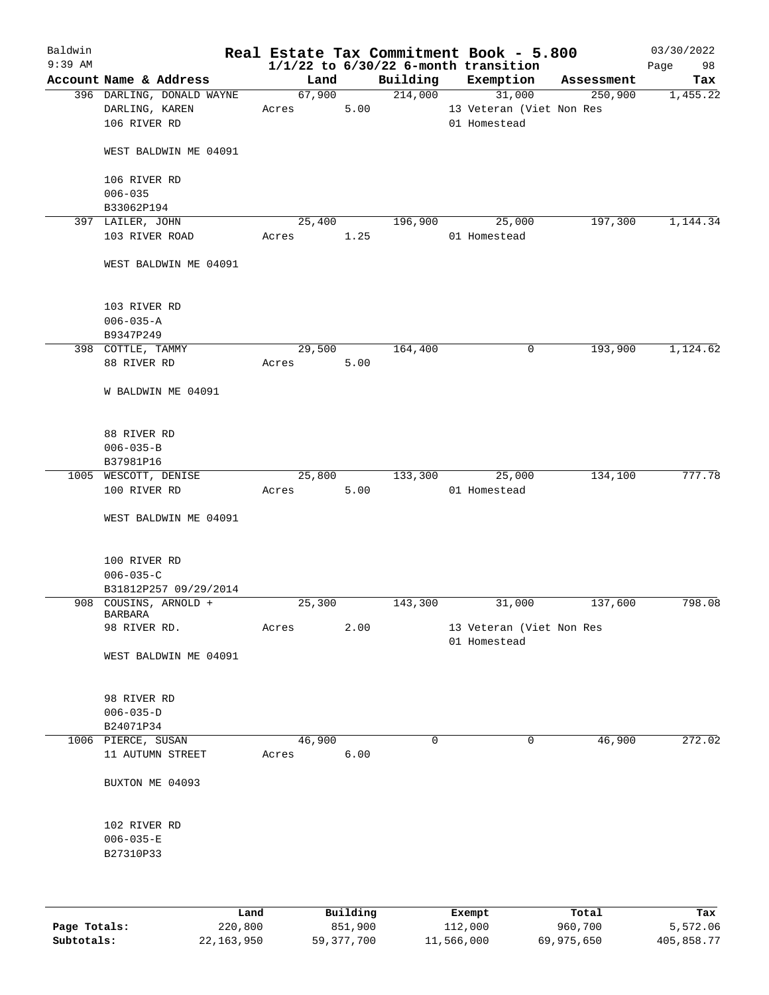| Baldwin<br>$9:39$ AM |                                             |      |       |        |            |         | Real Estate Tax Commitment Book - 5.800<br>$1/1/22$ to $6/30/22$ 6-month transition |            | 03/30/2022<br>98<br>Page |
|----------------------|---------------------------------------------|------|-------|--------|------------|---------|-------------------------------------------------------------------------------------|------------|--------------------------|
|                      | Account Name & Address                      |      |       | Land   |            |         | Building Exemption                                                                  | Assessment | Tax                      |
|                      | 396 DARLING, DONALD WAYNE<br>DARLING, KAREN |      | Acres | 67,900 | 5.00       | 214,000 | 31,000<br>13 Veteran (Viet Non Res                                                  | 250,900    | 1,455.22                 |
|                      | 106 RIVER RD                                |      |       |        |            |         | 01 Homestead                                                                        |            |                          |
|                      | WEST BALDWIN ME 04091                       |      |       |        |            |         |                                                                                     |            |                          |
|                      | 106 RIVER RD<br>$006 - 035$                 |      |       |        |            |         |                                                                                     |            |                          |
|                      | B33062P194                                  |      |       |        |            |         |                                                                                     |            |                          |
|                      | 397 LAILER, JOHN                            |      |       | 25,400 |            | 196,900 | 25,000                                                                              | 197,300    | 1,144.34                 |
|                      | 103 RIVER ROAD                              |      |       |        | Acres 1.25 |         | 01 Homestead                                                                        |            |                          |
|                      | WEST BALDWIN ME 04091                       |      |       |        |            |         |                                                                                     |            |                          |
|                      | 103 RIVER RD                                |      |       |        |            |         |                                                                                     |            |                          |
|                      | $006 - 035 - A$                             |      |       |        |            |         |                                                                                     |            |                          |
|                      | B9347P249                                   |      |       |        |            |         |                                                                                     |            |                          |
|                      | 398 COTTLE, TAMMY                           |      |       | 29,500 |            | 164,400 | 0                                                                                   | 193,900    | 1,124.62                 |
|                      | 88 RIVER RD                                 |      | Acres |        | 5.00       |         |                                                                                     |            |                          |
|                      | W BALDWIN ME 04091                          |      |       |        |            |         |                                                                                     |            |                          |
|                      | 88 RIVER RD                                 |      |       |        |            |         |                                                                                     |            |                          |
|                      | $006 - 035 - B$                             |      |       |        |            |         |                                                                                     |            |                          |
|                      | B37981P16                                   |      |       |        |            |         |                                                                                     |            |                          |
|                      | 1005 WESCOTT, DENISE                        |      |       | 25,800 |            | 133,300 | 25,000                                                                              | 134,100    | 777.78                   |
|                      | 100 RIVER RD                                |      | Acres |        | 5.00       |         | 01 Homestead                                                                        |            |                          |
|                      | WEST BALDWIN ME 04091                       |      |       |        |            |         |                                                                                     |            |                          |
|                      | 100 RIVER RD                                |      |       |        |            |         |                                                                                     |            |                          |
|                      | $006 - 035 - C$                             |      |       |        |            |         |                                                                                     |            |                          |
|                      | B31812P257 09/29/2014                       |      |       |        |            |         |                                                                                     |            |                          |
|                      | 908 COUSINS, ARNOLD +<br>BARBARA            |      |       | 25,300 |            | 143,300 | 31,000                                                                              | 137,600    | 798.08                   |
|                      | 98 RIVER RD.                                |      | Acres |        | 2.00       |         | 13 Veteran (Viet Non Res<br>01 Homestead                                            |            |                          |
|                      | WEST BALDWIN ME 04091                       |      |       |        |            |         |                                                                                     |            |                          |
|                      | 98 RIVER RD                                 |      |       |        |            |         |                                                                                     |            |                          |
|                      | $006 - 035 - D$                             |      |       |        |            |         |                                                                                     |            |                          |
|                      | B24071P34                                   |      |       |        |            |         |                                                                                     |            |                          |
|                      | 1006 PIERCE, SUSAN                          |      |       | 46,900 |            | 0       | 0                                                                                   | 46,900     | 272.02                   |
|                      | 11 AUTUMN STREET                            |      | Acres |        | 6.00       |         |                                                                                     |            |                          |
|                      | BUXTON ME 04093                             |      |       |        |            |         |                                                                                     |            |                          |
|                      | 102 RIVER RD                                |      |       |        |            |         |                                                                                     |            |                          |
|                      | $006 - 035 - E$                             |      |       |        |            |         |                                                                                     |            |                          |
|                      | B27310P33                                   |      |       |        |            |         |                                                                                     |            |                          |
|                      |                                             |      |       |        |            |         |                                                                                     |            |                          |
|                      |                                             | Land |       |        | Building   |         | Exempt                                                                              | Total      | Tax                      |

**Page Totals:** 220,800 851,900 112,000 960,700 5,572.06 **Subtotals:** 22,163,950 59,377,700 11,566,000 69,975,650 405,858.77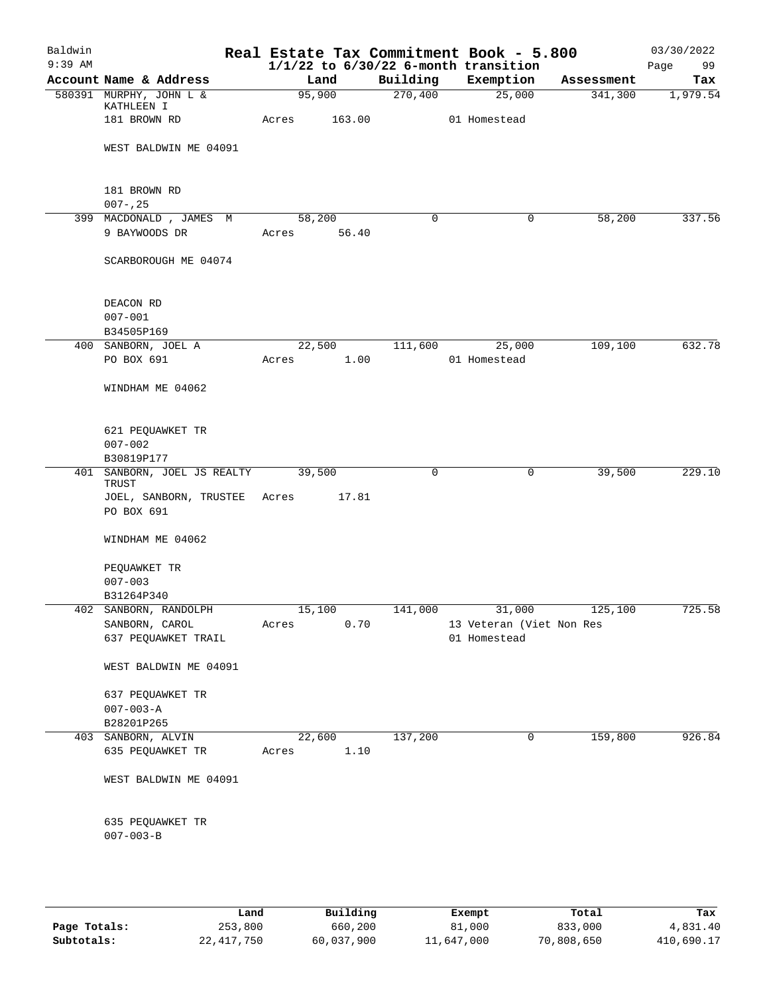| Baldwin<br>$9:39$ AM |                                        |                 |        |          | Real Estate Tax Commitment Book - 5.800<br>$1/1/22$ to $6/30/22$ 6-month transition |                        | 03/30/2022<br>Page<br>99 |
|----------------------|----------------------------------------|-----------------|--------|----------|-------------------------------------------------------------------------------------|------------------------|--------------------------|
|                      | Account Name & Address                 | Land            |        | Building | Exemption                                                                           | Assessment             | Tax                      |
|                      | 580391 MURPHY, JOHN L &                | 95,900          |        | 270,400  | 25,000                                                                              | 341,300                | 1,979.54                 |
|                      | KATHLEEN I<br>181 BROWN RD             | Acres           | 163.00 |          | 01 Homestead                                                                        |                        |                          |
|                      | WEST BALDWIN ME 04091                  |                 |        |          |                                                                                     |                        |                          |
|                      | 181 BROWN RD<br>$007 - 25$             |                 |        |          |                                                                                     |                        |                          |
|                      | 399 MACDONALD, JAMES M                 | 58,200          |        | 0        | $\mathbf 0$                                                                         | 58,200                 | 337.56                   |
|                      | 9 BAYWOODS DR                          | Acres 56.40     |        |          |                                                                                     |                        |                          |
|                      | SCARBOROUGH ME 04074                   |                 |        |          |                                                                                     |                        |                          |
|                      | DEACON RD                              |                 |        |          |                                                                                     |                        |                          |
|                      | $007 - 001$                            |                 |        |          |                                                                                     |                        |                          |
|                      | B34505P169                             |                 |        |          |                                                                                     |                        |                          |
|                      | 400 SANBORN, JOEL A                    | 22,500          |        | 111,600  | 25,000                                                                              | 109,100                | 632.78                   |
|                      | PO BOX 691                             | Acres           | 1.00   |          | 01 Homestead                                                                        |                        |                          |
|                      | WINDHAM ME 04062                       |                 |        |          |                                                                                     |                        |                          |
|                      | 621 PEQUAWKET TR                       |                 |        |          |                                                                                     |                        |                          |
|                      | $007 - 002$                            |                 |        |          |                                                                                     |                        |                          |
|                      | B30819P177                             |                 |        |          |                                                                                     |                        |                          |
|                      | 401 SANBORN, JOEL JS REALTY<br>TRUST   | 39,500          |        | 0        | $\mathbf 0$                                                                         | 39,500                 | 229.10                   |
|                      | JOEL, SANBORN, TRUSTEE Acres           |                 | 17.81  |          |                                                                                     |                        |                          |
|                      | PO BOX 691                             |                 |        |          |                                                                                     |                        |                          |
|                      | WINDHAM ME 04062                       |                 |        |          |                                                                                     |                        |                          |
|                      | PEQUAWKET TR                           |                 |        |          |                                                                                     |                        |                          |
|                      | $007 - 003$                            |                 |        |          |                                                                                     |                        |                          |
|                      | B31264P340                             |                 |        |          |                                                                                     |                        |                          |
|                      | 402 SANBORN, RANDOLPH                  | 15,100          |        |          |                                                                                     | 141,000 31,000 125,100 | 725.58                   |
|                      | SANBORN, CAROL<br>637 PEQUAWKET TRAIL  | Acres           | 0.70   |          | 13 Veteran (Viet Non Res<br>01 Homestead                                            |                        |                          |
|                      |                                        |                 |        |          |                                                                                     |                        |                          |
|                      | WEST BALDWIN ME 04091                  |                 |        |          |                                                                                     |                        |                          |
|                      | 637 PEQUAWKET TR                       |                 |        |          |                                                                                     |                        |                          |
|                      | $007 - 003 - A$                        |                 |        |          |                                                                                     |                        |                          |
|                      | B28201P265                             |                 |        |          |                                                                                     |                        |                          |
|                      | 403 SANBORN, ALVIN<br>635 PEQUAWKET TR | 22,600<br>Acres | 1.10   | 137,200  | 0                                                                                   | 159,800                | 926.84                   |
|                      | WEST BALDWIN ME 04091                  |                 |        |          |                                                                                     |                        |                          |
|                      |                                        |                 |        |          |                                                                                     |                        |                          |
|                      | 635 PEQUAWKET TR                       |                 |        |          |                                                                                     |                        |                          |
|                      | $007 - 003 - B$                        |                 |        |          |                                                                                     |                        |                          |
|                      |                                        |                 |        |          |                                                                                     |                        |                          |
|                      |                                        |                 |        |          |                                                                                     |                        |                          |

|              | Land       | Building   | Exempt     | Total      | Tax        |
|--------------|------------|------------|------------|------------|------------|
| Page Totals: | 253,800    | 660,200    | 81,000     | 833,000    | 4,831.40   |
| Subtotals:   | 22,417,750 | 60,037,900 | 11,647,000 | 70,808,650 | 410,690.17 |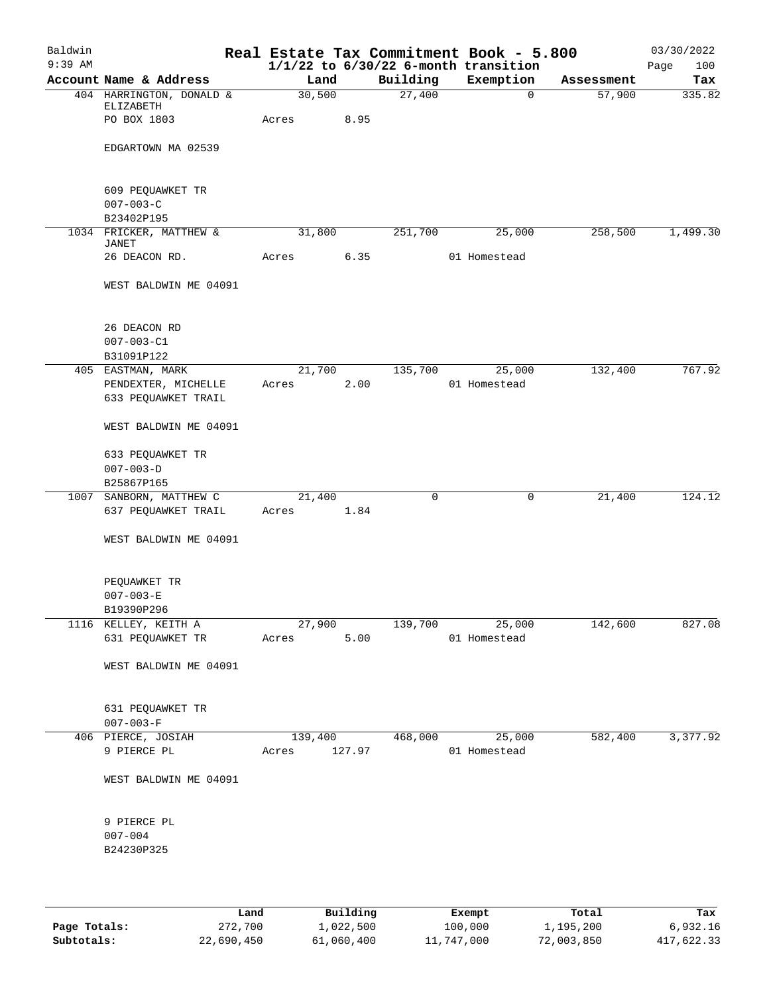| Baldwin<br>$9:39$ AM |                                     |              |         |             | Real Estate Tax Commitment Book - 5.800<br>$1/1/22$ to $6/30/22$ 6-month transition |            | 03/30/2022<br>Page<br>100 |
|----------------------|-------------------------------------|--------------|---------|-------------|-------------------------------------------------------------------------------------|------------|---------------------------|
|                      | Account Name & Address              |              | Land    | Building    | Exemption                                                                           | Assessment | Tax                       |
|                      | 404 HARRINGTON, DONALD &            |              | 30,500  | 27,400      | $\Omega$                                                                            | 57,900     | 335.82                    |
|                      | ELIZABETH                           |              |         |             |                                                                                     |            |                           |
|                      | PO BOX 1803                         | Acres        | 8.95    |             |                                                                                     |            |                           |
|                      |                                     |              |         |             |                                                                                     |            |                           |
|                      | EDGARTOWN MA 02539                  |              |         |             |                                                                                     |            |                           |
|                      |                                     |              |         |             |                                                                                     |            |                           |
|                      | 609 PEQUAWKET TR                    |              |         |             |                                                                                     |            |                           |
|                      | $007 - 003 - C$                     |              |         |             |                                                                                     |            |                           |
|                      | B23402P195                          |              |         |             |                                                                                     |            |                           |
|                      | 1034 FRICKER, MATTHEW &             |              | 31,800  | 251,700     | 25,000                                                                              | 258,500    | 1,499.30                  |
|                      | JANET                               |              |         |             |                                                                                     |            |                           |
|                      | 26 DEACON RD.                       | Acres        | 6.35    |             | 01 Homestead                                                                        |            |                           |
|                      | WEST BALDWIN ME 04091               |              |         |             |                                                                                     |            |                           |
|                      |                                     |              |         |             |                                                                                     |            |                           |
|                      |                                     |              |         |             |                                                                                     |            |                           |
|                      | 26 DEACON RD                        |              |         |             |                                                                                     |            |                           |
|                      | $007 - 003 - C1$                    |              |         |             |                                                                                     |            |                           |
|                      | B31091P122                          |              |         |             |                                                                                     |            |                           |
|                      | 405 EASTMAN, MARK                   |              | 21,700  | 135,700     | 25,000                                                                              | 132,400    | 767.92                    |
|                      | PENDEXTER, MICHELLE                 | Acres        | 2.00    |             | 01 Homestead                                                                        |            |                           |
|                      | 633 PEQUAWKET TRAIL                 |              |         |             |                                                                                     |            |                           |
|                      |                                     |              |         |             |                                                                                     |            |                           |
|                      | WEST BALDWIN ME 04091               |              |         |             |                                                                                     |            |                           |
|                      | 633 PEQUAWKET TR                    |              |         |             |                                                                                     |            |                           |
|                      | $007 - 003 - D$                     |              |         |             |                                                                                     |            |                           |
|                      | B25867P165                          |              |         |             |                                                                                     |            |                           |
|                      | 1007 SANBORN, MATTHEW C             | 21,400       |         | $\mathbf 0$ | 0                                                                                   | 21,400     | 124.12                    |
|                      | 637 PEQUAWKET TRAIL                 | Acres        | 1.84    |             |                                                                                     |            |                           |
|                      |                                     |              |         |             |                                                                                     |            |                           |
|                      | WEST BALDWIN ME 04091               |              |         |             |                                                                                     |            |                           |
|                      |                                     |              |         |             |                                                                                     |            |                           |
|                      | PEQUAWKET TR                        |              |         |             |                                                                                     |            |                           |
|                      | $007 - 003 - E$                     |              |         |             |                                                                                     |            |                           |
|                      | B19390P296                          |              |         |             |                                                                                     |            |                           |
|                      | 1116 KELLEY, KEITH A                |              | 27,900  | 139,700     | 25,000                                                                              | 142,600    | 827.08                    |
|                      | 631 PEQUAWKET TR                    | Acres        | 5.00    |             | 01 Homestead                                                                        |            |                           |
|                      |                                     |              |         |             |                                                                                     |            |                           |
|                      | WEST BALDWIN ME 04091               |              |         |             |                                                                                     |            |                           |
|                      |                                     |              |         |             |                                                                                     |            |                           |
|                      |                                     |              |         |             |                                                                                     |            |                           |
|                      | 631 PEQUAWKET TR<br>$007 - 003 - F$ |              |         |             |                                                                                     |            |                           |
|                      | 406 PIERCE, JOSIAH                  |              | 139,400 |             | 468,000 25,000                                                                      | 582,400    | 3,377.92                  |
|                      | 9 PIERCE PL                         | Acres 127.97 |         |             | 01 Homestead                                                                        |            |                           |
|                      |                                     |              |         |             |                                                                                     |            |                           |
|                      | WEST BALDWIN ME 04091               |              |         |             |                                                                                     |            |                           |
|                      |                                     |              |         |             |                                                                                     |            |                           |
|                      |                                     |              |         |             |                                                                                     |            |                           |
|                      | 9 PIERCE PL                         |              |         |             |                                                                                     |            |                           |
|                      | $007 - 004$                         |              |         |             |                                                                                     |            |                           |
|                      | B24230P325                          |              |         |             |                                                                                     |            |                           |
|                      |                                     |              |         |             |                                                                                     |            |                           |
|                      |                                     |              |         |             |                                                                                     |            |                           |
|                      |                                     |              |         |             |                                                                                     |            |                           |

|              | Land       | Building   | Exempt     | Total      | Tax        |
|--------------|------------|------------|------------|------------|------------|
| Page Totals: | 272,700    | 1,022,500  | 100,000    | 1,195,200  | 6,932.16   |
| Subtotals:   | 22,690,450 | 61,060,400 | 11,747,000 | 72,003,850 | 417,622.33 |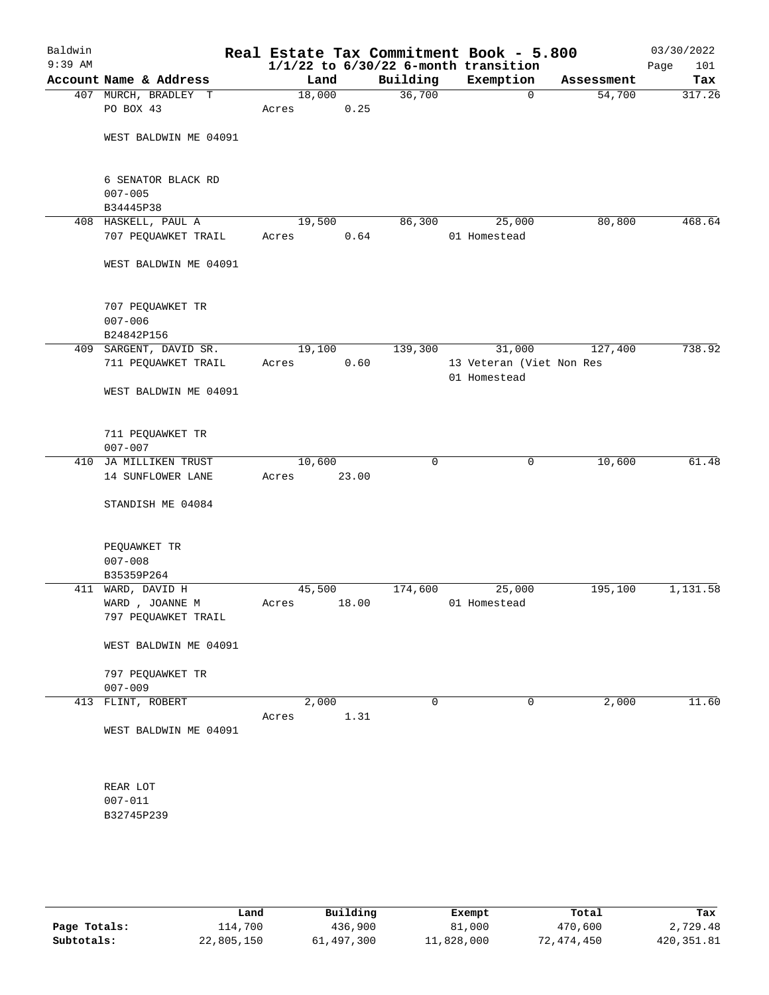| Baldwin<br>$9:39$ AM |                                                                |                 |       |             | Real Estate Tax Commitment Book - 5.800<br>$1/1/22$ to $6/30/22$ 6-month transition |            | 03/30/2022<br>Page<br>101 |
|----------------------|----------------------------------------------------------------|-----------------|-------|-------------|-------------------------------------------------------------------------------------|------------|---------------------------|
|                      | Account Name & Address                                         | Land            |       | Building    | Exemption                                                                           | Assessment | Tax                       |
|                      | 407 MURCH, BRADLEY T<br>PO BOX 43                              | 18,000<br>Acres | 0.25  | 36,700      | $\mathbf 0$                                                                         | 54,700     | 317.26                    |
|                      | WEST BALDWIN ME 04091                                          |                 |       |             |                                                                                     |            |                           |
|                      | 6 SENATOR BLACK RD<br>$007 - 005$                              |                 |       |             |                                                                                     |            |                           |
|                      | B34445P38                                                      |                 |       |             |                                                                                     |            |                           |
|                      | 408 HASKELL, PAUL A<br>707 PEQUAWKET TRAIL                     | 19,500<br>Acres | 0.64  | 86,300      | 25,000<br>01 Homestead                                                              | 80,800     | 468.64                    |
|                      | WEST BALDWIN ME 04091                                          |                 |       |             |                                                                                     |            |                           |
|                      | 707 PEQUAWKET TR<br>$007 - 006$                                |                 |       |             |                                                                                     |            |                           |
|                      | B24842P156                                                     |                 |       |             |                                                                                     |            |                           |
|                      | 409 SARGENT, DAVID SR.<br>711 PEQUAWKET TRAIL                  | 19,100<br>Acres | 0.60  | 139,300     | 31,000<br>13 Veteran (Viet Non Res<br>01 Homestead                                  | 127,400    | 738.92                    |
|                      | WEST BALDWIN ME 04091                                          |                 |       |             |                                                                                     |            |                           |
|                      | 711 PEQUAWKET TR<br>$007 - 007$                                |                 |       |             |                                                                                     |            |                           |
|                      | 410 JA MILLIKEN TRUST                                          | 10,600          |       | 0           | $\mathsf{O}$                                                                        | 10,600     | 61.48                     |
|                      | 14 SUNFLOWER LANE                                              | Acres           | 23.00 |             |                                                                                     |            |                           |
|                      | STANDISH ME 04084                                              |                 |       |             |                                                                                     |            |                           |
|                      | PEQUAWKET TR<br>$007 - 008$                                    |                 |       |             |                                                                                     |            |                           |
|                      | B35359P264                                                     |                 |       |             |                                                                                     |            |                           |
|                      | 411 WARD, DAVID H                                              | 45,500          |       | 174,600     | 25,000                                                                              | 195,100    | 1,131.58                  |
|                      | WARD, JOANNE M<br>797 PEQUAWKET TRAIL                          | Acres           | 18.00 |             | 01 Homestead                                                                        |            |                           |
|                      | WEST BALDWIN ME 04091                                          |                 |       |             |                                                                                     |            |                           |
|                      | 797 PEQUAWKET TR<br>$007 - 009$                                |                 |       |             |                                                                                     |            |                           |
|                      | 413 FLINT, ROBERT                                              | 2,000<br>Acres  | 1.31  | $\mathbf 0$ | $\mathbf 0$                                                                         | 2,000      | 11.60                     |
|                      | WEST BALDWIN ME 04091<br>REAR LOT<br>$007 - 011$<br>B32745P239 |                 |       |             |                                                                                     |            |                           |

|              | Land       | Building   | Exempt     | Total      | Tax         |
|--------------|------------|------------|------------|------------|-------------|
| Page Totals: | 114,700    | 436,900    | 81,000     | 470,600    | 2,729.48    |
| Subtotals:   | 22,805,150 | 61,497,300 | 11,828,000 | 72,474,450 | 420, 351.81 |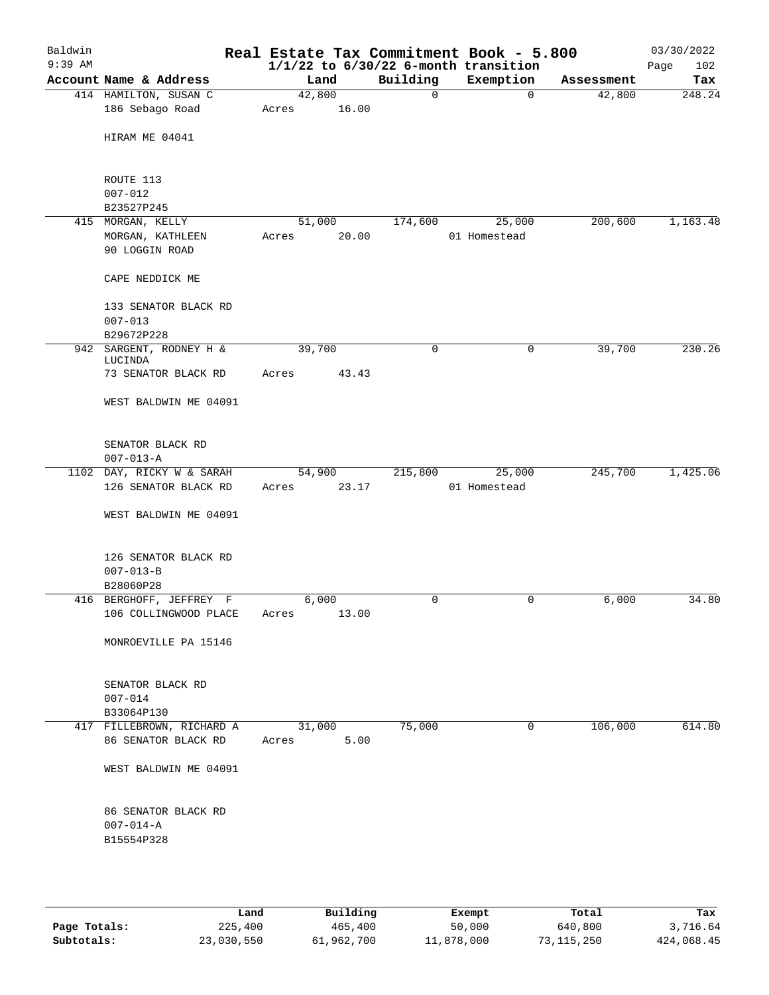| Baldwin<br>$9:39$ AM |                                                      |        |       |          | Real Estate Tax Commitment Book - 5.800<br>$1/1/22$ to $6/30/22$ 6-month transition |            | 03/30/2022<br>102<br>Page |
|----------------------|------------------------------------------------------|--------|-------|----------|-------------------------------------------------------------------------------------|------------|---------------------------|
|                      | Account Name & Address                               | Land   |       | Building | Exemption                                                                           | Assessment | Tax                       |
|                      | 414 HAMILTON, SUSAN C                                | 42,800 |       | 0        | $\mathbf 0$                                                                         | 42,800     | 248.24                    |
|                      | 186 Sebago Road                                      | Acres  | 16.00 |          |                                                                                     |            |                           |
|                      | HIRAM ME 04041                                       |        |       |          |                                                                                     |            |                           |
|                      | ROUTE 113                                            |        |       |          |                                                                                     |            |                           |
|                      | $007 - 012$<br>B23527P245                            |        |       |          |                                                                                     |            |                           |
|                      | 415 MORGAN, KELLY                                    | 51,000 |       | 174,600  | 25,000                                                                              | 200,600    | 1,163.48                  |
|                      | MORGAN, KATHLEEN                                     | Acres  | 20.00 |          | 01 Homestead                                                                        |            |                           |
|                      | 90 LOGGIN ROAD                                       |        |       |          |                                                                                     |            |                           |
|                      | CAPE NEDDICK ME                                      |        |       |          |                                                                                     |            |                           |
|                      | 133 SENATOR BLACK RD                                 |        |       |          |                                                                                     |            |                           |
|                      | $007 - 013$                                          |        |       |          |                                                                                     |            |                           |
|                      | B29672P228<br>942 SARGENT, RODNEY H &                | 39,700 |       | 0        | 0                                                                                   | 39,700     | 230.26                    |
|                      | LUCINDA                                              |        |       |          |                                                                                     |            |                           |
|                      | 73 SENATOR BLACK RD                                  | Acres  | 43.43 |          |                                                                                     |            |                           |
|                      | WEST BALDWIN ME 04091                                |        |       |          |                                                                                     |            |                           |
|                      | SENATOR BLACK RD<br>$007 - 013 - A$                  |        |       |          |                                                                                     |            |                           |
|                      | 1102 DAY, RICKY W & SARAH                            | 54,900 |       | 215,800  | 25,000                                                                              | 245,700    | 1,425.06                  |
|                      | 126 SENATOR BLACK RD                                 | Acres  | 23.17 |          | 01 Homestead                                                                        |            |                           |
|                      | WEST BALDWIN ME 04091                                |        |       |          |                                                                                     |            |                           |
|                      | 126 SENATOR BLACK RD<br>$007 - 013 - B$<br>B28060P28 |        |       |          |                                                                                     |            |                           |
|                      | 416 BERGHOFF, JEFFREY F                              | 6,000  |       | 0        | 0                                                                                   | 6,000      | 34.80                     |
|                      | 106 COLLINGWOOD PLACE                                | Acres  | 13.00 |          |                                                                                     |            |                           |
|                      | MONROEVILLE PA 15146                                 |        |       |          |                                                                                     |            |                           |
|                      | SENATOR BLACK RD<br>$007 - 014$                      |        |       |          |                                                                                     |            |                           |
|                      | B33064P130                                           |        |       |          |                                                                                     |            |                           |
|                      | 417 FILLEBROWN, RICHARD A                            | 31,000 |       | 75,000   | 0                                                                                   | 106,000    | 614.80                    |
|                      | 86 SENATOR BLACK RD                                  | Acres  | 5.00  |          |                                                                                     |            |                           |
|                      | WEST BALDWIN ME 04091                                |        |       |          |                                                                                     |            |                           |
|                      | 86 SENATOR BLACK RD<br>$007 - 014 - A$<br>B15554P328 |        |       |          |                                                                                     |            |                           |
|                      |                                                      |        |       |          |                                                                                     |            |                           |

|              | Land       | Building   | Exempt     | Total      | Tax        |
|--------------|------------|------------|------------|------------|------------|
| Page Totals: | 225,400    | 465,400    | 50,000     | 640,800    | 3,716.64   |
| Subtotals:   | 23,030,550 | 61,962,700 | 11,878,000 | 73,115,250 | 424,068.45 |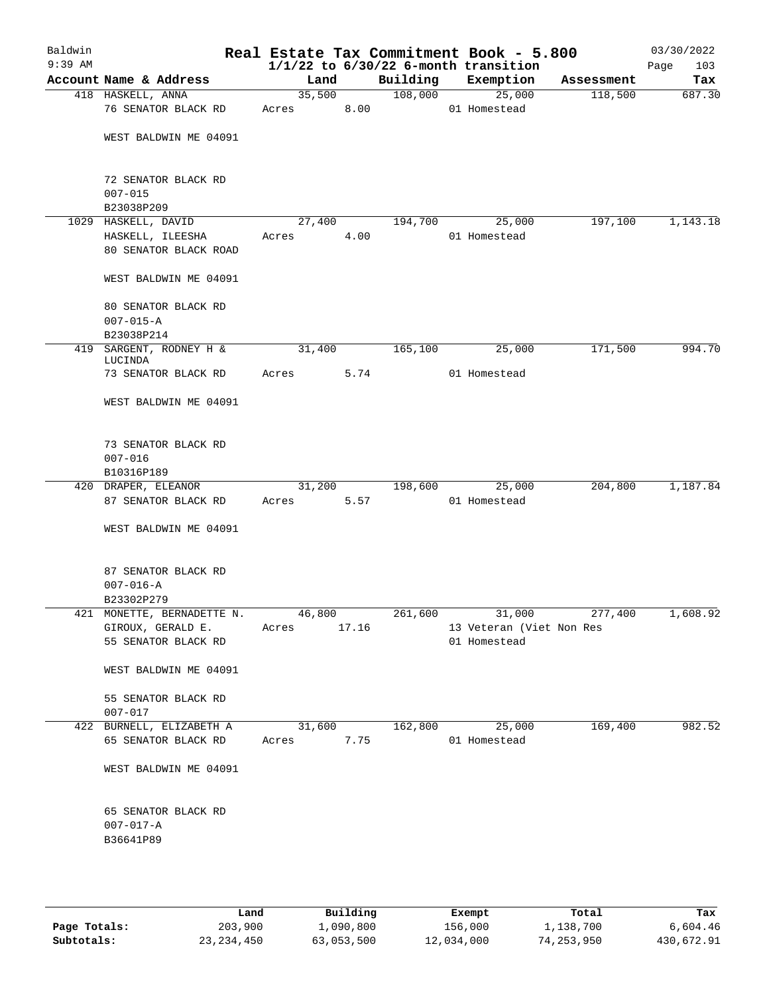| Baldwin<br>$9:39$ AM |                                                      |        |        |                                                      | Real Estate Tax Commitment Book - 5.800  |            | 03/30/2022         |
|----------------------|------------------------------------------------------|--------|--------|------------------------------------------------------|------------------------------------------|------------|--------------------|
|                      | Account Name & Address                               | Land   |        | $1/1/22$ to $6/30/22$ 6-month transition<br>Building | Exemption                                | Assessment | 103<br>Page<br>Tax |
|                      | 418 HASKELL, ANNA                                    |        | 35,500 | 108,000                                              | 25,000                                   | 118,500    | 687.30             |
|                      | 76 SENATOR BLACK RD                                  | Acres  | 8.00   |                                                      | 01 Homestead                             |            |                    |
|                      | WEST BALDWIN ME 04091                                |        |        |                                                      |                                          |            |                    |
|                      | 72 SENATOR BLACK RD<br>$007 - 015$                   |        |        |                                                      |                                          |            |                    |
|                      | B23038P209                                           |        |        |                                                      |                                          |            |                    |
|                      | 1029 HASKELL, DAVID                                  | 27,400 |        | 194,700                                              | 25,000                                   | 197,100    | 1,143.18           |
|                      | HASKELL, ILEESHA<br>80 SENATOR BLACK ROAD            | Acres  | 4.00   |                                                      | 01 Homestead                             |            |                    |
|                      | WEST BALDWIN ME 04091                                |        |        |                                                      |                                          |            |                    |
|                      | 80 SENATOR BLACK RD<br>$007 - 015 - A$               |        |        |                                                      |                                          |            |                    |
|                      | B23038P214                                           |        |        |                                                      |                                          |            |                    |
|                      | 419 SARGENT, RODNEY H &                              | 31,400 |        | 165,100                                              | 25,000                                   | 171,500    | 994.70             |
|                      | LUCINDA<br>73 SENATOR BLACK RD                       | Acres  | 5.74   |                                                      | 01 Homestead                             |            |                    |
|                      | WEST BALDWIN ME 04091                                |        |        |                                                      |                                          |            |                    |
|                      | 73 SENATOR BLACK RD<br>$007 - 016$                   |        |        |                                                      |                                          |            |                    |
|                      | B10316P189                                           |        |        |                                                      |                                          |            |                    |
|                      | 420 DRAPER, ELEANOR                                  | 31,200 |        | 198,600                                              | 25,000                                   | 204,800    | 1,187.84           |
|                      | 87 SENATOR BLACK RD                                  | Acres  | 5.57   |                                                      | 01 Homestead                             |            |                    |
|                      | WEST BALDWIN ME 04091                                |        |        |                                                      |                                          |            |                    |
|                      | 87 SENATOR BLACK RD<br>$007 - 016 - A$<br>B23302P279 |        |        |                                                      |                                          |            |                    |
|                      | 421 MONETTE, BERNADETTE N.                           | 46,800 |        | 261,600                                              | 31,000                                   | 277,400    | 1,608.92           |
|                      | GIROUX, GERALD E.<br>55 SENATOR BLACK RD             | Acres  | 17.16  |                                                      | 13 Veteran (Viet Non Res<br>01 Homestead |            |                    |
|                      | WEST BALDWIN ME 04091                                |        |        |                                                      |                                          |            |                    |
|                      | 55 SENATOR BLACK RD<br>$007 - 017$                   |        |        |                                                      |                                          |            |                    |
|                      | 422 BURNELL, ELIZABETH A                             | 31,600 |        | 162,800                                              | 25,000                                   | 169,400    | 982.52             |
|                      | 65 SENATOR BLACK RD                                  | Acres  | 7.75   |                                                      | 01 Homestead                             |            |                    |
|                      | WEST BALDWIN ME 04091                                |        |        |                                                      |                                          |            |                    |
|                      | 65 SENATOR BLACK RD<br>$007 - 017 - A$<br>B36641P89  |        |        |                                                      |                                          |            |                    |
|                      |                                                      |        |        |                                                      |                                          |            |                    |

|              | Land         | Building   | Exempt     | Total        | Tax        |
|--------------|--------------|------------|------------|--------------|------------|
| Page Totals: | 203,900      | 1,090,800  | 156,000    | 1,138,700    | 6,604.46   |
| Subtotals:   | 23, 234, 450 | 63,053,500 | 12,034,000 | 74, 253, 950 | 430,672.91 |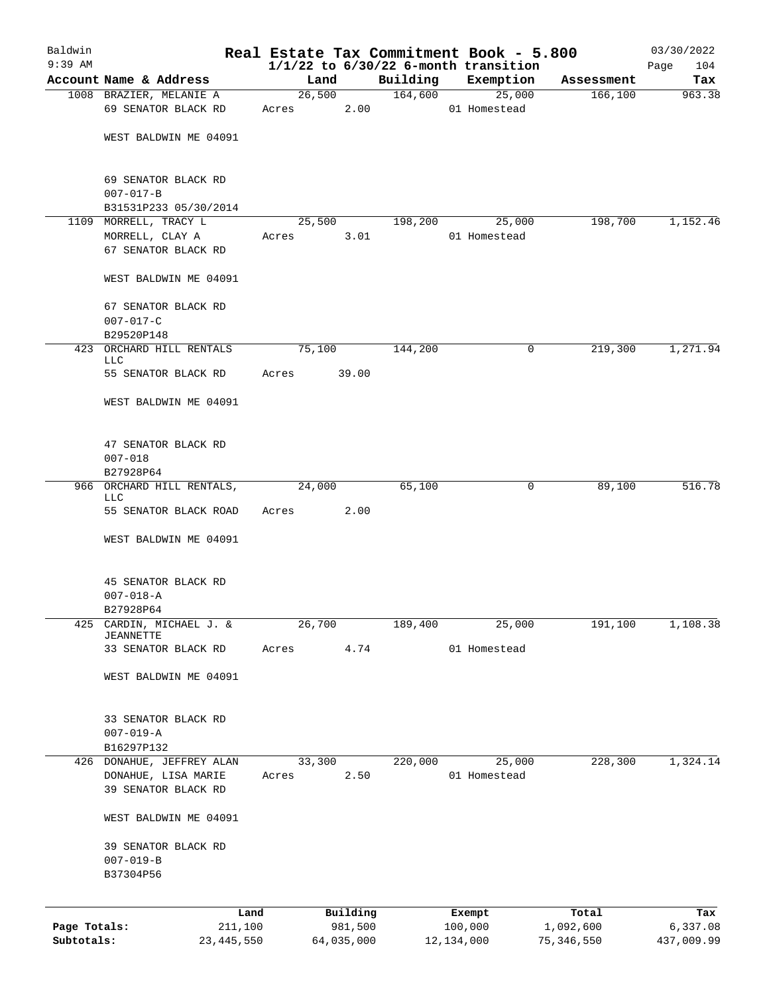| Baldwin      |                                                      |       |                |          | Real Estate Tax Commitment Book - 5.800  |            | 03/30/2022  |
|--------------|------------------------------------------------------|-------|----------------|----------|------------------------------------------|------------|-------------|
| $9:39$ AM    |                                                      |       |                |          | $1/1/22$ to $6/30/22$ 6-month transition |            | 104<br>Page |
|              | Account Name & Address                               |       | Land           | Building | Exemption                                | Assessment | Tax         |
|              | 1008 BRAZIER, MELANIE A<br>69 SENATOR BLACK RD       | Acres | 26,500<br>2.00 | 164,600  | 25,000<br>01 Homestead                   | 166,100    | 963.38      |
|              | WEST BALDWIN ME 04091                                |       |                |          |                                          |            |             |
|              | 69 SENATOR BLACK RD<br>$007 - 017 - B$               |       |                |          |                                          |            |             |
|              | B31531P233 05/30/2014                                |       |                |          |                                          |            |             |
|              | 1109 MORRELL, TRACY L                                |       | 25,500         | 198,200  | 25,000                                   | 198,700    | 1,152.46    |
|              | MORRELL, CLAY A<br>67 SENATOR BLACK RD               | Acres | 3.01           |          | 01 Homestead                             |            |             |
|              | WEST BALDWIN ME 04091                                |       |                |          |                                          |            |             |
|              | 67 SENATOR BLACK RD<br>$007 - 017 - C$               |       |                |          |                                          |            |             |
|              | B29520P148                                           |       |                |          |                                          |            |             |
|              | 423 ORCHARD HILL RENTALS<br>LLC                      |       | 75,100         | 144,200  | 0                                        | 219,300    | 1,271.94    |
|              | 55 SENATOR BLACK RD                                  | Acres | 39.00          |          |                                          |            |             |
|              | WEST BALDWIN ME 04091                                |       |                |          |                                          |            |             |
|              | 47 SENATOR BLACK RD<br>$007 - 018$                   |       |                |          |                                          |            |             |
|              | B27928P64                                            |       |                |          |                                          |            |             |
|              | 966 ORCHARD HILL RENTALS,<br>LLC                     |       | 24,000         | 65,100   | 0                                        | 89,100     | 516.78      |
|              | 55 SENATOR BLACK ROAD                                | Acres | 2.00           |          |                                          |            |             |
|              | WEST BALDWIN ME 04091                                |       |                |          |                                          |            |             |
|              | 45 SENATOR BLACK RD                                  |       |                |          |                                          |            |             |
|              | $007 - 018 - A$                                      |       |                |          |                                          |            |             |
| 425          | B27928P64<br>CARDIN, MICHAEL J. &                    |       | 26,700         | 189,400  | 25,000                                   | 191,100    | 1,108.38    |
|              | <b>JEANNETTE</b>                                     |       |                |          |                                          |            |             |
|              | 33 SENATOR BLACK RD                                  | Acres | 4.74           |          | 01 Homestead                             |            |             |
|              | WEST BALDWIN ME 04091                                |       |                |          |                                          |            |             |
|              | 33 SENATOR BLACK RD<br>$007 - 019 - A$<br>B16297P132 |       |                |          |                                          |            |             |
|              | 426 DONAHUE, JEFFREY ALAN                            |       | 33,300         | 220,000  | 25,000                                   | 228,300    | 1,324.14    |
|              | DONAHUE, LISA MARIE<br>39 SENATOR BLACK RD           | Acres | 2.50           |          | 01 Homestead                             |            |             |
|              | WEST BALDWIN ME 04091                                |       |                |          |                                          |            |             |
|              | 39 SENATOR BLACK RD                                  |       |                |          |                                          |            |             |
|              | $007 - 019 - B$                                      |       |                |          |                                          |            |             |
|              | B37304P56                                            |       |                |          |                                          |            |             |
|              |                                                      | Land  | Building       |          | Exempt                                   | Total      | Tax         |
| Page Totals: | 211,100                                              |       | 981,500        |          | 100,000                                  | 1,092,600  | 6,337.08    |
| Subtotals:   | 23, 445, 550                                         |       | 64,035,000     |          | 12, 134, 000                             | 75,346,550 | 437,009.99  |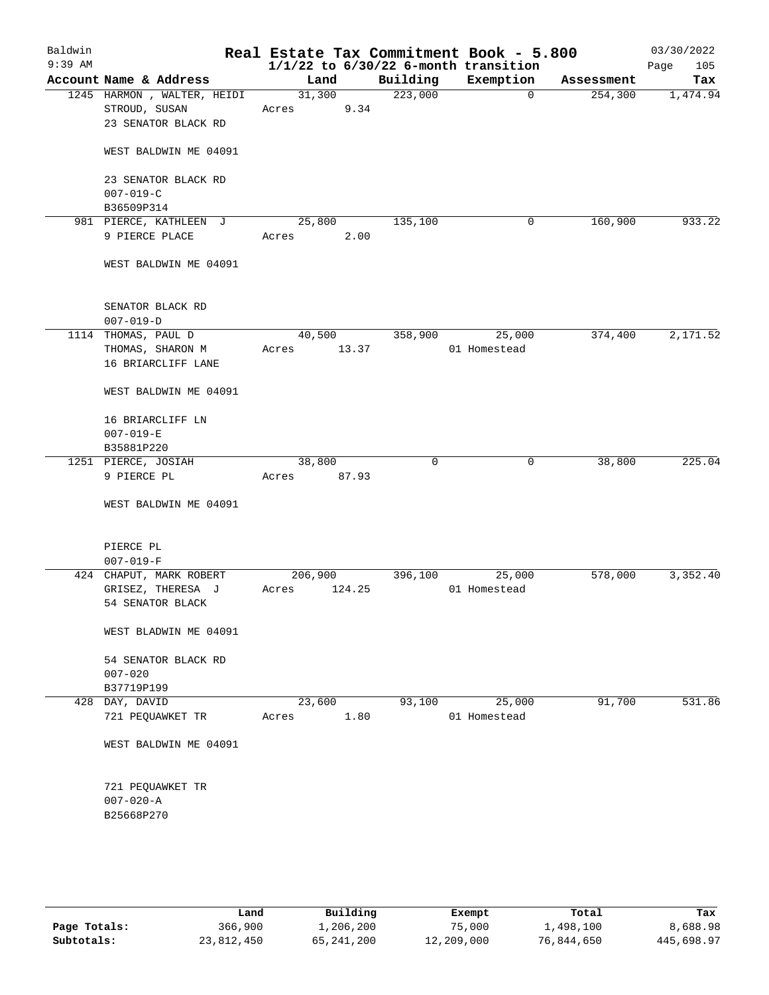| Baldwin<br>$9:39$ AM |                                        | Real Estate Tax Commitment Book - 5.800<br>$1/1/22$ to $6/30/22$ 6-month transition |             |              |            | 03/30/2022<br>105<br>Page |
|----------------------|----------------------------------------|-------------------------------------------------------------------------------------|-------------|--------------|------------|---------------------------|
|                      | Account Name & Address                 | Land                                                                                | Building    | Exemption    | Assessment | Tax                       |
|                      | 1245 HARMON, WALTER, HEIDI             | 31,300                                                                              | 223,000     | $\mathbf 0$  | 254,300    | 1,474.94                  |
|                      | STROUD, SUSAN                          | 9.34<br>Acres                                                                       |             |              |            |                           |
|                      | 23 SENATOR BLACK RD                    |                                                                                     |             |              |            |                           |
|                      | WEST BALDWIN ME 04091                  |                                                                                     |             |              |            |                           |
|                      | 23 SENATOR BLACK RD<br>$007 - 019 - C$ |                                                                                     |             |              |            |                           |
|                      | B36509P314                             |                                                                                     |             |              |            |                           |
|                      | 981 PIERCE, KATHLEEN J                 | 25,800                                                                              | 135,100     | 0            | 160,900    | 933.22                    |
|                      | 9 PIERCE PLACE                         | 2.00<br>Acres                                                                       |             |              |            |                           |
|                      | WEST BALDWIN ME 04091                  |                                                                                     |             |              |            |                           |
|                      | SENATOR BLACK RD<br>$007 - 019 - D$    |                                                                                     |             |              |            |                           |
|                      | 1114 THOMAS, PAUL D                    | 40,500                                                                              | 358,900     | 25,000       | 374,400    | 2,171.52                  |
|                      | THOMAS, SHARON M                       | 13.37<br>Acres                                                                      |             | 01 Homestead |            |                           |
|                      | 16 BRIARCLIFF LANE                     |                                                                                     |             |              |            |                           |
|                      | WEST BALDWIN ME 04091                  |                                                                                     |             |              |            |                           |
|                      | 16 BRIARCLIFF LN<br>$007 - 019 - E$    |                                                                                     |             |              |            |                           |
|                      | B35881P220                             |                                                                                     |             |              |            |                           |
|                      | 1251 PIERCE, JOSIAH                    | 38,800                                                                              | $\mathbf 0$ | 0            | 38,800     | 225.04                    |
|                      | 9 PIERCE PL                            | 87.93<br>Acres                                                                      |             |              |            |                           |
|                      | WEST BALDWIN ME 04091                  |                                                                                     |             |              |            |                           |
|                      | PIERCE PL                              |                                                                                     |             |              |            |                           |
|                      | $007 - 019 - F$                        |                                                                                     |             |              |            |                           |
|                      | 424 CHAPUT, MARK ROBERT                | 206,900                                                                             | 396,100     | 25,000       | 578,000    | 3,352.40                  |
|                      | GRISEZ, THERESA J<br>54 SENATOR BLACK  | 124.25<br>Acres                                                                     |             | 01 Homestead |            |                           |
|                      | WEST BLADWIN ME 04091                  |                                                                                     |             |              |            |                           |
|                      | 54 SENATOR BLACK RD<br>$007 - 020$     |                                                                                     |             |              |            |                           |
|                      | B37719P199                             |                                                                                     |             |              |            |                           |
|                      | 428 DAY, DAVID                         | 23,600                                                                              | 93,100      | 25,000       | 91,700     | 531.86                    |
|                      | 721 PEQUAWKET TR                       | 1.80<br>Acres                                                                       |             | 01 Homestead |            |                           |
|                      | WEST BALDWIN ME 04091                  |                                                                                     |             |              |            |                           |
|                      | 721 PEQUAWKET TR                       |                                                                                     |             |              |            |                           |
|                      | $007 - 020 - A$<br>B25668P270          |                                                                                     |             |              |            |                           |
|                      |                                        |                                                                                     |             |              |            |                           |

|              | Land       | Building   | Exempt     | Total      | Tax        |
|--------------|------------|------------|------------|------------|------------|
| Page Totals: | 366,900    | 1,206,200  | 75,000     | 1,498,100  | 8,688.98   |
| Subtotals:   | 23,812,450 | 65,241,200 | 12,209,000 | 76,844,650 | 445,698.97 |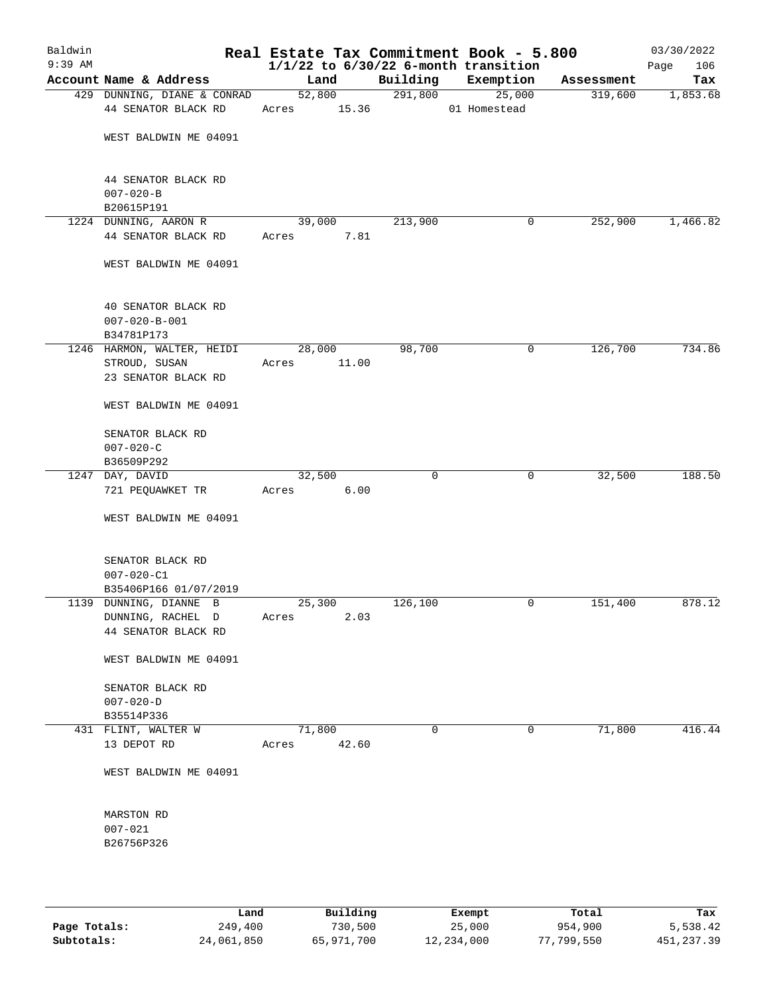| Baldwin<br>$9:39$ AM |                                                 |        |       |             | Real Estate Tax Commitment Book - 5.800<br>$1/1/22$ to $6/30/22$ 6-month transition |            | 03/30/2022<br>106<br>Page |
|----------------------|-------------------------------------------------|--------|-------|-------------|-------------------------------------------------------------------------------------|------------|---------------------------|
|                      | Account Name & Address                          | Land   |       | Building    | Exemption                                                                           | Assessment | Tax                       |
|                      | 429 DUNNING, DIANE & CONRAD                     | 52,800 |       | 291,800     | 25,000                                                                              | 319,600    | 1,853.68                  |
|                      | 44 SENATOR BLACK RD                             | Acres  | 15.36 |             | 01 Homestead                                                                        |            |                           |
|                      | WEST BALDWIN ME 04091                           |        |       |             |                                                                                     |            |                           |
|                      | 44 SENATOR BLACK RD<br>$007 - 020 - B$          |        |       |             |                                                                                     |            |                           |
|                      | B20615P191                                      |        |       |             |                                                                                     |            |                           |
|                      | 1224 DUNNING, AARON R                           | 39,000 |       | 213,900     | 0                                                                                   | 252,900    | 1,466.82                  |
|                      | 44 SENATOR BLACK RD                             | Acres  | 7.81  |             |                                                                                     |            |                           |
|                      | WEST BALDWIN ME 04091                           |        |       |             |                                                                                     |            |                           |
|                      | 40 SENATOR BLACK RD<br>$007 - 020 - B - 001$    |        |       |             |                                                                                     |            |                           |
|                      | B34781P173                                      |        |       |             |                                                                                     |            |                           |
|                      | 1246 HARMON, WALTER, HEIDI                      | 28,000 |       | 98,700      | 0                                                                                   | 126,700    | 734.86                    |
|                      | STROUD, SUSAN                                   | Acres  | 11.00 |             |                                                                                     |            |                           |
|                      | 23 SENATOR BLACK RD                             |        |       |             |                                                                                     |            |                           |
|                      | WEST BALDWIN ME 04091                           |        |       |             |                                                                                     |            |                           |
|                      | SENATOR BLACK RD                                |        |       |             |                                                                                     |            |                           |
|                      | $007 - 020 - C$                                 |        |       |             |                                                                                     |            |                           |
|                      | B36509P292                                      |        |       |             |                                                                                     |            |                           |
|                      | 1247 DAY, DAVID                                 | 32,500 | 6.00  | $\mathbf 0$ | 0                                                                                   | 32,500     | 188.50                    |
|                      | 721 PEQUAWKET TR                                | Acres  |       |             |                                                                                     |            |                           |
|                      | WEST BALDWIN ME 04091                           |        |       |             |                                                                                     |            |                           |
|                      | SENATOR BLACK RD                                |        |       |             |                                                                                     |            |                           |
|                      | $007 - 020 - C1$                                |        |       |             |                                                                                     |            |                           |
|                      | B35406P166 01/07/2019<br>1139 DUNNING, DIANNE B | 25,300 |       | 126,100     | 0                                                                                   | 151,400    | 878.12                    |
|                      | DUNNING, RACHEL D                               | Acres  | 2.03  |             |                                                                                     |            |                           |
|                      | 44 SENATOR BLACK RD                             |        |       |             |                                                                                     |            |                           |
|                      | WEST BALDWIN ME 04091                           |        |       |             |                                                                                     |            |                           |
|                      | SENATOR BLACK RD                                |        |       |             |                                                                                     |            |                           |
|                      | $007 - 020 - D$                                 |        |       |             |                                                                                     |            |                           |
|                      | B35514P336                                      |        |       |             |                                                                                     |            |                           |
|                      | 431 FLINT, WALTER W                             | 71,800 |       | 0           | 0                                                                                   | 71,800     | 416.44                    |
|                      | 13 DEPOT RD                                     | Acres  | 42.60 |             |                                                                                     |            |                           |
|                      | WEST BALDWIN ME 04091                           |        |       |             |                                                                                     |            |                           |
|                      | MARSTON RD                                      |        |       |             |                                                                                     |            |                           |
|                      | $007 - 021$                                     |        |       |             |                                                                                     |            |                           |
|                      | B26756P326                                      |        |       |             |                                                                                     |            |                           |
|                      |                                                 |        |       |             |                                                                                     |            |                           |
|                      |                                                 |        |       |             |                                                                                     |            |                           |

|              | Land       | Building   | Exempt     | Total      | Tax         |
|--------------|------------|------------|------------|------------|-------------|
| Page Totals: | 249,400    | 730,500    | 25,000     | 954,900    | 5,538.42    |
| Subtotals:   | 24,061,850 | 65,971,700 | 12,234,000 | 77,799,550 | 451, 237.39 |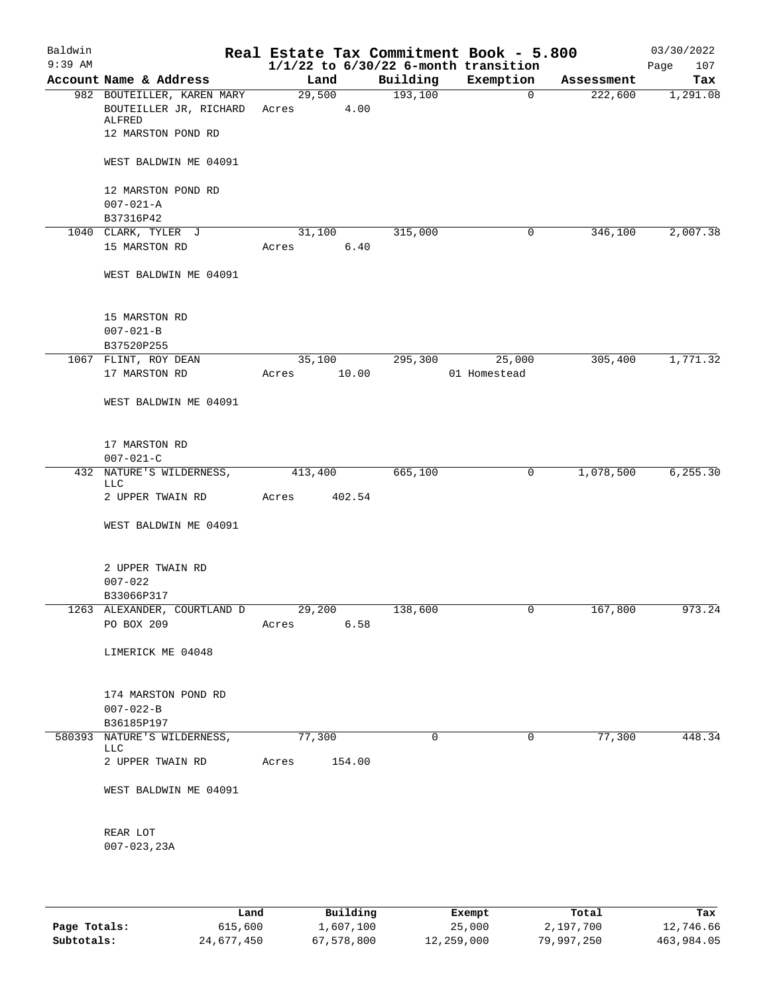| Baldwin   |                                                  |            |        |                     | Real Estate Tax Commitment Book - 5.800  |                       | 03/30/2022      |
|-----------|--------------------------------------------------|------------|--------|---------------------|------------------------------------------|-----------------------|-----------------|
| $9:39$ AM | Account Name & Address                           |            |        |                     | $1/1/22$ to $6/30/22$ 6-month transition |                       | 107<br>Page     |
|           | 982 BOUTEILLER, KAREN MARY                       | Land       | 29,500 | Building<br>193,100 | Exemption<br>$\overline{0}$              | Assessment<br>222,600 | Tax<br>1,291.08 |
|           | BOUTEILLER JR, RICHARD<br>ALFRED                 | Acres 4.00 |        |                     |                                          |                       |                 |
|           | 12 MARSTON POND RD                               |            |        |                     |                                          |                       |                 |
|           | WEST BALDWIN ME 04091                            |            |        |                     |                                          |                       |                 |
|           | 12 MARSTON POND RD                               |            |        |                     |                                          |                       |                 |
|           | $007 - 021 - A$<br>B37316P42                     |            |        |                     |                                          |                       |                 |
|           | 1040 CLARK, TYLER J                              |            | 31,100 | 315,000             | 0                                        | 346,100               | 2,007.38        |
|           | 15 MARSTON RD                                    | Acres      | 6.40   |                     |                                          |                       |                 |
|           | WEST BALDWIN ME 04091                            |            |        |                     |                                          |                       |                 |
|           | 15 MARSTON RD                                    |            |        |                     |                                          |                       |                 |
|           | $007 - 021 - B$                                  |            |        |                     |                                          |                       |                 |
|           | B37520P255                                       |            |        |                     |                                          |                       |                 |
|           | 1067 FLINT, ROY DEAN                             | 35,100     |        | 295,300             | 25,000                                   | 305,400               | 1,771.32        |
|           | 17 MARSTON RD                                    | Acres      | 10.00  |                     | 01 Homestead                             |                       |                 |
|           | WEST BALDWIN ME 04091                            |            |        |                     |                                          |                       |                 |
|           |                                                  |            |        |                     |                                          |                       |                 |
|           | 17 MARSTON RD<br>$007 - 021 - C$                 |            |        |                     |                                          |                       |                 |
|           | 432 NATURE'S WILDERNESS,<br>LLC                  | 413,400    |        | 665,100             | $\mathbf 0$                              | 1,078,500             | 6, 255.30       |
|           | 2 UPPER TWAIN RD                                 | Acres      | 402.54 |                     |                                          |                       |                 |
|           | WEST BALDWIN ME 04091                            |            |        |                     |                                          |                       |                 |
|           | 2 UPPER TWAIN RD                                 |            |        |                     |                                          |                       |                 |
|           | $007 - 022$                                      |            |        |                     |                                          |                       |                 |
|           | B33066P317                                       |            |        |                     |                                          |                       |                 |
|           | 1263 ALEXANDER, COURTLAND D 29,200<br>PO BOX 209 | Acres      | 6.58   | 138,600             |                                          | 167,800               | 973.24          |
|           |                                                  |            |        |                     |                                          |                       |                 |
|           | LIMERICK ME 04048                                |            |        |                     |                                          |                       |                 |
|           | 174 MARSTON POND RD                              |            |        |                     |                                          |                       |                 |
|           | $007 - 022 - B$                                  |            |        |                     |                                          |                       |                 |
|           | B36185P197                                       |            |        |                     |                                          |                       |                 |
|           | 580393 NATURE'S WILDERNESS,<br>LLC               | 77,300     |        | $\mathbf 0$         | 0                                        | 77,300                | 448.34          |
|           | 2 UPPER TWAIN RD                                 | Acres      | 154.00 |                     |                                          |                       |                 |
|           | WEST BALDWIN ME 04091                            |            |        |                     |                                          |                       |                 |
|           | REAR LOT                                         |            |        |                     |                                          |                       |                 |
|           | $007 - 023, 23A$                                 |            |        |                     |                                          |                       |                 |
|           |                                                  |            |        |                     |                                          |                       |                 |
|           |                                                  |            |        |                     |                                          |                       |                 |

|              | Land       | Building   | Exempt     | Total      | Tax        |
|--------------|------------|------------|------------|------------|------------|
| Page Totals: | 615,600    | 1,607,100  | 25,000     | 2,197,700  | 12,746.66  |
| Subtotals:   | 24,677,450 | 67,578,800 | 12,259,000 | 79,997,250 | 463,984.05 |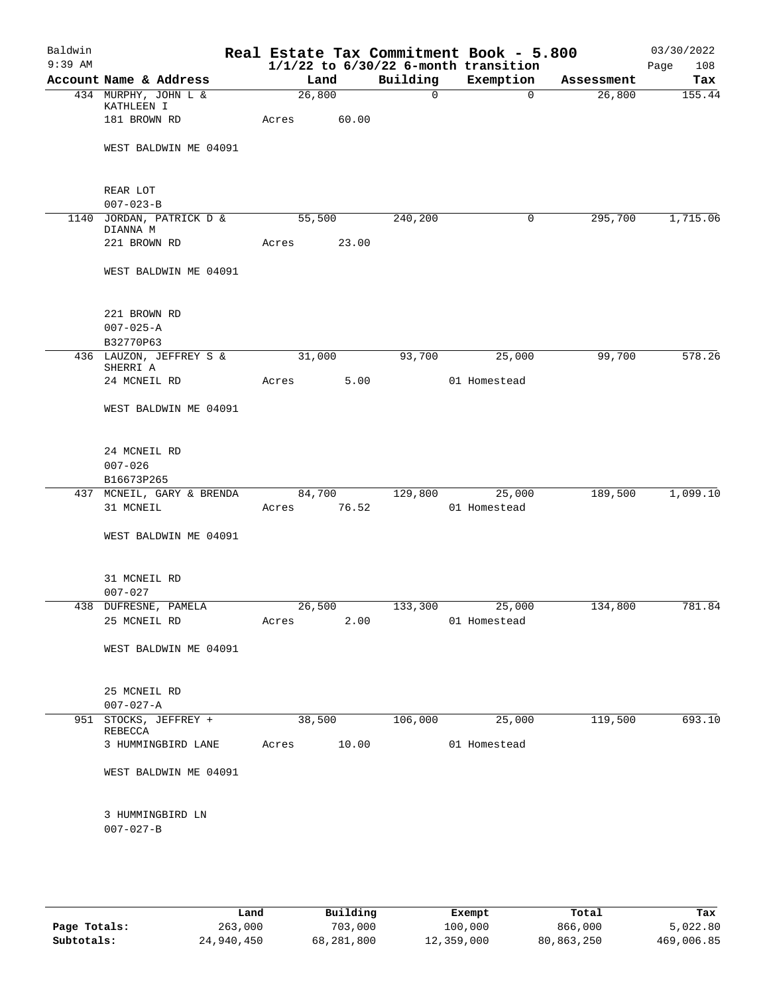| Baldwin<br>$9:39$ AM |                                           |       |        |          | Real Estate Tax Commitment Book - 5.800<br>$1/1/22$ to $6/30/22$ 6-month transition |            | 03/30/2022<br>Page<br>108 |
|----------------------|-------------------------------------------|-------|--------|----------|-------------------------------------------------------------------------------------|------------|---------------------------|
|                      | Account Name & Address                    |       | Land   | Building | Exemption                                                                           | Assessment | Tax                       |
|                      | 434 MURPHY, JOHN L &<br>KATHLEEN I        |       | 26,800 | 0        | $\overline{0}$                                                                      | 26,800     | 155.44                    |
|                      | 181 BROWN RD                              | Acres | 60.00  |          |                                                                                     |            |                           |
|                      | WEST BALDWIN ME 04091                     |       |        |          |                                                                                     |            |                           |
|                      | REAR LOT<br>$007 - 023 - B$               |       |        |          |                                                                                     |            |                           |
|                      | 1140 JORDAN, PATRICK D &<br>DIANNA M      |       | 55,500 | 240,200  | 0                                                                                   | 295,700    | 1,715.06                  |
|                      | 221 BROWN RD                              | Acres | 23.00  |          |                                                                                     |            |                           |
|                      | WEST BALDWIN ME 04091                     |       |        |          |                                                                                     |            |                           |
|                      | 221 BROWN RD<br>$007 - 025 - A$           |       |        |          |                                                                                     |            |                           |
|                      | B32770P63                                 |       |        |          |                                                                                     |            |                           |
|                      | 436 LAUZON, JEFFREY S &<br>SHERRI A       |       | 31,000 | 93,700   | 25,000                                                                              | 99,700     | 578.26                    |
|                      | 24 MCNEIL RD                              | Acres | 5.00   |          | 01 Homestead                                                                        |            |                           |
|                      | WEST BALDWIN ME 04091                     |       |        |          |                                                                                     |            |                           |
|                      | 24 MCNEIL RD<br>$007 - 026$<br>B16673P265 |       |        |          |                                                                                     |            |                           |
|                      | 437 MCNEIL, GARY & BRENDA                 |       | 84,700 | 129,800  | 25,000                                                                              | 189,500    | 1,099.10                  |
|                      | 31 MCNEIL                                 | Acres | 76.52  |          | 01 Homestead                                                                        |            |                           |
|                      | WEST BALDWIN ME 04091                     |       |        |          |                                                                                     |            |                           |
|                      | 31 MCNEIL RD                              |       |        |          |                                                                                     |            |                           |
| 438                  | $007 - 027$<br>DUFRESNE, PAMELA           |       | 26,500 | 133,300  | 25,000                                                                              | 134,800    | 781.84                    |
|                      | 25 MCNEIL RD                              | Acres | 2.00   |          | 01 Homestead                                                                        |            |                           |
|                      | WEST BALDWIN ME 04091                     |       |        |          |                                                                                     |            |                           |
|                      | 25 MCNEIL RD<br>$007 - 027 - A$           |       |        |          |                                                                                     |            |                           |
| 951                  | STOCKS, JEFFREY +<br>REBECCA              |       | 38,500 | 106,000  | 25,000                                                                              | 119,500    | 693.10                    |
|                      | 3 HUMMINGBIRD LANE                        | Acres | 10.00  |          | 01 Homestead                                                                        |            |                           |
|                      | WEST BALDWIN ME 04091                     |       |        |          |                                                                                     |            |                           |
|                      | 3 HUMMINGBIRD LN<br>$007 - 027 - B$       |       |        |          |                                                                                     |            |                           |
|                      |                                           |       |        |          |                                                                                     |            |                           |

|              | Land       | Building   | Exempt     | Total      | Tax        |
|--------------|------------|------------|------------|------------|------------|
| Page Totals: | 263,000    | 703,000    | 100,000    | 866,000    | 5,022.80   |
| Subtotals:   | 24,940,450 | 68,281,800 | 12,359,000 | 80,863,250 | 469,006.85 |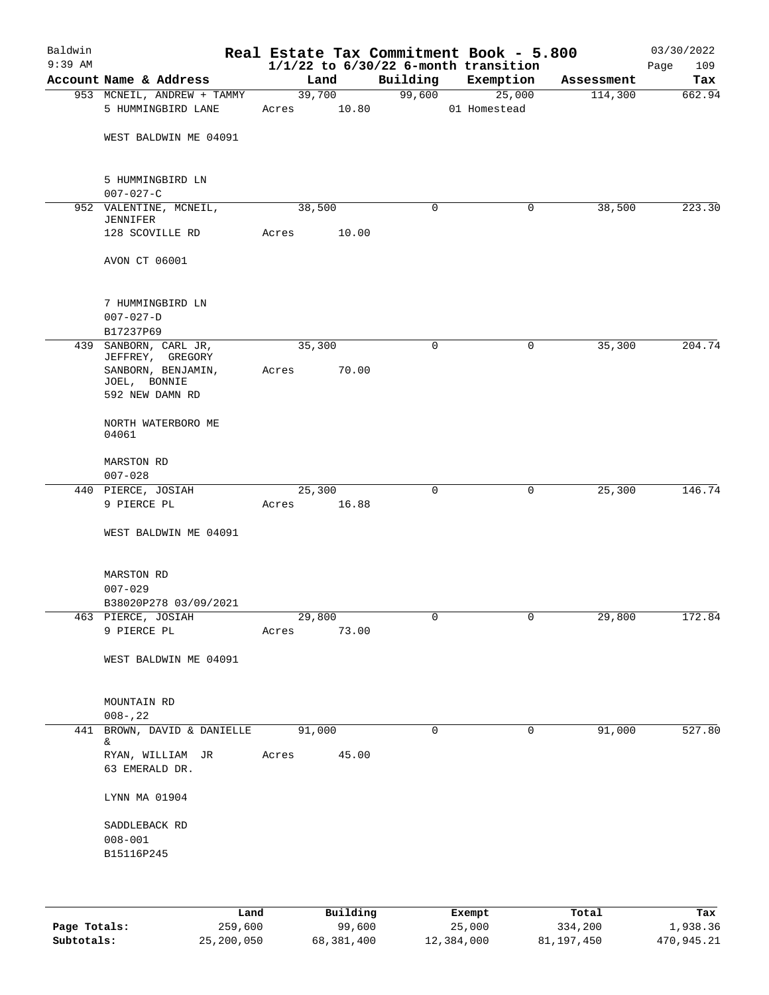| Baldwin<br>$9:39$ AM |                                                                           |       |        |             | $1/1/22$ to $6/30/22$ 6-month transition | Real Estate Tax Commitment Book - 5.800 |            | 03/30/2022<br>Page<br>109 |
|----------------------|---------------------------------------------------------------------------|-------|--------|-------------|------------------------------------------|-----------------------------------------|------------|---------------------------|
|                      | Account Name & Address                                                    |       | Land   |             | Building                                 | Exemption                               | Assessment | Tax                       |
|                      | 953 MCNEIL, ANDREW + TAMMY                                                |       | 39,700 |             | 99,600                                   | 25,000                                  | 114,300    | 662.94                    |
|                      | 5 HUMMINGBIRD LANE                                                        |       |        | Acres 10.80 |                                          | 01 Homestead                            |            |                           |
|                      | WEST BALDWIN ME 04091                                                     |       |        |             |                                          |                                         |            |                           |
|                      | 5 HUMMINGBIRD LN<br>$007 - 027 - C$                                       |       |        |             |                                          |                                         |            |                           |
|                      | 952 VALENTINE, MCNEIL,<br>JENNIFER                                        |       | 38,500 |             | $\mathbf 0$                              | 0                                       | 38,500     | 223.30                    |
|                      | 128 SCOVILLE RD                                                           | Acres |        | 10.00       |                                          |                                         |            |                           |
|                      | AVON CT 06001                                                             |       |        |             |                                          |                                         |            |                           |
|                      | 7 HUMMINGBIRD LN<br>$007 - 027 - D$<br>B17237P69                          |       |        |             |                                          |                                         |            |                           |
| 439                  | SANBORN, CARL JR,                                                         |       | 35,300 |             | 0                                        | 0                                       | 35,300     | 204.74                    |
|                      | JEFFREY, GREGORY<br>SANBORN, BENJAMIN,<br>JOEL, BONNIE<br>592 NEW DAMN RD | Acres |        | 70.00       |                                          |                                         |            |                           |
|                      | NORTH WATERBORO ME<br>04061                                               |       |        |             |                                          |                                         |            |                           |
|                      | MARSTON RD<br>$007 - 028$                                                 |       |        |             |                                          |                                         |            |                           |
|                      | 440 PIERCE, JOSIAH                                                        |       | 25,300 |             | $\Omega$                                 | $\mathbf 0$                             | 25,300     | 146.74                    |
|                      | 9 PIERCE PL                                                               |       |        | Acres 16.88 |                                          |                                         |            |                           |
|                      | WEST BALDWIN ME 04091                                                     |       |        |             |                                          |                                         |            |                           |
|                      | MARSTON RD                                                                |       |        |             |                                          |                                         |            |                           |
|                      | $007 - 029$<br>B38020P278 03/09/2021                                      |       |        |             |                                          |                                         |            |                           |
|                      | 463 PIERCE, JOSIAH                                                        |       | 29,800 |             | 0                                        | 0                                       | 29,800     | 172.84                    |
|                      | 9 PIERCE PL                                                               | Acres |        | 73.00       |                                          |                                         |            |                           |
|                      | WEST BALDWIN ME 04091                                                     |       |        |             |                                          |                                         |            |                           |
|                      | MOUNTAIN RD<br>$008 - 22$                                                 |       |        |             |                                          |                                         |            |                           |
|                      | 441 BROWN, DAVID & DANIELLE<br>&                                          |       | 91,000 |             | $\mathbf 0$                              | 0                                       | 91,000     | 527.80                    |
|                      | RYAN, WILLIAM JR<br>63 EMERALD DR.                                        | Acres |        | 45.00       |                                          |                                         |            |                           |
|                      | LYNN MA 01904                                                             |       |        |             |                                          |                                         |            |                           |
|                      | SADDLEBACK RD                                                             |       |        |             |                                          |                                         |            |                           |
|                      | $008 - 001$                                                               |       |        |             |                                          |                                         |            |                           |
|                      | B15116P245                                                                |       |        |             |                                          |                                         |            |                           |
|                      |                                                                           |       |        |             |                                          |                                         |            |                           |
|                      |                                                                           |       |        |             |                                          |                                         |            |                           |

|              | Land       | Building   | Exempt     | Total      | Tax        |
|--------------|------------|------------|------------|------------|------------|
| Page Totals: | 259,600    | 99,600     | 25,000     | 334,200    | 1,938.36   |
| Subtotals:   | 25,200,050 | 68,381,400 | 12,384,000 | 81,197,450 | 470,945.21 |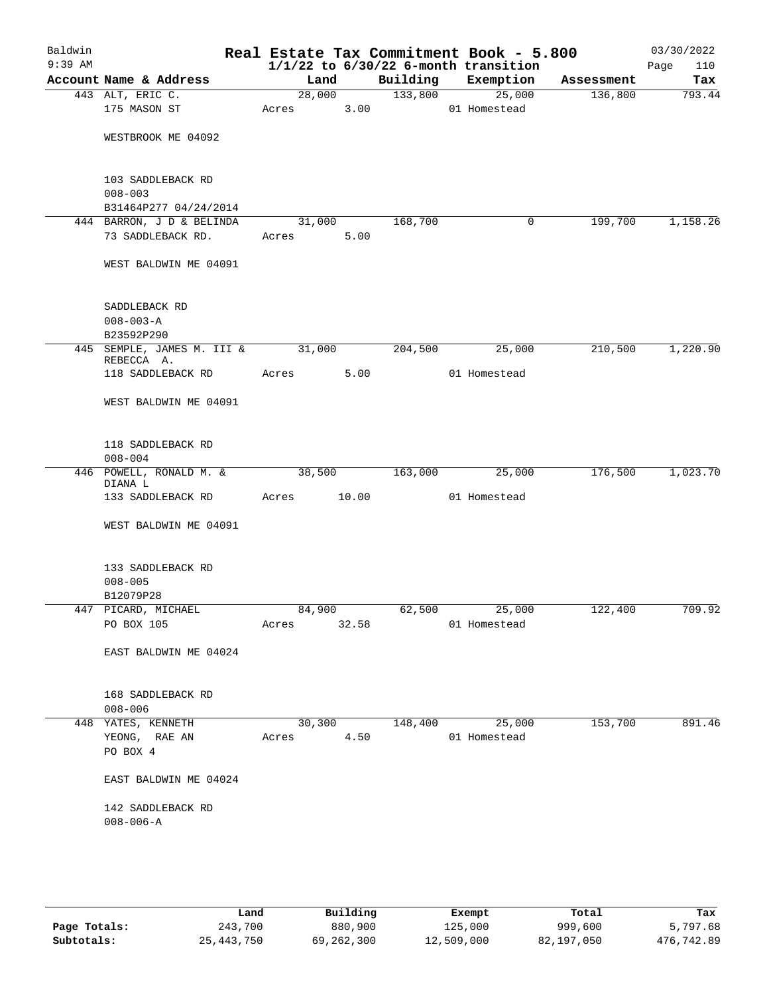| Baldwin<br>$9:39$ AM |                                          |             |        |          | Real Estate Tax Commitment Book - 5.800<br>$1/1/22$ to $6/30/22$ 6-month transition |            | 03/30/2022<br>110<br>Page |
|----------------------|------------------------------------------|-------------|--------|----------|-------------------------------------------------------------------------------------|------------|---------------------------|
|                      | Account Name & Address                   | Land        |        | Building | Exemption                                                                           | Assessment | Tax                       |
|                      | 443 ALT, ERIC C.                         | 28,000      |        | 133,800  | 25,000                                                                              | 136,800    | 793.44                    |
|                      | 175 MASON ST                             | Acres       | 3.00   |          | 01 Homestead                                                                        |            |                           |
|                      | WESTBROOK ME 04092                       |             |        |          |                                                                                     |            |                           |
|                      | 103 SADDLEBACK RD                        |             |        |          |                                                                                     |            |                           |
|                      | $008 - 003$<br>B31464P277 04/24/2014     |             |        |          |                                                                                     |            |                           |
|                      | 444 BARRON, J D & BELINDA                | 31,000      |        | 168,700  | $\mathbf 0$                                                                         | 199,700    | 1,158.26                  |
|                      | 73 SADDLEBACK RD.                        | Acres       | 5.00   |          |                                                                                     |            |                           |
|                      | WEST BALDWIN ME 04091                    |             |        |          |                                                                                     |            |                           |
|                      | SADDLEBACK RD                            |             |        |          |                                                                                     |            |                           |
|                      | $008 - 003 - A$                          |             |        |          |                                                                                     |            |                           |
|                      | B23592P290                               |             |        |          |                                                                                     |            |                           |
|                      | 445 SEMPLE, JAMES M. III &<br>REBECCA A. | 31,000      |        | 204,500  | 25,000                                                                              | 210,500    | 1,220.90                  |
|                      | 118 SADDLEBACK RD                        | Acres       | 5.00   |          | 01 Homestead                                                                        |            |                           |
|                      | WEST BALDWIN ME 04091                    |             |        |          |                                                                                     |            |                           |
|                      | 118 SADDLEBACK RD                        |             |        |          |                                                                                     |            |                           |
|                      | $008 - 004$                              |             |        |          |                                                                                     |            |                           |
|                      | 446 POWELL, RONALD M. &<br>DIANA L       | 38,500      |        | 163,000  | 25,000                                                                              | 176,500    | 1,023.70                  |
|                      | 133 SADDLEBACK RD                        | Acres       | 10.00  |          | 01 Homestead                                                                        |            |                           |
|                      | WEST BALDWIN ME 04091                    |             |        |          |                                                                                     |            |                           |
|                      | 133 SADDLEBACK RD                        |             |        |          |                                                                                     |            |                           |
|                      | $008 - 005$                              |             |        |          |                                                                                     |            |                           |
|                      | B12079P28                                |             |        |          |                                                                                     |            |                           |
|                      | 447 PICARD, MICHAEL                      | 84,900      |        |          | 62,500 25,000                                                                       | 122,400    | 709.92                    |
|                      | PO BOX 105                               | Acres 32.58 |        |          | 01 Homestead                                                                        |            |                           |
|                      | EAST BALDWIN ME 04024                    |             |        |          |                                                                                     |            |                           |
|                      | 168 SADDLEBACK RD                        |             |        |          |                                                                                     |            |                           |
|                      | $008 - 006$<br>448 YATES, KENNETH        |             | 30,300 |          | 148,400 25,000                                                                      | 153,700    | 891.46                    |
|                      | YEONG, RAE AN                            | Acres 4.50  |        |          | 01 Homestead                                                                        |            |                           |
|                      | PO BOX 4                                 |             |        |          |                                                                                     |            |                           |
|                      | EAST BALDWIN ME 04024                    |             |        |          |                                                                                     |            |                           |
|                      | 142 SADDLEBACK RD                        |             |        |          |                                                                                     |            |                           |
|                      | $008 - 006 - A$                          |             |        |          |                                                                                     |            |                           |
|                      |                                          |             |        |          |                                                                                     |            |                           |

|              | Land         | Building   | Exempt     | Total      | Tax        |
|--------------|--------------|------------|------------|------------|------------|
| Page Totals: | 243,700      | 880,900    | 125,000    | 999,600    | 5,797.68   |
| Subtotals:   | 25, 443, 750 | 69,262,300 | 12,509,000 | 82,197,050 | 476,742.89 |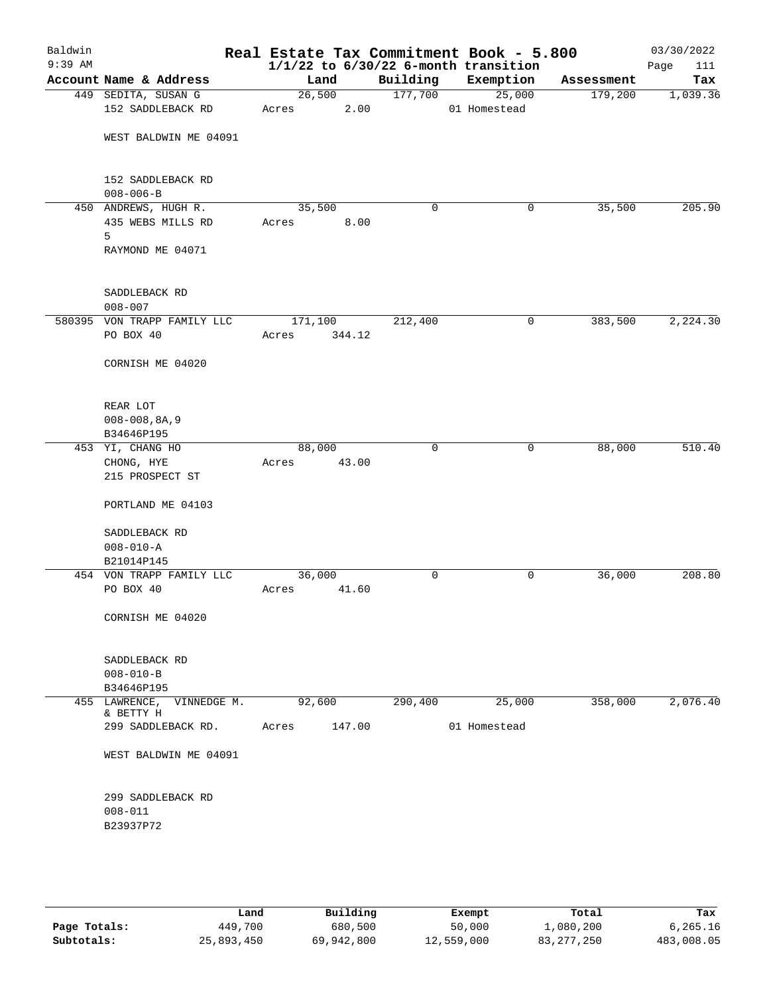| Baldwin<br>$9:39$ AM |                                                |       |         |        |             | Real Estate Tax Commitment Book - 5.800<br>$1/1/22$ to $6/30/22$ 6-month transition |            | 03/30/2022<br>111<br>Page |
|----------------------|------------------------------------------------|-------|---------|--------|-------------|-------------------------------------------------------------------------------------|------------|---------------------------|
|                      | Account Name & Address                         |       | Land    |        | Building    | Exemption                                                                           | Assessment | Tax                       |
|                      | 449 SEDITA, SUSAN G                            |       | 26,500  |        | 177,700     | 25,000                                                                              | 179,200    | 1,039.36                  |
|                      | 152 SADDLEBACK RD                              | Acres |         | 2.00   |             | 01 Homestead                                                                        |            |                           |
|                      | WEST BALDWIN ME 04091                          |       |         |        |             |                                                                                     |            |                           |
|                      | 152 SADDLEBACK RD<br>$008 - 006 - B$           |       |         |        |             |                                                                                     |            |                           |
|                      | 450 ANDREWS, HUGH R.<br>435 WEBS MILLS RD<br>5 | Acres | 35,500  | 8.00   | $\mathbf 0$ | 0                                                                                   | 35,500     | 205.90                    |
|                      | RAYMOND ME 04071                               |       |         |        |             |                                                                                     |            |                           |
|                      | SADDLEBACK RD<br>$008 - 007$                   |       |         |        |             |                                                                                     |            |                           |
|                      | 580395 VON TRAPP FAMILY LLC                    |       | 171,100 |        | 212,400     | 0                                                                                   | 383,500    | 2,224.30                  |
|                      | PO BOX 40                                      | Acres |         | 344.12 |             |                                                                                     |            |                           |
|                      | CORNISH ME 04020                               |       |         |        |             |                                                                                     |            |                           |
|                      | REAR LOT<br>$008 - 008, 8A, 9$                 |       |         |        |             |                                                                                     |            |                           |
|                      | B34646P195                                     |       |         |        |             |                                                                                     |            |                           |
|                      | 453 YI, CHANG HO                               |       | 88,000  |        | 0           | 0                                                                                   | 88,000     | 510.40                    |
|                      | CHONG, HYE                                     | Acres |         | 43.00  |             |                                                                                     |            |                           |
|                      | 215 PROSPECT ST                                |       |         |        |             |                                                                                     |            |                           |
|                      | PORTLAND ME 04103                              |       |         |        |             |                                                                                     |            |                           |
|                      | SADDLEBACK RD                                  |       |         |        |             |                                                                                     |            |                           |
|                      | $008 - 010 - A$                                |       |         |        |             |                                                                                     |            |                           |
|                      | B21014P145                                     |       |         |        |             |                                                                                     |            |                           |
|                      | 454 VON TRAPP FAMILY LLC                       |       | 36,000  |        | 0           | 0                                                                                   | 36,000     | 208.80                    |
|                      | PO BOX 40                                      | Acres |         | 41.60  |             |                                                                                     |            |                           |
|                      | CORNISH ME 04020                               |       |         |        |             |                                                                                     |            |                           |
|                      | SADDLEBACK RD                                  |       |         |        |             |                                                                                     |            |                           |
|                      | $008 - 010 - B$                                |       |         |        |             |                                                                                     |            |                           |
|                      | B34646P195<br>455 LAWRENCE, VINNEDGE M.        |       |         |        |             |                                                                                     |            |                           |
|                      | & BETTY H                                      |       | 92,600  |        | 290,400     | 25,000                                                                              | 358,000    | 2,076.40                  |
|                      | 299 SADDLEBACK RD.                             | Acres |         | 147.00 |             | 01 Homestead                                                                        |            |                           |
|                      | WEST BALDWIN ME 04091                          |       |         |        |             |                                                                                     |            |                           |
|                      | 299 SADDLEBACK RD                              |       |         |        |             |                                                                                     |            |                           |
|                      | $008 - 011$                                    |       |         |        |             |                                                                                     |            |                           |
|                      | B23937P72                                      |       |         |        |             |                                                                                     |            |                           |
|                      |                                                |       |         |        |             |                                                                                     |            |                           |
|                      |                                                |       |         |        |             |                                                                                     |            |                           |

|              | Land       | Building   | Exempt     | Total        | Tax        |
|--------------|------------|------------|------------|--------------|------------|
| Page Totals: | 449,700    | 680,500    | 50,000     | 1,080,200    | 6.265.16   |
| Subtotals:   | 25,893,450 | 69,942,800 | 12,559,000 | 83, 277, 250 | 483,008.05 |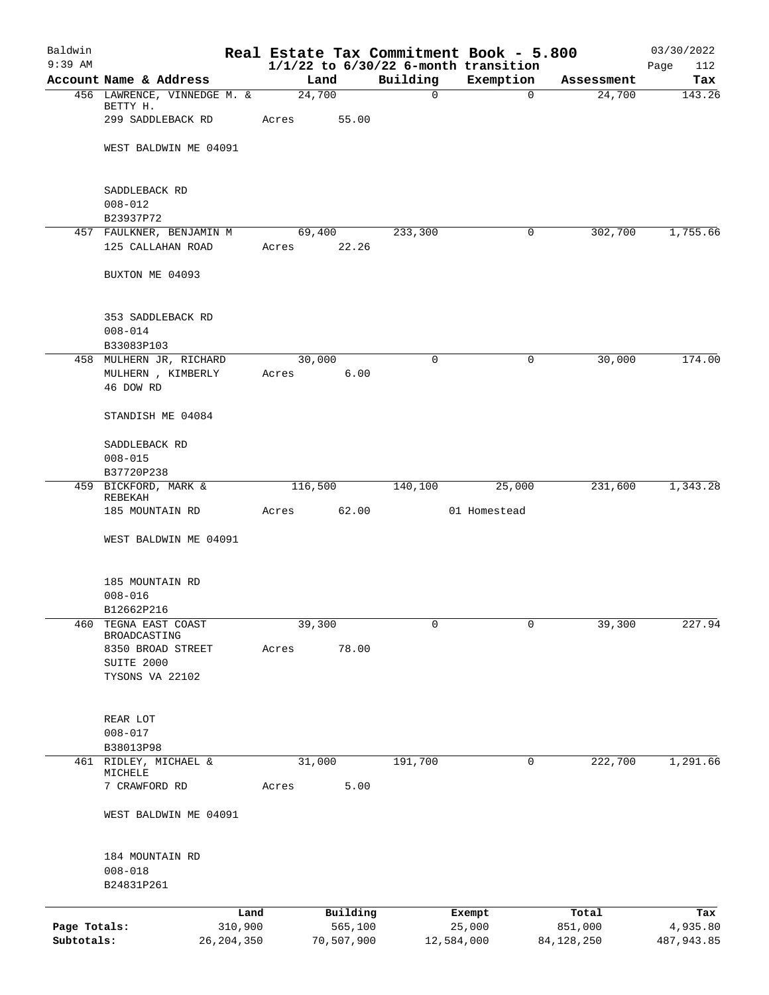| Baldwin<br>$9:39$ AM |                                       |              |         |            |             | Real Estate Tax Commitment Book - 5.800<br>$1/1/22$ to $6/30/22$ 6-month transition |              | 03/30/2022<br>112<br>Page |
|----------------------|---------------------------------------|--------------|---------|------------|-------------|-------------------------------------------------------------------------------------|--------------|---------------------------|
|                      | Account Name & Address                |              | Land    |            | Building    | Exemption                                                                           | Assessment   | Tax                       |
|                      | 456 LAWRENCE, VINNEDGE M. &           |              | 24,700  |            | $\mathbf 0$ | $\mathbf 0$                                                                         | 24,700       | 143.26                    |
|                      | BETTY H.<br>299 SADDLEBACK RD         |              | Acres   | 55.00      |             |                                                                                     |              |                           |
|                      | WEST BALDWIN ME 04091                 |              |         |            |             |                                                                                     |              |                           |
|                      | SADDLEBACK RD                         |              |         |            |             |                                                                                     |              |                           |
|                      | $008 - 012$                           |              |         |            |             |                                                                                     |              |                           |
|                      | B23937P72<br>457 FAULKNER, BENJAMIN M |              | 69,400  |            | 233,300     | 0                                                                                   | 302,700      | 1,755.66                  |
|                      | 125 CALLAHAN ROAD                     |              | Acres   | 22.26      |             |                                                                                     |              |                           |
|                      | BUXTON ME 04093                       |              |         |            |             |                                                                                     |              |                           |
|                      | 353 SADDLEBACK RD                     |              |         |            |             |                                                                                     |              |                           |
|                      | $008 - 014$<br>B33083P103             |              |         |            |             |                                                                                     |              |                           |
|                      | 458 MULHERN JR, RICHARD               |              | 30,000  |            | $\mathbf 0$ | 0                                                                                   | 30,000       | 174.00                    |
|                      | MULHERN , KIMBERLY<br>46 DOW RD       |              | Acres   | 6.00       |             |                                                                                     |              |                           |
|                      | STANDISH ME 04084                     |              |         |            |             |                                                                                     |              |                           |
|                      | SADDLEBACK RD<br>$008 - 015$          |              |         |            |             |                                                                                     |              |                           |
|                      | B37720P238                            |              |         |            |             |                                                                                     |              |                           |
|                      | 459 BICKFORD, MARK &                  |              | 116,500 |            | 140,100     | 25,000                                                                              | 231,600      | 1,343.28                  |
|                      | REBEKAH<br>185 MOUNTAIN RD            |              | Acres   | 62.00      |             | 01 Homestead                                                                        |              |                           |
|                      | WEST BALDWIN ME 04091                 |              |         |            |             |                                                                                     |              |                           |
|                      |                                       |              |         |            |             |                                                                                     |              |                           |
|                      | 185 MOUNTAIN RD                       |              |         |            |             |                                                                                     |              |                           |
|                      | $008 - 016$                           |              |         |            |             |                                                                                     |              |                           |
|                      | B12662P216                            |              |         |            |             |                                                                                     |              |                           |
| 460                  | TEGNA EAST COAST<br>BROADCASTING      |              | 39,300  |            | 0           | $\mathbf 0$                                                                         | 39,300       | 227.94                    |
|                      | 8350 BROAD STREET                     |              | Acres   | 78.00      |             |                                                                                     |              |                           |
|                      | SUITE 2000                            |              |         |            |             |                                                                                     |              |                           |
|                      | TYSONS VA 22102                       |              |         |            |             |                                                                                     |              |                           |
|                      | REAR LOT                              |              |         |            |             |                                                                                     |              |                           |
|                      | $008 - 017$                           |              |         |            |             |                                                                                     |              |                           |
| 461                  | B38013P98<br>RIDLEY, MICHAEL &        |              | 31,000  |            | 191,700     | 0                                                                                   | 222,700      | 1,291.66                  |
|                      | MICHELE                               |              |         |            |             |                                                                                     |              |                           |
|                      | 7 CRAWFORD RD                         |              | Acres   | 5.00       |             |                                                                                     |              |                           |
|                      | WEST BALDWIN ME 04091                 |              |         |            |             |                                                                                     |              |                           |
|                      | 184 MOUNTAIN RD                       |              |         |            |             |                                                                                     |              |                           |
|                      | $008 - 018$<br>B24831P261             |              |         |            |             |                                                                                     |              |                           |
|                      |                                       | Land         |         | Building   |             | Exempt                                                                              | Total        | Tax                       |
| Page Totals:         |                                       | 310,900      |         | 565,100    |             | 25,000                                                                              | 851,000      | 4,935.80                  |
| Subtotals:           |                                       | 26, 204, 350 |         | 70,507,900 |             | 12,584,000                                                                          | 84, 128, 250 | 487,943.85                |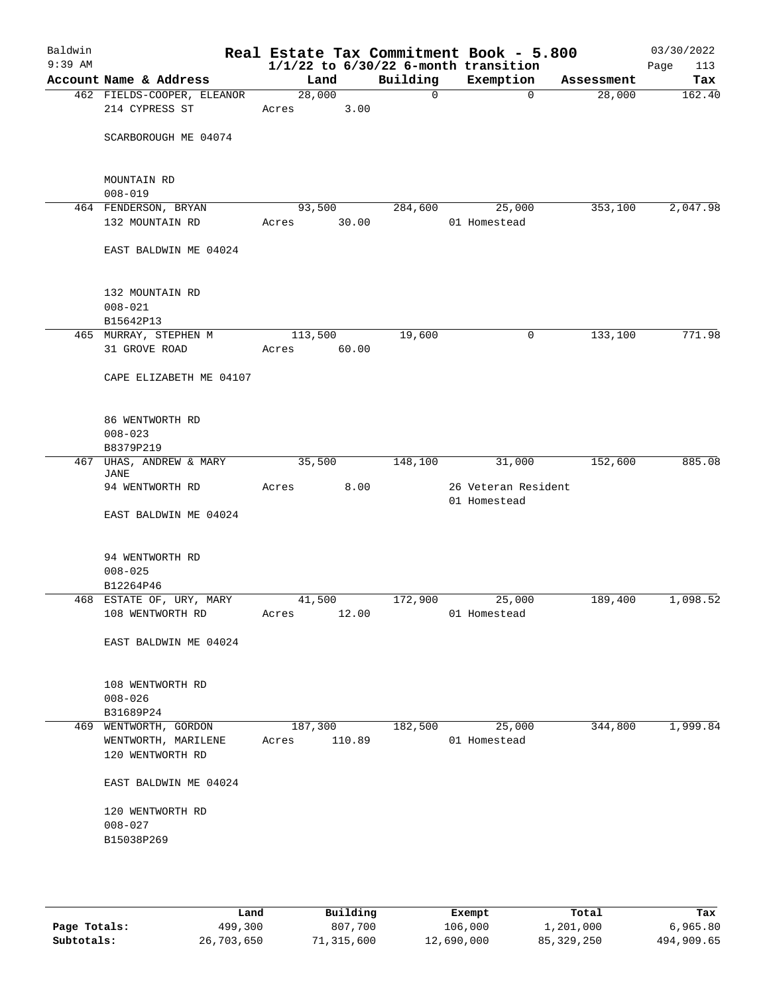| Baldwin<br>$9:39$ AM |                                              |       |         |        |             | Real Estate Tax Commitment Book - 5.800<br>$1/1/22$ to $6/30/22$ 6-month transition |            | 03/30/2022<br>Page<br>113 |
|----------------------|----------------------------------------------|-------|---------|--------|-------------|-------------------------------------------------------------------------------------|------------|---------------------------|
|                      | Account Name & Address                       |       | Land    |        | Building    | Exemption                                                                           | Assessment | Tax                       |
|                      | 462 FIELDS-COOPER, ELEANOR<br>214 CYPRESS ST | Acres | 28,000  | 3.00   | $\mathbf 0$ | $\mathbf 0$                                                                         | 28,000     | 162.40                    |
|                      | SCARBOROUGH ME 04074                         |       |         |        |             |                                                                                     |            |                           |
|                      | MOUNTAIN RD<br>$008 - 019$                   |       |         |        |             |                                                                                     |            |                           |
|                      | 464 FENDERSON, BRYAN<br>132 MOUNTAIN RD      | Acres | 93,500  | 30.00  | 284,600     | 25,000<br>01 Homestead                                                              | 353,100    | 2,047.98                  |
|                      | EAST BALDWIN ME 04024                        |       |         |        |             |                                                                                     |            |                           |
|                      | 132 MOUNTAIN RD<br>$008 - 021$<br>B15642P13  |       |         |        |             |                                                                                     |            |                           |
|                      | 465 MURRAY, STEPHEN M                        |       | 113,500 |        | 19,600      | 0                                                                                   | 133,100    | 771.98                    |
|                      | 31 GROVE ROAD                                | Acres |         | 60.00  |             |                                                                                     |            |                           |
|                      | CAPE ELIZABETH ME 04107                      |       |         |        |             |                                                                                     |            |                           |
|                      | 86 WENTWORTH RD<br>$008 - 023$               |       |         |        |             |                                                                                     |            |                           |
|                      | B8379P219                                    |       |         |        |             |                                                                                     |            |                           |
|                      | 467 UHAS, ANDREW & MARY<br><b>JANE</b>       |       | 35,500  |        | 148,100     | 31,000                                                                              | 152,600    | 885.08                    |
|                      | 94 WENTWORTH RD                              | Acres |         | 8.00   |             | 26 Veteran Resident<br>01 Homestead                                                 |            |                           |
|                      | EAST BALDWIN ME 04024                        |       |         |        |             |                                                                                     |            |                           |
|                      | 94 WENTWORTH RD<br>$008 - 025$               |       |         |        |             |                                                                                     |            |                           |
|                      | B12264P46                                    |       |         |        |             |                                                                                     |            |                           |
|                      | 468 ESTATE OF, URY, MARY                     |       | 41,500  |        | 172,900     | 25,000                                                                              | 189,400    | 1,098.52                  |
|                      | 108 WENTWORTH RD                             | Acres |         | 12.00  |             | 01 Homestead                                                                        |            |                           |
|                      | EAST BALDWIN ME 04024                        |       |         |        |             |                                                                                     |            |                           |
|                      | 108 WENTWORTH RD<br>$008 - 026$              |       |         |        |             |                                                                                     |            |                           |
|                      | B31689P24                                    |       |         |        |             |                                                                                     |            |                           |
|                      | 469 WENTWORTH, GORDON                        |       | 187,300 |        | 182,500     | 25,000                                                                              | 344,800    | 1,999.84                  |
|                      | WENTWORTH, MARILENE                          | Acres |         | 110.89 |             | 01 Homestead                                                                        |            |                           |
|                      | 120 WENTWORTH RD                             |       |         |        |             |                                                                                     |            |                           |
|                      | EAST BALDWIN ME 04024                        |       |         |        |             |                                                                                     |            |                           |
|                      | 120 WENTWORTH RD<br>$008 - 027$              |       |         |        |             |                                                                                     |            |                           |
|                      | B15038P269                                   |       |         |        |             |                                                                                     |            |                           |
|                      |                                              |       |         |        |             |                                                                                     |            |                           |

|              | Land       | Building   | Exempt     | Total      | Tax        |
|--------------|------------|------------|------------|------------|------------|
| Page Totals: | 499,300    | 807,700    | 106,000    | 1,201,000  | 6,965.80   |
| Subtotals:   | 26,703,650 | 71,315,600 | 12,690,000 | 85,329,250 | 494,909.65 |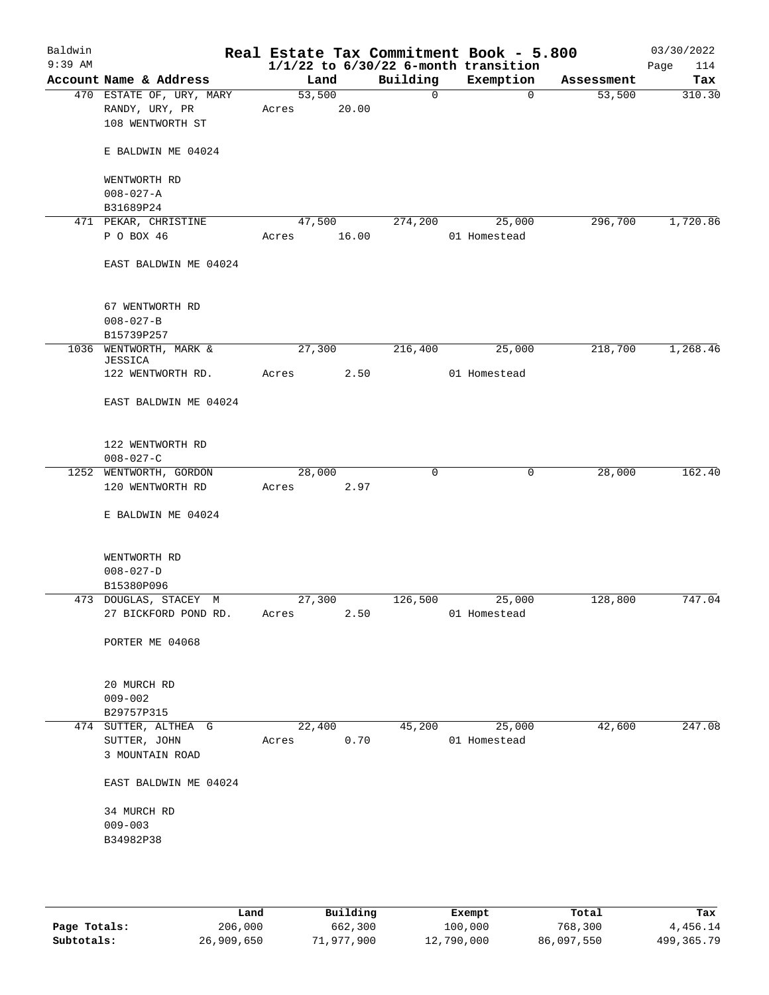| Baldwin<br>$9:39$ AM |                                                                |       |        |       |          | Real Estate Tax Commitment Book - 5.800<br>$1/1/22$ to $6/30/22$ 6-month transition |            | 03/30/2022<br>114<br>Page |
|----------------------|----------------------------------------------------------------|-------|--------|-------|----------|-------------------------------------------------------------------------------------|------------|---------------------------|
|                      | Account Name & Address                                         |       | Land   |       | Building | Exemption                                                                           | Assessment | Tax                       |
|                      | 470 ESTATE OF, URY, MARY<br>RANDY, URY, PR<br>108 WENTWORTH ST | Acres | 53,500 | 20.00 | 0        | $\mathbf 0$                                                                         | 53,500     | 310.30                    |
|                      | E BALDWIN ME 04024                                             |       |        |       |          |                                                                                     |            |                           |
|                      | WENTWORTH RD                                                   |       |        |       |          |                                                                                     |            |                           |
|                      | $008 - 027 - A$<br>B31689P24                                   |       |        |       |          |                                                                                     |            |                           |
|                      | 471 PEKAR, CHRISTINE                                           |       | 47,500 |       | 274,200  | 25,000                                                                              | 296,700    | 1,720.86                  |
|                      | P O BOX 46                                                     | Acres |        | 16.00 |          | 01 Homestead                                                                        |            |                           |
|                      | EAST BALDWIN ME 04024                                          |       |        |       |          |                                                                                     |            |                           |
|                      | 67 WENTWORTH RD                                                |       |        |       |          |                                                                                     |            |                           |
|                      | $008 - 027 - B$<br>B15739P257                                  |       |        |       |          |                                                                                     |            |                           |
|                      | 1036 WENTWORTH, MARK &<br>JESSICA                              |       | 27,300 |       | 216,400  | 25,000                                                                              | 218,700    | 1,268.46                  |
|                      | 122 WENTWORTH RD.                                              | Acres |        | 2.50  |          | 01 Homestead                                                                        |            |                           |
|                      | EAST BALDWIN ME 04024                                          |       |        |       |          |                                                                                     |            |                           |
|                      | 122 WENTWORTH RD<br>$008 - 027 - C$                            |       |        |       |          |                                                                                     |            |                           |
|                      | 1252 WENTWORTH, GORDON                                         |       | 28,000 |       | 0        | 0                                                                                   | 28,000     | 162.40                    |
|                      | 120 WENTWORTH RD                                               | Acres |        | 2.97  |          |                                                                                     |            |                           |
|                      | E BALDWIN ME 04024                                             |       |        |       |          |                                                                                     |            |                           |
|                      | WENTWORTH RD                                                   |       |        |       |          |                                                                                     |            |                           |
|                      | $008 - 027 - D$                                                |       |        |       |          |                                                                                     |            |                           |
|                      | B15380P096<br>473 DOUGLAS, STACEY M                            |       | 27,300 |       | 126,500  | 25,000                                                                              | 128,800    | 747.04                    |
|                      | 27 BICKFORD POND RD.                                           | Acres |        | 2.50  |          | 01 Homestead                                                                        |            |                           |
|                      | PORTER ME 04068                                                |       |        |       |          |                                                                                     |            |                           |
|                      | 20 MURCH RD<br>$009 - 002$                                     |       |        |       |          |                                                                                     |            |                           |
|                      | B29757P315                                                     |       |        |       |          |                                                                                     |            |                           |
|                      | 474 SUTTER, ALTHEA G<br>SUTTER, JOHN                           | Acres | 22,400 | 0.70  | 45,200   | 25,000<br>01 Homestead                                                              | 42,600     | 247.08                    |
|                      | 3 MOUNTAIN ROAD                                                |       |        |       |          |                                                                                     |            |                           |
|                      | EAST BALDWIN ME 04024                                          |       |        |       |          |                                                                                     |            |                           |
|                      | 34 MURCH RD                                                    |       |        |       |          |                                                                                     |            |                           |
|                      | $009 - 003$                                                    |       |        |       |          |                                                                                     |            |                           |
|                      | B34982P38                                                      |       |        |       |          |                                                                                     |            |                           |
|                      |                                                                |       |        |       |          |                                                                                     |            |                           |
|                      |                                                                |       |        |       |          |                                                                                     |            |                           |

|              | Land       | Building   | Exempt     | Total      | Tax        |
|--------------|------------|------------|------------|------------|------------|
| Page Totals: | 206,000    | 662,300    | 100,000    | 768,300    | 4,456.14   |
| Subtotals:   | 26,909,650 | 71,977,900 | 12,790,000 | 86,097,550 | 499,365.79 |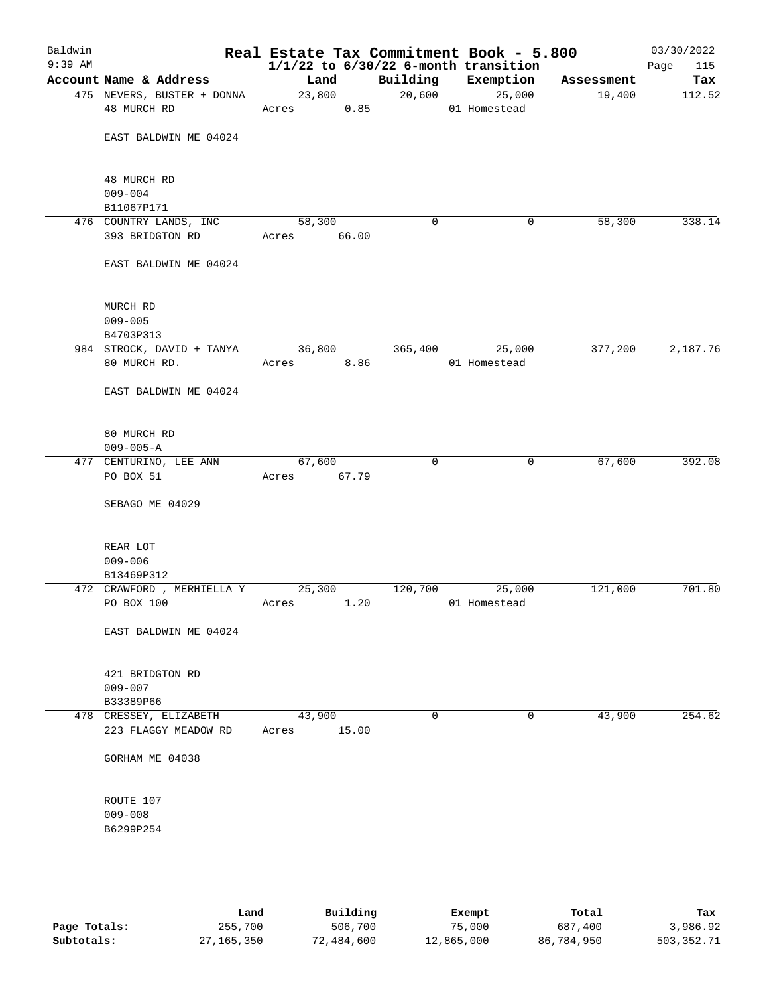| Baldwin<br>$9:39$ AM |                                           |                                  |       |          | Real Estate Tax Commitment Book - 5.800<br>$1/1/22$ to $6/30/22$ 6-month transition |            | 03/30/2022<br>Page<br>115 |
|----------------------|-------------------------------------------|----------------------------------|-------|----------|-------------------------------------------------------------------------------------|------------|---------------------------|
|                      | Account Name & Address                    | Land                             |       | Building | Exemption                                                                           | Assessment | Tax                       |
|                      | 475 NEVERS, BUSTER + DONNA<br>48 MURCH RD | $\frac{23,800}{2}$<br>Acres 0.85 |       | 20,600   | 25,000<br>01 Homestead                                                              | 19,400     | 112.52                    |
|                      | EAST BALDWIN ME 04024                     |                                  |       |          |                                                                                     |            |                           |
|                      | 48 MURCH RD<br>$009 - 004$                |                                  |       |          |                                                                                     |            |                           |
|                      | B11067P171                                |                                  |       |          |                                                                                     |            |                           |
|                      | 476 COUNTRY LANDS, INC<br>393 BRIDGTON RD | 58,300<br>Acres 66.00            |       | 0        | 0                                                                                   | 58,300     | 338.14                    |
|                      | EAST BALDWIN ME 04024                     |                                  |       |          |                                                                                     |            |                           |
|                      | MURCH RD<br>$009 - 005$<br>B4703P313      |                                  |       |          |                                                                                     |            |                           |
|                      | 984 STROCK, DAVID + TANYA                 | 36,800                           |       | 365,400  | 25,000                                                                              | 377,200    | 2,187.76                  |
|                      | 80 MURCH RD.                              | Acres 8.86                       |       |          | 01 Homestead                                                                        |            |                           |
|                      | EAST BALDWIN ME 04024                     |                                  |       |          |                                                                                     |            |                           |
|                      | 80 MURCH RD<br>$009 - 005 - A$            |                                  |       |          |                                                                                     |            |                           |
|                      | 477 CENTURINO, LEE ANN                    | 67,600                           |       | 0        | 0                                                                                   | 67,600     | 392.08                    |
|                      | PO BOX 51                                 | Acres 67.79                      |       |          |                                                                                     |            |                           |
|                      | SEBAGO ME 04029                           |                                  |       |          |                                                                                     |            |                           |
|                      | REAR LOT                                  |                                  |       |          |                                                                                     |            |                           |
|                      | $009 - 006$                               |                                  |       |          |                                                                                     |            |                           |
|                      | B13469P312                                |                                  |       |          |                                                                                     |            |                           |
|                      | 472 CRAWFORD, MERHIELLA Y 25,300          |                                  |       | 120,700  | 25,000                                                                              | 121,000    | 701.80                    |
|                      | PO BOX 100                                | Acres                            | 1.20  |          | 01 Homestead                                                                        |            |                           |
|                      | EAST BALDWIN ME 04024                     |                                  |       |          |                                                                                     |            |                           |
|                      | 421 BRIDGTON RD                           |                                  |       |          |                                                                                     |            |                           |
|                      | $009 - 007$                               |                                  |       |          |                                                                                     |            |                           |
|                      | B33389P66<br>478 CRESSEY, ELIZABETH       | 43,900                           |       | $\Omega$ | 0                                                                                   | 43,900     | 254.62                    |
|                      | 223 FLAGGY MEADOW RD                      | Acres                            | 15.00 |          |                                                                                     |            |                           |
|                      | GORHAM ME 04038                           |                                  |       |          |                                                                                     |            |                           |
|                      | ROUTE 107                                 |                                  |       |          |                                                                                     |            |                           |
|                      | $009 - 008$                               |                                  |       |          |                                                                                     |            |                           |
|                      | B6299P254                                 |                                  |       |          |                                                                                     |            |                           |
|                      |                                           |                                  |       |          |                                                                                     |            |                           |
|                      |                                           |                                  |       |          |                                                                                     |            |                           |

|              | Land       | Building   | Exempt     | Total      | Tax        |
|--------------|------------|------------|------------|------------|------------|
| Page Totals: | 255,700    | 506,700    | 75,000     | 687,400    | 3,986.92   |
| Subtotals:   | 27,165,350 | 72,484,600 | 12,865,000 | 86,784,950 | 503,352.71 |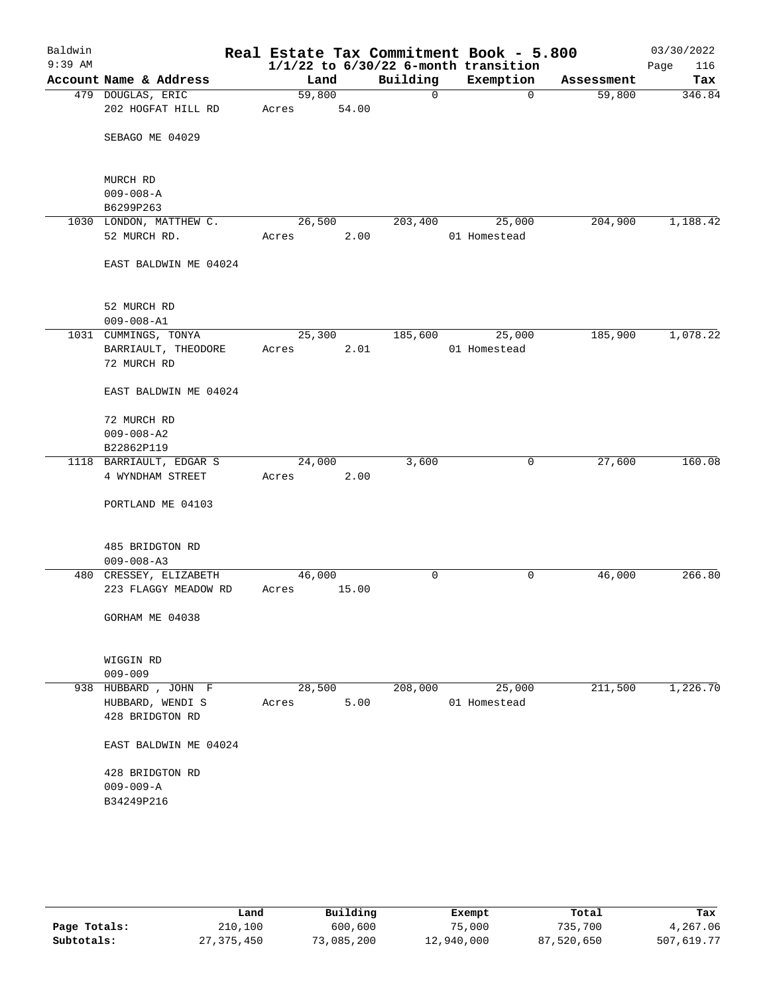| Baldwin<br>$9:39$ AM |                                         |                 |       |          | Real Estate Tax Commitment Book - 5.800<br>$1/1/22$ to $6/30/22$ 6-month transition |            | 03/30/2022<br>116<br>Page |
|----------------------|-----------------------------------------|-----------------|-------|----------|-------------------------------------------------------------------------------------|------------|---------------------------|
|                      | Account Name & Address                  | Land            |       | Building | Exemption                                                                           | Assessment | Tax                       |
|                      | 479 DOUGLAS, ERIC<br>202 HOGFAT HILL RD | 59,800<br>Acres | 54.00 | 0        | 0                                                                                   | 59,800     | 346.84                    |
|                      | SEBAGO ME 04029                         |                 |       |          |                                                                                     |            |                           |
|                      | MURCH RD                                |                 |       |          |                                                                                     |            |                           |
|                      | $009 - 008 - A$                         |                 |       |          |                                                                                     |            |                           |
|                      | B6299P263                               |                 |       |          |                                                                                     |            |                           |
|                      | 1030 LONDON, MATTHEW C.                 | 26,500          |       | 203,400  | 25,000                                                                              | 204,900    | 1,188.42                  |
|                      | 52 MURCH RD.                            | Acres           | 2.00  |          | 01 Homestead                                                                        |            |                           |
|                      | EAST BALDWIN ME 04024                   |                 |       |          |                                                                                     |            |                           |
|                      | 52 MURCH RD                             |                 |       |          |                                                                                     |            |                           |
|                      | $009 - 008 - A1$                        |                 |       |          |                                                                                     |            |                           |
|                      | 1031 CUMMINGS, TONYA                    | 25,300          |       | 185,600  | 25,000                                                                              | 185,900    | 1,078.22                  |
|                      | BARRIAULT, THEODORE<br>72 MURCH RD      | Acres           | 2.01  |          | 01 Homestead                                                                        |            |                           |
|                      | EAST BALDWIN ME 04024                   |                 |       |          |                                                                                     |            |                           |
|                      | 72 MURCH RD                             |                 |       |          |                                                                                     |            |                           |
|                      | $009 - 008 - A2$                        |                 |       |          |                                                                                     |            |                           |
|                      | B22862P119                              |                 |       |          |                                                                                     |            |                           |
|                      | 1118 BARRIAULT, EDGAR S                 | 24,000          |       | 3,600    | 0                                                                                   | 27,600     | 160.08                    |
|                      | 4 WYNDHAM STREET                        | Acres           | 2.00  |          |                                                                                     |            |                           |
|                      | PORTLAND ME 04103                       |                 |       |          |                                                                                     |            |                           |
|                      | 485 BRIDGTON RD                         |                 |       |          |                                                                                     |            |                           |
|                      | $009 - 008 - A3$                        |                 |       |          |                                                                                     |            |                           |
|                      | 480 CRESSEY, ELIZABETH                  | 46,000          |       | 0        | 0                                                                                   | 46,000     | 266.80                    |
|                      | 223 FLAGGY MEADOW RD                    | Acres           | 15.00 |          |                                                                                     |            |                           |
|                      | GORHAM ME 04038                         |                 |       |          |                                                                                     |            |                           |
|                      | WIGGIN RD                               |                 |       |          |                                                                                     |            |                           |
|                      | $009 - 009$                             |                 |       |          |                                                                                     |            |                           |
|                      | 938 HUBBARD, JOHN F                     | 28,500          |       | 208,000  | 25,000                                                                              | 211,500    | 1,226.70                  |
|                      | HUBBARD, WENDI S                        | Acres           | 5.00  |          | 01 Homestead                                                                        |            |                           |
|                      | 428 BRIDGTON RD                         |                 |       |          |                                                                                     |            |                           |
|                      | EAST BALDWIN ME 04024                   |                 |       |          |                                                                                     |            |                           |
|                      | 428 BRIDGTON RD                         |                 |       |          |                                                                                     |            |                           |
|                      | $009 - 009 - A$                         |                 |       |          |                                                                                     |            |                           |
|                      | B34249P216                              |                 |       |          |                                                                                     |            |                           |
|                      |                                         |                 |       |          |                                                                                     |            |                           |
|                      |                                         |                 |       |          |                                                                                     |            |                           |

|              | Land       | Building   | Exempt     | Total      | Tax        |
|--------------|------------|------------|------------|------------|------------|
| Page Totals: | 210,100    | 600,600    | 75,000     | 735,700    | 4,267.06   |
| Subtotals:   | 27,375,450 | 73,085,200 | 12,940,000 | 87,520,650 | 507,619.77 |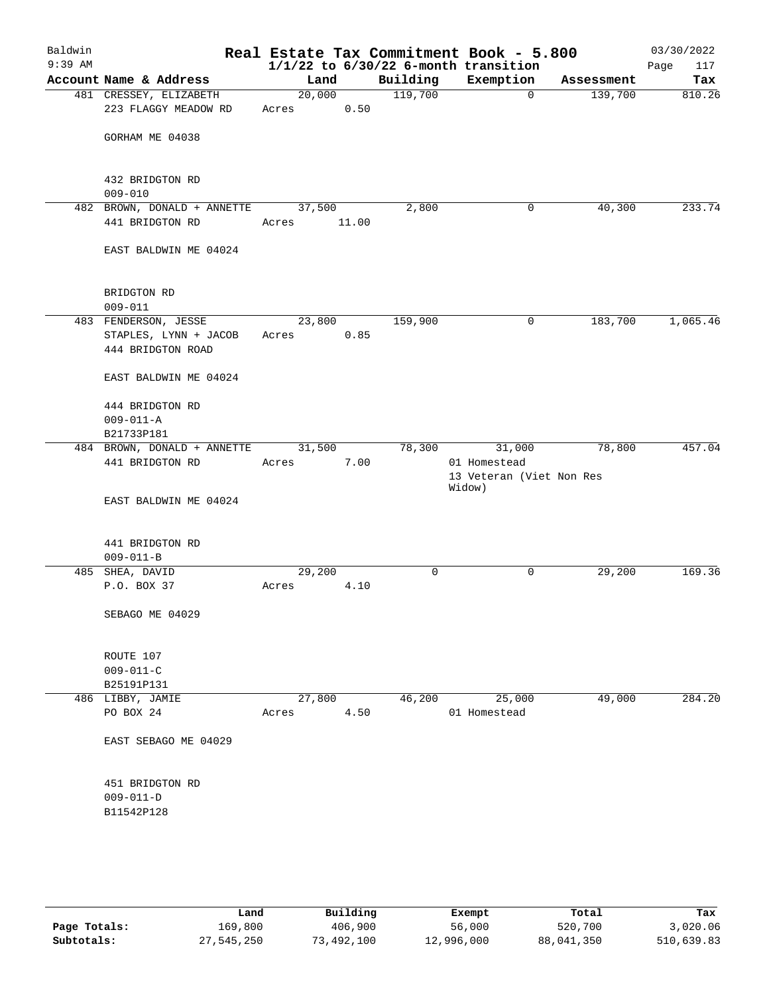| Baldwin<br>$9:39$ AM |                                            |        |       |          | Real Estate Tax Commitment Book - 5.800<br>$1/1/22$ to $6/30/22$ 6-month transition |            | 03/30/2022<br>Page<br>117 |
|----------------------|--------------------------------------------|--------|-------|----------|-------------------------------------------------------------------------------------|------------|---------------------------|
|                      | Account Name & Address                     | Land   |       | Building | Exemption                                                                           | Assessment | Tax                       |
|                      | 481 CRESSEY, ELIZABETH                     | 20,000 |       | 119,700  | $\overline{0}$                                                                      | 139,700    | 810.26                    |
|                      | 223 FLAGGY MEADOW RD                       | Acres  | 0.50  |          |                                                                                     |            |                           |
|                      | GORHAM ME 04038                            |        |       |          |                                                                                     |            |                           |
|                      | 432 BRIDGTON RD<br>$009 - 010$             |        |       |          |                                                                                     |            |                           |
|                      | 482 BROWN, DONALD + ANNETTE                | 37,500 |       | 2,800    | 0                                                                                   | 40,300     | 233.74                    |
|                      | 441 BRIDGTON RD                            | Acres  | 11.00 |          |                                                                                     |            |                           |
|                      | EAST BALDWIN ME 04024                      |        |       |          |                                                                                     |            |                           |
|                      | BRIDGTON RD<br>$009 - 011$                 |        |       |          |                                                                                     |            |                           |
|                      | 483 FENDERSON, JESSE                       | 23,800 |       | 159,900  | 0                                                                                   | 183,700    | 1,065.46                  |
|                      | STAPLES, LYNN + JACOB<br>444 BRIDGTON ROAD | Acres  | 0.85  |          |                                                                                     |            |                           |
|                      | EAST BALDWIN ME 04024                      |        |       |          |                                                                                     |            |                           |
|                      | 444 BRIDGTON RD<br>$009 - 011 - A$         |        |       |          |                                                                                     |            |                           |
|                      | B21733P181                                 |        |       |          |                                                                                     |            |                           |
|                      | 484 BROWN, DONALD + ANNETTE                | 31,500 |       | 78,300   | 31,000                                                                              | 78,800     | 457.04                    |
|                      | 441 BRIDGTON RD                            | Acres  | 7.00  |          | 01 Homestead<br>13 Veteran (Viet Non Res<br>Widow)                                  |            |                           |
|                      | EAST BALDWIN ME 04024                      |        |       |          |                                                                                     |            |                           |
|                      | 441 BRIDGTON RD<br>$009 - 011 - B$         |        |       |          |                                                                                     |            |                           |
|                      | 485 SHEA, DAVID                            | 29,200 |       | 0        | 0                                                                                   | 29,200     | 169.36                    |
|                      | P.O. BOX 37                                | Acres  | 4.10  |          |                                                                                     |            |                           |
|                      | SEBAGO ME 04029                            |        |       |          |                                                                                     |            |                           |
|                      | ROUTE 107<br>$009 - 011 - C$               |        |       |          |                                                                                     |            |                           |
|                      | B25191P131                                 |        |       |          |                                                                                     |            |                           |
|                      | 486 LIBBY, JAMIE                           | 27,800 |       | 46,200   | 25,000                                                                              | 49,000     | 284.20                    |
|                      | PO BOX 24                                  | Acres  | 4.50  |          | 01 Homestead                                                                        |            |                           |
|                      | EAST SEBAGO ME 04029                       |        |       |          |                                                                                     |            |                           |
|                      | 451 BRIDGTON RD<br>$009 - 011 - D$         |        |       |          |                                                                                     |            |                           |
|                      | B11542P128                                 |        |       |          |                                                                                     |            |                           |
|                      |                                            |        |       |          |                                                                                     |            |                           |

|              | Land       | Building   | Exempt     | Total      | Tax        |
|--------------|------------|------------|------------|------------|------------|
| Page Totals: | 169,800    | 406,900    | 56,000     | 520,700    | 3,020.06   |
| Subtotals:   | 27,545,250 | 73,492,100 | 12,996,000 | 88,041,350 | 510,639.83 |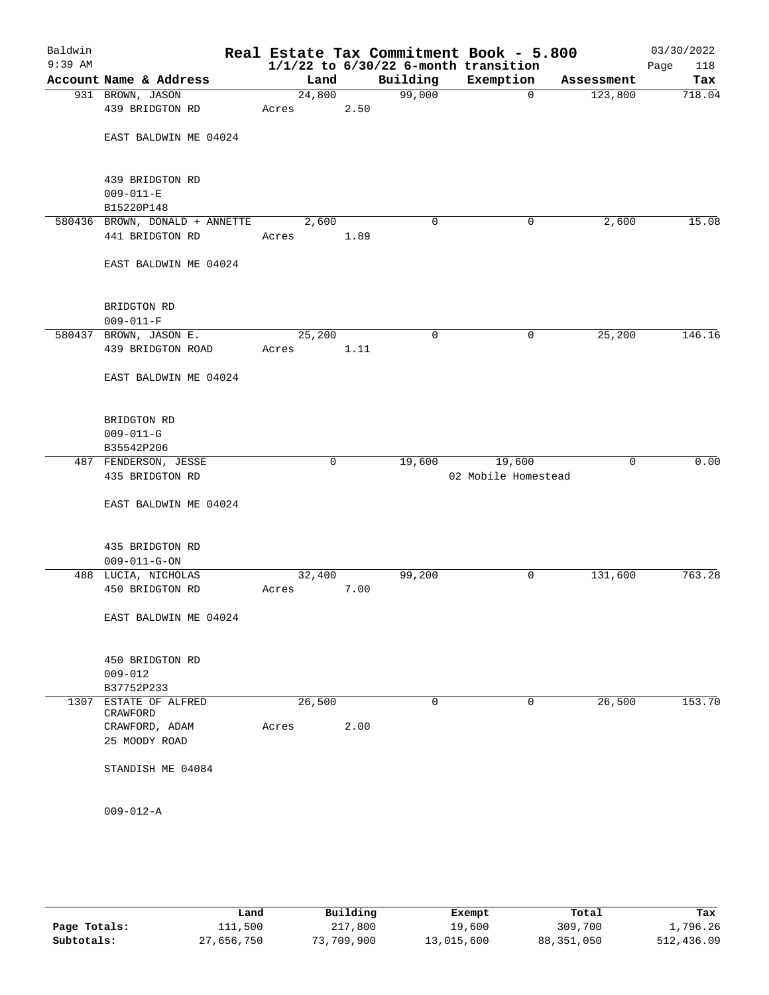| Baldwin   |                                         |        |      |             | Real Estate Tax Commitment Book - 5.800  |             | 03/30/2022  |
|-----------|-----------------------------------------|--------|------|-------------|------------------------------------------|-------------|-------------|
| $9:39$ AM |                                         |        |      |             | $1/1/22$ to $6/30/22$ 6-month transition |             | 118<br>Page |
|           | Account Name & Address                  | Land   |      | Building    | Exemption                                | Assessment  | Tax         |
|           | 931 BROWN, JASON                        | 24,800 |      | 99,000      | $\mathbf 0$                              | 123,800     | 718.04      |
|           | 439 BRIDGTON RD                         | Acres  | 2.50 |             |                                          |             |             |
|           |                                         |        |      |             |                                          |             |             |
|           | EAST BALDWIN ME 04024                   |        |      |             |                                          |             |             |
|           |                                         |        |      |             |                                          |             |             |
|           | 439 BRIDGTON RD                         |        |      |             |                                          |             |             |
|           | $009 - 011 - E$                         |        |      |             |                                          |             |             |
|           | B15220P148                              |        |      |             |                                          |             |             |
|           | 580436 BROWN, DONALD + ANNETTE          | 2,600  |      | 0           | 0                                        | 2,600       | 15.08       |
|           | 441 BRIDGTON RD                         | Acres  | 1.89 |             |                                          |             |             |
|           |                                         |        |      |             |                                          |             |             |
|           | EAST BALDWIN ME 04024                   |        |      |             |                                          |             |             |
|           |                                         |        |      |             |                                          |             |             |
|           | BRIDGTON RD                             |        |      |             |                                          |             |             |
|           | $009 - 011 - F$                         |        |      |             |                                          |             |             |
|           | 580437 BROWN, JASON E.                  | 25,200 |      | $\mathbf 0$ | 0                                        | 25,200      | 146.16      |
|           | 439 BRIDGTON ROAD                       | Acres  | 1.11 |             |                                          |             |             |
|           |                                         |        |      |             |                                          |             |             |
|           | EAST BALDWIN ME 04024                   |        |      |             |                                          |             |             |
|           |                                         |        |      |             |                                          |             |             |
|           |                                         |        |      |             |                                          |             |             |
|           | BRIDGTON RD                             |        |      |             |                                          |             |             |
|           | $009 - 011 - G$                         |        |      |             |                                          |             |             |
|           | B35542P206                              |        |      |             |                                          |             |             |
|           | 487 FENDERSON, JESSE<br>435 BRIDGTON RD |        | 0    | 19,600      | 19,600<br>02 Mobile Homestead            | $\mathbf 0$ | 0.00        |
|           |                                         |        |      |             |                                          |             |             |
|           | EAST BALDWIN ME 04024                   |        |      |             |                                          |             |             |
|           |                                         |        |      |             |                                          |             |             |
|           |                                         |        |      |             |                                          |             |             |
|           | 435 BRIDGTON RD                         |        |      |             |                                          |             |             |
|           | $009 - 011 - G - ON$                    |        |      |             |                                          |             |             |
|           | 488 LUCIA, NICHOLAS                     | 32,400 |      | 99,200      | 0                                        | 131,600     | 763.28      |
|           | 450 BRIDGTON RD                         | Acres  | 7.00 |             |                                          |             |             |
|           |                                         |        |      |             |                                          |             |             |
|           | EAST BALDWIN ME 04024                   |        |      |             |                                          |             |             |
|           |                                         |        |      |             |                                          |             |             |
|           | 450 BRIDGTON RD                         |        |      |             |                                          |             |             |
|           | $009 - 012$                             |        |      |             |                                          |             |             |
|           | B37752P233                              |        |      |             |                                          |             |             |
| 1307      | ESTATE OF ALFRED                        | 26,500 |      | 0           | 0                                        | 26,500      | 153.70      |
|           | CRAWFORD                                |        |      |             |                                          |             |             |
|           | CRAWFORD, ADAM                          | Acres  | 2.00 |             |                                          |             |             |
|           | 25 MOODY ROAD                           |        |      |             |                                          |             |             |
|           | STANDISH ME 04084                       |        |      |             |                                          |             |             |
|           |                                         |        |      |             |                                          |             |             |
|           |                                         |        |      |             |                                          |             |             |
|           | $009 - 012 - A$                         |        |      |             |                                          |             |             |
|           |                                         |        |      |             |                                          |             |             |

|              | Land       | Building   | Exempt     | Total        | Tax        |
|--------------|------------|------------|------------|--------------|------------|
| Page Totals: | 111,500    | 217,800    | 19,600     | 309,700      | 1,796.26   |
| Subtotals:   | 27,656,750 | 73,709,900 | 13,015,600 | 88, 351, 050 | 512,436.09 |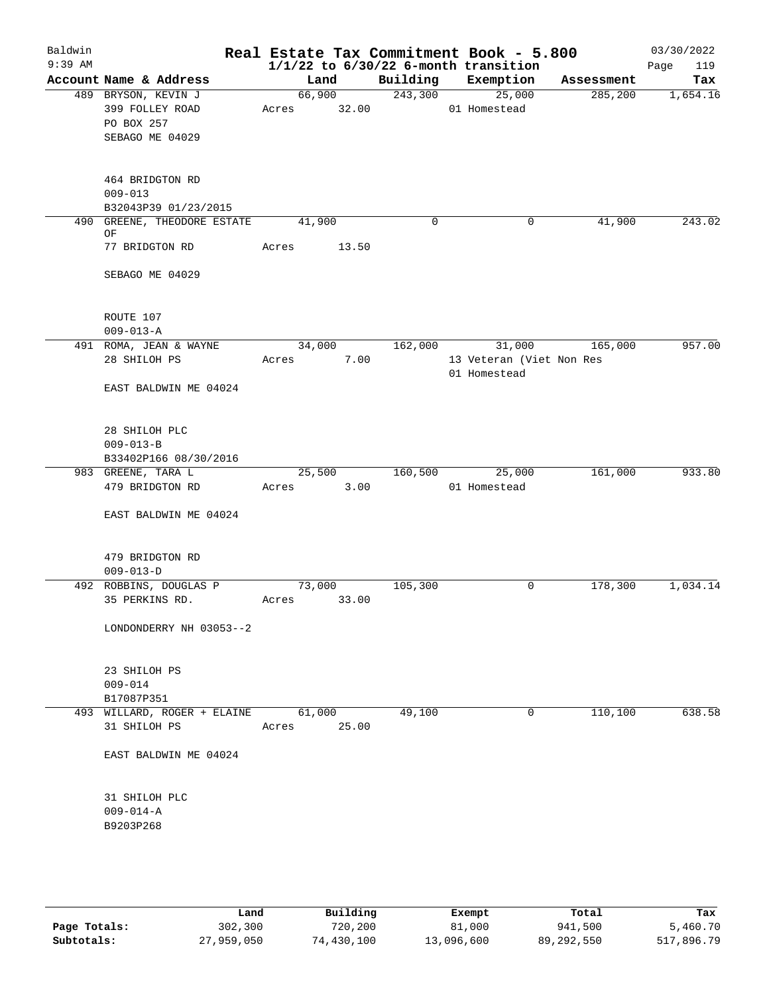| Baldwin   |                             |             |       |          | Real Estate Tax Commitment Book - 5.800  |            | 03/30/2022  |
|-----------|-----------------------------|-------------|-------|----------|------------------------------------------|------------|-------------|
| $9:39$ AM |                             |             |       |          | $1/1/22$ to $6/30/22$ 6-month transition |            | 119<br>Page |
|           | Account Name & Address      | Land        |       | Building | Exemption                                | Assessment | Tax         |
|           | 489 BRYSON, KEVIN J         | 66,900      |       | 243,300  | 25,000                                   | 285,200    | 1,654.16    |
|           | 399 FOLLEY ROAD             | Acres       | 32.00 |          | 01 Homestead                             |            |             |
|           | PO BOX 257                  |             |       |          |                                          |            |             |
|           | SEBAGO ME 04029             |             |       |          |                                          |            |             |
|           |                             |             |       |          |                                          |            |             |
|           | 464 BRIDGTON RD             |             |       |          |                                          |            |             |
|           | $009 - 013$                 |             |       |          |                                          |            |             |
|           | B32043P39 01/23/2015        |             |       |          |                                          |            |             |
|           | 490 GREENE, THEODORE ESTATE | 41,900      |       | 0        | 0                                        | 41,900     | 243.02      |
|           | ΟF                          |             |       |          |                                          |            |             |
|           | 77 BRIDGTON RD              | Acres       | 13.50 |          |                                          |            |             |
|           |                             |             |       |          |                                          |            |             |
|           | SEBAGO ME 04029             |             |       |          |                                          |            |             |
|           |                             |             |       |          |                                          |            |             |
|           | ROUTE 107                   |             |       |          |                                          |            |             |
|           | $009 - 013 - A$             |             |       |          |                                          |            |             |
|           | 491 ROMA, JEAN & WAYNE      | 34,000      |       | 162,000  | 31,000                                   | 165,000    | 957.00      |
|           | 28 SHILOH PS                | Acres       | 7.00  |          | 13 Veteran (Viet Non Res                 |            |             |
|           |                             |             |       |          | 01 Homestead                             |            |             |
|           | EAST BALDWIN ME 04024       |             |       |          |                                          |            |             |
|           |                             |             |       |          |                                          |            |             |
|           |                             |             |       |          |                                          |            |             |
|           | 28 SHILOH PLC               |             |       |          |                                          |            |             |
|           | $009 - 013 - B$             |             |       |          |                                          |            |             |
|           | B33402P166 08/30/2016       |             |       |          |                                          |            |             |
|           | 983 GREENE, TARA L          | 25,500      |       | 160,500  | 25,000                                   | 161,000    | 933.80      |
|           | 479 BRIDGTON RD             | Acres       | 3.00  |          | 01 Homestead                             |            |             |
|           |                             |             |       |          |                                          |            |             |
|           | EAST BALDWIN ME 04024       |             |       |          |                                          |            |             |
|           |                             |             |       |          |                                          |            |             |
|           | 479 BRIDGTON RD             |             |       |          |                                          |            |             |
|           | $009 - 013 - D$             |             |       |          |                                          |            |             |
|           | 492 ROBBINS, DOUGLAS P      | 73,000      |       | 105,300  | 0                                        | 178,300    | 1,034.14    |
|           | 35 PERKINS RD.              | Acres 33.00 |       |          |                                          |            |             |
|           |                             |             |       |          |                                          |            |             |
|           | LONDONDERRY NH 03053--2     |             |       |          |                                          |            |             |
|           |                             |             |       |          |                                          |            |             |
|           | 23 SHILOH PS                |             |       |          |                                          |            |             |
|           | $009 - 014$                 |             |       |          |                                          |            |             |
|           | B17087P351                  |             |       |          |                                          |            |             |
|           | 493 WILLARD, ROGER + ELAINE | 61,000      |       | 49,100   | 0                                        | 110,100    | 638.58      |
|           | 31 SHILOH PS                | Acres       | 25.00 |          |                                          |            |             |
|           |                             |             |       |          |                                          |            |             |
|           | EAST BALDWIN ME 04024       |             |       |          |                                          |            |             |
|           |                             |             |       |          |                                          |            |             |
|           | 31 SHILOH PLC               |             |       |          |                                          |            |             |
|           | $009 - 014 - A$             |             |       |          |                                          |            |             |
|           | B9203P268                   |             |       |          |                                          |            |             |
|           |                             |             |       |          |                                          |            |             |
|           |                             |             |       |          |                                          |            |             |
|           |                             |             |       |          |                                          |            |             |

|              | Land       | Building   | Exempt     | Total      | Tax        |
|--------------|------------|------------|------------|------------|------------|
| Page Totals: | 302,300    | 720,200    | 81,000     | 941,500    | 5,460.70   |
| Subtotals:   | 27,959,050 | 74,430,100 | 13,096,600 | 89,292,550 | 517,896.79 |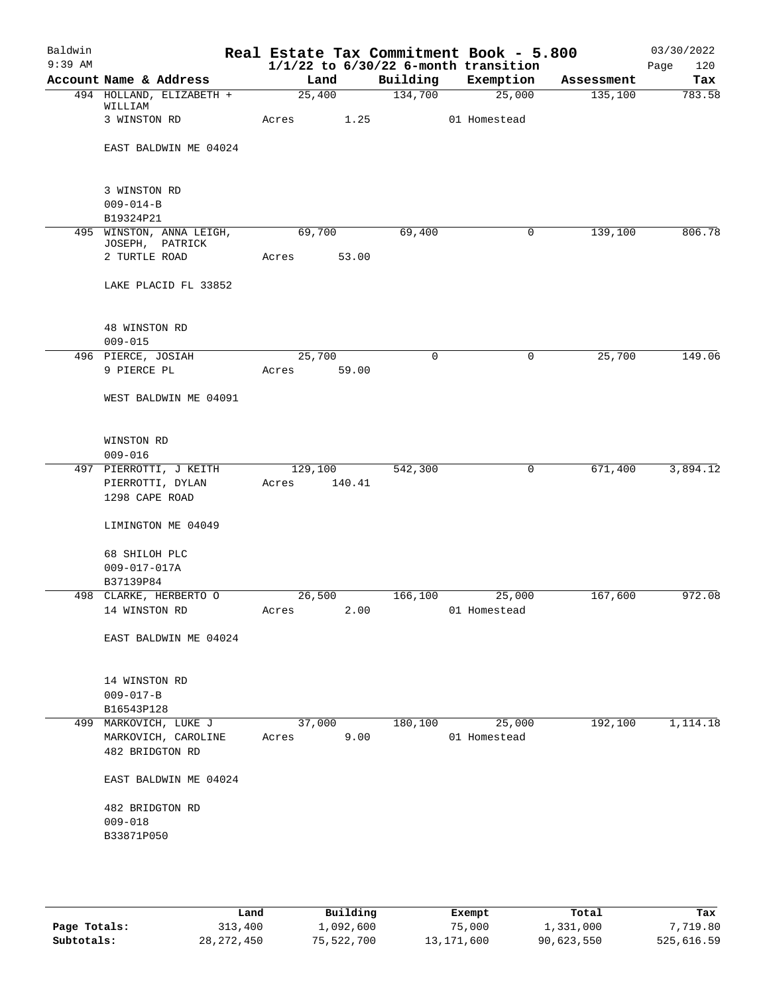| Baldwin<br>$9:39$ AM |                                        |             |        |          | Real Estate Tax Commitment Book - 5.800<br>$1/1/22$ to $6/30/22$ 6-month transition |            | 03/30/2022<br>Page<br>120 |
|----------------------|----------------------------------------|-------------|--------|----------|-------------------------------------------------------------------------------------|------------|---------------------------|
|                      | Account Name & Address                 | Land        |        | Building | Exemption                                                                           | Assessment | Tax                       |
|                      | 494 HOLLAND, ELIZABETH +               |             | 25,400 | 134,700  | 25,000                                                                              | 135,100    | 783.58                    |
|                      | WILLIAM                                |             |        |          |                                                                                     |            |                           |
|                      | 3 WINSTON RD                           | Acres 1.25  |        |          | 01 Homestead                                                                        |            |                           |
|                      | EAST BALDWIN ME 04024                  |             |        |          |                                                                                     |            |                           |
|                      | 3 WINSTON RD                           |             |        |          |                                                                                     |            |                           |
|                      | $009 - 014 - B$                        |             |        |          |                                                                                     |            |                           |
|                      | B19324P21                              |             |        |          |                                                                                     |            |                           |
|                      | 495 WINSTON, ANNA LEIGH,               | 69,700      |        | 69,400   | 0                                                                                   | 139,100    | 806.78                    |
|                      | JOSEPH, PATRICK<br>2 TURTLE ROAD       | Acres       | 53.00  |          |                                                                                     |            |                           |
|                      | LAKE PLACID FL 33852                   |             |        |          |                                                                                     |            |                           |
|                      | 48 WINSTON RD                          |             |        |          |                                                                                     |            |                           |
|                      | $009 - 015$                            |             |        |          |                                                                                     |            |                           |
|                      | 496 PIERCE, JOSIAH                     | 25,700      |        | $\Omega$ | $\mathbf 0$                                                                         | 25,700     | 149.06                    |
|                      | 9 PIERCE PL                            | Acres 59.00 |        |          |                                                                                     |            |                           |
|                      | WEST BALDWIN ME 04091                  |             |        |          |                                                                                     |            |                           |
|                      | WINSTON RD<br>$009 - 016$              |             |        |          |                                                                                     |            |                           |
|                      | 497 PIERROTTI, J KEITH                 | 129,100     |        | 542,300  | $\mathsf{O}$                                                                        | 671,400    | 3,894.12                  |
|                      | PIERROTTI, DYLAN<br>1298 CAPE ROAD     | Acres       | 140.41 |          |                                                                                     |            |                           |
|                      | LIMINGTON ME 04049                     |             |        |          |                                                                                     |            |                           |
|                      | 68 SHILOH PLC                          |             |        |          |                                                                                     |            |                           |
|                      | $009 - 017 - 017A$                     |             |        |          |                                                                                     |            |                           |
|                      | B37139P84<br>498 CLARKE, HERBERTO O    | 26,500      |        | 166,100  | 25,000                                                                              | 167,600    | 972.08                    |
|                      | 14 WINSTON RD                          |             |        |          | Acres 2.00 01 Homestead                                                             |            |                           |
|                      | EAST BALDWIN ME 04024                  |             |        |          |                                                                                     |            |                           |
|                      | 14 WINSTON RD                          |             |        |          |                                                                                     |            |                           |
|                      | $009 - 017 - B$                        |             |        |          |                                                                                     |            |                           |
|                      | B16543P128                             |             |        |          |                                                                                     |            |                           |
|                      | 499 MARKOVICH, LUKE J                  | 37,000      |        | 180,100  | 25,000                                                                              | 192,100    | 1,114.18                  |
|                      | MARKOVICH, CAROLINE<br>482 BRIDGTON RD | Acres       | 9.00   |          | 01 Homestead                                                                        |            |                           |
|                      | EAST BALDWIN ME 04024                  |             |        |          |                                                                                     |            |                           |
|                      | 482 BRIDGTON RD                        |             |        |          |                                                                                     |            |                           |
|                      | $009 - 018$                            |             |        |          |                                                                                     |            |                           |
|                      | B33871P050                             |             |        |          |                                                                                     |            |                           |
|                      |                                        |             |        |          |                                                                                     |            |                           |
|                      |                                        |             |        |          |                                                                                     |            |                           |

|              | Land         | Building   | Exempt     | Total      | Tax        |
|--------------|--------------|------------|------------|------------|------------|
| Page Totals: | 313,400      | 1,092,600  | 75,000     | 1,331,000  | 7,719.80   |
| Subtotals:   | 28, 272, 450 | 75,522,700 | 13,171,600 | 90,623,550 | 525,616.59 |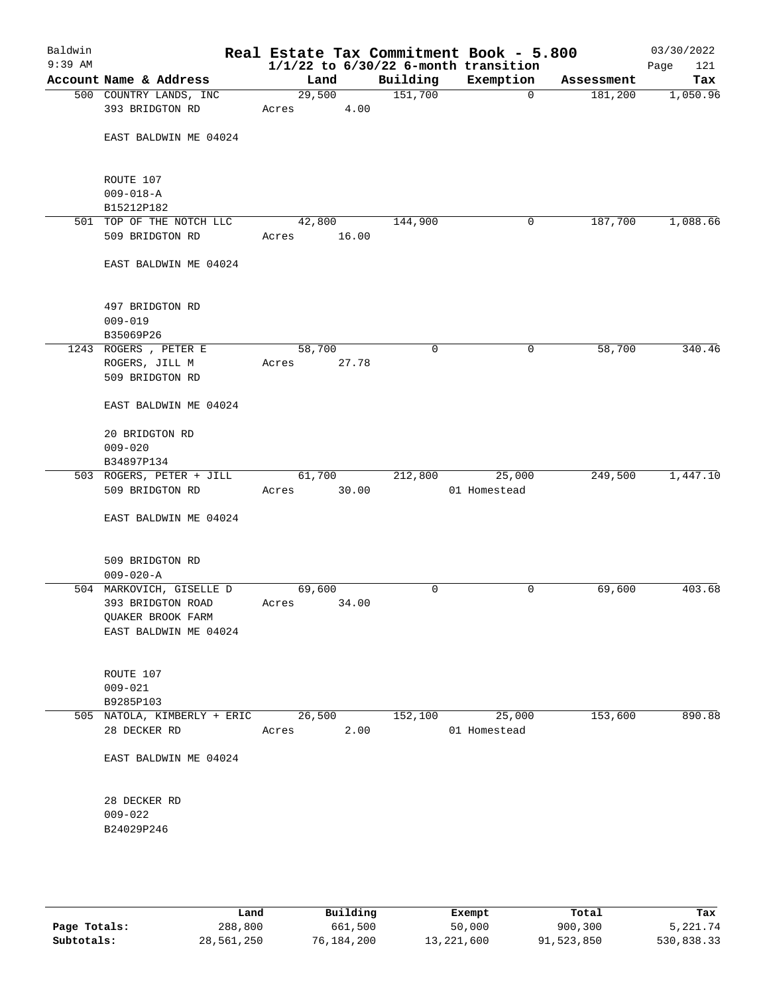| Baldwin<br>$9:39$ AM |                                                                                             |                       |       |          | Real Estate Tax Commitment Book - 5.800<br>$1/1/22$ to $6/30/22$ 6-month transition |            | 03/30/2022<br>121<br>Page |
|----------------------|---------------------------------------------------------------------------------------------|-----------------------|-------|----------|-------------------------------------------------------------------------------------|------------|---------------------------|
|                      | Account Name & Address                                                                      | Land                  |       | Building | Exemption                                                                           | Assessment | Tax                       |
|                      | 500 COUNTRY LANDS, INC<br>393 BRIDGTON RD                                                   | 29,500<br>Acres       | 4.00  | 151,700  | $\mathbf 0$                                                                         | 181,200    | 1,050.96                  |
|                      | EAST BALDWIN ME 04024                                                                       |                       |       |          |                                                                                     |            |                           |
|                      | ROUTE 107<br>$009 - 018 - A$                                                                |                       |       |          |                                                                                     |            |                           |
|                      | B15212P182                                                                                  |                       |       |          |                                                                                     |            |                           |
|                      | 501 TOP OF THE NOTCH LLC<br>509 BRIDGTON RD                                                 | 42,800<br>Acres 16.00 |       | 144,900  | 0                                                                                   | 187,700    | 1,088.66                  |
|                      | EAST BALDWIN ME 04024                                                                       |                       |       |          |                                                                                     |            |                           |
|                      | 497 BRIDGTON RD<br>$009 - 019$                                                              |                       |       |          |                                                                                     |            |                           |
|                      | B35069P26                                                                                   |                       |       |          |                                                                                     |            |                           |
|                      | 1243 ROGERS, PETER E<br>ROGERS, JILL M<br>509 BRIDGTON RD                                   | 58,700<br>Acres       | 27.78 | 0        | 0                                                                                   | 58,700     | 340.46                    |
|                      | EAST BALDWIN ME 04024                                                                       |                       |       |          |                                                                                     |            |                           |
|                      | 20 BRIDGTON RD<br>$009 - 020$                                                               |                       |       |          |                                                                                     |            |                           |
|                      | B34897P134<br>503 ROGERS, PETER + JILL                                                      | 61,700                |       | 212,800  | 25,000                                                                              | 249,500    | 1,447.10                  |
|                      | 509 BRIDGTON RD                                                                             | Acres                 | 30.00 |          | 01 Homestead                                                                        |            |                           |
|                      | EAST BALDWIN ME 04024                                                                       |                       |       |          |                                                                                     |            |                           |
|                      | 509 BRIDGTON RD<br>$009 - 020 - A$                                                          |                       |       |          |                                                                                     |            |                           |
|                      | 504 MARKOVICH, GISELLE D<br>393 BRIDGTON ROAD<br>QUAKER BROOK FARM<br>EAST BALDWIN ME 04024 | 69,600<br>Acres       | 34.00 | 0        | 0                                                                                   | 69,600     | 403.68                    |
|                      | ROUTE 107<br>$009 - 021$<br>B9285P103                                                       |                       |       |          |                                                                                     |            |                           |
|                      | 505 NATOLA, KIMBERLY + ERIC                                                                 | 26,500                |       | 152,100  | 25,000                                                                              | 153,600    | 890.88                    |
|                      | 28 DECKER RD                                                                                | Acres                 | 2.00  |          | 01 Homestead                                                                        |            |                           |
|                      | EAST BALDWIN ME 04024                                                                       |                       |       |          |                                                                                     |            |                           |
|                      | 28 DECKER RD<br>$009 - 022$                                                                 |                       |       |          |                                                                                     |            |                           |
|                      | B24029P246                                                                                  |                       |       |          |                                                                                     |            |                           |

|              | Land       | Building   | Exempt     | Total      | Tax        |
|--------------|------------|------------|------------|------------|------------|
| Page Totals: | 288,800    | 661,500    | 50,000     | 900,300    | 5,221.74   |
| Subtotals:   | 28,561,250 | 76,184,200 | 13,221,600 | 91,523,850 | 530,838.33 |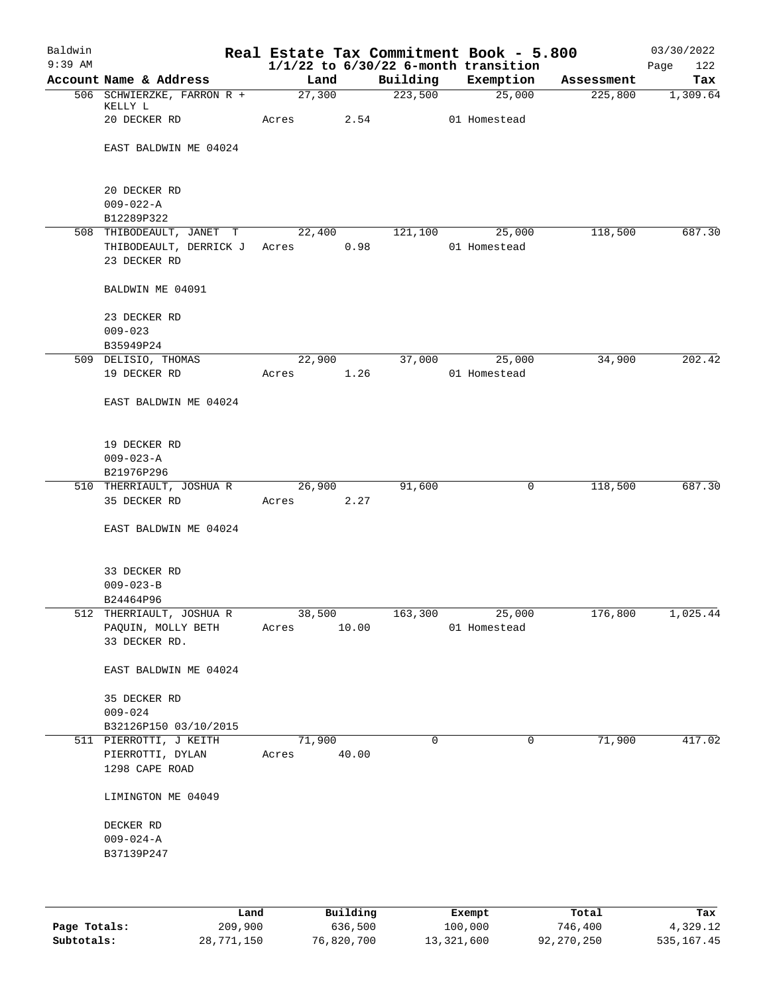| Baldwin   |                                 |        |       |          | Real Estate Tax Commitment Book - 5.800               |            | 03/30/2022         |
|-----------|---------------------------------|--------|-------|----------|-------------------------------------------------------|------------|--------------------|
| $9:39$ AM | Account Name & Address          | Land   |       | Building | $1/1/22$ to $6/30/22$ 6-month transition<br>Exemption | Assessment | 122<br>Page<br>Tax |
|           | 506 SCHWIERZKE, FARRON R +      | 27,300 |       | 223,500  | 25,000                                                | 225,800    | 1,309.64           |
|           | KELLY L                         |        |       |          |                                                       |            |                    |
|           | 20 DECKER RD                    | Acres  | 2.54  |          | 01 Homestead                                          |            |                    |
|           |                                 |        |       |          |                                                       |            |                    |
|           | EAST BALDWIN ME 04024           |        |       |          |                                                       |            |                    |
|           |                                 |        |       |          |                                                       |            |                    |
|           | 20 DECKER RD                    |        |       |          |                                                       |            |                    |
|           | $009 - 022 - A$                 |        |       |          |                                                       |            |                    |
|           | B12289P322                      |        |       |          |                                                       |            |                    |
|           | 508 THIBODEAULT, JANET T        | 22,400 |       | 121,100  | 25,000                                                | 118,500    | 687.30             |
|           | THIBODEAULT, DERRICK J          | Acres  | 0.98  |          | 01 Homestead                                          |            |                    |
|           | 23 DECKER RD                    |        |       |          |                                                       |            |                    |
|           | BALDWIN ME 04091                |        |       |          |                                                       |            |                    |
|           | 23 DECKER RD                    |        |       |          |                                                       |            |                    |
|           | $009 - 023$                     |        |       |          |                                                       |            |                    |
|           | B35949P24                       |        |       |          |                                                       |            |                    |
|           | 509 DELISIO, THOMAS             | 22,900 |       | 37,000   | 25,000                                                | 34,900     | 202.42             |
|           | 19 DECKER RD                    | Acres  | 1.26  |          | 01 Homestead                                          |            |                    |
|           |                                 |        |       |          |                                                       |            |                    |
|           | EAST BALDWIN ME 04024           |        |       |          |                                                       |            |                    |
|           |                                 |        |       |          |                                                       |            |                    |
|           | 19 DECKER RD                    |        |       |          |                                                       |            |                    |
|           | $009 - 023 - A$                 |        |       |          |                                                       |            |                    |
|           | B21976P296                      |        |       |          |                                                       |            |                    |
|           | 510 THERRIAULT, JOSHUA R        | 26,900 |       | 91,600   | 0                                                     | 118,500    | 687.30             |
|           | 35 DECKER RD                    | Acres  | 2.27  |          |                                                       |            |                    |
|           | EAST BALDWIN ME 04024           |        |       |          |                                                       |            |                    |
|           |                                 |        |       |          |                                                       |            |                    |
|           |                                 |        |       |          |                                                       |            |                    |
|           | 33 DECKER RD<br>$009 - 023 - B$ |        |       |          |                                                       |            |                    |
|           | B24464P96                       |        |       |          |                                                       |            |                    |
|           | 512 THERRIAULT, JOSHUA R        | 38,500 |       | 163,300  | 25,000                                                | 176,800    | 1,025.44           |
|           | PAQUIN, MOLLY BETH              | Acres  | 10.00 |          | 01 Homestead                                          |            |                    |
|           | 33 DECKER RD.                   |        |       |          |                                                       |            |                    |
|           |                                 |        |       |          |                                                       |            |                    |
|           | EAST BALDWIN ME 04024           |        |       |          |                                                       |            |                    |
|           | 35 DECKER RD                    |        |       |          |                                                       |            |                    |
|           | $009 - 024$                     |        |       |          |                                                       |            |                    |
|           | B32126P150 03/10/2015           |        |       |          |                                                       |            |                    |
|           | 511 PIERROTTI, J KEITH          | 71,900 |       | 0        | $\mathbf 0$                                           | 71,900     | 417.02             |
|           | PIERROTTI, DYLAN                | Acres  | 40.00 |          |                                                       |            |                    |
|           | 1298 CAPE ROAD                  |        |       |          |                                                       |            |                    |
|           | LIMINGTON ME 04049              |        |       |          |                                                       |            |                    |
|           |                                 |        |       |          |                                                       |            |                    |
|           | DECKER RD                       |        |       |          |                                                       |            |                    |
|           | $009 - 024 - A$                 |        |       |          |                                                       |            |                    |
|           | B37139P247                      |        |       |          |                                                       |            |                    |
|           |                                 |        |       |          |                                                       |            |                    |
|           |                                 |        |       |          |                                                       |            |                    |
|           |                                 |        |       |          |                                                       |            |                    |

|              | Land       | Building   | Exempt     | Total      | Tax        |
|--------------|------------|------------|------------|------------|------------|
| Page Totals: | 209,900    | 636,500    | 100,000    | 746,400    | 4,329.12   |
| Subtotals:   | 28,771,150 | 76,820,700 | 13,321,600 | 92,270,250 | 535,167.45 |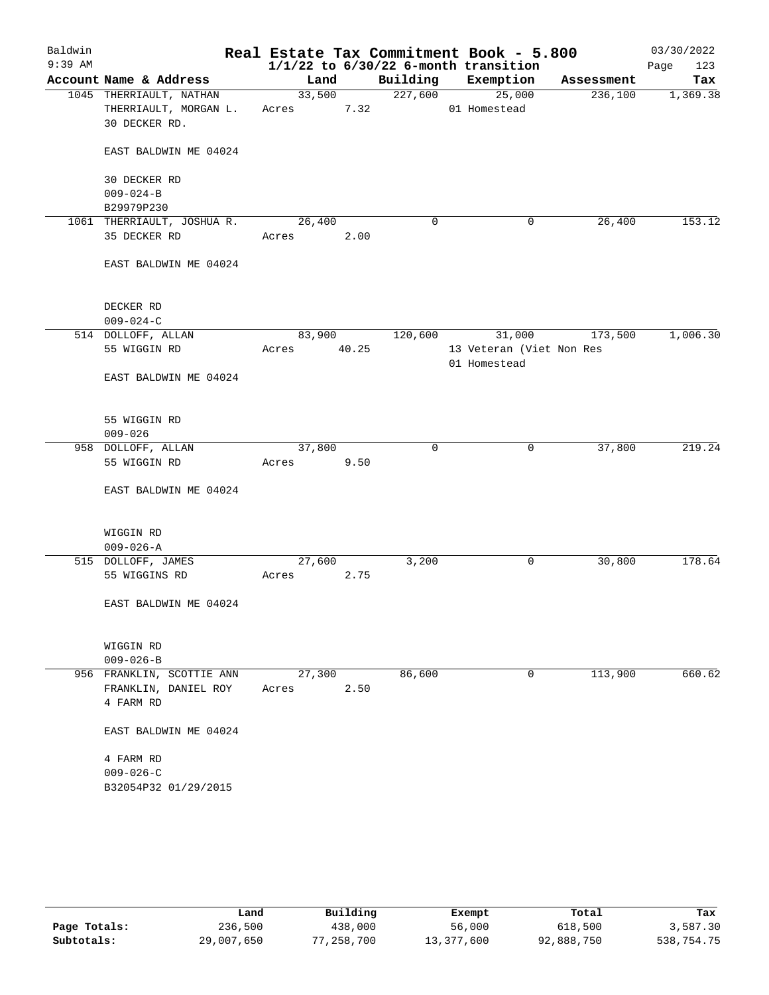| Baldwin   |                                       |       |        |       |             | Real Estate Tax Commitment Book - 5.800  |            | 03/30/2022  |
|-----------|---------------------------------------|-------|--------|-------|-------------|------------------------------------------|------------|-------------|
| $9:39$ AM |                                       |       |        |       |             | $1/1/22$ to $6/30/22$ 6-month transition |            | 123<br>Page |
|           | Account Name & Address                |       | Land   |       | Building    | Exemption                                | Assessment | Tax         |
|           | 1045 THERRIAULT, NATHAN               |       | 33,500 |       | 227,600     | 25,000                                   | 236,100    | 1,369.38    |
|           | THERRIAULT, MORGAN L.                 | Acres |        | 7.32  |             | 01 Homestead                             |            |             |
|           | 30 DECKER RD.                         |       |        |       |             |                                          |            |             |
|           | EAST BALDWIN ME 04024                 |       |        |       |             |                                          |            |             |
|           | 30 DECKER RD                          |       |        |       |             |                                          |            |             |
|           | $009 - 024 - B$                       |       |        |       |             |                                          |            |             |
|           | B29979P230                            |       |        |       |             |                                          |            |             |
|           | 1061 THERRIAULT, JOSHUA R.            |       | 26,400 |       | 0           | 0                                        | 26,400     | 153.12      |
|           | 35 DECKER RD                          | Acres |        | 2.00  |             |                                          |            |             |
|           | EAST BALDWIN ME 04024                 |       |        |       |             |                                          |            |             |
|           | DECKER RD                             |       |        |       |             |                                          |            |             |
|           | $009 - 024 - C$                       |       |        |       |             |                                          |            |             |
|           | 514 DOLLOFF, ALLAN                    |       | 83,900 |       | 120,600     | 31,000                                   | 173,500    | 1,006.30    |
|           | 55 WIGGIN RD                          | Acres |        | 40.25 |             | 13 Veteran (Viet Non Res<br>01 Homestead |            |             |
|           | EAST BALDWIN ME 04024                 |       |        |       |             |                                          |            |             |
|           | 55 WIGGIN RD                          |       |        |       |             |                                          |            |             |
|           | $009 - 026$                           |       |        |       |             |                                          |            |             |
|           | 958 DOLLOFF, ALLAN                    |       | 37,800 |       | $\mathbf 0$ | 0                                        | 37,800     | 219.24      |
|           | 55 WIGGIN RD                          | Acres |        | 9.50  |             |                                          |            |             |
|           | EAST BALDWIN ME 04024                 |       |        |       |             |                                          |            |             |
|           | WIGGIN RD                             |       |        |       |             |                                          |            |             |
|           | $009 - 026 - A$<br>515 DOLLOFF, JAMES |       | 27,600 |       | 3,200       | 0                                        | 30,800     | 178.64      |
|           | 55 WIGGINS RD                         | Acres |        | 2.75  |             |                                          |            |             |
|           | EAST BALDWIN ME 04024                 |       |        |       |             |                                          |            |             |
|           | WIGGIN RD                             |       |        |       |             |                                          |            |             |
|           | $009 - 026 - B$                       |       |        |       |             |                                          |            |             |
|           | 956 FRANKLIN, SCOTTIE ANN             |       | 27,300 |       | 86,600      | 0                                        | 113,900    | 660.62      |
|           | FRANKLIN, DANIEL ROY                  | Acres |        | 2.50  |             |                                          |            |             |
|           | 4 FARM RD                             |       |        |       |             |                                          |            |             |
|           | EAST BALDWIN ME 04024                 |       |        |       |             |                                          |            |             |
|           | 4 FARM RD                             |       |        |       |             |                                          |            |             |
|           | $009 - 026 - C$                       |       |        |       |             |                                          |            |             |
|           | B32054P32 01/29/2015                  |       |        |       |             |                                          |            |             |
|           |                                       |       |        |       |             |                                          |            |             |

|              | Land       | Building   | Exempt     | Total      | Tax        |
|--------------|------------|------------|------------|------------|------------|
| Page Totals: | 236,500    | 438,000    | 56,000     | 618,500    | 3,587.30   |
| Subtotals:   | 29,007,650 | 77,258,700 | 13,377,600 | 92,888,750 | 538,754.75 |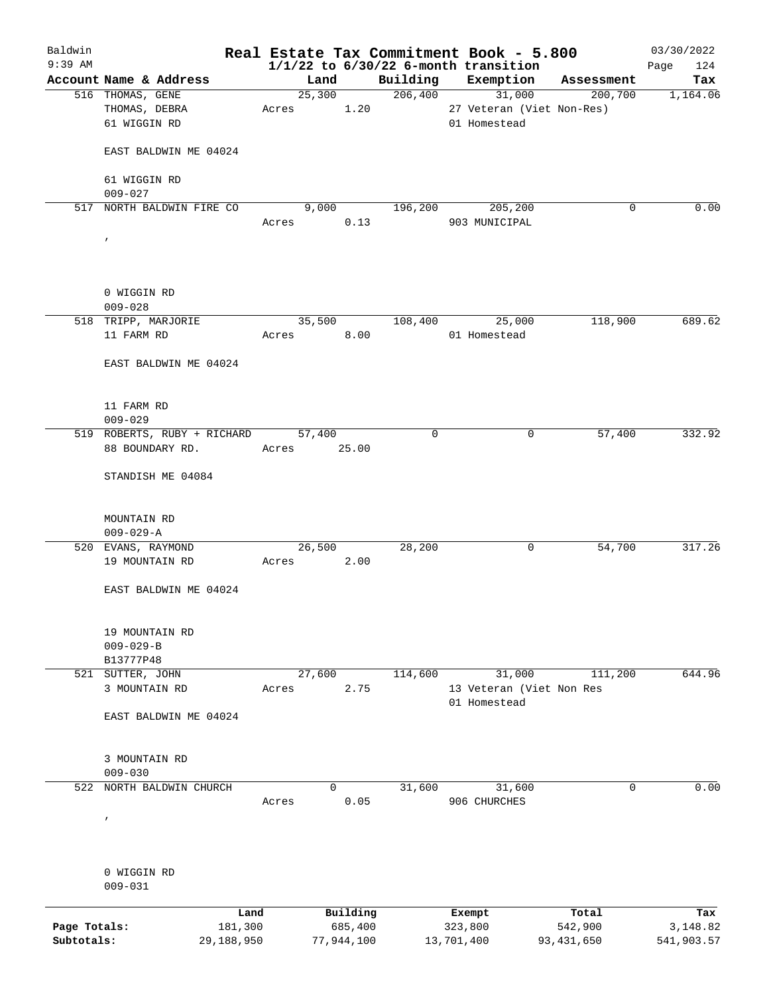| Baldwin                    |                                      |                       |       |             |                       |             |                       | Real Estate Tax Commitment Book - 5.800  |                         | 03/30/2022             |
|----------------------------|--------------------------------------|-----------------------|-------|-------------|-----------------------|-------------|-----------------------|------------------------------------------|-------------------------|------------------------|
| $9:39$ AM                  |                                      |                       |       |             |                       |             |                       | $1/1/22$ to $6/30/22$ 6-month transition |                         | 124<br>Page            |
|                            | Account Name & Address               |                       |       | Land        |                       | Building    |                       | Exemption                                | Assessment              | Tax                    |
|                            | 516 THOMAS, GENE                     |                       |       | 25,300      |                       | 206,400     |                       | 31,000                                   | 200,700                 | 1,164.06               |
|                            | THOMAS, DEBRA                        |                       | Acres |             | 1.20                  |             |                       | 27 Veteran (Viet Non-Res)                |                         |                        |
|                            | 61 WIGGIN RD                         |                       |       |             |                       |             |                       | 01 Homestead                             |                         |                        |
|                            | EAST BALDWIN ME 04024                |                       |       |             |                       |             |                       |                                          |                         |                        |
|                            |                                      |                       |       |             |                       |             |                       |                                          |                         |                        |
|                            | 61 WIGGIN RD                         |                       |       |             |                       |             |                       |                                          |                         |                        |
|                            | $009 - 027$                          |                       |       |             |                       |             |                       |                                          |                         |                        |
|                            | 517 NORTH BALDWIN FIRE CO            |                       |       | 9,000       |                       | 196,200     |                       | 205,200                                  | 0                       | 0.00                   |
|                            |                                      |                       | Acres |             | 0.13                  |             |                       | 903 MUNICIPAL                            |                         |                        |
|                            | $\pmb{\prime}$                       |                       |       |             |                       |             |                       |                                          |                         |                        |
|                            |                                      |                       |       |             |                       |             |                       |                                          |                         |                        |
|                            |                                      |                       |       |             |                       |             |                       |                                          |                         |                        |
|                            | 0 WIGGIN RD                          |                       |       |             |                       |             |                       |                                          |                         |                        |
|                            | $009 - 028$                          |                       |       |             |                       |             |                       |                                          |                         |                        |
|                            | 518 TRIPP, MARJORIE                  |                       |       | 35,500      |                       | 108,400     |                       | 25,000                                   | 118,900                 | 689.62                 |
|                            | 11 FARM RD                           |                       | Acres |             | 8.00                  |             |                       | 01 Homestead                             |                         |                        |
|                            |                                      |                       |       |             |                       |             |                       |                                          |                         |                        |
|                            | EAST BALDWIN ME 04024                |                       |       |             |                       |             |                       |                                          |                         |                        |
|                            |                                      |                       |       |             |                       |             |                       |                                          |                         |                        |
|                            | 11 FARM RD                           |                       |       |             |                       |             |                       |                                          |                         |                        |
|                            | $009 - 029$                          |                       |       |             |                       |             |                       |                                          |                         |                        |
|                            | 519 ROBERTS, RUBY + RICHARD          |                       |       | 57,400      |                       | $\mathbf 0$ |                       | 0                                        | 57,400                  | 332.92                 |
|                            | 88 BOUNDARY RD.                      |                       |       | Acres 25.00 |                       |             |                       |                                          |                         |                        |
|                            | STANDISH ME 04084                    |                       |       |             |                       |             |                       |                                          |                         |                        |
|                            |                                      |                       |       |             |                       |             |                       |                                          |                         |                        |
|                            |                                      |                       |       |             |                       |             |                       |                                          |                         |                        |
|                            | MOUNTAIN RD                          |                       |       |             |                       |             |                       |                                          |                         |                        |
|                            | $009 - 029 - A$                      |                       |       |             |                       | 28,200      |                       | 0                                        | 54,700                  | 317.26                 |
|                            | 520 EVANS, RAYMOND<br>19 MOUNTAIN RD |                       | Acres | 26,500      | 2.00                  |             |                       |                                          |                         |                        |
|                            |                                      |                       |       |             |                       |             |                       |                                          |                         |                        |
|                            | EAST BALDWIN ME 04024                |                       |       |             |                       |             |                       |                                          |                         |                        |
|                            |                                      |                       |       |             |                       |             |                       |                                          |                         |                        |
|                            | 19 MOUNTAIN RD                       |                       |       |             |                       |             |                       |                                          |                         |                        |
|                            | $009 - 029 - B$                      |                       |       |             |                       |             |                       |                                          |                         |                        |
|                            | B13777P48                            |                       |       |             |                       |             |                       |                                          |                         |                        |
|                            | 521 SUTTER, JOHN                     |                       |       | 27,600      |                       | 114,600     |                       | 31,000                                   | 111,200                 | 644.96                 |
|                            | 3 MOUNTAIN RD                        |                       | Acres |             | 2.75                  |             |                       | 13 Veteran (Viet Non Res                 |                         |                        |
|                            |                                      |                       |       |             |                       |             |                       | 01 Homestead                             |                         |                        |
|                            | EAST BALDWIN ME 04024                |                       |       |             |                       |             |                       |                                          |                         |                        |
|                            |                                      |                       |       |             |                       |             |                       |                                          |                         |                        |
|                            |                                      |                       |       |             |                       |             |                       |                                          |                         |                        |
|                            | 3 MOUNTAIN RD                        |                       |       |             |                       |             |                       |                                          |                         |                        |
| 522                        | $009 - 030$<br>NORTH BALDWIN CHURCH  |                       |       | 0           |                       | 31,600      |                       | 31,600                                   | $\mathbf 0$             | 0.00                   |
|                            |                                      |                       | Acres |             | 0.05                  |             |                       | 906 CHURCHES                             |                         |                        |
|                            | $\prime$                             |                       |       |             |                       |             |                       |                                          |                         |                        |
|                            |                                      |                       |       |             |                       |             |                       |                                          |                         |                        |
|                            |                                      |                       |       |             |                       |             |                       |                                          |                         |                        |
|                            | 0 WIGGIN RD                          |                       |       |             |                       |             |                       |                                          |                         |                        |
|                            | $009 - 031$                          |                       |       |             |                       |             |                       |                                          |                         |                        |
|                            |                                      |                       |       |             |                       |             |                       |                                          |                         |                        |
|                            |                                      | Land                  |       |             | Building              |             | Exempt                |                                          | Total                   | Tax                    |
| Page Totals:<br>Subtotals: |                                      | 181,300<br>29,188,950 |       |             | 685,400<br>77,944,100 |             | 323,800<br>13,701,400 |                                          | 542,900<br>93, 431, 650 | 3,148.82<br>541,903.57 |
|                            |                                      |                       |       |             |                       |             |                       |                                          |                         |                        |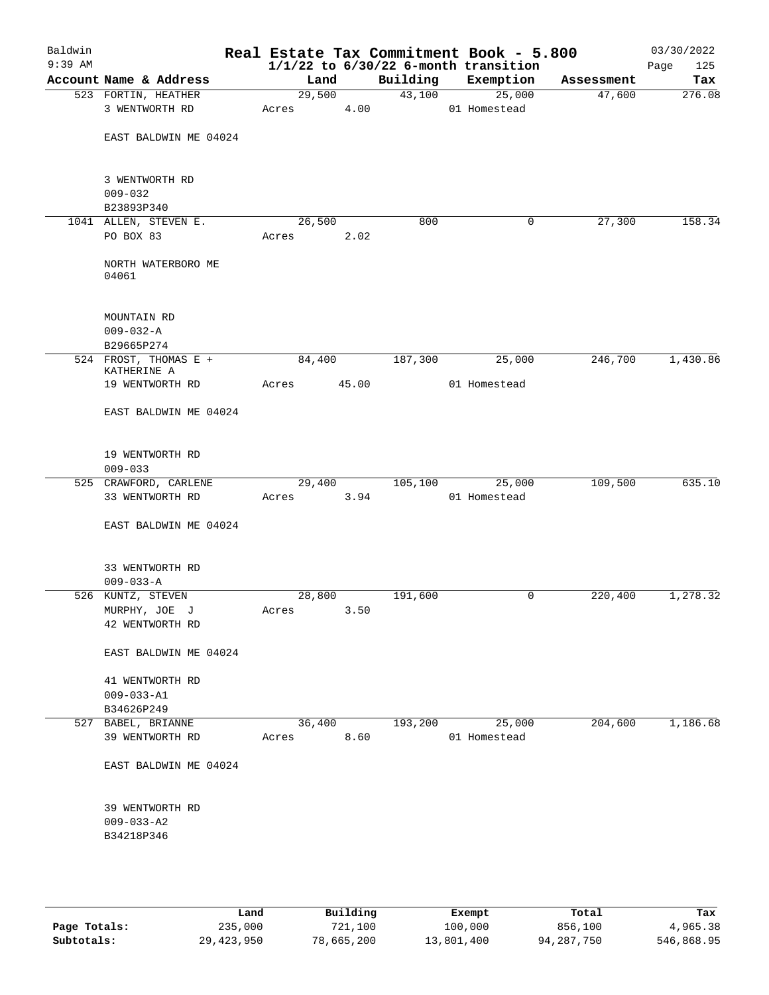| Baldwin<br>$9:39$ AM |                                                   |            |       |                     | Real Estate Tax Commitment Book - 5.800<br>$1/1/22$ to $6/30/22$ 6-month transition |            | 03/30/2022<br>Page<br>125 |
|----------------------|---------------------------------------------------|------------|-------|---------------------|-------------------------------------------------------------------------------------|------------|---------------------------|
|                      | Account Name & Address                            | Land       |       | Building            | Exemption                                                                           | Assessment | Tax                       |
|                      | 523 FORTIN, HEATHER                               | 29,500     |       | $\overline{43,100}$ | 25,000                                                                              | 47,600     | 276.08                    |
|                      | 3 WENTWORTH RD                                    | Acres      | 4.00  |                     | 01 Homestead                                                                        |            |                           |
|                      | EAST BALDWIN ME 04024                             |            |       |                     |                                                                                     |            |                           |
|                      | 3 WENTWORTH RD<br>$009 - 032$                     |            |       |                     |                                                                                     |            |                           |
|                      | B23893P340                                        |            |       |                     |                                                                                     |            |                           |
|                      | 1041 ALLEN, STEVEN E.                             | 26,500     |       | 800                 | $\mathbf 0$                                                                         | 27,300     | 158.34                    |
|                      | PO BOX 83                                         | Acres      | 2.02  |                     |                                                                                     |            |                           |
|                      | NORTH WATERBORO ME<br>04061                       |            |       |                     |                                                                                     |            |                           |
|                      | MOUNTAIN RD<br>$009 - 032 - A$                    |            |       |                     |                                                                                     |            |                           |
|                      | B29665P274                                        |            |       |                     |                                                                                     |            |                           |
|                      | 524 FROST, THOMAS E +<br>KATHERINE A              | 84,400     |       | 187,300             | 25,000                                                                              | 246,700    | 1,430.86                  |
|                      | 19 WENTWORTH RD                                   | Acres      | 45.00 |                     | 01 Homestead                                                                        |            |                           |
|                      | EAST BALDWIN ME 04024                             |            |       |                     |                                                                                     |            |                           |
|                      | 19 WENTWORTH RD                                   |            |       |                     |                                                                                     |            |                           |
|                      | $009 - 033$                                       | 29,400     |       | 105, 100            | 25,000                                                                              | 109,500    | 635.10                    |
|                      | 525 CRAWFORD, CARLENE<br>33 WENTWORTH RD          | Acres      | 3.94  |                     | 01 Homestead                                                                        |            |                           |
|                      | EAST BALDWIN ME 04024                             |            |       |                     |                                                                                     |            |                           |
|                      | 33 WENTWORTH RD<br>$009 - 033 - A$                |            |       |                     |                                                                                     |            |                           |
|                      | 526 KUNTZ, STEVEN                                 | 28,800     |       | 191,600             | 0                                                                                   | 220,400    | 1,278.32                  |
|                      | MURPHY, JOE J                                     | Acres 3.50 |       |                     |                                                                                     |            |                           |
|                      | 42 WENTWORTH RD                                   |            |       |                     |                                                                                     |            |                           |
|                      | EAST BALDWIN ME 04024                             |            |       |                     |                                                                                     |            |                           |
|                      | 41 WENTWORTH RD<br>$009 - 033 - A1$               |            |       |                     |                                                                                     |            |                           |
|                      | B34626P249<br>527 BABEL, BRIANNE                  | 36,400     |       | 193,200             | 25,000                                                                              | 204,600    | 1,186.68                  |
|                      | 39 WENTWORTH RD                                   | Acres      | 8.60  |                     | 01 Homestead                                                                        |            |                           |
|                      | EAST BALDWIN ME 04024                             |            |       |                     |                                                                                     |            |                           |
|                      | 39 WENTWORTH RD<br>$009 - 033 - A2$<br>B34218P346 |            |       |                     |                                                                                     |            |                           |
|                      |                                                   |            |       |                     |                                                                                     |            |                           |

|              | Land       | Building   | Exempt     | Total      | Tax        |
|--------------|------------|------------|------------|------------|------------|
| Page Totals: | 235,000    | 721,100    | 100,000    | 856,100    | 4,965.38   |
| Subtotals:   | 29,423,950 | 78,665,200 | 13,801,400 | 94,287,750 | 546,868.95 |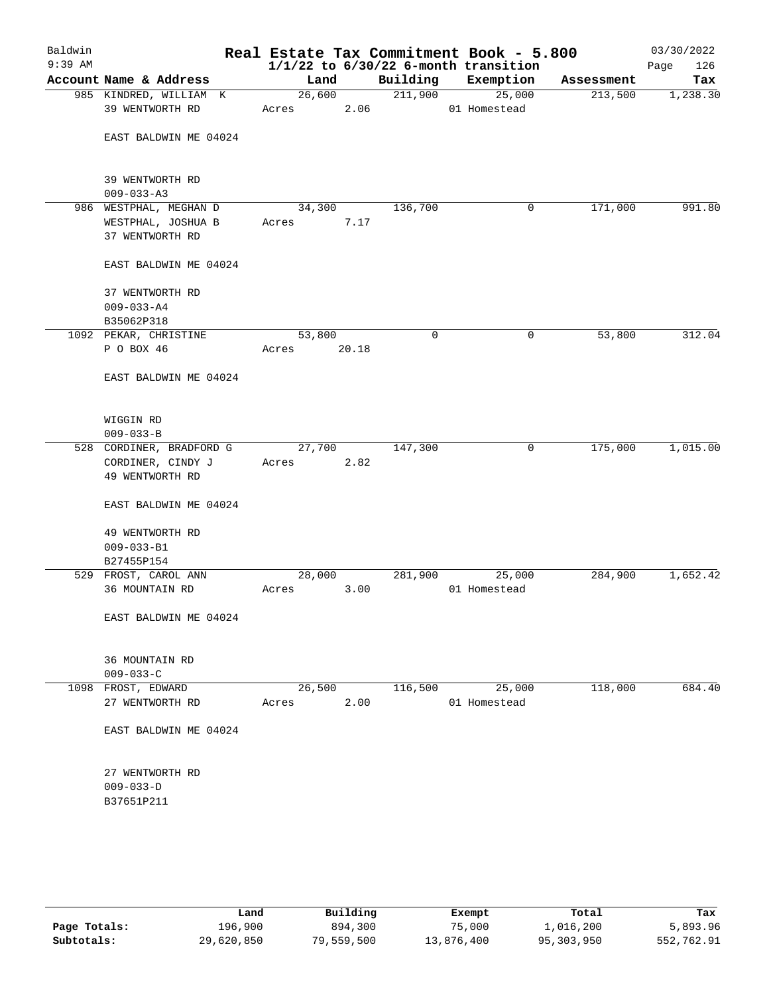| Baldwin<br>$9:39$ AM |                                                  |                 |                |          | Real Estate Tax Commitment Book - 5.800<br>$1/1/22$ to $6/30/22$ 6-month transition |            | 03/30/2022<br>126<br>Page |
|----------------------|--------------------------------------------------|-----------------|----------------|----------|-------------------------------------------------------------------------------------|------------|---------------------------|
|                      | Account Name & Address                           | Land            |                | Building | Exemption                                                                           | Assessment | Tax                       |
|                      | 985 KINDRED, WILLIAM K<br>39 WENTWORTH RD        | Acres           | 26,600<br>2.06 | 211,900  | 25,000<br>01 Homestead                                                              | 213,500    | 1,238.30                  |
|                      | EAST BALDWIN ME 04024                            |                 |                |          |                                                                                     |            |                           |
|                      | 39 WENTWORTH RD<br>$009 - 033 - A3$              |                 |                |          |                                                                                     |            |                           |
|                      | 986 WESTPHAL, MEGHAN D                           | 34,300          |                | 136,700  | 0                                                                                   | 171,000    | 991.80                    |
|                      | WESTPHAL, JOSHUA B<br>37 WENTWORTH RD            | Acres           | 7.17           |          |                                                                                     |            |                           |
|                      | EAST BALDWIN ME 04024                            |                 |                |          |                                                                                     |            |                           |
|                      | 37 WENTWORTH RD<br>$009 - 033 - A4$              |                 |                |          |                                                                                     |            |                           |
|                      | B35062P318<br>1092 PEKAR, CHRISTINE              | 53,800          |                | 0        | 0                                                                                   | 53,800     | 312.04                    |
|                      | P O BOX 46                                       | Acres           | 20.18          |          |                                                                                     |            |                           |
|                      | EAST BALDWIN ME 04024                            |                 |                |          |                                                                                     |            |                           |
|                      | WIGGIN RD<br>$009 - 033 - B$                     |                 |                |          |                                                                                     |            |                           |
|                      | 528 CORDINER, BRADFORD G                         | 27,700          |                | 147,300  | 0                                                                                   | 175,000    | 1,015.00                  |
|                      | CORDINER, CINDY J<br>49 WENTWORTH RD             | Acres           | 2.82           |          |                                                                                     |            |                           |
|                      | EAST BALDWIN ME 04024                            |                 |                |          |                                                                                     |            |                           |
|                      | 49 WENTWORTH RD<br>$009 - 033 - B1$              |                 |                |          |                                                                                     |            |                           |
|                      | B27455P154                                       |                 |                |          |                                                                                     |            |                           |
|                      | 529 FROST, CAROL ANN                             | 28,000          |                | 281,900  | 25,000                                                                              | 284,900    | 1,652.42                  |
|                      | 36 MOUNTAIN RD                                   | Acres           | 3.00           |          | 01 Homestead                                                                        |            |                           |
|                      | EAST BALDWIN ME 04024                            |                 |                |          |                                                                                     |            |                           |
|                      | 36 MOUNTAIN RD<br>$009 - 033 - C$                |                 |                |          |                                                                                     |            |                           |
|                      | 1098 FROST, EDWARD<br>27 WENTWORTH RD            | 26,500<br>Acres | 2.00           | 116,500  | 25,000<br>01 Homestead                                                              | 118,000    | 684.40                    |
|                      | EAST BALDWIN ME 04024                            |                 |                |          |                                                                                     |            |                           |
|                      | 27 WENTWORTH RD<br>$009 - 033 - D$<br>B37651P211 |                 |                |          |                                                                                     |            |                           |
|                      |                                                  |                 |                |          |                                                                                     |            |                           |

|              | Land       | Building   | Exempt     | Total      | Tax        |
|--------------|------------|------------|------------|------------|------------|
| Page Totals: | 196,900    | 894,300    | 75,000     | 1,016,200  | 5,893.96   |
| Subtotals:   | 29,620,850 | 79,559,500 | 13,876,400 | 95,303,950 | 552,762.91 |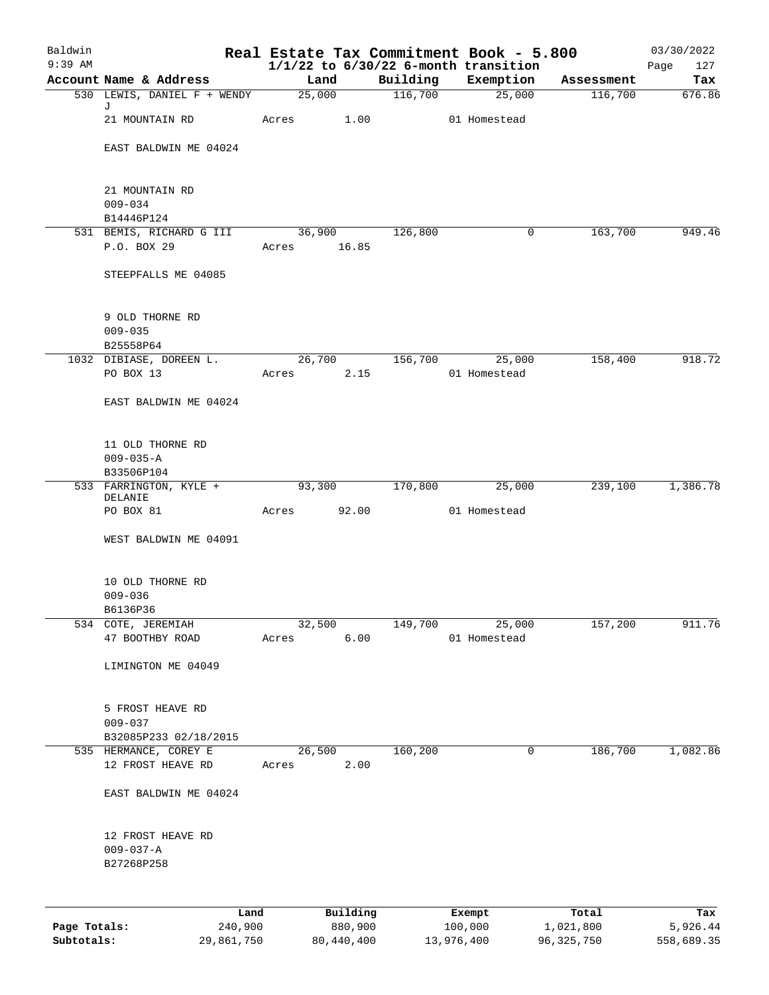| Baldwin<br>$9:39$ AM |                                        |             |          |          | Real Estate Tax Commitment Book - 5.800<br>$1/1/22$ to $6/30/22$ 6-month transition |            | 03/30/2022<br>Page<br>127 |
|----------------------|----------------------------------------|-------------|----------|----------|-------------------------------------------------------------------------------------|------------|---------------------------|
|                      | Account Name & Address                 | Land        |          | Building | Exemption                                                                           | Assessment | Tax                       |
|                      | 530 LEWIS, DANIEL F + WENDY            |             | 25,000   | 116,700  | 25,000                                                                              | 116,700    | 676.86                    |
|                      | J<br>21 MOUNTAIN RD                    | Acres       | 1.00     |          | 01 Homestead                                                                        |            |                           |
|                      | EAST BALDWIN ME 04024                  |             |          |          |                                                                                     |            |                           |
|                      | 21 MOUNTAIN RD                         |             |          |          |                                                                                     |            |                           |
|                      | $009 - 034$                            |             |          |          |                                                                                     |            |                           |
|                      | B14446P124<br>531 BEMIS, RICHARD G III | 36,900      |          | 126,800  | 0                                                                                   | 163,700    | 949.46                    |
|                      | P.O. BOX 29                            | Acres 16.85 |          |          |                                                                                     |            |                           |
|                      | STEEPFALLS ME 04085                    |             |          |          |                                                                                     |            |                           |
|                      | 9 OLD THORNE RD                        |             |          |          |                                                                                     |            |                           |
|                      | $009 - 035$<br>B25558P64               |             |          |          |                                                                                     |            |                           |
|                      | 1032 DIBIASE, DOREEN L.                | 26,700      |          | 156,700  | 25,000                                                                              | 158,400    | 918.72                    |
|                      | PO BOX 13                              | Acres       | 2.15     |          | 01 Homestead                                                                        |            |                           |
|                      | EAST BALDWIN ME 04024                  |             |          |          |                                                                                     |            |                           |
|                      | 11 OLD THORNE RD                       |             |          |          |                                                                                     |            |                           |
|                      | $009 - 035 - A$                        |             |          |          |                                                                                     |            |                           |
|                      | B33506P104                             |             |          |          |                                                                                     |            |                           |
|                      | 533 FARRINGTON, KYLE +<br>DELANIE      | 93,300      |          | 170,800  | 25,000                                                                              | 239,100    | 1,386.78                  |
|                      | PO BOX 81                              | Acres 92.00 |          |          | 01 Homestead                                                                        |            |                           |
|                      | WEST BALDWIN ME 04091                  |             |          |          |                                                                                     |            |                           |
|                      | 10 OLD THORNE RD                       |             |          |          |                                                                                     |            |                           |
|                      | $009 - 036$                            |             |          |          |                                                                                     |            |                           |
|                      | B6136P36<br>534 COTE, JEREMIAH         | 32,500      |          | 149,700  | 25,000                                                                              | 157,200    | 911.76                    |
|                      | 47 BOOTHBY ROAD                        | Acres       | 6.00     |          | 01 Homestead                                                                        |            |                           |
|                      | LIMINGTON ME 04049                     |             |          |          |                                                                                     |            |                           |
|                      | 5 FROST HEAVE RD                       |             |          |          |                                                                                     |            |                           |
|                      | $009 - 037$                            |             |          |          |                                                                                     |            |                           |
|                      | B32085P233 02/18/2015                  |             |          |          |                                                                                     |            |                           |
|                      | 535 HERMANCE, COREY E                  | 26,500      |          | 160,200  | 0                                                                                   | 186,700    | 1,082.86                  |
|                      | 12 FROST HEAVE RD                      | Acres       | 2.00     |          |                                                                                     |            |                           |
|                      | EAST BALDWIN ME 04024                  |             |          |          |                                                                                     |            |                           |
|                      | 12 FROST HEAVE RD                      |             |          |          |                                                                                     |            |                           |
|                      | $009 - 037 - A$<br>B27268P258          |             |          |          |                                                                                     |            |                           |
|                      |                                        |             |          |          |                                                                                     |            |                           |
|                      | Land                                   |             | Building |          | Exempt                                                                              | Total      | Tax                       |
| Page Totals:         | 240,900                                |             | 880,900  |          | 100,000                                                                             | 1,021,800  | 5,926.44                  |

**Subtotals:** 29,861,750 80,440,400 13,976,400 96,325,750 558,689.35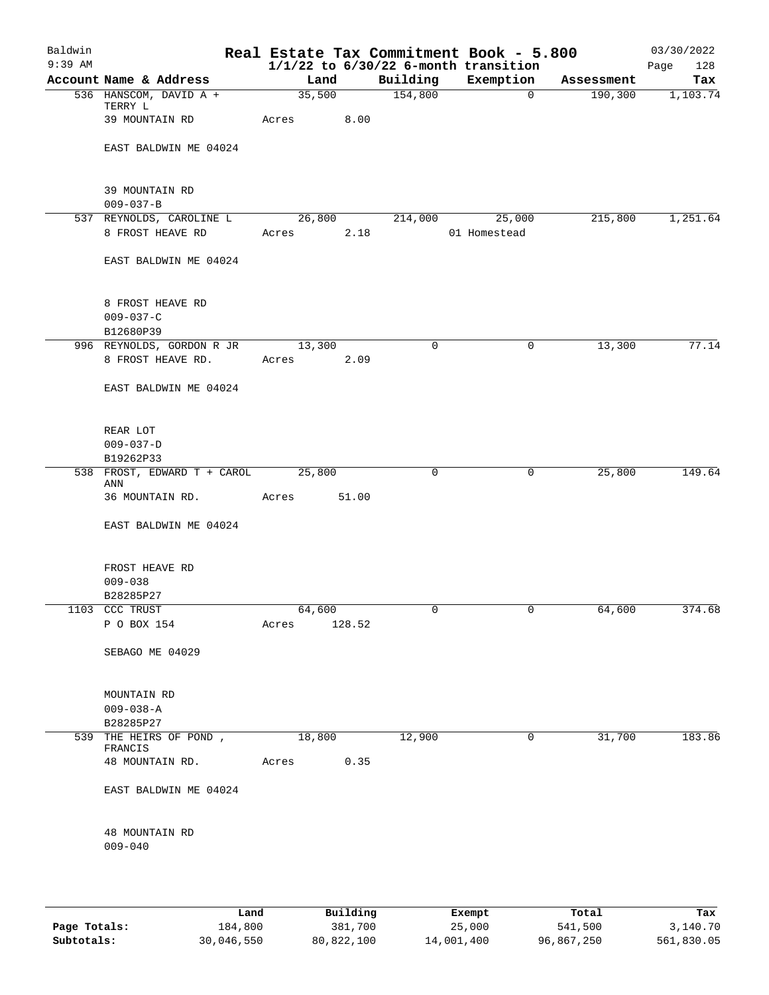| Baldwin<br>$9:39$ AM |                                                  |            |        |                | Real Estate Tax Commitment Book - 5.800<br>$1/1/22$ to $6/30/22$ 6-month transition |            | 03/30/2022<br>Page<br>128 |
|----------------------|--------------------------------------------------|------------|--------|----------------|-------------------------------------------------------------------------------------|------------|---------------------------|
|                      | Account Name & Address                           | Land       |        | Building       | Exemption                                                                           | Assessment | Tax                       |
|                      | 536 HANSCOM, DAVID A +                           |            |        | 35,500 154,800 | $\overline{0}$                                                                      | 190, 300   | 1,103.74                  |
|                      | TERRY L<br>39 MOUNTAIN RD                        | Acres 8.00 |        |                |                                                                                     |            |                           |
|                      | EAST BALDWIN ME 04024                            |            |        |                |                                                                                     |            |                           |
|                      | 39 MOUNTAIN RD<br>$009 - 037 - B$                |            |        |                |                                                                                     |            |                           |
|                      | 537 REYNOLDS, CAROLINE L                         |            |        |                | 26,800 214,000 25,000                                                               | 215,800    | 1,251.64                  |
|                      | 8 FROST HEAVE RD                                 | Acres 2.18 |        |                | 01 Homestead                                                                        |            |                           |
|                      | EAST BALDWIN ME 04024                            |            |        |                |                                                                                     |            |                           |
|                      | 8 FROST HEAVE RD<br>$009 - 037 - C$<br>B12680P39 |            |        |                |                                                                                     |            |                           |
|                      | 996 REYNOLDS, GORDON R JR 13,300                 |            |        | $\mathbf 0$    | 0                                                                                   | 13,300     | 77.14                     |
|                      | 8 FROST HEAVE RD.                                | Acres 2.09 |        |                |                                                                                     |            |                           |
|                      | EAST BALDWIN ME 04024                            |            |        |                |                                                                                     |            |                           |
|                      | REAR LOT                                         |            |        |                |                                                                                     |            |                           |
|                      | $009 - 037 - D$                                  |            |        |                |                                                                                     |            |                           |
|                      | B19262P33                                        |            |        |                |                                                                                     |            |                           |
|                      | 538 FROST, EDWARD T + CAROL 25,800<br>ANN        |            |        | $\mathbf 0$    | $\mathbf 0$                                                                         | 25,800     | 149.64                    |
|                      | 36 MOUNTAIN RD.                                  | Acres      | 51.00  |                |                                                                                     |            |                           |
|                      | EAST BALDWIN ME 04024                            |            |        |                |                                                                                     |            |                           |
|                      | FROST HEAVE RD<br>$009 - 038$                    |            |        |                |                                                                                     |            |                           |
|                      | B28285P27                                        |            |        |                |                                                                                     |            |                           |
|                      | 1103 CCC TRUST                                   | 64,600     |        |                |                                                                                     | 64,600     | 374.68                    |
|                      | P O BOX 154                                      | Acres      | 128.52 |                |                                                                                     |            |                           |
|                      | SEBAGO ME 04029                                  |            |        |                |                                                                                     |            |                           |
|                      | MOUNTAIN RD                                      |            |        |                |                                                                                     |            |                           |
|                      | $009 - 038 - A$                                  |            |        |                |                                                                                     |            |                           |
|                      | B28285P27                                        |            |        |                |                                                                                     |            |                           |
|                      | 539 THE HEIRS OF POND,                           | 18,800     |        | 12,900         | $\overline{0}$                                                                      | 31,700     | 183.86                    |
|                      | FRANCIS<br>48 MOUNTAIN RD.                       | Acres      | 0.35   |                |                                                                                     |            |                           |
|                      | EAST BALDWIN ME 04024                            |            |        |                |                                                                                     |            |                           |
|                      | 48 MOUNTAIN RD                                   |            |        |                |                                                                                     |            |                           |
|                      | $009 - 040$                                      |            |        |                |                                                                                     |            |                           |
|                      |                                                  |            |        |                |                                                                                     |            |                           |
|                      |                                                  |            |        |                |                                                                                     |            |                           |

|              | Land       | Building   | Exempt     | Total      | Tax        |
|--------------|------------|------------|------------|------------|------------|
| Page Totals: | 184,800    | 381,700    | 25,000     | 541,500    | 3,140.70   |
| Subtotals:   | 30,046,550 | 80,822,100 | 14,001,400 | 96,867,250 | 561,830.05 |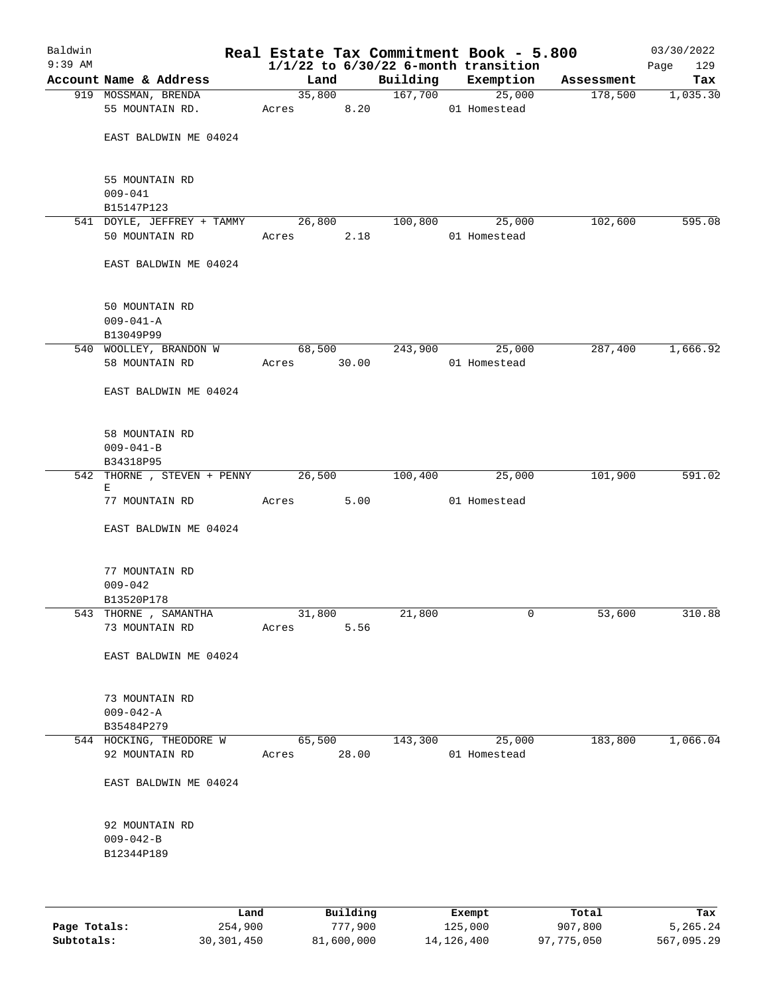| Baldwin<br>$9:39$ AM |                                                 |                       |        |         | Real Estate Tax Commitment Book - 5.800<br>$1/1/22$ to $6/30/22$ 6-month transition |            | 03/30/2022<br>Page<br>129 |
|----------------------|-------------------------------------------------|-----------------------|--------|---------|-------------------------------------------------------------------------------------|------------|---------------------------|
|                      | Account Name & Address                          | Land                  |        |         | Building Exemption                                                                  | Assessment | Tax                       |
|                      | 919 MOSSMAN, BRENDA                             |                       | 35,800 |         | 167,700 25,000                                                                      | 178,500    | 1,035.30                  |
|                      | 55 MOUNTAIN RD.                                 | Acres 8.20            |        |         | 01 Homestead                                                                        |            |                           |
|                      | EAST BALDWIN ME 04024                           |                       |        |         |                                                                                     |            |                           |
|                      | 55 MOUNTAIN RD<br>$009 - 041$                   |                       |        |         |                                                                                     |            |                           |
|                      | B15147P123                                      |                       |        |         |                                                                                     |            |                           |
|                      | 541 DOYLE, JEFFREY + TAMMY 26,800               |                       |        | 100,800 | 25,000                                                                              | 102,600    | 595.08                    |
|                      | 50 MOUNTAIN RD                                  | Acres                 | 2.18   |         | 01 Homestead                                                                        |            |                           |
|                      | EAST BALDWIN ME 04024                           |                       |        |         |                                                                                     |            |                           |
|                      | 50 MOUNTAIN RD<br>$009 - 041 - A$<br>B13049P99  |                       |        |         |                                                                                     |            |                           |
|                      | 540 WOOLLEY, BRANDON W                          |                       | 68,500 | 243,900 | 25,000                                                                              | 287,400    | 1,666.92                  |
|                      | 58 MOUNTAIN RD                                  | Acres 30.00           |        |         | 01 Homestead                                                                        |            |                           |
|                      | EAST BALDWIN ME 04024                           |                       |        |         |                                                                                     |            |                           |
|                      | 58 MOUNTAIN RD<br>$009 - 041 - B$               |                       |        |         |                                                                                     |            |                           |
|                      | B34318P95<br>542 THORNE , STEVEN + PENNY 26,500 |                       |        | 100,400 | 25,000                                                                              | 101,900    | 591.02                    |
|                      | Е                                               |                       |        |         |                                                                                     |            |                           |
|                      | 77 MOUNTAIN RD                                  | Acres                 | 5.00   |         | 01 Homestead                                                                        |            |                           |
|                      | EAST BALDWIN ME 04024                           |                       |        |         |                                                                                     |            |                           |
|                      | 77 MOUNTAIN RD<br>$009 - 042$                   |                       |        |         |                                                                                     |            |                           |
|                      | B13520P178                                      |                       |        |         |                                                                                     |            |                           |
|                      | 543 THORNE, SAMANTHA<br>73 MOUNTAIN RD          | 31,800<br>Acres       | 5.56   | 21,800  | 0                                                                                   | 53,600     | 310.88                    |
|                      | EAST BALDWIN ME 04024                           |                       |        |         |                                                                                     |            |                           |
|                      | 73 MOUNTAIN RD<br>$009 - 042 - A$               |                       |        |         |                                                                                     |            |                           |
|                      | B35484P279                                      |                       |        |         |                                                                                     |            |                           |
|                      | 544 HOCKING, THEODORE W<br>92 MOUNTAIN RD       | 65,500<br>Acres 28.00 |        | 143,300 | 25,000<br>01 Homestead                                                              | 183,800    | 1,066.04                  |
|                      | EAST BALDWIN ME 04024                           |                       |        |         |                                                                                     |            |                           |
|                      | 92 MOUNTAIN RD<br>$009 - 042 - B$<br>B12344P189 |                       |        |         |                                                                                     |            |                           |
|                      |                                                 |                       |        |         |                                                                                     |            |                           |

|              | Land       | Building   | Exempt     | Total      | Tax        |
|--------------|------------|------------|------------|------------|------------|
| Page Totals: | 254,900    | 777,900    | 125,000    | 907,800    | 5,265.24   |
| Subtotals:   | 30,301,450 | 81,600,000 | 14,126,400 | 97,775,050 | 567,095.29 |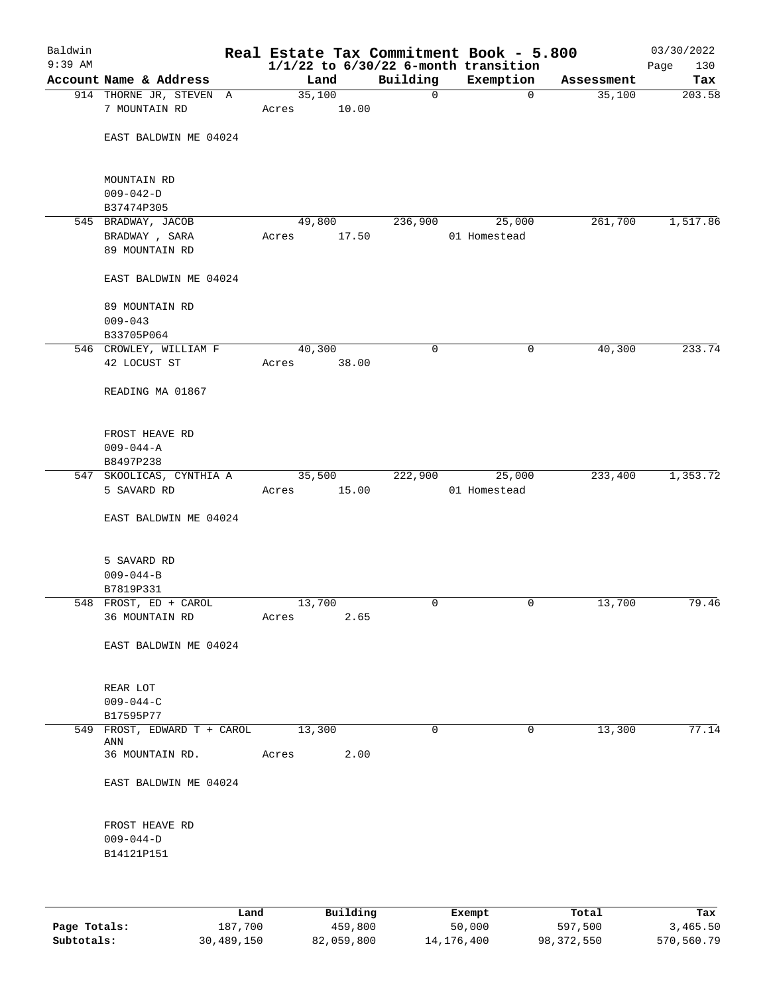| Baldwin   |                                          |      |       |        |             |             | Real Estate Tax Commitment Book - 5.800  |             | 03/30/2022  |
|-----------|------------------------------------------|------|-------|--------|-------------|-------------|------------------------------------------|-------------|-------------|
| $9:39$ AM |                                          |      |       |        |             |             | $1/1/22$ to $6/30/22$ 6-month transition |             | Page<br>130 |
|           | Account Name & Address                   |      |       | Land   |             | Building    | Exemption                                | Assessment  | Tax         |
|           | 914 THORNE JR, STEVEN A<br>7 MOUNTAIN RD |      | Acres | 35,100 | 10.00       | $\mathbf 0$ |                                          | 35,100<br>0 | 203.58      |
|           | EAST BALDWIN ME 04024                    |      |       |        |             |             |                                          |             |             |
|           | MOUNTAIN RD                              |      |       |        |             |             |                                          |             |             |
|           | $009 - 042 - D$<br>B37474P305            |      |       |        |             |             |                                          |             |             |
|           | 545 BRADWAY, JACOB                       |      |       | 49,800 |             | 236,900     | 25,000                                   | 261,700     | 1,517.86    |
|           | BRADWAY , SARA                           |      | Acres |        | 17.50       |             | 01 Homestead                             |             |             |
|           | 89 MOUNTAIN RD                           |      |       |        |             |             |                                          |             |             |
|           | EAST BALDWIN ME 04024                    |      |       |        |             |             |                                          |             |             |
|           | 89 MOUNTAIN RD                           |      |       |        |             |             |                                          |             |             |
|           | $009 - 043$                              |      |       |        |             |             |                                          |             |             |
|           | B33705P064                               |      |       |        |             |             |                                          |             |             |
|           | 546 CROWLEY, WILLIAM F                   |      |       | 40,300 |             | 0           |                                          | 0<br>40,300 | 233.74      |
|           | 42 LOCUST ST                             |      | Acres |        | 38.00       |             |                                          |             |             |
|           | READING MA 01867                         |      |       |        |             |             |                                          |             |             |
|           | FROST HEAVE RD                           |      |       |        |             |             |                                          |             |             |
|           | $009 - 044 - A$                          |      |       |        |             |             |                                          |             |             |
|           | B8497P238                                |      |       |        |             |             |                                          |             |             |
|           | 547 SKOOLICAS, CYNTHIA A                 |      |       | 35,500 |             | 222,900     | 25,000                                   | 233,400     | 1,353.72    |
|           | 5 SAVARD RD                              |      |       |        | Acres 15.00 |             | 01 Homestead                             |             |             |
|           | EAST BALDWIN ME 04024                    |      |       |        |             |             |                                          |             |             |
|           | 5 SAVARD RD                              |      |       |        |             |             |                                          |             |             |
|           | $009 - 044 - B$                          |      |       |        |             |             |                                          |             |             |
|           | B7819P331                                |      |       |        |             |             |                                          |             |             |
|           | 548 FROST, ED + CAROL                    |      |       | 13,700 |             | 0           |                                          | 13,700<br>0 | 79.46       |
|           | 36 MOUNTAIN RD                           |      | Acres |        | 2.65        |             |                                          |             |             |
|           | EAST BALDWIN ME 04024                    |      |       |        |             |             |                                          |             |             |
|           |                                          |      |       |        |             |             |                                          |             |             |
|           | REAR LOT                                 |      |       |        |             |             |                                          |             |             |
|           | $009 - 044 - C$<br>B17595P77             |      |       |        |             |             |                                          |             |             |
|           | 549 FROST, EDWARD T + CAROL              |      |       | 13,300 |             | 0           |                                          | 13,300<br>0 | 77.14       |
|           | ANN                                      |      |       |        |             |             |                                          |             |             |
|           | 36 MOUNTAIN RD.                          |      | Acres |        | 2.00        |             |                                          |             |             |
|           | EAST BALDWIN ME 04024                    |      |       |        |             |             |                                          |             |             |
|           | FROST HEAVE RD                           |      |       |        |             |             |                                          |             |             |
|           | $009 - 044 - D$                          |      |       |        |             |             |                                          |             |             |
|           | B14121P151                               |      |       |        |             |             |                                          |             |             |
|           |                                          |      |       |        |             |             |                                          |             |             |
|           |                                          | Land |       |        | Building    |             | Exempt                                   | Total       | Tax         |

|              | Land.      | Building   | Exempt     | тосат      | Tax.       |
|--------------|------------|------------|------------|------------|------------|
| Page Totals: | 187,700    | 459,800    | 50,000     | 597,500    | 3,465.50   |
| Subtotals:   | 30,489,150 | 82,059,800 | 14,176,400 | 98,372,550 | 570,560.79 |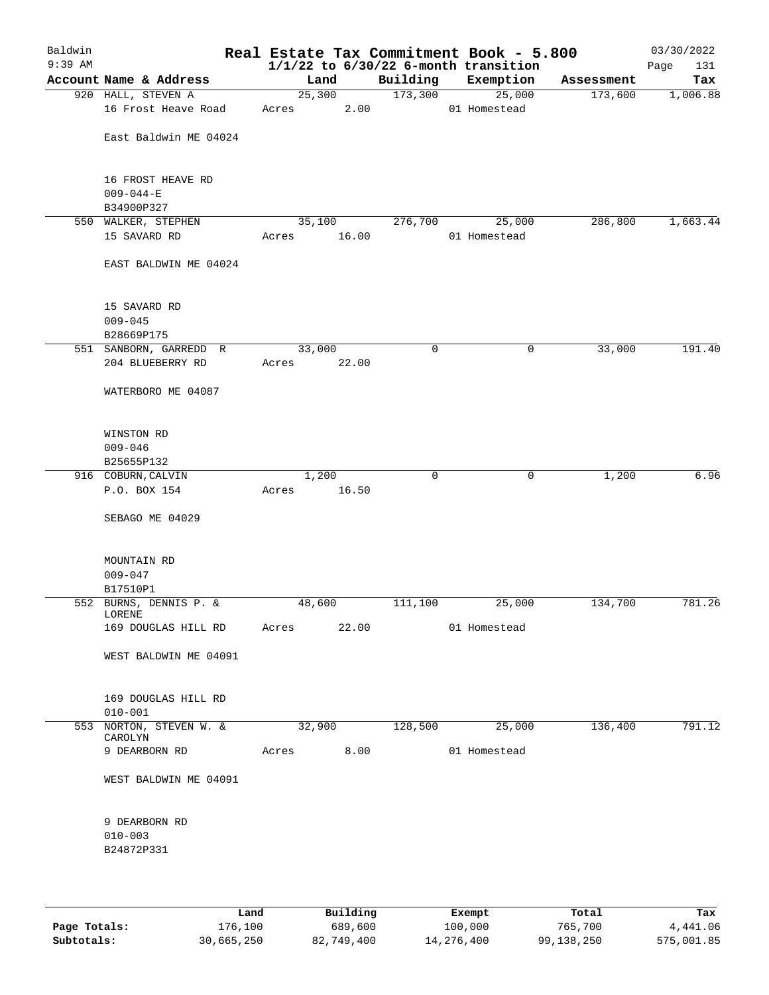| Baldwin<br>$9:39$ AM |                                            |                 |       |             | Real Estate Tax Commitment Book - 5.800<br>$1/1/22$ to $6/30/22$ 6-month transition |            | 03/30/2022<br>131<br>Page |
|----------------------|--------------------------------------------|-----------------|-------|-------------|-------------------------------------------------------------------------------------|------------|---------------------------|
|                      | Account Name & Address                     | Land            |       | Building    | Exemption                                                                           | Assessment | Tax                       |
|                      | 920 HALL, STEVEN A                         | 25,300          |       | 173,300     | 25,000                                                                              | 173,600    | 1,006.88                  |
|                      | 16 Frost Heave Road                        | Acres           | 2.00  |             | 01 Homestead                                                                        |            |                           |
|                      | East Baldwin ME 04024                      |                 |       |             |                                                                                     |            |                           |
|                      | 16 FROST HEAVE RD<br>$009 - 044 - E$       |                 |       |             |                                                                                     |            |                           |
|                      | B34900P327                                 |                 |       |             |                                                                                     |            |                           |
|                      | 550 WALKER, STEPHEN<br>15 SAVARD RD        | 35,100<br>Acres | 16.00 | 276,700     | 25,000<br>01 Homestead                                                              | 286,800    | 1,663.44                  |
|                      | EAST BALDWIN ME 04024                      |                 |       |             |                                                                                     |            |                           |
|                      | 15 SAVARD RD<br>$009 - 045$<br>B28669P175  |                 |       |             |                                                                                     |            |                           |
|                      | 551 SANBORN, GARREDD R                     | 33,000          |       | 0           | 0                                                                                   | 33,000     | 191.40                    |
|                      | 204 BLUEBERRY RD                           | Acres           | 22.00 |             |                                                                                     |            |                           |
|                      | WATERBORO ME 04087                         |                 |       |             |                                                                                     |            |                           |
|                      | WINSTON RD<br>$009 - 046$                  |                 |       |             |                                                                                     |            |                           |
|                      | B25655P132                                 |                 |       |             |                                                                                     |            |                           |
|                      | 916 COBURN, CALVIN                         | 1,200           |       | $\mathbf 0$ | 0                                                                                   | 1,200      | 6.96                      |
|                      | P.O. BOX 154                               | Acres           | 16.50 |             |                                                                                     |            |                           |
|                      | SEBAGO ME 04029                            |                 |       |             |                                                                                     |            |                           |
|                      | MOUNTAIN RD<br>$009 - 047$                 |                 |       |             |                                                                                     |            |                           |
|                      | B17510P1                                   |                 |       |             |                                                                                     |            |                           |
|                      | 552 BURNS, DENNIS P. &<br>LORENE           | 48,600          |       | 111,100     | 25,000                                                                              | 134,700    | 781.26                    |
|                      | 169 DOUGLAS HILL RD                        | Acres           | 22.00 |             | 01 Homestead                                                                        |            |                           |
|                      | WEST BALDWIN ME 04091                      |                 |       |             |                                                                                     |            |                           |
|                      | 169 DOUGLAS HILL RD<br>$010 - 001$         |                 |       |             |                                                                                     |            |                           |
|                      | 553 NORTON, STEVEN W. &                    | 32,900          |       | 128,500     | 25,000                                                                              | 136,400    | 791.12                    |
|                      | CAROLYN<br>9 DEARBORN RD                   | Acres           | 8.00  |             | 01 Homestead                                                                        |            |                           |
|                      | WEST BALDWIN ME 04091                      |                 |       |             |                                                                                     |            |                           |
|                      | 9 DEARBORN RD<br>$010 - 003$<br>B24872P331 |                 |       |             |                                                                                     |            |                           |
|                      |                                            |                 |       |             |                                                                                     |            |                           |

|              | Land       | Building   | Exempt     | Total      | Tax        |
|--------------|------------|------------|------------|------------|------------|
| Page Totals: | 176,100    | 689,600    | 100,000    | 765,700    | 4,441.06   |
| Subtotals:   | 30,665,250 | 82,749,400 | 14,276,400 | 99,138,250 | 575,001.85 |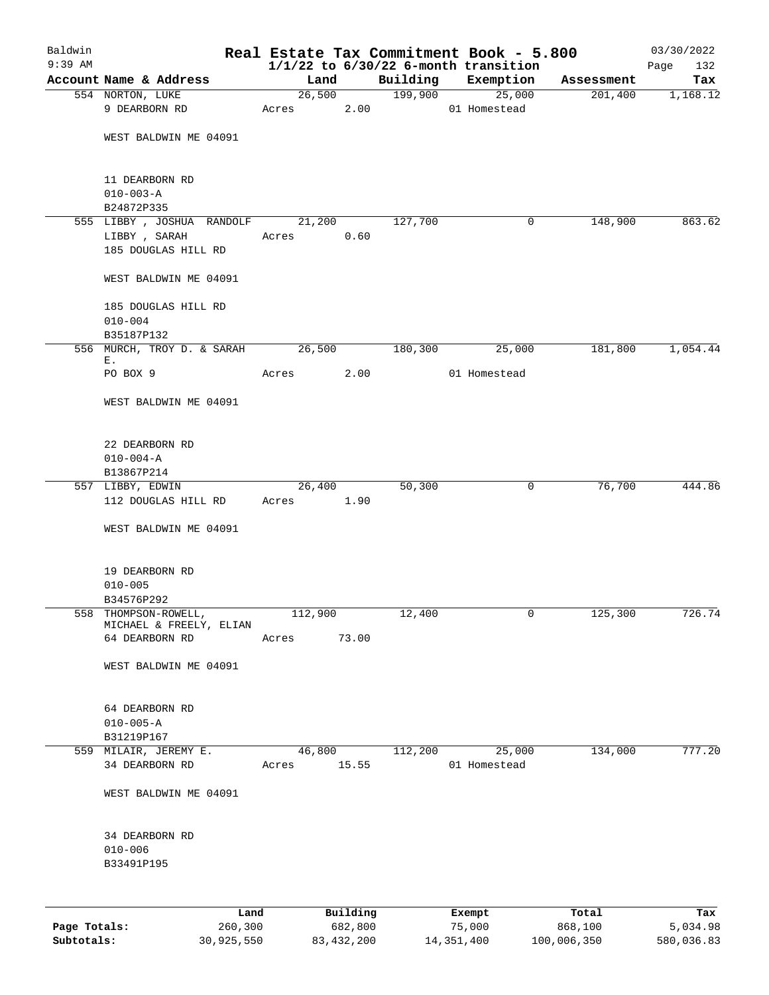| Baldwin      |                                         |                 |          |                     | Real Estate Tax Commitment Book - 5.800  |                       | 03/30/2022      |
|--------------|-----------------------------------------|-----------------|----------|---------------------|------------------------------------------|-----------------------|-----------------|
| $9:39$ AM    | Account Name & Address                  |                 |          |                     | $1/1/22$ to $6/30/22$ 6-month transition |                       | 132<br>Page     |
|              | 554 NORTON, LUKE                        | Land            | 26,500   | Building<br>199,900 | Exemption<br>25,000                      | Assessment<br>201,400 | Tax<br>1,168.12 |
|              | 9 DEARBORN RD                           | Acres           | 2.00     |                     | 01 Homestead                             |                       |                 |
|              |                                         |                 |          |                     |                                          |                       |                 |
|              | WEST BALDWIN ME 04091                   |                 |          |                     |                                          |                       |                 |
|              |                                         |                 |          |                     |                                          |                       |                 |
|              | 11 DEARBORN RD                          |                 |          |                     |                                          |                       |                 |
|              | $010 - 003 - A$<br>B24872P335           |                 |          |                     |                                          |                       |                 |
|              | 555 LIBBY, JOSHUA RANDOLF               | 21,200          |          | 127,700             | 0                                        | 148,900               | 863.62          |
|              | LIBBY , SARAH                           | Acres           | 0.60     |                     |                                          |                       |                 |
|              | 185 DOUGLAS HILL RD                     |                 |          |                     |                                          |                       |                 |
|              | WEST BALDWIN ME 04091                   |                 |          |                     |                                          |                       |                 |
|              | 185 DOUGLAS HILL RD                     |                 |          |                     |                                          |                       |                 |
|              | $010 - 004$                             |                 |          |                     |                                          |                       |                 |
|              | B35187P132                              |                 |          |                     |                                          |                       |                 |
|              | 556 MURCH, TROY D. & SARAH 26,500<br>Е. |                 |          | 180,300             | 25,000                                   | 181,800               | 1,054.44        |
|              | PO BOX 9                                | Acres           | 2.00     |                     | 01 Homestead                             |                       |                 |
|              | WEST BALDWIN ME 04091                   |                 |          |                     |                                          |                       |                 |
|              | 22 DEARBORN RD                          |                 |          |                     |                                          |                       |                 |
|              | $010 - 004 - A$                         |                 |          |                     |                                          |                       |                 |
|              | B13867P214                              |                 |          |                     |                                          |                       |                 |
|              | 557 LIBBY, EDWIN                        | 26,400          |          | 50,300              | 0                                        | 76,700                | 444.86          |
|              | 112 DOUGLAS HILL RD                     | Acres           | 1.90     |                     |                                          |                       |                 |
|              | WEST BALDWIN ME 04091                   |                 |          |                     |                                          |                       |                 |
|              | 19 DEARBORN RD                          |                 |          |                     |                                          |                       |                 |
|              | $010 - 005$                             |                 |          |                     |                                          |                       |                 |
|              | B34576P292                              |                 |          |                     |                                          |                       |                 |
|              | 558 THOMPSON-ROWELL,                    | 112,900         |          | 12,400              | 0                                        | 125,300               | 726.74          |
|              | MICHAEL & FREELY, ELIAN                 |                 | 73.00    |                     |                                          |                       |                 |
|              | 64 DEARBORN RD                          | Acres           |          |                     |                                          |                       |                 |
|              | WEST BALDWIN ME 04091                   |                 |          |                     |                                          |                       |                 |
|              | 64 DEARBORN RD                          |                 |          |                     |                                          |                       |                 |
|              | $010 - 005 - A$                         |                 |          |                     |                                          |                       |                 |
|              | B31219P167                              |                 |          |                     |                                          |                       |                 |
|              | 559 MILAIR, JEREMY E.<br>34 DEARBORN RD | 46,800<br>Acres | 15.55    | 112,200             | 25,000<br>01 Homestead                   | 134,000               | 777.20          |
|              |                                         |                 |          |                     |                                          |                       |                 |
|              | WEST BALDWIN ME 04091                   |                 |          |                     |                                          |                       |                 |
|              | 34 DEARBORN RD                          |                 |          |                     |                                          |                       |                 |
|              | $010 - 006$                             |                 |          |                     |                                          |                       |                 |
|              | B33491P195                              |                 |          |                     |                                          |                       |                 |
|              |                                         |                 |          |                     |                                          |                       |                 |
|              | Land                                    |                 | Building |                     | Exempt                                   | Total                 | Tax             |
| Page Totals: | 260,300                                 |                 | 682,800  |                     | 75,000                                   | 868,100               | 5,034.98        |

**Subtotals:** 30,925,550 83,432,200 14,351,400 100,006,350 580,036.83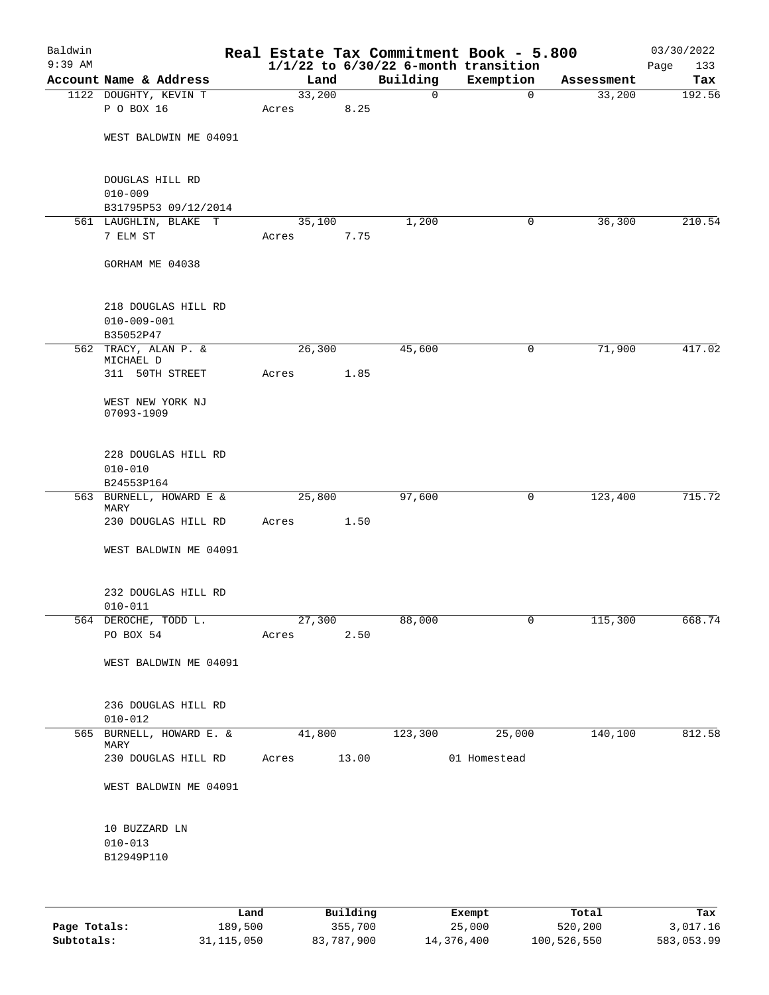| Baldwin<br>$9:39$ AM |                                                       |             |      |          | Real Estate Tax Commitment Book - 5.800<br>$1/1/22$ to $6/30/22$ 6-month transition |            | 03/30/2022<br>133<br>Page |
|----------------------|-------------------------------------------------------|-------------|------|----------|-------------------------------------------------------------------------------------|------------|---------------------------|
|                      | Account Name & Address                                | Land        |      | Building | Exemption                                                                           | Assessment | Tax                       |
|                      | 1122 DOUGHTY, KEVIN T                                 | 33,200      |      | 0        | $\mathbf 0$                                                                         | 33,200     | 192.56                    |
|                      | P O BOX 16                                            | Acres       | 8.25 |          |                                                                                     |            |                           |
|                      | WEST BALDWIN ME 04091                                 |             |      |          |                                                                                     |            |                           |
|                      | DOUGLAS HILL RD<br>$010 - 009$                        |             |      |          |                                                                                     |            |                           |
|                      | B31795P53 09/12/2014                                  |             |      |          |                                                                                     |            |                           |
|                      | 561 LAUGHLIN, BLAKE T                                 | 35,100      |      | 1,200    | 0                                                                                   | 36,300     | 210.54                    |
|                      | 7 ELM ST                                              | Acres       | 7.75 |          |                                                                                     |            |                           |
|                      | GORHAM ME 04038                                       |             |      |          |                                                                                     |            |                           |
|                      | 218 DOUGLAS HILL RD<br>$010 - 009 - 001$<br>B35052P47 |             |      |          |                                                                                     |            |                           |
|                      | 562 TRACY, ALAN P. &                                  | 26,300      |      | 45,600   | 0                                                                                   | 71,900     | 417.02                    |
|                      | MICHAEL D                                             |             |      |          |                                                                                     |            |                           |
|                      | 311 50TH STREET                                       | Acres       | 1.85 |          |                                                                                     |            |                           |
|                      | WEST NEW YORK NJ<br>07093-1909                        |             |      |          |                                                                                     |            |                           |
|                      | 228 DOUGLAS HILL RD<br>$010 - 010$<br>B24553P164      |             |      |          |                                                                                     |            |                           |
|                      | 563 BURNELL, HOWARD E &                               | 25,800      |      | 97,600   | 0                                                                                   | 123,400    | 715.72                    |
|                      | MARY<br>230 DOUGLAS HILL RD                           | Acres       | 1.50 |          |                                                                                     |            |                           |
|                      | WEST BALDWIN ME 04091                                 |             |      |          |                                                                                     |            |                           |
|                      |                                                       |             |      |          |                                                                                     |            |                           |
|                      | 232 DOUGLAS HILL RD                                   |             |      |          |                                                                                     |            |                           |
|                      | $010 - 011$                                           |             |      |          |                                                                                     |            |                           |
|                      | 564 DEROCHE, TODD L.                                  | 27,300      |      | 88,000   | 0                                                                                   | 115,300    | 668.74                    |
|                      | PO BOX 54                                             | Acres 2.50  |      |          |                                                                                     |            |                           |
|                      | WEST BALDWIN ME 04091                                 |             |      |          |                                                                                     |            |                           |
|                      | 236 DOUGLAS HILL RD<br>$010 - 012$                    |             |      |          |                                                                                     |            |                           |
|                      | 565 BURNELL, HOWARD E. &                              | 41,800      |      | 123,300  | 25,000                                                                              | 140,100    | 812.58                    |
|                      | MARY<br>230 DOUGLAS HILL RD                           | Acres 13.00 |      |          | 01 Homestead                                                                        |            |                           |
|                      | WEST BALDWIN ME 04091                                 |             |      |          |                                                                                     |            |                           |
|                      | 10 BUZZARD LN<br>$010 - 013$<br>B12949P110            |             |      |          |                                                                                     |            |                           |
|                      |                                                       |             |      |          |                                                                                     |            |                           |

|              | Land       | Building   | Exempt     | Total       | Tax        |
|--------------|------------|------------|------------|-------------|------------|
| Page Totals: | 189,500    | 355,700    | 25,000     | 520,200     | 3,017.16   |
| Subtotals:   | 31,115,050 | 83,787,900 | 14,376,400 | 100,526,550 | 583,053.99 |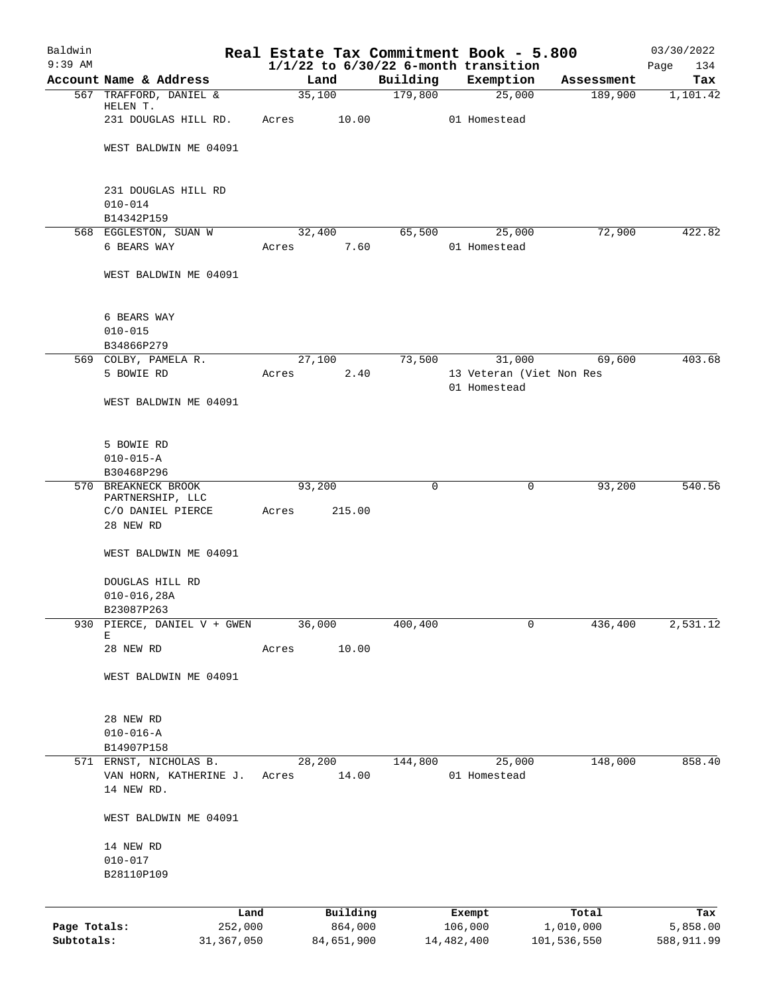| Baldwin      |                                                  |                |                     |                     | Real Estate Tax Commitment Book - 5.800  |                       | 03/30/2022      |
|--------------|--------------------------------------------------|----------------|---------------------|---------------------|------------------------------------------|-----------------------|-----------------|
| $9:39$ AM    |                                                  |                |                     |                     | $1/1/22$ to $6/30/22$ 6-month transition |                       | Page<br>134     |
|              | Account Name & Address<br>567 TRAFFORD, DANIEL & | Land<br>35,100 |                     | Building<br>179,800 | Exemption<br>25,000                      | Assessment<br>189,900 | Tax<br>1,101.42 |
|              | HELEN T.                                         |                |                     |                     |                                          |                       |                 |
|              | 231 DOUGLAS HILL RD.                             | Acres          | 10.00               |                     | 01 Homestead                             |                       |                 |
|              |                                                  |                |                     |                     |                                          |                       |                 |
|              | WEST BALDWIN ME 04091                            |                |                     |                     |                                          |                       |                 |
|              | 231 DOUGLAS HILL RD                              |                |                     |                     |                                          |                       |                 |
|              | $010 - 014$                                      |                |                     |                     |                                          |                       |                 |
|              | B14342P159                                       |                |                     |                     |                                          |                       |                 |
|              | 568 EGGLESTON, SUAN W                            | 32,400         |                     | 65,500              | 25,000                                   | 72,900                | 422.82          |
|              | 6 BEARS WAY                                      | Acres          | 7.60                |                     | 01 Homestead                             |                       |                 |
|              | WEST BALDWIN ME 04091                            |                |                     |                     |                                          |                       |                 |
|              |                                                  |                |                     |                     |                                          |                       |                 |
|              | 6 BEARS WAY<br>$010 - 015$                       |                |                     |                     |                                          |                       |                 |
|              | B34866P279                                       |                |                     |                     |                                          |                       |                 |
|              | 569 COLBY, PAMELA R.                             | 27,100         |                     | 73,500              | 31,000                                   | 69,600                | 403.68          |
|              | 5 BOWIE RD                                       | Acres          | 2.40                |                     | 13 Veteran (Viet Non Res                 |                       |                 |
|              |                                                  |                |                     |                     | 01 Homestead                             |                       |                 |
|              | WEST BALDWIN ME 04091                            |                |                     |                     |                                          |                       |                 |
|              | 5 BOWIE RD                                       |                |                     |                     |                                          |                       |                 |
|              | $010 - 015 - A$                                  |                |                     |                     |                                          |                       |                 |
|              | B30468P296                                       |                |                     |                     |                                          |                       |                 |
| 570          | BREAKNECK BROOK                                  | 93,200         |                     | 0                   | 0                                        | 93,200                | 540.56          |
|              | PARTNERSHIP, LLC                                 |                |                     |                     |                                          |                       |                 |
|              | C/O DANIEL PIERCE<br>28 NEW RD                   | Acres          | 215.00              |                     |                                          |                       |                 |
|              |                                                  |                |                     |                     |                                          |                       |                 |
|              | WEST BALDWIN ME 04091                            |                |                     |                     |                                          |                       |                 |
|              | DOUGLAS HILL RD                                  |                |                     |                     |                                          |                       |                 |
|              | $010 - 016, 28A$                                 |                |                     |                     |                                          |                       |                 |
|              | B23087P263                                       |                |                     |                     |                                          |                       |                 |
| 930          | PIERCE, DANIEL V + GWEN<br>Е                     | 36,000         |                     | 400,400             | 0                                        | 436,400               | 2,531.12        |
|              | 28 NEW RD                                        | Acres          | 10.00               |                     |                                          |                       |                 |
|              | WEST BALDWIN ME 04091                            |                |                     |                     |                                          |                       |                 |
|              |                                                  |                |                     |                     |                                          |                       |                 |
|              | 28 NEW RD                                        |                |                     |                     |                                          |                       |                 |
|              | $010 - 016 - A$<br>B14907P158                    |                |                     |                     |                                          |                       |                 |
|              | 571 ERNST, NICHOLAS B.                           | 28,200         |                     | 144,800             | 25,000                                   | 148,000               | 858.40          |
|              | VAN HORN, KATHERINE J.                           | Acres          | 14.00               |                     | 01 Homestead                             |                       |                 |
|              | 14 NEW RD.                                       |                |                     |                     |                                          |                       |                 |
|              | WEST BALDWIN ME 04091                            |                |                     |                     |                                          |                       |                 |
|              | 14 NEW RD                                        |                |                     |                     |                                          |                       |                 |
|              | $010 - 017$                                      |                |                     |                     |                                          |                       |                 |
|              | B28110P109                                       |                |                     |                     |                                          |                       |                 |
|              |                                                  |                |                     |                     |                                          |                       |                 |
| Page Totals: | Land<br>252,000                                  |                | Building<br>864,000 |                     | Exempt<br>106,000                        | Total<br>1,010,000    | Tax<br>5,858.00 |
| Subtotals:   | 31, 367, 050                                     |                | 84,651,900          |                     | 14,482,400                               | 101,536,550           | 588,911.99      |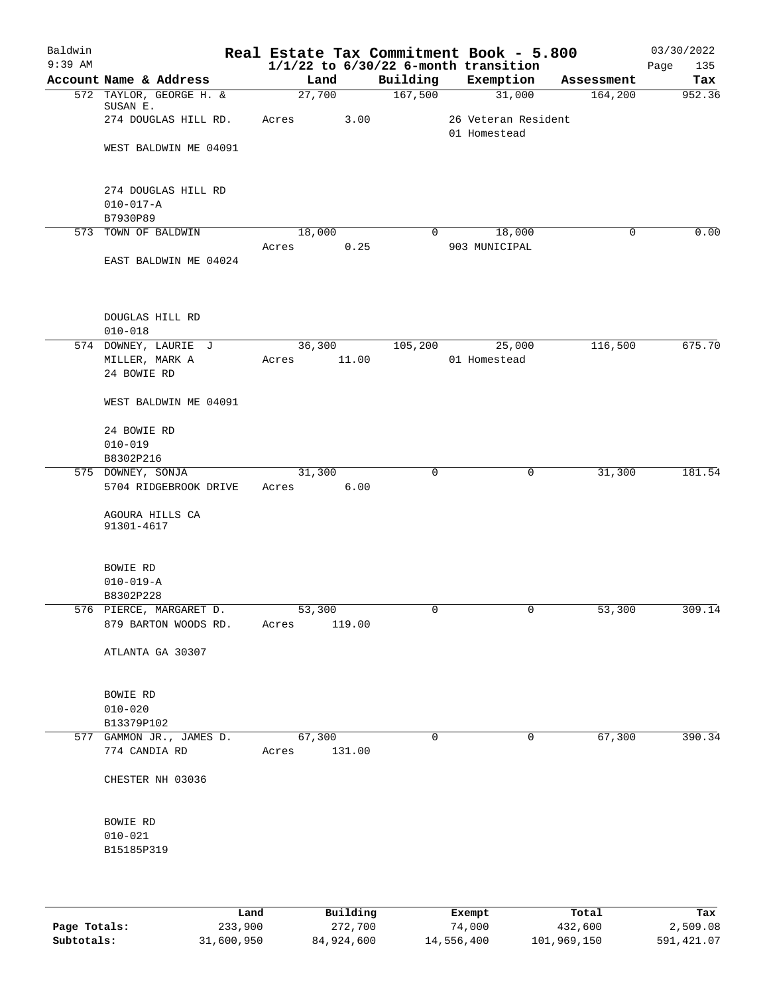| Baldwin<br>$9:39$ AM |                                                       |                        |        |             | Real Estate Tax Commitment Book - 5.800<br>$1/1/22$ to $6/30/22$ 6-month transition |            | 03/30/2022<br>Page<br>135 |
|----------------------|-------------------------------------------------------|------------------------|--------|-------------|-------------------------------------------------------------------------------------|------------|---------------------------|
|                      | Account Name & Address                                | Land                   |        | Building    | Exemption                                                                           | Assessment | Tax                       |
|                      | 572 TAYLOR, GEORGE H. &                               | 27,700                 |        | 167,500     | 31,000                                                                              | 164,200    | 952.36                    |
|                      | SUSAN E.<br>274 DOUGLAS HILL RD.                      | Acres                  | 3.00   |             | 26 Veteran Resident                                                                 |            |                           |
|                      | WEST BALDWIN ME 04091                                 |                        |        |             | 01 Homestead                                                                        |            |                           |
|                      | 274 DOUGLAS HILL RD<br>$010 - 017 - A$<br>B7930P89    |                        |        |             |                                                                                     |            |                           |
|                      | 573 TOWN OF BALDWIN                                   | 18,000                 |        | $\Omega$    | 18,000                                                                              | 0          | 0.00                      |
|                      | EAST BALDWIN ME 04024                                 | Acres                  | 0.25   |             | 903 MUNICIPAL                                                                       |            |                           |
|                      | DOUGLAS HILL RD<br>$010 - 018$                        |                        |        |             |                                                                                     |            |                           |
|                      | 574 DOWNEY, LAURIE J<br>MILLER, MARK A<br>24 BOWIE RD | 36,300<br>Acres        | 11.00  | 105,200     | 25,000<br>01 Homestead                                                              | 116,500    | 675.70                    |
|                      | WEST BALDWIN ME 04091                                 |                        |        |             |                                                                                     |            |                           |
|                      | 24 BOWIE RD<br>$010 - 019$                            |                        |        |             |                                                                                     |            |                           |
|                      | B8302P216                                             |                        |        |             |                                                                                     |            |                           |
|                      | 575 DOWNEY, SONJA                                     | 31,300                 |        | $\mathbf 0$ | 0                                                                                   | 31,300     | 181.54                    |
|                      | 5704 RIDGEBROOK DRIVE                                 | Acres                  | 6.00   |             |                                                                                     |            |                           |
|                      | AGOURA HILLS CA<br>91301-4617                         |                        |        |             |                                                                                     |            |                           |
|                      | BOWIE RD                                              |                        |        |             |                                                                                     |            |                           |
|                      | $010 - 019 - A$                                       |                        |        |             |                                                                                     |            |                           |
|                      | B8302P228<br>576 PIERCE, MARGARET D.                  | 53,300                 |        |             |                                                                                     | 53,300     | 309.14                    |
|                      | 879 BARTON WOODS RD. Acres                            |                        | 119.00 |             |                                                                                     |            |                           |
|                      | ATLANTA GA 30307                                      |                        |        |             |                                                                                     |            |                           |
|                      | BOWIE RD                                              |                        |        |             |                                                                                     |            |                           |
|                      | $010 - 020$                                           |                        |        |             |                                                                                     |            |                           |
|                      | B13379P102                                            |                        |        |             |                                                                                     |            |                           |
|                      | 577 GAMMON JR., JAMES D.<br>774 CANDIA RD             | 67,300<br>Acres 131.00 |        | $\mathbf 0$ | 0                                                                                   | 67,300     | 390.34                    |
|                      | CHESTER NH 03036                                      |                        |        |             |                                                                                     |            |                           |
|                      | BOWIE RD                                              |                        |        |             |                                                                                     |            |                           |
|                      | $010 - 021$<br>B15185P319                             |                        |        |             |                                                                                     |            |                           |
|                      |                                                       |                        |        |             |                                                                                     |            |                           |
|                      |                                                       |                        |        |             |                                                                                     |            |                           |

|              | Land       | Building   | Exempt     | Total       | Tax        |
|--------------|------------|------------|------------|-------------|------------|
| Page Totals: | 233,900    | 272,700    | 74,000     | 432,600     | 2,509.08   |
| Subtotals:   | 31,600,950 | 84,924,600 | 14,556,400 | 101,969,150 | 591,421.07 |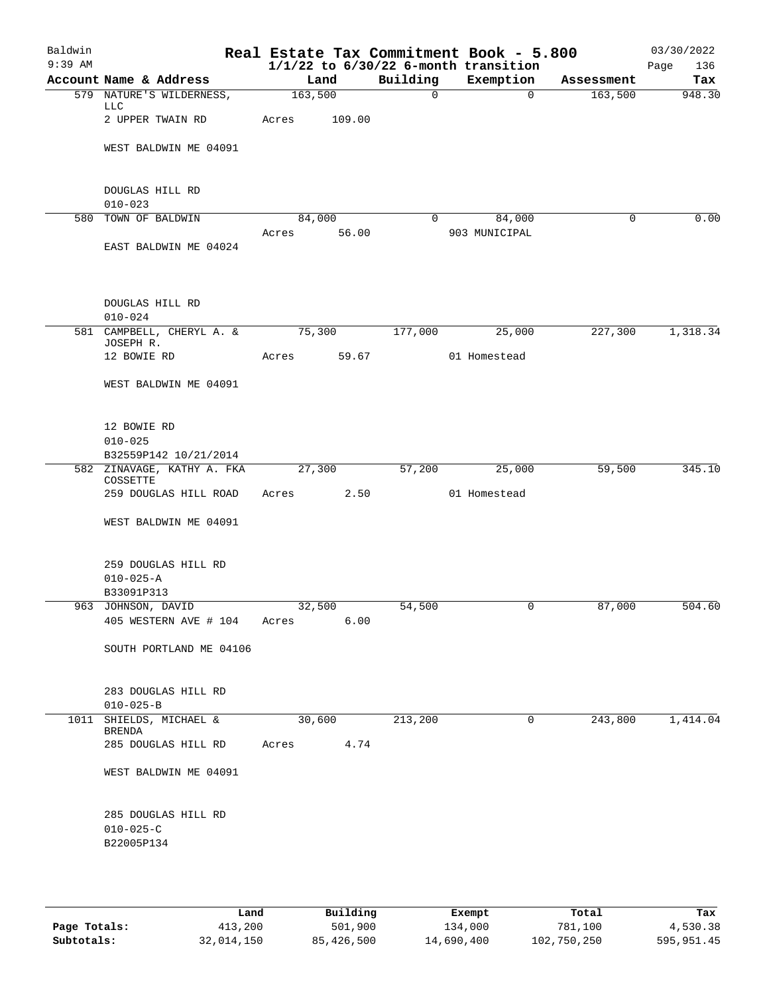| Baldwin   |                                                      |            |        |             | Real Estate Tax Commitment Book - 5.800  |            | 03/30/2022  |
|-----------|------------------------------------------------------|------------|--------|-------------|------------------------------------------|------------|-------------|
| $9:39$ AM |                                                      |            |        |             | $1/1/22$ to $6/30/22$ 6-month transition |            | Page<br>136 |
|           | Account Name & Address                               |            | Land   | Building    | Exemption                                | Assessment | Tax         |
|           | 579 NATURE'S WILDERNESS,<br><b>LLC</b>               | 163,500    |        | $\mathbf 0$ | $\Omega$                                 | 163,500    | 948.30      |
|           | 2 UPPER TWAIN RD                                     | Acres      | 109.00 |             |                                          |            |             |
|           | WEST BALDWIN ME 04091                                |            |        |             |                                          |            |             |
|           | DOUGLAS HILL RD<br>$010 - 023$                       |            |        |             |                                          |            |             |
|           | 580 TOWN OF BALDWIN                                  | 84,000     |        | $\Omega$    | 84,000                                   | 0          | 0.00        |
|           | EAST BALDWIN ME 04024                                | Acres      | 56.00  |             | 903 MUNICIPAL                            |            |             |
|           | DOUGLAS HILL RD<br>$010 - 024$                       |            |        |             |                                          |            |             |
|           | 581 CAMPBELL, CHERYL A. &<br>JOSEPH R.               | 75,300     |        | 177,000     | 25,000                                   | 227,300    | 1,318.34    |
|           | 12 BOWIE RD                                          | Acres      | 59.67  |             | 01 Homestead                             |            |             |
|           | WEST BALDWIN ME 04091                                |            |        |             |                                          |            |             |
|           | 12 BOWIE RD<br>$010 - 025$                           |            |        |             |                                          |            |             |
|           | B32559P142 10/21/2014                                |            |        |             |                                          |            |             |
|           | 582 ZINAVAGE, KATHY A. FKA<br>COSSETTE               | 27,300     |        | 57,200      | 25,000                                   | 59,500     | 345.10      |
|           | 259 DOUGLAS HILL ROAD                                | Acres      | 2.50   |             | 01 Homestead                             |            |             |
|           | WEST BALDWIN ME 04091                                |            |        |             |                                          |            |             |
|           | 259 DOUGLAS HILL RD<br>$010 - 025 - A$<br>B33091P313 |            |        |             |                                          |            |             |
|           | 963 JOHNSON, DAVID                                   | 32,500     |        | 54,500      | 0                                        | 87,000     | 504.60      |
|           | 405 WESTERN AVE # 104 Acres                          |            | 6.00   |             |                                          |            |             |
|           | SOUTH PORTLAND ME 04106                              |            |        |             |                                          |            |             |
|           | 283 DOUGLAS HILL RD<br>$010 - 025 - B$               |            |        |             |                                          |            |             |
|           | 1011 SHIELDS, MICHAEL &<br>BRENDA                    |            | 30,600 | 213,200     | 0                                        | 243,800    | 1,414.04    |
|           | 285 DOUGLAS HILL RD                                  | Acres 4.74 |        |             |                                          |            |             |
|           | WEST BALDWIN ME 04091                                |            |        |             |                                          |            |             |
|           | 285 DOUGLAS HILL RD<br>$010 - 025 - C$<br>B22005P134 |            |        |             |                                          |            |             |
|           |                                                      |            |        |             |                                          |            |             |

|              | Land       | Building   | Exempt     | Total       | Tax        |
|--------------|------------|------------|------------|-------------|------------|
| Page Totals: | 413,200    | 501,900    | 134,000    | 781,100     | 4,530.38   |
| Subtotals:   | 32,014,150 | 85,426,500 | 14,690,400 | 102,750,250 | 595,951.45 |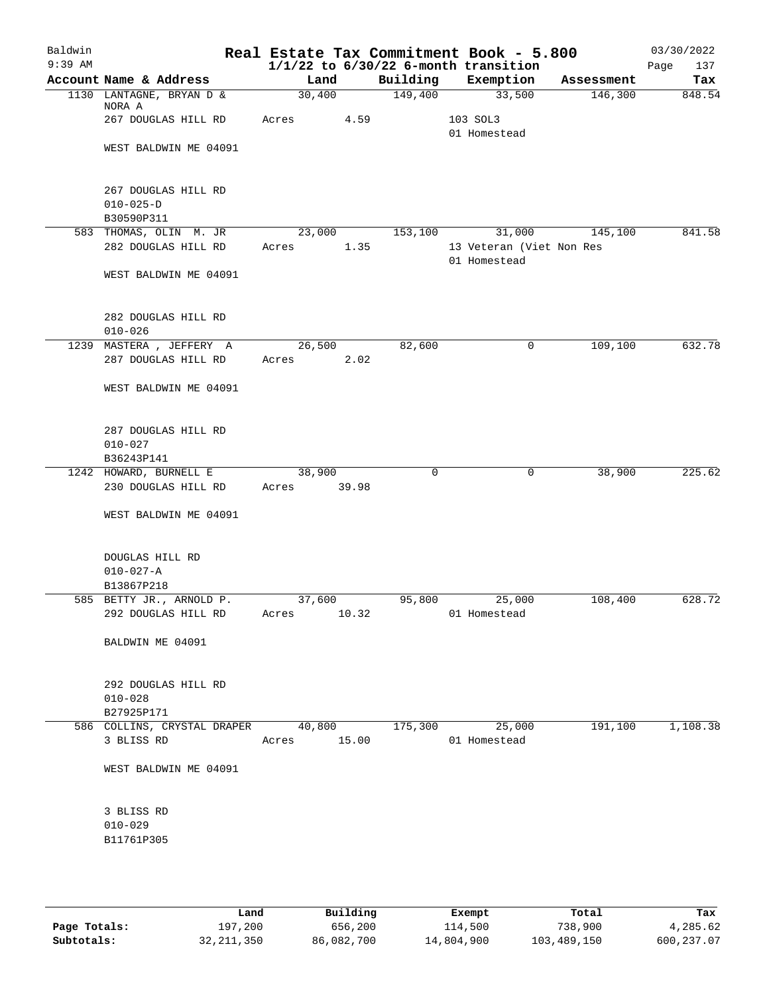| Baldwin   |                                                      |       |        |             |          | Real Estate Tax Commitment Book - 5.800  |            | 03/30/2022  |
|-----------|------------------------------------------------------|-------|--------|-------------|----------|------------------------------------------|------------|-------------|
| $9:39$ AM |                                                      |       |        |             |          | $1/1/22$ to $6/30/22$ 6-month transition |            | 137<br>Page |
|           | Account Name & Address                               |       | Land   |             | Building | Exemption                                | Assessment | Tax         |
|           | 1130 LANTAGNE, BRYAN D &<br>NORA A                   |       | 30,400 |             | 149,400  | 33,500                                   | 146,300    | 848.54      |
|           | 267 DOUGLAS HILL RD                                  | Acres |        | 4.59        |          | 103 SOL3<br>01 Homestead                 |            |             |
|           | WEST BALDWIN ME 04091                                |       |        |             |          |                                          |            |             |
|           | 267 DOUGLAS HILL RD<br>$010 - 025 - D$<br>B30590P311 |       |        |             |          |                                          |            |             |
|           | 583 THOMAS, OLIN M. JR                               |       | 23,000 |             | 153,100  | 31,000                                   | 145,100    | 841.58      |
|           | 282 DOUGLAS HILL RD                                  | Acres |        | 1.35        |          | 13 Veteran (Viet Non Res<br>01 Homestead |            |             |
|           | WEST BALDWIN ME 04091                                |       |        |             |          |                                          |            |             |
|           | 282 DOUGLAS HILL RD<br>$010 - 026$                   |       |        |             |          |                                          |            |             |
|           | 1239 MASTERA, JEFFERY A                              |       | 26,500 |             | 82,600   | 0                                        | 109,100    | 632.78      |
|           | 287 DOUGLAS HILL RD                                  | Acres |        | 2.02        |          |                                          |            |             |
|           | WEST BALDWIN ME 04091                                |       |        |             |          |                                          |            |             |
|           | 287 DOUGLAS HILL RD<br>$010 - 027$                   |       |        |             |          |                                          |            |             |
|           | B36243P141                                           |       |        |             |          |                                          |            |             |
|           | 1242 HOWARD, BURNELL E                               |       | 38,900 |             | 0        | $\mathbf 0$                              | 38,900     | 225.62      |
|           | 230 DOUGLAS HILL RD                                  | Acres |        | 39.98       |          |                                          |            |             |
|           | WEST BALDWIN ME 04091                                |       |        |             |          |                                          |            |             |
|           | DOUGLAS HILL RD<br>$010 - 027 - A$                   |       |        |             |          |                                          |            |             |
|           | B13867P218                                           |       |        |             |          |                                          |            |             |
|           | 585 BETTY JR., ARNOLD P.                             |       | 37,600 |             | 95,800   | 25,000                                   | 108,400    | 628.72      |
|           | 292 DOUGLAS HILL RD                                  | Acres |        | 10.32       |          | 01 Homestead                             |            |             |
|           | BALDWIN ME 04091                                     |       |        |             |          |                                          |            |             |
|           | 292 DOUGLAS HILL RD<br>$010 - 028$<br>B27925P171     |       |        |             |          |                                          |            |             |
|           | 586 COLLINS, CRYSTAL DRAPER 40,800                   |       |        |             | 175,300  | 25,000                                   | 191,100    | 1,108.38    |
|           | 3 BLISS RD                                           |       |        | Acres 15.00 |          | 01 Homestead                             |            |             |
|           | WEST BALDWIN ME 04091                                |       |        |             |          |                                          |            |             |
|           | 3 BLISS RD                                           |       |        |             |          |                                          |            |             |
|           | $010 - 029$                                          |       |        |             |          |                                          |            |             |
|           | B11761P305                                           |       |        |             |          |                                          |            |             |
|           |                                                      |       |        |             |          |                                          |            |             |
|           |                                                      |       |        |             |          |                                          |            |             |

|              | Land       | Building   | Exempt     | Total       | Tax        |
|--------------|------------|------------|------------|-------------|------------|
| Page Totals: | 197,200    | 656,200    | 114,500    | 738,900     | 4,285.62   |
| Subtotals:   | 32,211,350 | 86,082,700 | 14,804,900 | 103,489,150 | 600,237.07 |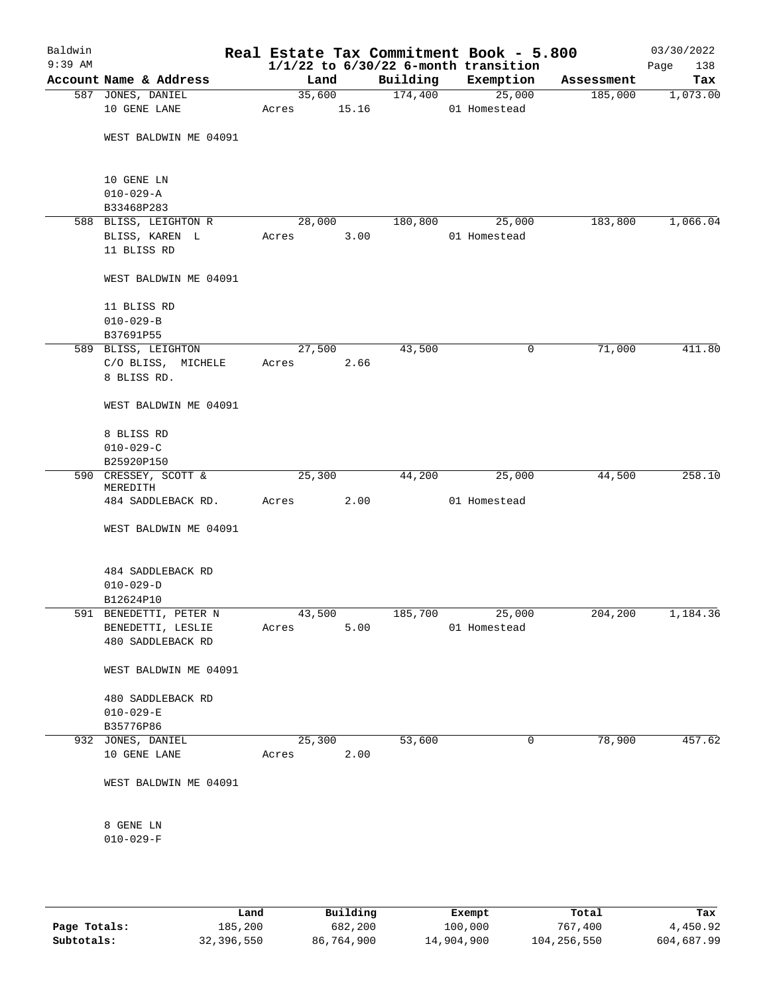| Baldwin<br>$9:39$ AM |                                |        |       |          | Real Estate Tax Commitment Book - 5.800<br>$1/1/22$ to $6/30/22$ 6-month transition |            | 03/30/2022<br>138<br>Page |
|----------------------|--------------------------------|--------|-------|----------|-------------------------------------------------------------------------------------|------------|---------------------------|
|                      | Account Name & Address         | Land   |       | Building | Exemption                                                                           | Assessment | Tax                       |
|                      | 587 JONES, DANIEL              | 35,600 |       | 174,400  | 25,000                                                                              | 185,000    | 1,073.00                  |
|                      | 10 GENE LANE                   | Acres  | 15.16 |          | 01 Homestead                                                                        |            |                           |
|                      | WEST BALDWIN ME 04091          |        |       |          |                                                                                     |            |                           |
|                      | 10 GENE LN                     |        |       |          |                                                                                     |            |                           |
|                      | $010 - 029 - A$                |        |       |          |                                                                                     |            |                           |
|                      | B33468P283                     |        |       |          |                                                                                     |            |                           |
|                      | 588 BLISS, LEIGHTON R          | 28,000 |       | 180,800  | 25,000<br>01 Homestead                                                              | 183,800    | 1,066.04                  |
|                      | BLISS, KAREN L<br>11 BLISS RD  | Acres  | 3.00  |          |                                                                                     |            |                           |
|                      |                                |        |       |          |                                                                                     |            |                           |
|                      | WEST BALDWIN ME 04091          |        |       |          |                                                                                     |            |                           |
|                      | 11 BLISS RD                    |        |       |          |                                                                                     |            |                           |
|                      | $010 - 029 - B$                |        |       |          |                                                                                     |            |                           |
|                      | B37691P55                      |        |       |          |                                                                                     |            |                           |
|                      | 589 BLISS, LEIGHTON            | 27,500 |       | 43,500   | 0                                                                                   | 71,000     | 411.80                    |
|                      | C/O BLISS, MICHELE             | Acres  | 2.66  |          |                                                                                     |            |                           |
|                      | 8 BLISS RD.                    |        |       |          |                                                                                     |            |                           |
|                      | WEST BALDWIN ME 04091          |        |       |          |                                                                                     |            |                           |
|                      | 8 BLISS RD                     |        |       |          |                                                                                     |            |                           |
|                      | $010 - 029 - C$                |        |       |          |                                                                                     |            |                           |
|                      | B25920P150                     |        |       |          |                                                                                     |            |                           |
|                      | 590 CRESSEY, SCOTT &           | 25,300 |       | 44,200   | 25,000                                                                              | 44,500     | 258.10                    |
|                      | MEREDITH<br>484 SADDLEBACK RD. | Acres  | 2.00  |          | 01 Homestead                                                                        |            |                           |
|                      |                                |        |       |          |                                                                                     |            |                           |
|                      | WEST BALDWIN ME 04091          |        |       |          |                                                                                     |            |                           |
|                      | 484 SADDLEBACK RD              |        |       |          |                                                                                     |            |                           |
|                      | $010 - 029 - D$                |        |       |          |                                                                                     |            |                           |
|                      | B12624P10                      |        |       |          |                                                                                     |            |                           |
|                      | 591 BENEDETTI, PETER N         | 43,500 |       | 185,700  | 25,000                                                                              | 204,200    | 1,184.36                  |
|                      | BENEDETTI, LESLIE              | Acres  | 5.00  |          | 01 Homestead                                                                        |            |                           |
|                      | 480 SADDLEBACK RD              |        |       |          |                                                                                     |            |                           |
|                      | WEST BALDWIN ME 04091          |        |       |          |                                                                                     |            |                           |
|                      | 480 SADDLEBACK RD              |        |       |          |                                                                                     |            |                           |
|                      | $010 - 029 - E$                |        |       |          |                                                                                     |            |                           |
|                      | B35776P86                      |        |       |          |                                                                                     |            |                           |
|                      | 932 JONES, DANIEL              | 25,300 |       | 53,600   | 0                                                                                   | 78,900     | 457.62                    |
|                      | 10 GENE LANE                   | Acres  | 2.00  |          |                                                                                     |            |                           |
|                      | WEST BALDWIN ME 04091          |        |       |          |                                                                                     |            |                           |
|                      |                                |        |       |          |                                                                                     |            |                           |
|                      | 8 GENE LN<br>$010 - 029 - F$   |        |       |          |                                                                                     |            |                           |
|                      |                                |        |       |          |                                                                                     |            |                           |
|                      |                                |        |       |          |                                                                                     |            |                           |
|                      |                                |        |       |          |                                                                                     |            |                           |

|              | Land       | Building   | Exempt     | Total       | Tax        |
|--------------|------------|------------|------------|-------------|------------|
| Page Totals: | 185,200    | 682,200    | 100,000    | 767,400     | 4,450.92   |
| Subtotals:   | 32,396,550 | 86,764,900 | 14,904,900 | 104,256,550 | 604,687.99 |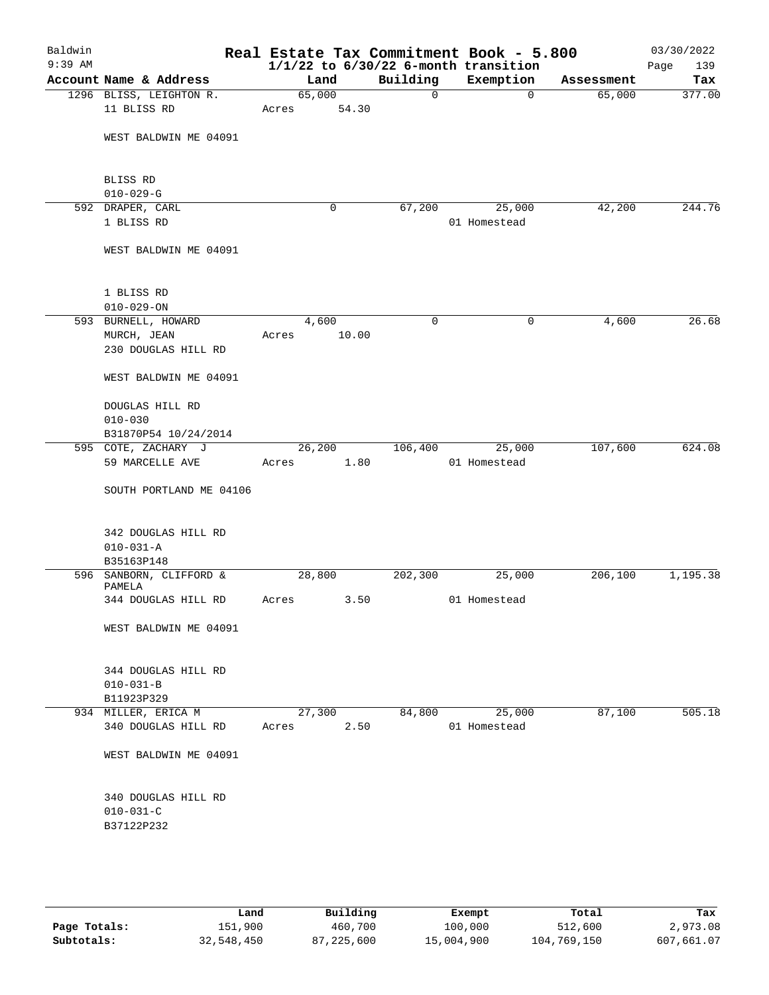| Baldwin<br>$9:39$ AM |                                            |        |                |             | Real Estate Tax Commitment Book - 5.800<br>$1/1/22$ to $6/30/22$ 6-month transition |            | 03/30/2022<br>139<br>Page |
|----------------------|--------------------------------------------|--------|----------------|-------------|-------------------------------------------------------------------------------------|------------|---------------------------|
|                      | Account Name & Address                     |        | Land           | Building    | Exemption                                                                           | Assessment | Tax                       |
|                      | 1296 BLISS, LEIGHTON R.                    | 65,000 |                | $\mathbf 0$ | $\mathbf 0$                                                                         | 65,000     | 377.00                    |
|                      | 11 BLISS RD                                | Acres  | 54.30          |             |                                                                                     |            |                           |
|                      | WEST BALDWIN ME 04091                      |        |                |             |                                                                                     |            |                           |
|                      | BLISS RD                                   |        |                |             |                                                                                     |            |                           |
|                      | $010 - 029 - G$<br>592 DRAPER, CARL        |        | 0              | 67,200      | 25,000                                                                              | 42,200     | 244.76                    |
|                      | 1 BLISS RD                                 |        |                |             | 01 Homestead                                                                        |            |                           |
|                      | WEST BALDWIN ME 04091                      |        |                |             |                                                                                     |            |                           |
|                      | 1 BLISS RD                                 |        |                |             |                                                                                     |            |                           |
|                      | $010 - 029 - ON$                           |        |                |             |                                                                                     |            |                           |
|                      | 593 BURNELL, HOWARD                        |        | 4,600          | $\mathbf 0$ | 0                                                                                   | 4,600      | 26.68                     |
|                      | MURCH, JEAN<br>230 DOUGLAS HILL RD         | Acres  | 10.00          |             |                                                                                     |            |                           |
|                      | WEST BALDWIN ME 04091                      |        |                |             |                                                                                     |            |                           |
|                      | DOUGLAS HILL RD<br>$010 - 030$             |        |                |             |                                                                                     |            |                           |
|                      | B31870P54 10/24/2014                       |        |                |             |                                                                                     |            |                           |
|                      | 595 COTE, ZACHARY J                        |        | 26,200         | 106,400     | 25,000                                                                              | 107,600    | 624.08                    |
|                      | 59 MARCELLE AVE                            | Acres  | 1.80           |             | 01 Homestead                                                                        |            |                           |
|                      | SOUTH PORTLAND ME 04106                    |        |                |             |                                                                                     |            |                           |
|                      | 342 DOUGLAS HILL RD                        |        |                |             |                                                                                     |            |                           |
|                      | $010 - 031 - A$                            |        |                |             |                                                                                     |            |                           |
|                      | B35163P148                                 |        |                |             |                                                                                     |            |                           |
|                      | 596 SANBORN, CLIFFORD &<br>PAMELA          |        | 28,800         | 202,300     | 25,000                                                                              | 206,100    | 1,195.38                  |
|                      | 344 DOUGLAS HILL RD                        | Acres  | 3.50           |             | 01 Homestead                                                                        |            |                           |
|                      | WEST BALDWIN ME 04091                      |        |                |             |                                                                                     |            |                           |
|                      | 344 DOUGLAS HILL RD                        |        |                |             |                                                                                     |            |                           |
|                      | $010 - 031 - B$                            |        |                |             |                                                                                     |            |                           |
|                      | B11923P329                                 |        |                |             |                                                                                     |            |                           |
|                      | 934 MILLER, ERICA M<br>340 DOUGLAS HILL RD | Acres  | 27,300<br>2.50 | 84,800      | 25,000<br>01 Homestead                                                              | 87,100     | 505.18                    |
|                      | WEST BALDWIN ME 04091                      |        |                |             |                                                                                     |            |                           |
|                      |                                            |        |                |             |                                                                                     |            |                           |
|                      | 340 DOUGLAS HILL RD<br>$010 - 031 - C$     |        |                |             |                                                                                     |            |                           |
|                      | B37122P232                                 |        |                |             |                                                                                     |            |                           |
|                      |                                            |        |                |             |                                                                                     |            |                           |
|                      |                                            |        |                |             |                                                                                     |            |                           |
|                      |                                            |        |                |             |                                                                                     |            |                           |

|              | Land       | Building   | Exempt     | Total       | Tax        |
|--------------|------------|------------|------------|-------------|------------|
| Page Totals: | 151,900    | 460,700    | 100,000    | 512,600     | 2,973.08   |
| Subtotals:   | 32,548,450 | 87,225,600 | 15,004,900 | 104,769,150 | 607,661.07 |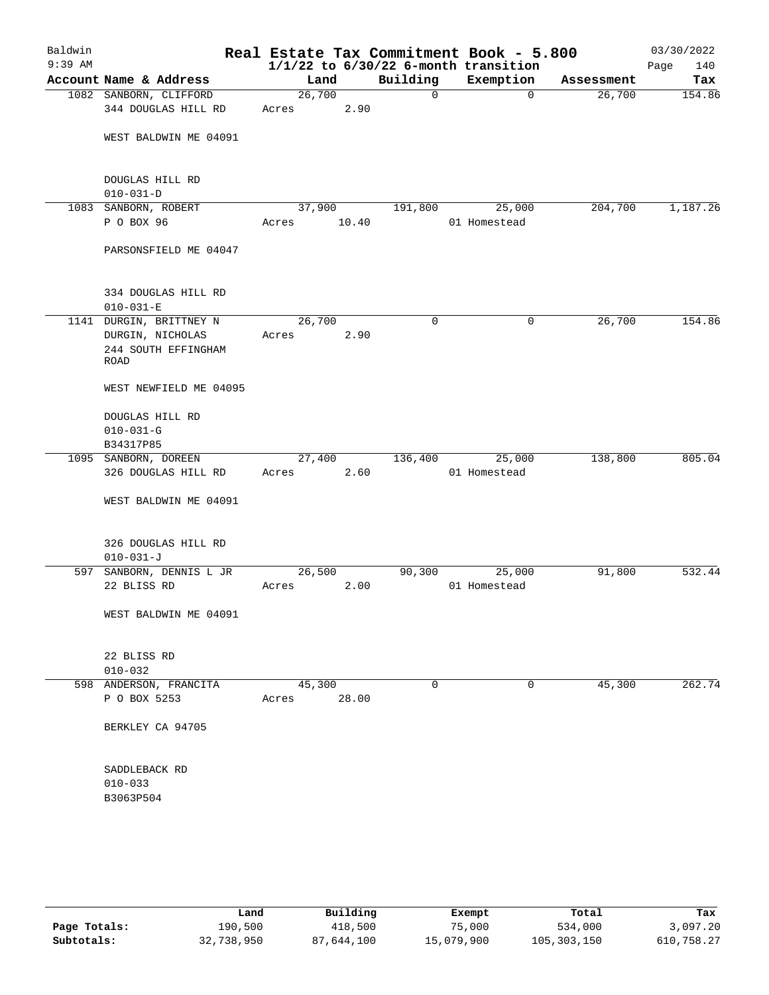| Baldwin<br>$9:39$ AM |                                        |        |       |              | Real Estate Tax Commitment Book - 5.800<br>$1/1/22$ to $6/30/22$ 6-month transition |            | 03/30/2022<br>Page<br>140 |
|----------------------|----------------------------------------|--------|-------|--------------|-------------------------------------------------------------------------------------|------------|---------------------------|
|                      | Account Name & Address                 | Land   |       | Building     | Exemption                                                                           | Assessment | Tax                       |
|                      | 1082 SANBORN, CLIFFORD                 | 26,700 |       | $\mathsf{O}$ | $\mathbf 0$                                                                         | 26,700     | 154.86                    |
|                      | 344 DOUGLAS HILL RD                    | Acres  | 2.90  |              |                                                                                     |            |                           |
|                      | WEST BALDWIN ME 04091                  |        |       |              |                                                                                     |            |                           |
|                      | DOUGLAS HILL RD<br>$010 - 031 - D$     |        |       |              |                                                                                     |            |                           |
|                      | 1083 SANBORN, ROBERT                   | 37,900 |       | 191,800      | 25,000                                                                              | 204,700    | 1,187.26                  |
|                      | P O BOX 96                             | Acres  | 10.40 |              | 01 Homestead                                                                        |            |                           |
|                      | PARSONSFIELD ME 04047                  |        |       |              |                                                                                     |            |                           |
|                      | 334 DOUGLAS HILL RD<br>$010 - 031 - E$ |        |       |              |                                                                                     |            |                           |
|                      | 1141 DURGIN, BRITTNEY N                | 26,700 |       | $\mathbf 0$  | 0                                                                                   | 26,700     | 154.86                    |
|                      | DURGIN, NICHOLAS                       | Acres  | 2.90  |              |                                                                                     |            |                           |
|                      | 244 SOUTH EFFINGHAM<br>ROAD            |        |       |              |                                                                                     |            |                           |
|                      | WEST NEWFIELD ME 04095                 |        |       |              |                                                                                     |            |                           |
|                      | DOUGLAS HILL RD<br>$010 - 031 - G$     |        |       |              |                                                                                     |            |                           |
|                      | B34317P85                              |        |       |              |                                                                                     |            |                           |
|                      | 1095 SANBORN, DOREEN                   | 27,400 |       | 136,400      | 25,000                                                                              | 138,800    | 805.04                    |
|                      | 326 DOUGLAS HILL RD                    | Acres  | 2.60  |              | 01 Homestead                                                                        |            |                           |
|                      | WEST BALDWIN ME 04091                  |        |       |              |                                                                                     |            |                           |
|                      | 326 DOUGLAS HILL RD<br>$010 - 031 - J$ |        |       |              |                                                                                     |            |                           |
|                      | 597 SANBORN, DENNIS L JR               | 26,500 |       | 90,300       | 25,000                                                                              | 91,800     | 532.44                    |
|                      | 22 BLISS RD                            | Acres  | 2.00  |              | 01 Homestead                                                                        |            |                           |
|                      | WEST BALDWIN ME 04091                  |        |       |              |                                                                                     |            |                           |
|                      | 22 BLISS RD<br>$010 - 032$             |        |       |              |                                                                                     |            |                           |
|                      | 598 ANDERSON, FRANCITA                 | 45,300 |       | 0            | 0                                                                                   | 45,300     | 262.74                    |
|                      | P O BOX 5253                           | Acres  | 28.00 |              |                                                                                     |            |                           |
|                      | BERKLEY CA 94705                       |        |       |              |                                                                                     |            |                           |
|                      | SADDLEBACK RD<br>$010 - 033$           |        |       |              |                                                                                     |            |                           |
|                      | B3063P504                              |        |       |              |                                                                                     |            |                           |
|                      |                                        |        |       |              |                                                                                     |            |                           |

|              | Land       | Building   | Exempt     | Total       | Tax        |
|--------------|------------|------------|------------|-------------|------------|
| Page Totals: | 190,500    | 418,500    | 75,000     | 534,000     | 3,097.20   |
| Subtotals:   | 32,738,950 | 87,644,100 | 15,079,900 | 105,303,150 | 610,758.27 |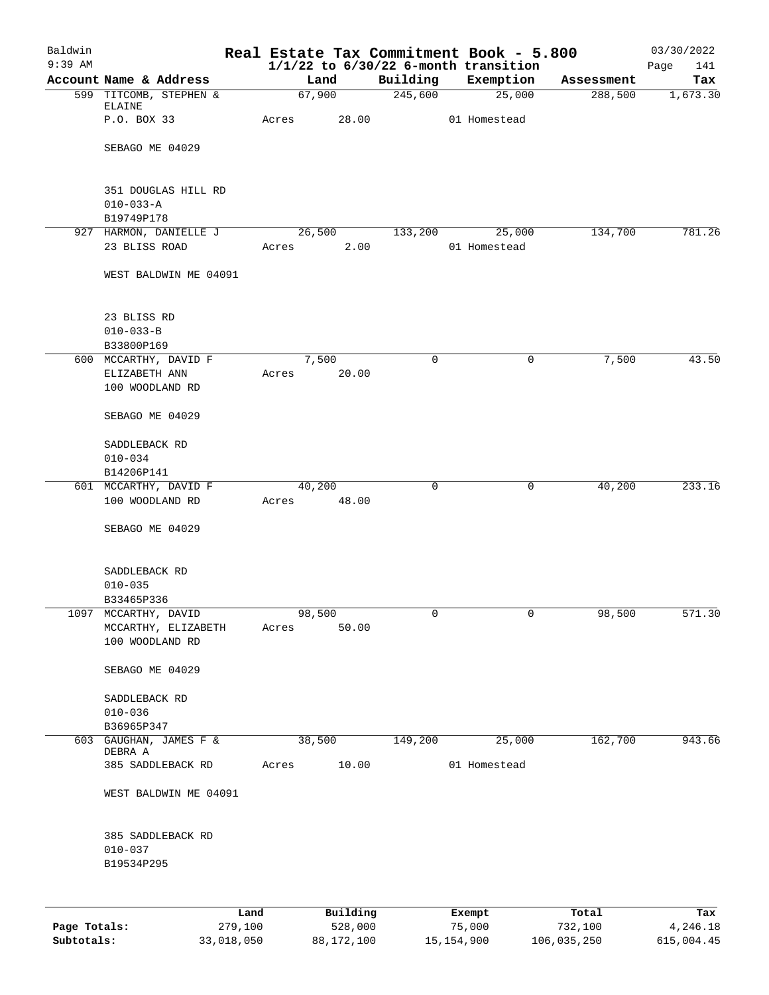| Baldwin      |                                          | Real Estate Tax Commitment Book - 5.800 |          |             |                                                       |            | 03/30/2022         |
|--------------|------------------------------------------|-----------------------------------------|----------|-------------|-------------------------------------------------------|------------|--------------------|
| $9:39$ AM    | Account Name & Address                   | Land                                    |          | Building    | $1/1/22$ to $6/30/22$ 6-month transition<br>Exemption | Assessment | 141<br>Page<br>Tax |
|              | 599 TITCOMB, STEPHEN &                   | 67,900                                  |          | 245,600     | 25,000                                                | 288,500    | 1,673.30           |
|              | ELAINE                                   |                                         |          |             |                                                       |            |                    |
|              | P.O. BOX 33                              | Acres                                   | 28.00    |             | 01 Homestead                                          |            |                    |
|              | SEBAGO ME 04029                          |                                         |          |             |                                                       |            |                    |
|              |                                          |                                         |          |             |                                                       |            |                    |
|              | 351 DOUGLAS HILL RD                      |                                         |          |             |                                                       |            |                    |
|              | $010 - 033 - A$                          |                                         |          |             |                                                       |            |                    |
|              | B19749P178                               |                                         |          |             |                                                       |            |                    |
|              | 927 HARMON, DANIELLE J<br>23 BLISS ROAD  | 26,500                                  | 2.00     | 133,200     | 25,000                                                | 134,700    | 781.26             |
|              |                                          | Acres                                   |          |             | 01 Homestead                                          |            |                    |
|              | WEST BALDWIN ME 04091                    |                                         |          |             |                                                       |            |                    |
|              | 23 BLISS RD                              |                                         |          |             |                                                       |            |                    |
|              | $010 - 033 - B$                          |                                         |          |             |                                                       |            |                    |
|              | B33800P169                               |                                         |          |             |                                                       |            |                    |
|              | 600 MCCARTHY, DAVID F                    | 7,500                                   |          | $\mathbf 0$ | 0                                                     | 7,500      | 43.50              |
|              | ELIZABETH ANN<br>100 WOODLAND RD         | Acres                                   | 20.00    |             |                                                       |            |                    |
|              |                                          |                                         |          |             |                                                       |            |                    |
|              | SEBAGO ME 04029                          |                                         |          |             |                                                       |            |                    |
|              | SADDLEBACK RD                            |                                         |          |             |                                                       |            |                    |
|              | $010 - 034$                              |                                         |          |             |                                                       |            |                    |
|              | B14206P141                               |                                         |          |             |                                                       |            | 233.16             |
|              | 601 MCCARTHY, DAVID F<br>100 WOODLAND RD | 40,200<br>Acres                         | 48.00    | 0           | 0                                                     | 40,200     |                    |
|              |                                          |                                         |          |             |                                                       |            |                    |
|              | SEBAGO ME 04029                          |                                         |          |             |                                                       |            |                    |
|              | SADDLEBACK RD                            |                                         |          |             |                                                       |            |                    |
|              | $010 - 035$                              |                                         |          |             |                                                       |            |                    |
|              | B33465P336                               |                                         |          |             |                                                       |            |                    |
|              | 1097 MCCARTHY, DAVID                     | 98,500                                  |          | 0           | $\overline{0}$                                        | 98,500     | 571.30             |
|              | MCCARTHY, ELIZABETH<br>100 WOODLAND RD   | Acres                                   | 50.00    |             |                                                       |            |                    |
|              |                                          |                                         |          |             |                                                       |            |                    |
|              | SEBAGO ME 04029                          |                                         |          |             |                                                       |            |                    |
|              | SADDLEBACK RD                            |                                         |          |             |                                                       |            |                    |
|              | $010 - 036$                              |                                         |          |             |                                                       |            |                    |
|              | B36965P347                               |                                         |          |             |                                                       |            |                    |
|              | 603 GAUGHAN, JAMES F &<br>DEBRA A        | 38,500                                  |          | 149,200     | 25,000                                                | 162,700    | 943.66             |
|              | 385 SADDLEBACK RD                        | Acres                                   | 10.00    |             | 01 Homestead                                          |            |                    |
|              | WEST BALDWIN ME 04091                    |                                         |          |             |                                                       |            |                    |
|              |                                          |                                         |          |             |                                                       |            |                    |
|              | 385 SADDLEBACK RD                        |                                         |          |             |                                                       |            |                    |
|              | $010 - 037$                              |                                         |          |             |                                                       |            |                    |
|              | B19534P295                               |                                         |          |             |                                                       |            |                    |
|              |                                          |                                         |          |             |                                                       |            |                    |
|              |                                          | Land                                    | Building |             | Exempt                                                | Total      | Tax                |
| Page Totals: | 279,100                                  |                                         | 528,000  |             | 75,000                                                | 732,100    | 4,246.18           |

**Subtotals:** 33,018,050 88,172,100 15,154,900 106,035,250 615,004.45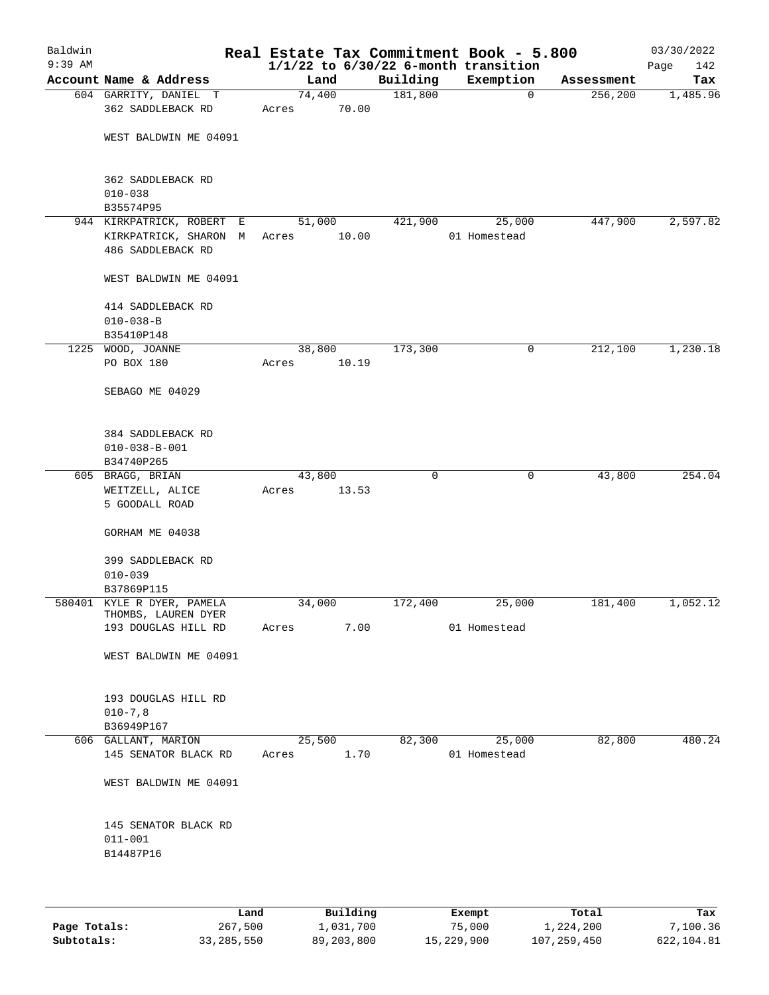| Baldwin<br>$9:39$ AM |                                                                         |                 |       |          | Real Estate Tax Commitment Book - 5.800<br>$1/1/22$ to $6/30/22$ 6-month transition |            | 03/30/2022<br>142<br>Page |
|----------------------|-------------------------------------------------------------------------|-----------------|-------|----------|-------------------------------------------------------------------------------------|------------|---------------------------|
|                      | Account Name & Address                                                  | Land            |       | Building | Exemption                                                                           | Assessment | Tax                       |
|                      | 604 GARRITY, DANIEL T<br>362 SADDLEBACK RD                              | 74,400<br>Acres | 70.00 | 181,800  | $\mathbf 0$                                                                         | 256,200    | 1,485.96                  |
|                      | WEST BALDWIN ME 04091                                                   |                 |       |          |                                                                                     |            |                           |
|                      | 362 SADDLEBACK RD<br>$010 - 038$                                        |                 |       |          |                                                                                     |            |                           |
|                      | B35574P95                                                               |                 |       |          |                                                                                     |            |                           |
|                      | 944 KIRKPATRICK, ROBERT E<br>KIRKPATRICK, SHARON M<br>486 SADDLEBACK RD | 51,000<br>Acres | 10.00 | 421,900  | 25,000<br>01 Homestead                                                              | 447,900    | 2,597.82                  |
|                      | WEST BALDWIN ME 04091                                                   |                 |       |          |                                                                                     |            |                           |
|                      | 414 SADDLEBACK RD<br>$010 - 038 - B$<br>B35410P148                      |                 |       |          |                                                                                     |            |                           |
|                      | 1225 WOOD, JOANNE                                                       | 38,800          |       | 173,300  | 0                                                                                   | 212,100    | 1,230.18                  |
|                      | PO BOX 180                                                              | Acres           | 10.19 |          |                                                                                     |            |                           |
|                      | SEBAGO ME 04029                                                         |                 |       |          |                                                                                     |            |                           |
|                      | 384 SADDLEBACK RD<br>$010 - 038 - B - 001$<br>B34740P265                |                 |       |          |                                                                                     |            |                           |
|                      | 605 BRAGG, BRIAN                                                        | 43,800          |       | 0        | $\mathbf 0$                                                                         | 43,800     | 254.04                    |
|                      | WEITZELL, ALICE                                                         | Acres           | 13.53 |          |                                                                                     |            |                           |
|                      | 5 GOODALL ROAD                                                          |                 |       |          |                                                                                     |            |                           |
|                      | GORHAM ME 04038                                                         |                 |       |          |                                                                                     |            |                           |
|                      | 399 SADDLEBACK RD<br>$010 - 039$<br>B37869P115                          |                 |       |          |                                                                                     |            |                           |
|                      | 580401 KYLE R DYER, PAMELA                                              | 34,000          |       | 172,400  | 25,000                                                                              | 181,400    | 1,052.12                  |
|                      | THOMBS, LAUREN DYER<br>193 DOUGLAS HILL RD                              | Acres           | 7.00  |          | 01 Homestead                                                                        |            |                           |
|                      | WEST BALDWIN ME 04091                                                   |                 |       |          |                                                                                     |            |                           |
|                      | 193 DOUGLAS HILL RD<br>$010 - 7, 8$<br>B36949P167                       |                 |       |          |                                                                                     |            |                           |
|                      | 606 GALLANT, MARION                                                     | 25,500          |       | 82,300   | 25,000                                                                              | 82,800     | 480.24                    |
|                      | 145 SENATOR BLACK RD                                                    | Acres           | 1.70  |          | 01 Homestead                                                                        |            |                           |
|                      | WEST BALDWIN ME 04091                                                   |                 |       |          |                                                                                     |            |                           |
|                      | 145 SENATOR BLACK RD<br>$011 - 001$<br>B14487P16                        |                 |       |          |                                                                                     |            |                           |
|                      |                                                                         |                 |       |          |                                                                                     |            |                           |

|              | Land       | Building   | Exempt     | Total       | Tax        |
|--------------|------------|------------|------------|-------------|------------|
| Page Totals: | 267,500    | 1,031,700  | 75,000     | 1,224,200   | 7,100.36   |
| Subtotals:   | 33,285,550 | 89,203,800 | 15,229,900 | 107,259,450 | 622,104.81 |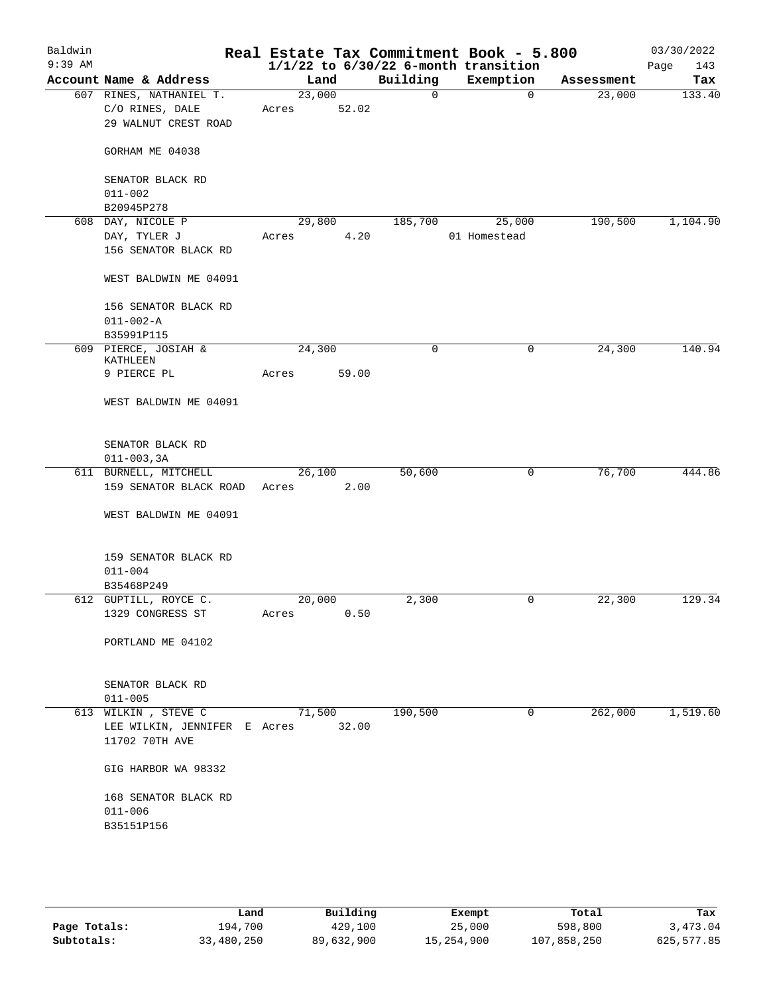| Baldwin<br>$9:39$ AM |                                                | Real Estate Tax Commitment Book - 5.800<br>$1/1/22$ to $6/30/22$ 6-month transition |              |              |            | 03/30/2022<br>143<br>Page |
|----------------------|------------------------------------------------|-------------------------------------------------------------------------------------|--------------|--------------|------------|---------------------------|
|                      | Account Name & Address                         | Land                                                                                | Building     | Exemption    | Assessment | Tax                       |
|                      | 607 RINES, NATHANIEL T.                        | 23,000                                                                              | $\mathsf{O}$ | 0            | 23,000     | 133.40                    |
|                      | C/O RINES, DALE                                | 52.02<br>Acres                                                                      |              |              |            |                           |
|                      | 29 WALNUT CREST ROAD                           |                                                                                     |              |              |            |                           |
|                      | GORHAM ME 04038                                |                                                                                     |              |              |            |                           |
|                      | SENATOR BLACK RD                               |                                                                                     |              |              |            |                           |
|                      | $011 - 002$                                    |                                                                                     |              |              |            |                           |
|                      | B20945P278                                     |                                                                                     |              |              |            |                           |
|                      | 608 DAY, NICOLE P                              | 29,800                                                                              | 185,700      | 25,000       | 190,500    | 1,104.90                  |
|                      | DAY, TYLER J                                   | 4.20<br>Acres                                                                       |              | 01 Homestead |            |                           |
|                      | 156 SENATOR BLACK RD                           |                                                                                     |              |              |            |                           |
|                      | WEST BALDWIN ME 04091                          |                                                                                     |              |              |            |                           |
|                      | 156 SENATOR BLACK RD                           |                                                                                     |              |              |            |                           |
|                      | $011 - 002 - A$                                |                                                                                     |              |              |            |                           |
|                      | B35991P115                                     |                                                                                     |              |              |            |                           |
|                      | 609 PIERCE, JOSIAH &                           | 24,300                                                                              | 0            | 0            | 24,300     | 140.94                    |
|                      | KATHLEEN                                       |                                                                                     |              |              |            |                           |
|                      | 9 PIERCE PL                                    | 59.00<br>Acres                                                                      |              |              |            |                           |
|                      | WEST BALDWIN ME 04091                          |                                                                                     |              |              |            |                           |
|                      | SENATOR BLACK RD                               |                                                                                     |              |              |            |                           |
|                      | $011 - 003, 3A$                                |                                                                                     |              |              |            |                           |
|                      | 611 BURNELL, MITCHELL                          | 26,100                                                                              | 50,600       | 0            | 76,700     | 444.86                    |
|                      | 159 SENATOR BLACK ROAD                         | 2.00<br>Acres                                                                       |              |              |            |                           |
|                      | WEST BALDWIN ME 04091                          |                                                                                     |              |              |            |                           |
|                      | 159 SENATOR BLACK RD                           |                                                                                     |              |              |            |                           |
|                      | $011 - 004$                                    |                                                                                     |              |              |            |                           |
|                      | B35468P249                                     |                                                                                     |              |              |            |                           |
|                      | 612 GUPTILL, ROYCE C.                          | 20,000                                                                              | 2,300        | 0            | 22,300     | 129.34                    |
|                      | 1329 CONGRESS ST                               | 0.50<br>Acres                                                                       |              |              |            |                           |
|                      | PORTLAND ME 04102                              |                                                                                     |              |              |            |                           |
|                      | SENATOR BLACK RD                               |                                                                                     |              |              |            |                           |
|                      | $011 - 005$                                    |                                                                                     |              |              |            |                           |
|                      | 613 WILKIN, STEVE C                            | 71,500                                                                              | 190,500      | $\mathbf 0$  | 262,000    | 1,519.60                  |
|                      | LEE WILKIN, JENNIFER E Acres<br>11702 70TH AVE | 32.00                                                                               |              |              |            |                           |
|                      | GIG HARBOR WA 98332                            |                                                                                     |              |              |            |                           |
|                      | 168 SENATOR BLACK RD                           |                                                                                     |              |              |            |                           |
|                      | $011 - 006$                                    |                                                                                     |              |              |            |                           |
|                      | B35151P156                                     |                                                                                     |              |              |            |                           |
|                      |                                                |                                                                                     |              |              |            |                           |
|                      |                                                |                                                                                     |              |              |            |                           |
|                      |                                                |                                                                                     |              |              |            |                           |

|              | Land       | Building   | Exempt     | Total       | Tax        |
|--------------|------------|------------|------------|-------------|------------|
| Page Totals: | 194,700    | 429,100    | 25,000     | 598,800     | 3,473.04   |
| Subtotals:   | 33,480,250 | 89,632,900 | 15,254,900 | 107,858,250 | 625,577.85 |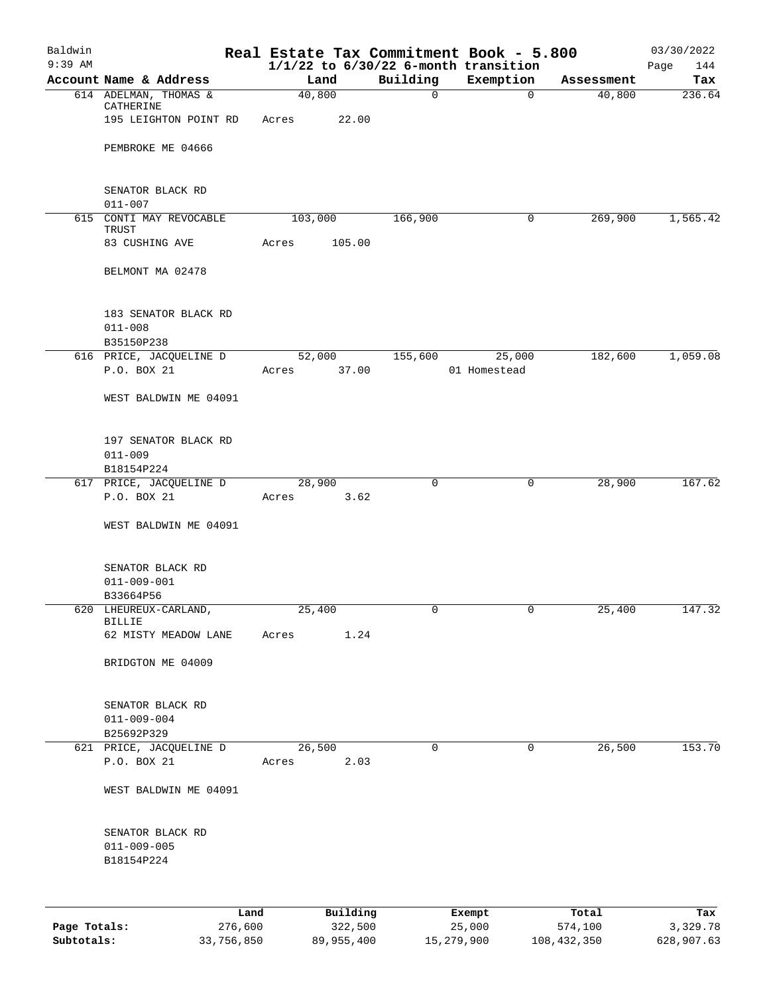| Baldwin<br>$9:39$ AM |                                        |         |                 |          |              | Real Estate Tax Commitment Book - 5.800               |            | 03/30/2022         |
|----------------------|----------------------------------------|---------|-----------------|----------|--------------|-------------------------------------------------------|------------|--------------------|
|                      | Account Name & Address                 |         |                 | Land     | Building     | $1/1/22$ to $6/30/22$ 6-month transition<br>Exemption | Assessment | Page<br>144<br>Tax |
|                      | 614 ADELMAN, THOMAS &                  |         | 40,800          |          | $\mathsf{O}$ | $\Omega$                                              | 40,800     | 236.64             |
|                      | CATHERINE<br>195 LEIGHTON POINT RD     |         | Acres           | 22.00    |              |                                                       |            |                    |
|                      |                                        |         |                 |          |              |                                                       |            |                    |
|                      | PEMBROKE ME 04666                      |         |                 |          |              |                                                       |            |                    |
|                      | SENATOR BLACK RD                       |         |                 |          |              |                                                       |            |                    |
|                      | $011 - 007$                            |         |                 |          |              |                                                       |            |                    |
|                      | 615 CONTI MAY REVOCABLE<br>TRUST       |         | 103,000         |          | 166,900      | 0                                                     | 269,900    | 1,565.42           |
|                      | 83 CUSHING AVE                         |         | Acres           | 105.00   |              |                                                       |            |                    |
|                      | BELMONT MA 02478                       |         |                 |          |              |                                                       |            |                    |
|                      | 183 SENATOR BLACK RD<br>$011 - 008$    |         |                 |          |              |                                                       |            |                    |
|                      | B35150P238                             |         |                 |          |              |                                                       |            |                    |
|                      | 616 PRICE, JACQUELINE D<br>P.O. BOX 21 |         | 52,000<br>Acres | 37.00    | 155,600      | 25,000<br>01 Homestead                                | 182,600    | 1,059.08           |
|                      | WEST BALDWIN ME 04091                  |         |                 |          |              |                                                       |            |                    |
|                      | 197 SENATOR BLACK RD<br>$011 - 009$    |         |                 |          |              |                                                       |            |                    |
|                      | B18154P224                             |         |                 |          |              |                                                       |            |                    |
|                      | 617 PRICE, JACQUELINE D                |         | 28,900          |          | 0            | 0                                                     | 28,900     | 167.62             |
|                      | P.O. BOX 21                            |         | Acres           | 3.62     |              |                                                       |            |                    |
|                      | WEST BALDWIN ME 04091                  |         |                 |          |              |                                                       |            |                    |
|                      | SENATOR BLACK RD<br>$011 - 009 - 001$  |         |                 |          |              |                                                       |            |                    |
|                      | B33664P56                              |         |                 |          |              |                                                       |            |                    |
|                      | 620 LHEUREUX-CARLAND,                  |         | 25,400          |          | 0            | 0                                                     | 25,400     | 147.32             |
|                      | <b>BILLIE</b><br>62 MISTY MEADOW LANE  |         | Acres           | 1.24     |              |                                                       |            |                    |
|                      | BRIDGTON ME 04009                      |         |                 |          |              |                                                       |            |                    |
|                      |                                        |         |                 |          |              |                                                       |            |                    |
|                      | SENATOR BLACK RD                       |         |                 |          |              |                                                       |            |                    |
|                      | $011 - 009 - 004$                      |         |                 |          |              |                                                       |            |                    |
|                      | B25692P329<br>621 PRICE, JACQUELINE D  |         | 26,500          |          | 0            | 0                                                     | 26,500     | 153.70             |
|                      | P.O. BOX 21                            |         | Acres           | 2.03     |              |                                                       |            |                    |
|                      | WEST BALDWIN ME 04091                  |         |                 |          |              |                                                       |            |                    |
|                      | SENATOR BLACK RD                       |         |                 |          |              |                                                       |            |                    |
|                      | $011 - 009 - 005$                      |         |                 |          |              |                                                       |            |                    |
|                      | B18154P224                             |         |                 |          |              |                                                       |            |                    |
|                      |                                        |         |                 |          |              |                                                       |            |                    |
|                      |                                        | Land    |                 | Building |              | Exempt                                                | Total      | Tax                |
| Page Totals:         |                                        | 276,600 |                 | 322,500  |              | 25,000                                                | 574,100    | 3,329.78           |

**Subtotals:** 33,756,850 89,955,400 15,279,900 108,432,350 628,907.63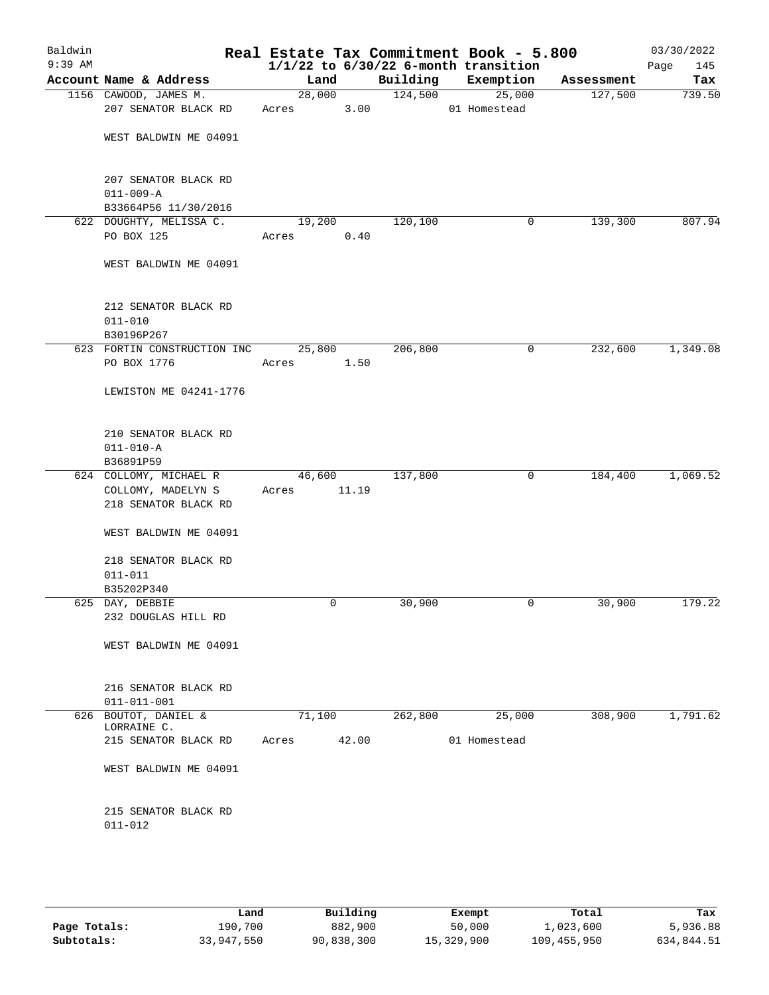| Baldwin<br>$9:39$ AM |                                                                 |             |        |          | Real Estate Tax Commitment Book - 5.800<br>$1/1/22$ to $6/30/22$ 6-month transition |            | 03/30/2022<br>145<br>Page |
|----------------------|-----------------------------------------------------------------|-------------|--------|----------|-------------------------------------------------------------------------------------|------------|---------------------------|
|                      | Account Name & Address                                          | Land        |        | Building | Exemption                                                                           | Assessment | Tax                       |
|                      | 1156 CAWOOD, JAMES M.                                           |             | 28,000 | 124,500  | 25,000                                                                              | 127,500    | 739.50                    |
|                      | 207 SENATOR BLACK RD                                            | Acres       | 3.00   |          | 01 Homestead                                                                        |            |                           |
|                      | WEST BALDWIN ME 04091                                           |             |        |          |                                                                                     |            |                           |
|                      | 207 SENATOR BLACK RD<br>$011 - 009 - A$<br>B33664P56 11/30/2016 |             |        |          |                                                                                     |            |                           |
|                      | 622 DOUGHTY, MELISSA C.                                         | 19,200      |        | 120,100  | 0                                                                                   | 139,300    | 807.94                    |
|                      | PO BOX 125                                                      | Acres       | 0.40   |          |                                                                                     |            |                           |
|                      | WEST BALDWIN ME 04091                                           |             |        |          |                                                                                     |            |                           |
|                      | 212 SENATOR BLACK RD<br>$011 - 010$<br>B30196P267               |             |        |          |                                                                                     |            |                           |
|                      | 623 FORTIN CONSTRUCTION INC                                     | 25,800      |        | 206,800  | 0                                                                                   | 232,600    | 1,349.08                  |
|                      | PO BOX 1776                                                     | Acres       | 1.50   |          |                                                                                     |            |                           |
|                      | LEWISTON ME 04241-1776                                          |             |        |          |                                                                                     |            |                           |
|                      | 210 SENATOR BLACK RD<br>$011 - 010 - A$<br>B36891P59            |             |        |          |                                                                                     |            |                           |
|                      | 624 COLLOMY, MICHAEL R                                          | 46,600      |        | 137,800  | 0                                                                                   | 184,400    | 1,069.52                  |
|                      | COLLOMY, MADELYN S                                              | Acres 11.19 |        |          |                                                                                     |            |                           |
|                      | 218 SENATOR BLACK RD                                            |             |        |          |                                                                                     |            |                           |
|                      | WEST BALDWIN ME 04091                                           |             |        |          |                                                                                     |            |                           |
|                      | 218 SENATOR BLACK RD                                            |             |        |          |                                                                                     |            |                           |
|                      | $011 - 011$<br>B35202P340                                       |             |        |          |                                                                                     |            |                           |
|                      | 625 DAY, DEBBIE                                                 |             | 0      | 30,900   | 0                                                                                   | 30,900     | 179.22                    |
|                      | 232 DOUGLAS HILL RD                                             |             |        |          |                                                                                     |            |                           |
|                      | WEST BALDWIN ME 04091                                           |             |        |          |                                                                                     |            |                           |
|                      | 216 SENATOR BLACK RD<br>$011 - 011 - 001$                       |             |        |          |                                                                                     |            |                           |
|                      | 626 BOUTOT, DANIEL &                                            | 71,100      |        | 262,800  | 25,000                                                                              | 308,900    | 1,791.62                  |
|                      | LORRAINE C.                                                     |             |        |          |                                                                                     |            |                           |
|                      | 215 SENATOR BLACK RD                                            | Acres       | 42.00  |          | 01 Homestead                                                                        |            |                           |
|                      | WEST BALDWIN ME 04091                                           |             |        |          |                                                                                     |            |                           |
|                      | 215 SENATOR BLACK RD<br>$011 - 012$                             |             |        |          |                                                                                     |            |                           |
|                      |                                                                 |             |        |          |                                                                                     |            |                           |

|              | Land       | Building   | Exempt     | Total       | Tax        |
|--------------|------------|------------|------------|-------------|------------|
| Page Totals: | 190,700    | 882,900    | 50,000     | 1,023,600   | 5,936.88   |
| Subtotals:   | 33,947,550 | 90,838,300 | 15,329,900 | 109,455,950 | 634,844.51 |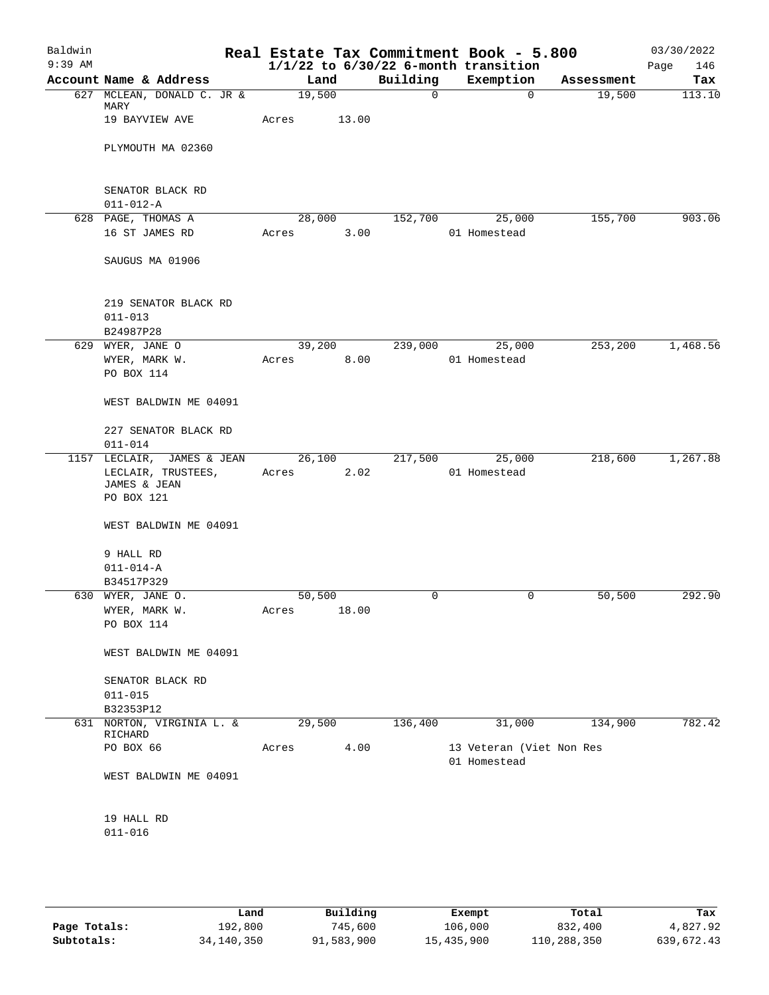| Baldwin<br>$9:39$ AM |                                                  |       |             |          | Real Estate Tax Commitment Book - 5.800<br>$1/1/22$ to $6/30/22$ 6-month transition |            | 03/30/2022<br>Page<br>146 |
|----------------------|--------------------------------------------------|-------|-------------|----------|-------------------------------------------------------------------------------------|------------|---------------------------|
|                      | Account Name & Address                           |       | Land        | Building | Exemption                                                                           | Assessment | Tax                       |
|                      | 627 MCLEAN, DONALD C. JR &<br>MARY               |       | 19,500      | 0        | 0                                                                                   | 19,500     | 113.10                    |
|                      | 19 BAYVIEW AVE                                   | Acres | 13.00       |          |                                                                                     |            |                           |
|                      | PLYMOUTH MA 02360                                |       |             |          |                                                                                     |            |                           |
|                      | SENATOR BLACK RD<br>$011 - 012 - A$              |       |             |          |                                                                                     |            |                           |
|                      | 628 PAGE, THOMAS A                               |       | 28,000      | 152,700  | 25,000                                                                              | 155,700    | 903.06                    |
|                      | 16 ST JAMES RD                                   | Acres | 3.00        |          | 01 Homestead                                                                        |            |                           |
|                      | SAUGUS MA 01906                                  |       |             |          |                                                                                     |            |                           |
|                      | 219 SENATOR BLACK RD<br>$011 - 013$              |       |             |          |                                                                                     |            |                           |
|                      | B24987P28                                        |       |             |          |                                                                                     |            |                           |
|                      | 629 WYER, JANE O                                 |       | 39,200      | 239,000  | 25,000                                                                              | 253,200    | 1,468.56                  |
|                      | WYER, MARK W.<br>PO BOX 114                      | Acres | 8.00        |          | 01 Homestead                                                                        |            |                           |
|                      | WEST BALDWIN ME 04091                            |       |             |          |                                                                                     |            |                           |
|                      | 227 SENATOR BLACK RD<br>$011 - 014$              |       |             |          |                                                                                     |            |                           |
|                      | 1157 LECLAIR, JAMES & JEAN                       |       | 26,100      | 217,500  | 25,000                                                                              | 218,600    | 1,267.88                  |
|                      | LECLAIR, TRUSTEES,<br>JAMES & JEAN<br>PO BOX 121 | Acres | 2.02        |          | 01 Homestead                                                                        |            |                           |
|                      | WEST BALDWIN ME 04091                            |       |             |          |                                                                                     |            |                           |
|                      | 9 HALL RD                                        |       |             |          |                                                                                     |            |                           |
|                      | $011 - 014 - A$                                  |       |             |          |                                                                                     |            |                           |
|                      | B34517P329                                       |       |             |          |                                                                                     |            |                           |
|                      | 630 WYER, JANE O.                                |       | 50,500      | 0        | 0                                                                                   | 50,500     | 292.90                    |
|                      | WYER, MARK W.<br>PO BOX 114                      |       | Acres 18.00 |          |                                                                                     |            |                           |
|                      | WEST BALDWIN ME 04091                            |       |             |          |                                                                                     |            |                           |
|                      | SENATOR BLACK RD<br>$011 - 015$                  |       |             |          |                                                                                     |            |                           |
|                      | B32353P12                                        |       |             |          |                                                                                     |            |                           |
|                      | 631 NORTON, VIRGINIA L. &<br>RICHARD             |       | 29,500      | 136,400  | 31,000                                                                              | 134,900    | 782.42                    |
|                      | PO BOX 66                                        | Acres | 4.00        |          | 13 Veteran (Viet Non Res<br>01 Homestead                                            |            |                           |
|                      | WEST BALDWIN ME 04091                            |       |             |          |                                                                                     |            |                           |
|                      | 19 HALL RD<br>$011 - 016$                        |       |             |          |                                                                                     |            |                           |
|                      |                                                  |       |             |          |                                                                                     |            |                           |

|              | Land       | Building   | Exempt     | Total       | Tax        |
|--------------|------------|------------|------------|-------------|------------|
| Page Totals: | 192,800    | 745,600    | 106,000    | 832,400     | 4,827.92   |
| Subtotals:   | 34,140,350 | 91,583,900 | 15,435,900 | 110,288,350 | 639,672.43 |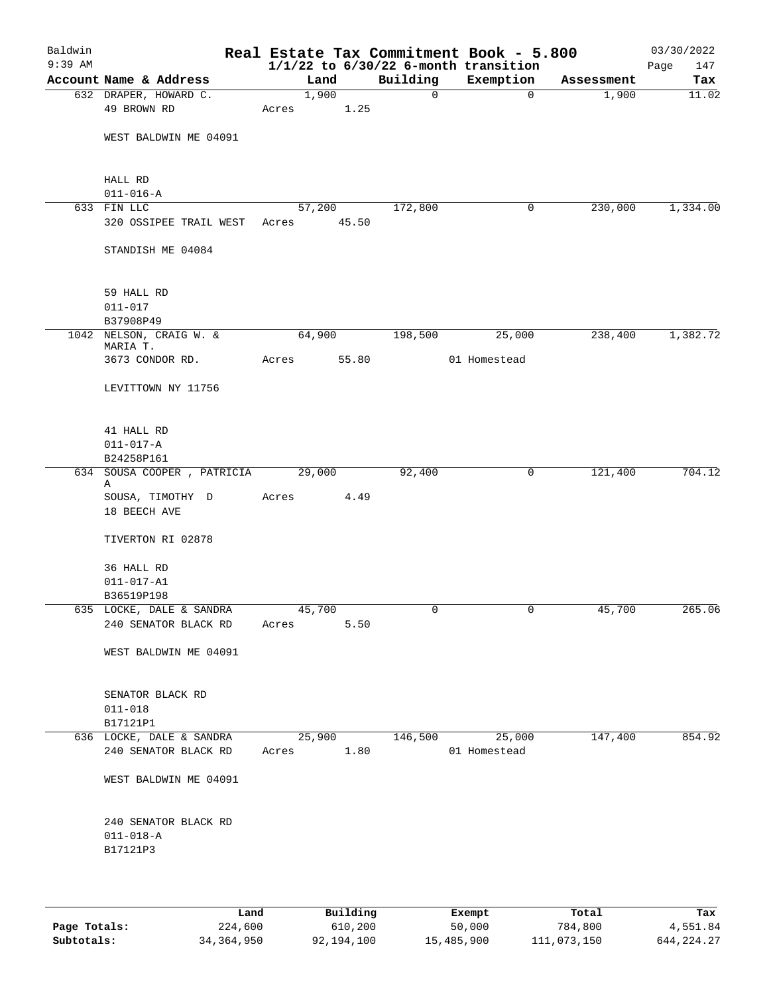| Baldwin<br>$9:39$ AM |                                     |            |       |             | Real Estate Tax Commitment Book - 5.800<br>$1/1/22$ to $6/30/22$ 6-month transition |            | 03/30/2022<br>147<br>Page |
|----------------------|-------------------------------------|------------|-------|-------------|-------------------------------------------------------------------------------------|------------|---------------------------|
|                      | Account Name & Address              | Land       |       | Building    | Exemption                                                                           | Assessment | Tax                       |
|                      | 632 DRAPER, HOWARD C.               | 1,900      |       | $\mathbf 0$ | $\mathbf 0$                                                                         | 1,900      | 11.02                     |
|                      | 49 BROWN RD                         | Acres      | 1.25  |             |                                                                                     |            |                           |
|                      | WEST BALDWIN ME 04091               |            |       |             |                                                                                     |            |                           |
|                      | HALL RD                             |            |       |             |                                                                                     |            |                           |
|                      | $011 - 016 - A$                     |            |       |             |                                                                                     |            |                           |
|                      | 633 FIN LLC                         | 57,200     |       | 172,800     | 0                                                                                   | 230,000    | 1,334.00                  |
|                      | 320 OSSIPEE TRAIL WEST              | Acres      | 45.50 |             |                                                                                     |            |                           |
|                      | STANDISH ME 04084                   |            |       |             |                                                                                     |            |                           |
|                      | 59 HALL RD                          |            |       |             |                                                                                     |            |                           |
|                      | $011 - 017$                         |            |       |             |                                                                                     |            |                           |
|                      | B37908P49                           |            |       |             |                                                                                     |            |                           |
|                      | 1042 NELSON, CRAIG W. &<br>MARIA T. | 64,900     |       | 198,500     | 25,000                                                                              | 238,400    | 1,382.72                  |
|                      | 3673 CONDOR RD.                     | Acres      | 55.80 |             | 01 Homestead                                                                        |            |                           |
|                      | LEVITTOWN NY 11756                  |            |       |             |                                                                                     |            |                           |
|                      | 41 HALL RD                          |            |       |             |                                                                                     |            |                           |
|                      | $011 - 017 - A$                     |            |       |             |                                                                                     |            |                           |
|                      | B24258P161                          |            |       |             |                                                                                     |            |                           |
|                      | 634 SOUSA COOPER, PATRICIA<br>Α     | 29,000     |       | 92,400      | 0                                                                                   | 121,400    | 704.12                    |
|                      | SOUSA, TIMOTHY D<br>18 BEECH AVE    | Acres      | 4.49  |             |                                                                                     |            |                           |
|                      | TIVERTON RI 02878                   |            |       |             |                                                                                     |            |                           |
|                      | 36 HALL RD                          |            |       |             |                                                                                     |            |                           |
|                      | $011 - 017 - A1$                    |            |       |             |                                                                                     |            |                           |
|                      | B36519P198                          |            |       |             |                                                                                     |            |                           |
|                      | 635 LOCKE, DALE & SANDRA            | 45,700     |       | 0           | 0                                                                                   | 45,700     | 265.06                    |
|                      | 240 SENATOR BLACK RD                | Acres      | 5.50  |             |                                                                                     |            |                           |
|                      | WEST BALDWIN ME 04091               |            |       |             |                                                                                     |            |                           |
|                      | SENATOR BLACK RD                    |            |       |             |                                                                                     |            |                           |
|                      | $011 - 018$                         |            |       |             |                                                                                     |            |                           |
|                      | B17121P1                            |            |       |             |                                                                                     |            |                           |
|                      | 636 LOCKE, DALE & SANDRA            | 25,900     |       | 146,500     | 25,000                                                                              | 147,400    | 854.92                    |
|                      | 240 SENATOR BLACK RD                | Acres 1.80 |       |             | 01 Homestead                                                                        |            |                           |
|                      | WEST BALDWIN ME 04091               |            |       |             |                                                                                     |            |                           |
|                      | 240 SENATOR BLACK RD                |            |       |             |                                                                                     |            |                           |
|                      | $011 - 018 - A$                     |            |       |             |                                                                                     |            |                           |
|                      | B17121P3                            |            |       |             |                                                                                     |            |                           |
|                      |                                     |            |       |             |                                                                                     |            |                           |
|                      |                                     |            |       |             |                                                                                     |            |                           |

|              | Land       | Building   | Exempt     | Total       | Tax          |
|--------------|------------|------------|------------|-------------|--------------|
| Page Totals: | 224,600    | 610,200    | 50,000     | 784,800     | 4,551.84     |
| Subtotals:   | 34,364,950 | 92,194,100 | 15,485,900 | 111,073,150 | 644, 224, 27 |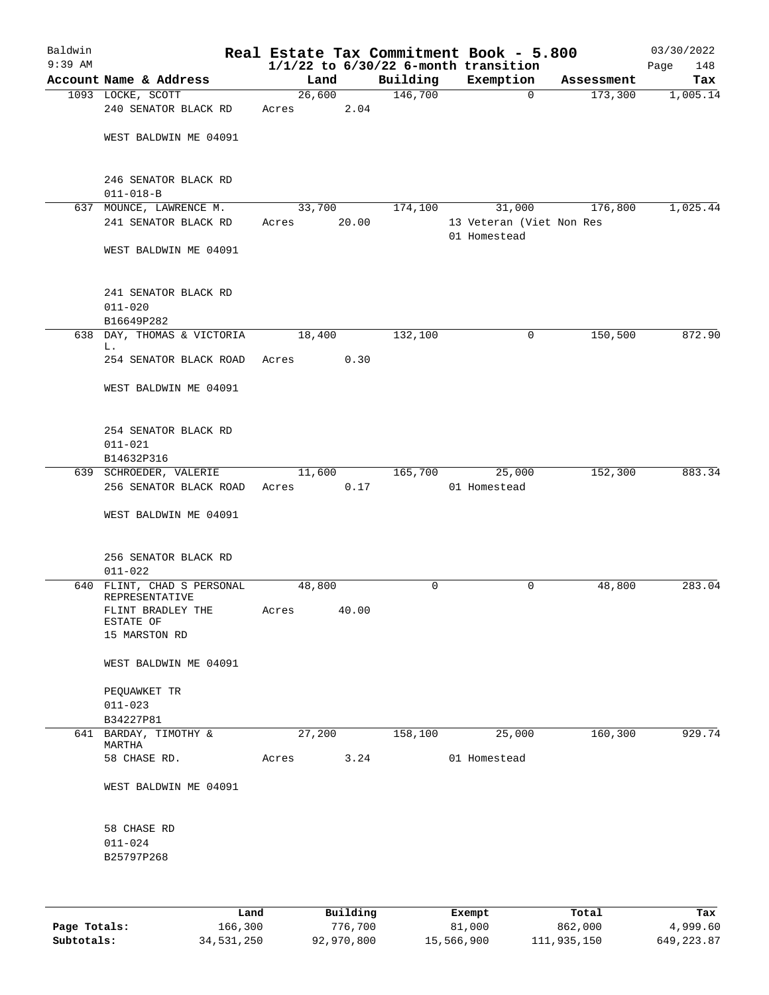| Baldwin<br>$9:39$ AM |                                                   |             |       |          | Real Estate Tax Commitment Book - 5.800<br>$1/1/22$ to $6/30/22$ 6-month transition |            | 03/30/2022<br>148<br>Page |
|----------------------|---------------------------------------------------|-------------|-------|----------|-------------------------------------------------------------------------------------|------------|---------------------------|
|                      | Account Name & Address                            | Land        |       | Building | Exemption                                                                           | Assessment | Tax                       |
|                      | 1093 LOCKE, SCOTT                                 | 26,600      |       | 146,700  | $\overline{0}$                                                                      | 173,300    | 1,005.14                  |
|                      | 240 SENATOR BLACK RD                              | Acres       | 2.04  |          |                                                                                     |            |                           |
|                      | WEST BALDWIN ME 04091                             |             |       |          |                                                                                     |            |                           |
|                      | 246 SENATOR BLACK RD<br>$011 - 018 - B$           |             |       |          |                                                                                     |            |                           |
|                      | 637 MOUNCE, LAWRENCE M.                           | 33,700      |       | 174,100  | 31,000                                                                              | 176,800    | 1,025.44                  |
|                      | 241 SENATOR BLACK RD                              | Acres       | 20.00 |          | 13 Veteran (Viet Non Res<br>01 Homestead                                            |            |                           |
|                      | WEST BALDWIN ME 04091                             |             |       |          |                                                                                     |            |                           |
|                      | 241 SENATOR BLACK RD<br>$011 - 020$<br>B16649P282 |             |       |          |                                                                                     |            |                           |
|                      | 638 DAY, THOMAS & VICTORIA                        | 18,400      |       | 132,100  | 0                                                                                   | 150,500    | 872.90                    |
|                      | L.<br>254 SENATOR BLACK ROAD                      | Acres       | 0.30  |          |                                                                                     |            |                           |
|                      | WEST BALDWIN ME 04091                             |             |       |          |                                                                                     |            |                           |
|                      | 254 SENATOR BLACK RD<br>$011 - 021$               |             |       |          |                                                                                     |            |                           |
|                      | B14632P316<br>639 SCHROEDER, VALERIE              | 11,600      |       | 165,700  | 25,000                                                                              | 152,300    | 883.34                    |
|                      | 256 SENATOR BLACK ROAD                            | Acres       | 0.17  |          | 01 Homestead                                                                        |            |                           |
|                      | WEST BALDWIN ME 04091                             |             |       |          |                                                                                     |            |                           |
|                      | 256 SENATOR BLACK RD<br>$011 - 022$               |             |       |          |                                                                                     |            |                           |
|                      | 640 FLINT, CHAD S PERSONAL                        | 48,800      |       | 0        | 0                                                                                   | 48,800     | 283.04                    |
|                      | REPRESENTATIVE<br>FLINT BRADLEY THE<br>ESTATE OF  | Acres 40.00 |       |          |                                                                                     |            |                           |
|                      | 15 MARSTON RD                                     |             |       |          |                                                                                     |            |                           |
|                      | WEST BALDWIN ME 04091                             |             |       |          |                                                                                     |            |                           |
|                      | PEQUAWKET TR                                      |             |       |          |                                                                                     |            |                           |
|                      | $011 - 023$                                       |             |       |          |                                                                                     |            |                           |
|                      | B34227P81<br>641 BARDAY, TIMOTHY &                | 27,200      |       | 158,100  | 25,000                                                                              | 160, 300   | 929.74                    |
|                      | MARTHA                                            |             |       |          |                                                                                     |            |                           |
|                      | 58 CHASE RD.                                      | Acres       | 3.24  |          | 01 Homestead                                                                        |            |                           |
|                      | WEST BALDWIN ME 04091                             |             |       |          |                                                                                     |            |                           |
|                      | 58 CHASE RD                                       |             |       |          |                                                                                     |            |                           |
|                      | $011 - 024$<br>B25797P268                         |             |       |          |                                                                                     |            |                           |
|                      |                                                   |             |       |          |                                                                                     |            |                           |
|                      |                                                   |             |       |          |                                                                                     |            |                           |

|              | Land       | Building   | Exempt     | Total       | Tax          |
|--------------|------------|------------|------------|-------------|--------------|
| Page Totals: | 166,300    | 776,700    | 81,000     | 862,000     | 4,999.60     |
| Subtotals:   | 34,531,250 | 92,970,800 | 15,566,900 | 111,935,150 | 649, 223, 87 |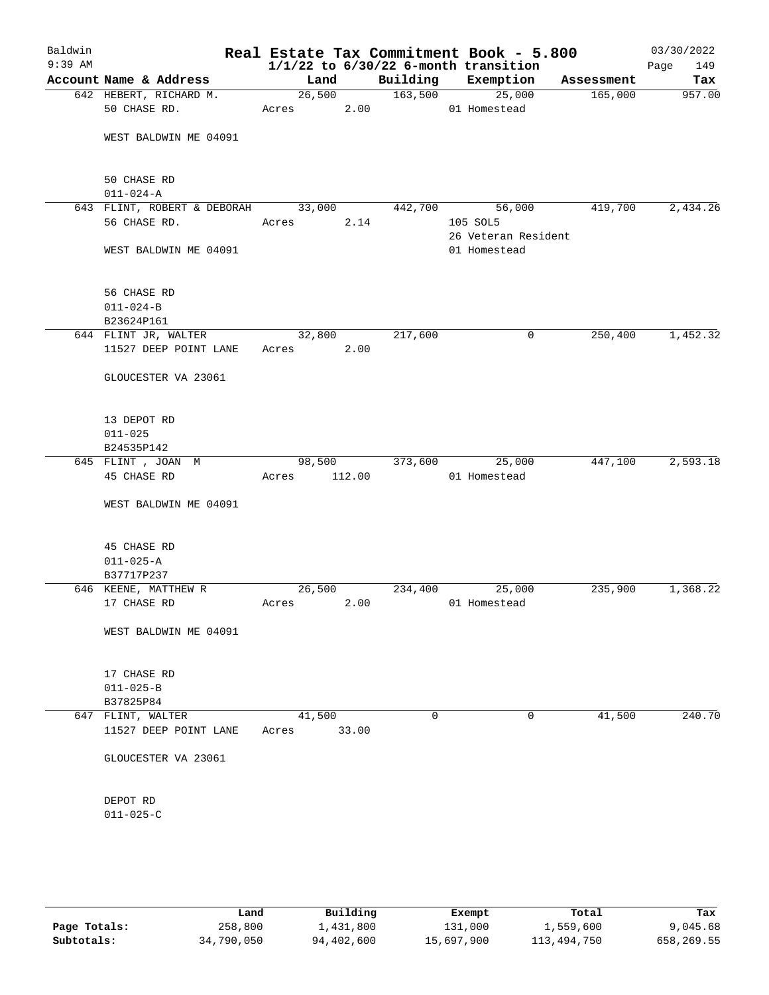| Baldwin<br>$9:39$ AM |                                    |        |        |          | Real Estate Tax Commitment Book - 5.800<br>$1/1/22$ to $6/30/22$ 6-month transition |            | 03/30/2022<br>Page<br>149 |
|----------------------|------------------------------------|--------|--------|----------|-------------------------------------------------------------------------------------|------------|---------------------------|
|                      | Account Name & Address             | Land   |        | Building | Exemption                                                                           | Assessment | Tax                       |
|                      | 642 HEBERT, RICHARD M.             | 26,500 |        | 163,500  | 25,000                                                                              | 165,000    | 957.00                    |
|                      | 50 CHASE RD.                       | Acres  |        | 2.00     | 01 Homestead                                                                        |            |                           |
|                      | WEST BALDWIN ME 04091              |        |        |          |                                                                                     |            |                           |
|                      | 50 CHASE RD                        |        |        |          |                                                                                     |            |                           |
|                      | $011 - 024 - A$                    |        |        |          |                                                                                     |            |                           |
|                      | 643 FLINT, ROBERT & DEBORAH 33,000 |        |        | 442,700  | 56,000                                                                              | 419,700    | 2,434.26                  |
|                      | 56 CHASE RD.                       | Acres  | 2.14   |          | 105 SOL5                                                                            |            |                           |
|                      | WEST BALDWIN ME 04091              |        |        |          | 26 Veteran Resident<br>01 Homestead                                                 |            |                           |
|                      | 56 CHASE RD                        |        |        |          |                                                                                     |            |                           |
|                      | $011 - 024 - B$                    |        |        |          |                                                                                     |            |                           |
|                      | B23624P161                         |        |        |          |                                                                                     |            |                           |
|                      | 644 FLINT JR, WALTER               | 32,800 |        | 217,600  | 0                                                                                   | 250,400    | 1,452.32                  |
|                      | 11527 DEEP POINT LANE              | Acres  | 2.00   |          |                                                                                     |            |                           |
|                      | GLOUCESTER VA 23061                |        |        |          |                                                                                     |            |                           |
|                      | 13 DEPOT RD                        |        |        |          |                                                                                     |            |                           |
|                      | $011 - 025$                        |        |        |          |                                                                                     |            |                           |
|                      | B24535P142                         |        |        |          |                                                                                     |            |                           |
|                      | 645 FLINT , JOAN M                 | 98,500 |        | 373,600  | 25,000                                                                              | 447,100    | 2,593.18                  |
|                      | 45 CHASE RD                        | Acres  | 112.00 |          | 01 Homestead                                                                        |            |                           |
|                      | WEST BALDWIN ME 04091              |        |        |          |                                                                                     |            |                           |
|                      | 45 CHASE RD                        |        |        |          |                                                                                     |            |                           |
|                      | $011 - 025 - A$                    |        |        |          |                                                                                     |            |                           |
|                      | B37717P237                         |        |        |          |                                                                                     |            |                           |
|                      | 646 KEENE, MATTHEW R               | 26,500 |        | 234,400  | 25,000                                                                              | 235,900    | 1,368.22                  |
|                      | 17 CHASE RD                        | Acres  | 2.00   |          | 01 Homestead                                                                        |            |                           |
|                      | WEST BALDWIN ME 04091              |        |        |          |                                                                                     |            |                           |
|                      | 17 CHASE RD                        |        |        |          |                                                                                     |            |                           |
|                      | $011 - 025 - B$                    |        |        |          |                                                                                     |            |                           |
|                      | B37825P84                          |        |        |          |                                                                                     |            |                           |
|                      | 647 FLINT, WALTER                  | 41,500 |        | 0        | 0                                                                                   | 41,500     | 240.70                    |
|                      | 11527 DEEP POINT LANE              | Acres  | 33.00  |          |                                                                                     |            |                           |
|                      | GLOUCESTER VA 23061                |        |        |          |                                                                                     |            |                           |
|                      | DEPOT RD                           |        |        |          |                                                                                     |            |                           |
|                      | $011 - 025 - C$                    |        |        |          |                                                                                     |            |                           |
|                      |                                    |        |        |          |                                                                                     |            |                           |
|                      |                                    |        |        |          |                                                                                     |            |                           |

|              | Land       | Building   | Exempt     | Total       | Tax        |
|--------------|------------|------------|------------|-------------|------------|
| Page Totals: | 258,800    | 1,431,800  | 131,000    | 1,559,600   | 9,045.68   |
| Subtotals:   | 34,790,050 | 94,402,600 | 15,697,900 | 113,494,750 | 658,269.55 |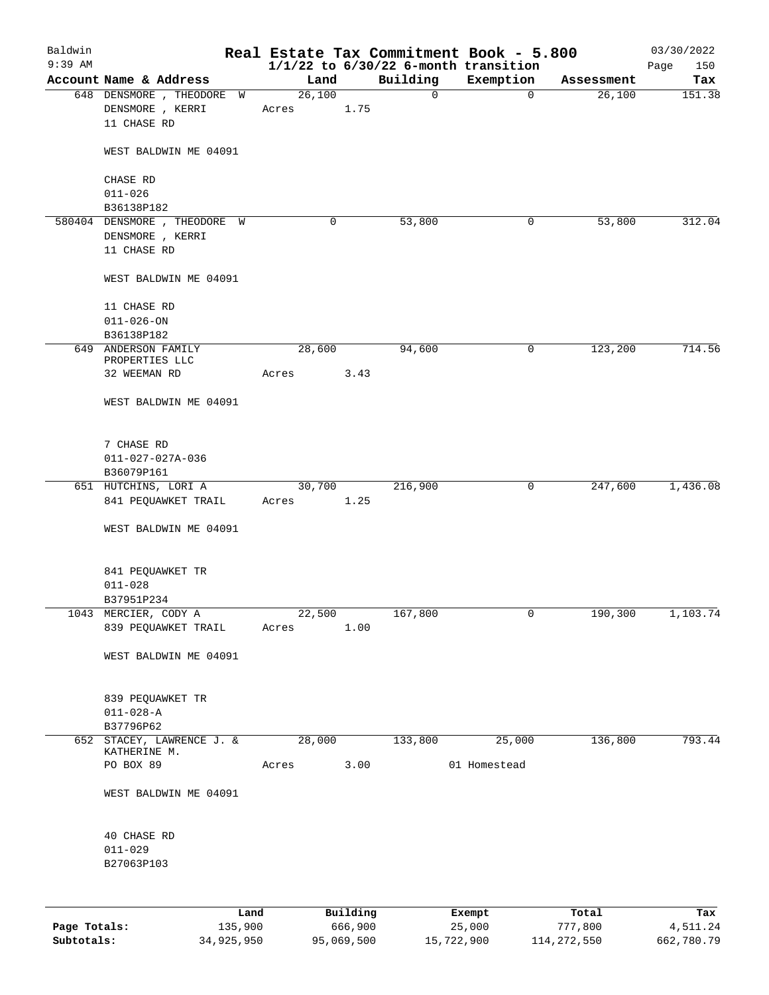| $1/1/22$ to $6/30/22$ 6-month transition<br>Building<br>Exemption<br>Account Name & Address<br>Land<br>Assessment<br>Tax<br>26,100<br>648 DENSMORE , THEODORE W<br>$\mathbf 0$<br>$\mathbf 0$<br>26,100<br>DENSMORE , KERRI<br>1.75<br>Acres<br>11 CHASE RD<br>WEST BALDWIN ME 04091<br>CHASE RD<br>$011 - 026$<br>B36138P182<br>53,800<br>580404 DENSMORE, THEODORE W<br>0<br>53,800<br>0<br>DENSMORE , KERRI<br>11 CHASE RD<br>WEST BALDWIN ME 04091<br>11 CHASE RD<br>$011 - 026 - ON$<br>B36138P182<br>714.56<br>28,600<br>94,600<br>123,200<br>649 ANDERSON FAMILY<br>0<br>PROPERTIES LLC<br>32 WEEMAN RD<br>3.43<br>Acres<br>WEST BALDWIN ME 04091<br>7 CHASE RD<br>011-027-027A-036<br>B36079P161<br>1,436.08<br>651 HUTCHINS, LORI A<br>30,700<br>216,900<br>0<br>247,600<br>841 PEQUAWKET TRAIL<br>1.25<br>Acres<br>WEST BALDWIN ME 04091<br>841 PEQUAWKET TR<br>$011 - 028$<br>B37951P234<br>1043 MERCIER, CODY A<br>22,500<br>167,800<br>0<br>190,300<br>1,103.74<br>839 PEQUAWKET TRAIL<br>1.00<br>Acres<br>WEST BALDWIN ME 04091<br>839 PEQUAWKET TR<br>$011 - 028 - A$<br>B37796P62<br>652 STACEY, LAWRENCE J. &<br>28,000<br>133,800<br>25,000<br>136,800<br>793.44<br>KATHERINE M.<br>PO BOX 89<br>3.00<br>01 Homestead<br>Acres<br>WEST BALDWIN ME 04091<br>40 CHASE RD<br>$011 - 029$<br>B27063P103<br>Building<br>Land<br>Exempt<br>Total<br>Page Totals:<br>135,900<br>666,900<br>25,000<br>777,800<br>4,511.24 | Baldwin<br>$9:39$ AM |  |  | Real Estate Tax Commitment Book - 5.800 | 03/30/2022<br>150<br>Page |
|-------------------------------------------------------------------------------------------------------------------------------------------------------------------------------------------------------------------------------------------------------------------------------------------------------------------------------------------------------------------------------------------------------------------------------------------------------------------------------------------------------------------------------------------------------------------------------------------------------------------------------------------------------------------------------------------------------------------------------------------------------------------------------------------------------------------------------------------------------------------------------------------------------------------------------------------------------------------------------------------------------------------------------------------------------------------------------------------------------------------------------------------------------------------------------------------------------------------------------------------------------------------------------------------------------------------------------------------------------------------------------------------------------------------------------------|----------------------|--|--|-----------------------------------------|---------------------------|
|                                                                                                                                                                                                                                                                                                                                                                                                                                                                                                                                                                                                                                                                                                                                                                                                                                                                                                                                                                                                                                                                                                                                                                                                                                                                                                                                                                                                                                     |                      |  |  |                                         |                           |
|                                                                                                                                                                                                                                                                                                                                                                                                                                                                                                                                                                                                                                                                                                                                                                                                                                                                                                                                                                                                                                                                                                                                                                                                                                                                                                                                                                                                                                     |                      |  |  |                                         | 151.38                    |
|                                                                                                                                                                                                                                                                                                                                                                                                                                                                                                                                                                                                                                                                                                                                                                                                                                                                                                                                                                                                                                                                                                                                                                                                                                                                                                                                                                                                                                     |                      |  |  |                                         |                           |
|                                                                                                                                                                                                                                                                                                                                                                                                                                                                                                                                                                                                                                                                                                                                                                                                                                                                                                                                                                                                                                                                                                                                                                                                                                                                                                                                                                                                                                     |                      |  |  |                                         |                           |
|                                                                                                                                                                                                                                                                                                                                                                                                                                                                                                                                                                                                                                                                                                                                                                                                                                                                                                                                                                                                                                                                                                                                                                                                                                                                                                                                                                                                                                     |                      |  |  |                                         |                           |
|                                                                                                                                                                                                                                                                                                                                                                                                                                                                                                                                                                                                                                                                                                                                                                                                                                                                                                                                                                                                                                                                                                                                                                                                                                                                                                                                                                                                                                     |                      |  |  |                                         | 312.04                    |
|                                                                                                                                                                                                                                                                                                                                                                                                                                                                                                                                                                                                                                                                                                                                                                                                                                                                                                                                                                                                                                                                                                                                                                                                                                                                                                                                                                                                                                     |                      |  |  |                                         |                           |
|                                                                                                                                                                                                                                                                                                                                                                                                                                                                                                                                                                                                                                                                                                                                                                                                                                                                                                                                                                                                                                                                                                                                                                                                                                                                                                                                                                                                                                     |                      |  |  |                                         |                           |
|                                                                                                                                                                                                                                                                                                                                                                                                                                                                                                                                                                                                                                                                                                                                                                                                                                                                                                                                                                                                                                                                                                                                                                                                                                                                                                                                                                                                                                     |                      |  |  |                                         |                           |
|                                                                                                                                                                                                                                                                                                                                                                                                                                                                                                                                                                                                                                                                                                                                                                                                                                                                                                                                                                                                                                                                                                                                                                                                                                                                                                                                                                                                                                     |                      |  |  |                                         |                           |
|                                                                                                                                                                                                                                                                                                                                                                                                                                                                                                                                                                                                                                                                                                                                                                                                                                                                                                                                                                                                                                                                                                                                                                                                                                                                                                                                                                                                                                     |                      |  |  |                                         |                           |
|                                                                                                                                                                                                                                                                                                                                                                                                                                                                                                                                                                                                                                                                                                                                                                                                                                                                                                                                                                                                                                                                                                                                                                                                                                                                                                                                                                                                                                     |                      |  |  |                                         |                           |
|                                                                                                                                                                                                                                                                                                                                                                                                                                                                                                                                                                                                                                                                                                                                                                                                                                                                                                                                                                                                                                                                                                                                                                                                                                                                                                                                                                                                                                     |                      |  |  |                                         |                           |
|                                                                                                                                                                                                                                                                                                                                                                                                                                                                                                                                                                                                                                                                                                                                                                                                                                                                                                                                                                                                                                                                                                                                                                                                                                                                                                                                                                                                                                     |                      |  |  |                                         |                           |
|                                                                                                                                                                                                                                                                                                                                                                                                                                                                                                                                                                                                                                                                                                                                                                                                                                                                                                                                                                                                                                                                                                                                                                                                                                                                                                                                                                                                                                     |                      |  |  |                                         |                           |
|                                                                                                                                                                                                                                                                                                                                                                                                                                                                                                                                                                                                                                                                                                                                                                                                                                                                                                                                                                                                                                                                                                                                                                                                                                                                                                                                                                                                                                     |                      |  |  |                                         |                           |
|                                                                                                                                                                                                                                                                                                                                                                                                                                                                                                                                                                                                                                                                                                                                                                                                                                                                                                                                                                                                                                                                                                                                                                                                                                                                                                                                                                                                                                     |                      |  |  |                                         |                           |
|                                                                                                                                                                                                                                                                                                                                                                                                                                                                                                                                                                                                                                                                                                                                                                                                                                                                                                                                                                                                                                                                                                                                                                                                                                                                                                                                                                                                                                     |                      |  |  |                                         |                           |
|                                                                                                                                                                                                                                                                                                                                                                                                                                                                                                                                                                                                                                                                                                                                                                                                                                                                                                                                                                                                                                                                                                                                                                                                                                                                                                                                                                                                                                     |                      |  |  |                                         |                           |
|                                                                                                                                                                                                                                                                                                                                                                                                                                                                                                                                                                                                                                                                                                                                                                                                                                                                                                                                                                                                                                                                                                                                                                                                                                                                                                                                                                                                                                     |                      |  |  |                                         |                           |
|                                                                                                                                                                                                                                                                                                                                                                                                                                                                                                                                                                                                                                                                                                                                                                                                                                                                                                                                                                                                                                                                                                                                                                                                                                                                                                                                                                                                                                     |                      |  |  |                                         |                           |
|                                                                                                                                                                                                                                                                                                                                                                                                                                                                                                                                                                                                                                                                                                                                                                                                                                                                                                                                                                                                                                                                                                                                                                                                                                                                                                                                                                                                                                     |                      |  |  |                                         |                           |
|                                                                                                                                                                                                                                                                                                                                                                                                                                                                                                                                                                                                                                                                                                                                                                                                                                                                                                                                                                                                                                                                                                                                                                                                                                                                                                                                                                                                                                     |                      |  |  |                                         |                           |
|                                                                                                                                                                                                                                                                                                                                                                                                                                                                                                                                                                                                                                                                                                                                                                                                                                                                                                                                                                                                                                                                                                                                                                                                                                                                                                                                                                                                                                     |                      |  |  |                                         |                           |
|                                                                                                                                                                                                                                                                                                                                                                                                                                                                                                                                                                                                                                                                                                                                                                                                                                                                                                                                                                                                                                                                                                                                                                                                                                                                                                                                                                                                                                     |                      |  |  |                                         |                           |
|                                                                                                                                                                                                                                                                                                                                                                                                                                                                                                                                                                                                                                                                                                                                                                                                                                                                                                                                                                                                                                                                                                                                                                                                                                                                                                                                                                                                                                     |                      |  |  |                                         |                           |
|                                                                                                                                                                                                                                                                                                                                                                                                                                                                                                                                                                                                                                                                                                                                                                                                                                                                                                                                                                                                                                                                                                                                                                                                                                                                                                                                                                                                                                     |                      |  |  |                                         |                           |
|                                                                                                                                                                                                                                                                                                                                                                                                                                                                                                                                                                                                                                                                                                                                                                                                                                                                                                                                                                                                                                                                                                                                                                                                                                                                                                                                                                                                                                     |                      |  |  |                                         |                           |
|                                                                                                                                                                                                                                                                                                                                                                                                                                                                                                                                                                                                                                                                                                                                                                                                                                                                                                                                                                                                                                                                                                                                                                                                                                                                                                                                                                                                                                     |                      |  |  |                                         |                           |
|                                                                                                                                                                                                                                                                                                                                                                                                                                                                                                                                                                                                                                                                                                                                                                                                                                                                                                                                                                                                                                                                                                                                                                                                                                                                                                                                                                                                                                     |                      |  |  |                                         |                           |
|                                                                                                                                                                                                                                                                                                                                                                                                                                                                                                                                                                                                                                                                                                                                                                                                                                                                                                                                                                                                                                                                                                                                                                                                                                                                                                                                                                                                                                     |                      |  |  |                                         |                           |
|                                                                                                                                                                                                                                                                                                                                                                                                                                                                                                                                                                                                                                                                                                                                                                                                                                                                                                                                                                                                                                                                                                                                                                                                                                                                                                                                                                                                                                     |                      |  |  |                                         | Tax                       |

**Subtotals:** 34,925,950 95,069,500 15,722,900 114,272,550 662,780.79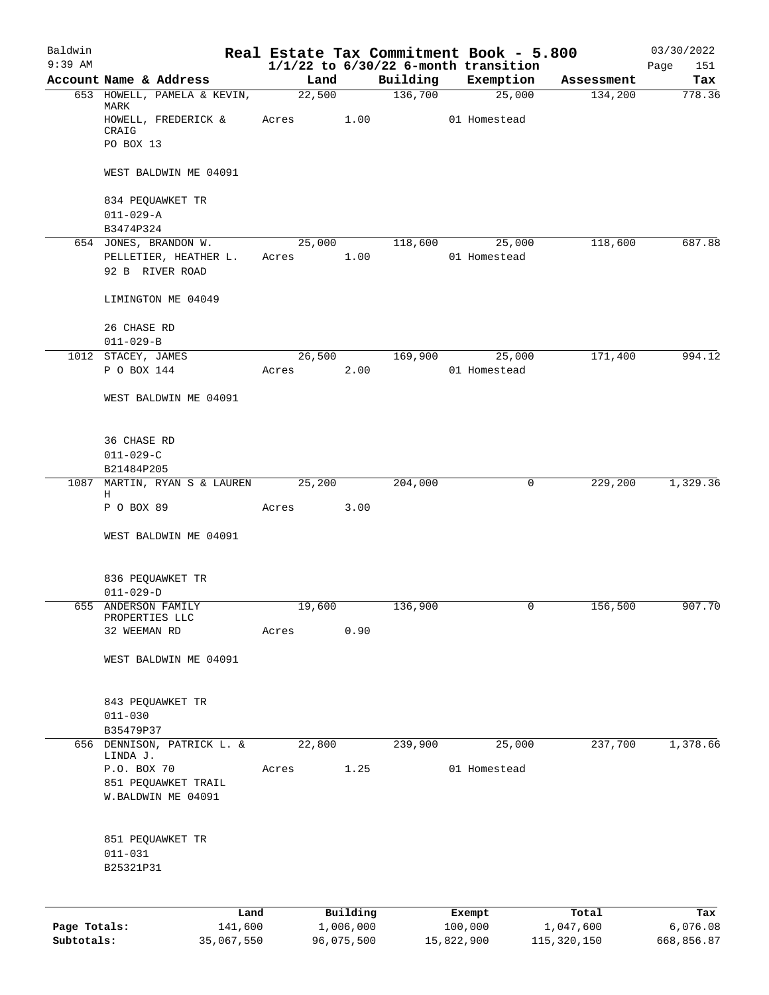| Baldwin      |                                                   |       |        |           |          | Real Estate Tax Commitment Book - 5.800               |            | 03/30/2022         |
|--------------|---------------------------------------------------|-------|--------|-----------|----------|-------------------------------------------------------|------------|--------------------|
| $9:39$ AM    | Account Name & Address                            |       | Land   |           | Building | $1/1/22$ to $6/30/22$ 6-month transition<br>Exemption | Assessment | Page<br>151<br>Tax |
|              | 653 HOWELL, PAMELA & KEVIN,                       |       | 22,500 |           | 136,700  | 25,000                                                | 134,200    | 778.36             |
|              | MARK<br>HOWELL, FREDERICK &<br>CRAIG<br>PO BOX 13 |       | Acres  | 1.00      |          | 01 Homestead                                          |            |                    |
|              | WEST BALDWIN ME 04091                             |       |        |           |          |                                                       |            |                    |
|              | 834 PEQUAWKET TR<br>$011 - 029 - A$<br>B3474P324  |       |        |           |          |                                                       |            |                    |
|              | 654 JONES, BRANDON W.                             |       | 25,000 |           | 118,600  | 25,000                                                | 118,600    | 687.88             |
|              | PELLETIER, HEATHER L.<br>92 B RIVER ROAD          | Acres |        | 1.00      |          | 01 Homestead                                          |            |                    |
|              | LIMINGTON ME 04049                                |       |        |           |          |                                                       |            |                    |
|              | 26 CHASE RD<br>$011 - 029 - B$                    |       |        |           |          |                                                       |            |                    |
|              | 1012 STACEY, JAMES                                |       | 26,500 |           | 169,900  | 25,000                                                | 171,400    | 994.12             |
|              | P O BOX 144                                       | Acres |        | 2.00      |          | 01 Homestead                                          |            |                    |
|              | WEST BALDWIN ME 04091                             |       |        |           |          |                                                       |            |                    |
|              | 36 CHASE RD<br>$011 - 029 - C$                    |       |        |           |          |                                                       |            |                    |
|              | B21484P205                                        |       |        |           |          |                                                       |            |                    |
|              | 1087 MARTIN, RYAN S & LAUREN                      |       | 25,200 |           | 204,000  | 0                                                     | 229,200    | 1,329.36           |
|              | Н<br>P O BOX 89                                   | Acres |        | 3.00      |          |                                                       |            |                    |
|              | WEST BALDWIN ME 04091                             |       |        |           |          |                                                       |            |                    |
|              | 836 PEQUAWKET TR<br>$011 - 029 - D$               |       |        |           |          |                                                       |            |                    |
| 655          | ANDERSON FAMILY                                   |       | 19,600 |           | 136,900  | 0                                                     | 156,500    | 907.70             |
|              | PROPERTIES LLC<br>32 WEEMAN RD                    | Acres |        | 0.90      |          |                                                       |            |                    |
|              |                                                   |       |        |           |          |                                                       |            |                    |
|              | WEST BALDWIN ME 04091                             |       |        |           |          |                                                       |            |                    |
|              | 843 PEQUAWKET TR<br>$011 - 030$                   |       |        |           |          |                                                       |            |                    |
|              | B35479P37<br>656 DENNISON, PATRICK L. &           |       | 22,800 |           |          |                                                       | 237,700    |                    |
|              | LINDA J.                                          |       |        |           | 239,900  | 25,000                                                |            | 1,378.66           |
|              | P.O. BOX 70                                       | Acres |        | 1.25      |          | 01 Homestead                                          |            |                    |
|              | 851 PEQUAWKET TRAIL<br>W.BALDWIN ME 04091         |       |        |           |          |                                                       |            |                    |
|              | 851 PEQUAWKET TR<br>$011 - 031$<br>B25321P31      |       |        |           |          |                                                       |            |                    |
|              |                                                   |       |        |           |          |                                                       |            |                    |
|              | Land                                              |       |        | Building  |          | Exempt                                                | Total      | Tax                |
| Page Totals: | 141,600                                           |       |        | 1,006,000 |          | 100,000                                               | 1,047,600  | 6,076.08           |

**Subtotals:** 35,067,550 96,075,500 15,822,900 115,320,150 668,856.87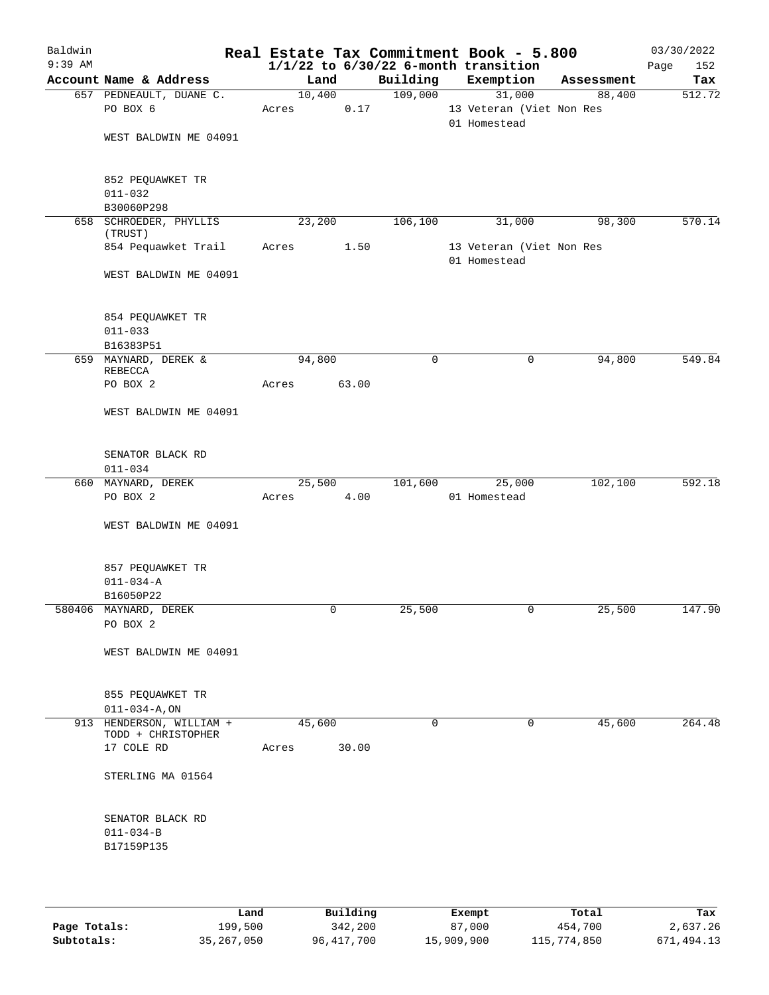| Baldwin   |                                                  |        |       |             | Real Estate Tax Commitment Book - 5.800  |            | 03/30/2022  |
|-----------|--------------------------------------------------|--------|-------|-------------|------------------------------------------|------------|-------------|
| $9:39$ AM |                                                  |        |       |             | $1/1/22$ to $6/30/22$ 6-month transition |            | 152<br>Page |
|           | Account Name & Address                           | Land   |       | Building    | Exemption                                | Assessment | Tax         |
|           | 657 PEDNEAULT, DUANE C.                          | 10,400 |       | 109,000     | 31,000                                   | 88,400     | 512.72      |
|           | PO BOX 6                                         | Acres  | 0.17  |             | 13 Veteran (Viet Non Res<br>01 Homestead |            |             |
|           | WEST BALDWIN ME 04091                            |        |       |             |                                          |            |             |
|           | 852 PEQUAWKET TR                                 |        |       |             |                                          |            |             |
|           | $011 - 032$<br>B30060P298                        |        |       |             |                                          |            |             |
|           | 658 SCHROEDER, PHYLLIS                           | 23,200 |       | 106,100     | 31,000                                   | 98,300     | 570.14      |
|           | (TRUST)<br>854 Pequawket Trail                   | Acres  | 1.50  |             | 13 Veteran (Viet Non Res                 |            |             |
|           |                                                  |        |       |             | 01 Homestead                             |            |             |
|           | WEST BALDWIN ME 04091                            |        |       |             |                                          |            |             |
|           | 854 PEQUAWKET TR                                 |        |       |             |                                          |            |             |
|           | $011 - 033$                                      |        |       |             |                                          |            |             |
|           | B16383P51                                        |        |       |             |                                          |            |             |
|           | 659 MAYNARD, DEREK &<br>REBECCA                  | 94,800 |       | $\mathbf 0$ | 0                                        | 94,800     | 549.84      |
|           | PO BOX 2                                         | Acres  | 63.00 |             |                                          |            |             |
|           | WEST BALDWIN ME 04091                            |        |       |             |                                          |            |             |
|           | SENATOR BLACK RD                                 |        |       |             |                                          |            |             |
|           | $011 - 034$                                      |        |       |             |                                          |            |             |
|           | 660 MAYNARD, DEREK                               | 25,500 |       | 101,600     | 25,000                                   | 102,100    | 592.18      |
|           | PO BOX 2                                         | Acres  | 4.00  |             | 01 Homestead                             |            |             |
|           | WEST BALDWIN ME 04091                            |        |       |             |                                          |            |             |
|           | 857 PEQUAWKET TR                                 |        |       |             |                                          |            |             |
|           | $011 - 034 - A$                                  |        |       |             |                                          |            |             |
|           | B16050P22<br>580406 MAYNARD, DEREK               |        | 0     | 25,500      |                                          | 25,500     | 147.90      |
|           | PO BOX 2                                         |        |       |             | 0                                        |            |             |
|           | WEST BALDWIN ME 04091                            |        |       |             |                                          |            |             |
|           | 855 PEQUAWKET TR                                 |        |       |             |                                          |            |             |
|           | $011 - 034 - A$ , ON<br>913 HENDERSON, WILLIAM + | 45,600 |       | $\Omega$    | $\Omega$                                 | 45,600     | 264.48      |
|           | TODD + CHRISTOPHER<br>17 COLE RD                 | Acres  | 30.00 |             |                                          |            |             |
|           | STERLING MA 01564                                |        |       |             |                                          |            |             |
|           | SENATOR BLACK RD                                 |        |       |             |                                          |            |             |
|           | $011 - 034 - B$                                  |        |       |             |                                          |            |             |
|           | B17159P135                                       |        |       |             |                                          |            |             |
|           |                                                  |        |       |             |                                          |            |             |

|              | Land         | Building   | Exempt     | Total       | Tax        |
|--------------|--------------|------------|------------|-------------|------------|
| Page Totals: | 199,500      | 342,200    | 87,000     | 454,700     | 2,637.26   |
| Subtotals:   | 35, 267, 050 | 96,417,700 | 15,909,900 | 115,774,850 | 671,494.13 |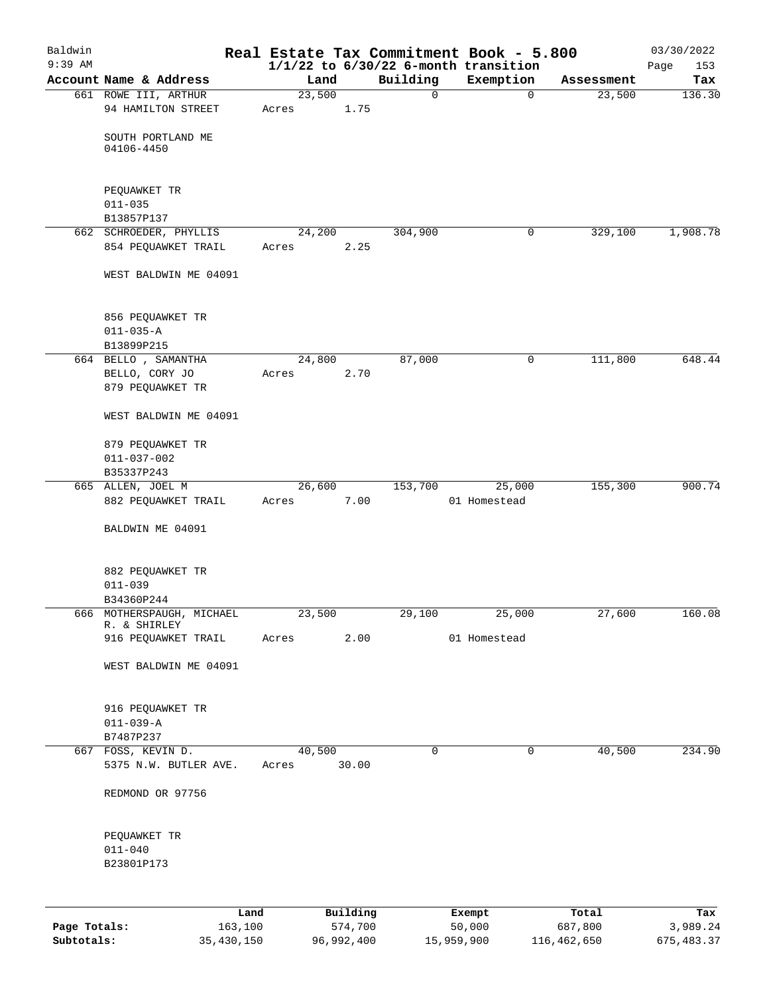| Baldwin<br>$9:39$ AM |                                               |                 |            |          | Real Estate Tax Commitment Book - 5.800<br>$1/1/22$ to $6/30/22$ 6-month transition |             | 03/30/2022<br>153<br>Page |
|----------------------|-----------------------------------------------|-----------------|------------|----------|-------------------------------------------------------------------------------------|-------------|---------------------------|
|                      | Account Name & Address                        | Land            |            | Building | Exemption                                                                           | Assessment  | Tax                       |
|                      | 661 ROWE III, ARTHUR                          | 23,500          |            | 0        | $\mathbf 0$                                                                         | 23,500      | 136.30                    |
|                      | 94 HAMILTON STREET                            | Acres           | 1.75       |          |                                                                                     |             |                           |
|                      | SOUTH PORTLAND ME<br>04106-4450               |                 |            |          |                                                                                     |             |                           |
|                      | PEQUAWKET TR                                  |                 |            |          |                                                                                     |             |                           |
|                      | $011 - 035$                                   |                 |            |          |                                                                                     |             |                           |
|                      | B13857P137                                    |                 |            |          |                                                                                     |             |                           |
|                      | 662 SCHROEDER, PHYLLIS                        | 24,200          |            | 304,900  | $\mathbf 0$                                                                         | 329,100     | 1,908.78                  |
|                      | 854 PEQUAWKET TRAIL                           | Acres           | 2.25       |          |                                                                                     |             |                           |
|                      | WEST BALDWIN ME 04091                         |                 |            |          |                                                                                     |             |                           |
|                      | 856 PEQUAWKET TR                              |                 |            |          |                                                                                     |             |                           |
|                      | $011 - 035 - A$                               |                 |            |          |                                                                                     |             |                           |
|                      | B13899P215                                    |                 |            |          |                                                                                     |             |                           |
|                      | 664 BELLO , SAMANTHA                          | 24,800          |            | 87,000   | 0                                                                                   | 111,800     | 648.44                    |
|                      | BELLO, CORY JO<br>879 PEQUAWKET TR            | Acres           | 2.70       |          |                                                                                     |             |                           |
|                      | WEST BALDWIN ME 04091                         |                 |            |          |                                                                                     |             |                           |
|                      | 879 PEQUAWKET TR                              |                 |            |          |                                                                                     |             |                           |
|                      | $011 - 037 - 002$<br>B35337P243               |                 |            |          |                                                                                     |             |                           |
|                      | 665 ALLEN, JOEL M                             | 26,600          |            | 153,700  | 25,000                                                                              | 155,300     | 900.74                    |
|                      | 882 PEQUAWKET TRAIL                           | Acres           | 7.00       |          | 01 Homestead                                                                        |             |                           |
|                      | BALDWIN ME 04091                              |                 |            |          |                                                                                     |             |                           |
|                      | 882 PEQUAWKET TR<br>$011 - 039$<br>B34360P244 |                 |            |          |                                                                                     |             |                           |
|                      | 666 MOTHERSPAUGH, MICHAEL                     | 23,500          |            | 29,100   | 25,000                                                                              | 27,600      | 160.08                    |
|                      | R. & SHIRLEY<br>916 PEQUAWKET TRAIL           | Acres           | 2.00       |          | 01 Homestead                                                                        |             |                           |
|                      | WEST BALDWIN ME 04091                         |                 |            |          |                                                                                     |             |                           |
|                      | 916 PEQUAWKET TR                              |                 |            |          |                                                                                     |             |                           |
|                      | $011 - 039 - A$                               |                 |            |          |                                                                                     |             |                           |
|                      | B7487P237                                     |                 |            |          |                                                                                     |             |                           |
|                      | 667 FOSS, KEVIN D.<br>5375 N.W. BUTLER AVE.   | 40,500<br>Acres | 30.00      | 0        | 0                                                                                   | 40,500      | 234.90                    |
|                      | REDMOND OR 97756                              |                 |            |          |                                                                                     |             |                           |
|                      | PEQUAWKET TR                                  |                 |            |          |                                                                                     |             |                           |
|                      | $011 - 040$                                   |                 |            |          |                                                                                     |             |                           |
|                      | B23801P173                                    |                 |            |          |                                                                                     |             |                           |
|                      |                                               | Land            | Building   |          | Exempt                                                                              | Total       | Tax                       |
| Page Totals:         |                                               | 163,100         | 574,700    |          | 50,000                                                                              | 687,800     | 3,989.24                  |
| Subtotals:           | 35,430,150                                    |                 | 96,992,400 |          | 15,959,900                                                                          | 116,462,650 | 675, 483.37               |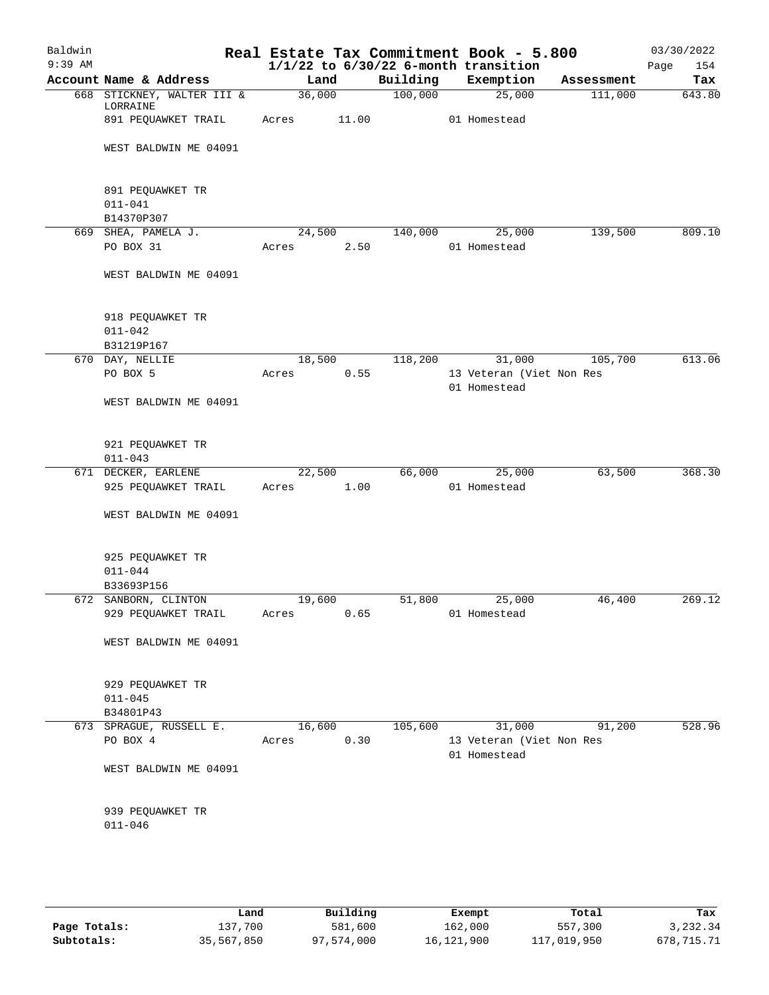| Baldwin<br>$9:39$ AM |                                               |       |        |          | Real Estate Tax Commitment Book - 5.800<br>$1/1/22$ to $6/30/22$ 6-month transition |            | 03/30/2022         |
|----------------------|-----------------------------------------------|-------|--------|----------|-------------------------------------------------------------------------------------|------------|--------------------|
|                      | Account Name & Address                        |       | Land   | Building | Exemption                                                                           | Assessment | Page<br>154<br>Tax |
|                      | 668 STICKNEY, WALTER III &                    |       | 36,000 | 100,000  | 25,000                                                                              | 111,000    | 643.80             |
|                      | LORRAINE<br>891 PEQUAWKET TRAIL               | Acres | 11.00  |          | 01 Homestead                                                                        |            |                    |
|                      | WEST BALDWIN ME 04091                         |       |        |          |                                                                                     |            |                    |
|                      | 891 PEQUAWKET TR<br>$011 - 041$<br>B14370P307 |       |        |          |                                                                                     |            |                    |
|                      | 669 SHEA, PAMELA J.                           |       | 24,500 | 140,000  | 25,000                                                                              | 139,500    | 809.10             |
|                      | PO BOX 31                                     | Acres | 2.50   |          | 01 Homestead                                                                        |            |                    |
|                      | WEST BALDWIN ME 04091                         |       |        |          |                                                                                     |            |                    |
|                      | 918 PEQUAWKET TR<br>$011 - 042$<br>B31219P167 |       |        |          |                                                                                     |            |                    |
|                      | 670 DAY, NELLIE                               |       | 18,500 | 118,200  | 31,000                                                                              | 105,700    | 613.06             |
|                      | PO BOX 5                                      | Acres | 0.55   |          | 13 Veteran (Viet Non Res<br>01 Homestead                                            |            |                    |
|                      | WEST BALDWIN ME 04091                         |       |        |          |                                                                                     |            |                    |
|                      | 921 PEQUAWKET TR<br>$011 - 043$               |       |        |          |                                                                                     |            |                    |
|                      | 671 DECKER, EARLENE                           |       | 22,500 | 66,000   | 25,000                                                                              | 63,500     | 368.30             |
|                      | 925 PEQUAWKET TRAIL                           | Acres | 1.00   |          | 01 Homestead                                                                        |            |                    |
|                      | WEST BALDWIN ME 04091                         |       |        |          |                                                                                     |            |                    |
|                      | 925 PEQUAWKET TR<br>$011 - 044$<br>B33693P156 |       |        |          |                                                                                     |            |                    |
|                      | 672 SANBORN, CLINTON                          |       | 19,600 | 51,800   | 25,000                                                                              | 46,400     | 269.12             |
|                      | 929 PEQUAWKET TRAIL                           | Acres | 0.65   |          | 01 Homestead                                                                        |            |                    |
|                      | WEST BALDWIN ME 04091                         |       |        |          |                                                                                     |            |                    |
|                      | 929 PEQUAWKET TR<br>$011 - 045$<br>B34801P43  |       |        |          |                                                                                     |            |                    |
|                      | 673 SPRAGUE, RUSSELL E.                       |       | 16,600 | 105,600  | 31,000                                                                              | 91,200     | 528.96             |
|                      | PO BOX 4                                      | Acres | 0.30   |          | 13 Veteran (Viet Non Res<br>01 Homestead                                            |            |                    |
|                      | WEST BALDWIN ME 04091                         |       |        |          |                                                                                     |            |                    |
|                      | 939 PEQUAWKET TR<br>$011 - 046$               |       |        |          |                                                                                     |            |                    |
|                      |                                               |       |        |          |                                                                                     |            |                    |

|              | Land       | Building   | Exempt     | Total       | Tax        |
|--------------|------------|------------|------------|-------------|------------|
| Page Totals: | 137,700    | 581,600    | 162,000    | 557,300     | 3,232.34   |
| Subtotals:   | 35,567,850 | 97,574,000 | 16,121,900 | 117,019,950 | 678,715.71 |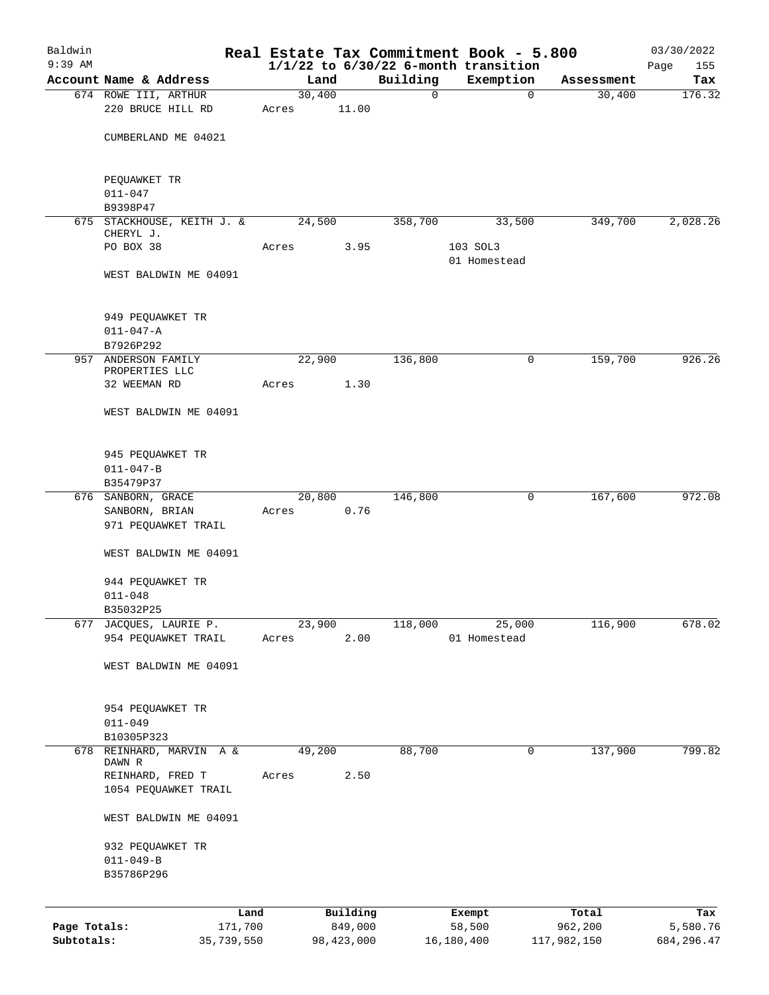| Baldwin      |                                   |                |              |                         | Real Estate Tax Commitment Book - 5.800               |                      | 03/30/2022    |
|--------------|-----------------------------------|----------------|--------------|-------------------------|-------------------------------------------------------|----------------------|---------------|
| $9:39$ AM    | Account Name & Address            |                |              |                         | $1/1/22$ to $6/30/22$ 6-month transition<br>Exemption |                      | Page<br>155   |
|              | 674 ROWE III, ARTHUR              | Land<br>30,400 |              | Building<br>$\mathbf 0$ | 0                                                     | Assessment<br>30,400 | Tax<br>176.32 |
|              | 220 BRUCE HILL RD                 | Acres          | 11.00        |                         |                                                       |                      |               |
|              | CUMBERLAND ME 04021               |                |              |                         |                                                       |                      |               |
|              | PEQUAWKET TR                      |                |              |                         |                                                       |                      |               |
|              | $011 - 047$<br>B9398P47           |                |              |                         |                                                       |                      |               |
|              | 675 STACKHOUSE, KEITH J. &        | 24,500         |              | 358,700                 | 33,500                                                | 349,700              | 2,028.26      |
|              | CHERYL J.                         |                |              |                         |                                                       |                      |               |
|              | PO BOX 38                         | Acres          | 3.95         |                         | 103 SOL3<br>01 Homestead                              |                      |               |
|              | WEST BALDWIN ME 04091             |                |              |                         |                                                       |                      |               |
|              | 949 PEQUAWKET TR                  |                |              |                         |                                                       |                      |               |
|              | $011 - 047 - A$                   |                |              |                         |                                                       |                      |               |
|              | B7926P292                         |                |              |                         |                                                       |                      |               |
| 957          | ANDERSON FAMILY<br>PROPERTIES LLC | 22,900         |              | 136,800                 | 0                                                     | 159,700              | 926.26        |
|              | 32 WEEMAN RD                      | Acres          | 1.30         |                         |                                                       |                      |               |
|              | WEST BALDWIN ME 04091             |                |              |                         |                                                       |                      |               |
|              | 945 PEQUAWKET TR                  |                |              |                         |                                                       |                      |               |
|              | $011 - 047 - B$                   |                |              |                         |                                                       |                      |               |
|              | B35479P37<br>676 SANBORN, GRACE   | 20,800         |              | 146,800                 | 0                                                     | 167,600              | 972.08        |
|              | SANBORN, BRIAN                    | Acres          | 0.76         |                         |                                                       |                      |               |
|              | 971 PEQUAWKET TRAIL               |                |              |                         |                                                       |                      |               |
|              | WEST BALDWIN ME 04091             |                |              |                         |                                                       |                      |               |
|              | 944 PEQUAWKET TR                  |                |              |                         |                                                       |                      |               |
|              | $011 - 048$                       |                |              |                         |                                                       |                      |               |
|              | B35032P25                         |                |              |                         |                                                       |                      |               |
| 677          | JACQUES, LAURIE P.                | 23,900         |              | 118,000                 | 25,000                                                | 116,900              | 678.02        |
|              | 954 PEQUAWKET TRAIL               | Acres          | 2.00         |                         | 01 Homestead                                          |                      |               |
|              | WEST BALDWIN ME 04091             |                |              |                         |                                                       |                      |               |
|              | 954 PEQUAWKET TR                  |                |              |                         |                                                       |                      |               |
|              | $011 - 049$                       |                |              |                         |                                                       |                      |               |
|              | B10305P323                        |                |              |                         |                                                       |                      |               |
| 678          | REINHARD, MARVIN A &<br>DAWN R    | 49,200         |              | 88,700                  | 0                                                     | 137,900              | 799.82        |
|              | REINHARD, FRED T                  | Acres          | 2.50         |                         |                                                       |                      |               |
|              | 1054 PEQUAWKET TRAIL              |                |              |                         |                                                       |                      |               |
|              | WEST BALDWIN ME 04091             |                |              |                         |                                                       |                      |               |
|              | 932 PEQUAWKET TR                  |                |              |                         |                                                       |                      |               |
|              | $011 - 049 - B$                   |                |              |                         |                                                       |                      |               |
|              | B35786P296                        |                |              |                         |                                                       |                      |               |
|              |                                   | Land           | Building     |                         | Exempt                                                | Total                | Tax           |
| Page Totals: | 171,700                           |                | 849,000      |                         | 58,500                                                | 962,200              | 5,580.76      |
| Subtotals:   | 35,739,550                        |                | 98, 423, 000 |                         | 16,180,400                                            | 117,982,150          | 684, 296.47   |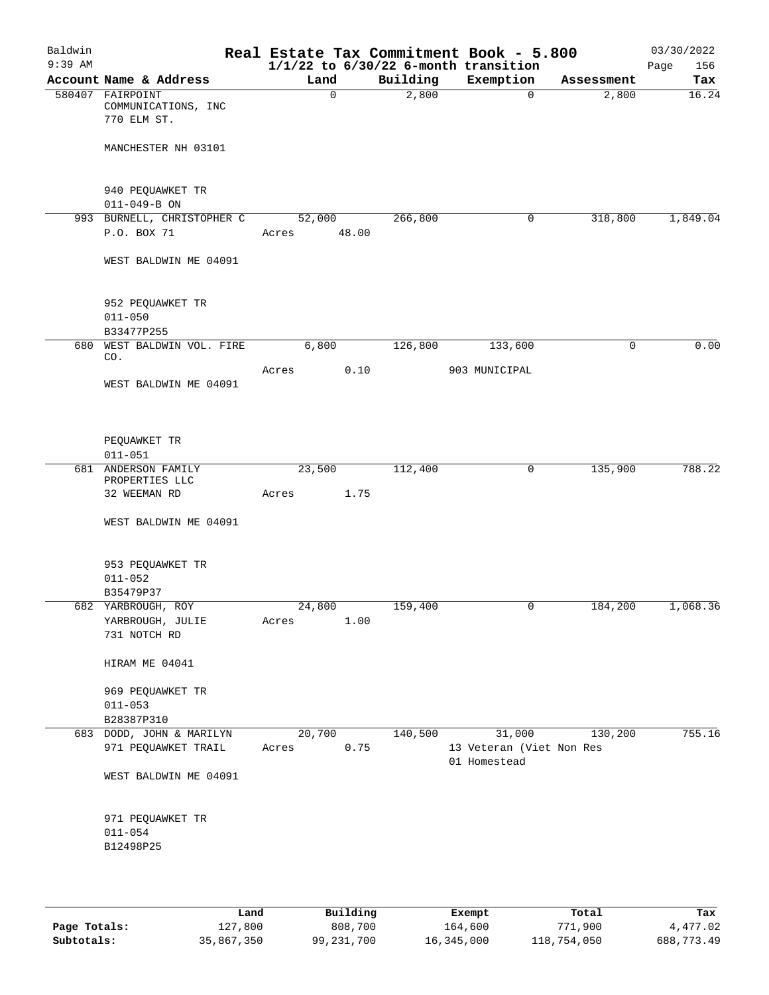| Baldwin<br>$9:39$ AM |                                                        |                 |              |          | Real Estate Tax Commitment Book - 5.800<br>$1/1/22$ to $6/30/22$ 6-month transition |            | 03/30/2022<br>Page<br>156 |
|----------------------|--------------------------------------------------------|-----------------|--------------|----------|-------------------------------------------------------------------------------------|------------|---------------------------|
|                      | Account Name & Address                                 | Land            |              | Building | Exemption                                                                           | Assessment | Tax                       |
|                      | 580407 FAIRPOINT<br>COMMUNICATIONS, INC<br>770 ELM ST. |                 | $\mathsf{O}$ | 2,800    | $\overline{0}$                                                                      | 2,800      | 16.24                     |
|                      | MANCHESTER NH 03101                                    |                 |              |          |                                                                                     |            |                           |
|                      | 940 PEQUAWKET TR<br>$011 - 049 - B ON$                 |                 |              |          |                                                                                     |            |                           |
|                      | 993 BURNELL, CHRISTOPHER C                             | 52,000          |              | 266,800  | $\mathbf 0$                                                                         | 318,800    | 1,849.04                  |
|                      | P.O. BOX 71                                            | Acres 48.00     |              |          |                                                                                     |            |                           |
|                      | WEST BALDWIN ME 04091                                  |                 |              |          |                                                                                     |            |                           |
|                      | 952 PEQUAWKET TR<br>$011 - 050$<br>B33477P255          |                 |              |          |                                                                                     |            |                           |
|                      | 680 WEST BALDWIN VOL. FIRE                             | 6,800           |              | 126,800  | 133,600                                                                             | 0          | 0.00                      |
|                      | CO.                                                    |                 |              |          |                                                                                     |            |                           |
|                      | WEST BALDWIN ME 04091                                  | Acres           | 0.10         |          | 903 MUNICIPAL                                                                       |            |                           |
|                      | PEQUAWKET TR<br>$011 - 051$                            |                 |              |          |                                                                                     |            |                           |
|                      | 681 ANDERSON FAMILY                                    | 23,500          |              | 112,400  | $\mathsf{O}$                                                                        | 135,900    | 788.22                    |
|                      | PROPERTIES LLC<br>32 WEEMAN RD                         | Acres           | 1.75         |          |                                                                                     |            |                           |
|                      | WEST BALDWIN ME 04091                                  |                 |              |          |                                                                                     |            |                           |
|                      | 953 PEQUAWKET TR<br>$011 - 052$<br>B35479P37           |                 |              |          |                                                                                     |            |                           |
| 682                  | YARBROUGH, ROY                                         | 24,800          |              | 159,400  | 0                                                                                   | 184,200    | 1,068.36                  |
|                      | YARBROUGH, JULIE<br>731 NOTCH RD                       | Acres           | 1.00         |          |                                                                                     |            |                           |
|                      | HIRAM ME 04041                                         |                 |              |          |                                                                                     |            |                           |
|                      | 969 PEQUAWKET TR                                       |                 |              |          |                                                                                     |            |                           |
|                      | $011 - 053$                                            |                 |              |          |                                                                                     |            |                           |
|                      | B28387P310                                             |                 |              |          |                                                                                     |            |                           |
|                      | 683 DODD, JOHN & MARILYN<br>971 PEQUAWKET TRAIL        | 20,700<br>Acres | 0.75         | 140,500  | 31,000<br>13 Veteran (Viet Non Res<br>01 Homestead                                  | 130,200    | 755.16                    |
|                      | WEST BALDWIN ME 04091                                  |                 |              |          |                                                                                     |            |                           |
|                      | 971 PEQUAWKET TR<br>$011 - 054$<br>B12498P25           |                 |              |          |                                                                                     |            |                           |
|                      |                                                        |                 |              |          |                                                                                     |            |                           |

|              | Land       | Building   | Exempt     | Total       | Tax        |
|--------------|------------|------------|------------|-------------|------------|
| Page Totals: | 127,800    | 808,700    | 164,600    | 771,900     | 4,477.02   |
| Subtotals:   | 35,867,350 | 99,231,700 | 16,345,000 | 118,754,050 | 688,773.49 |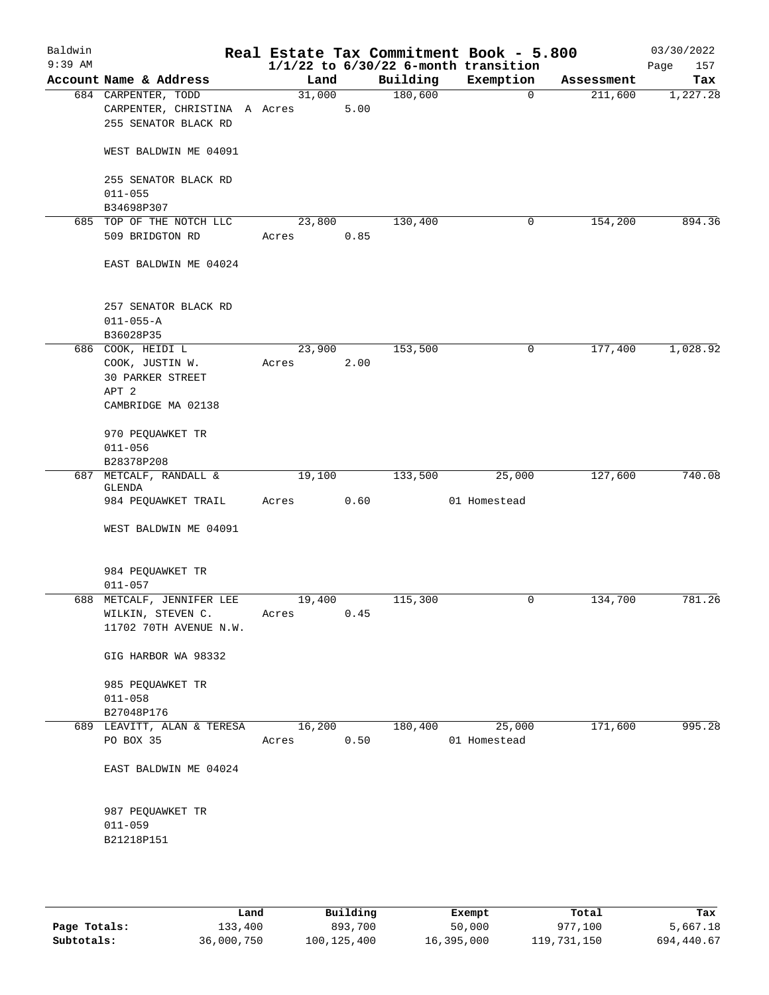| Baldwin<br>$9:39$ AM |                                                                             |                 |      |          | Real Estate Tax Commitment Book - 5.800<br>$1/1/22$ to $6/30/22$ 6-month transition |            | 03/30/2022<br>157<br>Page |
|----------------------|-----------------------------------------------------------------------------|-----------------|------|----------|-------------------------------------------------------------------------------------|------------|---------------------------|
|                      | Account Name & Address                                                      | Land            |      | Building | Exemption                                                                           | Assessment | Tax                       |
|                      | 684 CARPENTER, TODD<br>CARPENTER, CHRISTINA A Acres<br>255 SENATOR BLACK RD | 31,000          | 5.00 | 180,600  | $\overline{0}$                                                                      | 211,600    | 1,227.28                  |
|                      | WEST BALDWIN ME 04091                                                       |                 |      |          |                                                                                     |            |                           |
|                      | 255 SENATOR BLACK RD<br>$011 - 055$<br>B34698P307                           |                 |      |          |                                                                                     |            |                           |
|                      | 685 TOP OF THE NOTCH LLC                                                    | 23,800          |      | 130,400  | 0                                                                                   | 154,200    | 894.36                    |
|                      | 509 BRIDGTON RD                                                             | Acres           | 0.85 |          |                                                                                     |            |                           |
|                      | EAST BALDWIN ME 04024                                                       |                 |      |          |                                                                                     |            |                           |
|                      | 257 SENATOR BLACK RD<br>$011 - 055 - A$                                     |                 |      |          |                                                                                     |            |                           |
|                      | B36028P35                                                                   |                 |      |          |                                                                                     |            |                           |
|                      | 686 COOK, HEIDI L<br>COOK, JUSTIN W.<br><b>30 PARKER STREET</b><br>APT 2    | 23,900<br>Acres | 2.00 | 153,500  | 0                                                                                   | 177,400    | 1,028.92                  |
|                      | CAMBRIDGE MA 02138                                                          |                 |      |          |                                                                                     |            |                           |
|                      | 970 PEQUAWKET TR<br>$011 - 056$                                             |                 |      |          |                                                                                     |            |                           |
| 687                  | B28378P208<br>METCALF, RANDALL &                                            | 19,100          |      | 133,500  | 25,000                                                                              | 127,600    | 740.08                    |
|                      | GLENDA                                                                      |                 |      |          |                                                                                     |            |                           |
|                      | 984 PEQUAWKET TRAIL                                                         | Acres           | 0.60 |          | 01 Homestead                                                                        |            |                           |
|                      | WEST BALDWIN ME 04091                                                       |                 |      |          |                                                                                     |            |                           |
|                      | 984 PEQUAWKET TR<br>$011 - 057$                                             |                 |      |          |                                                                                     |            |                           |
|                      | 688 METCALF, JENNIFER LEE                                                   | 19,400          |      | 115,300  | 0                                                                                   | 134,700    | 781.26                    |
|                      | WILKIN, STEVEN C.<br>11702 70TH AVENUE N.W.                                 | Acres           | 0.45 |          |                                                                                     |            |                           |
|                      | GIG HARBOR WA 98332                                                         |                 |      |          |                                                                                     |            |                           |
|                      | 985 PEQUAWKET TR<br>$011 - 058$                                             |                 |      |          |                                                                                     |            |                           |
|                      | B27048P176                                                                  |                 |      |          |                                                                                     |            |                           |
|                      | 689 LEAVITT, ALAN & TERESA<br>PO BOX 35                                     | 16,200<br>Acres | 0.50 | 180,400  | 25,000<br>01 Homestead                                                              | 171,600    | 995.28                    |
|                      | EAST BALDWIN ME 04024                                                       |                 |      |          |                                                                                     |            |                           |
|                      | 987 PEQUAWKET TR<br>$011 - 059$                                             |                 |      |          |                                                                                     |            |                           |
|                      | B21218P151                                                                  |                 |      |          |                                                                                     |            |                           |

|              | Land       | Building    | Exempt     | Total       | Tax        |
|--------------|------------|-------------|------------|-------------|------------|
| Page Totals: | 133,400    | 893,700     | 50,000     | 977,100     | 5,667.18   |
| Subtotals:   | 36,000,750 | 100,125,400 | 16,395,000 | 119,731,150 | 694,440.67 |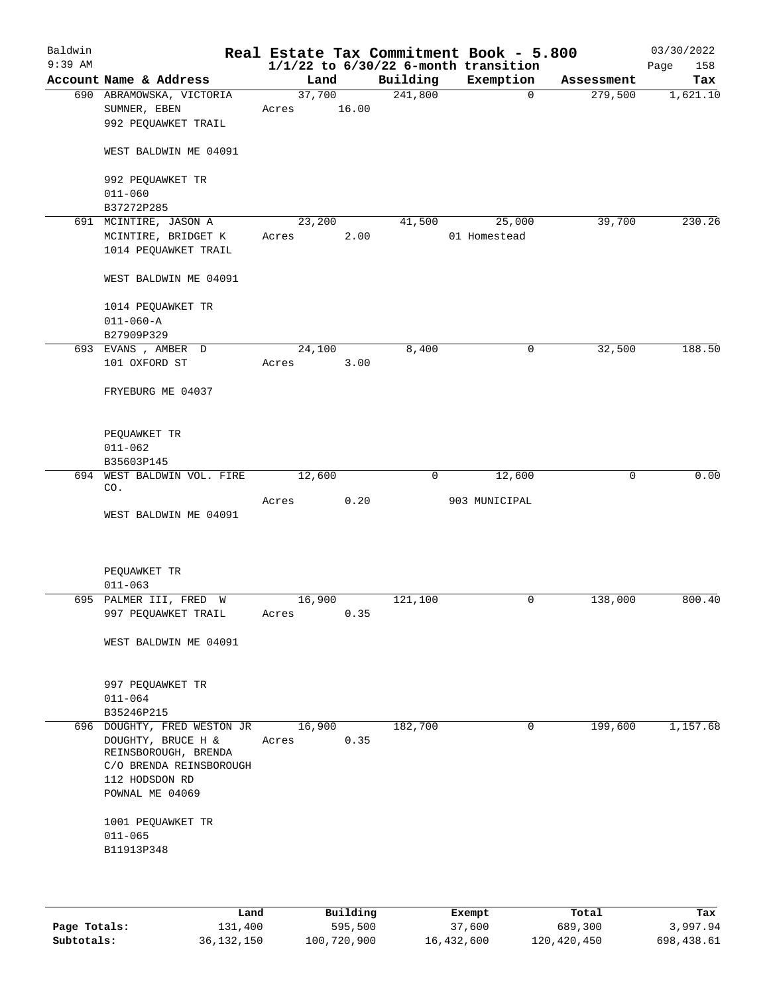| Baldwin<br>$9:39$ AM |                             |        |       |          | Real Estate Tax Commitment Book - 5.800<br>$1/1/22$ to $6/30/22$ 6-month transition |            | 03/30/2022<br>158<br>Page |
|----------------------|-----------------------------|--------|-------|----------|-------------------------------------------------------------------------------------|------------|---------------------------|
|                      | Account Name & Address      | Land   |       | Building | Exemption                                                                           | Assessment | Tax                       |
|                      | 690 ABRAMOWSKA, VICTORIA    | 37,700 |       | 241,800  | $\mathbf{0}$                                                                        | 279,500    | 1,621.10                  |
|                      | SUMNER, EBEN                | Acres  | 16.00 |          |                                                                                     |            |                           |
|                      |                             |        |       |          |                                                                                     |            |                           |
|                      | 992 PEQUAWKET TRAIL         |        |       |          |                                                                                     |            |                           |
|                      |                             |        |       |          |                                                                                     |            |                           |
|                      | WEST BALDWIN ME 04091       |        |       |          |                                                                                     |            |                           |
|                      |                             |        |       |          |                                                                                     |            |                           |
|                      | 992 PEQUAWKET TR            |        |       |          |                                                                                     |            |                           |
|                      | $011 - 060$                 |        |       |          |                                                                                     |            |                           |
|                      | B37272P285                  |        |       |          |                                                                                     |            |                           |
|                      | 691 MCINTIRE, JASON A       | 23,200 |       | 41,500   | 25,000                                                                              | 39,700     | 230.26                    |
|                      | MCINTIRE, BRIDGET K         | Acres  | 2.00  |          | 01 Homestead                                                                        |            |                           |
|                      | 1014 PEQUAWKET TRAIL        |        |       |          |                                                                                     |            |                           |
|                      |                             |        |       |          |                                                                                     |            |                           |
|                      |                             |        |       |          |                                                                                     |            |                           |
|                      | WEST BALDWIN ME 04091       |        |       |          |                                                                                     |            |                           |
|                      |                             |        |       |          |                                                                                     |            |                           |
|                      | 1014 PEQUAWKET TR           |        |       |          |                                                                                     |            |                           |
|                      | $011 - 060 - A$             |        |       |          |                                                                                     |            |                           |
|                      | B27909P329                  |        |       |          |                                                                                     |            |                           |
|                      | 693 EVANS, AMBER D          | 24,100 |       | 8,400    | 0                                                                                   | 32,500     | 188.50                    |
|                      | 101 OXFORD ST               | Acres  | 3.00  |          |                                                                                     |            |                           |
|                      |                             |        |       |          |                                                                                     |            |                           |
|                      | FRYEBURG ME 04037           |        |       |          |                                                                                     |            |                           |
|                      |                             |        |       |          |                                                                                     |            |                           |
|                      |                             |        |       |          |                                                                                     |            |                           |
|                      |                             |        |       |          |                                                                                     |            |                           |
|                      | PEQUAWKET TR                |        |       |          |                                                                                     |            |                           |
|                      | $011 - 062$                 |        |       |          |                                                                                     |            |                           |
|                      | B35603P145                  |        |       |          |                                                                                     |            |                           |
|                      | 694 WEST BALDWIN VOL. FIRE  | 12,600 |       | 0        | 12,600                                                                              | 0          | 0.00                      |
|                      | CO.                         |        |       |          |                                                                                     |            |                           |
|                      |                             | Acres  | 0.20  |          | 903 MUNICIPAL                                                                       |            |                           |
|                      | WEST BALDWIN ME 04091       |        |       |          |                                                                                     |            |                           |
|                      |                             |        |       |          |                                                                                     |            |                           |
|                      |                             |        |       |          |                                                                                     |            |                           |
|                      |                             |        |       |          |                                                                                     |            |                           |
|                      | PEQUAWKET TR                |        |       |          |                                                                                     |            |                           |
|                      | $011 - 063$                 |        |       |          |                                                                                     |            |                           |
|                      | 695 PALMER III, FRED W      | 16,900 |       | 121,100  | 0                                                                                   | 138,000    | 800.40                    |
|                      |                             |        |       |          |                                                                                     |            |                           |
|                      | 997 PEQUAWKET TRAIL         | Acres  | 0.35  |          |                                                                                     |            |                           |
|                      |                             |        |       |          |                                                                                     |            |                           |
|                      | WEST BALDWIN ME 04091       |        |       |          |                                                                                     |            |                           |
|                      |                             |        |       |          |                                                                                     |            |                           |
|                      |                             |        |       |          |                                                                                     |            |                           |
|                      | 997 PEQUAWKET TR            |        |       |          |                                                                                     |            |                           |
|                      | $011 - 064$                 |        |       |          |                                                                                     |            |                           |
|                      | B35246P215                  |        |       |          |                                                                                     |            |                           |
|                      | 696 DOUGHTY, FRED WESTON JR | 16,900 |       | 182,700  | $\mathbf 0$                                                                         | 199,600    | 1,157.68                  |
|                      | DOUGHTY, BRUCE H &          | Acres  | 0.35  |          |                                                                                     |            |                           |
|                      | REINSBOROUGH, BRENDA        |        |       |          |                                                                                     |            |                           |
|                      | C/O BRENDA REINSBOROUGH     |        |       |          |                                                                                     |            |                           |
|                      |                             |        |       |          |                                                                                     |            |                           |
|                      | 112 HODSDON RD              |        |       |          |                                                                                     |            |                           |
|                      | POWNAL ME 04069             |        |       |          |                                                                                     |            |                           |
|                      |                             |        |       |          |                                                                                     |            |                           |
|                      | 1001 PEQUAWKET TR           |        |       |          |                                                                                     |            |                           |
|                      | $011 - 065$                 |        |       |          |                                                                                     |            |                           |
|                      | B11913P348                  |        |       |          |                                                                                     |            |                           |
|                      |                             |        |       |          |                                                                                     |            |                           |
|                      |                             |        |       |          |                                                                                     |            |                           |
|                      |                             |        |       |          |                                                                                     |            |                           |

|              | Land         | Building    | Exempt     | Total       | Tax        |
|--------------|--------------|-------------|------------|-------------|------------|
| Page Totals: | 131,400      | 595,500     | 37,600     | 689,300     | 3,997.94   |
| Subtotals:   | 36, 132, 150 | 100,720,900 | 16,432,600 | 120,420,450 | 698,438.61 |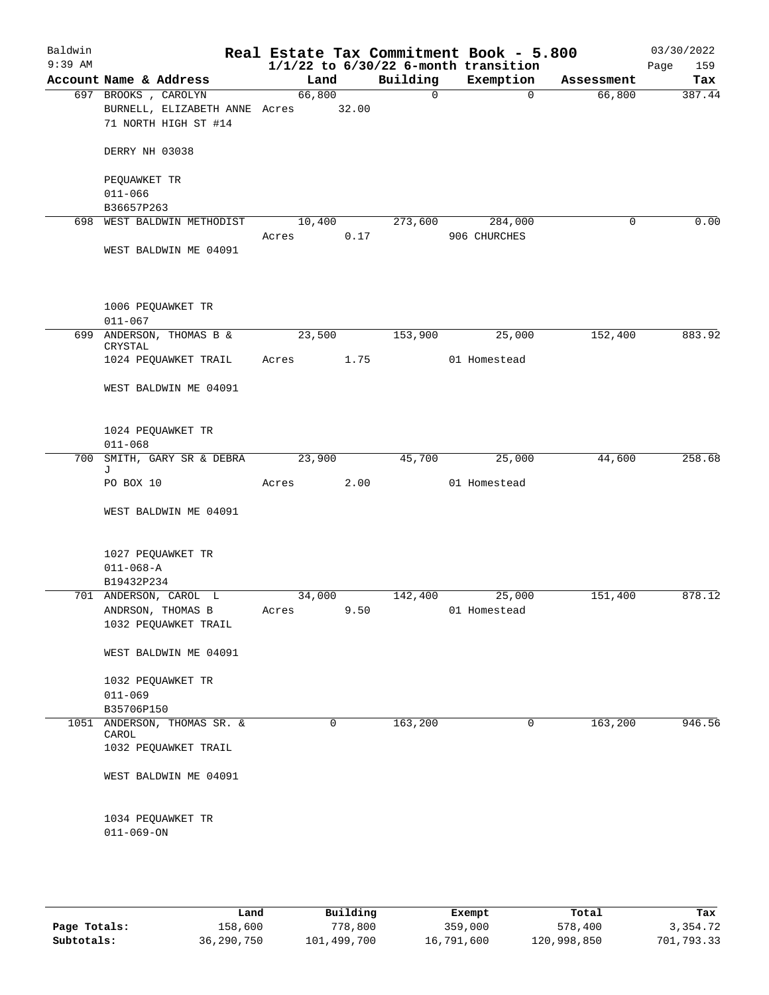|                                                    |                                                                                                                                                                                                                                                                |                                                  |                                                                                      |                                                                                                                            | 03/30/2022<br>159<br>Page                                                                                                             |
|----------------------------------------------------|----------------------------------------------------------------------------------------------------------------------------------------------------------------------------------------------------------------------------------------------------------------|--------------------------------------------------|--------------------------------------------------------------------------------------|----------------------------------------------------------------------------------------------------------------------------|---------------------------------------------------------------------------------------------------------------------------------------|
|                                                    |                                                                                                                                                                                                                                                                |                                                  |                                                                                      |                                                                                                                            | Tax                                                                                                                                   |
|                                                    |                                                                                                                                                                                                                                                                | $\mathsf{O}$                                     | $\Omega$                                                                             |                                                                                                                            | 387.44                                                                                                                                |
|                                                    |                                                                                                                                                                                                                                                                |                                                  |                                                                                      |                                                                                                                            |                                                                                                                                       |
| 71 NORTH HIGH ST #14                               |                                                                                                                                                                                                                                                                |                                                  |                                                                                      |                                                                                                                            |                                                                                                                                       |
| DERRY NH 03038                                     |                                                                                                                                                                                                                                                                |                                                  |                                                                                      |                                                                                                                            |                                                                                                                                       |
| PEQUAWKET TR                                       |                                                                                                                                                                                                                                                                |                                                  |                                                                                      |                                                                                                                            |                                                                                                                                       |
|                                                    |                                                                                                                                                                                                                                                                |                                                  |                                                                                      |                                                                                                                            |                                                                                                                                       |
|                                                    |                                                                                                                                                                                                                                                                |                                                  |                                                                                      |                                                                                                                            |                                                                                                                                       |
|                                                    |                                                                                                                                                                                                                                                                |                                                  |                                                                                      |                                                                                                                            | 0.00                                                                                                                                  |
| WEST BALDWIN ME 04091                              |                                                                                                                                                                                                                                                                |                                                  |                                                                                      |                                                                                                                            |                                                                                                                                       |
| 1006 PEQUAWKET TR<br>$011 - 067$                   |                                                                                                                                                                                                                                                                |                                                  |                                                                                      |                                                                                                                            |                                                                                                                                       |
| CRYSTAL                                            | 23,500                                                                                                                                                                                                                                                         |                                                  | 25,000                                                                               | 152,400                                                                                                                    | 883.92                                                                                                                                |
| 1024 PEQUAWKET TRAIL                               |                                                                                                                                                                                                                                                                |                                                  | 01 Homestead                                                                         |                                                                                                                            |                                                                                                                                       |
| WEST BALDWIN ME 04091                              |                                                                                                                                                                                                                                                                |                                                  |                                                                                      |                                                                                                                            |                                                                                                                                       |
| 1024 PEQUAWKET TR<br>$011 - 068$                   |                                                                                                                                                                                                                                                                |                                                  |                                                                                      |                                                                                                                            |                                                                                                                                       |
| SMITH, GARY SR & DEBRA                             | 23,900                                                                                                                                                                                                                                                         |                                                  | 25,000                                                                               | 44,600                                                                                                                     | 258.68                                                                                                                                |
| PO BOX 10                                          | Acres                                                                                                                                                                                                                                                          |                                                  | 01 Homestead                                                                         |                                                                                                                            |                                                                                                                                       |
| WEST BALDWIN ME 04091                              |                                                                                                                                                                                                                                                                |                                                  |                                                                                      |                                                                                                                            |                                                                                                                                       |
| 1027 PEQUAWKET TR<br>$011 - 068 - A$<br>B19432P234 |                                                                                                                                                                                                                                                                |                                                  |                                                                                      |                                                                                                                            |                                                                                                                                       |
|                                                    | 34,000                                                                                                                                                                                                                                                         |                                                  | 25,000                                                                               | 151,400                                                                                                                    | 878.12                                                                                                                                |
|                                                    | Acres                                                                                                                                                                                                                                                          |                                                  |                                                                                      |                                                                                                                            |                                                                                                                                       |
|                                                    |                                                                                                                                                                                                                                                                |                                                  |                                                                                      |                                                                                                                            |                                                                                                                                       |
| WEST BALDWIN ME 04091                              |                                                                                                                                                                                                                                                                |                                                  |                                                                                      |                                                                                                                            |                                                                                                                                       |
| 1032 PEQUAWKET TR                                  |                                                                                                                                                                                                                                                                |                                                  |                                                                                      |                                                                                                                            |                                                                                                                                       |
| $011 - 069$                                        |                                                                                                                                                                                                                                                                |                                                  |                                                                                      |                                                                                                                            |                                                                                                                                       |
| B35706P150                                         |                                                                                                                                                                                                                                                                |                                                  |                                                                                      |                                                                                                                            |                                                                                                                                       |
|                                                    |                                                                                                                                                                                                                                                                |                                                  |                                                                                      |                                                                                                                            | 946.56                                                                                                                                |
| 1032 PEQUAWKET TRAIL                               |                                                                                                                                                                                                                                                                |                                                  |                                                                                      |                                                                                                                            |                                                                                                                                       |
| WEST BALDWIN ME 04091                              |                                                                                                                                                                                                                                                                |                                                  |                                                                                      |                                                                                                                            |                                                                                                                                       |
| 1034 PEQUAWKET TR<br>$011 - 069 - ON$              |                                                                                                                                                                                                                                                                |                                                  |                                                                                      |                                                                                                                            |                                                                                                                                       |
|                                                    | Account Name & Address<br>697 BROOKS, CAROLYN<br>$011 - 066$<br>B36657P263<br>698 WEST BALDWIN METHODIST<br>699 ANDERSON, THOMAS B &<br>700<br>J<br>701 ANDERSON, CAROL L<br>ANDRSON, THOMAS B<br>1032 PEQUAWKET TRAIL<br>1051 ANDERSON, THOMAS SR. &<br>CAROL | Land<br>66,800<br>10,400<br>Acres<br>$\mathbf 0$ | BURNELL, ELIZABETH ANNE Acres 32.00<br>0.17<br>Acres 1.75<br>2.00<br>9.50<br>163,200 | Building<br>Exemption<br>273,600<br>284,000<br>906 CHURCHES<br>153,900<br>45,700<br>142,400<br>01 Homestead<br>$\mathbf 0$ | Real Estate Tax Commitment Book - 5.800<br>$1/1/22$ to $6/30/22$ 6-month transition<br>Assessment<br>66,800<br>$\mathbf 0$<br>163,200 |

|              | Land       | Building    | Exempt     | Total       | Tax        |
|--------------|------------|-------------|------------|-------------|------------|
| Page Totals: | 158,600    | 778,800     | 359,000    | 578,400     | 3,354.72   |
| Subtotals:   | 36,290,750 | 101,499,700 | 16,791,600 | 120,998,850 | 701,793.33 |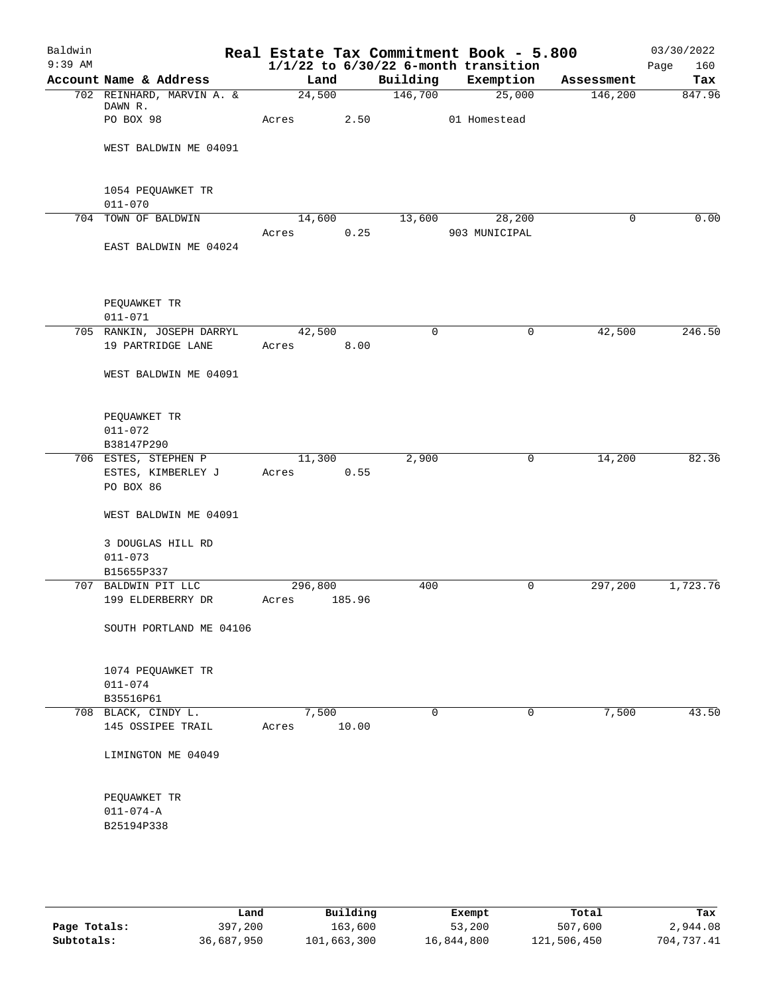| Baldwin<br>$9:39$ AM |                                            |                         |        |             | Real Estate Tax Commitment Book - 5.800<br>$1/1/22$ to $6/30/22$ 6-month transition |            | 03/30/2022<br>Page<br>160 |
|----------------------|--------------------------------------------|-------------------------|--------|-------------|-------------------------------------------------------------------------------------|------------|---------------------------|
|                      | Account Name & Address                     | Land                    |        | Building    | Exemption                                                                           | Assessment | Tax                       |
|                      | 702 REINHARD, MARVIN A. &                  | 24,500                  |        | 146,700     | 25,000                                                                              | 146,200    | 847.96                    |
|                      | DAWN R.                                    |                         |        |             |                                                                                     |            |                           |
|                      | PO BOX 98                                  | Acres                   | 2.50   |             | 01 Homestead                                                                        |            |                           |
|                      | WEST BALDWIN ME 04091                      |                         |        |             |                                                                                     |            |                           |
|                      |                                            |                         |        |             |                                                                                     |            |                           |
|                      | 1054 PEQUAWKET TR<br>$011 - 070$           |                         |        |             |                                                                                     |            |                           |
|                      | 704 TOWN OF BALDWIN                        |                         | 14,600 |             | 13,600 28,200                                                                       | 0          | 0.00                      |
|                      |                                            | Acres                   | 0.25   |             | 903 MUNICIPAL                                                                       |            |                           |
|                      | EAST BALDWIN ME 04024                      |                         |        |             |                                                                                     |            |                           |
|                      | PEQUAWKET TR                               |                         |        |             |                                                                                     |            |                           |
|                      | $011 - 071$                                |                         |        |             |                                                                                     |            |                           |
|                      | 705 RANKIN, JOSEPH DARRYL                  | 42,500                  |        | 0           | $\mathbf 0$                                                                         | 42,500     | 246.50                    |
|                      | 19 PARTRIDGE LANE                          | Acres                   | 8.00   |             |                                                                                     |            |                           |
|                      | WEST BALDWIN ME 04091                      |                         |        |             |                                                                                     |            |                           |
|                      | PEQUAWKET TR                               |                         |        |             |                                                                                     |            |                           |
|                      | $011 - 072$                                |                         |        |             |                                                                                     |            |                           |
|                      | B38147P290                                 |                         |        |             |                                                                                     |            |                           |
|                      | 706 ESTES, STEPHEN P<br>ESTES, KIMBERLEY J | 11,300<br>Acres         | 0.55   | 2,900       | $\mathbf 0$                                                                         | 14,200     | 82.36                     |
|                      | PO BOX 86                                  |                         |        |             |                                                                                     |            |                           |
|                      | WEST BALDWIN ME 04091                      |                         |        |             |                                                                                     |            |                           |
|                      | 3 DOUGLAS HILL RD                          |                         |        |             |                                                                                     |            |                           |
|                      | $011 - 073$                                |                         |        |             |                                                                                     |            |                           |
|                      | B15655P337                                 |                         |        |             |                                                                                     |            |                           |
|                      | 707 BALDWIN PIT LLC<br>199 ELDERBERRY DR   | 296,800<br>Acres 185.96 |        | 400         | $\mathsf{O}$                                                                        | 297,200    | 1,723.76                  |
|                      |                                            |                         |        |             |                                                                                     |            |                           |
|                      | SOUTH PORTLAND ME 04106                    |                         |        |             |                                                                                     |            |                           |
|                      | 1074 PEQUAWKET TR                          |                         |        |             |                                                                                     |            |                           |
|                      | $011 - 074$                                |                         |        |             |                                                                                     |            |                           |
|                      | B35516P61                                  |                         |        |             |                                                                                     |            |                           |
|                      | 708 BLACK, CINDY L.                        | 7,500                   |        | $\mathbf 0$ | $\mathbf 0$                                                                         | 7,500      | 43.50                     |
|                      | 145 OSSIPEE TRAIL                          | Acres                   | 10.00  |             |                                                                                     |            |                           |
|                      | LIMINGTON ME 04049                         |                         |        |             |                                                                                     |            |                           |
|                      |                                            |                         |        |             |                                                                                     |            |                           |
|                      | PEQUAWKET TR                               |                         |        |             |                                                                                     |            |                           |
|                      | $011 - 074 - A$<br>B25194P338              |                         |        |             |                                                                                     |            |                           |
|                      |                                            |                         |        |             |                                                                                     |            |                           |
|                      |                                            |                         |        |             |                                                                                     |            |                           |
|                      |                                            |                         |        |             |                                                                                     |            |                           |
|                      |                                            |                         |        |             |                                                                                     |            |                           |

|              | Land       | Building    | Exempt     | Total       | Tax        |
|--------------|------------|-------------|------------|-------------|------------|
| Page Totals: | 397,200    | 163,600     | 53,200     | 507,600     | 2,944.08   |
| Subtotals:   | 36,687,950 | 101,663,300 | 16,844,800 | 121,506,450 | 704,737.41 |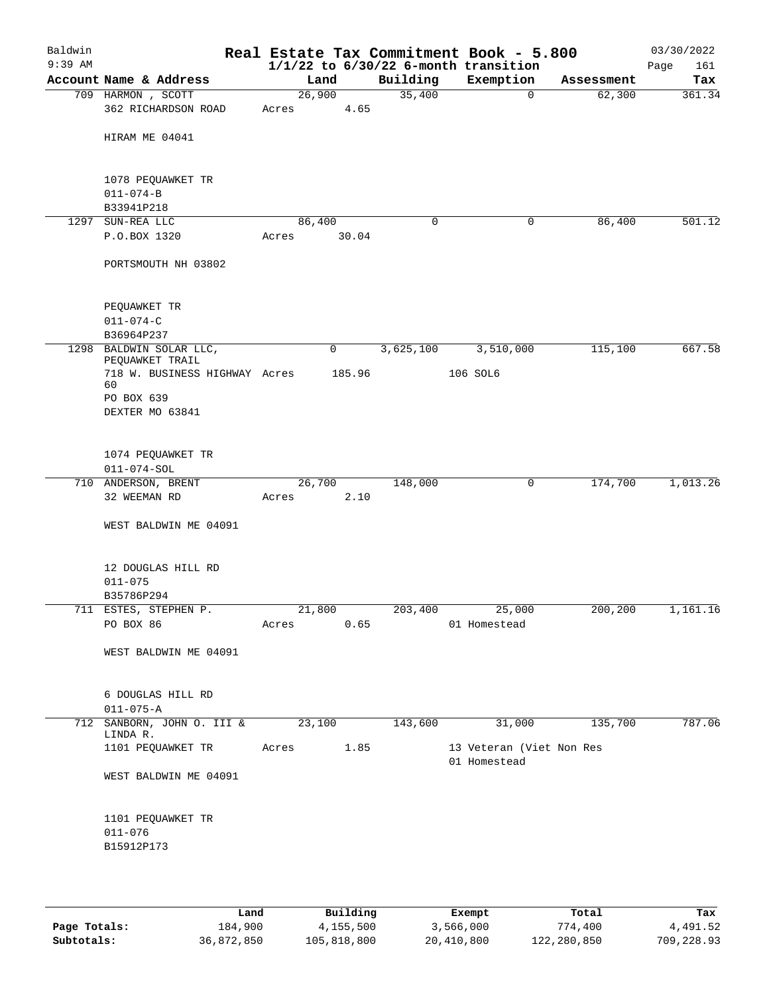| Baldwin<br>$9:39$ AM |                                                  |        |        |           | Real Estate Tax Commitment Book - 5.800<br>$1/1/22$ to $6/30/22$ 6-month transition |            | 03/30/2022<br>Page<br>161 |
|----------------------|--------------------------------------------------|--------|--------|-----------|-------------------------------------------------------------------------------------|------------|---------------------------|
|                      | Account Name & Address                           | Land   |        | Building  | Exemption                                                                           | Assessment | Tax                       |
|                      | 709 HARMON , SCOTT                               | 26,900 |        | 35,400    | 0                                                                                   | 62,300     | 361.34                    |
|                      | 362 RICHARDSON ROAD                              | Acres  | 4.65   |           |                                                                                     |            |                           |
|                      | HIRAM ME 04041                                   |        |        |           |                                                                                     |            |                           |
|                      |                                                  |        |        |           |                                                                                     |            |                           |
|                      | 1078 PEQUAWKET TR                                |        |        |           |                                                                                     |            |                           |
|                      | $011 - 074 - B$<br>B33941P218                    |        |        |           |                                                                                     |            |                           |
| 1297                 | SUN-REA LLC                                      | 86,400 |        | 0         | 0                                                                                   | 86,400     | 501.12                    |
|                      | P.O.BOX 1320                                     | Acres  | 30.04  |           |                                                                                     |            |                           |
|                      | PORTSMOUTH NH 03802                              |        |        |           |                                                                                     |            |                           |
|                      | PEQUAWKET TR                                     |        |        |           |                                                                                     |            |                           |
|                      | $011 - 074 - C$                                  |        |        |           |                                                                                     |            |                           |
|                      | B36964P237                                       |        |        |           |                                                                                     |            |                           |
|                      | 1298 BALDWIN SOLAR LLC,                          |        | 0      | 3,625,100 | 3,510,000                                                                           | 115,100    | 667.58                    |
|                      | PEQUAWKET TRAIL<br>718 W. BUSINESS HIGHWAY Acres |        | 185.96 |           | 106 SOL6                                                                            |            |                           |
|                      | 60<br>PO BOX 639                                 |        |        |           |                                                                                     |            |                           |
|                      | DEXTER MO 63841                                  |        |        |           |                                                                                     |            |                           |
|                      |                                                  |        |        |           |                                                                                     |            |                           |
|                      | 1074 PEQUAWKET TR                                |        |        |           |                                                                                     |            |                           |
|                      | $011 - 074 - SOL$                                |        |        |           |                                                                                     |            |                           |
|                      | 710 ANDERSON, BRENT                              | 26,700 |        | 148,000   | 0                                                                                   | 174,700    | 1,013.26                  |
|                      | 32 WEEMAN RD                                     | Acres  | 2.10   |           |                                                                                     |            |                           |
|                      | WEST BALDWIN ME 04091                            |        |        |           |                                                                                     |            |                           |
|                      | 12 DOUGLAS HILL RD                               |        |        |           |                                                                                     |            |                           |
|                      | $011 - 075$                                      |        |        |           |                                                                                     |            |                           |
|                      | B35786P294                                       |        |        |           |                                                                                     |            |                           |
|                      | 711 ESTES, STEPHEN P.                            | 21,800 |        |           | 203,400 25,000                                                                      | 200,200    | 1,161.16                  |
|                      | PO BOX 86                                        | Acres  | 0.65   |           | 01 Homestead                                                                        |            |                           |
|                      | WEST BALDWIN ME 04091                            |        |        |           |                                                                                     |            |                           |
|                      | 6 DOUGLAS HILL RD                                |        |        |           |                                                                                     |            |                           |
|                      | $011 - 075 - A$                                  |        |        |           |                                                                                     |            |                           |
|                      | 712 SANBORN, JOHN O. III & 23,100                |        |        | 143,600   | 31,000                                                                              | 135,700    | 787.06                    |
|                      | LINDA R.                                         |        |        |           |                                                                                     |            |                           |
|                      | 1101 PEQUAWKET TR                                | Acres  | 1.85   |           | 13 Veteran (Viet Non Res<br>01 Homestead                                            |            |                           |
|                      | WEST BALDWIN ME 04091                            |        |        |           |                                                                                     |            |                           |
|                      | 1101 PEQUAWKET TR                                |        |        |           |                                                                                     |            |                           |
|                      | $011 - 076$                                      |        |        |           |                                                                                     |            |                           |
|                      | B15912P173                                       |        |        |           |                                                                                     |            |                           |
|                      |                                                  |        |        |           |                                                                                     |            |                           |
|                      |                                                  |        |        |           |                                                                                     |            |                           |

|              | Land       | Building    | Exempt     | Total       | Tax        |
|--------------|------------|-------------|------------|-------------|------------|
| Page Totals: | 184,900    | 4,155,500   | 3,566,000  | 774,400     | 4,491.52   |
| Subtotals:   | 36,872,850 | 105,818,800 | 20,410,800 | 122,280,850 | 709,228.93 |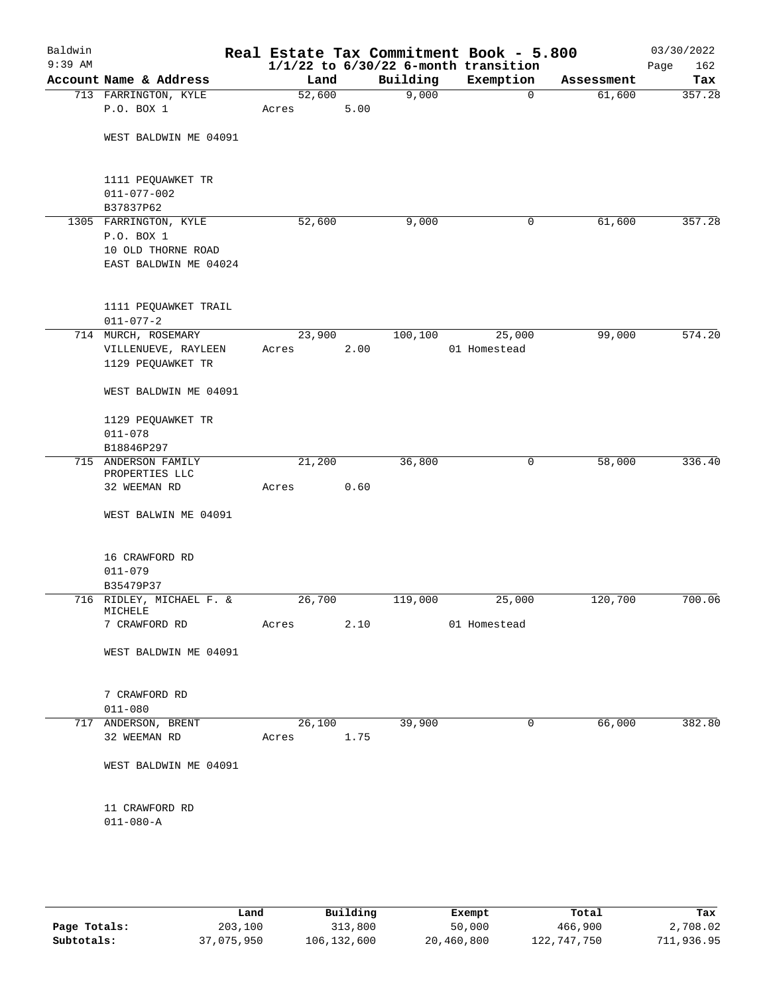| Baldwin<br>$9:39$ AM |                                                                                    |                 |      |          | Real Estate Tax Commitment Book - 5.800<br>$1/1/22$ to $6/30/22$ 6-month transition |            | 03/30/2022<br>162<br>Page |
|----------------------|------------------------------------------------------------------------------------|-----------------|------|----------|-------------------------------------------------------------------------------------|------------|---------------------------|
|                      | Account Name & Address                                                             | Land            |      | Building | Exemption                                                                           | Assessment | Tax                       |
|                      | 713 FARRINGTON, KYLE                                                               | 52,600          |      | 9,000    | $\mathbf 0$                                                                         | 61,600     | 357.28                    |
|                      | P.O. BOX 1                                                                         | Acres           | 5.00 |          |                                                                                     |            |                           |
|                      | WEST BALDWIN ME 04091                                                              |                 |      |          |                                                                                     |            |                           |
|                      | 1111 PEQUAWKET TR<br>$011 - 077 - 002$<br>B37837P62                                |                 |      |          |                                                                                     |            |                           |
|                      | 1305 FARRINGTON, KYLE<br>P.O. BOX 1<br>10 OLD THORNE ROAD<br>EAST BALDWIN ME 04024 | 52,600          |      | 9,000    | 0                                                                                   | 61,600     | 357.28                    |
|                      | 1111 PEQUAWKET TRAIL<br>$011 - 077 - 2$                                            |                 |      |          |                                                                                     |            |                           |
|                      | 714 MURCH, ROSEMARY<br>VILLENUEVE, RAYLEEN<br>1129 PEQUAWKET TR                    | 23,900<br>Acres | 2.00 | 100,100  | 25,000<br>01 Homestead                                                              | 99,000     | 574.20                    |
|                      | WEST BALDWIN ME 04091                                                              |                 |      |          |                                                                                     |            |                           |
|                      | 1129 PEQUAWKET TR<br>$011 - 078$                                                   |                 |      |          |                                                                                     |            |                           |
|                      | B18846P297<br>715 ANDERSON FAMILY                                                  | 21,200          |      | 36,800   | 0                                                                                   | 58,000     | 336.40                    |
|                      | PROPERTIES LLC                                                                     |                 | 0.60 |          |                                                                                     |            |                           |
|                      | 32 WEEMAN RD                                                                       | Acres           |      |          |                                                                                     |            |                           |
|                      | WEST BALWIN ME 04091                                                               |                 |      |          |                                                                                     |            |                           |
|                      | 16 CRAWFORD RD<br>$011 - 079$                                                      |                 |      |          |                                                                                     |            |                           |
|                      | B35479P37<br>716 RIDLEY, MICHAEL F. &                                              | 26,700          |      | 119,000  | 25,000                                                                              | 120,700    | 700.06                    |
|                      | MICHELE                                                                            |                 |      |          |                                                                                     |            |                           |
|                      | 7 CRAWFORD RD                                                                      | Acres           | 2.10 |          | 01 Homestead                                                                        |            |                           |
|                      | WEST BALDWIN ME 04091                                                              |                 |      |          |                                                                                     |            |                           |
|                      | 7 CRAWFORD RD<br>$011 - 080$                                                       |                 |      |          |                                                                                     |            |                           |
|                      | 717 ANDERSON, BRENT<br>32 WEEMAN RD                                                | 26,100<br>Acres | 1.75 | 39,900   | 0                                                                                   | 66,000     | 382.80                    |
|                      | WEST BALDWIN ME 04091                                                              |                 |      |          |                                                                                     |            |                           |
|                      | 11 CRAWFORD RD<br>$011 - 080 - A$                                                  |                 |      |          |                                                                                     |            |                           |
|                      |                                                                                    |                 |      |          |                                                                                     |            |                           |

|              | Land       | Building    | Exempt     | Total       | Tax        |
|--------------|------------|-------------|------------|-------------|------------|
| Page Totals: | 203,100    | 313,800     | 50,000     | 466,900     | 2,708.02   |
| Subtotals:   | 37,075,950 | 106,132,600 | 20,460,800 | 122,747,750 | 711,936.95 |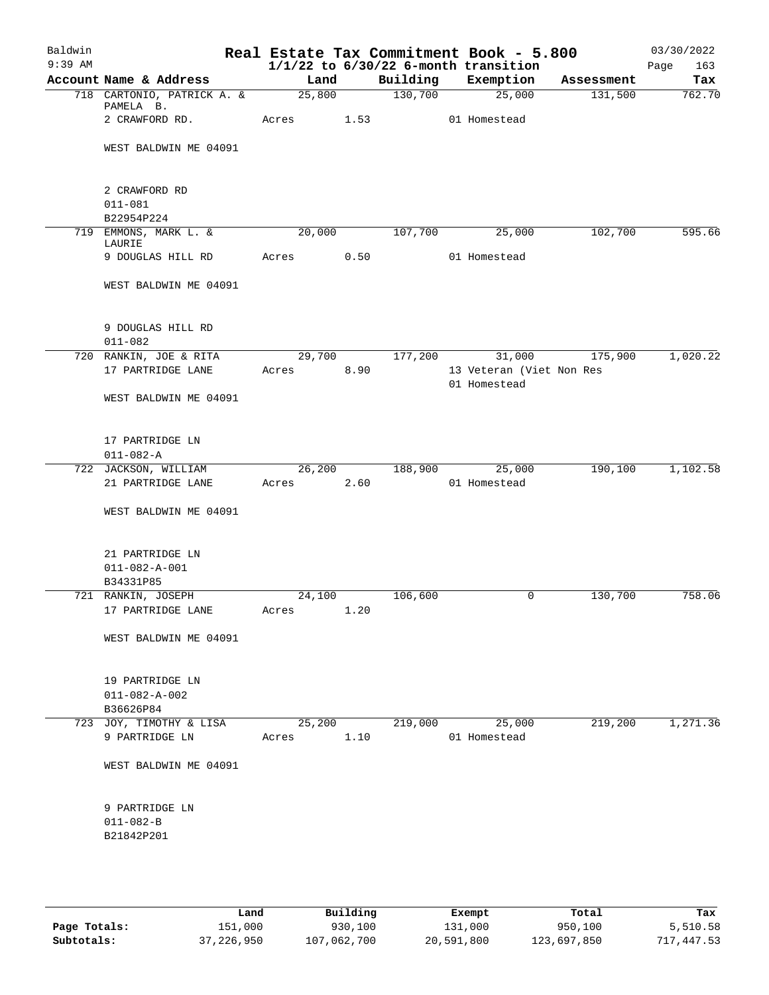| Baldwin   |                                           |                 |        |          | Real Estate Tax Commitment Book - 5.800  |            | 03/30/2022  |
|-----------|-------------------------------------------|-----------------|--------|----------|------------------------------------------|------------|-------------|
| $9:39$ AM |                                           |                 |        |          | $1/1/22$ to $6/30/22$ 6-month transition |            | Page<br>163 |
|           | Account Name & Address                    | Land            |        | Building | Exemption                                | Assessment | Tax         |
|           | 718 CARTONIO, PATRICK A. &<br>PAMELA B.   |                 | 25,800 | 130,700  | 25,000                                   | 131,500    | 762.70      |
|           | 2 CRAWFORD RD.                            | Acres 1.53      |        |          | 01 Homestead                             |            |             |
|           | WEST BALDWIN ME 04091                     |                 |        |          |                                          |            |             |
|           | 2 CRAWFORD RD                             |                 |        |          |                                          |            |             |
|           | $011 - 081$                               |                 |        |          |                                          |            |             |
|           | B22954P224                                |                 |        |          |                                          |            |             |
|           | 719 EMMONS, MARK L. &                     | 20,000          |        | 107,700  | 25,000                                   | 102,700    | 595.66      |
|           | LAURIE                                    |                 |        |          |                                          |            |             |
|           | 9 DOUGLAS HILL RD                         | Acres 0.50      |        |          | 01 Homestead                             |            |             |
|           | WEST BALDWIN ME 04091                     |                 |        |          |                                          |            |             |
|           | 9 DOUGLAS HILL RD                         |                 |        |          |                                          |            |             |
|           | $011 - 082$<br>720 RANKIN, JOE & RITA     | 29,700          |        | 177,200  | 31,000                                   | 175,900    | 1,020.22    |
|           | 17 PARTRIDGE LANE                         | Acres           |        |          | 13 Veteran (Viet Non Res                 |            |             |
|           |                                           |                 | 8.90   |          | 01 Homestead                             |            |             |
|           | WEST BALDWIN ME 04091                     |                 |        |          |                                          |            |             |
|           |                                           |                 |        |          |                                          |            |             |
|           | 17 PARTRIDGE LN                           |                 |        |          |                                          |            |             |
|           | $011 - 082 - A$                           |                 |        |          |                                          |            |             |
|           | 722 JACKSON, WILLIAM                      |                 | 26,200 | 188,900  | 25,000                                   | 190,100    | 1,102.58    |
|           | 21 PARTRIDGE LANE                         | Acres           | 2.60   |          | 01 Homestead                             |            |             |
|           | WEST BALDWIN ME 04091                     |                 |        |          |                                          |            |             |
|           | 21 PARTRIDGE LN                           |                 |        |          |                                          |            |             |
|           | $011 - 082 - A - 001$                     |                 |        |          |                                          |            |             |
|           | B34331P85                                 |                 |        |          |                                          |            |             |
|           | 721 RANKIN, JOSEPH                        |                 | 24,100 | 106,600  | 0                                        | 130,700    | 758.06      |
|           | 17 PARTRIDGE LANE                         | Acres 1.20      |        |          |                                          |            |             |
|           | WEST BALDWIN ME 04091                     |                 |        |          |                                          |            |             |
|           | 19 PARTRIDGE LN                           |                 |        |          |                                          |            |             |
|           | $011 - 082 - A - 002$                     |                 |        |          |                                          |            |             |
|           | B36626P84                                 |                 |        |          |                                          |            |             |
|           | 723 JOY, TIMOTHY & LISA<br>9 PARTRIDGE LN | 25,200<br>Acres | 1.10   | 219,000  | 25,000<br>01 Homestead                   | 219,200    | 1,271.36    |
|           | WEST BALDWIN ME 04091                     |                 |        |          |                                          |            |             |
|           |                                           |                 |        |          |                                          |            |             |
|           | 9 PARTRIDGE LN                            |                 |        |          |                                          |            |             |
|           | $011 - 082 - B$                           |                 |        |          |                                          |            |             |
|           | B21842P201                                |                 |        |          |                                          |            |             |
|           |                                           |                 |        |          |                                          |            |             |
|           |                                           |                 |        |          |                                          |            |             |

|              | Land       | Building    | Exempt     | Total       | Tax        |
|--------------|------------|-------------|------------|-------------|------------|
| Page Totals: | 151,000    | 930,100     | 131,000    | 950,100     | 5,510.58   |
| Subtotals:   | 37,226,950 | 107,062,700 | 20,591,800 | 123,697,850 | 717,447.53 |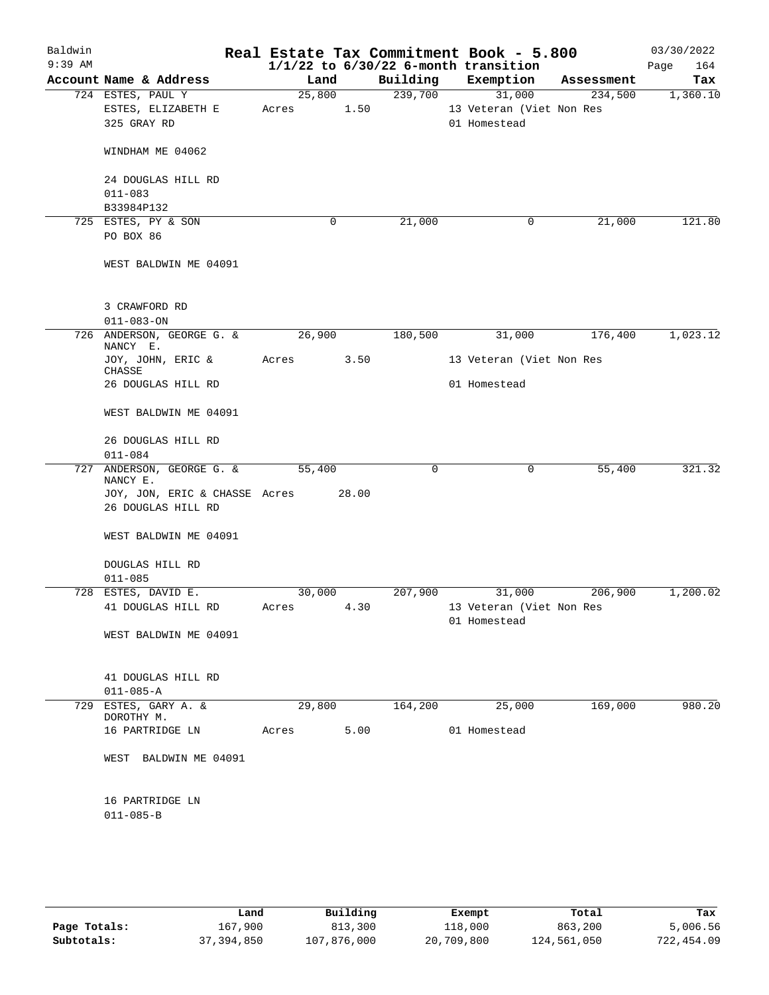| Baldwin<br>$9:39$ AM |                                       |        |       |          | Real Estate Tax Commitment Book - 5.800<br>$1/1/22$ to $6/30/22$ 6-month transition |            | 03/30/2022<br>Page<br>164 |
|----------------------|---------------------------------------|--------|-------|----------|-------------------------------------------------------------------------------------|------------|---------------------------|
|                      | Account Name & Address                | Land   |       | Building | Exemption                                                                           | Assessment | Tax                       |
|                      | 724 ESTES, PAUL Y                     | 25,800 |       | 239,700  | 31,000                                                                              | 234,500    | 1,360.10                  |
|                      | ESTES, ELIZABETH E                    | Acres  | 1.50  |          | 13 Veteran (Viet Non Res                                                            |            |                           |
|                      | 325 GRAY RD                           |        |       |          | 01 Homestead                                                                        |            |                           |
|                      | WINDHAM ME 04062                      |        |       |          |                                                                                     |            |                           |
|                      | 24 DOUGLAS HILL RD                    |        |       |          |                                                                                     |            |                           |
|                      | $011 - 083$                           |        |       |          |                                                                                     |            |                           |
|                      | B33984P132                            |        |       |          |                                                                                     |            |                           |
|                      | 725 ESTES, PY & SON<br>PO BOX 86      |        | 0     | 21,000   | 0                                                                                   | 21,000     | 121.80                    |
|                      | WEST BALDWIN ME 04091                 |        |       |          |                                                                                     |            |                           |
|                      | 3 CRAWFORD RD                         |        |       |          |                                                                                     |            |                           |
|                      | $011 - 083 - ON$                      |        |       |          |                                                                                     |            |                           |
|                      | 726 ANDERSON, GEORGE G. &<br>NANCY E. | 26,900 |       | 180,500  | 31,000                                                                              | 176,400    | 1,023.12                  |
|                      | JOY, JOHN, ERIC &<br>CHASSE           | Acres  | 3.50  |          | 13 Veteran (Viet Non Res                                                            |            |                           |
|                      | 26 DOUGLAS HILL RD                    |        |       |          | 01 Homestead                                                                        |            |                           |
|                      | WEST BALDWIN ME 04091                 |        |       |          |                                                                                     |            |                           |
|                      | 26 DOUGLAS HILL RD<br>$011 - 084$     |        |       |          |                                                                                     |            |                           |
|                      | 727 ANDERSON, GEORGE G. &             | 55,400 |       | 0        | 0                                                                                   | 55,400     | 321.32                    |
|                      | NANCY E.                              |        |       |          |                                                                                     |            |                           |
|                      | JOY, JON, ERIC & CHASSE Acres         |        | 28.00 |          |                                                                                     |            |                           |
|                      | 26 DOUGLAS HILL RD                    |        |       |          |                                                                                     |            |                           |
|                      | WEST BALDWIN ME 04091                 |        |       |          |                                                                                     |            |                           |
|                      | DOUGLAS HILL RD                       |        |       |          |                                                                                     |            |                           |
|                      | $011 - 085$                           |        |       |          |                                                                                     |            |                           |
|                      | 728 ESTES, DAVID E.                   | 30,000 |       | 207,900  | 31,000                                                                              | 206,900    | 1,200.02                  |
|                      | 41 DOUGLAS HILL RD                    |        |       |          | Acres 4.30 13 Veteran (Viet Non Res<br>01 Homestead                                 |            |                           |
|                      | WEST BALDWIN ME 04091                 |        |       |          |                                                                                     |            |                           |
|                      | 41 DOUGLAS HILL RD                    |        |       |          |                                                                                     |            |                           |
| 729                  | $011 - 085 - A$<br>ESTES, GARY A. &   | 29,800 |       | 164,200  | 25,000                                                                              | 169,000    | 980.20                    |
|                      | DOROTHY M.                            |        |       |          |                                                                                     |            |                           |
|                      | 16 PARTRIDGE LN                       | Acres  | 5.00  |          | 01 Homestead                                                                        |            |                           |
|                      | WEST BALDWIN ME 04091                 |        |       |          |                                                                                     |            |                           |
|                      | 16 PARTRIDGE LN                       |        |       |          |                                                                                     |            |                           |
|                      | $011 - 085 - B$                       |        |       |          |                                                                                     |            |                           |
|                      |                                       |        |       |          |                                                                                     |            |                           |

|              | Land       | Building    | Exempt     | Total       | Tax        |  |
|--------------|------------|-------------|------------|-------------|------------|--|
|              |            |             |            |             |            |  |
| Page Totals: | 167,900    | 813,300     | 118,000    | 863,200     | 5,006.56   |  |
| Subtotals:   | 37,394,850 | 107,876,000 | 20,709,800 | 124,561,050 | 722,454.09 |  |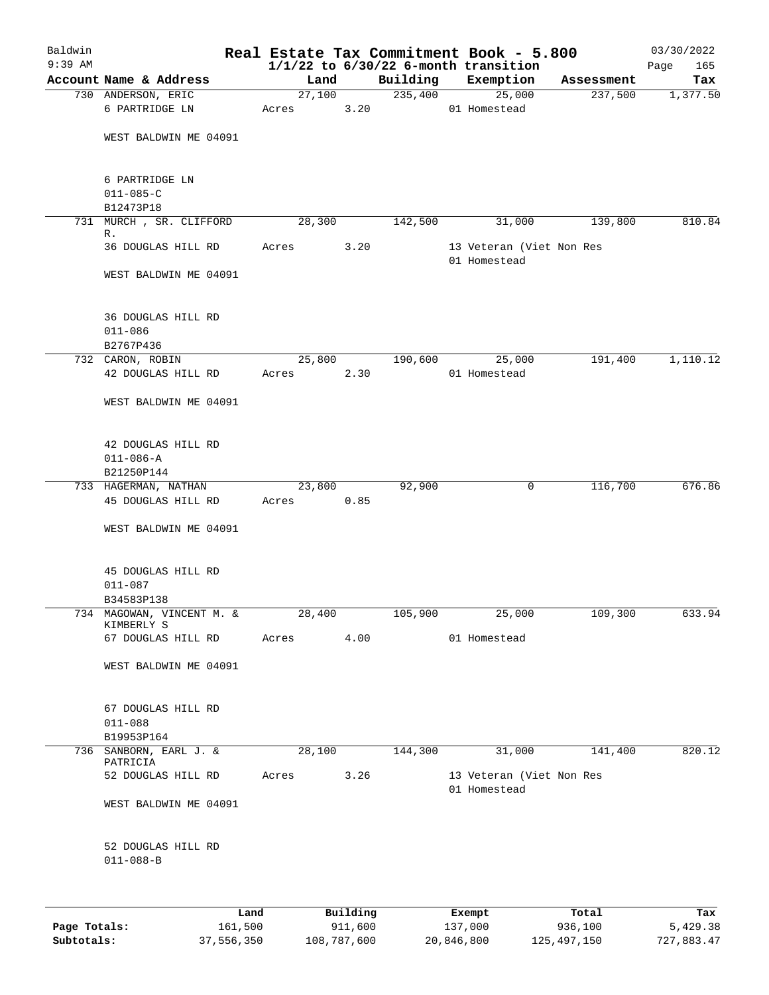| Baldwin<br>$9:39$ AM |                                                |        |          | Real Estate Tax Commitment Book - 5.800<br>$1/1/22$ to $6/30/22$ 6-month transition |                                          |        |                          | 03/30/2022<br>165 |
|----------------------|------------------------------------------------|--------|----------|-------------------------------------------------------------------------------------|------------------------------------------|--------|--------------------------|-------------------|
|                      | Account Name & Address                         | Land   |          | Building                                                                            | Exemption                                |        | Assessment               | Page<br>Tax       |
|                      | 730 ANDERSON, ERIC                             | 27,100 |          | 235,400                                                                             |                                          | 25,000 | 237,500                  | 1,377.50          |
|                      | 6 PARTRIDGE LN                                 | Acres  | 3.20     |                                                                                     | 01 Homestead                             |        |                          |                   |
|                      | WEST BALDWIN ME 04091                          |        |          |                                                                                     |                                          |        |                          |                   |
|                      | 6 PARTRIDGE LN<br>$011 - 085 - C$<br>B12473P18 |        |          |                                                                                     |                                          |        |                          |                   |
|                      | 731 MURCH, SR. CLIFFORD                        | 28,300 |          | 142,500                                                                             |                                          | 31,000 | 139,800                  | 810.84            |
|                      | R.                                             |        |          |                                                                                     |                                          |        |                          |                   |
|                      | 36 DOUGLAS HILL RD                             | Acres  | 3.20     |                                                                                     | 13 Veteran (Viet Non Res<br>01 Homestead |        |                          |                   |
|                      | WEST BALDWIN ME 04091                          |        |          |                                                                                     |                                          |        |                          |                   |
|                      | 36 DOUGLAS HILL RD<br>$011 - 086$<br>B2767P436 |        |          |                                                                                     |                                          |        |                          |                   |
|                      | 732 CARON, ROBIN                               | 25,800 |          | 190,600                                                                             |                                          | 25,000 | 191,400                  | 1,110.12          |
|                      | 42 DOUGLAS HILL RD                             | Acres  | 2.30     |                                                                                     | 01 Homestead                             |        |                          |                   |
|                      | WEST BALDWIN ME 04091                          |        |          |                                                                                     |                                          |        |                          |                   |
|                      | 42 DOUGLAS HILL RD                             |        |          |                                                                                     |                                          |        |                          |                   |
|                      | $011 - 086 - A$                                |        |          |                                                                                     |                                          |        |                          |                   |
|                      | B21250P144<br>733 HAGERMAN, NATHAN             | 23,800 |          | 92,900                                                                              |                                          | 0      | 116,700                  | 676.86            |
|                      | 45 DOUGLAS HILL RD                             | Acres  | 0.85     |                                                                                     |                                          |        |                          |                   |
|                      | WEST BALDWIN ME 04091                          |        |          |                                                                                     |                                          |        |                          |                   |
|                      | 45 DOUGLAS HILL RD<br>$011 - 087$              |        |          |                                                                                     |                                          |        |                          |                   |
|                      | B34583P138<br>734 MAGOWAN, VINCENT M. &        | 28,400 |          | 105,900                                                                             |                                          | 25,000 | 109,300                  | 633.94            |
|                      | KIMBERLY S                                     |        |          |                                                                                     |                                          |        |                          |                   |
|                      | 67 DOUGLAS HILL RD                             | Acres  | 4.00     |                                                                                     | 01 Homestead                             |        |                          |                   |
|                      | WEST BALDWIN ME 04091                          |        |          |                                                                                     |                                          |        |                          |                   |
|                      | 67 DOUGLAS HILL RD<br>$011 - 088$              |        |          |                                                                                     |                                          |        |                          |                   |
|                      | B19953P164                                     |        |          |                                                                                     |                                          |        |                          |                   |
|                      | 736 SANBORN, EARL J. &<br>PATRICIA             | 28,100 |          | 144,300                                                                             |                                          | 31,000 | 141,400                  | 820.12            |
|                      | 52 DOUGLAS HILL RD                             | Acres  | 3.26     |                                                                                     | 01 Homestead                             |        | 13 Veteran (Viet Non Res |                   |
|                      | WEST BALDWIN ME 04091                          |        |          |                                                                                     |                                          |        |                          |                   |
|                      | 52 DOUGLAS HILL RD<br>$011 - 088 - B$          |        |          |                                                                                     |                                          |        |                          |                   |
|                      | Land                                           |        | Building |                                                                                     | Exempt                                   |        | Total                    | Tax               |
|                      |                                                |        |          |                                                                                     |                                          |        |                          |                   |

|              | ------     | ---------   | --------   | -----         | ----       |
|--------------|------------|-------------|------------|---------------|------------|
| Page Totals: | 161,500    | 911,600     | 137,000    | 936,100       | 5,429.38   |
| Subtotals:   | 37,556,350 | 108,787,600 | 20,846,800 | 125, 497, 150 | 727,883.47 |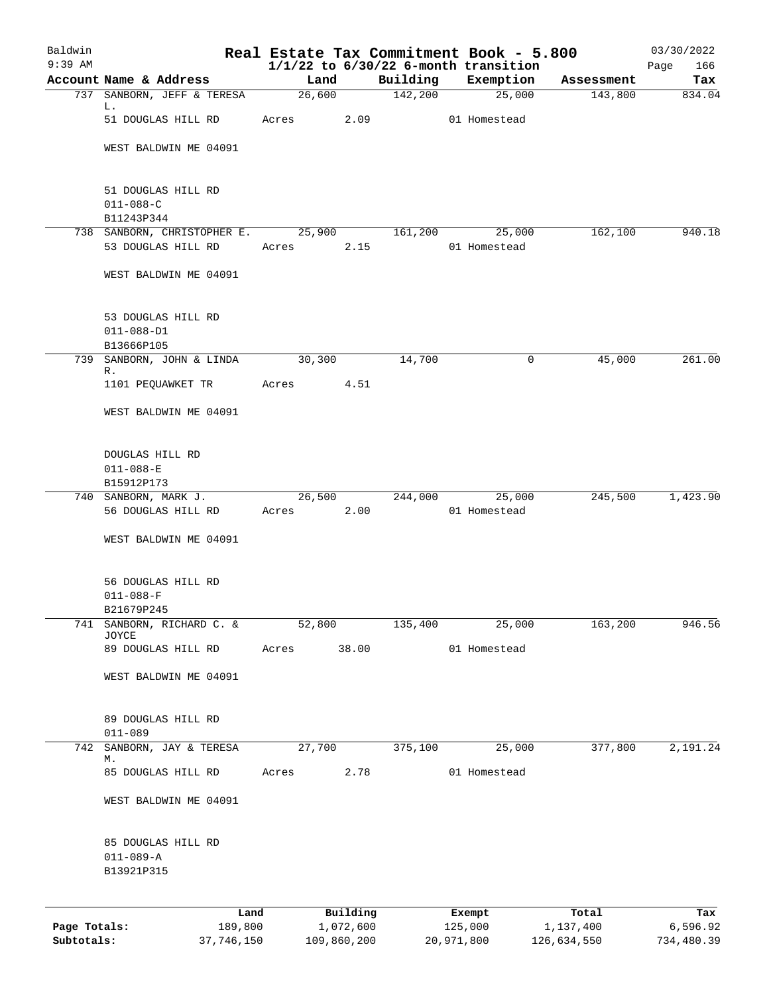| Baldwin<br>$9:39$ AM       |                                     | Real Estate Tax Commitment Book - 5.800 |                          |          |                                                       |                          | 03/30/2022             |
|----------------------------|-------------------------------------|-----------------------------------------|--------------------------|----------|-------------------------------------------------------|--------------------------|------------------------|
|                            | Account Name & Address              | Land                                    |                          | Building | $1/1/22$ to $6/30/22$ 6-month transition<br>Exemption | Assessment               | 166<br>Page<br>Tax     |
|                            | 737 SANBORN, JEFF & TERESA          | 26,600                                  |                          | 142,200  | 25,000                                                | 143,800                  | 834.04                 |
|                            | L.<br>51 DOUGLAS HILL RD            | Acres                                   | 2.09                     |          | 01 Homestead                                          |                          |                        |
|                            | WEST BALDWIN ME 04091               |                                         |                          |          |                                                       |                          |                        |
|                            |                                     |                                         |                          |          |                                                       |                          |                        |
|                            | 51 DOUGLAS HILL RD                  |                                         |                          |          |                                                       |                          |                        |
|                            | $011 - 088 - C$<br>B11243P344       |                                         |                          |          |                                                       |                          |                        |
|                            | 738 SANBORN, CHRISTOPHER E.         | 25,900                                  |                          | 161,200  | 25,000                                                | 162,100                  | 940.18                 |
|                            | 53 DOUGLAS HILL RD                  | Acres                                   | 2.15                     |          | 01 Homestead                                          |                          |                        |
|                            | WEST BALDWIN ME 04091               |                                         |                          |          |                                                       |                          |                        |
|                            | 53 DOUGLAS HILL RD                  |                                         |                          |          |                                                       |                          |                        |
|                            | $011 - 088 - D1$                    |                                         |                          |          |                                                       |                          |                        |
|                            | B13666P105                          |                                         |                          |          |                                                       |                          |                        |
| 739                        | SANBORN, JOHN & LINDA<br>R.         | 30,300                                  |                          | 14,700   | 0                                                     | 45,000                   | 261.00                 |
|                            | 1101 PEQUAWKET TR                   | Acres                                   | 4.51                     |          |                                                       |                          |                        |
|                            | WEST BALDWIN ME 04091               |                                         |                          |          |                                                       |                          |                        |
|                            | DOUGLAS HILL RD                     |                                         |                          |          |                                                       |                          |                        |
|                            | $011 - 088 - E$                     |                                         |                          |          |                                                       |                          |                        |
|                            | B15912P173<br>740 SANBORN, MARK J.  | 26,500                                  |                          | 244,000  | 25,000                                                | 245,500                  | 1,423.90               |
|                            | 56 DOUGLAS HILL RD                  | Acres                                   | 2.00                     |          | 01 Homestead                                          |                          |                        |
|                            | WEST BALDWIN ME 04091               |                                         |                          |          |                                                       |                          |                        |
|                            | 56 DOUGLAS HILL RD                  |                                         |                          |          |                                                       |                          |                        |
|                            | $011 - 088 - F$                     |                                         |                          |          |                                                       |                          |                        |
| 741                        | B21679P245<br>SANBORN, RICHARD C. & | 52,800                                  |                          | 135,400  | 25,000                                                | 163,200                  | 946.56                 |
|                            | <b>JOYCE</b><br>89 DOUGLAS HILL RD  | Acres                                   | 38.00                    |          | 01 Homestead                                          |                          |                        |
|                            |                                     |                                         |                          |          |                                                       |                          |                        |
|                            | WEST BALDWIN ME 04091               |                                         |                          |          |                                                       |                          |                        |
|                            | 89 DOUGLAS HILL RD<br>$011 - 089$   |                                         |                          |          |                                                       |                          |                        |
| 742                        | SANBORN, JAY & TERESA               | 27,700                                  |                          | 375,100  | 25,000                                                | 377,800                  | 2,191.24               |
|                            | М.<br>85 DOUGLAS HILL RD            | Acres                                   | 2.78                     |          | 01 Homestead                                          |                          |                        |
|                            |                                     |                                         |                          |          |                                                       |                          |                        |
|                            | WEST BALDWIN ME 04091               |                                         |                          |          |                                                       |                          |                        |
|                            | 85 DOUGLAS HILL RD                  |                                         |                          |          |                                                       |                          |                        |
|                            | $011 - 089 - A$<br>B13921P315       |                                         |                          |          |                                                       |                          |                        |
|                            |                                     |                                         |                          |          |                                                       |                          |                        |
|                            | Land                                |                                         | Building                 |          | Exempt                                                | Total                    | Tax                    |
| Page Totals:<br>Subtotals: | 189,800<br>37,746,150               |                                         | 1,072,600<br>109,860,200 |          | 125,000<br>20,971,800                                 | 1,137,400<br>126,634,550 | 6,596.92<br>734,480.39 |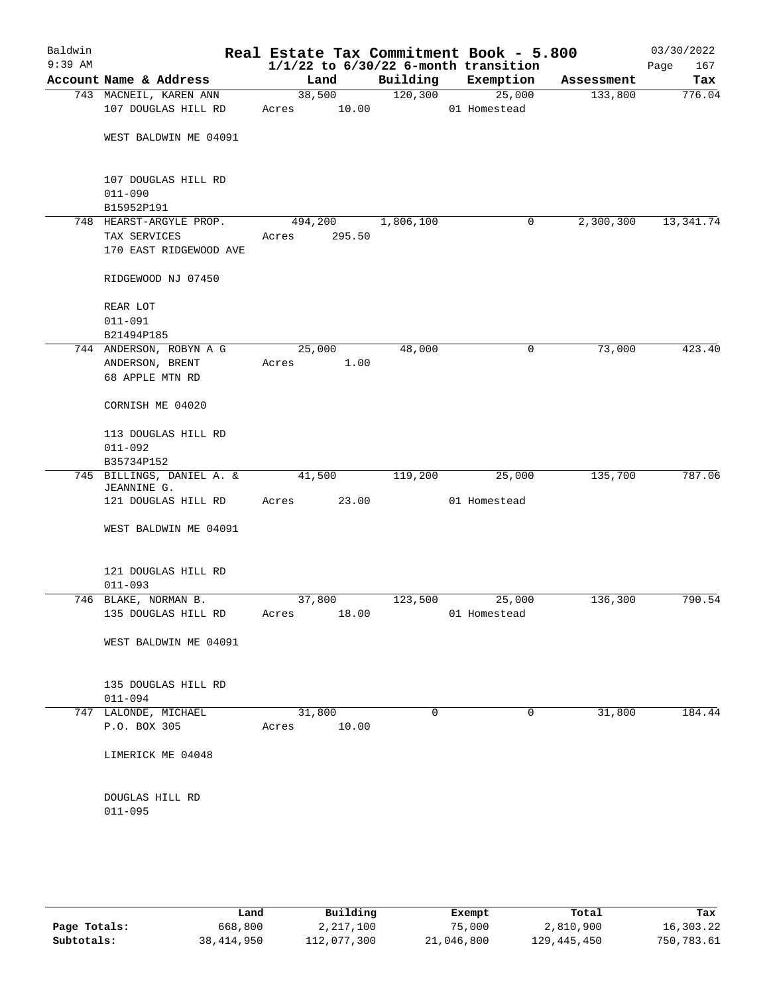| Baldwin<br>$9:39$ AM |                                    |         |        |             | Real Estate Tax Commitment Book - 5.800<br>$1/1/22$ to $6/30/22$ 6-month transition |            | 03/30/2022<br>167<br>Page |
|----------------------|------------------------------------|---------|--------|-------------|-------------------------------------------------------------------------------------|------------|---------------------------|
|                      | Account Name & Address             | Land    |        | Building    | Exemption                                                                           | Assessment | Tax                       |
|                      | 743 MACNEIL, KAREN ANN             | 38,500  |        | 120, 300    | 25,000                                                                              | 133,800    | 776.04                    |
|                      | 107 DOUGLAS HILL RD                | Acres   | 10.00  |             | 01 Homestead                                                                        |            |                           |
|                      | WEST BALDWIN ME 04091              |         |        |             |                                                                                     |            |                           |
|                      |                                    |         |        |             |                                                                                     |            |                           |
|                      | 107 DOUGLAS HILL RD                |         |        |             |                                                                                     |            |                           |
|                      | $011 - 090$                        |         |        |             |                                                                                     |            |                           |
|                      | B15952P191                         |         |        |             |                                                                                     |            |                           |
|                      | 748 HEARST-ARGYLE PROP.            | 494,200 |        | 1,806,100   | 0                                                                                   | 2,300,300  | 13, 341.74                |
|                      | TAX SERVICES                       | Acres   | 295.50 |             |                                                                                     |            |                           |
|                      | 170 EAST RIDGEWOOD AVE             |         |        |             |                                                                                     |            |                           |
|                      | RIDGEWOOD NJ 07450                 |         |        |             |                                                                                     |            |                           |
|                      | REAR LOT                           |         |        |             |                                                                                     |            |                           |
|                      | $011 - 091$                        |         |        |             |                                                                                     |            |                           |
|                      | B21494P185                         |         |        |             |                                                                                     |            |                           |
|                      | 744 ANDERSON, ROBYN A G            | 25,000  |        | 48,000      | 0                                                                                   | 73,000     | 423.40                    |
|                      | ANDERSON, BRENT                    | Acres   | 1.00   |             |                                                                                     |            |                           |
|                      | 68 APPLE MTN RD                    |         |        |             |                                                                                     |            |                           |
|                      | CORNISH ME 04020                   |         |        |             |                                                                                     |            |                           |
|                      | 113 DOUGLAS HILL RD                |         |        |             |                                                                                     |            |                           |
|                      | $011 - 092$                        |         |        |             |                                                                                     |            |                           |
|                      | B35734P152                         |         |        |             |                                                                                     |            |                           |
|                      | 745 BILLINGS, DANIEL A. &          | 41,500  |        | 119,200     | 25,000                                                                              | 135,700    | 787.06                    |
|                      | JEANNINE G.<br>121 DOUGLAS HILL RD | Acres   | 23.00  |             | 01 Homestead                                                                        |            |                           |
|                      |                                    |         |        |             |                                                                                     |            |                           |
|                      | WEST BALDWIN ME 04091              |         |        |             |                                                                                     |            |                           |
|                      | 121 DOUGLAS HILL RD                |         |        |             |                                                                                     |            |                           |
|                      | $011 - 093$                        |         |        |             |                                                                                     |            |                           |
|                      | 746 BLAKE, NORMAN B.               | 37,800  |        | 123,500     | 25,000                                                                              | 136,300    | 790.54                    |
|                      | 135 DOUGLAS HILL RD                | Acres   | 18.00  |             | 01 Homestead                                                                        |            |                           |
|                      | WEST BALDWIN ME 04091              |         |        |             |                                                                                     |            |                           |
|                      |                                    |         |        |             |                                                                                     |            |                           |
|                      | 135 DOUGLAS HILL RD                |         |        |             |                                                                                     |            |                           |
|                      | $011 - 094$                        |         |        |             |                                                                                     |            |                           |
|                      | 747 LALONDE, MICHAEL               | 31,800  |        | $\mathbf 0$ | $\mathbf{0}$                                                                        | 31,800     | 184.44                    |
|                      | P.O. BOX 305                       | Acres   | 10.00  |             |                                                                                     |            |                           |
|                      | LIMERICK ME 04048                  |         |        |             |                                                                                     |            |                           |
|                      | DOUGLAS HILL RD<br>$011 - 095$     |         |        |             |                                                                                     |            |                           |
|                      |                                    |         |        |             |                                                                                     |            |                           |
|                      |                                    |         |        |             |                                                                                     |            |                           |
|                      |                                    |         |        |             |                                                                                     |            |                           |

|              | Land         | Building    | Exempt     | Total       | Tax        |
|--------------|--------------|-------------|------------|-------------|------------|
| Page Totals: | 668,800      | 2,217,100   | 75,000     | 2,810,900   | 16,303.22  |
| Subtotals:   | 38, 414, 950 | 112,077,300 | 21,046,800 | 129,445,450 | 750,783.61 |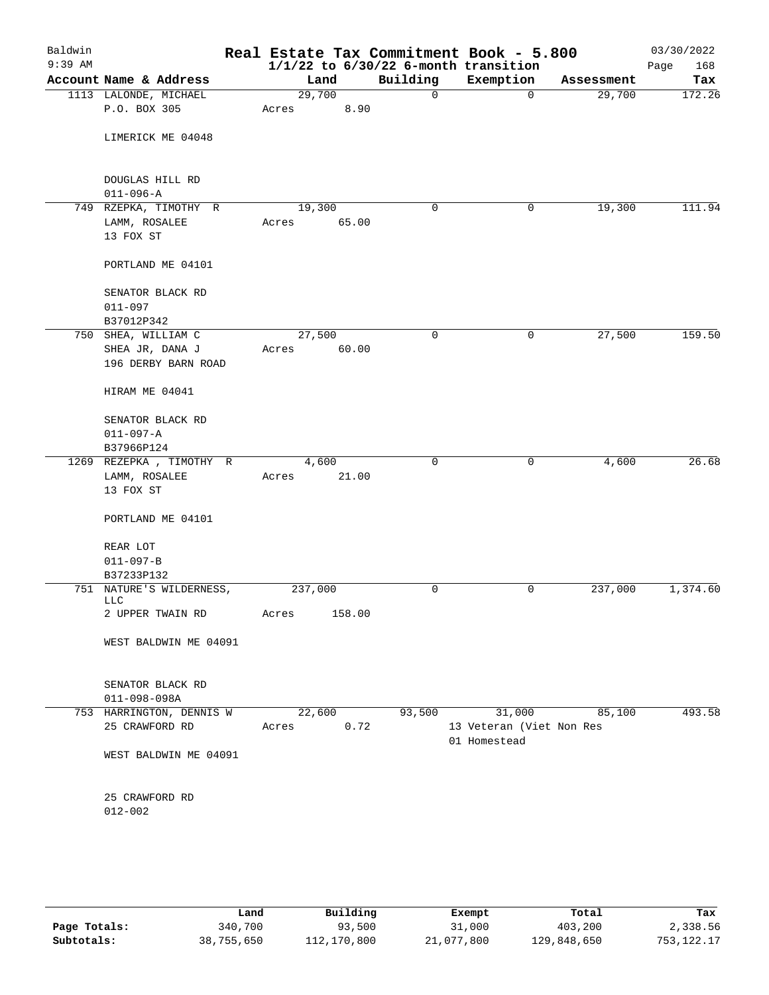| Baldwin<br>$9:39$ AM |                                                       |                |        |             | Real Estate Tax Commitment Book - 5.800<br>$1/1/22$ to $6/30/22$ 6-month transition |            | 03/30/2022<br>168<br>Page |
|----------------------|-------------------------------------------------------|----------------|--------|-------------|-------------------------------------------------------------------------------------|------------|---------------------------|
|                      | Account Name & Address                                | Land           |        | Building    | Exemption                                                                           | Assessment | Tax                       |
|                      | 1113 LALONDE, MICHAEL                                 | 29,700         |        | $\mathbf 0$ | $\mathbf 0$                                                                         | 29,700     | 172.26                    |
|                      | P.O. BOX 305                                          | Acres          | 8.90   |             |                                                                                     |            |                           |
|                      | LIMERICK ME 04048                                     |                |        |             |                                                                                     |            |                           |
|                      | DOUGLAS HILL RD<br>$011 - 096 - A$                    |                |        |             |                                                                                     |            |                           |
|                      | 749 RZEPKA, TIMOTHY R                                 | 19,300         |        | 0           | 0                                                                                   | 19,300     | 111.94                    |
|                      | LAMM, ROSALEE<br>13 FOX ST                            | Acres          | 65.00  |             |                                                                                     |            |                           |
|                      | PORTLAND ME 04101                                     |                |        |             |                                                                                     |            |                           |
|                      | SENATOR BLACK RD<br>011-097<br>B37012P342             |                |        |             |                                                                                     |            |                           |
|                      | 750 SHEA, WILLIAM C                                   | 27,500         |        | 0           | 0                                                                                   | 27,500     | 159.50                    |
|                      | SHEA JR, DANA J                                       |                | 60.00  |             |                                                                                     |            |                           |
|                      | 196 DERBY BARN ROAD                                   | Acres          |        |             |                                                                                     |            |                           |
|                      | HIRAM ME 04041                                        |                |        |             |                                                                                     |            |                           |
|                      | SENATOR BLACK RD                                      |                |        |             |                                                                                     |            |                           |
|                      | $011 - 097 - A$                                       |                |        |             |                                                                                     |            |                           |
|                      | B37966P124                                            |                |        |             |                                                                                     |            |                           |
|                      | 1269 REZEPKA, TIMOTHY R<br>LAMM, ROSALEE<br>13 FOX ST | 4,600<br>Acres | 21.00  | $\mathbf 0$ | $\mathbf 0$                                                                         | 4,600      | 26.68                     |
|                      | PORTLAND ME 04101                                     |                |        |             |                                                                                     |            |                           |
|                      | REAR LOT                                              |                |        |             |                                                                                     |            |                           |
|                      | $011 - 097 - B$                                       |                |        |             |                                                                                     |            |                           |
|                      | B37233P132                                            |                |        |             |                                                                                     |            |                           |
|                      | 751 NATURE'S WILDERNESS,<br><b>LLC</b>                | 237,000        |        | 0           | 0                                                                                   | 237,000    | 1,374.60                  |
|                      | 2 UPPER TWAIN RD                                      | Acres          | 158.00 |             |                                                                                     |            |                           |
|                      | WEST BALDWIN ME 04091                                 |                |        |             |                                                                                     |            |                           |
|                      | SENATOR BLACK RD<br>$011 - 098 - 098A$                |                |        |             |                                                                                     |            |                           |
|                      | 753 HARRINGTON, DENNIS W                              | 22,600         |        | 93,500      | 31,000                                                                              | 85,100     | 493.58                    |
|                      | 25 CRAWFORD RD                                        | Acres          | 0.72   |             | 13 Veteran (Viet Non Res<br>01 Homestead                                            |            |                           |
|                      | WEST BALDWIN ME 04091                                 |                |        |             |                                                                                     |            |                           |
|                      | 25 CRAWFORD RD<br>$012 - 002$                         |                |        |             |                                                                                     |            |                           |
|                      |                                                       |                |        |             |                                                                                     |            |                           |

|              | Land       | Building    | Exempt     | Total       | Tax          |
|--------------|------------|-------------|------------|-------------|--------------|
| Page Totals: | 340,700    | 93,500      | 31,000     | 403,200     | 2,338.56     |
| Subtotals:   | 38,755,650 | 112,170,800 | 21,077,800 | 129,848,650 | 753, 122. 17 |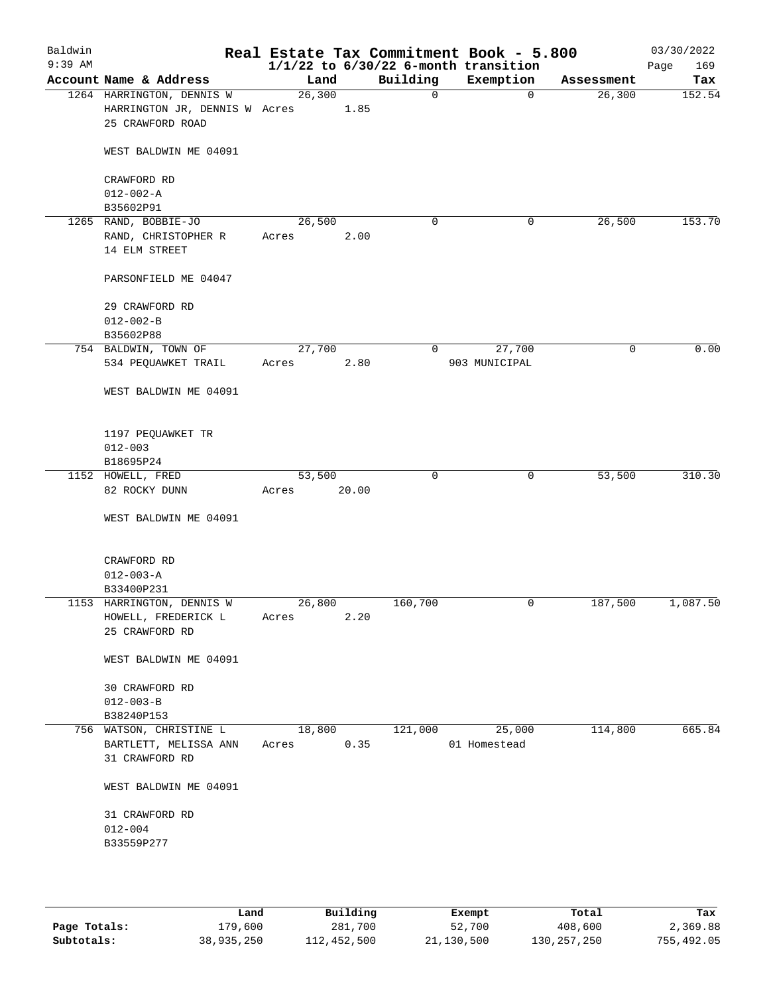| Baldwin<br>$9:39$ AM |                                                                                |                 |       |              | Real Estate Tax Commitment Book - 5.800<br>$1/1/22$ to $6/30/22$ 6-month transition |            | 03/30/2022<br>169<br>Page |
|----------------------|--------------------------------------------------------------------------------|-----------------|-------|--------------|-------------------------------------------------------------------------------------|------------|---------------------------|
|                      | Account Name & Address                                                         | Land            |       | Building     | Exemption                                                                           | Assessment | Tax                       |
|                      | 1264 HARRINGTON, DENNIS W<br>HARRINGTON JR, DENNIS W Acres<br>25 CRAWFORD ROAD | 26, 300         | 1.85  | $\mathsf{O}$ | $\mathbf 0$                                                                         | 26,300     | 152.54                    |
|                      | WEST BALDWIN ME 04091                                                          |                 |       |              |                                                                                     |            |                           |
|                      | CRAWFORD RD<br>$012 - 002 - A$<br>B35602P91                                    |                 |       |              |                                                                                     |            |                           |
|                      | 1265 RAND, BOBBIE-JO                                                           | 26,500          |       | $\mathbf 0$  | 0                                                                                   | 26,500     | 153.70                    |
|                      | RAND, CHRISTOPHER R<br>14 ELM STREET                                           | Acres           | 2.00  |              |                                                                                     |            |                           |
|                      | PARSONFIELD ME 04047                                                           |                 |       |              |                                                                                     |            |                           |
|                      | 29 CRAWFORD RD<br>$012 - 002 - B$                                              |                 |       |              |                                                                                     |            |                           |
|                      | B35602P88                                                                      |                 |       |              |                                                                                     |            |                           |
|                      | 754 BALDWIN, TOWN OF                                                           | 27,700          |       | 0            | 27,700                                                                              | 0          | 0.00                      |
|                      | 534 PEQUAWKET TRAIL                                                            | Acres           | 2.80  |              | 903 MUNICIPAL                                                                       |            |                           |
|                      | WEST BALDWIN ME 04091                                                          |                 |       |              |                                                                                     |            |                           |
|                      | 1197 PEQUAWKET TR<br>$012 - 003$                                               |                 |       |              |                                                                                     |            |                           |
|                      | B18695P24                                                                      |                 |       |              |                                                                                     |            |                           |
|                      | 1152 HOWELL, FRED                                                              | 53,500          |       | $\mathbf 0$  | 0                                                                                   | 53,500     | 310.30                    |
|                      | 82 ROCKY DUNN                                                                  | Acres           | 20.00 |              |                                                                                     |            |                           |
|                      | WEST BALDWIN ME 04091                                                          |                 |       |              |                                                                                     |            |                           |
|                      | CRAWFORD RD                                                                    |                 |       |              |                                                                                     |            |                           |
|                      | $012 - 003 - A$                                                                |                 |       |              |                                                                                     |            |                           |
|                      | B33400P231                                                                     |                 |       |              |                                                                                     |            |                           |
|                      | 1153 HARRINGTON, DENNIS W<br>HOWELL, FREDERICK L<br>25 CRAWFORD RD             | 26,800<br>Acres | 2.20  | 160,700      | 0                                                                                   | 187,500    | 1,087.50                  |
|                      | WEST BALDWIN ME 04091                                                          |                 |       |              |                                                                                     |            |                           |
|                      | 30 CRAWFORD RD                                                                 |                 |       |              |                                                                                     |            |                           |
|                      | $012 - 003 - B$                                                                |                 |       |              |                                                                                     |            |                           |
|                      | B38240P153                                                                     |                 |       |              |                                                                                     |            |                           |
|                      | 756 WATSON, CHRISTINE L                                                        | 18,800          |       | 121,000      | 25,000                                                                              | 114,800    | 665.84                    |
|                      | BARTLETT, MELISSA ANN                                                          | Acres           | 0.35  |              | 01 Homestead                                                                        |            |                           |
|                      | 31 CRAWFORD RD                                                                 |                 |       |              |                                                                                     |            |                           |
|                      | WEST BALDWIN ME 04091                                                          |                 |       |              |                                                                                     |            |                           |
|                      | 31 CRAWFORD RD                                                                 |                 |       |              |                                                                                     |            |                           |
|                      | $012 - 004$                                                                    |                 |       |              |                                                                                     |            |                           |
|                      | B33559P277                                                                     |                 |       |              |                                                                                     |            |                           |
|                      |                                                                                |                 |       |              |                                                                                     |            |                           |
|                      |                                                                                |                 |       |              |                                                                                     |            |                           |

|              | Land       | Building    | Exempt     | Total       | Tax        |
|--------------|------------|-------------|------------|-------------|------------|
| Page Totals: | 179,600    | 281,700     | 52,700     | 408,600     | 2,369.88   |
| Subtotals:   | 38,935,250 | 112,452,500 | 21,130,500 | 130,257,250 | 755,492.05 |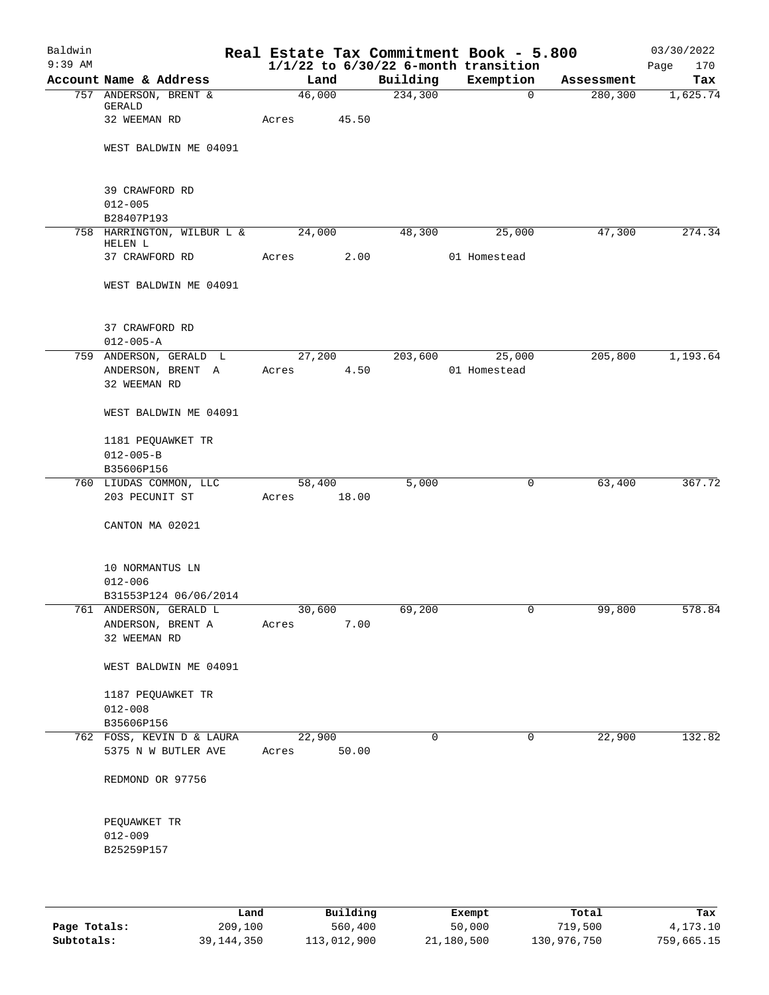| Baldwin<br>$9:39$ AM |                                      |             |       |             | Real Estate Tax Commitment Book - 5.800<br>$1/1/22$ to $6/30/22$ 6-month transition |            | 03/30/2022<br>Page<br>170 |
|----------------------|--------------------------------------|-------------|-------|-------------|-------------------------------------------------------------------------------------|------------|---------------------------|
|                      | Account Name & Address               | Land        |       | Building    | Exemption                                                                           | Assessment | Tax                       |
|                      | 757 ANDERSON, BRENT &                | 46,000      |       | 234,300     | $\mathbf{0}$                                                                        | 280, 300   | 1,625.74                  |
|                      | GERALD                               |             |       |             |                                                                                     |            |                           |
|                      | 32 WEEMAN RD                         | Acres       | 45.50 |             |                                                                                     |            |                           |
|                      |                                      |             |       |             |                                                                                     |            |                           |
|                      | WEST BALDWIN ME 04091                |             |       |             |                                                                                     |            |                           |
|                      |                                      |             |       |             |                                                                                     |            |                           |
|                      | 39 CRAWFORD RD                       |             |       |             |                                                                                     |            |                           |
|                      | $012 - 005$                          |             |       |             |                                                                                     |            |                           |
|                      | B28407P193                           |             |       |             |                                                                                     |            |                           |
|                      | 758 HARRINGTON, WILBUR L & 24,000    |             |       | 48,300      | 25,000                                                                              | 47,300     | 274.34                    |
|                      | HELEN L                              |             |       |             |                                                                                     |            |                           |
|                      | 37 CRAWFORD RD                       | Acres       | 2.00  |             | 01 Homestead                                                                        |            |                           |
|                      |                                      |             |       |             |                                                                                     |            |                           |
|                      | WEST BALDWIN ME 04091                |             |       |             |                                                                                     |            |                           |
|                      |                                      |             |       |             |                                                                                     |            |                           |
|                      | 37 CRAWFORD RD                       |             |       |             |                                                                                     |            |                           |
|                      | $012 - 005 - A$                      |             |       |             |                                                                                     |            |                           |
|                      | 759 ANDERSON, GERALD L               |             |       |             | 27,200 203,600 25,000                                                               | 205,800    | 1,193.64                  |
|                      | ANDERSON, BRENT A                    | Acres       | 4.50  |             | 01 Homestead                                                                        |            |                           |
|                      | 32 WEEMAN RD                         |             |       |             |                                                                                     |            |                           |
|                      |                                      |             |       |             |                                                                                     |            |                           |
|                      | WEST BALDWIN ME 04091                |             |       |             |                                                                                     |            |                           |
|                      |                                      |             |       |             |                                                                                     |            |                           |
|                      | 1181 PEQUAWKET TR                    |             |       |             |                                                                                     |            |                           |
|                      | $012 - 005 - B$                      |             |       |             |                                                                                     |            |                           |
|                      | B35606P156<br>760 LIUDAS COMMON, LLC | 58,400      |       | 5,000       | 0                                                                                   | 63,400     | 367.72                    |
|                      | 203 PECUNIT ST                       | Acres 18.00 |       |             |                                                                                     |            |                           |
|                      |                                      |             |       |             |                                                                                     |            |                           |
|                      | CANTON MA 02021                      |             |       |             |                                                                                     |            |                           |
|                      |                                      |             |       |             |                                                                                     |            |                           |
|                      |                                      |             |       |             |                                                                                     |            |                           |
|                      | 10 NORMANTUS LN                      |             |       |             |                                                                                     |            |                           |
|                      | $012 - 006$                          |             |       |             |                                                                                     |            |                           |
|                      | B31553P124 06/06/2014                |             |       |             |                                                                                     |            |                           |
|                      | 761 ANDERSON, GERALD L               | 30,600      |       | 69,200      | 0                                                                                   | 99,800     | 578.84                    |
|                      | ANDERSON, BRENT A                    | Acres       | 7.00  |             |                                                                                     |            |                           |
|                      | 32 WEEMAN RD                         |             |       |             |                                                                                     |            |                           |
|                      | WEST BALDWIN ME 04091                |             |       |             |                                                                                     |            |                           |
|                      |                                      |             |       |             |                                                                                     |            |                           |
|                      | 1187 PEQUAWKET TR                    |             |       |             |                                                                                     |            |                           |
|                      | $012 - 008$                          |             |       |             |                                                                                     |            |                           |
|                      | B35606P156                           |             |       |             |                                                                                     |            |                           |
|                      | 762 FOSS, KEVIN D & LAURA            | 22,900      |       | $\mathbf 0$ | $\mathbf 0$                                                                         | 22,900     | 132.82                    |
|                      | 5375 N W BUTLER AVE                  | Acres       | 50.00 |             |                                                                                     |            |                           |
|                      |                                      |             |       |             |                                                                                     |            |                           |
|                      | REDMOND OR 97756                     |             |       |             |                                                                                     |            |                           |
|                      |                                      |             |       |             |                                                                                     |            |                           |
|                      |                                      |             |       |             |                                                                                     |            |                           |
|                      | PEQUAWKET TR<br>$012 - 009$          |             |       |             |                                                                                     |            |                           |
|                      | B25259P157                           |             |       |             |                                                                                     |            |                           |
|                      |                                      |             |       |             |                                                                                     |            |                           |
|                      |                                      |             |       |             |                                                                                     |            |                           |
|                      |                                      |             |       |             |                                                                                     |            |                           |
|                      |                                      |             |       |             |                                                                                     |            |                           |

|              | Land         | Building    | Exempt     | Total       | Tax        |
|--------------|--------------|-------------|------------|-------------|------------|
| Page Totals: | 209,100      | 560,400     | 50,000     | 719,500     | 4,173.10   |
| Subtotals:   | 39, 144, 350 | 113,012,900 | 21,180,500 | 130,976,750 | 759,665.15 |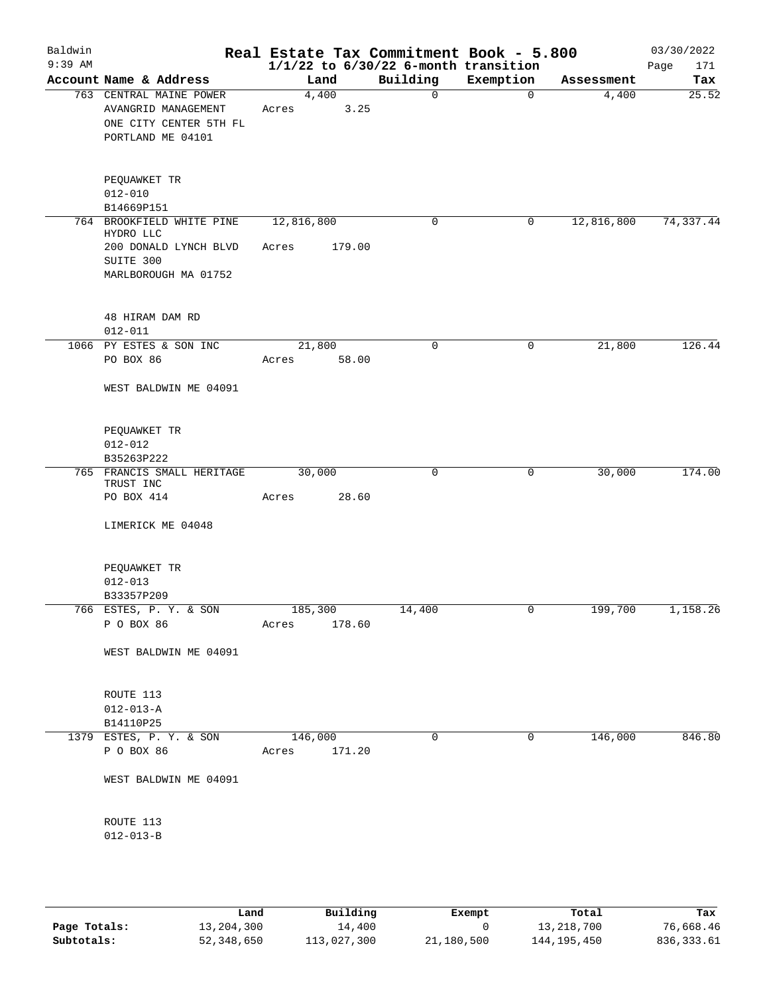| Baldwin<br>$9:39$ AM |                                                                                               | Real Estate Tax Commitment Book - 5.800 | $1/1/22$ to $6/30/22$ 6-month transition |             |            | 03/30/2022<br>Page<br>171 |
|----------------------|-----------------------------------------------------------------------------------------------|-----------------------------------------|------------------------------------------|-------------|------------|---------------------------|
|                      | Account Name & Address                                                                        | Land                                    | Building                                 | Exemption   | Assessment | Tax                       |
|                      | 763 CENTRAL MAINE POWER<br>AVANGRID MANAGEMENT<br>ONE CITY CENTER 5TH FL<br>PORTLAND ME 04101 | 4,400<br>3.25<br>Acres                  | 0                                        | $\mathbf 0$ | 4,400      | 25.52                     |
|                      | PEQUAWKET TR<br>$012 - 010$<br>B14669P151                                                     |                                         |                                          |             |            |                           |
|                      | 764 BROOKFIELD WHITE PINE                                                                     | 12,816,800                              | $\mathsf{O}$                             | 0           | 12,816,800 | 74, 337.44                |
|                      | HYDRO LLC<br>200 DONALD LYNCH BLVD<br>SUITE 300<br>MARLBOROUGH MA 01752                       | 179.00<br>Acres                         |                                          |             |            |                           |
|                      | 48 HIRAM DAM RD<br>$012 - 011$                                                                |                                         |                                          |             |            |                           |
|                      | 1066 PY ESTES & SON INC<br>PO BOX 86                                                          | 21,800<br>58.00<br>Acres                | 0                                        | 0           | 21,800     | 126.44                    |
|                      | WEST BALDWIN ME 04091                                                                         |                                         |                                          |             |            |                           |
|                      | PEQUAWKET TR<br>$012 - 012$<br>B35263P222                                                     |                                         |                                          |             |            |                           |
|                      | 765 FRANCIS SMALL HERITAGE                                                                    | 30,000                                  | 0                                        | 0           | 30,000     | 174.00                    |
|                      | TRUST INC<br>PO BOX 414<br>LIMERICK ME 04048                                                  | 28.60<br>Acres                          |                                          |             |            |                           |
|                      | PEQUAWKET TR<br>$012 - 013$<br>B33357P209                                                     |                                         |                                          |             |            |                           |
|                      | 766 ESTES, P. Y. & SON<br>P O BOX 86                                                          | 185,300<br>178.60<br>Acres              | 14,400                                   | U           | 199,700    | 1,158.26                  |
|                      | WEST BALDWIN ME 04091                                                                         |                                         |                                          |             |            |                           |
|                      | ROUTE 113<br>$012 - 013 - A$<br>B14110P25                                                     |                                         |                                          |             |            |                           |
|                      | 1379 ESTES, P. Y. & SON                                                                       | 146,000                                 | $\mathbf 0$                              | 0           | 146,000    | 846.80                    |
|                      | P O BOX 86                                                                                    | Acres 171.20                            |                                          |             |            |                           |
|                      | WEST BALDWIN ME 04091                                                                         |                                         |                                          |             |            |                           |
|                      | ROUTE 113<br>$012 - 013 - B$                                                                  |                                         |                                          |             |            |                           |

|              | Land       | Building    | Exempt     | Total         | Tax         |
|--------------|------------|-------------|------------|---------------|-------------|
| Page Totals: | 13,204,300 | 14,400      |            | 13,218,700    | 76,668.46   |
| Subtotals:   | 52,348,650 | 113,027,300 | 21,180,500 | 144, 195, 450 | 836, 333.61 |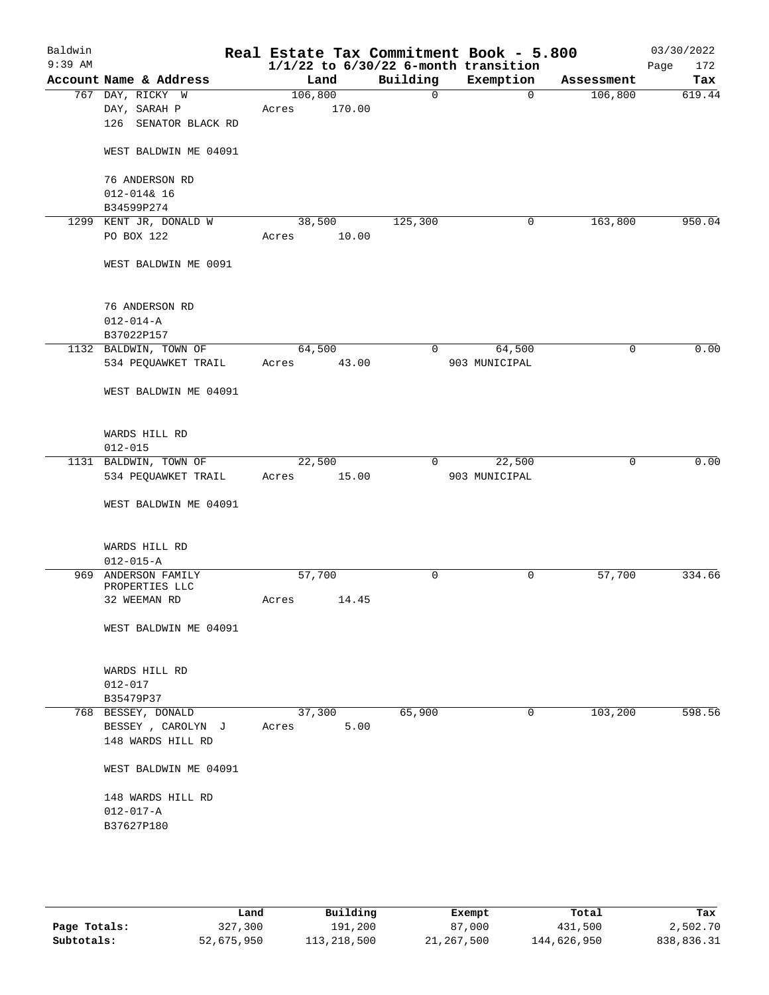| Baldwin<br>$9:39$ AM |                                        |         |        |          | Real Estate Tax Commitment Book - 5.800<br>$1/1/22$ to $6/30/22$ 6-month transition |             | 03/30/2022<br>Page<br>172 |
|----------------------|----------------------------------------|---------|--------|----------|-------------------------------------------------------------------------------------|-------------|---------------------------|
|                      | Account Name & Address                 | Land    |        | Building | Exemption                                                                           | Assessment  | Tax                       |
|                      | 767 DAY, RICKY W                       | 106,800 |        | 0        | $\mathbf 0$                                                                         | 106,800     | 619.44                    |
|                      | DAY, SARAH P                           | Acres   | 170.00 |          |                                                                                     |             |                           |
|                      | 126 SENATOR BLACK RD                   |         |        |          |                                                                                     |             |                           |
|                      |                                        |         |        |          |                                                                                     |             |                           |
|                      | WEST BALDWIN ME 04091                  |         |        |          |                                                                                     |             |                           |
|                      |                                        |         |        |          |                                                                                     |             |                           |
|                      | 76 ANDERSON RD                         |         |        |          |                                                                                     |             |                           |
|                      | $012 - 0148$ 16<br>B34599P274          |         |        |          |                                                                                     |             |                           |
|                      | 1299 KENT JR, DONALD W                 | 38,500  |        | 125,300  | 0                                                                                   | 163,800     | 950.04                    |
|                      | PO BOX 122                             | Acres   | 10.00  |          |                                                                                     |             |                           |
|                      |                                        |         |        |          |                                                                                     |             |                           |
|                      | WEST BALDWIN ME 0091                   |         |        |          |                                                                                     |             |                           |
|                      |                                        |         |        |          |                                                                                     |             |                           |
|                      |                                        |         |        |          |                                                                                     |             |                           |
|                      | 76 ANDERSON RD                         |         |        |          |                                                                                     |             |                           |
|                      | $012 - 014 - A$                        |         |        |          |                                                                                     |             |                           |
|                      | B37022P157                             |         |        |          |                                                                                     |             |                           |
|                      | 1132 BALDWIN, TOWN OF                  | 64,500  |        | 0        | 64,500                                                                              | $\mathbf 0$ | 0.00                      |
|                      | 534 PEQUAWKET TRAIL                    | Acres   | 43.00  |          | 903 MUNICIPAL                                                                       |             |                           |
|                      |                                        |         |        |          |                                                                                     |             |                           |
|                      | WEST BALDWIN ME 04091                  |         |        |          |                                                                                     |             |                           |
|                      |                                        |         |        |          |                                                                                     |             |                           |
|                      | WARDS HILL RD                          |         |        |          |                                                                                     |             |                           |
|                      | $012 - 015$                            |         |        |          |                                                                                     |             |                           |
|                      | 1131 BALDWIN, TOWN OF                  | 22,500  |        | 0        | 22,500                                                                              | 0           | 0.00                      |
|                      | 534 PEQUAWKET TRAIL                    | Acres   | 15.00  |          | 903 MUNICIPAL                                                                       |             |                           |
|                      |                                        |         |        |          |                                                                                     |             |                           |
|                      | WEST BALDWIN ME 04091                  |         |        |          |                                                                                     |             |                           |
|                      |                                        |         |        |          |                                                                                     |             |                           |
|                      |                                        |         |        |          |                                                                                     |             |                           |
|                      | WARDS HILL RD                          |         |        |          |                                                                                     |             |                           |
|                      | $012 - 015 - A$<br>969 ANDERSON FAMILY | 57,700  |        | 0        | 0                                                                                   | 57,700      | 334.66                    |
|                      | PROPERTIES LLC                         |         |        |          |                                                                                     |             |                           |
|                      | 32 WEEMAN RD                           | Acres   | 14.45  |          |                                                                                     |             |                           |
|                      |                                        |         |        |          |                                                                                     |             |                           |
|                      | WEST BALDWIN ME 04091                  |         |        |          |                                                                                     |             |                           |
|                      |                                        |         |        |          |                                                                                     |             |                           |
|                      |                                        |         |        |          |                                                                                     |             |                           |
|                      | WARDS HILL RD                          |         |        |          |                                                                                     |             |                           |
|                      | $012 - 017$                            |         |        |          |                                                                                     |             |                           |
|                      | B35479P37<br>768 BESSEY, DONALD        | 37,300  |        | 65,900   | 0                                                                                   | 103,200     | 598.56                    |
|                      | BESSEY, CAROLYN J                      | Acres   | 5.00   |          |                                                                                     |             |                           |
|                      | 148 WARDS HILL RD                      |         |        |          |                                                                                     |             |                           |
|                      |                                        |         |        |          |                                                                                     |             |                           |
|                      | WEST BALDWIN ME 04091                  |         |        |          |                                                                                     |             |                           |
|                      |                                        |         |        |          |                                                                                     |             |                           |
|                      | 148 WARDS HILL RD                      |         |        |          |                                                                                     |             |                           |
|                      | $012 - 017 - A$                        |         |        |          |                                                                                     |             |                           |
|                      | B37627P180                             |         |        |          |                                                                                     |             |                           |
|                      |                                        |         |        |          |                                                                                     |             |                           |
|                      |                                        |         |        |          |                                                                                     |             |                           |
|                      |                                        |         |        |          |                                                                                     |             |                           |

|              | Land       | Building    | Exempt     | Total       | Tax        |
|--------------|------------|-------------|------------|-------------|------------|
| Page Totals: | 327,300    | 191,200     | 87,000     | 431,500     | 2,502.70   |
| Subtotals:   | 52,675,950 | 113,218,500 | 21,267,500 | 144,626,950 | 838,836.31 |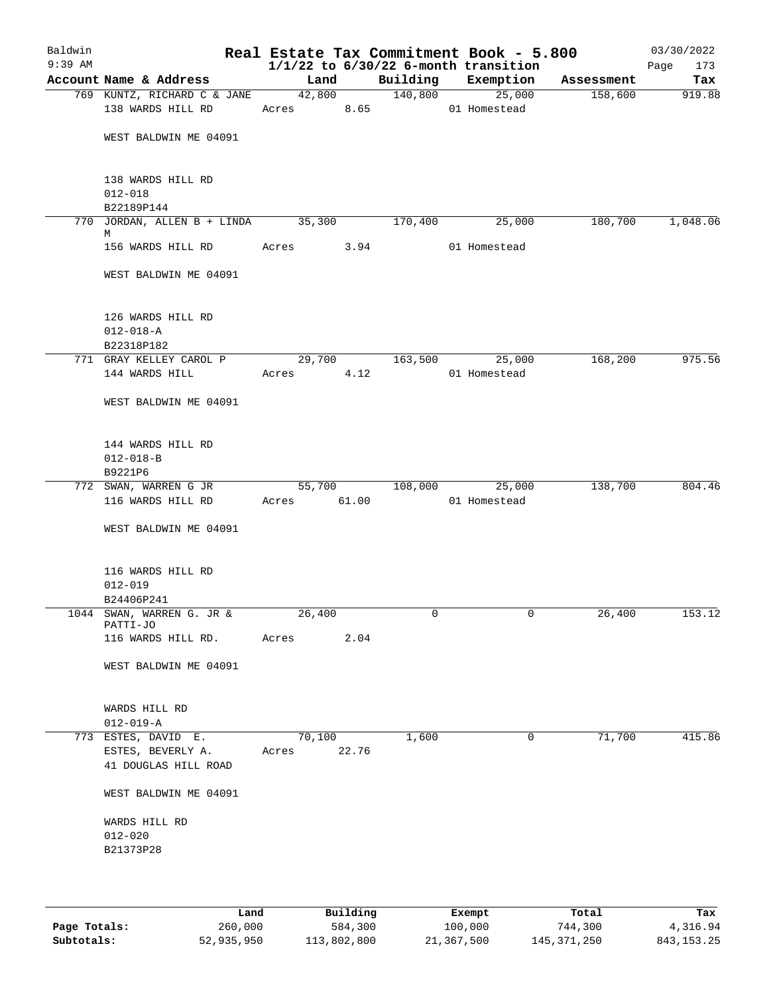| Baldwin<br>$9:39$ AM |                                                                  |       |                 |        |            | Real Estate Tax Commitment Book - 5.800<br>$1/1/22$ to $6/30/22$ 6-month transition |            | 03/30/2022<br>173<br>Page |
|----------------------|------------------------------------------------------------------|-------|-----------------|--------|------------|-------------------------------------------------------------------------------------|------------|---------------------------|
|                      | Account Name & Address                                           |       | Land            |        |            | Building Exemption                                                                  | Assessment | Tax                       |
|                      | 769 KUNTZ, RICHARD C & JANE 42,800 140,800                       |       |                 |        |            | 25,000                                                                              | 158,600    | 919.88                    |
|                      | 138 WARDS HILL RD                                                |       |                 |        | Acres 8.65 | 01 Homestead                                                                        |            |                           |
|                      | WEST BALDWIN ME 04091                                            |       |                 |        |            |                                                                                     |            |                           |
|                      | 138 WARDS HILL RD<br>$012 - 018$                                 |       |                 |        |            |                                                                                     |            |                           |
|                      | B22189P144                                                       |       |                 |        |            |                                                                                     |            |                           |
|                      | 770 JORDAN, ALLEN B + LINDA 35,300<br>М                          |       |                 |        | 170,400    | 25,000                                                                              | 180,700    | 1,048.06                  |
|                      | 156 WARDS HILL RD                                                |       | Acres 3.94      |        |            | 01 Homestead                                                                        |            |                           |
|                      | WEST BALDWIN ME 04091                                            |       |                 |        |            |                                                                                     |            |                           |
|                      | 126 WARDS HILL RD<br>$012 - 018 - A$<br>B22318P182               |       |                 |        |            |                                                                                     |            |                           |
|                      | 771 GRAY KELLEY CAROL P                                          |       | 29,700          |        | 163,500    | 25,000                                                                              | 168,200    | 975.56                    |
|                      | 144 WARDS HILL                                                   |       | Acres           | 4.12   |            | 01 Homestead                                                                        |            |                           |
|                      | WEST BALDWIN ME 04091                                            |       |                 |        |            |                                                                                     |            |                           |
|                      | 144 WARDS HILL RD<br>$012 - 018 - B$<br>B9221P6                  |       |                 |        |            |                                                                                     |            |                           |
|                      | 772 SWAN, WARREN G JR                                            |       |                 | 55,700 | 108,000    | 25,000                                                                              | 138,700    | 804.46                    |
|                      | 116 WARDS HILL RD                                                |       | Acres 61.00     |        |            | 01 Homestead                                                                        |            |                           |
|                      | WEST BALDWIN ME 04091                                            |       |                 |        |            |                                                                                     |            |                           |
|                      | 116 WARDS HILL RD<br>$012 - 019$                                 |       |                 |        |            |                                                                                     |            |                           |
|                      | B24406P241                                                       |       |                 |        |            |                                                                                     |            |                           |
| 1044                 | SWAN, WARREN G. JR &<br>PATTI-JO                                 |       | 26,400          |        | 0          | 0                                                                                   | 26,400     | 153.12                    |
|                      | 116 WARDS HILL RD.                                               | Acres |                 | 2.04   |            |                                                                                     |            |                           |
|                      | WEST BALDWIN ME 04091                                            |       |                 |        |            |                                                                                     |            |                           |
|                      | WARDS HILL RD<br>$012 - 019 - A$                                 |       |                 |        |            |                                                                                     |            |                           |
|                      | 773 ESTES, DAVID E.<br>ESTES, BEVERLY A.<br>41 DOUGLAS HILL ROAD |       | 70,100<br>Acres | 22.76  | 1,600      | 0                                                                                   | 71,700     | 415.86                    |
|                      | WEST BALDWIN ME 04091                                            |       |                 |        |            |                                                                                     |            |                           |
|                      | WARDS HILL RD                                                    |       |                 |        |            |                                                                                     |            |                           |
|                      | $012 - 020$                                                      |       |                 |        |            |                                                                                     |            |                           |
|                      | B21373P28                                                        |       |                 |        |            |                                                                                     |            |                           |
|                      |                                                                  |       |                 |        |            |                                                                                     |            |                           |
|                      |                                                                  |       |                 |        |            |                                                                                     |            |                           |

|              | Land       | Building    | Exempt     | Total       | Tax          |
|--------------|------------|-------------|------------|-------------|--------------|
| Page Totals: | 260,000    | 584,300     | 100,000    | 744,300     | 4,316.94     |
| Subtotals:   | 52,935,950 | 113,802,800 | 21,367,500 | 145,371,250 | 843, 153, 25 |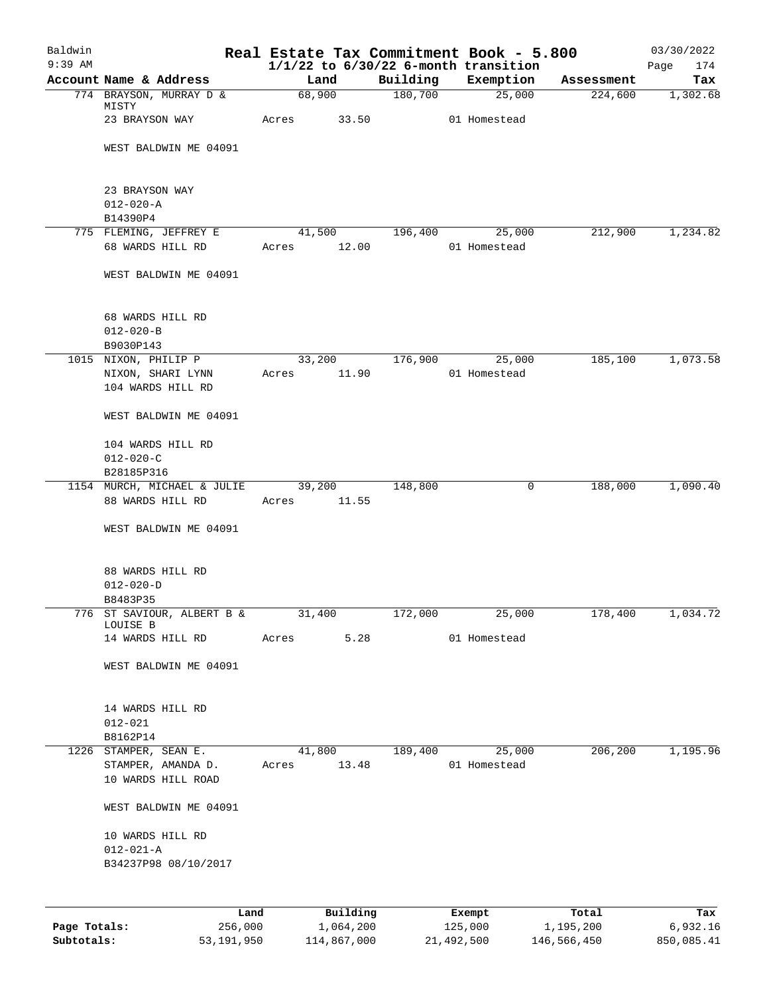| Baldwin<br>$9:39$ AM |                                                  | Real Estate Tax Commitment Book - 5.800<br>$1/1/22$ to $6/30/22$ 6-month transition |          |                   |                    | 03/30/2022<br>174<br>Page |
|----------------------|--------------------------------------------------|-------------------------------------------------------------------------------------|----------|-------------------|--------------------|---------------------------|
|                      | Account Name & Address                           | Land                                                                                | Building | Exemption         | Assessment         | Tax                       |
|                      | 774 BRAYSON, MURRAY D &                          | 68,900                                                                              | 180,700  | 25,000            | 224,600            | 1,302.68                  |
|                      | MISTY<br>23 BRAYSON WAY                          | Acres 33.50                                                                         |          | 01 Homestead      |                    |                           |
|                      | WEST BALDWIN ME 04091                            |                                                                                     |          |                   |                    |                           |
|                      | 23 BRAYSON WAY                                   |                                                                                     |          |                   |                    |                           |
|                      | $012 - 020 - A$                                  |                                                                                     |          |                   |                    |                           |
|                      | B14390P4<br>775 FLEMING, JEFFREY E               | 41,500                                                                              | 196,400  | 25,000            | 212,900            | 1,234.82                  |
|                      | 68 WARDS HILL RD                                 | Acres 12.00                                                                         |          | 01 Homestead      |                    |                           |
|                      | WEST BALDWIN ME 04091                            |                                                                                     |          |                   |                    |                           |
|                      | 68 WARDS HILL RD<br>$012 - 020 - B$<br>B9030P143 |                                                                                     |          |                   |                    |                           |
|                      | 1015 NIXON, PHILIP P                             | 33,200                                                                              | 176,900  | 25,000            | 185,100            | 1,073.58                  |
|                      | NIXON, SHARI LYNN<br>104 WARDS HILL RD           | 11.90<br>Acres                                                                      |          | 01 Homestead      |                    |                           |
|                      | WEST BALDWIN ME 04091                            |                                                                                     |          |                   |                    |                           |
|                      | 104 WARDS HILL RD                                |                                                                                     |          |                   |                    |                           |
|                      | $012 - 020 - C$                                  |                                                                                     |          |                   |                    |                           |
|                      | B28185P316                                       |                                                                                     |          |                   |                    |                           |
|                      | 1154 MURCH, MICHAEL & JULIE<br>88 WARDS HILL RD  | 39,200<br>11.55<br>Acres                                                            | 148,800  | 0                 | 188,000            | 1,090.40                  |
|                      | WEST BALDWIN ME 04091                            |                                                                                     |          |                   |                    |                           |
|                      | 88 WARDS HILL RD                                 |                                                                                     |          |                   |                    |                           |
|                      | $012 - 020 - D$                                  |                                                                                     |          |                   |                    |                           |
|                      | B8483P35                                         |                                                                                     |          |                   |                    |                           |
|                      | 776 ST SAVIOUR, ALBERT B &<br>LOUISE B           | 31,400                                                                              | 172,000  | 25,000            | 178,400            | 1,034.72                  |
|                      | 14 WARDS HILL RD                                 | 5.28<br>Acres                                                                       |          | 01 Homestead      |                    |                           |
|                      | WEST BALDWIN ME 04091                            |                                                                                     |          |                   |                    |                           |
|                      | 14 WARDS HILL RD                                 |                                                                                     |          |                   |                    |                           |
|                      | $012 - 021$                                      |                                                                                     |          |                   |                    |                           |
|                      | B8162P14<br>1226 STAMPER, SEAN E.                | 41,800                                                                              | 189,400  | 25,000            | 206,200            | 1,195.96                  |
|                      | STAMPER, AMANDA D.                               | 13.48<br>Acres                                                                      |          | 01 Homestead      |                    |                           |
|                      | 10 WARDS HILL ROAD                               |                                                                                     |          |                   |                    |                           |
|                      | WEST BALDWIN ME 04091                            |                                                                                     |          |                   |                    |                           |
|                      | 10 WARDS HILL RD                                 |                                                                                     |          |                   |                    |                           |
|                      | $012 - 021 - A$                                  |                                                                                     |          |                   |                    |                           |
|                      | B34237P98 08/10/2017                             |                                                                                     |          |                   |                    |                           |
|                      |                                                  |                                                                                     |          |                   |                    |                           |
| Page Totals:         | Land<br>256,000                                  | Building<br>1,064,200                                                               |          | Exempt<br>125,000 | Total<br>1,195,200 | Tax<br>6,932.16           |

**Subtotals:** 53,191,950 114,867,000 21,492,500 146,566,450 850,085.41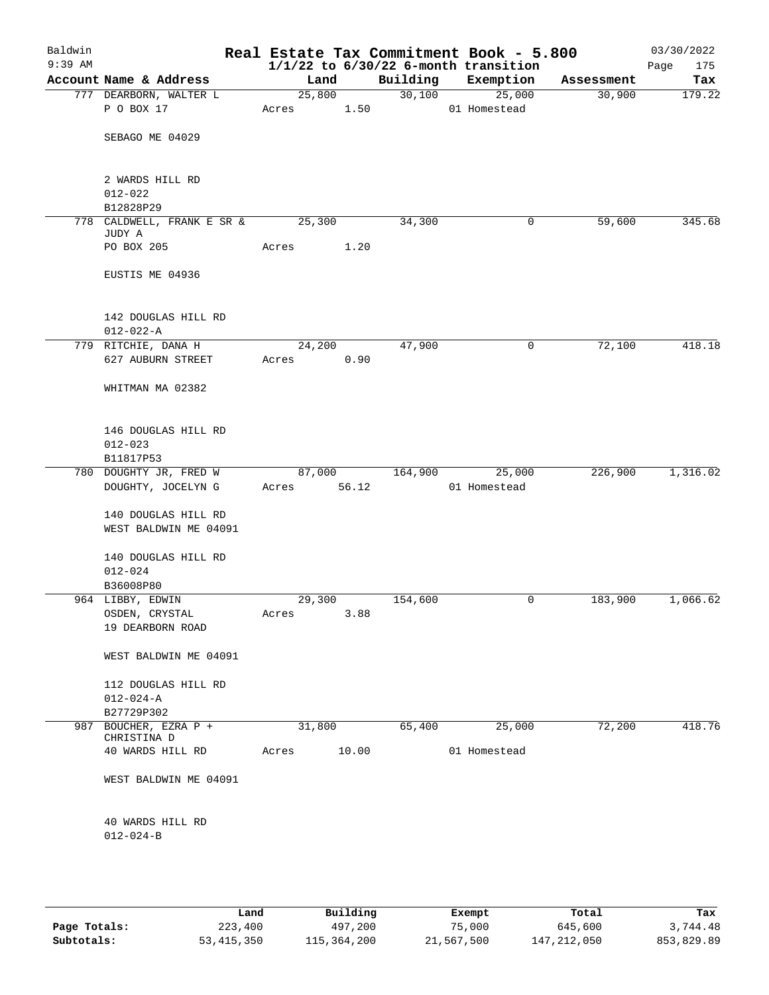| Baldwin<br>$9:39$ AM |                                      |        |       |          | Real Estate Tax Commitment Book - 5.800<br>$1/1/22$ to $6/30/22$ 6-month transition |            | 03/30/2022<br>175<br>Page |
|----------------------|--------------------------------------|--------|-------|----------|-------------------------------------------------------------------------------------|------------|---------------------------|
|                      | Account Name & Address               | Land   |       | Building | Exemption                                                                           | Assessment | Tax                       |
|                      | 777 DEARBORN, WALTER L               | 25,800 |       | 30,100   | 25,000                                                                              | 30,900     | 179.22                    |
|                      | P O BOX 17                           | Acres  | 1.50  |          | 01 Homestead                                                                        |            |                           |
|                      |                                      |        |       |          |                                                                                     |            |                           |
|                      | SEBAGO ME 04029                      |        |       |          |                                                                                     |            |                           |
|                      |                                      |        |       |          |                                                                                     |            |                           |
|                      |                                      |        |       |          |                                                                                     |            |                           |
|                      | 2 WARDS HILL RD                      |        |       |          |                                                                                     |            |                           |
|                      | $012 - 022$                          |        |       |          |                                                                                     |            |                           |
|                      | B12828P29                            | 25,300 |       | 34,300   |                                                                                     | 59,600     | 345.68                    |
|                      | 778 CALDWELL, FRANK E SR &<br>JUDY A |        |       |          | 0                                                                                   |            |                           |
|                      | PO BOX 205                           | Acres  | 1.20  |          |                                                                                     |            |                           |
|                      |                                      |        |       |          |                                                                                     |            |                           |
|                      | EUSTIS ME 04936                      |        |       |          |                                                                                     |            |                           |
|                      |                                      |        |       |          |                                                                                     |            |                           |
|                      |                                      |        |       |          |                                                                                     |            |                           |
|                      | 142 DOUGLAS HILL RD                  |        |       |          |                                                                                     |            |                           |
|                      | $012 - 022 - A$                      |        |       |          |                                                                                     |            |                           |
|                      | 779 RITCHIE, DANA H                  | 24,200 |       | 47,900   | 0                                                                                   | 72,100     | 418.18                    |
|                      | 627 AUBURN STREET                    | Acres  | 0.90  |          |                                                                                     |            |                           |
|                      |                                      |        |       |          |                                                                                     |            |                           |
|                      | WHITMAN MA 02382                     |        |       |          |                                                                                     |            |                           |
|                      |                                      |        |       |          |                                                                                     |            |                           |
|                      |                                      |        |       |          |                                                                                     |            |                           |
|                      | 146 DOUGLAS HILL RD                  |        |       |          |                                                                                     |            |                           |
|                      | $012 - 023$                          |        |       |          |                                                                                     |            |                           |
|                      | B11817P53                            |        |       |          |                                                                                     |            |                           |
|                      | 780 DOUGHTY JR, FRED W               | 87,000 | 56.12 | 164,900  | 25,000                                                                              | 226,900    | 1,316.02                  |
|                      | DOUGHTY, JOCELYN G                   | Acres  |       |          | 01 Homestead                                                                        |            |                           |
|                      | 140 DOUGLAS HILL RD                  |        |       |          |                                                                                     |            |                           |
|                      | WEST BALDWIN ME 04091                |        |       |          |                                                                                     |            |                           |
|                      |                                      |        |       |          |                                                                                     |            |                           |
|                      | 140 DOUGLAS HILL RD                  |        |       |          |                                                                                     |            |                           |
|                      | $012 - 024$                          |        |       |          |                                                                                     |            |                           |
|                      | B36008P80                            |        |       |          |                                                                                     |            |                           |
|                      | 964 LIBBY, EDWIN                     | 29,300 |       | 154,600  | 0                                                                                   | 183,900    | 1,066.62                  |
|                      | OSDEN, CRYSTAL                       | Acres  | 3.88  |          |                                                                                     |            |                           |
|                      | 19 DEARBORN ROAD                     |        |       |          |                                                                                     |            |                           |
|                      |                                      |        |       |          |                                                                                     |            |                           |
|                      | WEST BALDWIN ME 04091                |        |       |          |                                                                                     |            |                           |
|                      |                                      |        |       |          |                                                                                     |            |                           |
|                      | 112 DOUGLAS HILL RD                  |        |       |          |                                                                                     |            |                           |
|                      | $012 - 024 - A$                      |        |       |          |                                                                                     |            |                           |
|                      | B27729P302                           |        |       |          |                                                                                     |            |                           |
| 987                  | BOUCHER, EZRA P +                    | 31,800 |       | 65,400   | 25,000                                                                              | 72,200     | 418.76                    |
|                      | CHRISTINA D<br>40 WARDS HILL RD      |        |       |          |                                                                                     |            |                           |
|                      |                                      | Acres  | 10.00 |          | 01 Homestead                                                                        |            |                           |
|                      | WEST BALDWIN ME 04091                |        |       |          |                                                                                     |            |                           |
|                      |                                      |        |       |          |                                                                                     |            |                           |
|                      |                                      |        |       |          |                                                                                     |            |                           |
|                      | 40 WARDS HILL RD                     |        |       |          |                                                                                     |            |                           |
|                      | $012 - 024 - B$                      |        |       |          |                                                                                     |            |                           |
|                      |                                      |        |       |          |                                                                                     |            |                           |
|                      |                                      |        |       |          |                                                                                     |            |                           |

|              | Land         | Building    | Exempt     | Total       | Tax        |
|--------------|--------------|-------------|------------|-------------|------------|
| Page Totals: | 223,400      | 497,200     | 75,000     | 645,600     | 3,744.48   |
| Subtotals:   | 53, 415, 350 | 115,364,200 | 21,567,500 | 147,212,050 | 853,829.89 |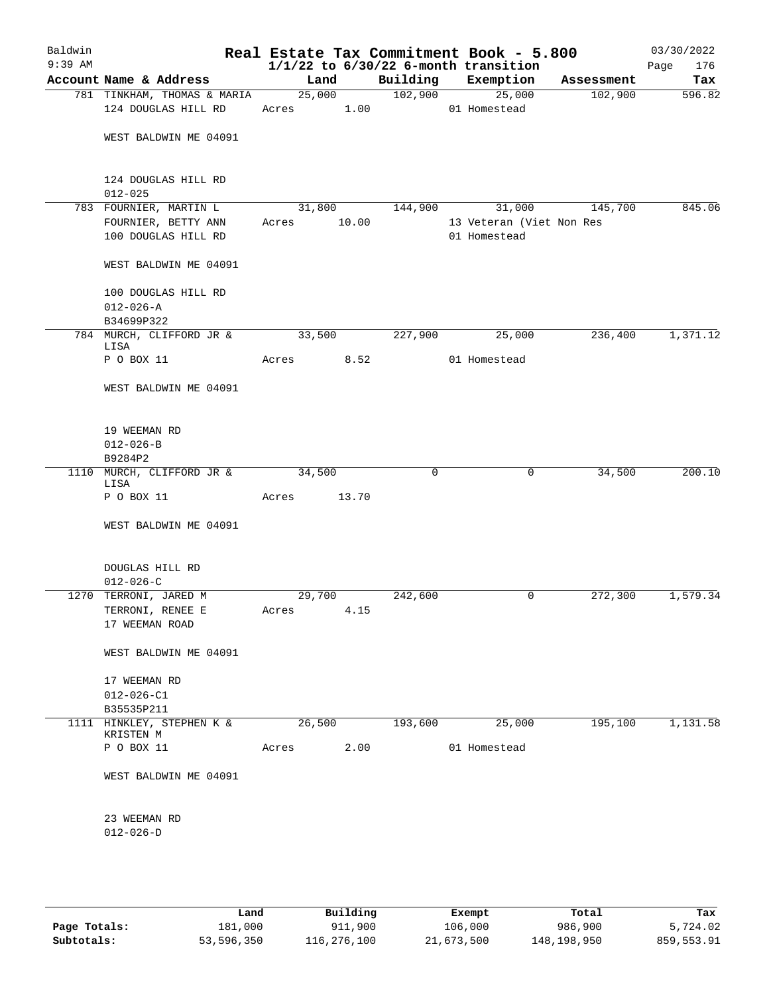| Baldwin<br>$9:39$ AM |                                        |            |        |             | Real Estate Tax Commitment Book - 5.800<br>$1/1/22$ to $6/30/22$ 6-month transition |            | 03/30/2022<br>Page<br>176 |
|----------------------|----------------------------------------|------------|--------|-------------|-------------------------------------------------------------------------------------|------------|---------------------------|
|                      | Account Name & Address                 | Land       |        | Building    | Exemption                                                                           | Assessment | Tax                       |
|                      | 781 TINKHAM, THOMAS & MARIA            |            | 25,000 |             | 102,900 25,000                                                                      | 102,900    | 596.82                    |
|                      | 124 DOUGLAS HILL RD                    | Acres 1.00 |        |             | 01 Homestead                                                                        |            |                           |
|                      | WEST BALDWIN ME 04091                  |            |        |             |                                                                                     |            |                           |
|                      |                                        |            |        |             |                                                                                     |            |                           |
|                      | 124 DOUGLAS HILL RD                    |            |        |             |                                                                                     |            |                           |
|                      | $012 - 025$                            |            |        |             |                                                                                     |            |                           |
|                      | 783 FOURNIER, MARTIN L                 | 31,800     |        | 144,900     | 31,000                                                                              | 145,700    | 845.06                    |
|                      | FOURNIER, BETTY ANN                    | Acres      | 10.00  |             | 13 Veteran (Viet Non Res                                                            |            |                           |
|                      | 100 DOUGLAS HILL RD                    |            |        |             | 01 Homestead                                                                        |            |                           |
|                      | WEST BALDWIN ME 04091                  |            |        |             |                                                                                     |            |                           |
|                      | 100 DOUGLAS HILL RD                    |            |        |             |                                                                                     |            |                           |
|                      | $012 - 026 - A$                        |            |        |             |                                                                                     |            |                           |
|                      | B34699P322                             |            |        |             |                                                                                     |            |                           |
|                      | 784 MURCH, CLIFFORD JR &<br>LISA       | 33,500     |        | 227,900     | 25,000                                                                              | 236,400    | 1,371.12                  |
|                      | P O BOX 11                             | Acres      | 8.52   |             | 01 Homestead                                                                        |            |                           |
|                      | WEST BALDWIN ME 04091                  |            |        |             |                                                                                     |            |                           |
|                      | 19 WEEMAN RD                           |            |        |             |                                                                                     |            |                           |
|                      | $012 - 026 - B$                        |            |        |             |                                                                                     |            |                           |
|                      | B9284P2                                |            |        |             |                                                                                     |            |                           |
|                      | 1110 MURCH, CLIFFORD JR &              | 34,500     |        | $\mathbf 0$ | $\mathbf 0$                                                                         | 34,500     | 200.10                    |
|                      | LISA<br>P O BOX 11                     | Acres      | 13.70  |             |                                                                                     |            |                           |
|                      | WEST BALDWIN ME 04091                  |            |        |             |                                                                                     |            |                           |
|                      |                                        |            |        |             |                                                                                     |            |                           |
|                      | DOUGLAS HILL RD                        |            |        |             |                                                                                     |            |                           |
|                      | $012 - 026 - C$                        |            |        |             |                                                                                     |            |                           |
|                      | 1270 TERRONI, JARED M                  | 29,700     |        | 242,600     | 0                                                                                   | 272,300    | 1,579.34                  |
|                      | TERRONI, RENEE E                       | Acres      | 4.15   |             |                                                                                     |            |                           |
|                      | 17 WEEMAN ROAD                         |            |        |             |                                                                                     |            |                           |
|                      | WEST BALDWIN ME 04091                  |            |        |             |                                                                                     |            |                           |
|                      | 17 WEEMAN RD                           |            |        |             |                                                                                     |            |                           |
|                      | $012 - 026 - C1$                       |            |        |             |                                                                                     |            |                           |
|                      | B35535P211                             |            |        |             |                                                                                     |            |                           |
|                      | 1111 HINKLEY, STEPHEN K &<br>KRISTEN M | 26,500     |        | 193,600     | 25,000                                                                              | 195,100    | 1,131.58                  |
|                      | P O BOX 11                             | Acres      | 2.00   |             | 01 Homestead                                                                        |            |                           |
|                      | WEST BALDWIN ME 04091                  |            |        |             |                                                                                     |            |                           |
|                      | 23 WEEMAN RD<br>$012 - 026 - D$        |            |        |             |                                                                                     |            |                           |
|                      |                                        |            |        |             |                                                                                     |            |                           |

|              | Land       | Building    | Exempt     | Total       | Tax        |
|--------------|------------|-------------|------------|-------------|------------|
| Page Totals: | 181,000    | 911,900     | 106,000    | 986,900     | 5,724.02   |
| Subtotals:   | 53,596,350 | 116,276,100 | 21,673,500 | 148,198,950 | 859,553.91 |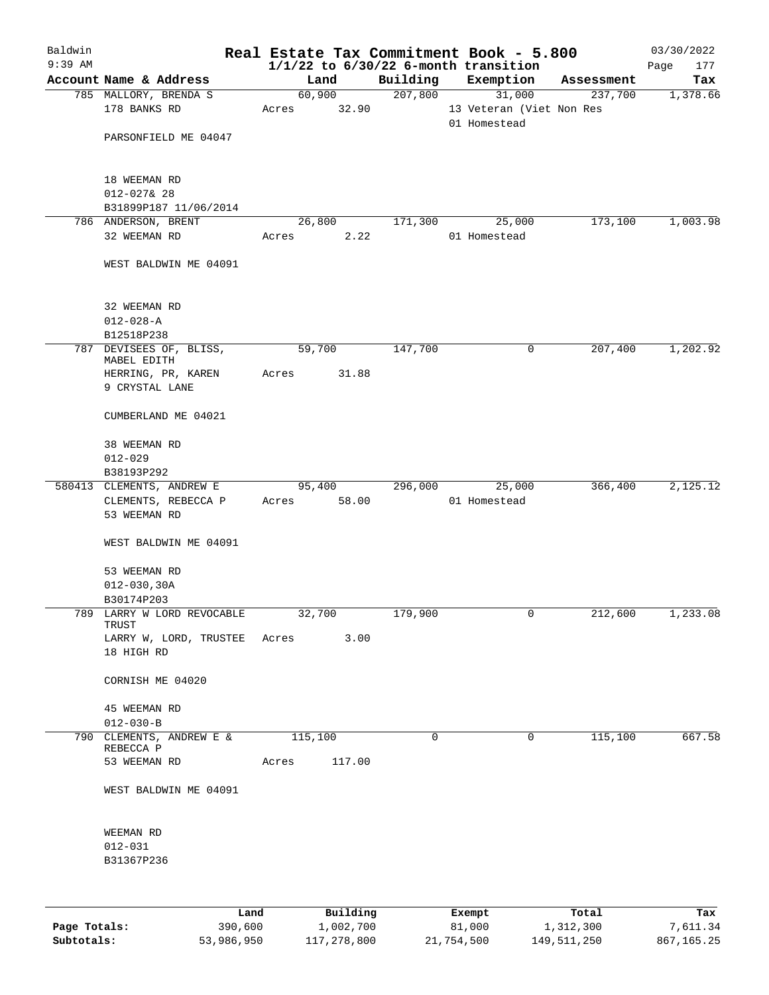| Baldwin   |                                            |       |         |          |             | Real Estate Tax Commitment Book - 5.800  |            | 03/30/2022  |
|-----------|--------------------------------------------|-------|---------|----------|-------------|------------------------------------------|------------|-------------|
| $9:39$ AM |                                            |       |         |          |             | $1/1/22$ to $6/30/22$ 6-month transition |            | Page<br>177 |
|           | Account Name & Address                     |       | Land    |          | Building    | Exemption                                | Assessment | Tax         |
|           | 785 MALLORY, BRENDA S<br>178 BANKS RD      | Acres | 60,900  | 32.90    | 207,800     | 31,000<br>13 Veteran (Viet Non Res       | 237,700    | 1,378.66    |
|           | PARSONFIELD ME 04047                       |       |         |          |             | 01 Homestead                             |            |             |
|           | 18 WEEMAN RD<br>$012 - 027$ & 28           |       |         |          |             |                                          |            |             |
|           | B31899P187 11/06/2014                      |       |         |          |             |                                          |            |             |
|           | 786 ANDERSON, BRENT                        |       | 26,800  |          | 171,300     | 25,000                                   | 173,100    | 1,003.98    |
|           | 32 WEEMAN RD                               | Acres |         | 2.22     |             | 01 Homestead                             |            |             |
|           | WEST BALDWIN ME 04091                      |       |         |          |             |                                          |            |             |
|           | 32 WEEMAN RD                               |       |         |          |             |                                          |            |             |
|           | $012 - 028 - A$                            |       |         |          |             |                                          |            |             |
|           | B12518P238                                 |       |         |          |             |                                          |            |             |
|           | 787 DEVISEES OF, BLISS,<br>MABEL EDITH     |       | 59,700  |          | 147,700     | 0                                        | 207,400    | 1,202.92    |
|           | HERRING, PR, KAREN                         | Acres |         | 31.88    |             |                                          |            |             |
|           | 9 CRYSTAL LANE                             |       |         |          |             |                                          |            |             |
|           | CUMBERLAND ME 04021                        |       |         |          |             |                                          |            |             |
|           | 38 WEEMAN RD<br>$012 - 029$                |       |         |          |             |                                          |            |             |
|           | B38193P292                                 |       |         |          |             |                                          |            |             |
|           | 580413 CLEMENTS, ANDREW E                  |       | 95,400  |          | 296,000     | 25,000                                   | 366,400    | 2,125.12    |
|           | CLEMENTS, REBECCA P<br>53 WEEMAN RD        | Acres |         | 58.00    |             | 01 Homestead                             |            |             |
|           | WEST BALDWIN ME 04091                      |       |         |          |             |                                          |            |             |
|           | 53 WEEMAN RD                               |       |         |          |             |                                          |            |             |
|           | $012 - 030, 30A$                           |       |         |          |             |                                          |            |             |
|           | B30174P203                                 |       |         |          |             |                                          |            |             |
|           | 789 LARRY W LORD REVOCABLE<br>TRUST        |       | 32,700  |          | 179,900     | 0                                        | 212,600    | 1,233.08    |
|           | LARRY W, LORD, TRUSTEE Acres<br>18 HIGH RD |       |         | 3.00     |             |                                          |            |             |
|           |                                            |       |         |          |             |                                          |            |             |
|           | CORNISH ME 04020                           |       |         |          |             |                                          |            |             |
|           | 45 WEEMAN RD<br>$012 - 030 - B$            |       |         |          |             |                                          |            |             |
|           | 790 CLEMENTS, ANDREW E &<br>REBECCA P      |       | 115,100 |          | $\mathbf 0$ | $\mathbf 0$                              | 115,100    | 667.58      |
|           | 53 WEEMAN RD                               | Acres |         | 117.00   |             |                                          |            |             |
|           | WEST BALDWIN ME 04091                      |       |         |          |             |                                          |            |             |
|           | WEEMAN RD                                  |       |         |          |             |                                          |            |             |
|           | $012 - 031$                                |       |         |          |             |                                          |            |             |
|           | B31367P236                                 |       |         |          |             |                                          |            |             |
|           |                                            |       |         |          |             |                                          |            |             |
|           | Land                                       |       |         | Building |             | Exempt                                   | Total      | Tax         |

|              | Land       | Building    | Exempt     | Total       | Tax        |
|--------------|------------|-------------|------------|-------------|------------|
| Page Totals: | 390,600    | 1,002,700   | 81,000     | 1,312,300   | 7,611.34   |
| Subtotals:   | 53,986,950 | 117,278,800 | 21,754,500 | 149,511,250 | 867,165.25 |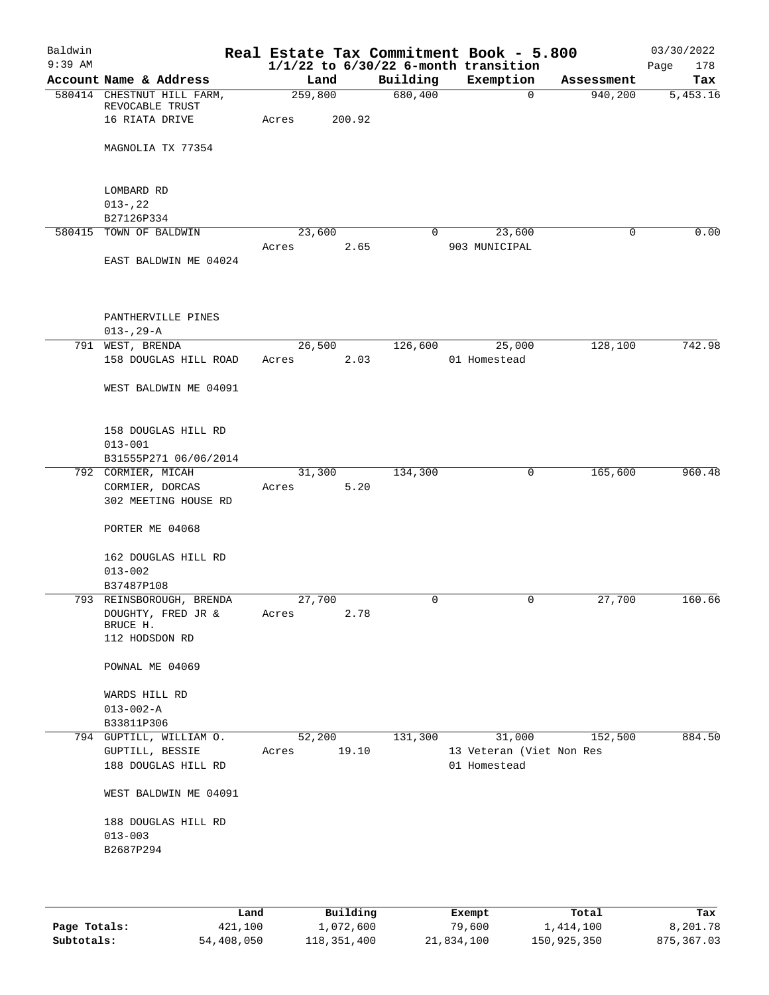| Baldwin   |                                               |         |        |             | Real Estate Tax Commitment Book - 5.800  |            | 03/30/2022  |
|-----------|-----------------------------------------------|---------|--------|-------------|------------------------------------------|------------|-------------|
| $9:39$ AM |                                               |         |        |             | $1/1/22$ to $6/30/22$ 6-month transition |            | 178<br>Page |
|           | Account Name & Address                        | Land    |        | Building    | Exemption                                | Assessment | Tax         |
|           | 580414 CHESTNUT HILL FARM,<br>REVOCABLE TRUST | 259,800 |        | 680,400     | $\mathbf 0$                              | 940,200    | 5,453.16    |
|           | 16 RIATA DRIVE                                | Acres   | 200.92 |             |                                          |            |             |
|           |                                               |         |        |             |                                          |            |             |
|           | MAGNOLIA TX 77354                             |         |        |             |                                          |            |             |
|           |                                               |         |        |             |                                          |            |             |
|           | LOMBARD RD                                    |         |        |             |                                          |            |             |
|           | $013 - 22$                                    |         |        |             |                                          |            |             |
|           | B27126P334                                    |         |        |             |                                          |            |             |
|           | 580415 TOWN OF BALDWIN                        | 23,600  |        | $\mathbf 0$ | 23,600                                   | 0          | 0.00        |
|           |                                               | Acres   | 2.65   |             | 903 MUNICIPAL                            |            |             |
|           | EAST BALDWIN ME 04024                         |         |        |             |                                          |            |             |
|           |                                               |         |        |             |                                          |            |             |
|           |                                               |         |        |             |                                          |            |             |
|           | PANTHERVILLE PINES                            |         |        |             |                                          |            |             |
|           | $013 - 29 - A$                                |         |        |             |                                          |            |             |
|           | 791 WEST, BRENDA                              | 26,500  |        | 126,600     | 25,000                                   | 128,100    | 742.98      |
|           | 158 DOUGLAS HILL ROAD                         | Acres   | 2.03   |             | 01 Homestead                             |            |             |
|           |                                               |         |        |             |                                          |            |             |
|           | WEST BALDWIN ME 04091                         |         |        |             |                                          |            |             |
|           |                                               |         |        |             |                                          |            |             |
|           | 158 DOUGLAS HILL RD                           |         |        |             |                                          |            |             |
|           | $013 - 001$                                   |         |        |             |                                          |            |             |
|           | B31555P271 06/06/2014                         |         |        |             |                                          |            |             |
|           | 792 CORMIER, MICAH                            | 31,300  |        | 134,300     | $\mathbf 0$                              | 165,600    | 960.48      |
|           | CORMIER, DORCAS                               | Acres   | 5.20   |             |                                          |            |             |
|           | 302 MEETING HOUSE RD                          |         |        |             |                                          |            |             |
|           |                                               |         |        |             |                                          |            |             |
|           | PORTER ME 04068                               |         |        |             |                                          |            |             |
|           | 162 DOUGLAS HILL RD                           |         |        |             |                                          |            |             |
|           | $013 - 002$                                   |         |        |             |                                          |            |             |
|           | B37487P108                                    |         |        |             |                                          |            |             |
|           | 793 REINSBOROUGH, BRENDA                      | 27,700  |        | 0           | 0                                        | 27,700     | 160.66      |
|           | DOUGHTY, FRED JR &                            | Acres   | 2.78   |             |                                          |            |             |
|           | BRUCE H.<br>112 HODSDON RD                    |         |        |             |                                          |            |             |
|           |                                               |         |        |             |                                          |            |             |
|           | POWNAL ME 04069                               |         |        |             |                                          |            |             |
|           |                                               |         |        |             |                                          |            |             |
|           | WARDS HILL RD                                 |         |        |             |                                          |            |             |
|           | $013 - 002 - A$                               |         |        |             |                                          |            |             |
|           | B33811P306                                    |         |        |             |                                          |            |             |
|           | 794 GUPTILL, WILLIAM O.                       | 52, 200 |        | 131,300     | 31,000                                   | 152,500    | 884.50      |
|           | GUPTILL, BESSIE<br>188 DOUGLAS HILL RD        | Acres   | 19.10  |             | 13 Veteran (Viet Non Res<br>01 Homestead |            |             |
|           |                                               |         |        |             |                                          |            |             |
|           | WEST BALDWIN ME 04091                         |         |        |             |                                          |            |             |
|           | 188 DOUGLAS HILL RD                           |         |        |             |                                          |            |             |
|           | $013 - 003$                                   |         |        |             |                                          |            |             |
|           | B2687P294                                     |         |        |             |                                          |            |             |
|           |                                               |         |        |             |                                          |            |             |
|           |                                               |         |        |             |                                          |            |             |
|           |                                               |         |        |             |                                          |            |             |

|              | Land       | Building    | Exempt     | Total       | Tax        |
|--------------|------------|-------------|------------|-------------|------------|
| Page Totals: | 421,100    | 1,072,600   | 79,600     | 1,414,100   | 8,201.78   |
| Subtotals:   | 54,408,050 | 118,351,400 | 21,834,100 | 150,925,350 | 875,367.03 |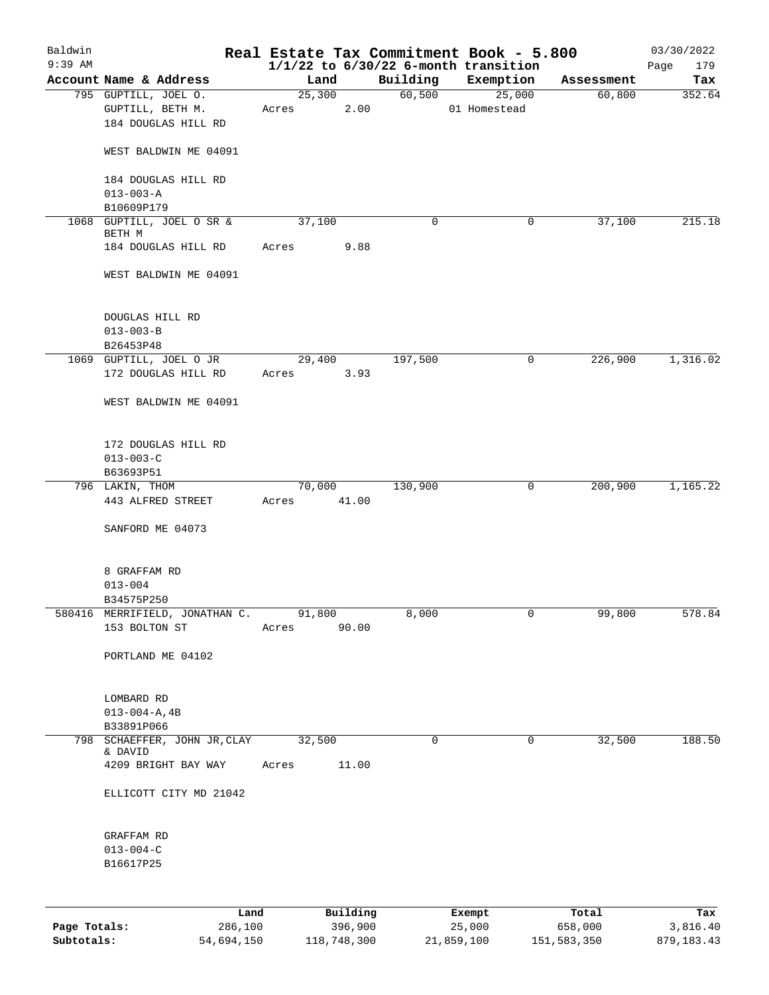| Baldwin      |                                                                 |                 |          |             | Real Estate Tax Commitment Book - 5.800  |            | 03/30/2022  |
|--------------|-----------------------------------------------------------------|-----------------|----------|-------------|------------------------------------------|------------|-------------|
| $9:39$ AM    |                                                                 |                 |          |             | $1/1/22$ to $6/30/22$ 6-month transition |            | 179<br>Page |
|              | Account Name & Address                                          | Land            |          | Building    | Exemption                                | Assessment | Tax         |
|              | 795 GUPTILL, JOEL O.<br>GUPTILL, BETH M.<br>184 DOUGLAS HILL RD | 25,300<br>Acres | 2.00     | 60,500      | 25,000<br>01 Homestead                   | 60,800     | 352.64      |
|              | WEST BALDWIN ME 04091                                           |                 |          |             |                                          |            |             |
|              | 184 DOUGLAS HILL RD<br>$013 - 003 - A$                          |                 |          |             |                                          |            |             |
|              | B10609P179                                                      |                 |          |             |                                          |            |             |
|              | 1068 GUPTILL, JOEL O SR &<br>BETH M                             | 37,100          |          | 0           | 0                                        | 37,100     | 215.18      |
|              | 184 DOUGLAS HILL RD                                             | Acres           | 9.88     |             |                                          |            |             |
|              | WEST BALDWIN ME 04091                                           |                 |          |             |                                          |            |             |
|              | DOUGLAS HILL RD<br>$013 - 003 - B$                              |                 |          |             |                                          |            |             |
|              | B26453P48                                                       | 29,400          |          | 197,500     | 0                                        | 226,900    | 1,316.02    |
|              | 1069 GUPTILL, JOEL O JR<br>172 DOUGLAS HILL RD                  | Acres           | 3.93     |             |                                          |            |             |
|              | WEST BALDWIN ME 04091                                           |                 |          |             |                                          |            |             |
|              | 172 DOUGLAS HILL RD<br>$013 - 003 - C$                          |                 |          |             |                                          |            |             |
|              | B63693P51                                                       |                 |          |             |                                          |            |             |
|              | 796 LAKIN, THOM                                                 | 70,000          |          | 130,900     | 0                                        | 200,900    | 1,165.22    |
|              | 443 ALFRED STREET                                               | Acres           | 41.00    |             |                                          |            |             |
|              | SANFORD ME 04073                                                |                 |          |             |                                          |            |             |
|              | 8 GRAFFAM RD                                                    |                 |          |             |                                          |            |             |
|              | $013 - 004$                                                     |                 |          |             |                                          |            |             |
|              | B34575P250                                                      |                 |          |             |                                          |            |             |
|              | 580416 MERRIFIELD, JONATHAN C.<br>153 BOLTON ST                 | 91,800<br>Acres | 90.00    | 8,000       | 0                                        | 99,800     | 578.84      |
|              | PORTLAND ME 04102                                               |                 |          |             |                                          |            |             |
|              | LOMBARD RD                                                      |                 |          |             |                                          |            |             |
|              | $013 - 004 - A, 4B$                                             |                 |          |             |                                          |            |             |
|              | B33891P066                                                      |                 |          |             |                                          |            |             |
|              | 798 SCHAEFFER, JOHN JR, CLAY                                    | 32,500          |          | $\mathbf 0$ | 0                                        | 32,500     | 188.50      |
|              | & DAVID<br>4209 BRIGHT BAY WAY                                  | Acres           | 11.00    |             |                                          |            |             |
|              | ELLICOTT CITY MD 21042                                          |                 |          |             |                                          |            |             |
|              | GRAFFAM RD                                                      |                 |          |             |                                          |            |             |
|              | $013 - 004 - C$                                                 |                 |          |             |                                          |            |             |
|              | B16617P25                                                       |                 |          |             |                                          |            |             |
|              |                                                                 |                 |          |             |                                          |            |             |
|              | Land                                                            |                 | Building |             | Exempt                                   | Total      | Tax         |
| Page Totals: | 286,100                                                         |                 | 396,900  |             | 25,000                                   | 658,000    | 3,816.40    |

**Subtotals:** 54,694,150 118,748,300 21,859,100 151,583,350 879,183.43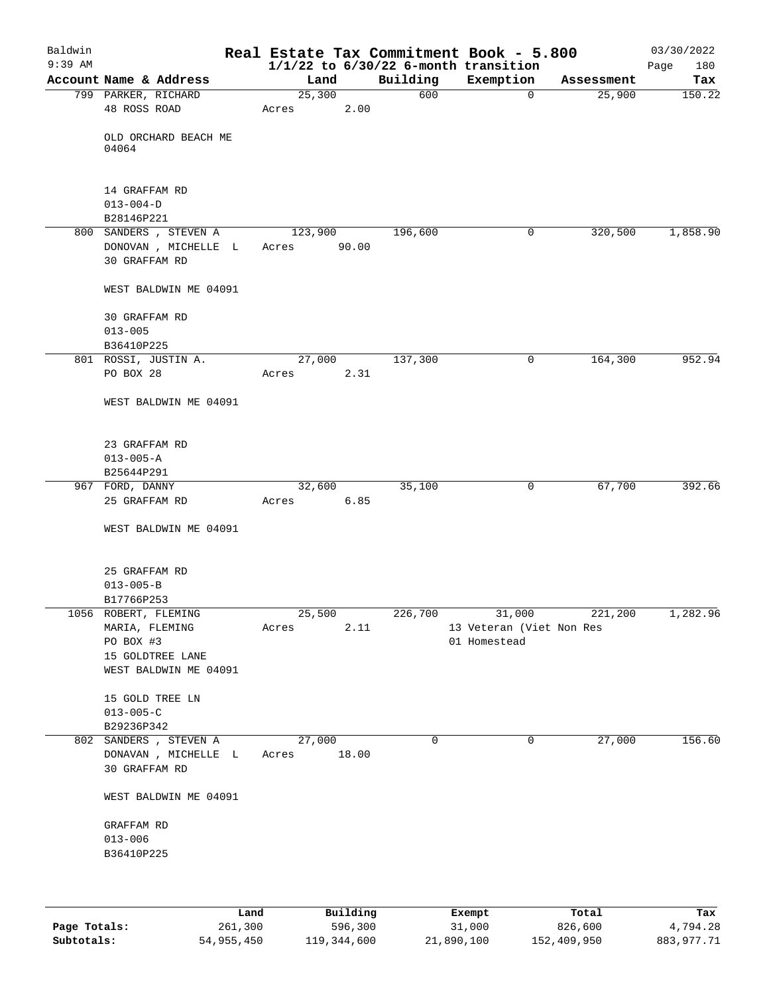| Baldwin   |                                       |                |       |                 | Real Estate Tax Commitment Book - 5.800  |                      | 03/30/2022    |
|-----------|---------------------------------------|----------------|-------|-----------------|------------------------------------------|----------------------|---------------|
| $9:39$ AM |                                       |                |       |                 | $1/1/22$ to $6/30/22$ 6-month transition |                      | 180<br>Page   |
|           | Account Name & Address                | Land<br>25,300 |       | Building<br>600 | Exemption<br>$\mathbf 0$                 | Assessment<br>25,900 | Tax<br>150.22 |
|           | 799 PARKER, RICHARD<br>48 ROSS ROAD   | Acres          | 2.00  |                 |                                          |                      |               |
|           |                                       |                |       |                 |                                          |                      |               |
|           | OLD ORCHARD BEACH ME                  |                |       |                 |                                          |                      |               |
|           | 04064                                 |                |       |                 |                                          |                      |               |
|           |                                       |                |       |                 |                                          |                      |               |
|           | 14 GRAFFAM RD                         |                |       |                 |                                          |                      |               |
|           | $013 - 004 - D$                       |                |       |                 |                                          |                      |               |
|           | B28146P221                            |                |       |                 |                                          |                      |               |
|           | 800 SANDERS , STEVEN A                | 123,900        |       | 196,600         | $\mathbf 0$                              | 320,500              | 1,858.90      |
|           | DONOVAN , MICHELLE L<br>30 GRAFFAM RD | Acres          | 90.00 |                 |                                          |                      |               |
|           | WEST BALDWIN ME 04091                 |                |       |                 |                                          |                      |               |
|           | 30 GRAFFAM RD                         |                |       |                 |                                          |                      |               |
|           | $013 - 005$                           |                |       |                 |                                          |                      |               |
|           | B36410P225                            |                |       |                 |                                          |                      |               |
|           | 801 ROSSI, JUSTIN A.                  | 27,000         |       | 137,300         | 0                                        | 164,300              | 952.94        |
|           | PO BOX 28                             | Acres          | 2.31  |                 |                                          |                      |               |
|           | WEST BALDWIN ME 04091                 |                |       |                 |                                          |                      |               |
|           |                                       |                |       |                 |                                          |                      |               |
|           | 23 GRAFFAM RD<br>$013 - 005 - A$      |                |       |                 |                                          |                      |               |
|           | B25644P291                            |                |       |                 |                                          |                      |               |
|           | 967 FORD, DANNY                       | 32,600         |       | 35,100          | 0                                        | 67,700               | 392.66        |
|           | 25 GRAFFAM RD                         | Acres          | 6.85  |                 |                                          |                      |               |
|           |                                       |                |       |                 |                                          |                      |               |
|           | WEST BALDWIN ME 04091                 |                |       |                 |                                          |                      |               |
|           | 25 GRAFFAM RD                         |                |       |                 |                                          |                      |               |
|           | $013 - 005 - B$                       |                |       |                 |                                          |                      |               |
|           | B17766P253                            |                |       |                 |                                          |                      |               |
|           | 1056 ROBERT, FLEMING                  | 25,500         |       | 226,700         | 31,000                                   | 221,200              | 1,282.96      |
|           | MARIA, FLEMING<br>PO BOX #3           | Acres          | 2.11  |                 | 13 Veteran (Viet Non Res<br>01 Homestead |                      |               |
|           | 15 GOLDTREE LANE                      |                |       |                 |                                          |                      |               |
|           | WEST BALDWIN ME 04091                 |                |       |                 |                                          |                      |               |
|           |                                       |                |       |                 |                                          |                      |               |
|           | 15 GOLD TREE LN                       |                |       |                 |                                          |                      |               |
|           | $013 - 005 - C$                       |                |       |                 |                                          |                      |               |
|           | B29236P342                            |                |       |                 |                                          |                      |               |
|           | 802 SANDERS, STEVEN A                 | 27,000         |       | 0               | 0                                        | 27,000               | 156.60        |
|           | DONAVAN , MICHELLE L                  | Acres          | 18.00 |                 |                                          |                      |               |
|           | 30 GRAFFAM RD                         |                |       |                 |                                          |                      |               |
|           | WEST BALDWIN ME 04091                 |                |       |                 |                                          |                      |               |
|           | GRAFFAM RD                            |                |       |                 |                                          |                      |               |
|           | $013 - 006$                           |                |       |                 |                                          |                      |               |
|           | B36410P225                            |                |       |                 |                                          |                      |               |
|           |                                       |                |       |                 |                                          |                      |               |
|           |                                       |                |       |                 |                                          |                      |               |
|           |                                       |                |       |                 |                                          |                      |               |

|              | Land       | Building    | Exempt     | Total       | Tax        |
|--------------|------------|-------------|------------|-------------|------------|
| Page Totals: | 261,300    | 596,300     | 31,000     | 826,600     | 4,794.28   |
| Subtotals:   | 54,955,450 | 119,344,600 | 21,890,100 | 152,409,950 | 883,977.71 |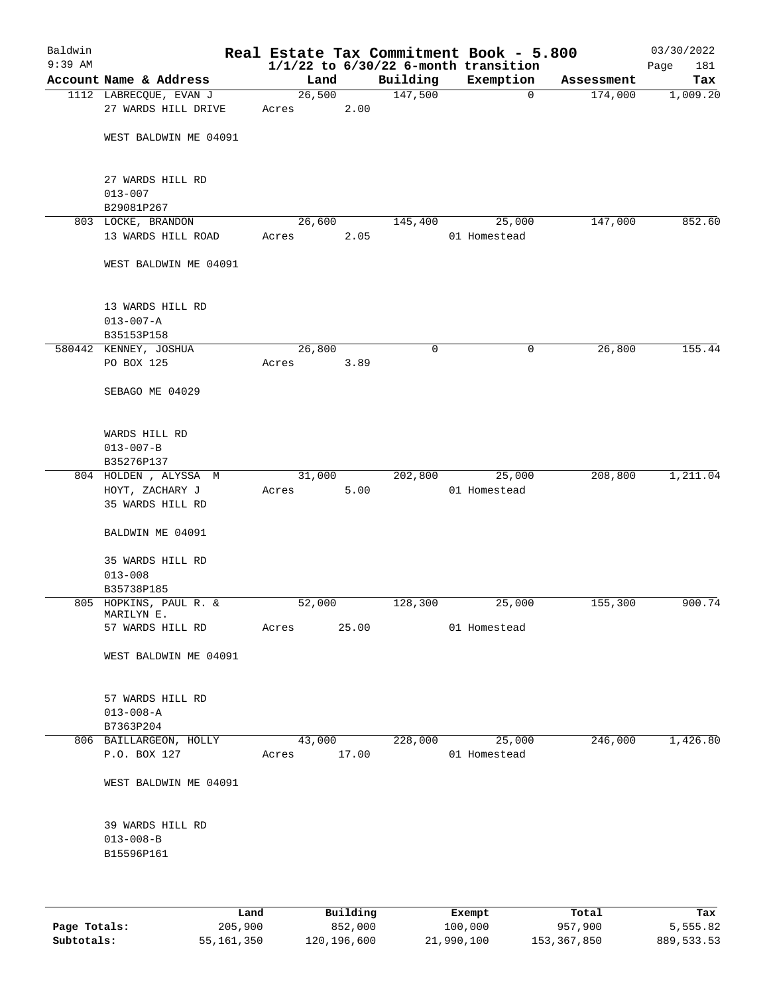| Baldwin<br>$9:39$ AM |                                                   |        |                            |          | Real Estate Tax Commitment Book - 5.800<br>$1/1/22$ to $6/30/22$ 6-month transition |             | 03/30/2022<br>181<br>Page |
|----------------------|---------------------------------------------------|--------|----------------------------|----------|-------------------------------------------------------------------------------------|-------------|---------------------------|
|                      | Account Name & Address                            | Land   |                            | Building | Exemption                                                                           | Assessment  | Tax                       |
|                      | 1112 LABRECQUE, EVAN J                            | 26,500 |                            | 147,500  | 0                                                                                   | 174,000     | 1,009.20                  |
|                      | 27 WARDS HILL DRIVE                               | Acres  | 2.00                       |          |                                                                                     |             |                           |
|                      | WEST BALDWIN ME 04091                             |        |                            |          |                                                                                     |             |                           |
|                      | 27 WARDS HILL RD<br>$013 - 007$                   |        |                            |          |                                                                                     |             |                           |
|                      | B29081P267                                        |        |                            |          |                                                                                     |             |                           |
|                      | 803 LOCKE, BRANDON                                | 26,600 |                            | 145,400  | 25,000                                                                              | 147,000     | 852.60                    |
|                      | 13 WARDS HILL ROAD                                | Acres  | 2.05                       |          | 01 Homestead                                                                        |             |                           |
|                      | WEST BALDWIN ME 04091                             |        |                            |          |                                                                                     |             |                           |
|                      | 13 WARDS HILL RD<br>$013 - 007 - A$<br>B35153P158 |        |                            |          |                                                                                     |             |                           |
|                      | 580442 KENNEY, JOSHUA                             | 26,800 |                            | 0        | 0                                                                                   | 26,800      | 155.44                    |
|                      | PO BOX 125                                        | Acres  | 3.89                       |          |                                                                                     |             |                           |
|                      | SEBAGO ME 04029                                   |        |                            |          |                                                                                     |             |                           |
|                      | WARDS HILL RD<br>$013 - 007 - B$                  |        |                            |          |                                                                                     |             |                           |
|                      | B35276P137                                        |        |                            |          |                                                                                     |             |                           |
|                      | 804 HOLDEN, ALYSSA M                              | 31,000 |                            | 202,800  | 25,000                                                                              | 208,800     | 1,211.04                  |
|                      | HOYT, ZACHARY J<br>35 WARDS HILL RD               | Acres  | 5.00                       |          | 01 Homestead                                                                        |             |                           |
|                      | BALDWIN ME 04091                                  |        |                            |          |                                                                                     |             |                           |
|                      | 35 WARDS HILL RD                                  |        |                            |          |                                                                                     |             |                           |
|                      | $013 - 008$                                       |        |                            |          |                                                                                     |             |                           |
|                      | B35738P185<br>805 HOPKINS, PAUL R. &              | 52,000 |                            | 128,300  | 25,000                                                                              | 155,300     | 900.74                    |
|                      | MARILYN E.<br>57 WARDS HILL RD                    | Acres  | 25.00                      |          | 01 Homestead                                                                        |             |                           |
|                      |                                                   |        |                            |          |                                                                                     |             |                           |
|                      | WEST BALDWIN ME 04091                             |        |                            |          |                                                                                     |             |                           |
|                      | 57 WARDS HILL RD                                  |        |                            |          |                                                                                     |             |                           |
|                      | $013 - 008 - A$<br>B7363P204                      |        |                            |          |                                                                                     |             |                           |
|                      | 806 BAILLARGEON, HOLLY                            | 43,000 |                            | 228,000  | 25,000                                                                              | 246,000     | 1,426.80                  |
|                      | P.O. BOX 127                                      | Acres  | 17.00                      |          | 01 Homestead                                                                        |             |                           |
|                      | WEST BALDWIN ME 04091                             |        |                            |          |                                                                                     |             |                           |
|                      | 39 WARDS HILL RD                                  |        |                            |          |                                                                                     |             |                           |
|                      | $013 - 008 - B$<br>B15596P161                     |        |                            |          |                                                                                     |             |                           |
|                      |                                                   |        |                            |          |                                                                                     |             |                           |
|                      | <b>Tond</b>                                       |        | $P_{11}$ in $I_1$ in $I_2$ |          | $P$ <sub>r</sub> $\sim$ mm $+$                                                      | $T - F - 1$ | mas.                      |

|              | Land       | Building    | Exempt     | Total       | Tax        |
|--------------|------------|-------------|------------|-------------|------------|
| Page Totals: | 205,900    | 852,000     | 100,000    | 957,900     | 5,555.82   |
| Subtotals:   | 55,161,350 | 120,196,600 | 21,990,100 | 153,367,850 | 889,533.53 |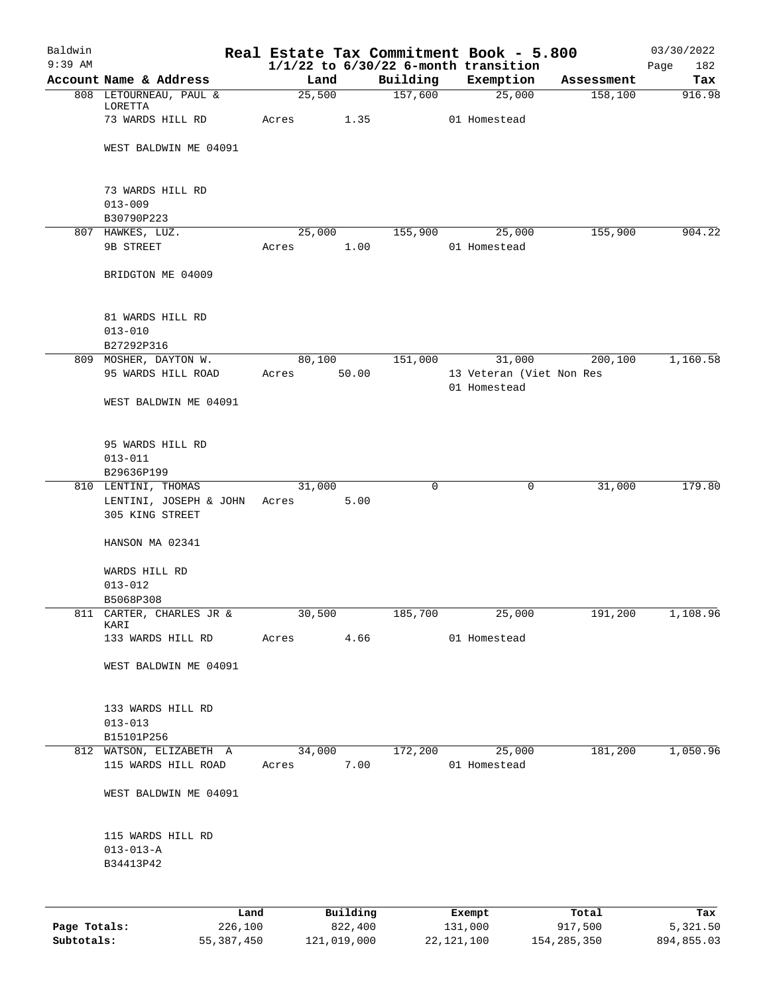| Baldwin      |                                           |        |          |          | Real Estate Tax Commitment Book - 5.800               |            | 03/30/2022         |
|--------------|-------------------------------------------|--------|----------|----------|-------------------------------------------------------|------------|--------------------|
| $9:39$ AM    | Account Name & Address                    | Land   |          | Building | $1/1/22$ to $6/30/22$ 6-month transition<br>Exemption | Assessment | 182<br>Page<br>Tax |
|              | 808 LETOURNEAU, PAUL &                    | 25,500 |          | 157,600  | 25,000                                                | 158,100    | 916.98             |
|              | LORETTA                                   |        |          |          |                                                       |            |                    |
|              | 73 WARDS HILL RD                          | Acres  | 1.35     |          | 01 Homestead                                          |            |                    |
|              | WEST BALDWIN ME 04091                     |        |          |          |                                                       |            |                    |
|              |                                           |        |          |          |                                                       |            |                    |
|              | 73 WARDS HILL RD                          |        |          |          |                                                       |            |                    |
|              | $013 - 009$                               |        |          |          |                                                       |            |                    |
|              | B30790P223                                |        |          |          |                                                       |            |                    |
|              | 807 HAWKES, LUZ.                          | 25,000 |          | 155,900  | 25,000                                                | 155,900    | 904.22             |
|              | 9B STREET                                 | Acres  | 1.00     |          | 01 Homestead                                          |            |                    |
|              | BRIDGTON ME 04009                         |        |          |          |                                                       |            |                    |
|              |                                           |        |          |          |                                                       |            |                    |
|              | 81 WARDS HILL RD<br>$013 - 010$           |        |          |          |                                                       |            |                    |
|              | B27292P316                                |        |          |          |                                                       |            |                    |
|              | 809 MOSHER, DAYTON W.                     | 80,100 |          | 151,000  | 31,000                                                | 200,100    | 1,160.58           |
|              | 95 WARDS HILL ROAD                        | Acres  | 50.00    |          | 13 Veteran (Viet Non Res                              |            |                    |
|              |                                           |        |          |          | 01 Homestead                                          |            |                    |
|              | WEST BALDWIN ME 04091                     |        |          |          |                                                       |            |                    |
|              | 95 WARDS HILL RD                          |        |          |          |                                                       |            |                    |
|              | $013 - 011$                               |        |          |          |                                                       |            |                    |
|              | B29636P199                                |        |          |          |                                                       |            |                    |
|              | 810 LENTINI, THOMAS                       | 31,000 |          | 0        | 0                                                     | 31,000     | 179.80             |
|              | LENTINI, JOSEPH & JOHN<br>305 KING STREET | Acres  | 5.00     |          |                                                       |            |                    |
|              |                                           |        |          |          |                                                       |            |                    |
|              | HANSON MA 02341                           |        |          |          |                                                       |            |                    |
|              | WARDS HILL RD                             |        |          |          |                                                       |            |                    |
|              | $013 - 012$                               |        |          |          |                                                       |            |                    |
|              | B5068P308                                 |        |          |          |                                                       |            |                    |
|              | 811 CARTER, CHARLES JR &<br>KARI          | 30,500 |          | 185,700  | 25,000                                                | 191,200    | 1,108.96           |
|              | 133 WARDS HILL RD                         | Acres  | 4.66     |          | 01 Homestead                                          |            |                    |
|              |                                           |        |          |          |                                                       |            |                    |
|              | WEST BALDWIN ME 04091                     |        |          |          |                                                       |            |                    |
|              | 133 WARDS HILL RD                         |        |          |          |                                                       |            |                    |
|              | $013 - 013$                               |        |          |          |                                                       |            |                    |
|              | B15101P256                                |        |          |          |                                                       |            |                    |
|              | 812 WATSON, ELIZABETH A                   | 34,000 |          | 172,200  | 25,000                                                | 181,200    | 1,050.96           |
|              | 115 WARDS HILL ROAD                       | Acres  | 7.00     |          | 01 Homestead                                          |            |                    |
|              | WEST BALDWIN ME 04091                     |        |          |          |                                                       |            |                    |
|              | 115 WARDS HILL RD                         |        |          |          |                                                       |            |                    |
|              | $013 - 013 - A$                           |        |          |          |                                                       |            |                    |
|              | B34413P42                                 |        |          |          |                                                       |            |                    |
|              |                                           |        |          |          |                                                       |            |                    |
|              | Land                                      |        | Building |          | Exempt                                                | Total      | Tax                |
| Page Totals: | 226,100                                   |        | 822,400  |          | 131,000                                               | 917,500    | 5,321.50           |

**Subtotals:** 55,387,450 121,019,000 22,121,100 154,285,350 894,855.03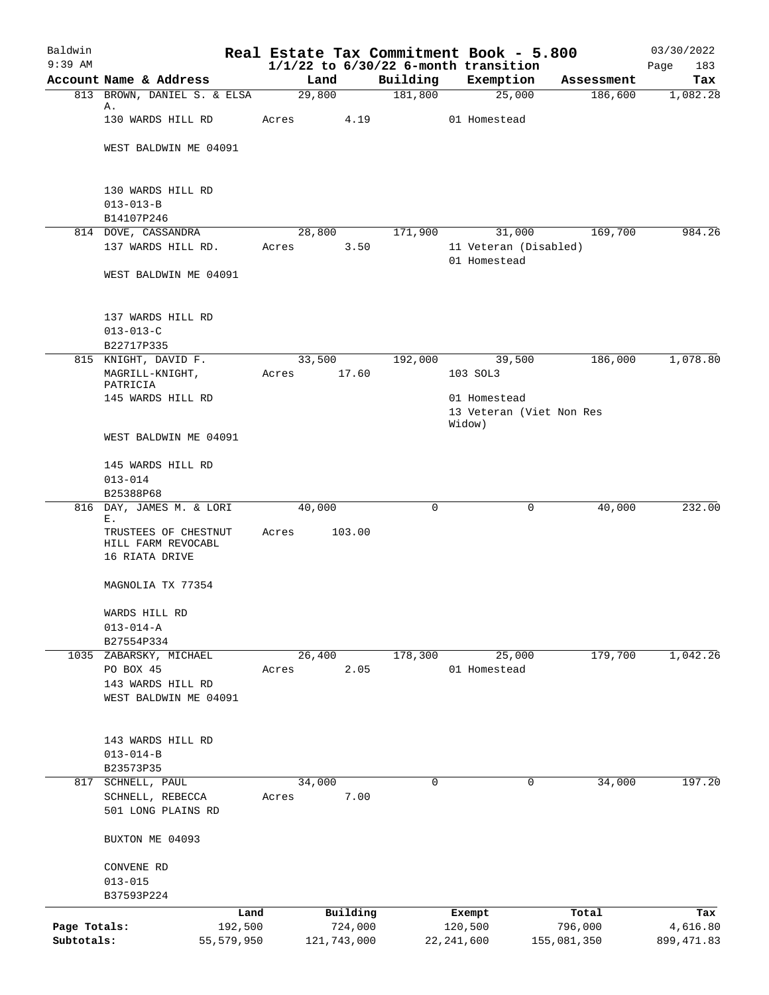| Baldwin<br>$9:39$ AM       |                                                     |                       |       |        |                        |             | Real Estate Tax Commitment Book - 5.800<br>$1/1/22$ to $6/30/22$ 6-month transition |                        | 03/30/2022<br>Page<br>183 |
|----------------------------|-----------------------------------------------------|-----------------------|-------|--------|------------------------|-------------|-------------------------------------------------------------------------------------|------------------------|---------------------------|
|                            | Account Name & Address                              |                       |       | Land   |                        | Building    | Exemption                                                                           | Assessment             | Tax                       |
|                            | 813 BROWN, DANIEL S. & ELSA                         |                       |       | 29,800 |                        | 181,800     | 25,000                                                                              | 186,600                | 1,082.28                  |
|                            | Α.<br>130 WARDS HILL RD                             |                       | Acres |        | 4.19                   |             | 01 Homestead                                                                        |                        |                           |
|                            | WEST BALDWIN ME 04091                               |                       |       |        |                        |             |                                                                                     |                        |                           |
|                            | 130 WARDS HILL RD                                   |                       |       |        |                        |             |                                                                                     |                        |                           |
|                            | $013 - 013 - B$                                     |                       |       |        |                        |             |                                                                                     |                        |                           |
|                            | B14107P246<br>814 DOVE, CASSANDRA                   |                       |       | 28,800 |                        | 171,900     | 31,000                                                                              | 169,700                | 984.26                    |
|                            | 137 WARDS HILL RD.                                  |                       | Acres |        | 3.50                   |             | 11 Veteran (Disabled)                                                               |                        |                           |
|                            | WEST BALDWIN ME 04091                               |                       |       |        |                        |             | 01 Homestead                                                                        |                        |                           |
|                            |                                                     |                       |       |        |                        |             |                                                                                     |                        |                           |
|                            | 137 WARDS HILL RD<br>$013 - 013 - C$                |                       |       |        |                        |             |                                                                                     |                        |                           |
|                            | B22717P335                                          |                       |       |        |                        |             |                                                                                     |                        |                           |
|                            | 815 KNIGHT, DAVID F.<br>MAGRILL-KNIGHT,<br>PATRICIA |                       | Acres | 33,500 | 17.60                  | 192,000     | 39,500<br>103 SOL3                                                                  | 186,000                | 1,078.80                  |
|                            | 145 WARDS HILL RD                                   |                       |       |        |                        |             | 01 Homestead                                                                        |                        |                           |
|                            |                                                     |                       |       |        |                        |             | 13 Veteran (Viet Non Res<br>Widow)                                                  |                        |                           |
|                            | WEST BALDWIN ME 04091                               |                       |       |        |                        |             |                                                                                     |                        |                           |
|                            | 145 WARDS HILL RD<br>$013 - 014$                    |                       |       |        |                        |             |                                                                                     |                        |                           |
|                            | B25388P68                                           |                       |       |        |                        |             |                                                                                     |                        |                           |
|                            | 816 DAY, JAMES M. & LORI<br>Ε.                      |                       |       | 40,000 |                        | 0           | 0                                                                                   | 40,000                 | 232.00                    |
|                            | TRUSTEES OF CHESTNUT<br>HILL FARM REVOCABL          |                       | Acres |        | 103.00                 |             |                                                                                     |                        |                           |
|                            | 16 RIATA DRIVE                                      |                       |       |        |                        |             |                                                                                     |                        |                           |
|                            | MAGNOLIA TX 77354                                   |                       |       |        |                        |             |                                                                                     |                        |                           |
|                            | WARDS HILL RD                                       |                       |       |        |                        |             |                                                                                     |                        |                           |
|                            | $013 - 014 - A$                                     |                       |       |        |                        |             |                                                                                     |                        |                           |
|                            | B27554P334<br>1035 ZABARSKY, MICHAEL                |                       |       |        |                        |             |                                                                                     |                        | 1,042.26                  |
|                            | PO BOX 45                                           |                       | Acres | 26,400 | 2.05                   | 178,300     | 25,000<br>01 Homestead                                                              | 179,700                |                           |
|                            | 143 WARDS HILL RD                                   |                       |       |        |                        |             |                                                                                     |                        |                           |
|                            | WEST BALDWIN ME 04091                               |                       |       |        |                        |             |                                                                                     |                        |                           |
|                            | 143 WARDS HILL RD                                   |                       |       |        |                        |             |                                                                                     |                        |                           |
|                            | $013 - 014 - B$                                     |                       |       |        |                        |             |                                                                                     |                        |                           |
|                            | B23573P35                                           |                       |       |        |                        | $\mathbf 0$ |                                                                                     |                        |                           |
|                            | 817 SCHNELL, PAUL<br>SCHNELL, REBECCA               |                       | Acres | 34,000 | 7.00                   |             | 0                                                                                   | 34,000                 | 197.20                    |
|                            | 501 LONG PLAINS RD                                  |                       |       |        |                        |             |                                                                                     |                        |                           |
|                            | BUXTON ME 04093                                     |                       |       |        |                        |             |                                                                                     |                        |                           |
|                            | CONVENE RD                                          |                       |       |        |                        |             |                                                                                     |                        |                           |
|                            | $013 - 015$                                         |                       |       |        |                        |             |                                                                                     |                        |                           |
|                            | B37593P224                                          |                       |       |        |                        |             |                                                                                     |                        |                           |
|                            |                                                     | Land                  |       |        | Building               |             | Exempt                                                                              | Total                  | Tax                       |
| Page Totals:<br>Subtotals: |                                                     | 192,500<br>55,579,950 |       |        | 724,000<br>121,743,000 |             | 120,500<br>22, 241, 600                                                             | 796,000<br>155,081,350 | 4,616.80<br>899, 471.83   |
|                            |                                                     |                       |       |        |                        |             |                                                                                     |                        |                           |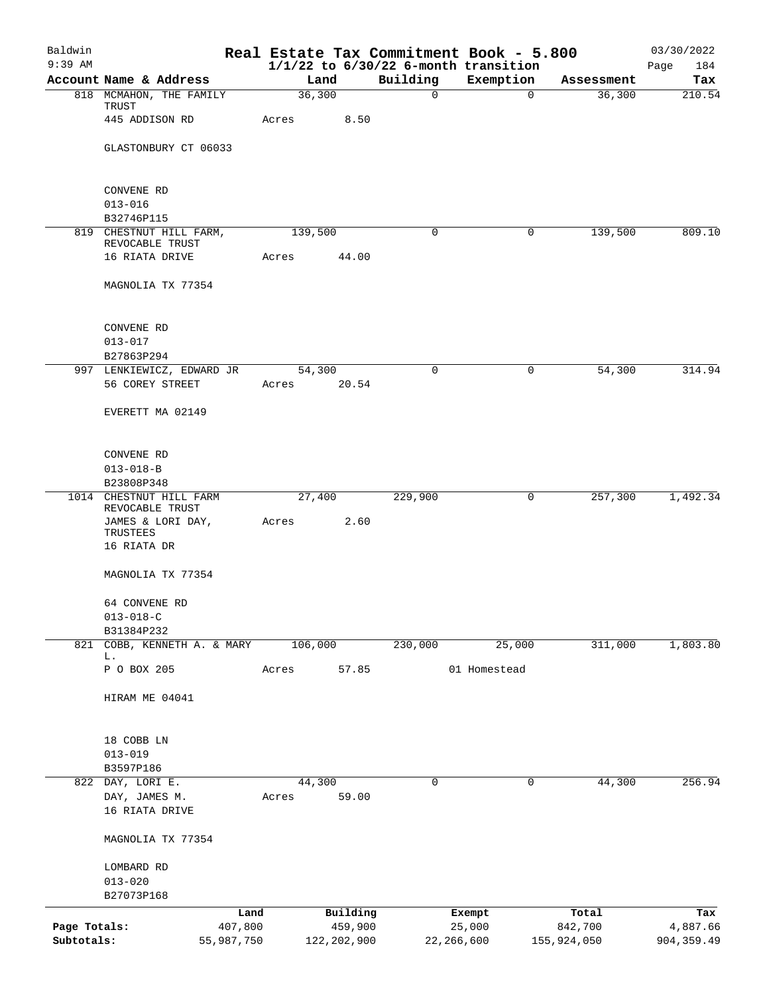| Baldwin<br>$9:39$ AM |                                            |            |         |               |             | Real Estate Tax Commitment Book - 5.800<br>$1/1/22$ to $6/30/22$ 6-month transition |                       | 03/30/2022<br>Page<br>184 |
|----------------------|--------------------------------------------|------------|---------|---------------|-------------|-------------------------------------------------------------------------------------|-----------------------|---------------------------|
|                      | Account Name & Address                     |            | Land    |               | Building    | Exemption                                                                           | Assessment            | Tax                       |
|                      | 818 MCMAHON, THE FAMILY                    |            | 36,300  |               | $\mathbf 0$ |                                                                                     | 36,300<br>$\mathbf 0$ | 210.54                    |
|                      | TRUST<br>445 ADDISON RD                    |            | Acres   | 8.50          |             |                                                                                     |                       |                           |
|                      | GLASTONBURY CT 06033                       |            |         |               |             |                                                                                     |                       |                           |
|                      |                                            |            |         |               |             |                                                                                     |                       |                           |
|                      | CONVENE RD                                 |            |         |               |             |                                                                                     |                       |                           |
|                      | $013 - 016$<br>B32746P115                  |            |         |               |             |                                                                                     |                       |                           |
|                      | 819 CHESTNUT HILL FARM,                    |            | 139,500 |               | $\mathbf 0$ |                                                                                     | 139,500<br>0          | 809.10                    |
|                      | REVOCABLE TRUST<br>16 RIATA DRIVE          |            | Acres   | 44.00         |             |                                                                                     |                       |                           |
|                      |                                            |            |         |               |             |                                                                                     |                       |                           |
|                      | MAGNOLIA TX 77354                          |            |         |               |             |                                                                                     |                       |                           |
|                      | CONVENE RD                                 |            |         |               |             |                                                                                     |                       |                           |
|                      | $013 - 017$                                |            |         |               |             |                                                                                     |                       |                           |
|                      | B27863P294                                 |            |         |               |             |                                                                                     |                       |                           |
|                      | 997 LENKIEWICZ, EDWARD JR                  |            | 54,300  |               | $\mathbf 0$ |                                                                                     | 54,300<br>0           | 314.94                    |
|                      | 56 COREY STREET                            |            | Acres   | 20.54         |             |                                                                                     |                       |                           |
|                      | EVERETT MA 02149                           |            |         |               |             |                                                                                     |                       |                           |
|                      | CONVENE RD                                 |            |         |               |             |                                                                                     |                       |                           |
|                      | $013 - 018 - B$                            |            |         |               |             |                                                                                     |                       |                           |
|                      | B23808P348                                 |            |         |               |             |                                                                                     |                       |                           |
|                      | 1014 CHESTNUT HILL FARM<br>REVOCABLE TRUST |            | 27,400  |               | 229,900     |                                                                                     | 257,300<br>0          | 1,492.34                  |
|                      | JAMES & LORI DAY,<br>TRUSTEES              |            | Acres   | 2.60          |             |                                                                                     |                       |                           |
|                      | 16 RIATA DR                                |            |         |               |             |                                                                                     |                       |                           |
|                      | MAGNOLIA TX 77354                          |            |         |               |             |                                                                                     |                       |                           |
|                      | 64 CONVENE RD                              |            |         |               |             |                                                                                     |                       |                           |
|                      | $013 - 018 - C$                            |            |         |               |             |                                                                                     |                       |                           |
| 821                  | B31384P232<br>COBB, KENNETH A. & MARY      |            | 106,000 |               | 230,000     | 25,000                                                                              | 311,000               | 1,803.80                  |
|                      | L.                                         |            |         |               |             |                                                                                     |                       |                           |
|                      | P O BOX 205                                |            | Acres   | 57.85         |             | 01 Homestead                                                                        |                       |                           |
|                      | HIRAM ME 04041                             |            |         |               |             |                                                                                     |                       |                           |
|                      | 18 COBB LN                                 |            |         |               |             |                                                                                     |                       |                           |
|                      | $013 - 019$                                |            |         |               |             |                                                                                     |                       |                           |
|                      | B3597P186                                  |            |         |               |             |                                                                                     |                       |                           |
|                      | 822 DAY, LORI E.                           |            | 44,300  |               | $\mathbf 0$ |                                                                                     | $\mathbf 0$<br>44,300 | 256.94                    |
|                      | DAY, JAMES M.<br>16 RIATA DRIVE            |            | Acres   | 59.00         |             |                                                                                     |                       |                           |
|                      | MAGNOLIA TX 77354                          |            |         |               |             |                                                                                     |                       |                           |
|                      | LOMBARD RD                                 |            |         |               |             |                                                                                     |                       |                           |
|                      | $013 - 020$                                |            |         |               |             |                                                                                     |                       |                           |
|                      | B27073P168                                 |            |         |               |             |                                                                                     |                       |                           |
|                      |                                            | Land       |         | Building      |             | Exempt                                                                              | Total                 | Tax                       |
| Page Totals:         |                                            | 407,800    |         | 459,900       |             | 25,000                                                                              | 842,700               | 4,887.66                  |
| Subtotals:           |                                            | 55,987,750 |         | 122, 202, 900 |             | 22,266,600                                                                          | 155,924,050           | 904, 359.49               |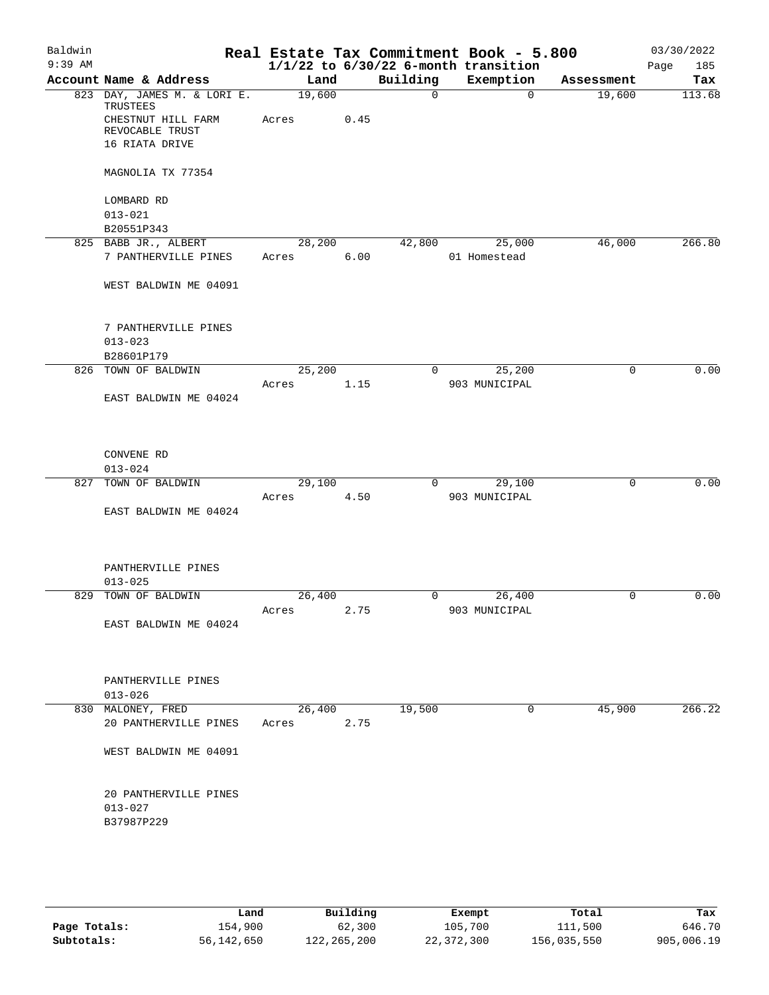| Baldwin   |                                                       |       |                |      |                      | Real Estate Tax Commitment Book - 5.800  |                      | 03/30/2022    |
|-----------|-------------------------------------------------------|-------|----------------|------|----------------------|------------------------------------------|----------------------|---------------|
| $9:39$ AM |                                                       |       |                |      |                      | $1/1/22$ to $6/30/22$ 6-month transition |                      | Page<br>185   |
|           | Account Name & Address<br>823 DAY, JAMES M. & LORI E. |       | Land<br>19,600 |      | Building<br>$\Omega$ | Exemption<br>$\Omega$                    | Assessment<br>19,600 | Tax<br>113.68 |
|           | TRUSTEES                                              |       |                |      |                      |                                          |                      |               |
|           | CHESTNUT HILL FARM<br>REVOCABLE TRUST                 | Acres |                | 0.45 |                      |                                          |                      |               |
|           | 16 RIATA DRIVE                                        |       |                |      |                      |                                          |                      |               |
|           |                                                       |       |                |      |                      |                                          |                      |               |
|           | MAGNOLIA TX 77354                                     |       |                |      |                      |                                          |                      |               |
|           | LOMBARD RD                                            |       |                |      |                      |                                          |                      |               |
|           | $013 - 021$                                           |       |                |      |                      |                                          |                      |               |
|           | B20551P343                                            |       | 28, 200        |      |                      |                                          |                      |               |
|           | 825 BABB JR., ALBERT<br>7 PANTHERVILLE PINES          | Acres |                | 6.00 | 42,800               | 25,000<br>01 Homestead                   | 46,000               | 266.80        |
|           |                                                       |       |                |      |                      |                                          |                      |               |
|           | WEST BALDWIN ME 04091                                 |       |                |      |                      |                                          |                      |               |
|           | 7 PANTHERVILLE PINES                                  |       |                |      |                      |                                          |                      |               |
|           | $013 - 023$                                           |       |                |      |                      |                                          |                      |               |
|           | B28601P179                                            |       |                |      |                      |                                          |                      |               |
|           | 826 TOWN OF BALDWIN                                   |       | 25,200         |      | $\overline{0}$       | 25,200                                   | 0                    | 0.00          |
|           |                                                       | Acres |                | 1.15 |                      | 903 MUNICIPAL                            |                      |               |
|           | EAST BALDWIN ME 04024                                 |       |                |      |                      |                                          |                      |               |
|           | CONVENE RD                                            |       |                |      |                      |                                          |                      |               |
|           | $013 - 024$                                           |       |                |      |                      |                                          |                      |               |
| 827       | TOWN OF BALDWIN                                       |       | 29,100         |      | $\overline{0}$       | 29,100                                   | $\mathbf 0$          | 0.00          |
|           |                                                       | Acres |                | 4.50 |                      | 903 MUNICIPAL                            |                      |               |
|           | EAST BALDWIN ME 04024                                 |       |                |      |                      |                                          |                      |               |
|           | PANTHERVILLE PINES                                    |       |                |      |                      |                                          |                      |               |
|           | $013 - 025$                                           |       |                |      |                      |                                          |                      |               |
|           | 829 TOWN OF BALDWIN                                   |       | 26,400         |      | 0                    | 26,400                                   | 0                    | 0.00          |
|           |                                                       | Acres |                | 2.75 |                      | 903 MUNICIPAL                            |                      |               |
|           | EAST BALDWIN ME 04024                                 |       |                |      |                      |                                          |                      |               |
|           | PANTHERVILLE PINES                                    |       |                |      |                      |                                          |                      |               |
|           | $013 - 026$                                           |       |                |      |                      |                                          |                      |               |
|           | 830 MALONEY, FRED                                     |       | 26,400         |      | 19,500               | 0                                        | 45,900               | 266.22        |
|           | 20 PANTHERVILLE PINES                                 | Acres |                | 2.75 |                      |                                          |                      |               |
|           | WEST BALDWIN ME 04091                                 |       |                |      |                      |                                          |                      |               |
|           | 20 PANTHERVILLE PINES<br>$013 - 027$<br>B37987P229    |       |                |      |                      |                                          |                      |               |
|           |                                                       |       |                |      |                      |                                          |                      |               |

|              | Land       | Building    | Exempt     | Total       | Tax        |
|--------------|------------|-------------|------------|-------------|------------|
| Page Totals: | 154,900    | 62,300      | 105,700    | 111,500     | 646.70     |
| Subtotals:   | 56,142,650 | 122,265,200 | 22,372,300 | 156,035,550 | 905,006.19 |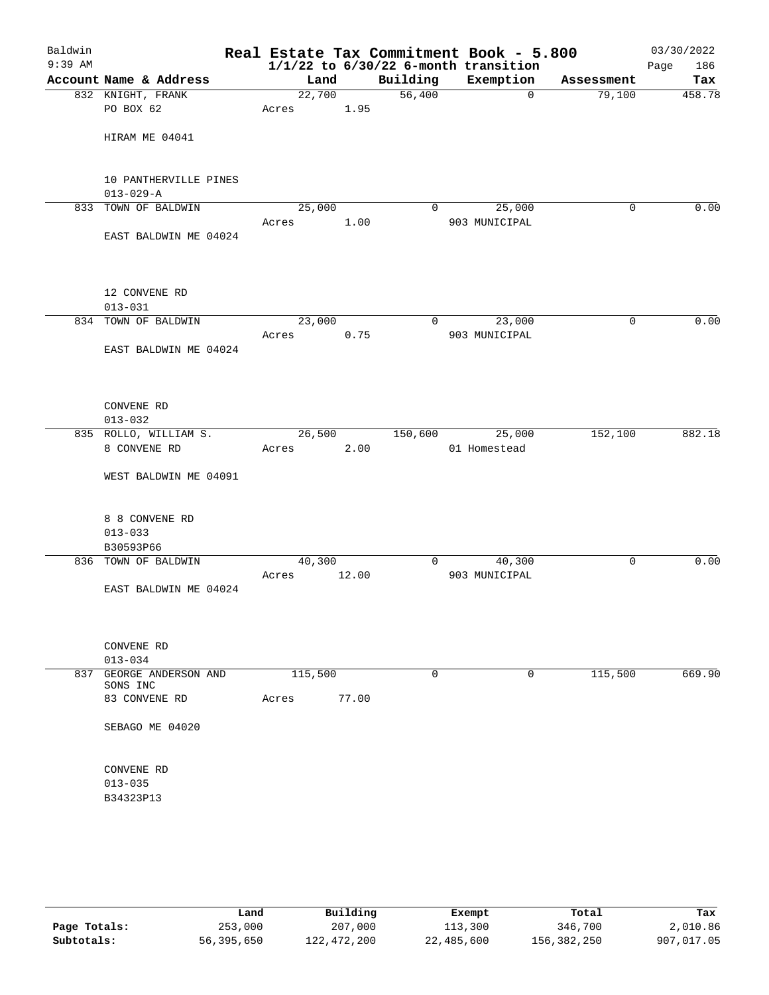| Baldwin<br>$9:39$ AM |                                            |         |       |          | Real Estate Tax Commitment Book - 5.800<br>$1/1/22$ to $6/30/22$ 6-month transition |            | 03/30/2022<br>Page<br>186 |
|----------------------|--------------------------------------------|---------|-------|----------|-------------------------------------------------------------------------------------|------------|---------------------------|
|                      | Account Name & Address                     | Land    |       | Building | Exemption                                                                           | Assessment | Tax                       |
|                      | 832 KNIGHT, FRANK                          | 22,700  |       | 56,400   | $\mathbf 0$                                                                         | 79,100     | 458.78                    |
|                      | PO BOX 62                                  | Acres   | 1.95  |          |                                                                                     |            |                           |
|                      | HIRAM ME 04041                             |         |       |          |                                                                                     |            |                           |
|                      | 10 PANTHERVILLE PINES<br>$013 - 029 - A$   |         |       |          |                                                                                     |            |                           |
|                      | 833 TOWN OF BALDWIN                        | 25,000  |       | 0        | 25,000                                                                              | 0          | 0.00                      |
|                      | EAST BALDWIN ME 04024                      | Acres   | 1.00  |          | 903 MUNICIPAL                                                                       |            |                           |
|                      | 12 CONVENE RD<br>$013 - 031$               |         |       |          |                                                                                     |            |                           |
|                      | 834 TOWN OF BALDWIN                        | 23,000  |       | 0        | 23,000                                                                              | 0          | 0.00                      |
|                      | EAST BALDWIN ME 04024                      | Acres   | 0.75  |          | 903 MUNICIPAL                                                                       |            |                           |
|                      | CONVENE RD<br>$013 - 032$                  |         |       |          |                                                                                     |            |                           |
|                      | 835 ROLLO, WILLIAM S.                      | 26,500  |       | 150,600  | 25,000                                                                              | 152,100    | 882.18                    |
|                      | 8 CONVENE RD                               | Acres   | 2.00  |          | 01 Homestead                                                                        |            |                           |
|                      | WEST BALDWIN ME 04091                      |         |       |          |                                                                                     |            |                           |
|                      | 8 8 CONVENE RD<br>$013 - 033$<br>B30593P66 |         |       |          |                                                                                     |            |                           |
|                      | 836 TOWN OF BALDWIN                        | 40,300  |       | 0        | 40,300                                                                              | 0          | 0.00                      |
|                      |                                            | Acres   | 12.00 |          | 903 MUNICIPAL                                                                       |            |                           |
|                      | EAST BALDWIN ME 04024                      |         |       |          |                                                                                     |            |                           |
|                      | CONVENE RD<br>$013 - 034$                  |         |       |          |                                                                                     |            |                           |
| 837                  | GEORGE ANDERSON AND<br>SONS INC            | 115,500 |       | 0        | 0                                                                                   | 115,500    | 669.90                    |
|                      | 83 CONVENE RD                              | Acres   | 77.00 |          |                                                                                     |            |                           |
|                      | SEBAGO ME 04020                            |         |       |          |                                                                                     |            |                           |
|                      | CONVENE RD<br>$013 - 035$<br>B34323P13     |         |       |          |                                                                                     |            |                           |
|                      |                                            |         |       |          |                                                                                     |            |                           |

|              | Land       | Building    | Exempt     | Total       | Tax        |
|--------------|------------|-------------|------------|-------------|------------|
| Page Totals: | 253,000    | 207,000     | 113,300    | 346,700     | 2,010.86   |
| Subtotals:   | 56,395,650 | 122,472,200 | 22,485,600 | 156,382,250 | 907,017.05 |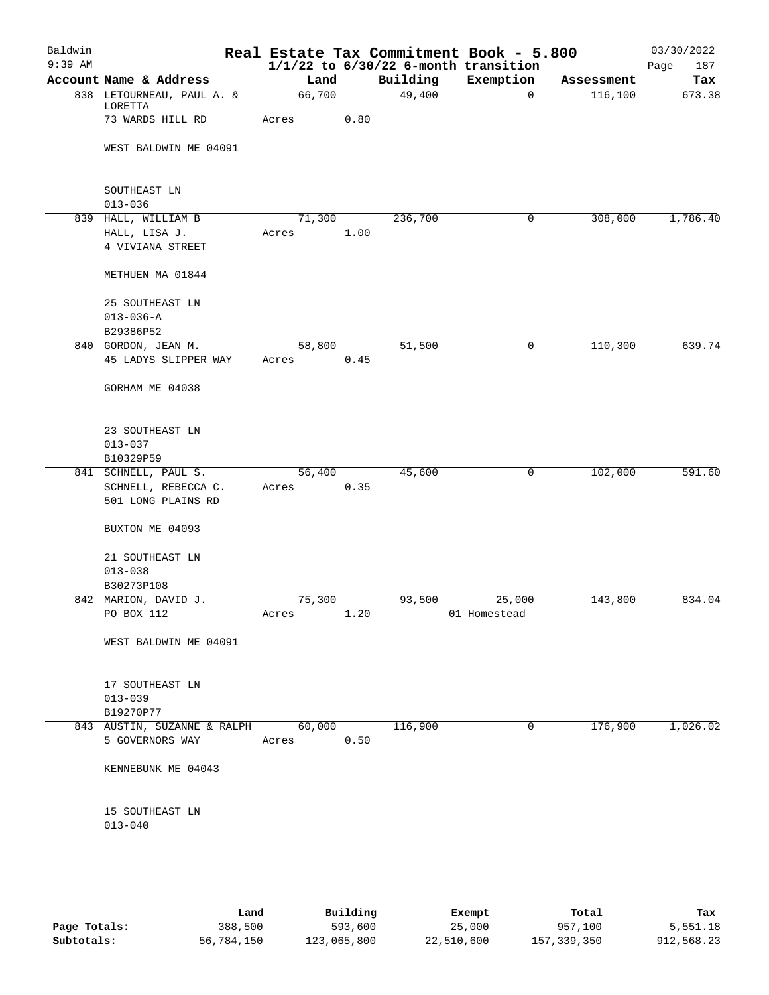| Baldwin<br>$9:39$ AM |                                                 |                 |      |          | Real Estate Tax Commitment Book - 5.800<br>$1/1/22$ to $6/30/22$ 6-month transition |            | 03/30/2022<br>Page<br>187 |
|----------------------|-------------------------------------------------|-----------------|------|----------|-------------------------------------------------------------------------------------|------------|---------------------------|
|                      | Account Name & Address                          | Land            |      | Building | Exemption                                                                           | Assessment | Tax                       |
|                      | 838 LETOURNEAU, PAUL A. &<br>LORETTA            | 66,700          |      | 49,400   | $\overline{0}$                                                                      | 116,100    | 673.38                    |
|                      | 73 WARDS HILL RD                                | Acres           | 0.80 |          |                                                                                     |            |                           |
|                      | WEST BALDWIN ME 04091                           |                 |      |          |                                                                                     |            |                           |
|                      | SOUTHEAST LN<br>$013 - 036$                     |                 |      |          |                                                                                     |            |                           |
|                      | 839 HALL, WILLIAM B                             | 71,300          |      | 236,700  | 0                                                                                   | 308,000    | 1,786.40                  |
|                      | HALL, LISA J.<br>4 VIVIANA STREET               | Acres           | 1.00 |          |                                                                                     |            |                           |
|                      | METHUEN MA 01844                                |                 |      |          |                                                                                     |            |                           |
|                      | 25 SOUTHEAST LN<br>$013 - 036 - A$<br>B29386P52 |                 |      |          |                                                                                     |            |                           |
|                      | 840 GORDON, JEAN M.                             | 58,800          |      | 51,500   | $\mathsf{O}$                                                                        | 110,300    | 639.74                    |
|                      | 45 LADYS SLIPPER WAY                            | Acres           | 0.45 |          |                                                                                     |            |                           |
|                      | GORHAM ME 04038                                 |                 |      |          |                                                                                     |            |                           |
|                      | 23 SOUTHEAST LN<br>$013 - 037$<br>B10329P59     |                 |      |          |                                                                                     |            |                           |
|                      | 841 SCHNELL, PAUL S.                            | 56,400          |      | 45,600   | $\mathsf{O}$                                                                        | 102,000    | 591.60                    |
|                      | SCHNELL, REBECCA C.                             | Acres           | 0.35 |          |                                                                                     |            |                           |
|                      | 501 LONG PLAINS RD                              |                 |      |          |                                                                                     |            |                           |
|                      | BUXTON ME 04093                                 |                 |      |          |                                                                                     |            |                           |
|                      | 21 SOUTHEAST LN                                 |                 |      |          |                                                                                     |            |                           |
|                      | $013 - 038$                                     |                 |      |          |                                                                                     |            |                           |
|                      | B30273P108<br>842 MARION, DAVID J.              | 75,300          |      | 93,500   | 25,000                                                                              | 143,800    | 834.04                    |
|                      | PO BOX 112                                      | Acres           | 1.20 |          | 01 Homestead                                                                        |            |                           |
|                      | WEST BALDWIN ME 04091                           |                 |      |          |                                                                                     |            |                           |
|                      | 17 SOUTHEAST LN                                 |                 |      |          |                                                                                     |            |                           |
|                      | $013 - 039$                                     |                 |      |          |                                                                                     |            |                           |
|                      | B19270P77                                       |                 |      |          |                                                                                     |            |                           |
|                      | 843 AUSTIN, SUZANNE & RALPH<br>5 GOVERNORS WAY  | 60,000<br>Acres | 0.50 | 116,900  | 0                                                                                   | 176,900    | 1,026.02                  |
|                      | KENNEBUNK ME 04043                              |                 |      |          |                                                                                     |            |                           |
|                      | 15 SOUTHEAST LN<br>$013 - 040$                  |                 |      |          |                                                                                     |            |                           |
|                      |                                                 |                 |      |          |                                                                                     |            |                           |

|              | Land       | Building    | Exempt     | Total       | Tax        |
|--------------|------------|-------------|------------|-------------|------------|
| Page Totals: | 388,500    | 593,600     | 25,000     | 957,100     | 5,551.18   |
| Subtotals:   | 56,784,150 | 123,065,800 | 22,510,600 | 157,339,350 | 912,568.23 |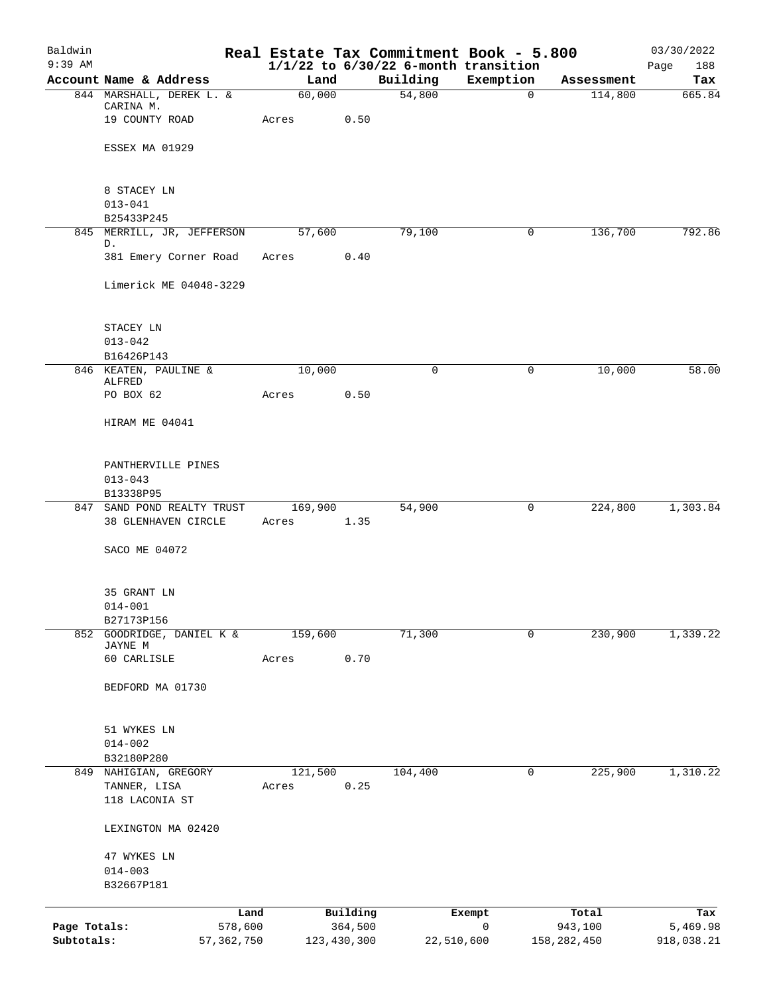| Baldwin<br>$9:39$ AM |                                                     |                  |               |            | Real Estate Tax Commitment Book - 5.800<br>$1/1/22$ to $6/30/22$ 6-month transition |               | 03/30/2022<br>Page<br>188 |
|----------------------|-----------------------------------------------------|------------------|---------------|------------|-------------------------------------------------------------------------------------|---------------|---------------------------|
|                      | Account Name & Address                              | Land             |               | Building   | Exemption                                                                           | Assessment    | Tax                       |
|                      | 844 MARSHALL, DEREK L. &                            | 60,000           |               | 54,800     | 0                                                                                   | 114,800       | 665.84                    |
|                      | CARINA M.<br>19 COUNTY ROAD                         | Acres            | 0.50          |            |                                                                                     |               |                           |
|                      | ESSEX MA 01929                                      |                  |               |            |                                                                                     |               |                           |
|                      |                                                     |                  |               |            |                                                                                     |               |                           |
|                      | 8 STACEY LN<br>$013 - 041$                          |                  |               |            |                                                                                     |               |                           |
|                      | B25433P245                                          |                  |               |            |                                                                                     |               |                           |
|                      | 845 MERRILL, JR, JEFFERSON<br>D.                    | 57,600           |               | 79,100     | $\mathbf 0$                                                                         | 136,700       | 792.86                    |
|                      | 381 Emery Corner Road                               | Acres            | 0.40          |            |                                                                                     |               |                           |
|                      | Limerick ME 04048-3229                              |                  |               |            |                                                                                     |               |                           |
|                      | STACEY LN                                           |                  |               |            |                                                                                     |               |                           |
|                      | $013 - 042$                                         |                  |               |            |                                                                                     |               |                           |
|                      | B16426P143                                          |                  |               |            |                                                                                     |               |                           |
|                      | 846 KEATEN, PAULINE &<br>ALFRED                     | 10,000           |               | $\Omega$   | $\mathbf 0$                                                                         | 10,000        | 58.00                     |
|                      | PO BOX 62                                           | Acres            | 0.50          |            |                                                                                     |               |                           |
|                      | HIRAM ME 04041                                      |                  |               |            |                                                                                     |               |                           |
|                      | PANTHERVILLE PINES<br>$013 - 043$                   |                  |               |            |                                                                                     |               |                           |
|                      | B13338P95                                           |                  |               |            |                                                                                     |               |                           |
|                      | 847 SAND POND REALTY TRUST                          | 169,900          |               | 54,900     | 0                                                                                   | 224,800       | 1,303.84                  |
|                      | 38 GLENHAVEN CIRCLE                                 | Acres            | 1.35          |            |                                                                                     |               |                           |
|                      | SACO ME 04072                                       |                  |               |            |                                                                                     |               |                           |
|                      | 35 GRANT LN                                         |                  |               |            |                                                                                     |               |                           |
|                      | $014 - 001$                                         |                  |               |            |                                                                                     |               |                           |
|                      | B27173P156<br>852 GOODRIDGE, DANIEL K &             | 159,600          |               | 71,300     | 0                                                                                   | 230,900       | 1,339.22                  |
|                      | JAYNE M<br>60 CARLISLE                              | Acres            | 0.70          |            |                                                                                     |               |                           |
|                      |                                                     |                  |               |            |                                                                                     |               |                           |
|                      | BEDFORD MA 01730                                    |                  |               |            |                                                                                     |               |                           |
|                      | 51 WYKES LN                                         |                  |               |            |                                                                                     |               |                           |
|                      | $014 - 002$                                         |                  |               |            |                                                                                     |               |                           |
|                      | B32180P280                                          |                  |               |            |                                                                                     |               |                           |
| 849                  | NAHIGIAN, GREGORY<br>TANNER, LISA<br>118 LACONIA ST | 121,500<br>Acres | 0.25          | 104,400    | 0                                                                                   | 225,900       | 1,310.22                  |
|                      | LEXINGTON MA 02420                                  |                  |               |            |                                                                                     |               |                           |
|                      | 47 WYKES LN                                         |                  |               |            |                                                                                     |               |                           |
|                      | $014 - 003$                                         |                  |               |            |                                                                                     |               |                           |
|                      | B32667P181                                          |                  |               |            |                                                                                     |               |                           |
|                      | Land                                                |                  | Building      |            | Exempt                                                                              | Total         | Tax                       |
| Page Totals:         | 578,600                                             |                  | 364,500       |            | $\mathbf 0$                                                                         | 943,100       | 5,469.98                  |
| Subtotals:           | 57, 362, 750                                        |                  | 123, 430, 300 | 22,510,600 |                                                                                     | 158, 282, 450 | 918,038.21                |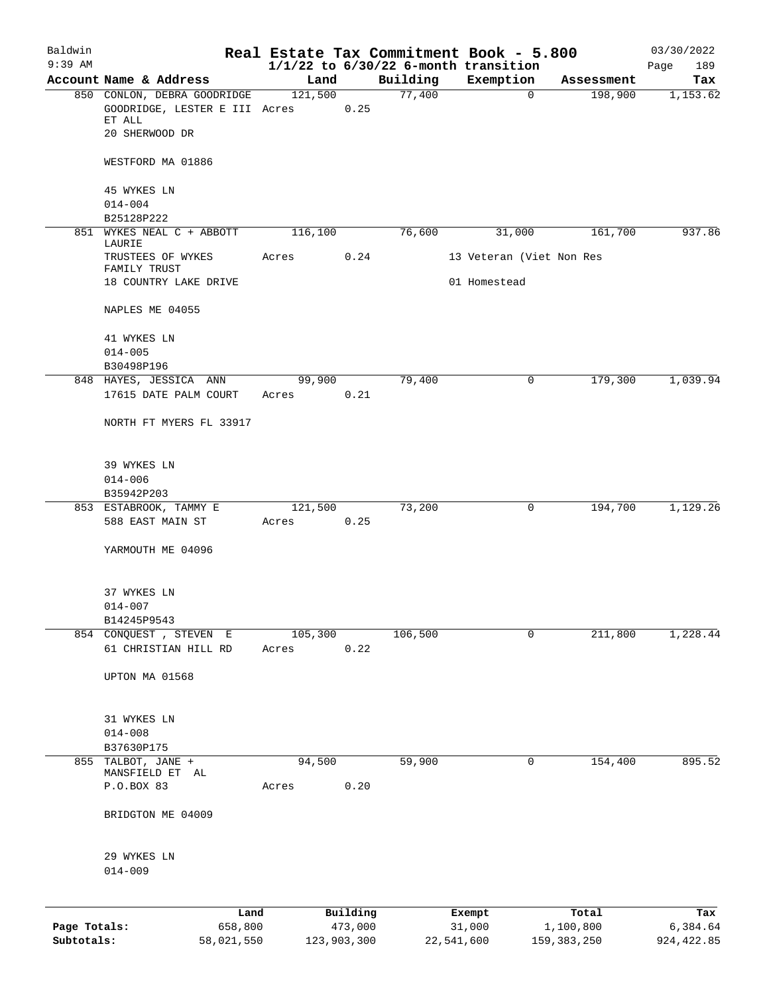| Baldwin      |                                                       |                  |             |                    | Real Estate Tax Commitment Book - 5.800  |                       | 03/30/2022      |
|--------------|-------------------------------------------------------|------------------|-------------|--------------------|------------------------------------------|-----------------------|-----------------|
| $9:39$ AM    |                                                       |                  |             |                    | $1/1/22$ to $6/30/22$ 6-month transition |                       | 189<br>Page     |
|              | Account Name & Address<br>850 CONLON, DEBRA GOODRIDGE | Land<br>121,500  |             | Building<br>77,400 | Exemption<br>$\mathbf{0}$                | Assessment<br>198,900 | Tax<br>1,153.62 |
|              | GOODRIDGE, LESTER E III Acres<br>ET ALL               |                  | 0.25        |                    |                                          |                       |                 |
|              | 20 SHERWOOD DR                                        |                  |             |                    |                                          |                       |                 |
|              | WESTFORD MA 01886                                     |                  |             |                    |                                          |                       |                 |
|              | 45 WYKES LN                                           |                  |             |                    |                                          |                       |                 |
|              | $014 - 004$<br>B25128P222                             |                  |             |                    |                                          |                       |                 |
|              | 851 WYKES NEAL C + ABBOTT                             | 116,100          |             | 76,600             | 31,000                                   | 161,700               | 937.86          |
|              | LAURIE<br>TRUSTEES OF WYKES                           | Acres            | 0.24        |                    | 13 Veteran (Viet Non Res                 |                       |                 |
|              | FAMILY TRUST<br>18 COUNTRY LAKE DRIVE                 |                  |             |                    | 01 Homestead                             |                       |                 |
|              | NAPLES ME 04055                                       |                  |             |                    |                                          |                       |                 |
|              | 41 WYKES LN                                           |                  |             |                    |                                          |                       |                 |
|              | $014 - 005$                                           |                  |             |                    |                                          |                       |                 |
|              | B30498P196                                            |                  |             | 79,400             | 0                                        | 179,300               | 1,039.94        |
|              | 848 HAYES, JESSICA ANN<br>17615 DATE PALM COURT       | 99,900<br>Acres  | 0.21        |                    |                                          |                       |                 |
|              | NORTH FT MYERS FL 33917                               |                  |             |                    |                                          |                       |                 |
|              | 39 WYKES LN                                           |                  |             |                    |                                          |                       |                 |
|              | $014 - 006$                                           |                  |             |                    |                                          |                       |                 |
|              | B35942P203                                            |                  |             |                    |                                          |                       |                 |
|              | 853 ESTABROOK, TAMMY E                                | 121,500          |             | 73,200             | 0                                        | 194,700               | 1,129.26        |
|              | 588 EAST MAIN ST                                      | Acres            | 0.25        |                    |                                          |                       |                 |
|              | YARMOUTH ME 04096                                     |                  |             |                    |                                          |                       |                 |
|              | 37 WYKES LN                                           |                  |             |                    |                                          |                       |                 |
|              | $014 - 007$                                           |                  |             |                    |                                          |                       |                 |
|              | B14245P9543                                           |                  |             |                    |                                          |                       |                 |
|              | 854 CONQUEST, STEVEN E<br>61 CHRISTIAN HILL RD        | 105,300<br>Acres | 0.22        | 106,500            | 0                                        | 211,800               | 1,228.44        |
|              |                                                       |                  |             |                    |                                          |                       |                 |
|              | UPTON MA 01568                                        |                  |             |                    |                                          |                       |                 |
|              | 31 WYKES LN                                           |                  |             |                    |                                          |                       |                 |
|              | $014 - 008$                                           |                  |             |                    |                                          |                       |                 |
|              | B37630P175                                            |                  |             |                    |                                          |                       |                 |
|              | 855 TALBOT, JANE +<br>MANSFIELD ET AL                 | 94,500           |             | 59,900             | 0                                        | 154,400               | 895.52          |
|              | P.O.BOX 83                                            | Acres            | 0.20        |                    |                                          |                       |                 |
|              | BRIDGTON ME 04009                                     |                  |             |                    |                                          |                       |                 |
|              | 29 WYKES LN                                           |                  |             |                    |                                          |                       |                 |
|              | $014 - 009$                                           |                  |             |                    |                                          |                       |                 |
|              | Land                                                  |                  | Building    |                    | Exempt                                   | Total                 | Tax             |
| Page Totals: | 658,800                                               |                  | 473,000     |                    | 31,000                                   | 1,100,800             | 6,384.64        |
| Subtotals:   | 58,021,550                                            |                  | 123,903,300 |                    | 22,541,600                               | 159, 383, 250         | 924, 422.85     |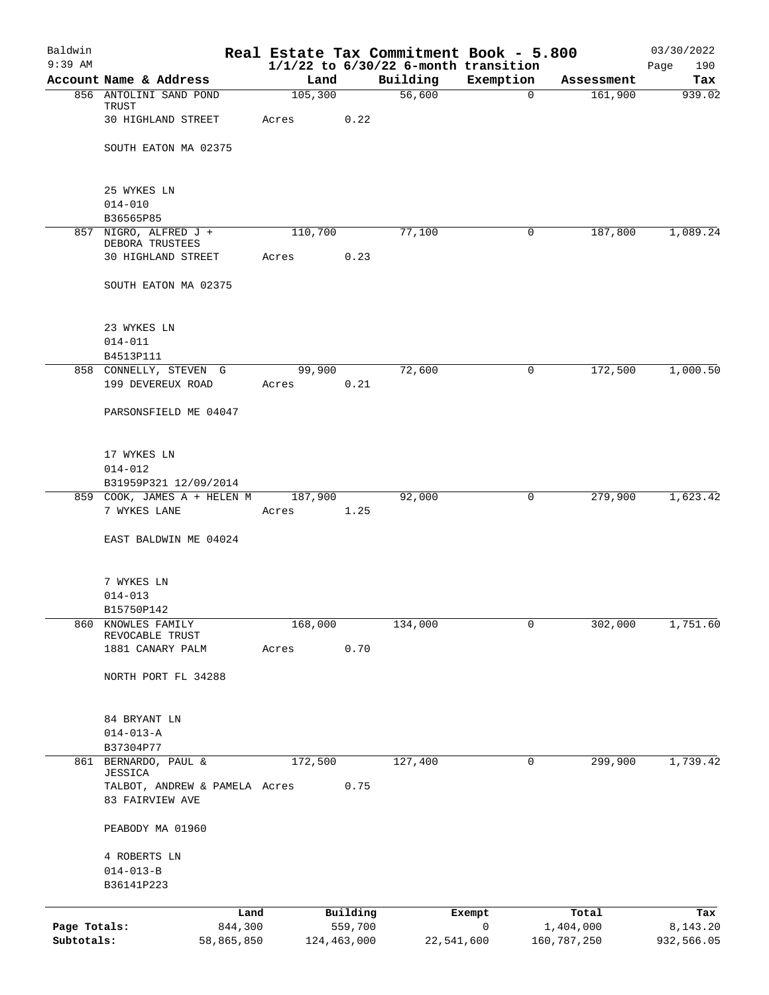| Baldwin      |                                                  |         |               |            | Real Estate Tax Commitment Book - 5.800               |             | 03/30/2022         |
|--------------|--------------------------------------------------|---------|---------------|------------|-------------------------------------------------------|-------------|--------------------|
| $9:39$ AM    | Account Name & Address                           | Land    |               | Building   | $1/1/22$ to $6/30/22$ 6-month transition<br>Exemption | Assessment  | Page<br>190<br>Tax |
|              | 856 ANTOLINI SAND POND                           | 105,300 |               | 56,600     | 0                                                     | 161,900     | 939.02             |
|              | TRUST                                            |         |               |            |                                                       |             |                    |
|              | 30 HIGHLAND STREET                               | Acres   | 0.22          |            |                                                       |             |                    |
|              | SOUTH EATON MA 02375                             |         |               |            |                                                       |             |                    |
|              | 25 WYKES LN                                      |         |               |            |                                                       |             |                    |
|              | $014 - 010$                                      |         |               |            |                                                       |             |                    |
|              | B36565P85                                        |         |               |            |                                                       |             |                    |
|              | 857 NIGRO, ALFRED J +                            | 110,700 |               | 77,100     | $\mathbf 0$                                           | 187,800     | 1,089.24           |
|              | DEBORA TRUSTEES<br>30 HIGHLAND STREET            | Acres   | 0.23          |            |                                                       |             |                    |
|              |                                                  |         |               |            |                                                       |             |                    |
|              | SOUTH EATON MA 02375                             |         |               |            |                                                       |             |                    |
|              | 23 WYKES LN                                      |         |               |            |                                                       |             |                    |
|              | $014 - 011$                                      |         |               |            |                                                       |             |                    |
|              | B4513P111                                        |         |               |            |                                                       |             |                    |
|              | 858 CONNELLY, STEVEN G                           | 99,900  |               | 72,600     | 0                                                     | 172,500     | 1,000.50           |
|              | 199 DEVEREUX ROAD                                | Acres   | 0.21          |            |                                                       |             |                    |
|              | PARSONSFIELD ME 04047                            |         |               |            |                                                       |             |                    |
|              | 17 WYKES LN                                      |         |               |            |                                                       |             |                    |
|              | $014 - 012$                                      |         |               |            |                                                       |             |                    |
|              | B31959P321 12/09/2014                            |         |               |            |                                                       |             |                    |
|              | 859 COOK, JAMES A + HELEN M                      | 187,900 |               | 92,000     | 0                                                     | 279,900     | 1,623.42           |
|              | 7 WYKES LANE                                     | Acres   | 1.25          |            |                                                       |             |                    |
|              | EAST BALDWIN ME 04024                            |         |               |            |                                                       |             |                    |
|              | 7 WYKES LN                                       |         |               |            |                                                       |             |                    |
|              | $014 - 013$                                      |         |               |            |                                                       |             |                    |
|              | B15750P142                                       |         |               |            |                                                       |             |                    |
| 860          | KNOWLES FAMILY                                   | 168,000 |               | 134,000    | 0                                                     | 302,000     | 1,751.60           |
|              | REVOCABLE TRUST<br>1881 CANARY PALM              | Acres   | 0.70          |            |                                                       |             |                    |
|              |                                                  |         |               |            |                                                       |             |                    |
|              | NORTH PORT FL 34288                              |         |               |            |                                                       |             |                    |
|              | 84 BRYANT LN                                     |         |               |            |                                                       |             |                    |
|              | $014 - 013 - A$                                  |         |               |            |                                                       |             |                    |
| 861          | B37304P77<br>BERNARDO, PAUL &                    | 172,500 |               | 127,400    | 0                                                     | 299,900     | 1,739.42           |
|              | <b>JESSICA</b>                                   |         |               |            |                                                       |             |                    |
|              | TALBOT, ANDREW & PAMELA Acres<br>83 FAIRVIEW AVE |         | 0.75          |            |                                                       |             |                    |
|              | PEABODY MA 01960                                 |         |               |            |                                                       |             |                    |
|              | 4 ROBERTS LN                                     |         |               |            |                                                       |             |                    |
|              | $014 - 013 - B$                                  |         |               |            |                                                       |             |                    |
|              | B36141P223                                       |         |               |            |                                                       |             |                    |
|              | Land                                             |         | Building      |            | Exempt                                                | Total       | Tax                |
| Page Totals: | 844,300                                          |         | 559,700       |            | 0                                                     | 1,404,000   | 8,143.20           |
| Subtotals:   | 58,865,850                                       |         | 124, 463, 000 | 22,541,600 |                                                       | 160,787,250 | 932,566.05         |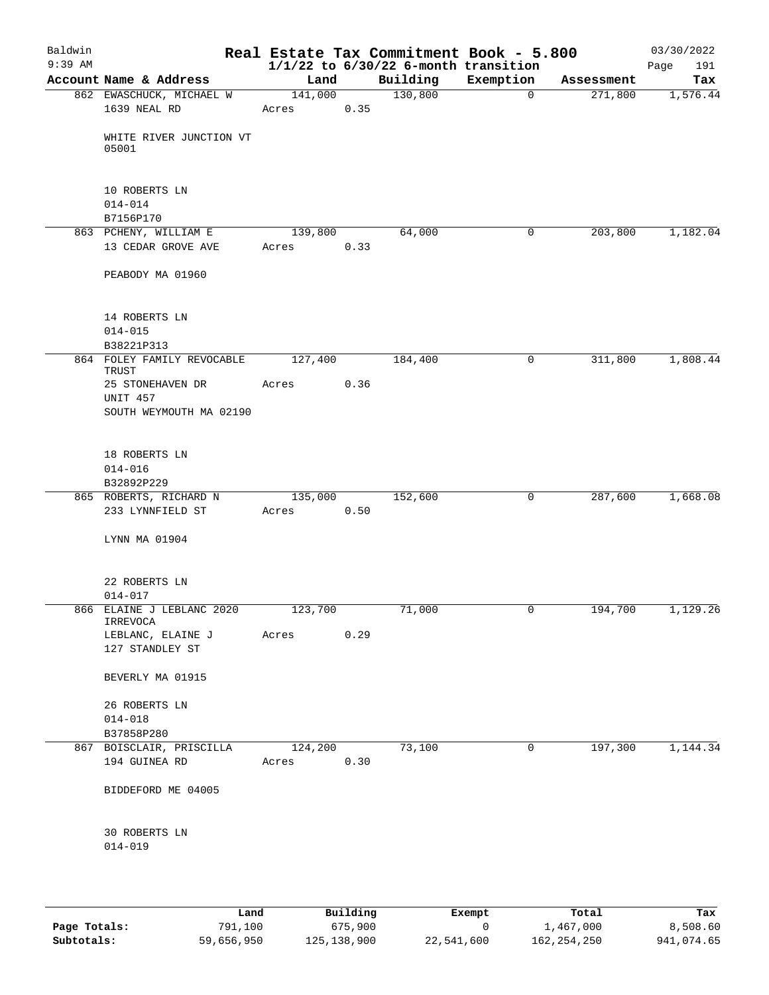| Baldwin<br>$9:39$ AM |                                          |            |      | Real Estate Tax Commitment Book - 5.800<br>$1/1/22$ to $6/30/22$ 6-month transition |                |            | 03/30/2022<br>Page<br>191 |
|----------------------|------------------------------------------|------------|------|-------------------------------------------------------------------------------------|----------------|------------|---------------------------|
|                      | Account Name & Address                   | Land       |      | Building                                                                            | Exemption      | Assessment | Tax                       |
|                      | 862 EWASCHUCK, MICHAEL W<br>1639 NEAL RD | 141,000    | 0.35 | 130,800                                                                             | $\overline{0}$ | 271,800    | 1,576.44                  |
|                      |                                          | Acres      |      |                                                                                     |                |            |                           |
|                      | WHITE RIVER JUNCTION VT<br>05001         |            |      |                                                                                     |                |            |                           |
|                      | 10 ROBERTS LN<br>$014 - 014$             |            |      |                                                                                     |                |            |                           |
|                      | B7156P170                                |            |      |                                                                                     |                |            |                           |
|                      | 863 PCHENY, WILLIAM E                    | 139,800    |      | 64,000                                                                              | 0              | 203,800    | 1,182.04                  |
|                      | 13 CEDAR GROVE AVE                       | Acres      | 0.33 |                                                                                     |                |            |                           |
|                      | PEABODY MA 01960                         |            |      |                                                                                     |                |            |                           |
|                      | 14 ROBERTS LN<br>$014 - 015$             |            |      |                                                                                     |                |            |                           |
|                      | B38221P313                               |            |      |                                                                                     |                |            |                           |
|                      | 864 FOLEY FAMILY REVOCABLE               | 127,400    |      | 184,400                                                                             | 0              | 311,800    | 1,808.44                  |
|                      | TRUST                                    |            |      |                                                                                     |                |            |                           |
|                      | 25 STONEHAVEN DR<br><b>UNIT 457</b>      | Acres      | 0.36 |                                                                                     |                |            |                           |
|                      | SOUTH WEYMOUTH MA 02190                  |            |      |                                                                                     |                |            |                           |
|                      |                                          |            |      |                                                                                     |                |            |                           |
|                      | 18 ROBERTS LN                            |            |      |                                                                                     |                |            |                           |
|                      | $014 - 016$                              |            |      |                                                                                     |                |            |                           |
|                      | B32892P229                               |            |      |                                                                                     |                |            |                           |
|                      | 865 ROBERTS, RICHARD N                   | 135,000    |      | 152,600                                                                             | 0              | 287,600    | 1,668.08                  |
|                      | 233 LYNNFIELD ST                         | Acres      | 0.50 |                                                                                     |                |            |                           |
|                      |                                          |            |      |                                                                                     |                |            |                           |
|                      | LYNN MA 01904                            |            |      |                                                                                     |                |            |                           |
|                      | 22 ROBERTS LN                            |            |      |                                                                                     |                |            |                           |
|                      | $014 - 017$                              |            |      |                                                                                     |                |            |                           |
|                      | 866 ELAINE J LEBLANC 2020<br>IRREVOCA    | 123,700    |      | 71,000                                                                              |                | 194,700    | 1,129.26                  |
|                      | LEBLANC, ELAINE J Acres                  |            | 0.29 |                                                                                     |                |            |                           |
|                      | 127 STANDLEY ST                          |            |      |                                                                                     |                |            |                           |
|                      | BEVERLY MA 01915                         |            |      |                                                                                     |                |            |                           |
|                      | 26 ROBERTS LN                            |            |      |                                                                                     |                |            |                           |
|                      | $014 - 018$                              |            |      |                                                                                     |                |            |                           |
|                      | B37858P280<br>867 BOISCLAIR, PRISCILLA   | 124,200    |      | 73,100                                                                              | 0              | 197,300    | 1,144.34                  |
|                      | 194 GUINEA RD                            | Acres 0.30 |      |                                                                                     |                |            |                           |
|                      | BIDDEFORD ME 04005                       |            |      |                                                                                     |                |            |                           |
|                      | 30 ROBERTS LN                            |            |      |                                                                                     |                |            |                           |
|                      | $014 - 019$                              |            |      |                                                                                     |                |            |                           |
|                      |                                          |            |      |                                                                                     |                |            |                           |
|                      |                                          |            |      |                                                                                     |                |            |                           |
|                      |                                          |            |      |                                                                                     |                |            |                           |

|              | Land       | Building      | Exempt     | Total       | Tax        |
|--------------|------------|---------------|------------|-------------|------------|
| Page Totals: | 791,100    | 675,900       |            | 1,467,000   | 8,508.60   |
| Subtotals:   | 59,656,950 | 125, 138, 900 | 22,541,600 | 162,254,250 | 941,074.65 |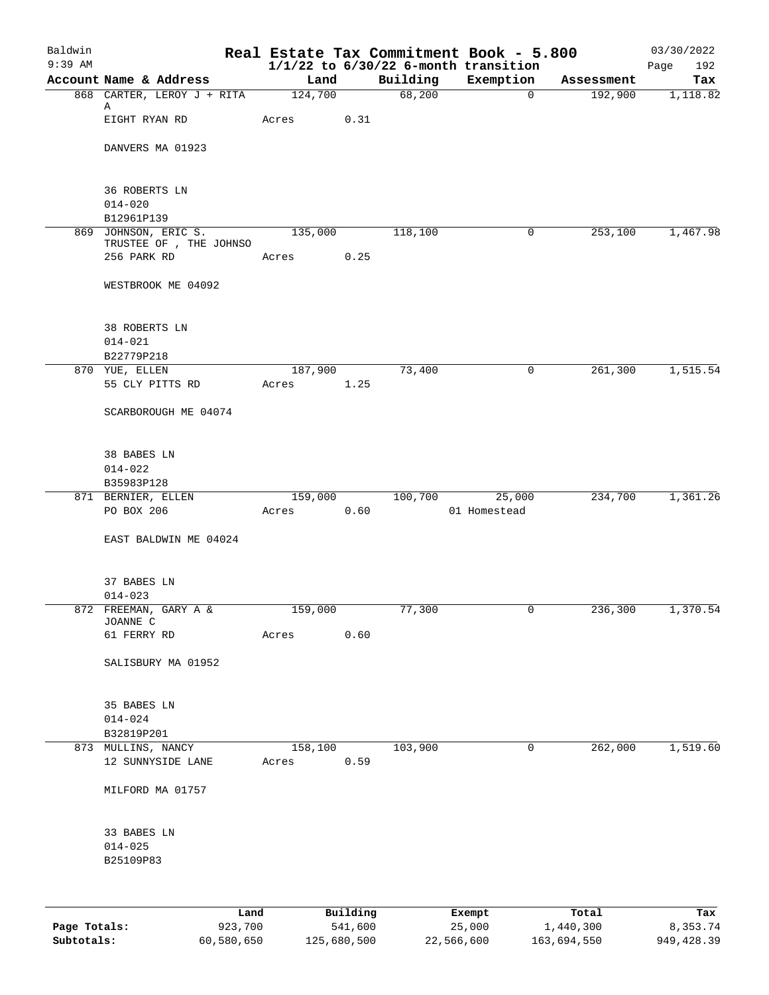| Baldwin<br>$9:39$ AM |                                         |                  |          |          | Real Estate Tax Commitment Book - 5.800               |            | 03/30/2022         |
|----------------------|-----------------------------------------|------------------|----------|----------|-------------------------------------------------------|------------|--------------------|
|                      | Account Name & Address                  | Land             |          | Building | $1/1/22$ to $6/30/22$ 6-month transition<br>Exemption | Assessment | Page<br>192<br>Tax |
|                      | 868 CARTER, LEROY J + RITA              | 124,700          |          | 68,200   | $\overline{0}$                                        | 192,900    | 1,118.82           |
|                      | Α<br>EIGHT RYAN RD                      | Acres            | 0.31     |          |                                                       |            |                    |
|                      | DANVERS MA 01923                        |                  |          |          |                                                       |            |                    |
|                      | <b>36 ROBERTS LN</b>                    |                  |          |          |                                                       |            |                    |
|                      | $014 - 020$<br>B12961P139               |                  |          |          |                                                       |            |                    |
|                      | 869 JOHNSON, ERIC S.                    | 135,000          |          | 118,100  | $\mathbf 0$                                           | 253,100    | 1,467.98           |
|                      | TRUSTEE OF , THE JOHNSO                 |                  |          |          |                                                       |            |                    |
|                      | 256 PARK RD                             | Acres            | 0.25     |          |                                                       |            |                    |
|                      | WESTBROOK ME 04092                      |                  |          |          |                                                       |            |                    |
|                      | 38 ROBERTS LN                           |                  |          |          |                                                       |            |                    |
|                      | $014 - 021$                             |                  |          |          |                                                       |            |                    |
|                      | B22779P218<br>870 YUE, ELLEN            |                  |          |          |                                                       |            |                    |
|                      | 55 CLY PITTS RD                         | 187,900<br>Acres | 1.25     | 73,400   | 0                                                     | 261,300    | 1,515.54           |
|                      | SCARBOROUGH ME 04074                    |                  |          |          |                                                       |            |                    |
|                      | 38 BABES LN                             |                  |          |          |                                                       |            |                    |
|                      | $014 - 022$                             |                  |          |          |                                                       |            |                    |
|                      | B35983P128                              |                  |          |          |                                                       |            |                    |
|                      | 871 BERNIER, ELLEN<br>PO BOX 206        | 159,000<br>Acres | 0.60     | 100,700  | 25,000<br>01 Homestead                                | 234,700    | 1,361.26           |
|                      | EAST BALDWIN ME 04024                   |                  |          |          |                                                       |            |                    |
|                      |                                         |                  |          |          |                                                       |            |                    |
|                      | 37 BABES LN                             |                  |          |          |                                                       |            |                    |
|                      | $014 - 023$                             |                  |          |          |                                                       |            |                    |
|                      | 872 FREEMAN, GARY A &<br>JOANNE C       | 159,000          |          | 77,300   |                                                       | 236,300    | 1,370.54           |
|                      | 61 FERRY RD                             | Acres            | 0.60     |          |                                                       |            |                    |
|                      | SALISBURY MA 01952                      |                  |          |          |                                                       |            |                    |
|                      | 35 BABES LN                             |                  |          |          |                                                       |            |                    |
|                      | $014 - 024$                             |                  |          |          |                                                       |            |                    |
|                      | B32819P201                              |                  |          |          |                                                       |            |                    |
|                      | 873 MULLINS, NANCY<br>12 SUNNYSIDE LANE | 158,100<br>Acres | 0.59     | 103,900  | 0                                                     | 262,000    | 1,519.60           |
|                      | MILFORD MA 01757                        |                  |          |          |                                                       |            |                    |
|                      | 33 BABES LN                             |                  |          |          |                                                       |            |                    |
|                      | $014 - 025$                             |                  |          |          |                                                       |            |                    |
|                      | B25109P83                               |                  |          |          |                                                       |            |                    |
|                      |                                         |                  |          |          |                                                       |            |                    |
|                      | Land                                    |                  | Building |          | Exempt                                                | Total      | Tax                |
| Page Totals:         | 923,700                                 |                  | 541,600  |          | 25,000                                                | 1,440,300  | 8,353.74           |

**Subtotals:** 60,580,650 125,680,500 22,566,600 163,694,550 949,428.39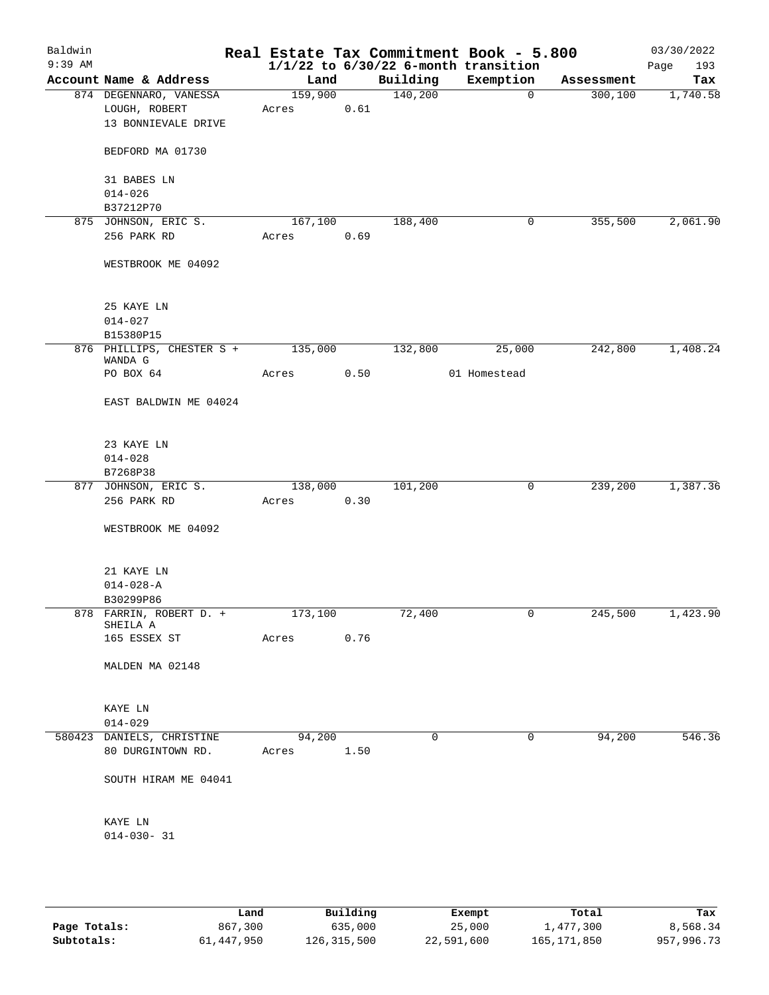| Baldwin<br>$9:39$ AM |                               |         |      |          | Real Estate Tax Commitment Book - 5.800<br>$1/1/22$ to $6/30/22$ 6-month transition |            | 03/30/2022<br>193<br>Page |
|----------------------|-------------------------------|---------|------|----------|-------------------------------------------------------------------------------------|------------|---------------------------|
|                      | Account Name & Address        | Land    |      | Building | Exemption                                                                           | Assessment | Tax                       |
|                      | 874 DEGENNARO, VANESSA        | 159,900 |      | 140,200  | $\mathbf 0$                                                                         | 300, 100   | 1,740.58                  |
|                      | LOUGH, ROBERT                 | Acres   | 0.61 |          |                                                                                     |            |                           |
|                      | 13 BONNIEVALE DRIVE           |         |      |          |                                                                                     |            |                           |
|                      | BEDFORD MA 01730              |         |      |          |                                                                                     |            |                           |
|                      | 31 BABES LN                   |         |      |          |                                                                                     |            |                           |
|                      | $014 - 026$                   |         |      |          |                                                                                     |            |                           |
|                      | B37212P70                     |         |      |          |                                                                                     |            |                           |
|                      | 875 JOHNSON, ERIC S.          | 167,100 |      | 188,400  | 0                                                                                   | 355,500    | 2,061.90                  |
|                      | 256 PARK RD                   | Acres   | 0.69 |          |                                                                                     |            |                           |
|                      | WESTBROOK ME 04092            |         |      |          |                                                                                     |            |                           |
|                      | 25 KAYE LN                    |         |      |          |                                                                                     |            |                           |
|                      | $014 - 027$                   |         |      |          |                                                                                     |            |                           |
|                      | B15380P15                     |         |      |          |                                                                                     |            |                           |
|                      | 876 PHILLIPS, CHESTER S +     | 135,000 |      | 132,800  | 25,000                                                                              | 242,800    | 1,408.24                  |
|                      | WANDA G                       |         |      |          |                                                                                     |            |                           |
|                      | PO BOX 64                     | Acres   | 0.50 |          | 01 Homestead                                                                        |            |                           |
|                      | EAST BALDWIN ME 04024         |         |      |          |                                                                                     |            |                           |
|                      | 23 KAYE LN                    |         |      |          |                                                                                     |            |                           |
|                      | $014 - 028$                   |         |      |          |                                                                                     |            |                           |
|                      | B7268P38                      |         |      |          |                                                                                     |            |                           |
|                      | 877 JOHNSON, ERIC S.          | 138,000 |      | 101,200  | 0                                                                                   | 239,200    | 1,387.36                  |
|                      | 256 PARK RD                   | Acres   | 0.30 |          |                                                                                     |            |                           |
|                      | WESTBROOK ME 04092            |         |      |          |                                                                                     |            |                           |
|                      |                               |         |      |          |                                                                                     |            |                           |
|                      | 21 KAYE LN<br>$014 - 028 - A$ |         |      |          |                                                                                     |            |                           |
|                      | B30299P86                     |         |      |          |                                                                                     |            |                           |
|                      | 878 FARRIN, ROBERT D. +       | 173,100 |      | 72,400   | 0                                                                                   | 245,500    | 1,423.90                  |
|                      | SHEILA A                      |         |      |          |                                                                                     |            |                           |
|                      | 165 ESSEX ST                  | Acres   | 0.76 |          |                                                                                     |            |                           |
|                      | MALDEN MA 02148               |         |      |          |                                                                                     |            |                           |
|                      | KAYE LN                       |         |      |          |                                                                                     |            |                           |
|                      | $014 - 029$                   |         |      |          |                                                                                     |            |                           |
|                      | 580423 DANIELS, CHRISTINE     | 94,200  |      | 0        | 0                                                                                   | 94,200     | 546.36                    |
|                      | 80 DURGINTOWN RD.             | Acres   | 1.50 |          |                                                                                     |            |                           |
|                      | SOUTH HIRAM ME 04041          |         |      |          |                                                                                     |            |                           |
|                      | KAYE LN                       |         |      |          |                                                                                     |            |                           |
|                      | $014 - 030 - 31$              |         |      |          |                                                                                     |            |                           |
|                      |                               |         |      |          |                                                                                     |            |                           |
|                      |                               |         |      |          |                                                                                     |            |                           |

|              | Land       | Building    | Exempt     | Total       | Tax        |
|--------------|------------|-------------|------------|-------------|------------|
| Page Totals: | 867,300    | 635,000     | 25,000     | 1,477,300   | 8,568.34   |
| Subtotals:   | 61,447,950 | 126,315,500 | 22,591,600 | 165,171,850 | 957,996.73 |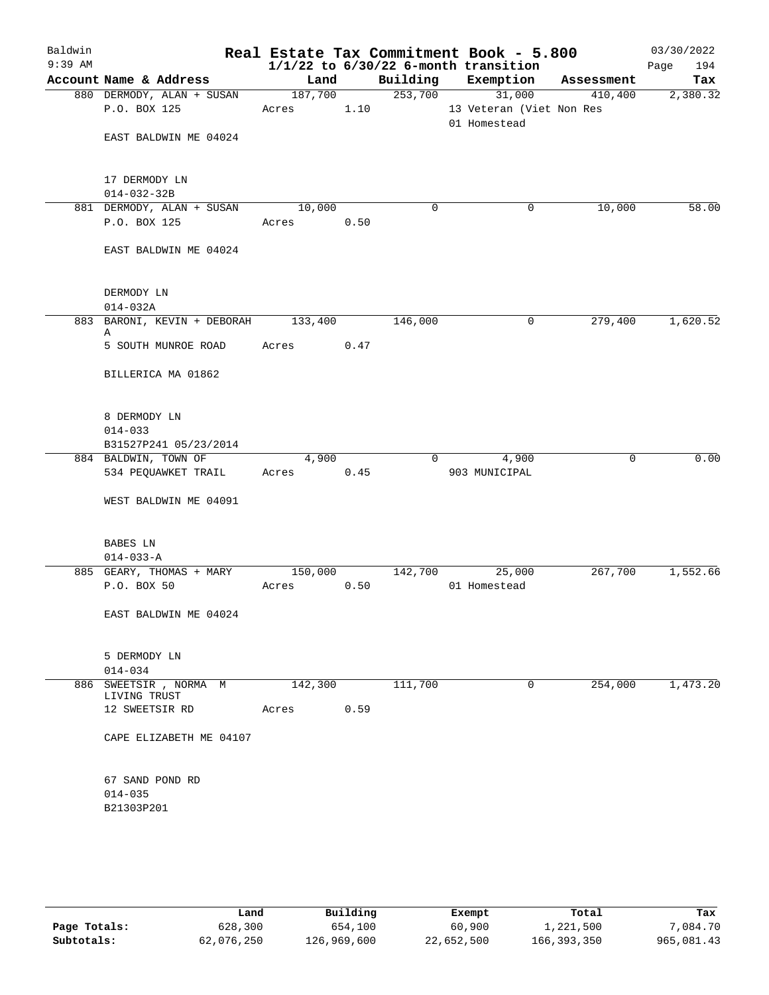| Baldwin   |                                           |                 |      |                     | Real Estate Tax Commitment Book - 5.800  |            | 03/30/2022  |
|-----------|-------------------------------------------|-----------------|------|---------------------|------------------------------------------|------------|-------------|
| $9:39$ AM |                                           |                 |      |                     | $1/1/22$ to $6/30/22$ 6-month transition |            | Page<br>194 |
|           | Account Name & Address                    | Land<br>187,700 |      | Building<br>253,700 | Exemption                                | Assessment | Tax         |
|           | 880 DERMODY, ALAN + SUSAN<br>P.O. BOX 125 |                 |      |                     | 31,000                                   | 410,400    | 2,380.32    |
|           |                                           | Acres           | 1.10 |                     | 13 Veteran (Viet Non Res<br>01 Homestead |            |             |
|           | EAST BALDWIN ME 04024                     |                 |      |                     |                                          |            |             |
|           |                                           |                 |      |                     |                                          |            |             |
|           |                                           |                 |      |                     |                                          |            |             |
|           | 17 DERMODY LN                             |                 |      |                     |                                          |            |             |
|           | $014 - 032 - 32B$                         |                 |      |                     |                                          |            |             |
|           | 881 DERMODY, ALAN + SUSAN                 | 10,000          |      | $\mathbf 0$         | 0                                        | 10,000     | 58.00       |
|           | P.O. BOX 125                              | Acres           | 0.50 |                     |                                          |            |             |
|           | EAST BALDWIN ME 04024                     |                 |      |                     |                                          |            |             |
|           |                                           |                 |      |                     |                                          |            |             |
|           | DERMODY LN                                |                 |      |                     |                                          |            |             |
|           | $014 - 032A$                              |                 |      |                     |                                          |            |             |
|           | 883 BARONI, KEVIN + DEBORAH               | 133,400         |      | 146,000             | 0                                        | 279,400    | 1,620.52    |
|           | Α                                         | Acres           | 0.47 |                     |                                          |            |             |
|           | 5 SOUTH MUNROE ROAD                       |                 |      |                     |                                          |            |             |
|           | BILLERICA MA 01862                        |                 |      |                     |                                          |            |             |
|           |                                           |                 |      |                     |                                          |            |             |
|           | 8 DERMODY LN                              |                 |      |                     |                                          |            |             |
|           | $014 - 033$<br>B31527P241 05/23/2014      |                 |      |                     |                                          |            |             |
|           | 884 BALDWIN, TOWN OF                      | 4,900           |      | $\Omega$            | 4,900                                    | 0          | 0.00        |
|           | 534 PEQUAWKET TRAIL                       | Acres           | 0.45 |                     | 903 MUNICIPAL                            |            |             |
|           |                                           |                 |      |                     |                                          |            |             |
|           | WEST BALDWIN ME 04091                     |                 |      |                     |                                          |            |             |
|           | BABES LN                                  |                 |      |                     |                                          |            |             |
|           | $014 - 033 - A$                           |                 |      |                     |                                          |            |             |
|           | 885 GEARY, THOMAS + MARY                  | 150,000         |      | 142,700             | 25,000                                   | 267,700    | 1,552.66    |
|           | P.O. BOX 50                               | Acres           | 0.50 |                     | 01 Homestead                             |            |             |
|           | EAST BALDWIN ME 04024                     |                 |      |                     |                                          |            |             |
|           |                                           |                 |      |                     |                                          |            |             |
|           | 5 DERMODY LN                              |                 |      |                     |                                          |            |             |
|           | $014 - 034$                               |                 |      |                     |                                          |            |             |
|           | 886 SWEETSIR, NORMA M<br>LIVING TRUST     | 142,300         |      | 111,700             | 0                                        | 254,000    | 1,473.20    |
|           | 12 SWEETSIR RD                            | Acres           | 0.59 |                     |                                          |            |             |
|           | CAPE ELIZABETH ME 04107                   |                 |      |                     |                                          |            |             |
|           |                                           |                 |      |                     |                                          |            |             |
|           | 67 SAND POND RD                           |                 |      |                     |                                          |            |             |
|           | $014 - 035$                               |                 |      |                     |                                          |            |             |
|           | B21303P201                                |                 |      |                     |                                          |            |             |
|           |                                           |                 |      |                     |                                          |            |             |
|           |                                           |                 |      |                     |                                          |            |             |
|           |                                           |                 |      |                     |                                          |            |             |

|              | Land       | Building    | Exempt     | Total       | Tax        |
|--------------|------------|-------------|------------|-------------|------------|
| Page Totals: | 628,300    | 654,100     | 60,900     | 1,221,500   | 7,084.70   |
| Subtotals:   | 62,076,250 | 126,969,600 | 22,652,500 | 166,393,350 | 965,081.43 |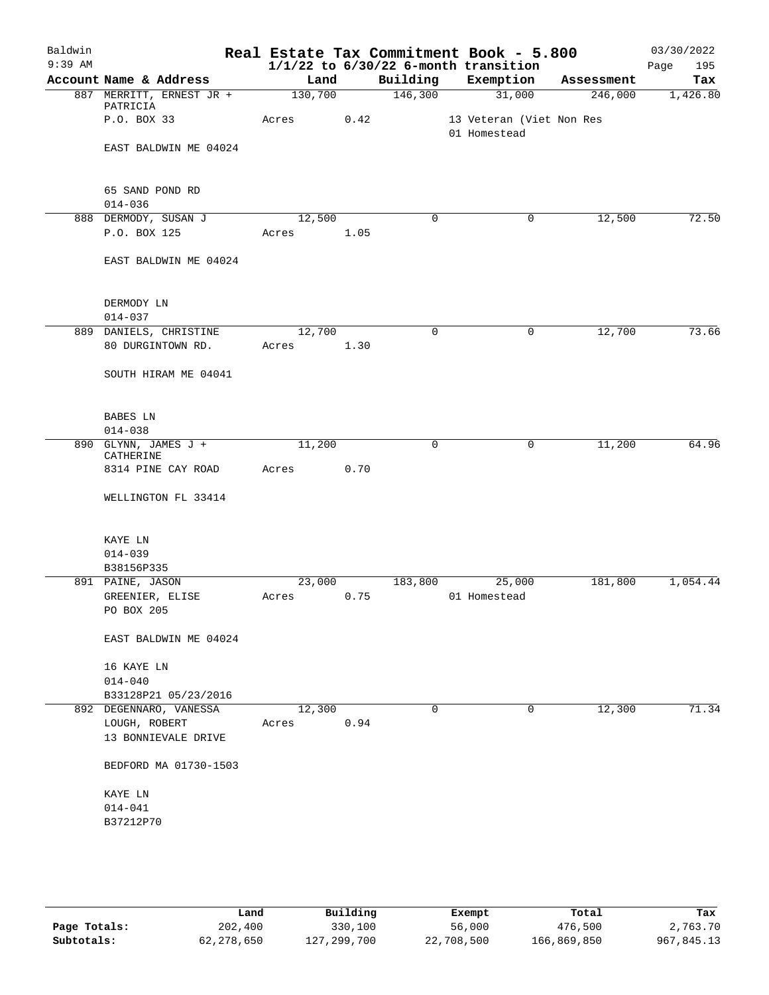| Baldwin   |                                      |                     |      |             | Real Estate Tax Commitment Book - 5.800  |            | 03/30/2022  |
|-----------|--------------------------------------|---------------------|------|-------------|------------------------------------------|------------|-------------|
| $9:39$ AM |                                      |                     |      |             | $1/1/22$ to $6/30/22$ 6-month transition |            | Page<br>195 |
|           | Account Name & Address               | Land                |      | Building    | Exemption                                | Assessment | Tax         |
|           | 887 MERRITT, ERNEST JR +<br>PATRICIA | $\frac{130,700}{ }$ |      | 146,300     | 31,000                                   | 246,000    | 1,426.80    |
|           | P.O. BOX 33                          | Acres               | 0.42 |             | 13 Veteran (Viet Non Res<br>01 Homestead |            |             |
|           | EAST BALDWIN ME 04024                |                     |      |             |                                          |            |             |
|           | 65 SAND POND RD                      |                     |      |             |                                          |            |             |
|           | $014 - 036$                          |                     |      |             |                                          |            |             |
|           | 888 DERMODY, SUSAN J                 | 12,500              |      | $\Omega$    | $\mathbf 0$                              | 12,500     | 72.50       |
|           | P.O. BOX 125                         | Acres 1.05          |      |             |                                          |            |             |
|           | EAST BALDWIN ME 04024                |                     |      |             |                                          |            |             |
|           | DERMODY LN                           |                     |      |             |                                          |            |             |
|           | $014 - 037$                          |                     |      |             |                                          |            |             |
|           | 889 DANIELS, CHRISTINE               | 12,700              |      | $\mathbf 0$ | 0                                        | 12,700     | 73.66       |
|           | 80 DURGINTOWN RD.                    | Acres 1.30          |      |             |                                          |            |             |
|           | SOUTH HIRAM ME 04041                 |                     |      |             |                                          |            |             |
|           | BABES LN                             |                     |      |             |                                          |            |             |
|           | $014 - 038$                          |                     |      |             |                                          |            |             |
|           | 890 GLYNN, JAMES J +<br>CATHERINE    | 11,200              |      | $\Omega$    | $\mathbf 0$                              | 11,200     | 64.96       |
|           | 8314 PINE CAY ROAD                   | Acres               | 0.70 |             |                                          |            |             |
|           | WELLINGTON FL 33414                  |                     |      |             |                                          |            |             |
|           | KAYE LN                              |                     |      |             |                                          |            |             |
|           | $014 - 039$                          |                     |      |             |                                          |            |             |
|           | B38156P335                           |                     |      |             |                                          |            |             |
|           | 891 PAINE, JASON                     | 23,000              |      | 183,800     | 25,000                                   | 181,800    | 1,054.44    |
|           | GREENIER, ELISE                      | Acres               | 0.75 |             | 01 Homestead                             |            |             |
|           | PO BOX 205                           |                     |      |             |                                          |            |             |
|           | EAST BALDWIN ME 04024                |                     |      |             |                                          |            |             |
|           | 16 KAYE LN                           |                     |      |             |                                          |            |             |
|           | $014 - 040$                          |                     |      |             |                                          |            |             |
|           | B33128P21 05/23/2016                 |                     |      |             |                                          |            |             |
|           | 892 DEGENNARO, VANESSA               | 12,300              |      | 0           | 0                                        | 12,300     | 71.34       |
|           | LOUGH, ROBERT<br>13 BONNIEVALE DRIVE | Acres               | 0.94 |             |                                          |            |             |
|           | BEDFORD MA 01730-1503                |                     |      |             |                                          |            |             |
|           | KAYE LN                              |                     |      |             |                                          |            |             |
|           | $014 - 041$                          |                     |      |             |                                          |            |             |
|           | B37212P70                            |                     |      |             |                                          |            |             |
|           |                                      |                     |      |             |                                          |            |             |
|           |                                      |                     |      |             |                                          |            |             |
|           |                                      |                     |      |             |                                          |            |             |

|              | Land       | Building    | Exempt     | Total       | Tax        |
|--------------|------------|-------------|------------|-------------|------------|
| Page Totals: | 202,400    | 330,100     | 56,000     | 476,500     | 2,763.70   |
| Subtotals:   | 62,278,650 | 127,299,700 | 22,708,500 | 166,869,850 | 967,845.13 |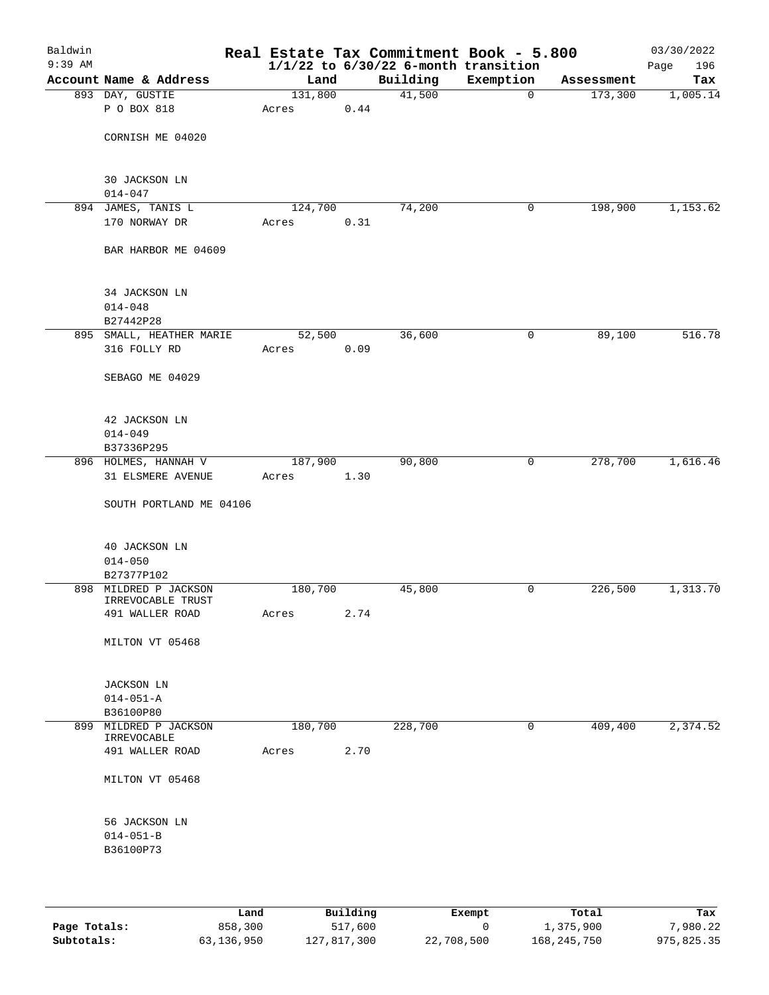| Baldwin<br>$9:39$ AM |                                |         |      | Real Estate Tax Commitment Book - 5.800<br>$1/1/22$ to $6/30/22$ 6-month transition |           |            | 03/30/2022<br>Page<br>196 |
|----------------------|--------------------------------|---------|------|-------------------------------------------------------------------------------------|-----------|------------|---------------------------|
|                      | Account Name & Address         | Land    |      | Building                                                                            | Exemption | Assessment | Tax                       |
|                      | 893 DAY, GUSTIE                | 131,800 |      | 41,500                                                                              | 0         | 173,300    | 1,005.14                  |
|                      | P O BOX 818                    | Acres   | 0.44 |                                                                                     |           |            |                           |
|                      | CORNISH ME 04020               |         |      |                                                                                     |           |            |                           |
|                      | 30 JACKSON LN<br>$014 - 047$   |         |      |                                                                                     |           |            |                           |
|                      | 894 JAMES, TANIS L             | 124,700 |      | 74,200                                                                              | 0         | 198,900    | 1,153.62                  |
|                      | 170 NORWAY DR                  | Acres   | 0.31 |                                                                                     |           |            |                           |
|                      | BAR HARBOR ME 04609            |         |      |                                                                                     |           |            |                           |
|                      | 34 JACKSON LN<br>$014 - 048$   |         |      |                                                                                     |           |            |                           |
|                      | B27442P28                      |         |      |                                                                                     |           |            |                           |
|                      | 895 SMALL, HEATHER MARIE       | 52,500  |      | 36,600                                                                              | 0         | 89,100     | 516.78                    |
|                      | 316 FOLLY RD                   | Acres   | 0.09 |                                                                                     |           |            |                           |
|                      | SEBAGO ME 04029                |         |      |                                                                                     |           |            |                           |
|                      | 42 JACKSON LN<br>$014 - 049$   |         |      |                                                                                     |           |            |                           |
|                      | B37336P295                     |         |      |                                                                                     |           |            |                           |
|                      | 896 HOLMES, HANNAH V           | 187,900 |      | 90,800                                                                              | 0         | 278,700    | 1,616.46                  |
|                      | 31 ELSMERE AVENUE              | Acres   | 1.30 |                                                                                     |           |            |                           |
|                      | SOUTH PORTLAND ME 04106        |         |      |                                                                                     |           |            |                           |
|                      | 40 JACKSON LN                  |         |      |                                                                                     |           |            |                           |
|                      | $014 - 050$                    |         |      |                                                                                     |           |            |                           |
|                      | B27377P102                     |         |      |                                                                                     |           |            |                           |
|                      | 898 MILDRED P JACKSON          | 180,700 |      | 45,800                                                                              | 0         | 226,500    | 1,313.70                  |
|                      | IRREVOCABLE TRUST              |         |      |                                                                                     |           |            |                           |
|                      | 491 WALLER ROAD                | Acres   | 2.74 |                                                                                     |           |            |                           |
|                      | MILTON VT 05468                |         |      |                                                                                     |           |            |                           |
|                      | <b>JACKSON LN</b>              |         |      |                                                                                     |           |            |                           |
|                      | $014 - 051 - A$                |         |      |                                                                                     |           |            |                           |
|                      | B36100P80                      |         |      |                                                                                     |           |            |                           |
|                      | 899 MILDRED P JACKSON          | 180,700 |      | 228,700                                                                             | 0         | 409,400    | 2,374.52                  |
|                      | IRREVOCABLE<br>491 WALLER ROAD | Acres   | 2.70 |                                                                                     |           |            |                           |
|                      |                                |         |      |                                                                                     |           |            |                           |
|                      | MILTON VT 05468                |         |      |                                                                                     |           |            |                           |
|                      | 56 JACKSON LN                  |         |      |                                                                                     |           |            |                           |
|                      | $014 - 051 - B$                |         |      |                                                                                     |           |            |                           |
|                      | B36100P73                      |         |      |                                                                                     |           |            |                           |
|                      |                                |         |      |                                                                                     |           |            |                           |
|                      |                                |         |      |                                                                                     |           |            |                           |

|              | Land       | Building    | Exempt     | Total       | Tax        |  |
|--------------|------------|-------------|------------|-------------|------------|--|
| Page Totals: | 858,300    | 517,600     |            | 1,375,900   | 7,980.22   |  |
| Subtotals:   | 63,136,950 | 127,817,300 | 22,708,500 | 168,245,750 | 975,825.35 |  |